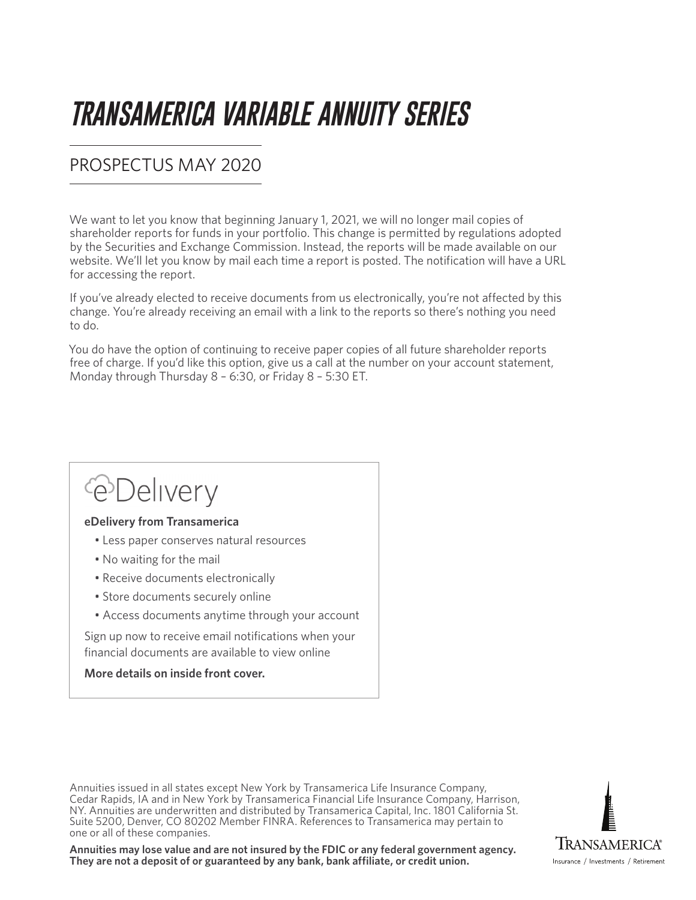# *TRANSAMERICA VARIABLE ANNUITY SERIES*

### PROSPECTUS MAY 2020

We want to let you know that beginning January 1, 2021, we will no longer mail copies of shareholder reports for funds in your portfolio. This change is permitted by regulations adopted by the Securities and Exchange Commission. Instead, the reports will be made available on our website. We'll let you know by mail each time a report is posted. The notification will have a URL for accessing the report.

If you've already elected to receive documents from us electronically, you're not affected by this change. You're already receiving an email with a link to the reports so there's nothing you need to do.

You do have the option of continuing to receive paper copies of all future shareholder reports free of charge. If you'd like this option, give us a call at the number on your account statement, Monday through Thursday 8 – 6:30, or Friday 8 – 5:30 ET.

## *<u>C*Delivery</u>

#### **eDelivery from Transamerica**

- Less paper conserves natural resources
- No waiting for the mail
- Receive documents electronically
- Store documents securely online
- Access documents anytime through your account

Sign up now to receive email notifications when your financial documents are available to view online

#### **More details on inside front cover.**

Annuities issued in all states except New York by Transamerica Life Insurance Company, Cedar Rapids, IA and in New York by Transamerica Financial Life Insurance Company, Harrison, NY. Annuities are underwritten and distributed by Transamerica Capital, Inc. 1801 California St. Suite 5200, Denver, CO 80202 Member FINRA. References to Transamerica may pertain to one or all of these companies.

**Annuities may lose value and are not insured by the FDIC or any federal government agency. They are not a deposit of or guaranteed by any bank, bank affiliate, or credit union.**

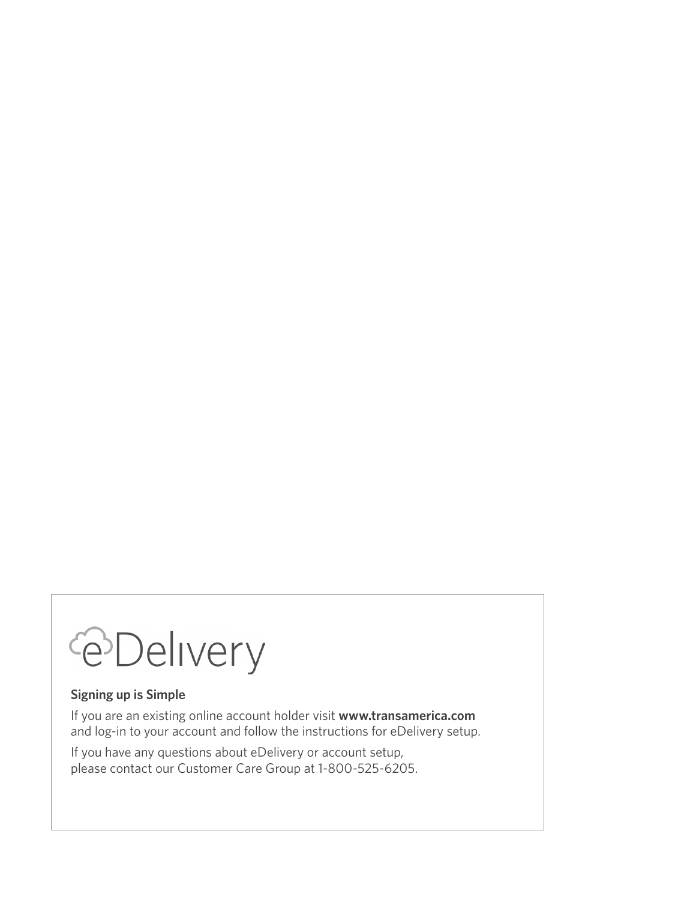# **@Delivery**

#### **Signing up is Simple**

If you are an existing online account holder visit **www.transamerica.com** and log-in to your account and follow the instructions for eDelivery setup.

If you have any questions about eDelivery or account setup, please contact our Customer Care Group at 1-800-525-6205.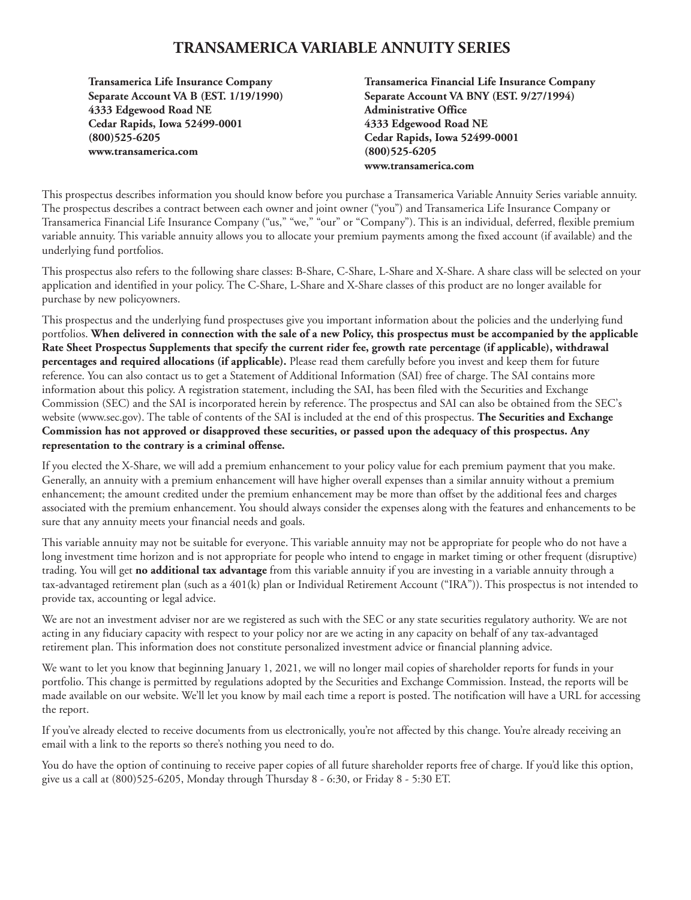#### **TRANSAMERICA VARIABLE ANNUITY SERIES**

**Transamerica Life Insurance Company Separate Account VA B (EST. 1/19/1990) 4333 Edgewood Road NE Cedar Rapids, Iowa 52499-0001 (800)525-6205 www.transamerica.com**

**Transamerica Financial Life Insurance Company Separate Account VA BNY (EST. 9/27/1994) Administrative Office 4333 Edgewood Road NE Cedar Rapids, Iowa 52499-0001 (800)525-6205 www.transamerica.com**

This prospectus describes information you should know before you purchase a Transamerica Variable Annuity Series variable annuity. The prospectus describes a contract between each owner and joint owner ("you") and Transamerica Life Insurance Company or Transamerica Financial Life Insurance Company ("us," "we," "our" or "Company"). This is an individual, deferred, flexible premium variable annuity. This variable annuity allows you to allocate your premium payments among the fixed account (if available) and the underlying fund portfolios.

This prospectus also refers to the following share classes: B-Share, C-Share, L-Share and X-Share. A share class will be selected on your application and identified in your policy. The C-Share, L-Share and X-Share classes of this product are no longer available for purchase by new policyowners.

This prospectus and the underlying fund prospectuses give you important information about the policies and the underlying fund portfolios. **When delivered in connection with the sale of a new Policy, this prospectus must be accompanied by the applicable Rate Sheet Prospectus Supplements that specify the current rider fee, growth rate percentage (if applicable), withdrawal percentages and required allocations (if applicable).** Please read them carefully before you invest and keep them for future reference. You can also contact us to get a Statement of Additional Information (SAI) free of charge. The SAI contains more information about this policy. A registration statement, including the SAI, has been filed with the Securities and Exchange Commission (SEC) and the SAI is incorporated herein by reference. The prospectus and SAI can also be obtained from the SEC's website (www.sec.gov). The table of contents of the SAI is included at the end of this prospectus. **The Securities and Exchange Commission has not approved or disapproved these securities, or passed upon the adequacy of this prospectus. Any representation to the contrary is a criminal offense.**

If you elected the X-Share, we will add a premium enhancement to your policy value for each premium payment that you make. Generally, an annuity with a premium enhancement will have higher overall expenses than a similar annuity without a premium enhancement; the amount credited under the premium enhancement may be more than offset by the additional fees and charges associated with the premium enhancement. You should always consider the expenses along with the features and enhancements to be sure that any annuity meets your financial needs and goals.

This variable annuity may not be suitable for everyone. This variable annuity may not be appropriate for people who do not have a long investment time horizon and is not appropriate for people who intend to engage in market timing or other frequent (disruptive) trading. You will get **no additional tax advantage** from this variable annuity if you are investing in a variable annuity through a tax-advantaged retirement plan (such as a 401(k) plan or Individual Retirement Account ("IRA")). This prospectus is not intended to provide tax, accounting or legal advice.

We are not an investment adviser nor are we registered as such with the SEC or any state securities regulatory authority. We are not acting in any fiduciary capacity with respect to your policy nor are we acting in any capacity on behalf of any tax-advantaged retirement plan. This information does not constitute personalized investment advice or financial planning advice.

We want to let you know that beginning January 1, 2021, we will no longer mail copies of shareholder reports for funds in your portfolio. This change is permitted by regulations adopted by the Securities and Exchange Commission. Instead, the reports will be made available on our website. We'll let you know by mail each time a report is posted. The notification will have a URL for accessing the report.

If you've already elected to receive documents from us electronically, you're not affected by this change. You're already receiving an email with a link to the reports so there's nothing you need to do.

You do have the option of continuing to receive paper copies of all future shareholder reports free of charge. If you'd like this option, give us a call at (800)525-6205, Monday through Thursday 8 - 6:30, or Friday 8 - 5:30 ET.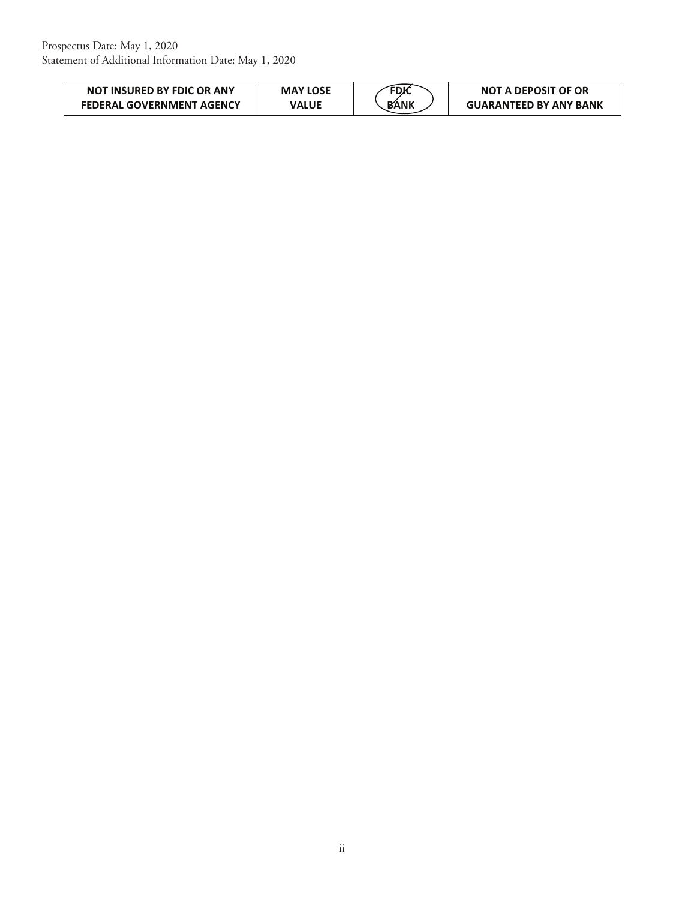| <b>NOT INSURED BY FDIC OR ANY</b> | <b>MAY LOSE</b> | FDK         | <b>NOT A DEPOSIT OF OR</b>    |
|-----------------------------------|-----------------|-------------|-------------------------------|
| <b>FEDERAL GOVERNMENT AGENCY</b>  | VALUE           | <b>BANK</b> | <b>GUARANTEED BY ANY BANK</b> |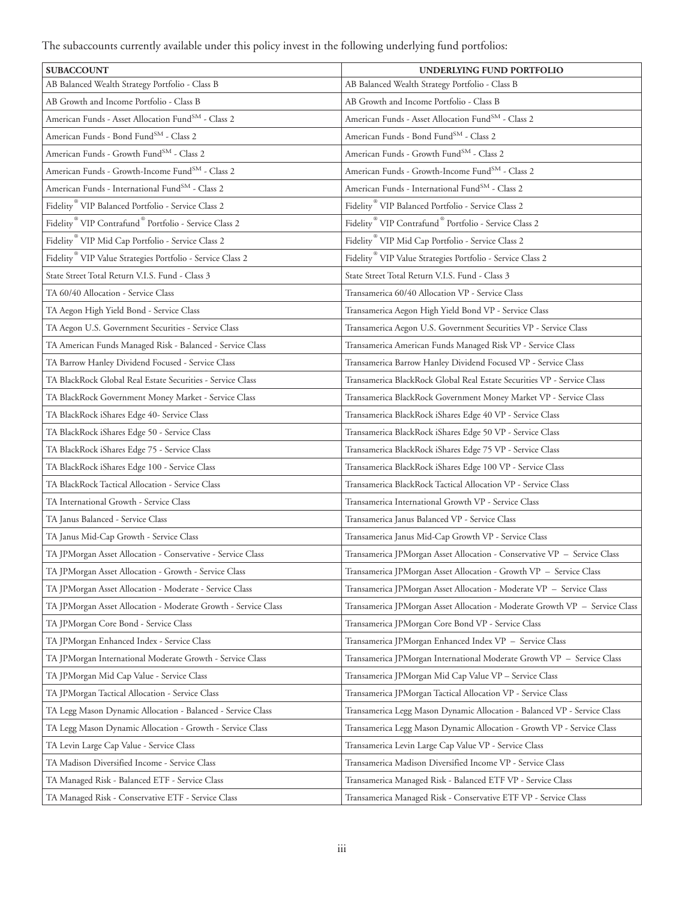The subaccounts currently available under this policy invest in the following underlying fund portfolios:

| <b>SUBACCOUNT</b>                                                             | UNDERLYING FUND PORTFOLIO                                                     |
|-------------------------------------------------------------------------------|-------------------------------------------------------------------------------|
| AB Balanced Wealth Strategy Portfolio - Class B                               | AB Balanced Wealth Strategy Portfolio - Class B                               |
| AB Growth and Income Portfolio - Class B                                      | AB Growth and Income Portfolio - Class B                                      |
| American Funds - Asset Allocation Fund <sup>SM</sup> - Class 2                | American Funds - Asset Allocation Fund <sup>SM</sup> - Class 2                |
| American Funds - Bond Fund <sup>SM</sup> - Class 2                            | American Funds - Bond Fund <sup>SM</sup> - Class 2                            |
| American Funds - Growth Fund <sup>SM</sup> - Class 2                          | American Funds - Growth Fund <sup>SM</sup> - Class 2                          |
| American Funds - Growth-Income Fund <sup>SM</sup> - Class 2                   | American Funds - Growth-Income FundSM - Class 2                               |
| American Funds - International Fund <sup>SM</sup> - Class 2                   | American Funds - International Fund <sup>SM</sup> - Class 2                   |
| Fidelity <sup>®</sup> VIP Balanced Portfolio - Service Class 2                | Fidelity <sup>®</sup> VIP Balanced Portfolio - Service Class 2                |
| Fidelity <sup>®</sup> VIP Contrafund <sup>®</sup> Portfolio - Service Class 2 | Fidelity <sup>®</sup> VIP Contrafund <sup>®</sup> Portfolio - Service Class 2 |
| Fidelity <sup>®</sup> VIP Mid Cap Portfolio - Service Class 2                 | Fidelity <sup>®</sup> VIP Mid Cap Portfolio - Service Class 2                 |
| Fidelity <sup>®</sup> VIP Value Strategies Portfolio - Service Class 2        | Fidelity <sup>®</sup> VIP Value Strategies Portfolio - Service Class 2        |
| State Street Total Return V.I.S. Fund - Class 3                               | State Street Total Return V.I.S. Fund - Class 3                               |
| TA 60/40 Allocation - Service Class                                           | Transamerica 60/40 Allocation VP - Service Class                              |
| TA Aegon High Yield Bond - Service Class                                      | Transamerica Aegon High Yield Bond VP - Service Class                         |
| TA Aegon U.S. Government Securities - Service Class                           | Transamerica Aegon U.S. Government Securities VP - Service Class              |
| TA American Funds Managed Risk - Balanced - Service Class                     | Transamerica American Funds Managed Risk VP - Service Class                   |
| TA Barrow Hanley Dividend Focused - Service Class                             | Transamerica Barrow Hanley Dividend Focused VP - Service Class                |
| TA BlackRock Global Real Estate Securities - Service Class                    | Transamerica BlackRock Global Real Estate Securities VP - Service Class       |
| TA BlackRock Government Money Market - Service Class                          | Transamerica BlackRock Government Money Market VP - Service Class             |
| TA BlackRock iShares Edge 40- Service Class                                   | Transamerica BlackRock iShares Edge 40 VP - Service Class                     |
| TA BlackRock iShares Edge 50 - Service Class                                  | Transamerica BlackRock iShares Edge 50 VP - Service Class                     |
| TA BlackRock iShares Edge 75 - Service Class                                  | Transamerica BlackRock iShares Edge 75 VP - Service Class                     |
| TA BlackRock iShares Edge 100 - Service Class                                 | Transamerica BlackRock iShares Edge 100 VP - Service Class                    |
| TA BlackRock Tactical Allocation - Service Class                              | Transamerica BlackRock Tactical Allocation VP - Service Class                 |
| TA International Growth - Service Class                                       | Transamerica International Growth VP - Service Class                          |
| TA Janus Balanced - Service Class                                             | Transamerica Janus Balanced VP - Service Class                                |
| TA Janus Mid-Cap Growth - Service Class                                       | Transamerica Janus Mid-Cap Growth VP - Service Class                          |
| TA JPMorgan Asset Allocation - Conservative - Service Class                   | Transamerica JPMorgan Asset Allocation - Conservative VP - Service Class      |
| TA JPMorgan Asset Allocation - Growth - Service Class                         | Transamerica JPMorgan Asset Allocation - Growth VP - Service Class            |
| TA JPMorgan Asset Allocation - Moderate - Service Class                       | Transamerica JPMorgan Asset Allocation - Moderate VP - Service Class          |
| TA JPMorgan Asset Allocation - Moderate Growth - Service Class                | Transamerica JPMorgan Asset Allocation - Moderate Growth VP - Service Class   |
| TA JPMorgan Core Bond - Service Class                                         | Transamerica JPMorgan Core Bond VP - Service Class                            |
| TA JPMorgan Enhanced Index - Service Class                                    | Transamerica JPMorgan Enhanced Index VP - Service Class                       |
| TA JPMorgan International Moderate Growth - Service Class                     | Transamerica JPMorgan International Moderate Growth VP - Service Class        |
| TA JPMorgan Mid Cap Value - Service Class                                     | Transamerica JPMorgan Mid Cap Value VP - Service Class                        |
| TA JPMorgan Tactical Allocation - Service Class                               | Transamerica JPMorgan Tactical Allocation VP - Service Class                  |
| TA Legg Mason Dynamic Allocation - Balanced - Service Class                   | Transamerica Legg Mason Dynamic Allocation - Balanced VP - Service Class      |
| TA Legg Mason Dynamic Allocation - Growth - Service Class                     | Transamerica Legg Mason Dynamic Allocation - Growth VP - Service Class        |
| TA Levin Large Cap Value - Service Class                                      | Transamerica Levin Large Cap Value VP - Service Class                         |
| TA Madison Diversified Income - Service Class                                 | Transamerica Madison Diversified Income VP - Service Class                    |
| TA Managed Risk - Balanced ETF - Service Class                                | Transamerica Managed Risk - Balanced ETF VP - Service Class                   |
| TA Managed Risk - Conservative ETF - Service Class                            | Transamerica Managed Risk - Conservative ETF VP - Service Class               |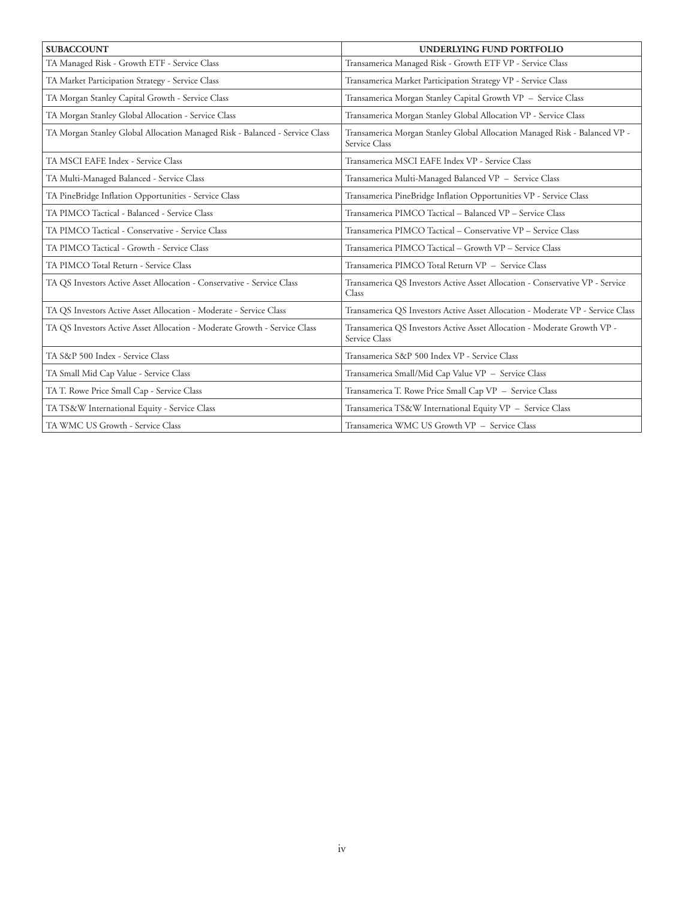| <b>SUBACCOUNT</b>                                                           | UNDERLYING FUND PORTFOLIO                                                                   |
|-----------------------------------------------------------------------------|---------------------------------------------------------------------------------------------|
| TA Managed Risk - Growth ETF - Service Class                                | Transamerica Managed Risk - Growth ETF VP - Service Class                                   |
| TA Market Participation Strategy - Service Class                            | Transamerica Market Participation Strategy VP - Service Class                               |
| TA Morgan Stanley Capital Growth - Service Class                            | Transamerica Morgan Stanley Capital Growth VP - Service Class                               |
| TA Morgan Stanley Global Allocation - Service Class                         | Transamerica Morgan Stanley Global Allocation VP - Service Class                            |
| TA Morgan Stanley Global Allocation Managed Risk - Balanced - Service Class | Transamerica Morgan Stanley Global Allocation Managed Risk - Balanced VP -<br>Service Class |
| TA MSCI EAFE Index - Service Class                                          | Transamerica MSCI EAFE Index VP - Service Class                                             |
| TA Multi-Managed Balanced - Service Class                                   | Transamerica Multi-Managed Balanced VP - Service Class                                      |
| TA PineBridge Inflation Opportunities - Service Class                       | Transamerica PineBridge Inflation Opportunities VP - Service Class                          |
| TA PIMCO Tactical - Balanced - Service Class                                | Transamerica PIMCO Tactical - Balanced VP - Service Class                                   |
| TA PIMCO Tactical - Conservative - Service Class                            | Transamerica PIMCO Tactical - Conservative VP - Service Class                               |
| TA PIMCO Tactical - Growth - Service Class                                  | Transamerica PIMCO Tactical - Growth VP - Service Class                                     |
| TA PIMCO Total Return - Service Class                                       | Transamerica PIMCO Total Return VP - Service Class                                          |
| TA QS Investors Active Asset Allocation - Conservative - Service Class      | Transamerica QS Investors Active Asset Allocation - Conservative VP - Service<br>Class      |
| TA QS Investors Active Asset Allocation - Moderate - Service Class          | Transamerica QS Investors Active Asset Allocation - Moderate VP - Service Class             |
| TA QS Investors Active Asset Allocation - Moderate Growth - Service Class   | Transamerica QS Investors Active Asset Allocation - Moderate Growth VP -<br>Service Class   |
| TA S&P 500 Index - Service Class                                            | Transamerica S&P 500 Index VP - Service Class                                               |
| TA Small Mid Cap Value - Service Class                                      | Transamerica Small/Mid Cap Value VP - Service Class                                         |
| TA T. Rowe Price Small Cap - Service Class                                  | Transamerica T. Rowe Price Small Cap VP - Service Class                                     |
| TA TS&W International Equity - Service Class                                | Transamerica TS&W International Equity VP - Service Class                                   |
| TA WMC US Growth - Service Class                                            | Transamerica WMC US Growth VP - Service Class                                               |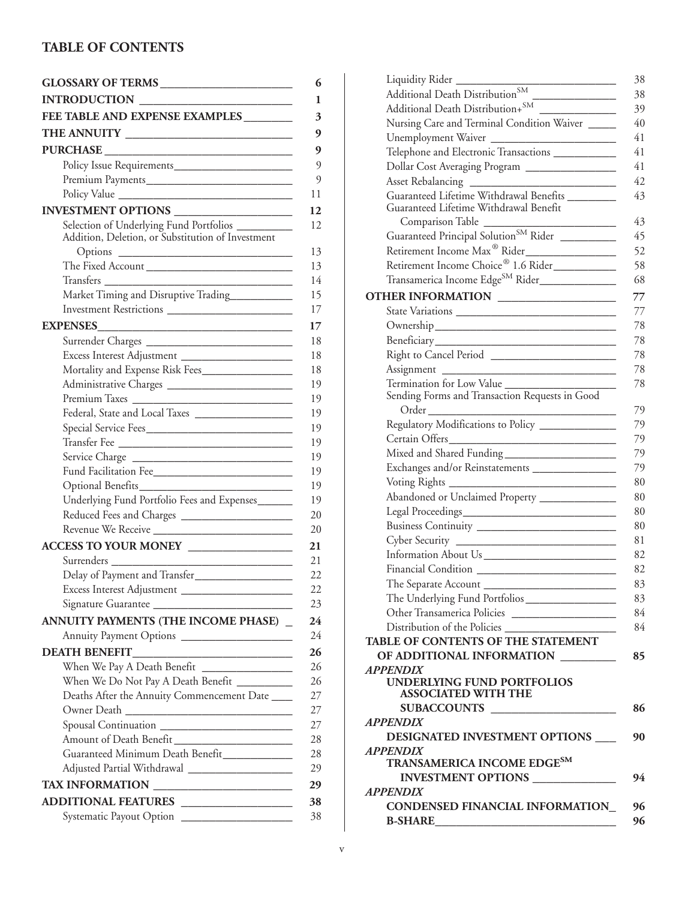#### **TABLE OF CONTENTS**

| FEE TABLE AND EXPENSE EXAMPLES                     |  |
|----------------------------------------------------|--|
|                                                    |  |
|                                                    |  |
|                                                    |  |
|                                                    |  |
|                                                    |  |
| INVESTMENT OPTIONS ___________________             |  |
| Selection of Underlying Fund Portfolios __________ |  |
| Addition, Deletion, or Substitution of Investment  |  |
|                                                    |  |
| The Fixed Account                                  |  |
| Transfers                                          |  |
| Market Timing and Disruptive Trading___________    |  |
|                                                    |  |
| <b>EXPENSES</b>                                    |  |
| Surrender Charges                                  |  |
|                                                    |  |
|                                                    |  |
| Administrative Charges                             |  |
| Premium Taxes                                      |  |
|                                                    |  |
|                                                    |  |
|                                                    |  |
|                                                    |  |
| Fund Facilitation Fee                              |  |
|                                                    |  |
| Underlying Fund Portfolio Fees and Expenses        |  |
|                                                    |  |
|                                                    |  |
| ACCESS TO YOUR MONEY                               |  |
|                                                    |  |
| Delay of Payment and Transfer                      |  |
|                                                    |  |
|                                                    |  |
| ANNUITY PAYMENTS (THE INCOME PHASE) _              |  |
| Annuity Payment Options                            |  |
|                                                    |  |
|                                                    |  |
| When We Do Not Pay A Death Benefit _________       |  |
| Deaths After the Annuity Commencement Date         |  |
|                                                    |  |
|                                                    |  |
| Amount of Death Benefit                            |  |
| Guaranteed Minimum Death Benefit                   |  |
|                                                    |  |
|                                                    |  |
|                                                    |  |
| ADDITIONAL FEATURES                                |  |
|                                                    |  |

| Liquidity Rider                                                             |
|-----------------------------------------------------------------------------|
| Additional Death Distribution <sup>SM</sup>                                 |
| Additional Death Distribution+SM                                            |
| Nursing Care and Terminal Condition Waiver                                  |
|                                                                             |
| Telephone and Electronic Transactions ___________                           |
| Dollar Cost Averaging Program ________________                              |
|                                                                             |
| Guaranteed Lifetime Withdrawal Benefits                                     |
| Guaranteed Lifetime Withdrawal Benefit                                      |
| Comparison Table                                                            |
| Guaranteed Principal Solution <sup>SM</sup> Rider _________                 |
|                                                                             |
| Retirement Income Choice® 1.6 Rider__________                               |
| Transamerica Income Edge <sup>SM</sup> Rider______________                  |
| OTHER INFORMATION __________________                                        |
|                                                                             |
|                                                                             |
|                                                                             |
|                                                                             |
|                                                                             |
|                                                                             |
| Termination for Low Value<br>Sending Forms and Transaction Requests in Good |
|                                                                             |
| Regulatory Modifications to Policy _____________                            |
|                                                                             |
|                                                                             |
|                                                                             |
| Voting Rights ______                                                        |
| Abandoned or Unclaimed Property _______________                             |
|                                                                             |
|                                                                             |
|                                                                             |
|                                                                             |
|                                                                             |
|                                                                             |
| The Separate Account                                                        |
|                                                                             |
|                                                                             |
|                                                                             |
| <b>TABLE OF CONTENTS OF THE STATEMENT</b>                                   |
| OF ADDITIONAL INFORMATION                                                   |
| <b>APPENDIX</b><br><b>UNDERLYING FUND PORTFOLIOS</b>                        |
| <b>ASSOCIATED WITH THE</b>                                                  |
| SUBACCOUNTS                                                                 |
| <b>APPENDIX</b>                                                             |
| DESIGNATED INVESTMENT OPTIONS                                               |
| <b>APPENDIX</b>                                                             |
| TRANSAMERICA INCOME EDGESM                                                  |
| INVESTMENT OPTIONS                                                          |
| <b>APPENDIX</b>                                                             |
| <b>CONDENSED FINANCIAL INFORMATION</b>                                      |
| <b>B-SHARE</b>                                                              |
|                                                                             |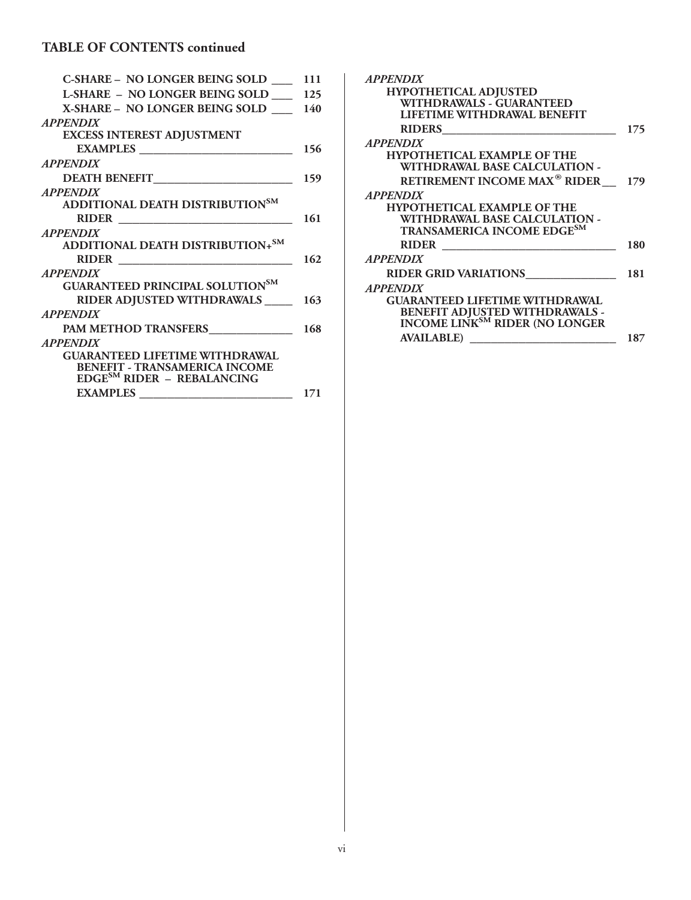#### **TABLE OF CONTENTS continued**

| <b>C-SHARE - NO LONGER BEING SOLD</b>       | 111 |
|---------------------------------------------|-----|
| <b>L-SHARE - NO LONGER BEING SOLD</b>       | 125 |
| X-SHARE – NO LONGER BEING SOLD              | 140 |
| <b>APPENDIX</b>                             |     |
| <b>EXCESS INTEREST ADJUSTMENT</b>           |     |
|                                             | 156 |
| <b>APPENDIX</b>                             |     |
|                                             | 159 |
| <b>APPENDIX</b>                             |     |
| ADDITIONAL DEATH DISTRIBUTION <sup>SM</sup> |     |
| RIDER                                       | 161 |
| <b>APPENDIX</b>                             |     |
| ADDITIONAL DEATH DISTRIBUTION+SM            |     |
|                                             | 162 |
| <b>APPENDIX</b>                             |     |
| GUARANTEED PRINCIPAL SOLUTIONSM             |     |
| RIDER ADJUSTED WITHDRAWALS 163              |     |
| <b>APPENDIX</b>                             |     |
| PAM METHOD TRANSFERS_____________           | 168 |
| <b>APPENDIX</b>                             |     |
| <b>GUARANTEED LIFETIME WITHDRAWAL</b>       |     |
| <b>BENEFIT - TRANSAMERICA INCOME</b>        |     |
| $EDGE^{SM}$ RIDER - REBALANCING             |     |
| <b>EXAMPLES</b> __________________________  | 171 |
|                                             |     |

| <b>APPENDIX</b>                                                           |     |
|---------------------------------------------------------------------------|-----|
| <b>HYPOTHETICAL ADJUSTED</b>                                              |     |
| WITHDRAWALS - GUARANTEED                                                  |     |
| LIFETIME WITHDRAWAL BENEFIT                                               |     |
| <b>RIDERS</b>                                                             | 175 |
| <b>APPENDIX</b>                                                           |     |
| <b>HYPOTHETICAL EXAMPLE OF THE</b>                                        |     |
| WITHDRAWAL BASE CALCULATION -                                             |     |
| <b>RETIREMENT INCOME MAX<sup>®</sup> RIDER</b>                            | 179 |
| <b>APPENDIX</b>                                                           |     |
| <b>HYPOTHETICAL EXAMPLE OF THE</b>                                        |     |
| WITHDRAWAL BASE CALCULATION -                                             |     |
| TRANSAMERICA INCOME EDGESM                                                |     |
| RIDER <u>_____________</u>                                                | 180 |
| <b>APPENDIX</b>                                                           |     |
| <b>RIDER GRID VARIATIONS</b>                                              | 181 |
| <b>APPENDIX</b>                                                           |     |
| <b>GUARANTEED LIFETIME WITHDRAWAL</b>                                     |     |
|                                                                           |     |
| BENEFIT ADJUSTED WITHDRAWALS - INCOME LINK <sup>SM</sup> RIDER (NO LONGER |     |
| <b>AVAILABLE</b> )                                                        | 187 |
|                                                                           |     |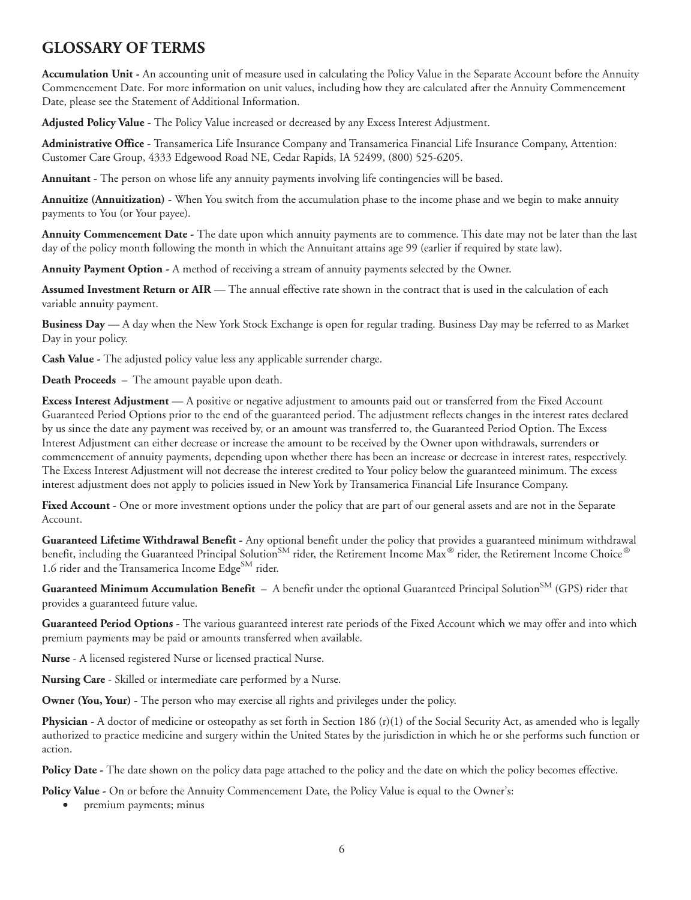#### <span id="page-8-0"></span>**GLOSSARY OF TERMS**

**Accumulation Unit -** An accounting unit of measure used in calculating the Policy Value in the Separate Account before the Annuity Commencement Date. For more information on unit values, including how they are calculated after the Annuity Commencement Date, please see the Statement of Additional Information.

**Adjusted Policy Value -** The Policy Value increased or decreased by any Excess Interest Adjustment.

**Administrative Office -** Transamerica Life Insurance Company and Transamerica Financial Life Insurance Company, Attention: Customer Care Group, 4333 Edgewood Road NE, Cedar Rapids, IA 52499, (800) 525-6205.

**Annuitant -** The person on whose life any annuity payments involving life contingencies will be based.

**Annuitize (Annuitization) -** When You switch from the accumulation phase to the income phase and we begin to make annuity payments to You (or Your payee).

**Annuity Commencement Date -** The date upon which annuity payments are to commence. This date may not be later than the last day of the policy month following the month in which the Annuitant attains age 99 (earlier if required by state law).

**Annuity Payment Option -** A method of receiving a stream of annuity payments selected by the Owner.

**Assumed Investment Return or AIR** — The annual effective rate shown in the contract that is used in the calculation of each variable annuity payment.

**Business Day** — A day when the New York Stock Exchange is open for regular trading. Business Day may be referred to as Market Day in your policy.

**Cash Value -** The adjusted policy value less any applicable surrender charge.

**Death Proceeds** – The amount payable upon death.

**Excess Interest Adjustment** — A positive or negative adjustment to amounts paid out or transferred from the Fixed Account Guaranteed Period Options prior to the end of the guaranteed period. The adjustment reflects changes in the interest rates declared by us since the date any payment was received by, or an amount was transferred to, the Guaranteed Period Option. The Excess Interest Adjustment can either decrease or increase the amount to be received by the Owner upon withdrawals, surrenders or commencement of annuity payments, depending upon whether there has been an increase or decrease in interest rates, respectively. The Excess Interest Adjustment will not decrease the interest credited to Your policy below the guaranteed minimum. The excess interest adjustment does not apply to policies issued in New York by Transamerica Financial Life Insurance Company.

Fixed Account - One or more investment options under the policy that are part of our general assets and are not in the Separate Account.

**Guaranteed Lifetime Withdrawal Benefit -** Any optional benefit under the policy that provides a guaranteed minimum withdrawal benefit, including the Guaranteed Principal Solution<sup>SM</sup> rider, the Retirement Income Max<sup>®</sup> rider, the Retirement Income Choice<sup>®</sup> 1.6 rider and the Transamerica Income  $\text{Edge}^{\text{SM}}$  rider.

**Guaranteed Minimum Accumulation Benefit** – A benefit under the optional Guaranteed Principal Solution<sup>SM</sup> (GPS) rider that provides a guaranteed future value.

**Guaranteed Period Options -** The various guaranteed interest rate periods of the Fixed Account which we may offer and into which premium payments may be paid or amounts transferred when available.

**Nurse** - A licensed registered Nurse or licensed practical Nurse.

**Nursing Care** - Skilled or intermediate care performed by a Nurse.

**Owner (You, Your)** - The person who may exercise all rights and privileges under the policy.

**Physician -** A doctor of medicine or osteopathy as set forth in Section 186 (r)(1) of the Social Security Act, as amended who is legally authorized to practice medicine and surgery within the United States by the jurisdiction in which he or she performs such function or action.

**Policy Date -** The date shown on the policy data page attached to the policy and the date on which the policy becomes effective.

**Policy Value -** On or before the Annuity Commencement Date, the Policy Value is equal to the Owner's:

• premium payments; minus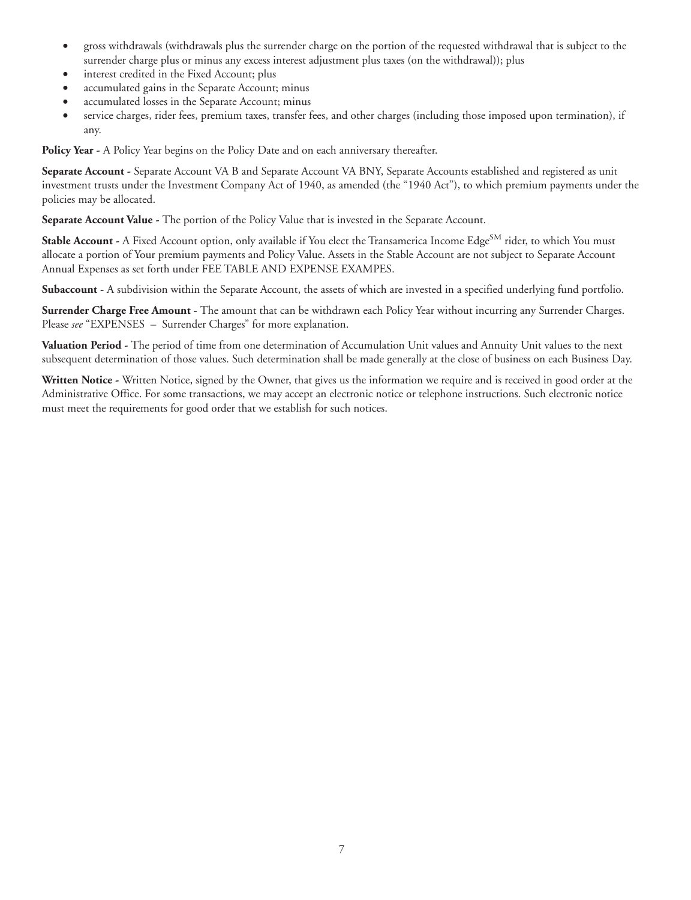- gross withdrawals (withdrawals plus the surrender charge on the portion of the requested withdrawal that is subject to the surrender charge plus or minus any excess interest adjustment plus taxes (on the withdrawal)); plus
- interest credited in the Fixed Account; plus
- accumulated gains in the Separate Account; minus
- accumulated losses in the Separate Account; minus
- service charges, rider fees, premium taxes, transfer fees, and other charges (including those imposed upon termination), if any.

Policy Year - A Policy Year begins on the Policy Date and on each anniversary thereafter.

**Separate Account -** Separate Account VA B and Separate Account VA BNY, Separate Accounts established and registered as unit investment trusts under the Investment Company Act of 1940, as amended (the "1940 Act"), to which premium payments under the policies may be allocated.

**Separate Account Value -** The portion of the Policy Value that is invested in the Separate Account.

**Stable Account -** A Fixed Account option, only available if You elect the Transamerica Income Edge<sup>SM</sup> rider, to which You must allocate a portion of Your premium payments and Policy Value. Assets in the Stable Account are not subject to Separate Account Annual Expenses as set forth under FEE TABLE AND EXPENSE EXAMPES.

**Subaccount -** A subdivision within the Separate Account, the assets of which are invested in a specified underlying fund portfolio.

**Surrender Charge Free Amount -** The amount that can be withdrawn each Policy Year without incurring any Surrender Charges. Please *see* "EXPENSES – Surrender Charges" for more explanation.

**Valuation Period -** The period of time from one determination of Accumulation Unit values and Annuity Unit values to the next subsequent determination of those values. Such determination shall be made generally at the close of business on each Business Day.

**Written Notice -** Written Notice, signed by the Owner, that gives us the information we require and is received in good order at the Administrative Office. For some transactions, we may accept an electronic notice or telephone instructions. Such electronic notice must meet the requirements for good order that we establish for such notices.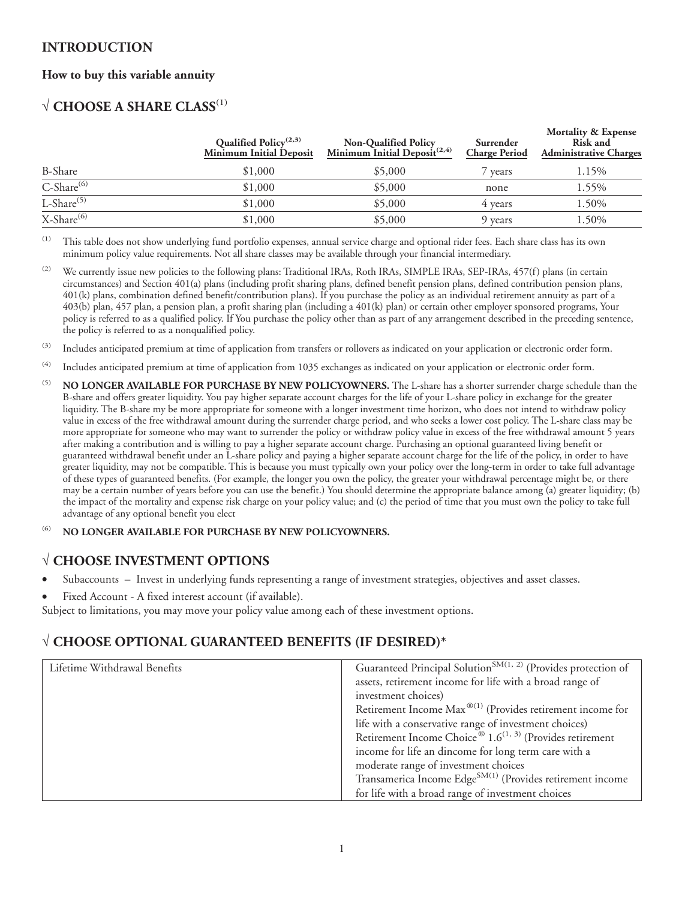#### <span id="page-10-0"></span>**INTRODUCTION**

#### **How to buy this variable annuity**

#### √ **CHOOSE A SHARE CLASS**(1)

|                                   | Qualified Policy <sup>(2,3)</sup><br>Minimum Initial Deposit | <b>Non-Qualified Policy</b><br><u>Minimum Initial Deposit</u> <sup>(2,4)</sup> | Surrender<br><b>Charge Period</b> | <b>Mortality &amp; Expense</b><br>Risk and<br><b>Administrative Charges</b> |
|-----------------------------------|--------------------------------------------------------------|--------------------------------------------------------------------------------|-----------------------------------|-----------------------------------------------------------------------------|
| <b>B-Share</b>                    | \$1,000                                                      | \$5,000                                                                        | <sup>7</sup> years                | 1.15%                                                                       |
| $\overline{C\text{-Share}^{(6)}}$ | \$1,000                                                      | \$5,000                                                                        | none                              | 1.55%                                                                       |
| L-Share $(5)$                     | \$1,000                                                      | \$5,000                                                                        | 4 years                           | 1.50%                                                                       |
| X-Share <sup>(6)</sup>            | \$1,000                                                      | \$5,000                                                                        | 9 years                           | 1.50%                                                                       |

(1) This table does not show underlying fund portfolio expenses, annual service charge and optional rider fees. Each share class has its own minimum policy value requirements. Not all share classes may be available through your financial intermediary.

<sup>(2)</sup> We currently issue new policies to the following plans: Traditional IRAs, Roth IRAs, SIMPLE IRAs, SEP-IRAs, 457(f) plans (in certain circumstances) and Section 401(a) plans (including profit sharing plans, defined benefit pension plans, defined contribution pension plans, 401(k) plans, combination defined benefit/contribution plans). If you purchase the policy as an individual retirement annuity as part of a 403(b) plan, 457 plan, a pension plan, a profit sharing plan (including a 401(k) plan) or certain other employer sponsored programs, Your policy is referred to as a qualified policy. If You purchase the policy other than as part of any arrangement described in the preceding sentence, the policy is referred to as a nonqualified policy.

<sup>(3)</sup> Includes anticipated premium at time of application from transfers or rollovers as indicated on your application or electronic order form.

- (4) Includes anticipated premium at time of application from 1035 exchanges as indicated on your application or electronic order form.
- (5) **NO LONGER AVAILABLE FOR PURCHASE BY NEW POLICYOWNERS.** The L-share has a shorter surrender charge schedule than the B-share and offers greater liquidity. You pay higher separate account charges for the life of your L-share policy in exchange for the greater liquidity. The B-share my be more appropriate for someone with a longer investment time horizon, who does not intend to withdraw policy value in excess of the free withdrawal amount during the surrender charge period, and who seeks a lower cost policy. The L-share class may be more appropriate for someone who may want to surrender the policy or withdraw policy value in excess of the free withdrawal amount 5 years after making a contribution and is willing to pay a higher separate account charge. Purchasing an optional guaranteed living benefit or guaranteed withdrawal benefit under an L-share policy and paying a higher separate account charge for the life of the policy, in order to have greater liquidity, may not be compatible. This is because you must typically own your policy over the long-term in order to take full advantage of these types of guaranteed benefits. (For example, the longer you own the policy, the greater your withdrawal percentage might be, or there may be a certain number of years before you can use the benefit.) You should determine the appropriate balance among (a) greater liquidity; (b) the impact of the mortality and expense risk charge on your policy value; and (c) the period of time that you must own the policy to take full advantage of any optional benefit you elect

#### (6) **NO LONGER AVAILABLE FOR PURCHASE BY NEW POLICYOWNERS.**

#### √ **CHOOSE INVESTMENT OPTIONS**

- Subaccounts Invest in underlying funds representing a range of investment strategies, objectives and asset classes.
- Fixed Account A fixed interest account (if available).

Subject to limitations, you may move your policy value among each of these investment options.

#### √ **CHOOSE OPTIONAL GUARANTEED BENEFITS (IF DESIRED)\***

| Lifetime Withdrawal Benefits | Guaranteed Principal Solution <sup>SM(1, 2)</sup> (Provides protection of        |
|------------------------------|----------------------------------------------------------------------------------|
|                              | assets, retirement income for life with a broad range of                         |
|                              | investment choices)                                                              |
|                              | Retirement Income $Max^{(0)}$ (Provides retirement income for                    |
|                              | life with a conservative range of investment choices)                            |
|                              | Retirement Income Choice <sup>®</sup> 1.6 <sup>(1, 3)</sup> (Provides retirement |
|                              | income for life an dincome for long term care with a                             |
|                              | moderate range of investment choices                                             |
|                              | Transamerica Income Edge <sup>SM(1)</sup> (Provides retirement income            |
|                              | for life with a broad range of investment choices                                |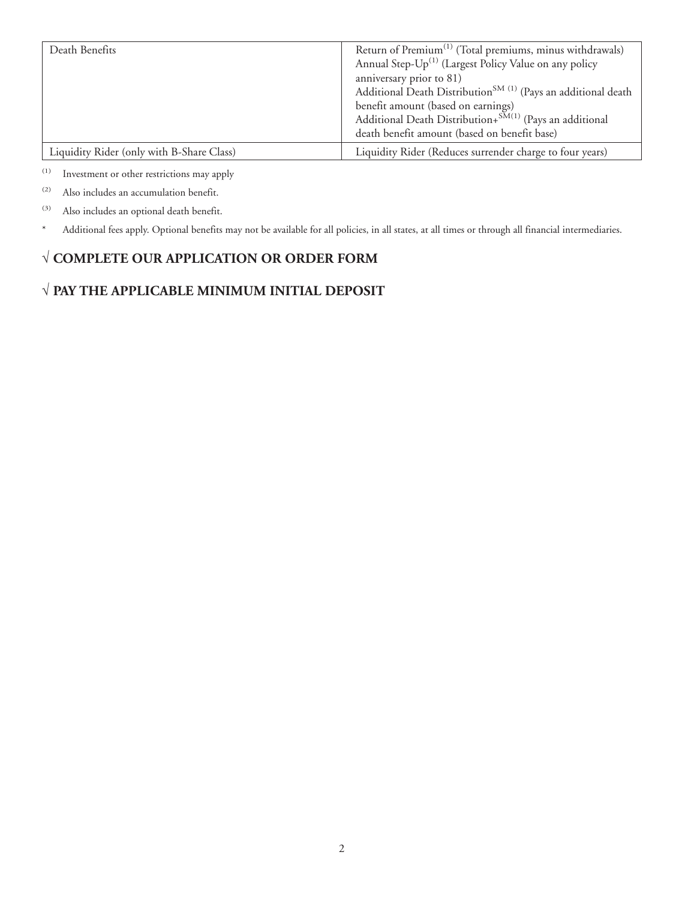| Death Benefits                            | Return of Premium <sup>(1)</sup> (Total premiums, minus withdrawals)      |
|-------------------------------------------|---------------------------------------------------------------------------|
|                                           | Annual Step-Up <sup>(1)</sup> (Largest Policy Value on any policy         |
|                                           | anniversary prior to 81)                                                  |
|                                           | Additional Death Distribution <sup>SM (1)</sup> (Pays an additional death |
|                                           | benefit amount (based on earnings)                                        |
|                                           | Additional Death Distribution+SM(1) (Pays an additional                   |
|                                           | death benefit amount (based on benefit base)                              |
| Liquidity Rider (only with B-Share Class) | Liquidity Rider (Reduces surrender charge to four years)                  |

(1) Investment or other restrictions may apply

(2) Also includes an accumulation benefit.

(3) Also includes an optional death benefit.

\* Additional fees apply. Optional benefits may not be available for all policies, in all states, at all times or through all financial intermediaries.

#### √ **COMPLETE OUR APPLICATION OR ORDER FORM**

#### √ **PAY THE APPLICABLE MINIMUM INITIAL DEPOSIT**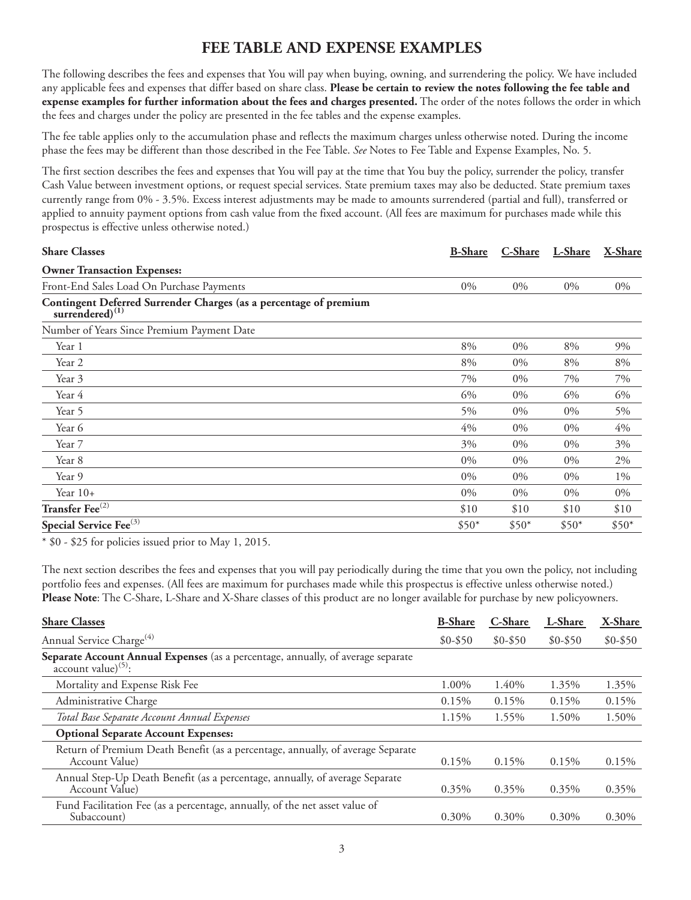#### **FEE TABLE AND EXPENSE EXAMPLES**

<span id="page-12-0"></span>The following describes the fees and expenses that You will pay when buying, owning, and surrendering the policy. We have included any applicable fees and expenses that differ based on share class. **Please be certain to review the notes following the fee table and expense examples for further information about the fees and charges presented.** The order of the notes follows the order in which the fees and charges under the policy are presented in the fee tables and the expense examples.

The fee table applies only to the accumulation phase and reflects the maximum charges unless otherwise noted. During the income phase the fees may be different than those described in the Fee Table. *See* Notes to Fee Table and Expense Examples, No. 5.

The first section describes the fees and expenses that You will pay at the time that You buy the policy, surrender the policy, transfer Cash Value between investment options, or request special services. State premium taxes may also be deducted. State premium taxes currently range from 0% - 3.5%. Excess interest adjustments may be made to amounts surrendered (partial and full), transferred or applied to annuity payment options from cash value from the fixed account. (All fees are maximum for purchases made while this prospectus is effective unless otherwise noted.)

| <b>Share Classes</b>                                                                   | <b>B-Share</b> | C-Share | L-Share | X-Share |
|----------------------------------------------------------------------------------------|----------------|---------|---------|---------|
| <b>Owner Transaction Expenses:</b>                                                     |                |         |         |         |
| Front-End Sales Load On Purchase Payments                                              | $0\%$          | $0\%$   | $0\%$   | $0\%$   |
| Contingent Deferred Surrender Charges (as a percentage of premium<br>surrendered $(1)$ |                |         |         |         |
| Number of Years Since Premium Payment Date                                             |                |         |         |         |
| Year 1                                                                                 | 8%             | $0\%$   | 8%      | 9%      |
| Year 2                                                                                 | 8%             | 0%      | 8%      | 8%      |
| Year 3                                                                                 | 7%             | $0\%$   | 7%      | 7%      |
| Year 4                                                                                 | 6%             | $0\%$   | 6%      | 6%      |
| Year 5                                                                                 | 5%             | $0\%$   | $0\%$   | 5%      |
| Year 6                                                                                 | 4%             | $0\%$   | $0\%$   | 4%      |
| Year 7                                                                                 | 3%             | $0\%$   | $0\%$   | 3%      |
| Year 8                                                                                 | $0\%$          | $0\%$   | $0\%$   | 2%      |
| Year 9                                                                                 | $0\%$          | $0\%$   | $0\%$   | $1\%$   |
| Year $10+$                                                                             | $0\%$          | $0\%$   | $0\%$   | $0\%$   |
| Transfer Fee <sup>(2)</sup>                                                            | \$10           | \$10    | \$10    | \$10    |
| Special Service Fee <sup>(3)</sup>                                                     | $$50*$         | $$50*$  | $$50*$  | $$50*$  |

\* \$0 - \$25 for policies issued prior to May 1, 2015.

The next section describes the fees and expenses that you will pay periodically during the time that you own the policy, not including portfolio fees and expenses. (All fees are maximum for purchases made while this prospectus is effective unless otherwise noted.) **Please Note**: The C-Share, L-Share and X-Share classes of this product are no longer available for purchase by new policyowners.

| <b>Share Classes</b>                                                                                                          | <b>B-Share</b> | C-Share    | L-Share  | X-Share    |
|-------------------------------------------------------------------------------------------------------------------------------|----------------|------------|----------|------------|
| Annual Service Charge <sup>(4)</sup>                                                                                          | $$0 - $50$     | $$0 - $50$ | $$0-$50$ | $$0 - $50$ |
| Separate Account Annual Expenses (as a percentage, annually, of average separate<br>$\arccos$ account value) <sup>(5)</sup> : |                |            |          |            |
| Mortality and Expense Risk Fee                                                                                                | 1.00%          | 1.40%      | 1.35%    | 1.35%      |
| Administrative Charge                                                                                                         | 0.15%          | 0.15%      | 0.15%    | 0.15%      |
| Total Base Separate Account Annual Expenses                                                                                   | 1.15%          | 1.55%      | 1.50%    | 1.50%      |
| <b>Optional Separate Account Expenses:</b>                                                                                    |                |            |          |            |
| Return of Premium Death Benefit (as a percentage, annually, of average Separate<br>Account Value)                             | 0.15%          | 0.15%      | 0.15%    | 0.15%      |
| Annual Step-Up Death Benefit (as a percentage, annually, of average Separate<br>Account Value)                                | 0.35%          | 0.35%      | 0.35%    | 0.35%      |
| Fund Facilitation Fee (as a percentage, annually, of the net asset value of<br>Subaccount)                                    | $0.30\%$       | $0.30\%$   | $0.30\%$ | $0.30\%$   |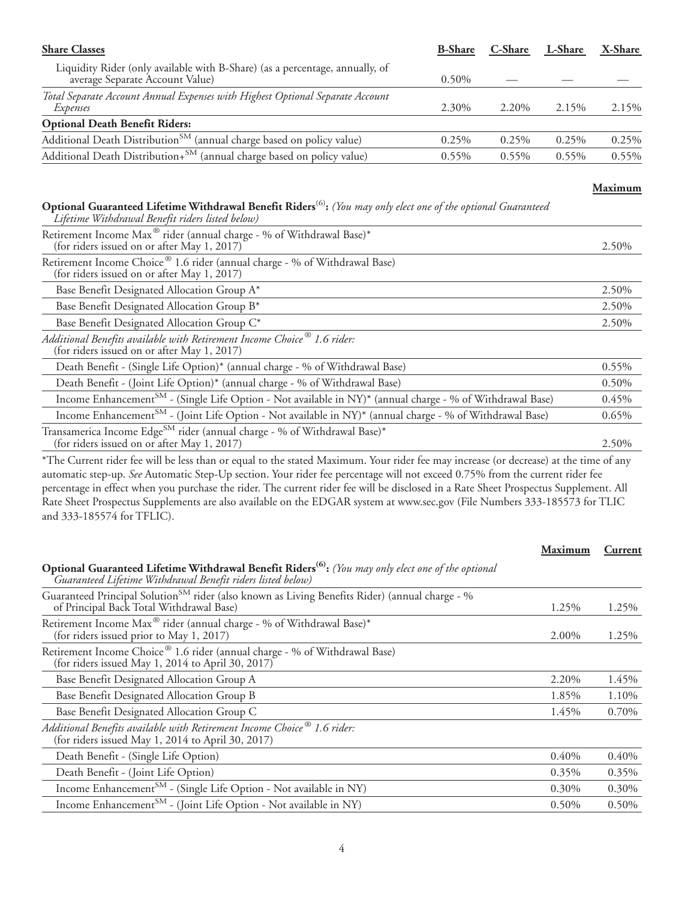| <b>Share Classes</b>                                                                                            | <b>B-Share</b> | C-Share  | L-Share  | X-Share |
|-----------------------------------------------------------------------------------------------------------------|----------------|----------|----------|---------|
| Liquidity Rider (only available with B-Share) (as a percentage, annually, of<br>average Separate Account Value) | $0.50\%$       |          |          |         |
| Total Separate Account Annual Expenses with Highest Optional Separate Account<br>Expenses                       | 2.30%          | 2.20%    | 2.15%    | 2.15%   |
| <b>Optional Death Benefit Riders:</b>                                                                           |                |          |          |         |
| Additional Death Distribution <sup>SM</sup> (annual charge based on policy value)                               | $0.25\%$       | 0.25%    | 0.25%    | 0.25%   |
| Additional Death Distribution+ <sup>SM</sup> (annual charge based on policy value)                              | $0.55\%$       | $0.55\%$ | $0.55\%$ | 0.55%   |
|                                                                                                                 |                |          |          |         |

#### **Maximum**

#### **Optional Guaranteed Lifetime Withdrawal Benefit Riders**(6)**:** *(You may only elect one of the optional Guaranteed Lifetime Withdrawal Benefit riders listed below)*

| Retirement Income Max <sup>®</sup> rider (annual charge - % of Withdrawal Base)*<br>(for riders issued on or after May 1, 2017)     | 2.50% |
|-------------------------------------------------------------------------------------------------------------------------------------|-------|
| Retirement Income Choice® 1.6 rider (annual charge - % of Withdrawal Base)<br>(for riders issued on or after May 1, 2017)           |       |
| Base Benefit Designated Allocation Group A*                                                                                         | 2.50% |
| Base Benefit Designated Allocation Group B*                                                                                         | 2.50% |
| Base Benefit Designated Allocation Group C*                                                                                         | 2.50% |
| Additional Benefits available with Retirement Income Choice <sup>®</sup> 1.6 rider:<br>(for riders issued on or after May 1, 2017)  |       |
| Death Benefit - (Single Life Option)* (annual charge - % of Withdrawal Base)                                                        | 0.55% |
| Death Benefit - (Joint Life Option)* (annual charge - % of Withdrawal Base)                                                         | 0.50% |
| Income Enhancement <sup>SM</sup> - (Single Life Option - Not available in NY)* (annual charge - % of Withdrawal Base)               | 0.45% |
| Income Enhancement <sup>SM</sup> - (Joint Life Option - Not available in NY)* (annual charge - % of Withdrawal Base)                | 0.65% |
| Transamerica Income Edge <sup>SM</sup> rider (annual charge - % of Withdrawal Base)*<br>(for riders issued on or after May 1, 2017) | 2.50% |

\*The Current rider fee will be less than or equal to the stated Maximum. Your rider fee may increase (or decrease) at the time of any automatic step-up. *See* Automatic Step-Up section. Your rider fee percentage will not exceed 0.75% from the current rider fee percentage in effect when you purchase the rider. The current rider fee will be disclosed in a Rate Sheet Prospectus Supplement. All Rate Sheet Prospectus Supplements are also available on the EDGAR system at www.sec.gov (File Numbers 333-185573 for TLIC and 333-185574 for TFLIC).

| Maximum  | Current  |
|----------|----------|
|          |          |
| 1.25%    | 1.25%    |
| 2.00%    | 1.25%    |
|          |          |
| 2.20%    | 1.45%    |
| 1.85%    | 1.10%    |
| 1.45%    | 0.70%    |
|          |          |
| 0.40%    | $0.40\%$ |
| 0.35%    | $0.35\%$ |
| $0.30\%$ | 0.30%    |
| $0.50\%$ | 0.50%    |
|          |          |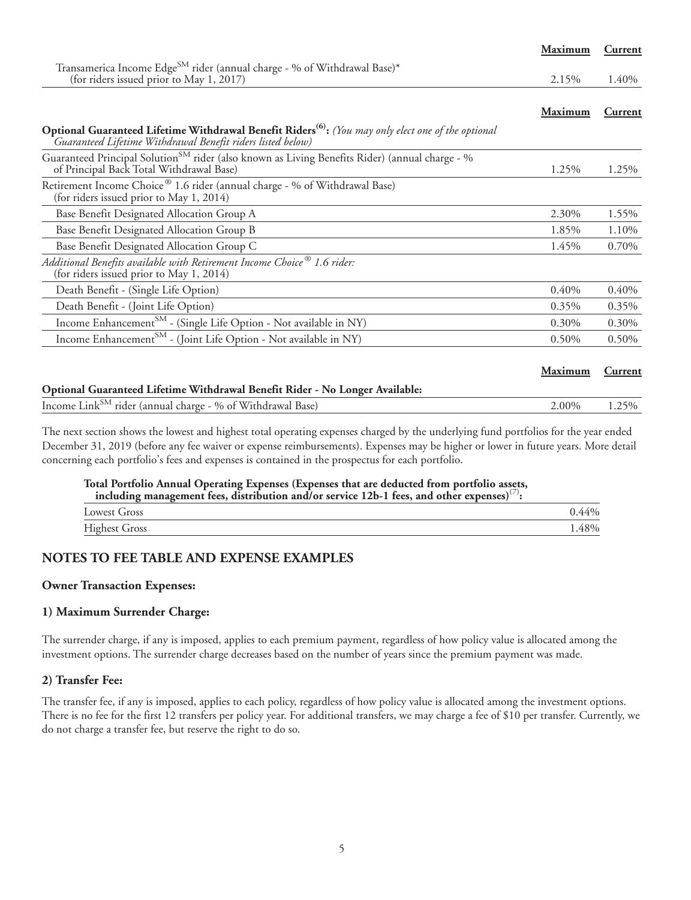|                                                                                                                                                                                | Maximum  | Current        |
|--------------------------------------------------------------------------------------------------------------------------------------------------------------------------------|----------|----------------|
| Transamerica Income Edge <sup>SM</sup> rider (annual charge - % of Withdrawal Base)*                                                                                           |          |                |
| (for riders issued prior to May 1, 2017)                                                                                                                                       | 2.15%    | 1.40%          |
|                                                                                                                                                                                | Maximum  | Current        |
| Optional Guaranteed Lifetime Withdrawal Benefit Riders <sup>(6)</sup> : (You may only elect one of the optional<br>Guaranteed Lifetime Withdrawal Benefit riders listed below) |          |                |
| Guaranteed Principal Solution <sup>SM</sup> rider (also known as Living Benefits Rider) (annual charge - %<br>of Principal Back Total Withdrawal Base)                         | 1.25%    | 1.25%          |
| Retirement Income Choice® 1.6 rider (annual charge - % of Withdrawal Base)<br>(for riders issued prior to May 1, 2014)                                                         |          |                |
| Base Benefit Designated Allocation Group A                                                                                                                                     | 2.30%    | 1.55%          |
| Base Benefit Designated Allocation Group B                                                                                                                                     | 1.85%    | 1.10%          |
| Base Benefit Designated Allocation Group C                                                                                                                                     | 1.45%    | 0.70%          |
| Additional Benefits available with Retirement Income Choice <sup>®</sup> 1.6 rider:<br>(for riders issued prior to May 1, 2014)                                                |          |                |
| Death Benefit - (Single Life Option)                                                                                                                                           | 0.40%    | 0.40%          |
| Death Benefit - (Joint Life Option)                                                                                                                                            | 0.35%    | 0.35%          |
| Income Enhancement <sup>SM</sup> - (Single Life Option - Not available in NY)                                                                                                  | $0.30\%$ | 0.30%          |
| Income Enhancement <sup>SM</sup> - (Joint Life Option - Not available in NY)                                                                                                   | 0.50%    | 0.50%          |
|                                                                                                                                                                                | Maximum  | <b>Current</b> |
| Optional Guaranteed Lifetime Withdrawal Benefit Rider - No Longer Available:                                                                                                   |          |                |
| Income Link <sup>SM</sup> rider (annual charge - % of Withdrawal Base)                                                                                                         | $2.00\%$ | $1.25\%$       |

|  | $\mu$ and $\mu$ and $\mu$ and $\mu$ and $\mu$ and $\mu$ and $\mu$ and $\mu$ and $\mu$ and $\mu$                                     | $2.0070 - 1.2770$ |  |
|--|-------------------------------------------------------------------------------------------------------------------------------------|-------------------|--|
|  |                                                                                                                                     |                   |  |
|  |                                                                                                                                     |                   |  |
|  | The next section shows the lowest and highest total operating expenses charged by the underlying fund portfolios for the year ended |                   |  |

December 31, 2019 (before any fee waiver or expense reimbursements). Expenses may be higher or lower in future years. More detail concerning each portfolio's fees and expenses is contained in the prospectus for each portfolio.

## **Total Portfolio Annual Operating Expenses (Expenses that are deducted from portfolio assets, including management fees, distribution and/or service 12b-1 fees, and other expenses)**(7)**:**

| including management rees, distribution and/or service $12p-1$ rees, and other expenses |          |
|-----------------------------------------------------------------------------------------|----------|
| Lowest Gross                                                                            | $0.44\%$ |

| -- |  |
|----|--|
|    |  |

#### **NOTES TO FEE TABLE AND EXPENSE EXAMPLES**

#### **Owner Transaction Expenses:**

#### **1) Maximum Surrender Charge:**

The surrender charge, if any is imposed, applies to each premium payment, regardless of how policy value is allocated among the investment options. The surrender charge decreases based on the number of years since the premium payment was made.

#### **2) Transfer Fee:**

The transfer fee, if any is imposed, applies to each policy, regardless of how policy value is allocated among the investment options. There is no fee for the first 12 transfers per policy year. For additional transfers, we may charge a fee of \$10 per transfer. Currently, we do not charge a transfer fee, but reserve the right to do so.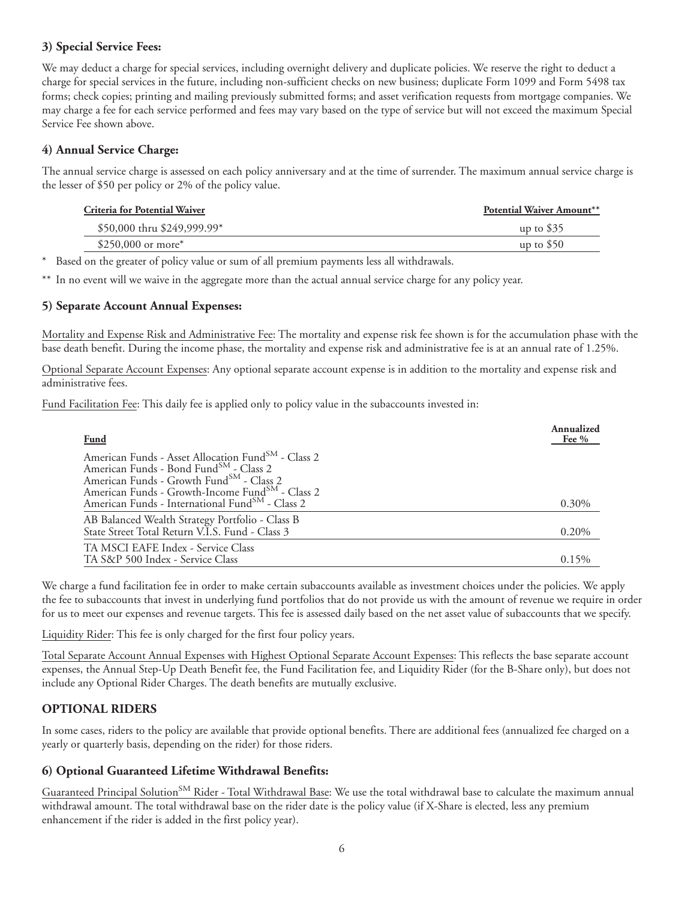#### **3) Special Service Fees:**

We may deduct a charge for special services, including overnight delivery and duplicate policies. We reserve the right to deduct a charge for special services in the future, including non-sufficient checks on new business; duplicate Form 1099 and Form 5498 tax forms; check copies; printing and mailing previously submitted forms; and asset verification requests from mortgage companies. We may charge a fee for each service performed and fees may vary based on the type of service but will not exceed the maximum Special Service Fee shown above.

#### **4) Annual Service Charge:**

The annual service charge is assessed on each policy anniversary and at the time of surrender. The maximum annual service charge is the lesser of \$50 per policy or 2% of the policy value.

| <b>Potential Waiver Amount**</b> |
|----------------------------------|
| up to $$35$                      |
| up to $$50$                      |
|                                  |

\* Based on the greater of policy value or sum of all premium payments less all withdrawals.

\*\* In no event will we waive in the aggregate more than the actual annual service charge for any policy year.

#### **5) Separate Account Annual Expenses:**

Mortality and Expense Risk and Administrative Fee: The mortality and expense risk fee shown is for the accumulation phase with the base death benefit. During the income phase, the mortality and expense risk and administrative fee is at an annual rate of 1.25%.

Optional Separate Account Expenses: Any optional separate account expense is in addition to the mortality and expense risk and administrative fees.

Fund Facilitation Fee: This daily fee is applied only to policy value in the subaccounts invested in:

| <b>Fund</b>                                                                                                                                                                                                                                                                                    | Annualized<br>Fee $%$ |
|------------------------------------------------------------------------------------------------------------------------------------------------------------------------------------------------------------------------------------------------------------------------------------------------|-----------------------|
| American Funds - Asset Allocation Fund <sup>SM</sup> - Class 2<br>American Funds - Bond FundSM - Class 2<br>American Funds - Growth Fund <sup>SM</sup> - Class 2<br>American Funds - Growth-Income Fund <sup>SM</sup> - Class 2<br>American Funds - International Fund <sup>SM</sup> - Class 2 | $0.30\%$              |
| AB Balanced Wealth Strategy Portfolio - Class B<br>State Street Total Return V.I.S. Fund - Class 3                                                                                                                                                                                             | 0.20%                 |
| TA MSCI EAFE Index - Service Class<br>TA S&P 500 Index - Service Class                                                                                                                                                                                                                         | 0.15%                 |

We charge a fund facilitation fee in order to make certain subaccounts available as investment choices under the policies. We apply the fee to subaccounts that invest in underlying fund portfolios that do not provide us with the amount of revenue we require in order for us to meet our expenses and revenue targets. This fee is assessed daily based on the net asset value of subaccounts that we specify.

Liquidity Rider: This fee is only charged for the first four policy years.

Total Separate Account Annual Expenses with Highest Optional Separate Account Expenses: This reflects the base separate account expenses, the Annual Step-Up Death Benefit fee, the Fund Facilitation fee, and Liquidity Rider (for the B-Share only), but does not include any Optional Rider Charges. The death benefits are mutually exclusive.

#### **OPTIONAL RIDERS**

In some cases, riders to the policy are available that provide optional benefits. There are additional fees (annualized fee charged on a yearly or quarterly basis, depending on the rider) for those riders.

#### **6) Optional Guaranteed Lifetime Withdrawal Benefits:**

Guaranteed Principal Solution<sup>SM</sup> Rider - Total Withdrawal Base: We use the total withdrawal base to calculate the maximum annual withdrawal amount. The total withdrawal base on the rider date is the policy value (if X-Share is elected, less any premium enhancement if the rider is added in the first policy year).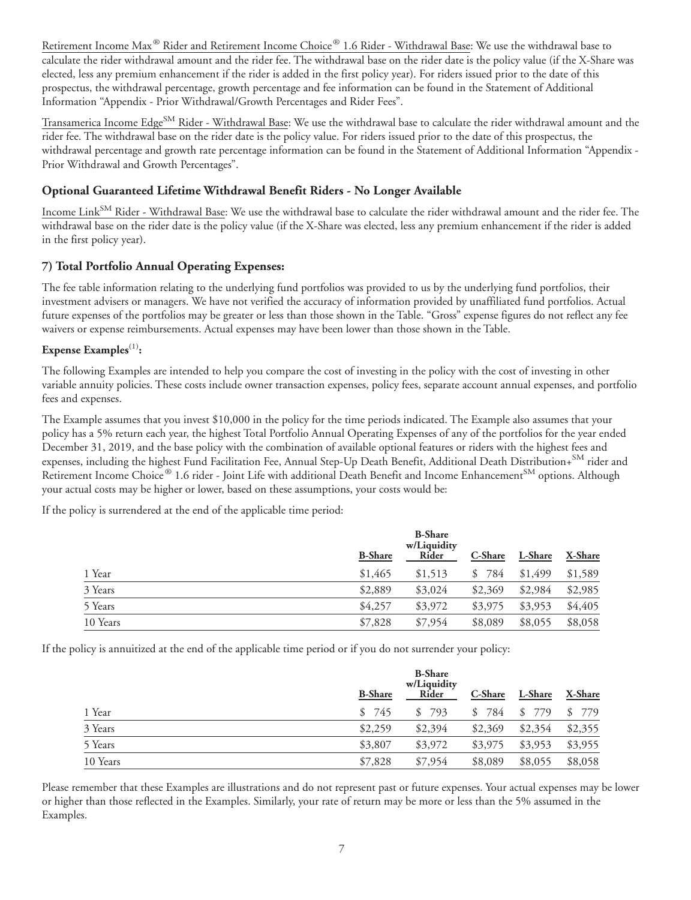Retirement Income Max® Rider and Retirement Income Choice® 1.6 Rider - Withdrawal Base: We use the withdrawal base to calculate the rider withdrawal amount and the rider fee. The withdrawal base on the rider date is the policy value (if the X-Share was elected, less any premium enhancement if the rider is added in the first policy year). For riders issued prior to the date of this prospectus, the withdrawal percentage, growth percentage and fee information can be found in the Statement of Additional Information "Appendix - Prior Withdrawal/Growth Percentages and Rider Fees".

Transamerica Income Edge<sup>SM</sup> Rider - Withdrawal Base: We use the withdrawal base to calculate the rider withdrawal amount and the rider fee. The withdrawal base on the rider date is the policy value. For riders issued prior to the date of this prospectus, the withdrawal percentage and growth rate percentage information can be found in the Statement of Additional Information "Appendix - Prior Withdrawal and Growth Percentages".

#### **Optional Guaranteed Lifetime Withdrawal Benefit Riders - No Longer Available**

Income Link<sup>SM</sup> Rider - Withdrawal Base: We use the withdrawal base to calculate the rider withdrawal amount and the rider fee. The withdrawal base on the rider date is the policy value (if the X-Share was elected, less any premium enhancement if the rider is added in the first policy year).

#### **7) Total Portfolio Annual Operating Expenses:**

The fee table information relating to the underlying fund portfolios was provided to us by the underlying fund portfolios, their investment advisers or managers. We have not verified the accuracy of information provided by unaffiliated fund portfolios. Actual future expenses of the portfolios may be greater or less than those shown in the Table. "Gross" expense figures do not reflect any fee waivers or expense reimbursements. Actual expenses may have been lower than those shown in the Table.

#### Expense Examples<sup>(1)</sup>:

The following Examples are intended to help you compare the cost of investing in the policy with the cost of investing in other variable annuity policies. These costs include owner transaction expenses, policy fees, separate account annual expenses, and portfolio fees and expenses.

The Example assumes that you invest \$10,000 in the policy for the time periods indicated. The Example also assumes that your policy has a 5% return each year, the highest Total Portfolio Annual Operating Expenses of any of the portfolios for the year ended December 31, 2019, and the base policy with the combination of available optional features or riders with the highest fees and expenses, including the highest Fund Facilitation Fee, Annual Step-Up Death Benefit, Additional Death Distribution+SM rider and Retirement Income Choice® 1.6 rider - Joint Life with additional Death Benefit and Income Enhancement<sup>SM</sup> options. Although your actual costs may be higher or lower, based on these assumptions, your costs would be:

If the policy is surrendered at the end of the applicable time period:

|          | <b>B-Share</b> | <b>B-Share</b><br>w/Liquidity<br>Rider | C-Share   | L-Share | X-Share |
|----------|----------------|----------------------------------------|-----------|---------|---------|
| 1 Year   | \$1,465        | \$1,513                                | 784<br>\$ | \$1,499 | \$1,589 |
| 3 Years  | \$2,889        | \$3,024                                | \$2,369   | \$2,984 | \$2,985 |
| 5 Years  | \$4,257        | \$3,972                                | \$3,975   | \$3,953 | \$4,405 |
| 10 Years | \$7,828        | \$7,954                                | \$8,089   | \$8,055 | \$8,058 |

If the policy is annuitized at the end of the applicable time period or if you do not surrender your policy:

|          | <b>B-Share</b> | <b>B-Share</b><br>w/Liquidity<br>Rider | C-Share   | L-Share | X-Share |
|----------|----------------|----------------------------------------|-----------|---------|---------|
| 1 Year   | \$745          | \$793                                  | 784<br>\$ | \$779   | \$779   |
| 3 Years  | \$2,259        | \$2,394                                | \$2,369   | \$2,354 | \$2,355 |
| 5 Years  | \$3,807        | \$3,972                                | \$3,975   | \$3,953 | \$3,955 |
| 10 Years | \$7,828        | \$7,954                                | \$8,089   | \$8,055 | \$8,058 |

Please remember that these Examples are illustrations and do not represent past or future expenses. Your actual expenses may be lower or higher than those reflected in the Examples. Similarly, your rate of return may be more or less than the 5% assumed in the Examples.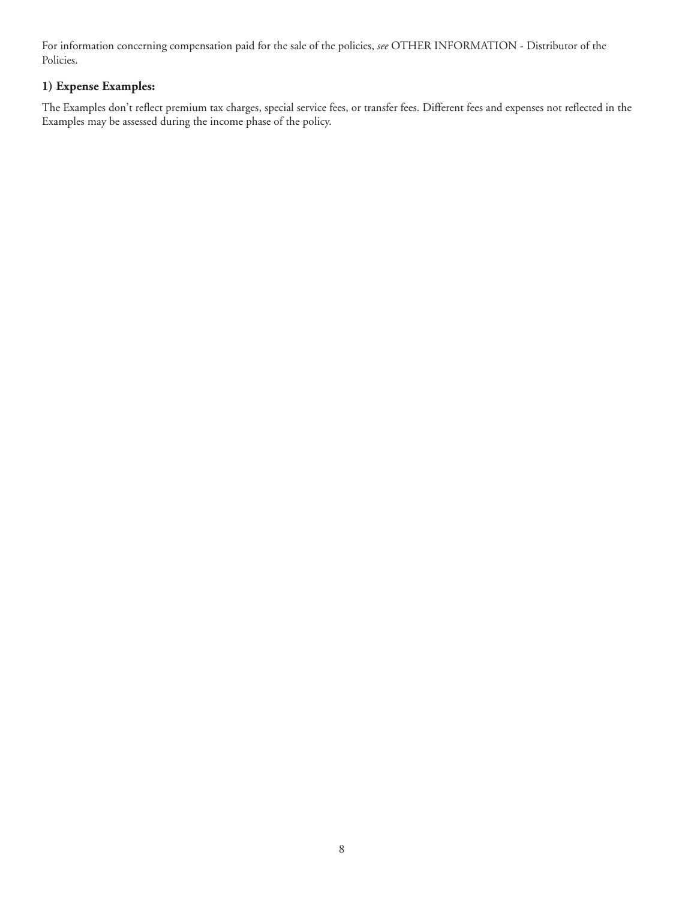For information concerning compensation paid for the sale of the policies, *see* OTHER INFORMATION - Distributor of the Policies.

#### **1) Expense Examples:**

The Examples don't reflect premium tax charges, special service fees, or transfer fees. Different fees and expenses not reflected in the Examples may be assessed during the income phase of the policy.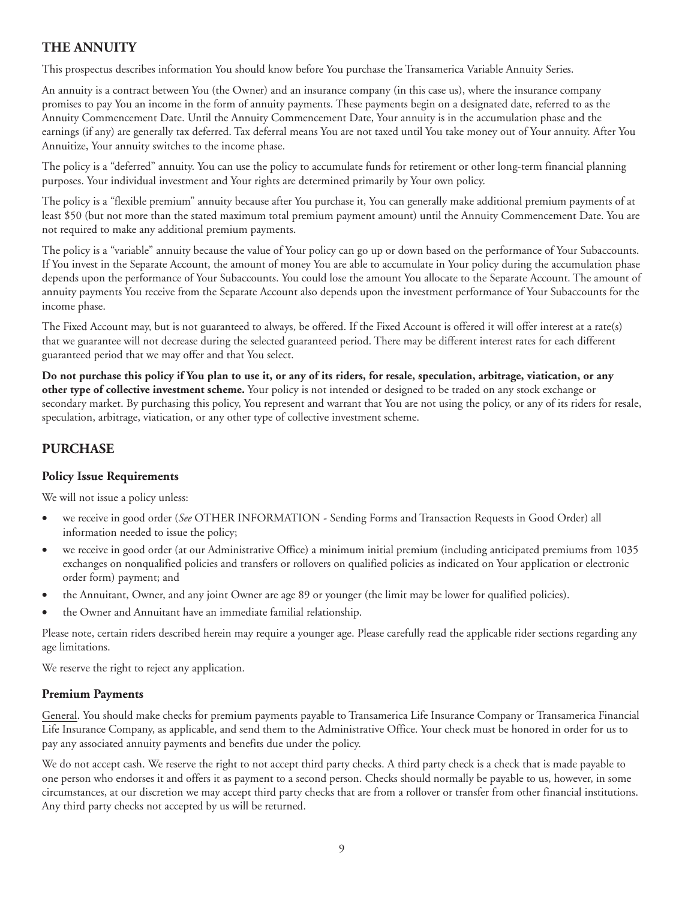#### <span id="page-18-0"></span>**THE ANNUITY**

This prospectus describes information You should know before You purchase the Transamerica Variable Annuity Series.

An annuity is a contract between You (the Owner) and an insurance company (in this case us), where the insurance company promises to pay You an income in the form of annuity payments. These payments begin on a designated date, referred to as the Annuity Commencement Date. Until the Annuity Commencement Date, Your annuity is in the accumulation phase and the earnings (if any) are generally tax deferred. Tax deferral means You are not taxed until You take money out of Your annuity. After You Annuitize, Your annuity switches to the income phase.

The policy is a "deferred" annuity. You can use the policy to accumulate funds for retirement or other long-term financial planning purposes. Your individual investment and Your rights are determined primarily by Your own policy.

The policy is a "flexible premium" annuity because after You purchase it, You can generally make additional premium payments of at least \$50 (but not more than the stated maximum total premium payment amount) until the Annuity Commencement Date. You are not required to make any additional premium payments.

The policy is a "variable" annuity because the value of Your policy can go up or down based on the performance of Your Subaccounts. If You invest in the Separate Account, the amount of money You are able to accumulate in Your policy during the accumulation phase depends upon the performance of Your Subaccounts. You could lose the amount You allocate to the Separate Account. The amount of annuity payments You receive from the Separate Account also depends upon the investment performance of Your Subaccounts for the income phase.

The Fixed Account may, but is not guaranteed to always, be offered. If the Fixed Account is offered it will offer interest at a rate(s) that we guarantee will not decrease during the selected guaranteed period. There may be different interest rates for each different guaranteed period that we may offer and that You select.

**Do not purchase this policy if You plan to use it, or any of its riders, for resale, speculation, arbitrage, viatication, or any other type of collective investment scheme.** Your policy is not intended or designed to be traded on any stock exchange or secondary market. By purchasing this policy, You represent and warrant that You are not using the policy, or any of its riders for resale, speculation, arbitrage, viatication, or any other type of collective investment scheme.

#### **PURCHASE**

#### **Policy Issue Requirements**

We will not issue a policy unless:

- we receive in good order (*See* OTHER INFORMATION Sending Forms and Transaction Requests in Good Order) all information needed to issue the policy;
- we receive in good order (at our Administrative Office) a minimum initial premium (including anticipated premiums from 1035 exchanges on nonqualified policies and transfers or rollovers on qualified policies as indicated on Your application or electronic order form) payment; and
- the Annuitant, Owner, and any joint Owner are age 89 or younger (the limit may be lower for qualified policies).
- the Owner and Annuitant have an immediate familial relationship.

Please note, certain riders described herein may require a younger age. Please carefully read the applicable rider sections regarding any age limitations.

We reserve the right to reject any application.

#### **Premium Payments**

General. You should make checks for premium payments payable to Transamerica Life Insurance Company or Transamerica Financial Life Insurance Company, as applicable, and send them to the Administrative Office. Your check must be honored in order for us to pay any associated annuity payments and benefits due under the policy.

We do not accept cash. We reserve the right to not accept third party checks. A third party check is a check that is made payable to one person who endorses it and offers it as payment to a second person. Checks should normally be payable to us, however, in some circumstances, at our discretion we may accept third party checks that are from a rollover or transfer from other financial institutions. Any third party checks not accepted by us will be returned.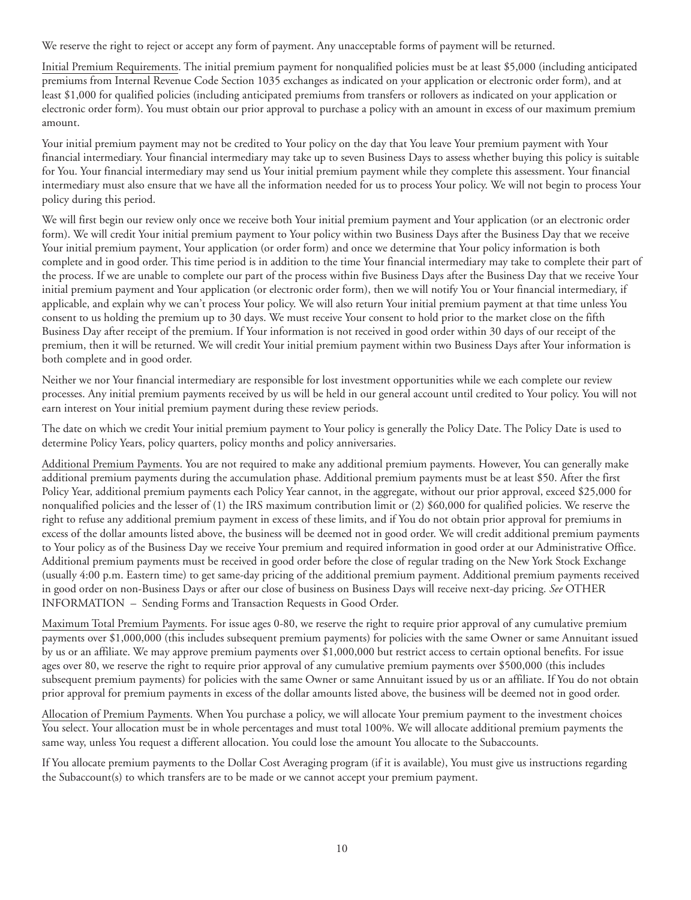We reserve the right to reject or accept any form of payment. Any unacceptable forms of payment will be returned.

Initial Premium Requirements. The initial premium payment for nonqualified policies must be at least \$5,000 (including anticipated premiums from Internal Revenue Code Section 1035 exchanges as indicated on your application or electronic order form), and at least \$1,000 for qualified policies (including anticipated premiums from transfers or rollovers as indicated on your application or electronic order form). You must obtain our prior approval to purchase a policy with an amount in excess of our maximum premium amount.

Your initial premium payment may not be credited to Your policy on the day that You leave Your premium payment with Your financial intermediary. Your financial intermediary may take up to seven Business Days to assess whether buying this policy is suitable for You. Your financial intermediary may send us Your initial premium payment while they complete this assessment. Your financial intermediary must also ensure that we have all the information needed for us to process Your policy. We will not begin to process Your policy during this period.

We will first begin our review only once we receive both Your initial premium payment and Your application (or an electronic order form). We will credit Your initial premium payment to Your policy within two Business Days after the Business Day that we receive Your initial premium payment, Your application (or order form) and once we determine that Your policy information is both complete and in good order. This time period is in addition to the time Your financial intermediary may take to complete their part of the process. If we are unable to complete our part of the process within five Business Days after the Business Day that we receive Your initial premium payment and Your application (or electronic order form), then we will notify You or Your financial intermediary, if applicable, and explain why we can't process Your policy. We will also return Your initial premium payment at that time unless You consent to us holding the premium up to 30 days. We must receive Your consent to hold prior to the market close on the fifth Business Day after receipt of the premium. If Your information is not received in good order within 30 days of our receipt of the premium, then it will be returned. We will credit Your initial premium payment within two Business Days after Your information is both complete and in good order.

Neither we nor Your financial intermediary are responsible for lost investment opportunities while we each complete our review processes. Any initial premium payments received by us will be held in our general account until credited to Your policy. You will not earn interest on Your initial premium payment during these review periods.

The date on which we credit Your initial premium payment to Your policy is generally the Policy Date. The Policy Date is used to determine Policy Years, policy quarters, policy months and policy anniversaries.

Additional Premium Payments. You are not required to make any additional premium payments. However, You can generally make additional premium payments during the accumulation phase. Additional premium payments must be at least \$50. After the first Policy Year, additional premium payments each Policy Year cannot, in the aggregate, without our prior approval, exceed \$25,000 for nonqualified policies and the lesser of (1) the IRS maximum contribution limit or (2) \$60,000 for qualified policies. We reserve the right to refuse any additional premium payment in excess of these limits, and if You do not obtain prior approval for premiums in excess of the dollar amounts listed above, the business will be deemed not in good order. We will credit additional premium payments to Your policy as of the Business Day we receive Your premium and required information in good order at our Administrative Office. Additional premium payments must be received in good order before the close of regular trading on the New York Stock Exchange (usually 4:00 p.m. Eastern time) to get same-day pricing of the additional premium payment. Additional premium payments received in good order on non-Business Days or after our close of business on Business Days will receive next-day pricing. *See* OTHER INFORMATION – Sending Forms and Transaction Requests in Good Order.

Maximum Total Premium Payments. For issue ages 0-80, we reserve the right to require prior approval of any cumulative premium payments over \$1,000,000 (this includes subsequent premium payments) for policies with the same Owner or same Annuitant issued by us or an affiliate. We may approve premium payments over \$1,000,000 but restrict access to certain optional benefits. For issue ages over 80, we reserve the right to require prior approval of any cumulative premium payments over \$500,000 (this includes subsequent premium payments) for policies with the same Owner or same Annuitant issued by us or an affiliate. If You do not obtain prior approval for premium payments in excess of the dollar amounts listed above, the business will be deemed not in good order.

Allocation of Premium Payments. When You purchase a policy, we will allocate Your premium payment to the investment choices You select. Your allocation must be in whole percentages and must total 100%. We will allocate additional premium payments the same way, unless You request a different allocation. You could lose the amount You allocate to the Subaccounts.

If You allocate premium payments to the Dollar Cost Averaging program (if it is available), You must give us instructions regarding the Subaccount(s) to which transfers are to be made or we cannot accept your premium payment.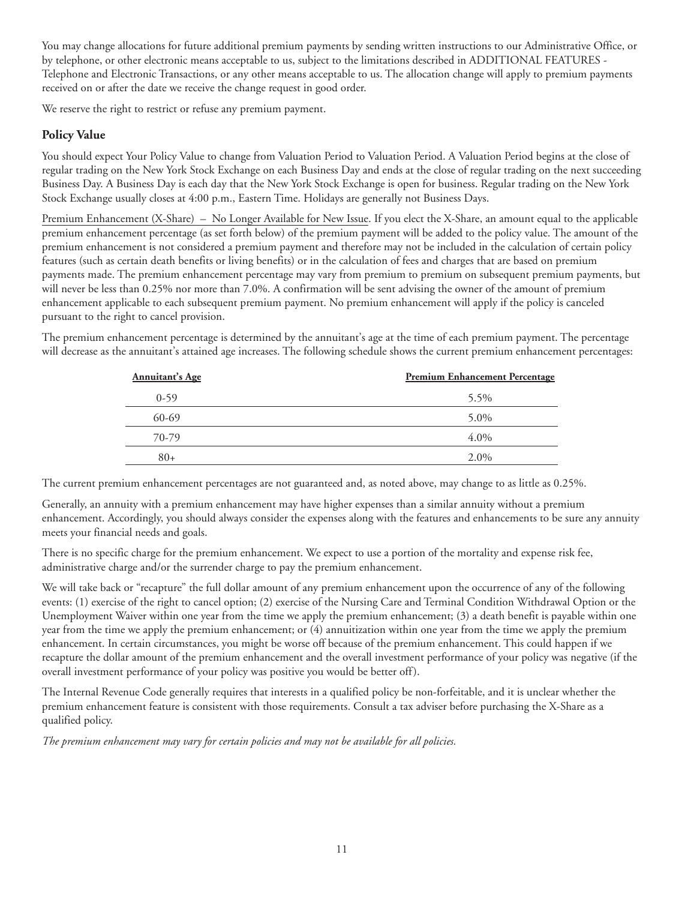<span id="page-20-0"></span>You may change allocations for future additional premium payments by sending written instructions to our Administrative Office, or by telephone, or other electronic means acceptable to us, subject to the limitations described in ADDITIONAL FEATURES - Telephone and Electronic Transactions, or any other means acceptable to us. The allocation change will apply to premium payments received on or after the date we receive the change request in good order.

We reserve the right to restrict or refuse any premium payment.

#### **Policy Value**

You should expect Your Policy Value to change from Valuation Period to Valuation Period. A Valuation Period begins at the close of regular trading on the New York Stock Exchange on each Business Day and ends at the close of regular trading on the next succeeding Business Day. A Business Day is each day that the New York Stock Exchange is open for business. Regular trading on the New York Stock Exchange usually closes at 4:00 p.m., Eastern Time. Holidays are generally not Business Days.

Premium Enhancement (X-Share) – No Longer Available for New Issue. If you elect the X-Share, an amount equal to the applicable premium enhancement percentage (as set forth below) of the premium payment will be added to the policy value. The amount of the premium enhancement is not considered a premium payment and therefore may not be included in the calculation of certain policy features (such as certain death benefits or living benefits) or in the calculation of fees and charges that are based on premium payments made. The premium enhancement percentage may vary from premium to premium on subsequent premium payments, but will never be less than 0.25% nor more than 7.0%. A confirmation will be sent advising the owner of the amount of premium enhancement applicable to each subsequent premium payment. No premium enhancement will apply if the policy is canceled pursuant to the right to cancel provision.

The premium enhancement percentage is determined by the annuitant's age at the time of each premium payment. The percentage will decrease as the annuitant's attained age increases. The following schedule shows the current premium enhancement percentages:

| <b>Annuitant's Age</b> | <b>Premium Enhancement Percentage</b> |
|------------------------|---------------------------------------|
| $0-59$                 | 5.5%                                  |
| $60-69$                | 5.0%                                  |
| 70-79                  | $4.0\%$                               |
| $80+$                  | 2.0%                                  |

The current premium enhancement percentages are not guaranteed and, as noted above, may change to as little as 0.25%.

Generally, an annuity with a premium enhancement may have higher expenses than a similar annuity without a premium enhancement. Accordingly, you should always consider the expenses along with the features and enhancements to be sure any annuity meets your financial needs and goals.

There is no specific charge for the premium enhancement. We expect to use a portion of the mortality and expense risk fee, administrative charge and/or the surrender charge to pay the premium enhancement.

We will take back or "recapture" the full dollar amount of any premium enhancement upon the occurrence of any of the following events: (1) exercise of the right to cancel option; (2) exercise of the Nursing Care and Terminal Condition Withdrawal Option or the Unemployment Waiver within one year from the time we apply the premium enhancement; (3) a death benefit is payable within one year from the time we apply the premium enhancement; or (4) annuitization within one year from the time we apply the premium enhancement. In certain circumstances, you might be worse off because of the premium enhancement. This could happen if we recapture the dollar amount of the premium enhancement and the overall investment performance of your policy was negative (if the overall investment performance of your policy was positive you would be better off ).

The Internal Revenue Code generally requires that interests in a qualified policy be non-forfeitable, and it is unclear whether the premium enhancement feature is consistent with those requirements. Consult a tax adviser before purchasing the X-Share as a qualified policy.

*The premium enhancement may vary for certain policies and may not be available for all policies.*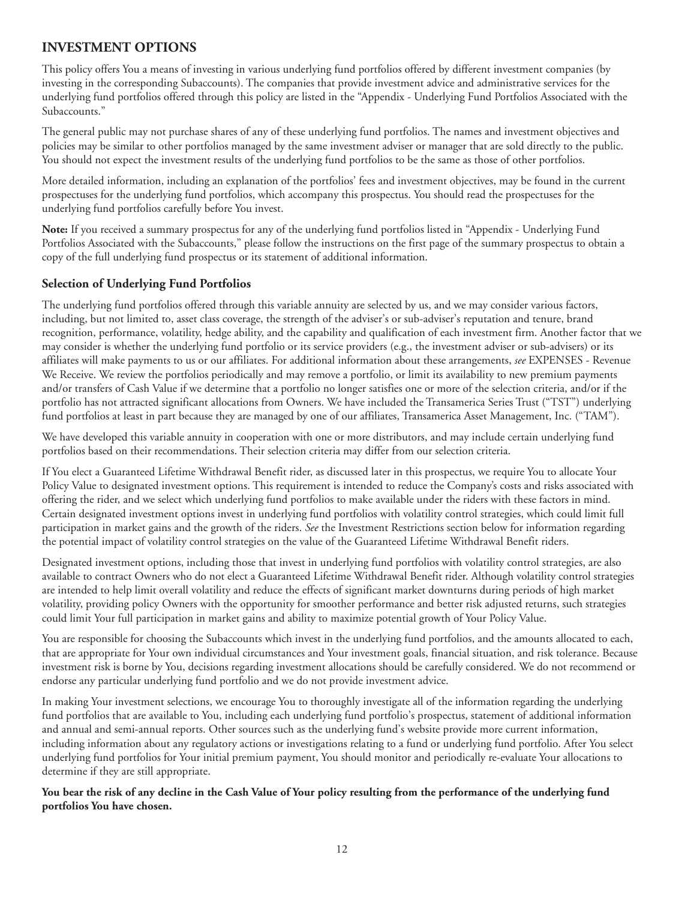#### <span id="page-21-0"></span>**INVESTMENT OPTIONS**

This policy offers You a means of investing in various underlying fund portfolios offered by different investment companies (by investing in the corresponding Subaccounts). The companies that provide investment advice and administrative services for the underlying fund portfolios offered through this policy are listed in the "Appendix - Underlying Fund Portfolios Associated with the Subaccounts."

The general public may not purchase shares of any of these underlying fund portfolios. The names and investment objectives and policies may be similar to other portfolios managed by the same investment adviser or manager that are sold directly to the public. You should not expect the investment results of the underlying fund portfolios to be the same as those of other portfolios.

More detailed information, including an explanation of the portfolios' fees and investment objectives, may be found in the current prospectuses for the underlying fund portfolios, which accompany this prospectus. You should read the prospectuses for the underlying fund portfolios carefully before You invest.

**Note:** If you received a summary prospectus for any of the underlying fund portfolios listed in "Appendix - Underlying Fund Portfolios Associated with the Subaccounts," please follow the instructions on the first page of the summary prospectus to obtain a copy of the full underlying fund prospectus or its statement of additional information.

#### **Selection of Underlying Fund Portfolios**

The underlying fund portfolios offered through this variable annuity are selected by us, and we may consider various factors, including, but not limited to, asset class coverage, the strength of the adviser's or sub-adviser's reputation and tenure, brand recognition, performance, volatility, hedge ability, and the capability and qualification of each investment firm. Another factor that we may consider is whether the underlying fund portfolio or its service providers (e.g., the investment adviser or sub-advisers) or its affiliates will make payments to us or our affiliates. For additional information about these arrangements, *see* EXPENSES - Revenue We Receive. We review the portfolios periodically and may remove a portfolio, or limit its availability to new premium payments and/or transfers of Cash Value if we determine that a portfolio no longer satisfies one or more of the selection criteria, and/or if the portfolio has not attracted significant allocations from Owners. We have included the Transamerica Series Trust ("TST") underlying fund portfolios at least in part because they are managed by one of our affiliates, Transamerica Asset Management, Inc. ("TAM").

We have developed this variable annuity in cooperation with one or more distributors, and may include certain underlying fund portfolios based on their recommendations. Their selection criteria may differ from our selection criteria.

If You elect a Guaranteed Lifetime Withdrawal Benefit rider, as discussed later in this prospectus, we require You to allocate Your Policy Value to designated investment options. This requirement is intended to reduce the Company's costs and risks associated with offering the rider, and we select which underlying fund portfolios to make available under the riders with these factors in mind. Certain designated investment options invest in underlying fund portfolios with volatility control strategies, which could limit full participation in market gains and the growth of the riders. *See* the Investment Restrictions section below for information regarding the potential impact of volatility control strategies on the value of the Guaranteed Lifetime Withdrawal Benefit riders.

Designated investment options, including those that invest in underlying fund portfolios with volatility control strategies, are also available to contract Owners who do not elect a Guaranteed Lifetime Withdrawal Benefit rider. Although volatility control strategies are intended to help limit overall volatility and reduce the effects of significant market downturns during periods of high market volatility, providing policy Owners with the opportunity for smoother performance and better risk adjusted returns, such strategies could limit Your full participation in market gains and ability to maximize potential growth of Your Policy Value.

You are responsible for choosing the Subaccounts which invest in the underlying fund portfolios, and the amounts allocated to each, that are appropriate for Your own individual circumstances and Your investment goals, financial situation, and risk tolerance. Because investment risk is borne by You, decisions regarding investment allocations should be carefully considered. We do not recommend or endorse any particular underlying fund portfolio and we do not provide investment advice.

In making Your investment selections, we encourage You to thoroughly investigate all of the information regarding the underlying fund portfolios that are available to You, including each underlying fund portfolio's prospectus, statement of additional information and annual and semi-annual reports. Other sources such as the underlying fund's website provide more current information, including information about any regulatory actions or investigations relating to a fund or underlying fund portfolio. After You select underlying fund portfolios for Your initial premium payment, You should monitor and periodically re-evaluate Your allocations to determine if they are still appropriate.

**You bear the risk of any decline in the Cash Value of Your policy resulting from the performance of the underlying fund portfolios You have chosen.**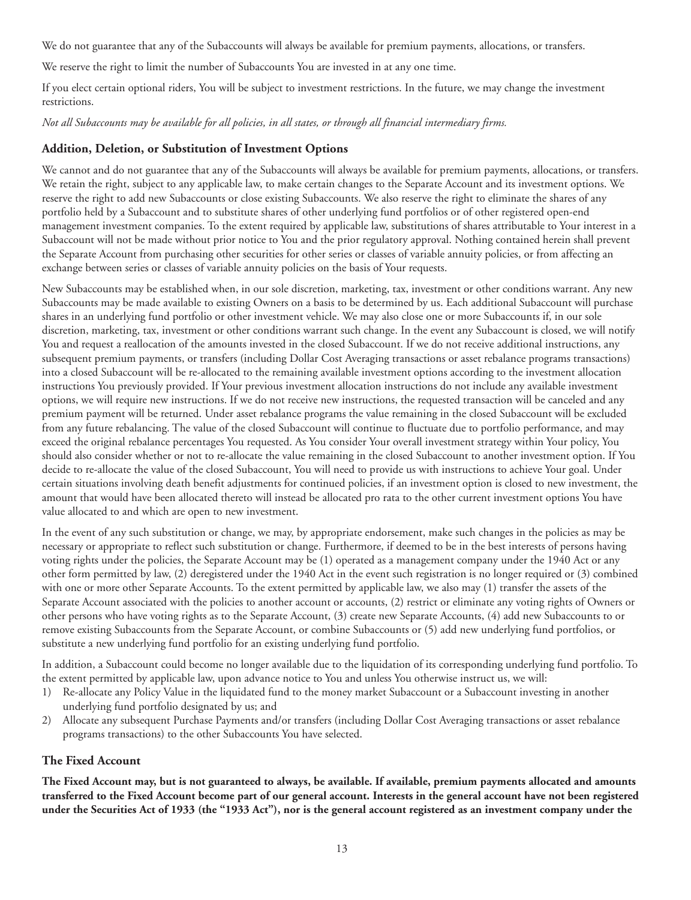<span id="page-22-0"></span>We do not guarantee that any of the Subaccounts will always be available for premium payments, allocations, or transfers.

We reserve the right to limit the number of Subaccounts You are invested in at any one time.

If you elect certain optional riders, You will be subject to investment restrictions. In the future, we may change the investment restrictions.

*Not all Subaccounts may be available for all policies, in all states, or through all financial intermediary firms.*

#### **Addition, Deletion, or Substitution of Investment Options**

We cannot and do not guarantee that any of the Subaccounts will always be available for premium payments, allocations, or transfers. We retain the right, subject to any applicable law, to make certain changes to the Separate Account and its investment options. We reserve the right to add new Subaccounts or close existing Subaccounts. We also reserve the right to eliminate the shares of any portfolio held by a Subaccount and to substitute shares of other underlying fund portfolios or of other registered open-end management investment companies. To the extent required by applicable law, substitutions of shares attributable to Your interest in a Subaccount will not be made without prior notice to You and the prior regulatory approval. Nothing contained herein shall prevent the Separate Account from purchasing other securities for other series or classes of variable annuity policies, or from affecting an exchange between series or classes of variable annuity policies on the basis of Your requests.

New Subaccounts may be established when, in our sole discretion, marketing, tax, investment or other conditions warrant. Any new Subaccounts may be made available to existing Owners on a basis to be determined by us. Each additional Subaccount will purchase shares in an underlying fund portfolio or other investment vehicle. We may also close one or more Subaccounts if, in our sole discretion, marketing, tax, investment or other conditions warrant such change. In the event any Subaccount is closed, we will notify You and request a reallocation of the amounts invested in the closed Subaccount. If we do not receive additional instructions, any subsequent premium payments, or transfers (including Dollar Cost Averaging transactions or asset rebalance programs transactions) into a closed Subaccount will be re-allocated to the remaining available investment options according to the investment allocation instructions You previously provided. If Your previous investment allocation instructions do not include any available investment options, we will require new instructions. If we do not receive new instructions, the requested transaction will be canceled and any premium payment will be returned. Under asset rebalance programs the value remaining in the closed Subaccount will be excluded from any future rebalancing. The value of the closed Subaccount will continue to fluctuate due to portfolio performance, and may exceed the original rebalance percentages You requested. As You consider Your overall investment strategy within Your policy, You should also consider whether or not to re-allocate the value remaining in the closed Subaccount to another investment option. If You decide to re-allocate the value of the closed Subaccount, You will need to provide us with instructions to achieve Your goal. Under certain situations involving death benefit adjustments for continued policies, if an investment option is closed to new investment, the amount that would have been allocated thereto will instead be allocated pro rata to the other current investment options You have value allocated to and which are open to new investment.

In the event of any such substitution or change, we may, by appropriate endorsement, make such changes in the policies as may be necessary or appropriate to reflect such substitution or change. Furthermore, if deemed to be in the best interests of persons having voting rights under the policies, the Separate Account may be (1) operated as a management company under the 1940 Act or any other form permitted by law, (2) deregistered under the 1940 Act in the event such registration is no longer required or (3) combined with one or more other Separate Accounts. To the extent permitted by applicable law, we also may (1) transfer the assets of the Separate Account associated with the policies to another account or accounts, (2) restrict or eliminate any voting rights of Owners or other persons who have voting rights as to the Separate Account, (3) create new Separate Accounts, (4) add new Subaccounts to or remove existing Subaccounts from the Separate Account, or combine Subaccounts or (5) add new underlying fund portfolios, or substitute a new underlying fund portfolio for an existing underlying fund portfolio.

In addition, a Subaccount could become no longer available due to the liquidation of its corresponding underlying fund portfolio. To the extent permitted by applicable law, upon advance notice to You and unless You otherwise instruct us, we will:

- 1) Re-allocate any Policy Value in the liquidated fund to the money market Subaccount or a Subaccount investing in another underlying fund portfolio designated by us; and
- 2) Allocate any subsequent Purchase Payments and/or transfers (including Dollar Cost Averaging transactions or asset rebalance programs transactions) to the other Subaccounts You have selected.

#### **The Fixed Account**

**The Fixed Account may, but is not guaranteed to always, be available. If available, premium payments allocated and amounts transferred to the Fixed Account become part of our general account. Interests in the general account have not been registered under the Securities Act of 1933 (the "1933 Act"), nor is the general account registered as an investment company under the**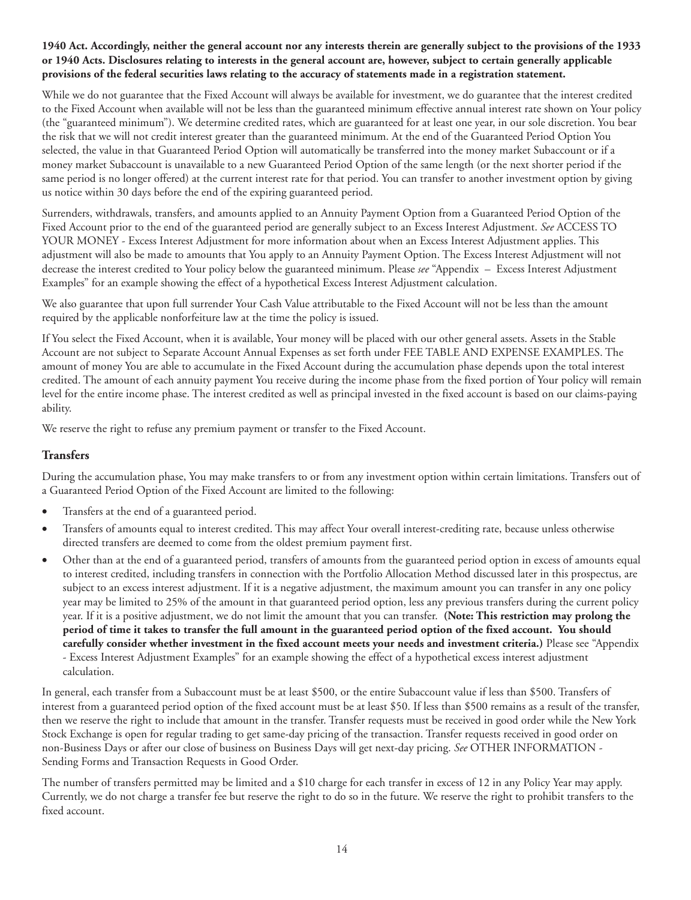#### <span id="page-23-0"></span>**1940 Act. Accordingly, neither the general account nor any interests therein are generally subject to the provisions of the 1933 or 1940 Acts. Disclosures relating to interests in the general account are, however, subject to certain generally applicable provisions of the federal securities laws relating to the accuracy of statements made in a registration statement.**

While we do not guarantee that the Fixed Account will always be available for investment, we do guarantee that the interest credited to the Fixed Account when available will not be less than the guaranteed minimum effective annual interest rate shown on Your policy (the "guaranteed minimum"). We determine credited rates, which are guaranteed for at least one year, in our sole discretion. You bear the risk that we will not credit interest greater than the guaranteed minimum. At the end of the Guaranteed Period Option You selected, the value in that Guaranteed Period Option will automatically be transferred into the money market Subaccount or if a money market Subaccount is unavailable to a new Guaranteed Period Option of the same length (or the next shorter period if the same period is no longer offered) at the current interest rate for that period. You can transfer to another investment option by giving us notice within 30 days before the end of the expiring guaranteed period.

Surrenders, withdrawals, transfers, and amounts applied to an Annuity Payment Option from a Guaranteed Period Option of the Fixed Account prior to the end of the guaranteed period are generally subject to an Excess Interest Adjustment. *See* ACCESS TO YOUR MONEY - Excess Interest Adjustment for more information about when an Excess Interest Adjustment applies. This adjustment will also be made to amounts that You apply to an Annuity Payment Option. The Excess Interest Adjustment will not decrease the interest credited to Your policy below the guaranteed minimum. Please *see* "Appendix – Excess Interest Adjustment Examples" for an example showing the effect of a hypothetical Excess Interest Adjustment calculation.

We also guarantee that upon full surrender Your Cash Value attributable to the Fixed Account will not be less than the amount required by the applicable nonforfeiture law at the time the policy is issued.

If You select the Fixed Account, when it is available, Your money will be placed with our other general assets. Assets in the Stable Account are not subject to Separate Account Annual Expenses as set forth under FEE TABLE AND EXPENSE EXAMPLES. The amount of money You are able to accumulate in the Fixed Account during the accumulation phase depends upon the total interest credited. The amount of each annuity payment You receive during the income phase from the fixed portion of Your policy will remain level for the entire income phase. The interest credited as well as principal invested in the fixed account is based on our claims-paying ability.

We reserve the right to refuse any premium payment or transfer to the Fixed Account.

#### **Transfers**

During the accumulation phase, You may make transfers to or from any investment option within certain limitations. Transfers out of a Guaranteed Period Option of the Fixed Account are limited to the following:

- Transfers at the end of a guaranteed period.
- Transfers of amounts equal to interest credited. This may affect Your overall interest-crediting rate, because unless otherwise directed transfers are deemed to come from the oldest premium payment first.
- Other than at the end of a guaranteed period, transfers of amounts from the guaranteed period option in excess of amounts equal to interest credited, including transfers in connection with the Portfolio Allocation Method discussed later in this prospectus, are subject to an excess interest adjustment. If it is a negative adjustment, the maximum amount you can transfer in any one policy year may be limited to 25% of the amount in that guaranteed period option, less any previous transfers during the current policy year. If it is a positive adjustment, we do not limit the amount that you can transfer. **(Note: This restriction may prolong the period of time it takes to transfer the full amount in the guaranteed period option of the fixed account. You should carefully consider whether investment in the fixed account meets your needs and investment criteria.)** Please see "Appendix - Excess Interest Adjustment Examples" for an example showing the effect of a hypothetical excess interest adjustment calculation.

In general, each transfer from a Subaccount must be at least \$500, or the entire Subaccount value if less than \$500. Transfers of interest from a guaranteed period option of the fixed account must be at least \$50. If less than \$500 remains as a result of the transfer, then we reserve the right to include that amount in the transfer. Transfer requests must be received in good order while the New York Stock Exchange is open for regular trading to get same-day pricing of the transaction. Transfer requests received in good order on non-Business Days or after our close of business on Business Days will get next-day pricing. *See* OTHER INFORMATION - Sending Forms and Transaction Requests in Good Order.

The number of transfers permitted may be limited and a \$10 charge for each transfer in excess of 12 in any Policy Year may apply. Currently, we do not charge a transfer fee but reserve the right to do so in the future. We reserve the right to prohibit transfers to the fixed account.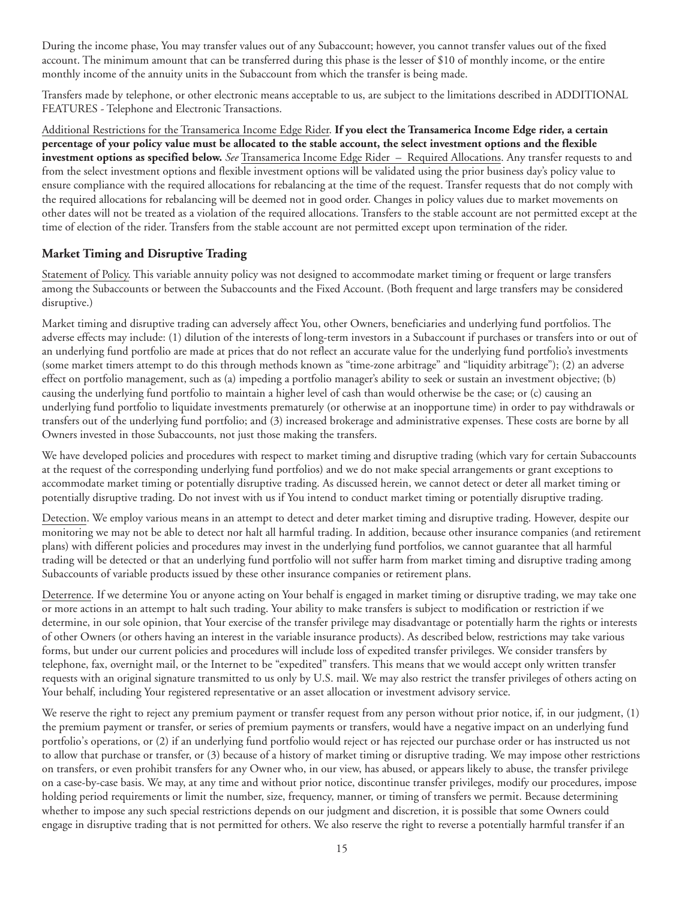<span id="page-24-0"></span>During the income phase, You may transfer values out of any Subaccount; however, you cannot transfer values out of the fixed account. The minimum amount that can be transferred during this phase is the lesser of \$10 of monthly income, or the entire monthly income of the annuity units in the Subaccount from which the transfer is being made.

Transfers made by telephone, or other electronic means acceptable to us, are subject to the limitations described in ADDITIONAL FEATURES - Telephone and Electronic Transactions.

Additional Restrictions for the Transamerica Income Edge Rider. **If you elect the Transamerica Income Edge rider, a certain percentage of your policy value must be allocated to the stable account, the select investment options and the flexible investment options as specified below.** *See* Transamerica Income Edge Rider – Required Allocations. Any transfer requests to and from the select investment options and flexible investment options will be validated using the prior business day's policy value to ensure compliance with the required allocations for rebalancing at the time of the request. Transfer requests that do not comply with the required allocations for rebalancing will be deemed not in good order. Changes in policy values due to market movements on other dates will not be treated as a violation of the required allocations. Transfers to the stable account are not permitted except at the time of election of the rider. Transfers from the stable account are not permitted except upon termination of the rider.

#### **Market Timing and Disruptive Trading**

Statement of Policy. This variable annuity policy was not designed to accommodate market timing or frequent or large transfers among the Subaccounts or between the Subaccounts and the Fixed Account. (Both frequent and large transfers may be considered disruptive.)

Market timing and disruptive trading can adversely affect You, other Owners, beneficiaries and underlying fund portfolios. The adverse effects may include: (1) dilution of the interests of long-term investors in a Subaccount if purchases or transfers into or out of an underlying fund portfolio are made at prices that do not reflect an accurate value for the underlying fund portfolio's investments (some market timers attempt to do this through methods known as "time-zone arbitrage" and "liquidity arbitrage"); (2) an adverse effect on portfolio management, such as (a) impeding a portfolio manager's ability to seek or sustain an investment objective; (b) causing the underlying fund portfolio to maintain a higher level of cash than would otherwise be the case; or (c) causing an underlying fund portfolio to liquidate investments prematurely (or otherwise at an inopportune time) in order to pay withdrawals or transfers out of the underlying fund portfolio; and (3) increased brokerage and administrative expenses. These costs are borne by all Owners invested in those Subaccounts, not just those making the transfers.

We have developed policies and procedures with respect to market timing and disruptive trading (which vary for certain Subaccounts at the request of the corresponding underlying fund portfolios) and we do not make special arrangements or grant exceptions to accommodate market timing or potentially disruptive trading. As discussed herein, we cannot detect or deter all market timing or potentially disruptive trading. Do not invest with us if You intend to conduct market timing or potentially disruptive trading.

Detection. We employ various means in an attempt to detect and deter market timing and disruptive trading. However, despite our monitoring we may not be able to detect nor halt all harmful trading. In addition, because other insurance companies (and retirement plans) with different policies and procedures may invest in the underlying fund portfolios, we cannot guarantee that all harmful trading will be detected or that an underlying fund portfolio will not suffer harm from market timing and disruptive trading among Subaccounts of variable products issued by these other insurance companies or retirement plans.

Deterrence. If we determine You or anyone acting on Your behalf is engaged in market timing or disruptive trading, we may take one or more actions in an attempt to halt such trading. Your ability to make transfers is subject to modification or restriction if we determine, in our sole opinion, that Your exercise of the transfer privilege may disadvantage or potentially harm the rights or interests of other Owners (or others having an interest in the variable insurance products). As described below, restrictions may take various forms, but under our current policies and procedures will include loss of expedited transfer privileges. We consider transfers by telephone, fax, overnight mail, or the Internet to be "expedited" transfers. This means that we would accept only written transfer requests with an original signature transmitted to us only by U.S. mail. We may also restrict the transfer privileges of others acting on Your behalf, including Your registered representative or an asset allocation or investment advisory service.

We reserve the right to reject any premium payment or transfer request from any person without prior notice, if, in our judgment, (1) the premium payment or transfer, or series of premium payments or transfers, would have a negative impact on an underlying fund portfolio's operations, or (2) if an underlying fund portfolio would reject or has rejected our purchase order or has instructed us not to allow that purchase or transfer, or (3) because of a history of market timing or disruptive trading. We may impose other restrictions on transfers, or even prohibit transfers for any Owner who, in our view, has abused, or appears likely to abuse, the transfer privilege on a case-by-case basis. We may, at any time and without prior notice, discontinue transfer privileges, modify our procedures, impose holding period requirements or limit the number, size, frequency, manner, or timing of transfers we permit. Because determining whether to impose any such special restrictions depends on our judgment and discretion, it is possible that some Owners could engage in disruptive trading that is not permitted for others. We also reserve the right to reverse a potentially harmful transfer if an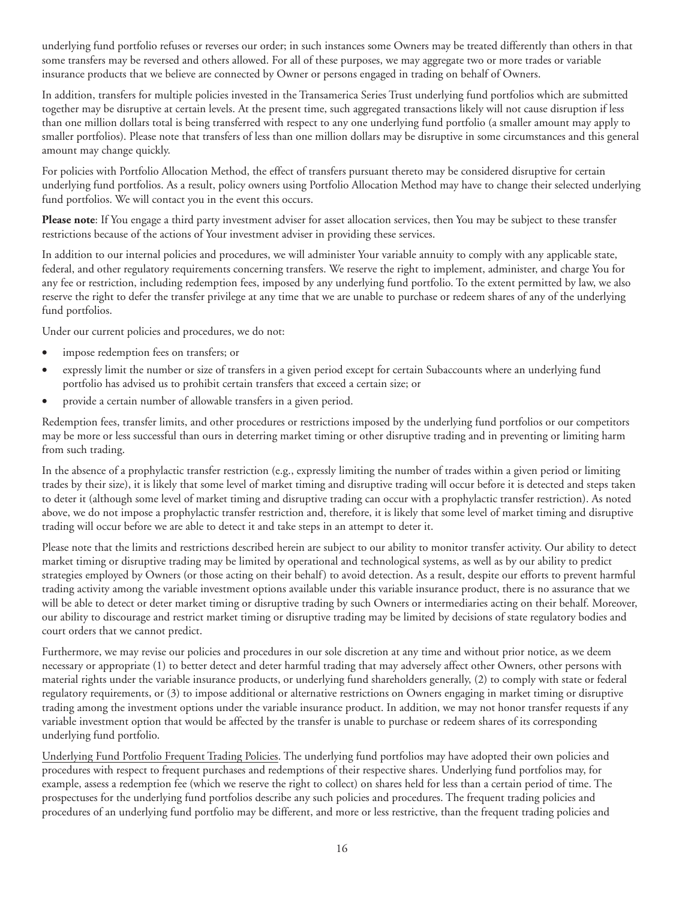underlying fund portfolio refuses or reverses our order; in such instances some Owners may be treated differently than others in that some transfers may be reversed and others allowed. For all of these purposes, we may aggregate two or more trades or variable insurance products that we believe are connected by Owner or persons engaged in trading on behalf of Owners.

In addition, transfers for multiple policies invested in the Transamerica Series Trust underlying fund portfolios which are submitted together may be disruptive at certain levels. At the present time, such aggregated transactions likely will not cause disruption if less than one million dollars total is being transferred with respect to any one underlying fund portfolio (a smaller amount may apply to smaller portfolios). Please note that transfers of less than one million dollars may be disruptive in some circumstances and this general amount may change quickly.

For policies with Portfolio Allocation Method, the effect of transfers pursuant thereto may be considered disruptive for certain underlying fund portfolios. As a result, policy owners using Portfolio Allocation Method may have to change their selected underlying fund portfolios. We will contact you in the event this occurs.

**Please note**: If You engage a third party investment adviser for asset allocation services, then You may be subject to these transfer restrictions because of the actions of Your investment adviser in providing these services.

In addition to our internal policies and procedures, we will administer Your variable annuity to comply with any applicable state, federal, and other regulatory requirements concerning transfers. We reserve the right to implement, administer, and charge You for any fee or restriction, including redemption fees, imposed by any underlying fund portfolio. To the extent permitted by law, we also reserve the right to defer the transfer privilege at any time that we are unable to purchase or redeem shares of any of the underlying fund portfolios.

Under our current policies and procedures, we do not:

- impose redemption fees on transfers; or
- expressly limit the number or size of transfers in a given period except for certain Subaccounts where an underlying fund portfolio has advised us to prohibit certain transfers that exceed a certain size; or
- provide a certain number of allowable transfers in a given period.

Redemption fees, transfer limits, and other procedures or restrictions imposed by the underlying fund portfolios or our competitors may be more or less successful than ours in deterring market timing or other disruptive trading and in preventing or limiting harm from such trading.

In the absence of a prophylactic transfer restriction (e.g., expressly limiting the number of trades within a given period or limiting trades by their size), it is likely that some level of market timing and disruptive trading will occur before it is detected and steps taken to deter it (although some level of market timing and disruptive trading can occur with a prophylactic transfer restriction). As noted above, we do not impose a prophylactic transfer restriction and, therefore, it is likely that some level of market timing and disruptive trading will occur before we are able to detect it and take steps in an attempt to deter it.

Please note that the limits and restrictions described herein are subject to our ability to monitor transfer activity. Our ability to detect market timing or disruptive trading may be limited by operational and technological systems, as well as by our ability to predict strategies employed by Owners (or those acting on their behalf) to avoid detection. As a result, despite our efforts to prevent harmful trading activity among the variable investment options available under this variable insurance product, there is no assurance that we will be able to detect or deter market timing or disruptive trading by such Owners or intermediaries acting on their behalf. Moreover, our ability to discourage and restrict market timing or disruptive trading may be limited by decisions of state regulatory bodies and court orders that we cannot predict.

Furthermore, we may revise our policies and procedures in our sole discretion at any time and without prior notice, as we deem necessary or appropriate (1) to better detect and deter harmful trading that may adversely affect other Owners, other persons with material rights under the variable insurance products, or underlying fund shareholders generally, (2) to comply with state or federal regulatory requirements, or (3) to impose additional or alternative restrictions on Owners engaging in market timing or disruptive trading among the investment options under the variable insurance product. In addition, we may not honor transfer requests if any variable investment option that would be affected by the transfer is unable to purchase or redeem shares of its corresponding underlying fund portfolio.

Underlying Fund Portfolio Frequent Trading Policies. The underlying fund portfolios may have adopted their own policies and procedures with respect to frequent purchases and redemptions of their respective shares. Underlying fund portfolios may, for example, assess a redemption fee (which we reserve the right to collect) on shares held for less than a certain period of time. The prospectuses for the underlying fund portfolios describe any such policies and procedures. The frequent trading policies and procedures of an underlying fund portfolio may be different, and more or less restrictive, than the frequent trading policies and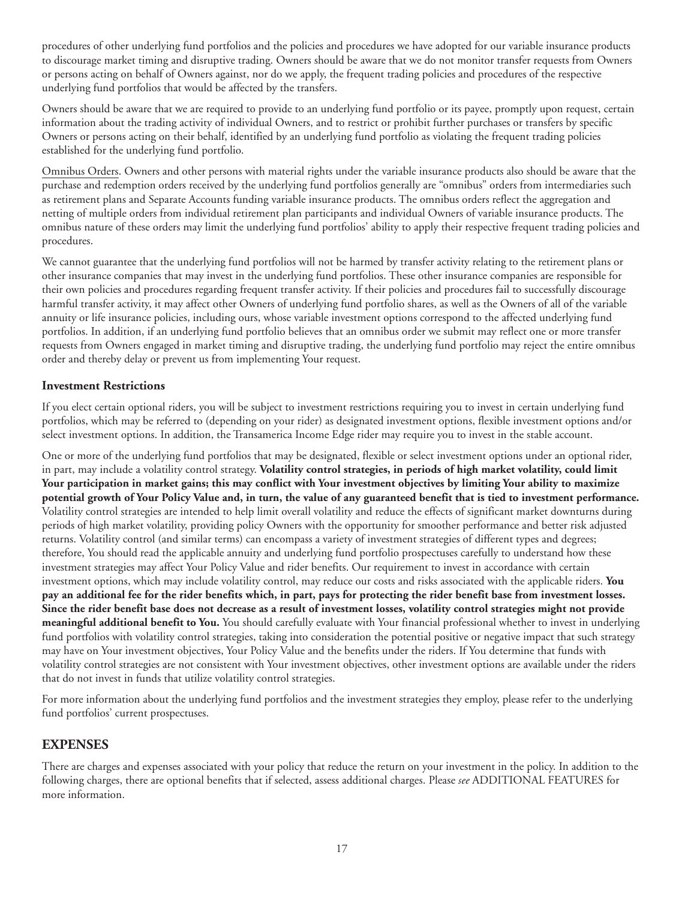<span id="page-26-0"></span>procedures of other underlying fund portfolios and the policies and procedures we have adopted for our variable insurance products to discourage market timing and disruptive trading. Owners should be aware that we do not monitor transfer requests from Owners or persons acting on behalf of Owners against, nor do we apply, the frequent trading policies and procedures of the respective underlying fund portfolios that would be affected by the transfers.

Owners should be aware that we are required to provide to an underlying fund portfolio or its payee, promptly upon request, certain information about the trading activity of individual Owners, and to restrict or prohibit further purchases or transfers by specific Owners or persons acting on their behalf, identified by an underlying fund portfolio as violating the frequent trading policies established for the underlying fund portfolio.

Omnibus Orders. Owners and other persons with material rights under the variable insurance products also should be aware that the purchase and redemption orders received by the underlying fund portfolios generally are "omnibus" orders from intermediaries such as retirement plans and Separate Accounts funding variable insurance products. The omnibus orders reflect the aggregation and netting of multiple orders from individual retirement plan participants and individual Owners of variable insurance products. The omnibus nature of these orders may limit the underlying fund portfolios' ability to apply their respective frequent trading policies and procedures.

We cannot guarantee that the underlying fund portfolios will not be harmed by transfer activity relating to the retirement plans or other insurance companies that may invest in the underlying fund portfolios. These other insurance companies are responsible for their own policies and procedures regarding frequent transfer activity. If their policies and procedures fail to successfully discourage harmful transfer activity, it may affect other Owners of underlying fund portfolio shares, as well as the Owners of all of the variable annuity or life insurance policies, including ours, whose variable investment options correspond to the affected underlying fund portfolios. In addition, if an underlying fund portfolio believes that an omnibus order we submit may reflect one or more transfer requests from Owners engaged in market timing and disruptive trading, the underlying fund portfolio may reject the entire omnibus order and thereby delay or prevent us from implementing Your request.

#### **Investment Restrictions**

If you elect certain optional riders, you will be subject to investment restrictions requiring you to invest in certain underlying fund portfolios, which may be referred to (depending on your rider) as designated investment options, flexible investment options and/or select investment options. In addition, the Transamerica Income Edge rider may require you to invest in the stable account.

One or more of the underlying fund portfolios that may be designated, flexible or select investment options under an optional rider, in part, may include a volatility control strategy. **Volatility control strategies, in periods of high market volatility, could limit Your participation in market gains; this may conflict with Your investment objectives by limiting Your ability to maximize potential growth of Your Policy Value and, in turn, the value of any guaranteed benefit that is tied to investment performance.** Volatility control strategies are intended to help limit overall volatility and reduce the effects of significant market downturns during periods of high market volatility, providing policy Owners with the opportunity for smoother performance and better risk adjusted returns. Volatility control (and similar terms) can encompass a variety of investment strategies of different types and degrees; therefore, You should read the applicable annuity and underlying fund portfolio prospectuses carefully to understand how these investment strategies may affect Your Policy Value and rider benefits. Our requirement to invest in accordance with certain investment options, which may include volatility control, may reduce our costs and risks associated with the applicable riders. **You pay an additional fee for the rider benefits which, in part, pays for protecting the rider benefit base from investment losses. Since the rider benefit base does not decrease as a result of investment losses, volatility control strategies might not provide meaningful additional benefit to You.** You should carefully evaluate with Your financial professional whether to invest in underlying fund portfolios with volatility control strategies, taking into consideration the potential positive or negative impact that such strategy may have on Your investment objectives, Your Policy Value and the benefits under the riders. If You determine that funds with volatility control strategies are not consistent with Your investment objectives, other investment options are available under the riders that do not invest in funds that utilize volatility control strategies.

For more information about the underlying fund portfolios and the investment strategies they employ, please refer to the underlying fund portfolios' current prospectuses.

#### **EXPENSES**

There are charges and expenses associated with your policy that reduce the return on your investment in the policy. In addition to the following charges, there are optional benefits that if selected, assess additional charges. Please *see* ADDITIONAL FEATURES for more information.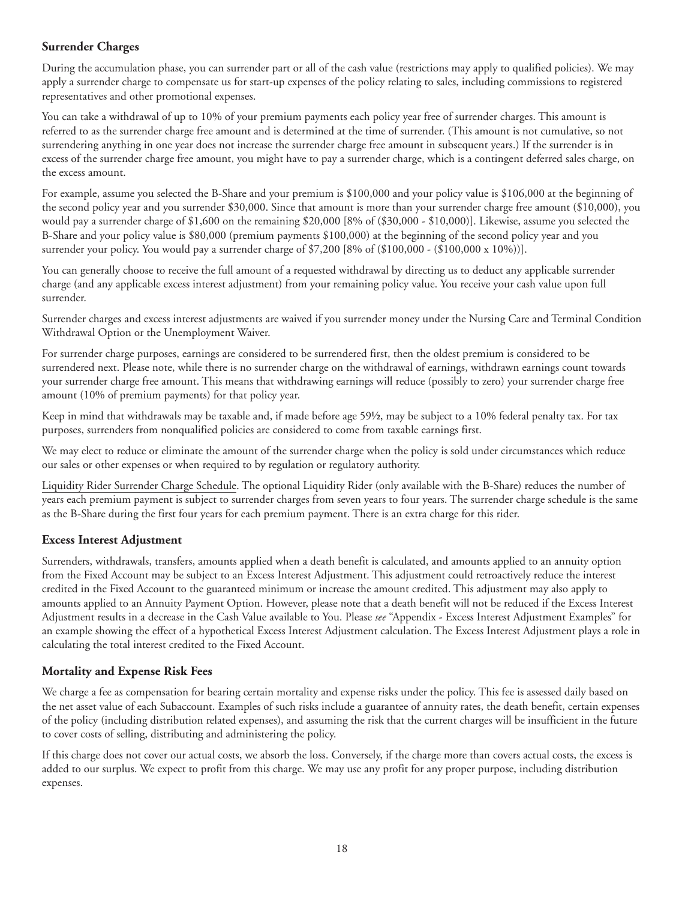#### <span id="page-27-0"></span>**Surrender Charges**

During the accumulation phase, you can surrender part or all of the cash value (restrictions may apply to qualified policies). We may apply a surrender charge to compensate us for start-up expenses of the policy relating to sales, including commissions to registered representatives and other promotional expenses.

You can take a withdrawal of up to 10% of your premium payments each policy year free of surrender charges. This amount is referred to as the surrender charge free amount and is determined at the time of surrender. (This amount is not cumulative, so not surrendering anything in one year does not increase the surrender charge free amount in subsequent years.) If the surrender is in excess of the surrender charge free amount, you might have to pay a surrender charge, which is a contingent deferred sales charge, on the excess amount.

For example, assume you selected the B-Share and your premium is \$100,000 and your policy value is \$106,000 at the beginning of the second policy year and you surrender \$30,000. Since that amount is more than your surrender charge free amount (\$10,000), you would pay a surrender charge of \$1,600 on the remaining \$20,000 [8% of (\$30,000 - \$10,000)]. Likewise, assume you selected the B-Share and your policy value is \$80,000 (premium payments \$100,000) at the beginning of the second policy year and you surrender your policy. You would pay a surrender charge of  $$7,200$  [8% of  $(\$100,000 - (\$100,000 \times 10\%)$ ].

You can generally choose to receive the full amount of a requested withdrawal by directing us to deduct any applicable surrender charge (and any applicable excess interest adjustment) from your remaining policy value. You receive your cash value upon full surrender.

Surrender charges and excess interest adjustments are waived if you surrender money under the Nursing Care and Terminal Condition Withdrawal Option or the Unemployment Waiver.

For surrender charge purposes, earnings are considered to be surrendered first, then the oldest premium is considered to be surrendered next. Please note, while there is no surrender charge on the withdrawal of earnings, withdrawn earnings count towards your surrender charge free amount. This means that withdrawing earnings will reduce (possibly to zero) your surrender charge free amount (10% of premium payments) for that policy year.

Keep in mind that withdrawals may be taxable and, if made before age 59½, may be subject to a 10% federal penalty tax. For tax purposes, surrenders from nonqualified policies are considered to come from taxable earnings first.

We may elect to reduce or eliminate the amount of the surrender charge when the policy is sold under circumstances which reduce our sales or other expenses or when required to by regulation or regulatory authority.

Liquidity Rider Surrender Charge Schedule. The optional Liquidity Rider (only available with the B-Share) reduces the number of years each premium payment is subject to surrender charges from seven years to four years. The surrender charge schedule is the same as the B-Share during the first four years for each premium payment. There is an extra charge for this rider.

#### **Excess Interest Adjustment**

Surrenders, withdrawals, transfers, amounts applied when a death benefit is calculated, and amounts applied to an annuity option from the Fixed Account may be subject to an Excess Interest Adjustment. This adjustment could retroactively reduce the interest credited in the Fixed Account to the guaranteed minimum or increase the amount credited. This adjustment may also apply to amounts applied to an Annuity Payment Option. However, please note that a death benefit will not be reduced if the Excess Interest Adjustment results in a decrease in the Cash Value available to You. Please *see* "Appendix - Excess Interest Adjustment Examples" for an example showing the effect of a hypothetical Excess Interest Adjustment calculation. The Excess Interest Adjustment plays a role in calculating the total interest credited to the Fixed Account.

#### **Mortality and Expense Risk Fees**

We charge a fee as compensation for bearing certain mortality and expense risks under the policy. This fee is assessed daily based on the net asset value of each Subaccount. Examples of such risks include a guarantee of annuity rates, the death benefit, certain expenses of the policy (including distribution related expenses), and assuming the risk that the current charges will be insufficient in the future to cover costs of selling, distributing and administering the policy.

If this charge does not cover our actual costs, we absorb the loss. Conversely, if the charge more than covers actual costs, the excess is added to our surplus. We expect to profit from this charge. We may use any profit for any proper purpose, including distribution expenses.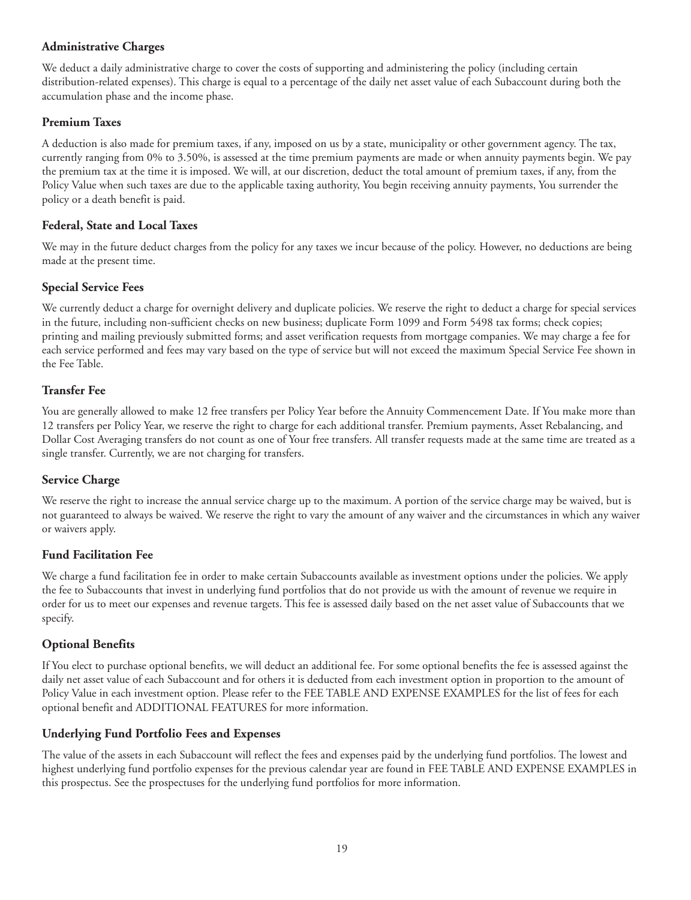#### <span id="page-28-0"></span>**Administrative Charges**

We deduct a daily administrative charge to cover the costs of supporting and administering the policy (including certain distribution-related expenses). This charge is equal to a percentage of the daily net asset value of each Subaccount during both the accumulation phase and the income phase.

#### **Premium Taxes**

A deduction is also made for premium taxes, if any, imposed on us by a state, municipality or other government agency. The tax, currently ranging from 0% to 3.50%, is assessed at the time premium payments are made or when annuity payments begin. We pay the premium tax at the time it is imposed. We will, at our discretion, deduct the total amount of premium taxes, if any, from the Policy Value when such taxes are due to the applicable taxing authority, You begin receiving annuity payments, You surrender the policy or a death benefit is paid.

#### **Federal, State and Local Taxes**

We may in the future deduct charges from the policy for any taxes we incur because of the policy. However, no deductions are being made at the present time.

#### **Special Service Fees**

We currently deduct a charge for overnight delivery and duplicate policies. We reserve the right to deduct a charge for special services in the future, including non-sufficient checks on new business; duplicate Form 1099 and Form 5498 tax forms; check copies; printing and mailing previously submitted forms; and asset verification requests from mortgage companies. We may charge a fee for each service performed and fees may vary based on the type of service but will not exceed the maximum Special Service Fee shown in the Fee Table.

#### **Transfer Fee**

You are generally allowed to make 12 free transfers per Policy Year before the Annuity Commencement Date. If You make more than 12 transfers per Policy Year, we reserve the right to charge for each additional transfer. Premium payments, Asset Rebalancing, and Dollar Cost Averaging transfers do not count as one of Your free transfers. All transfer requests made at the same time are treated as a single transfer. Currently, we are not charging for transfers.

#### **Service Charge**

We reserve the right to increase the annual service charge up to the maximum. A portion of the service charge may be waived, but is not guaranteed to always be waived. We reserve the right to vary the amount of any waiver and the circumstances in which any waiver or waivers apply.

#### **Fund Facilitation Fee**

We charge a fund facilitation fee in order to make certain Subaccounts available as investment options under the policies. We apply the fee to Subaccounts that invest in underlying fund portfolios that do not provide us with the amount of revenue we require in order for us to meet our expenses and revenue targets. This fee is assessed daily based on the net asset value of Subaccounts that we specify.

#### **Optional Benefits**

If You elect to purchase optional benefits, we will deduct an additional fee. For some optional benefits the fee is assessed against the daily net asset value of each Subaccount and for others it is deducted from each investment option in proportion to the amount of Policy Value in each investment option. Please refer to the FEE TABLE AND EXPENSE EXAMPLES for the list of fees for each optional benefit and ADDITIONAL FEATURES for more information.

#### **Underlying Fund Portfolio Fees and Expenses**

The value of the assets in each Subaccount will reflect the fees and expenses paid by the underlying fund portfolios. The lowest and highest underlying fund portfolio expenses for the previous calendar year are found in FEE TABLE AND EXPENSE EXAMPLES in this prospectus. See the prospectuses for the underlying fund portfolios for more information.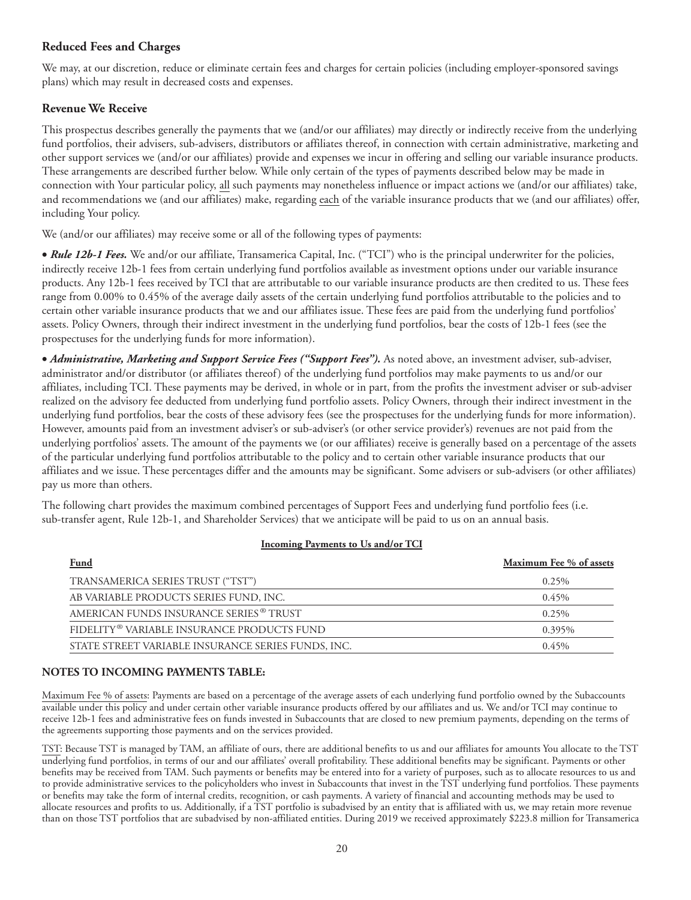#### <span id="page-29-0"></span>**Reduced Fees and Charges**

We may, at our discretion, reduce or eliminate certain fees and charges for certain policies (including employer-sponsored savings plans) which may result in decreased costs and expenses.

#### **Revenue We Receive**

This prospectus describes generally the payments that we (and/or our affiliates) may directly or indirectly receive from the underlying fund portfolios, their advisers, sub-advisers, distributors or affiliates thereof, in connection with certain administrative, marketing and other support services we (and/or our affiliates) provide and expenses we incur in offering and selling our variable insurance products. These arrangements are described further below. While only certain of the types of payments described below may be made in connection with Your particular policy, all such payments may nonetheless influence or impact actions we (and/or our affiliates) take, and recommendations we (and our affiliates) make, regarding each of the variable insurance products that we (and our affiliates) offer, including Your policy.

We (and/or our affiliates) may receive some or all of the following types of payments:

• *Rule 12b-1 Fees.* We and/or our affiliate, Transamerica Capital, Inc. ("TCI") who is the principal underwriter for the policies, indirectly receive 12b-1 fees from certain underlying fund portfolios available as investment options under our variable insurance products. Any 12b-1 fees received by TCI that are attributable to our variable insurance products are then credited to us. These fees range from 0.00% to 0.45% of the average daily assets of the certain underlying fund portfolios attributable to the policies and to certain other variable insurance products that we and our affiliates issue. These fees are paid from the underlying fund portfolios' assets. Policy Owners, through their indirect investment in the underlying fund portfolios, bear the costs of 12b-1 fees (see the prospectuses for the underlying funds for more information).

• *Administrative, Marketing and Support Service Fees ("Support Fees").* As noted above, an investment adviser, sub-adviser, administrator and/or distributor (or affiliates thereof) of the underlying fund portfolios may make payments to us and/or our affiliates, including TCI. These payments may be derived, in whole or in part, from the profits the investment adviser or sub-adviser realized on the advisory fee deducted from underlying fund portfolio assets. Policy Owners, through their indirect investment in the underlying fund portfolios, bear the costs of these advisory fees (see the prospectuses for the underlying funds for more information). However, amounts paid from an investment adviser's or sub-adviser's (or other service provider's) revenues are not paid from the underlying portfolios' assets. The amount of the payments we (or our affiliates) receive is generally based on a percentage of the assets of the particular underlying fund portfolios attributable to the policy and to certain other variable insurance products that our affiliates and we issue. These percentages differ and the amounts may be significant. Some advisers or sub-advisers (or other affiliates) pay us more than others.

The following chart provides the maximum combined percentages of Support Fees and underlying fund portfolio fees (i.e. sub-transfer agent, Rule 12b-1, and Shareholder Services) that we anticipate will be paid to us on an annual basis.

#### **Incoming Payments to Us and/or TCI**

| <b>Fund</b>                                        | Maximum Fee % of assets |
|----------------------------------------------------|-------------------------|
| TRANSAMERICA SERIES TRUST ("TST")                  | $0.25\%$                |
| AB VARIABLE PRODUCTS SERIES FUND, INC.             | $0.45\%$                |
| AMERICAN FUNDS INSURANCE SERIES <sup>®</sup> TRUST | $0.25\%$                |
| FIDELITY® VARIABLE INSURANCE PRODUCTS FUND         | 0.395%                  |
| STATE STREET VARIABLE INSURANCE SERIES FUNDS, INC. | $0.45\%$                |

#### **NOTES TO INCOMING PAYMENTS TABLE:**

Maximum Fee % of assets: Payments are based on a percentage of the average assets of each underlying fund portfolio owned by the Subaccounts available under this policy and under certain other variable insurance products offered by our affiliates and us. We and/or TCI may continue to receive 12b-1 fees and administrative fees on funds invested in Subaccounts that are closed to new premium payments, depending on the terms of the agreements supporting those payments and on the services provided.

TST: Because TST is managed by TAM, an affiliate of ours, there are additional benefits to us and our affiliates for amounts You allocate to the TST underlying fund portfolios, in terms of our and our affiliates' overall profitability. These additional benefits may be significant. Payments or other benefits may be received from TAM. Such payments or benefits may be entered into for a variety of purposes, such as to allocate resources to us and to provide administrative services to the policyholders who invest in Subaccounts that invest in the TST underlying fund portfolios. These payments or benefits may take the form of internal credits, recognition, or cash payments. A variety of financial and accounting methods may be used to allocate resources and profits to us. Additionally, if a TST portfolio is subadvised by an entity that is affiliated with us, we may retain more revenue than on those TST portfolios that are subadvised by non-affiliated entities. During 2019 we received approximately \$223.8 million for Transamerica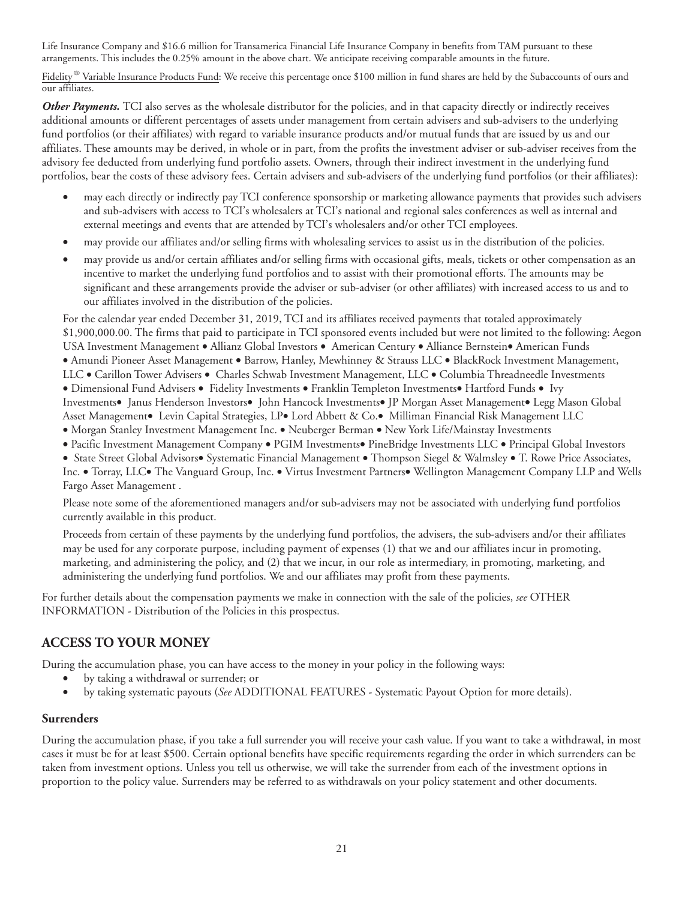<span id="page-30-0"></span>Life Insurance Company and \$16.6 million for Transamerica Financial Life Insurance Company in benefits from TAM pursuant to these arrangements. This includes the 0.25% amount in the above chart. We anticipate receiving comparable amounts in the future.

Fidelity<sup>®</sup> Variable Insurance Products Fund: We receive this percentage once \$100 million in fund shares are held by the Subaccounts of ours and our affiliates.

**Other Payments.** TCI also serves as the wholesale distributor for the policies, and in that capacity directly or indirectly receives additional amounts or different percentages of assets under management from certain advisers and sub-advisers to the underlying fund portfolios (or their affiliates) with regard to variable insurance products and/or mutual funds that are issued by us and our affiliates. These amounts may be derived, in whole or in part, from the profits the investment adviser or sub-adviser receives from the advisory fee deducted from underlying fund portfolio assets. Owners, through their indirect investment in the underlying fund portfolios, bear the costs of these advisory fees. Certain advisers and sub-advisers of the underlying fund portfolios (or their affiliates):

- may each directly or indirectly pay TCI conference sponsorship or marketing allowance payments that provides such advisers and sub-advisers with access to TCI's wholesalers at TCI's national and regional sales conferences as well as internal and external meetings and events that are attended by TCI's wholesalers and/or other TCI employees.
- may provide our affiliates and/or selling firms with wholesaling services to assist us in the distribution of the policies.
- may provide us and/or certain affiliates and/or selling firms with occasional gifts, meals, tickets or other compensation as an incentive to market the underlying fund portfolios and to assist with their promotional efforts. The amounts may be significant and these arrangements provide the adviser or sub-adviser (or other affiliates) with increased access to us and to our affiliates involved in the distribution of the policies.

For the calendar year ended December 31, 2019, TCI and its affiliates received payments that totaled approximately \$1,900,000.00. The firms that paid to participate in TCI sponsored events included but were not limited to the following: Aegon USA Investment Management • Allianz Global Investors • American Century • Alliance Bernstein• American Funds • Amundi Pioneer Asset Management • Barrow, Hanley, Mewhinney & Strauss LLC • BlackRock Investment Management, LLC • Carillon Tower Advisers • Charles Schwab Investment Management, LLC • Columbia Threadneedle Investments • Dimensional Fund Advisers • Fidelity Investments • Franklin Templeton Investments• Hartford Funds • Ivy Investments• Janus Henderson Investors• John Hancock Investments• JP Morgan Asset Management• Legg Mason Global Asset Management• Levin Capital Strategies, LP• Lord Abbett & Co.• Milliman Financial Risk Management LLC • Morgan Stanley Investment Management Inc. • Neuberger Berman • New York Life/Mainstay Investments

- Pacific Investment Management Company PGIM Investments• PineBridge Investments LLC Principal Global Investors
- State Street Global Advisors• Systematic Financial Management Thompson Siegel & Walmsley T. Rowe Price Associates,

Inc. • Torray, LLC• The Vanguard Group, Inc. • Virtus Investment Partners• Wellington Management Company LLP and Wells Fargo Asset Management .

Please note some of the aforementioned managers and/or sub-advisers may not be associated with underlying fund portfolios currently available in this product.

Proceeds from certain of these payments by the underlying fund portfolios, the advisers, the sub-advisers and/or their affiliates may be used for any corporate purpose, including payment of expenses (1) that we and our affiliates incur in promoting, marketing, and administering the policy, and (2) that we incur, in our role as intermediary, in promoting, marketing, and administering the underlying fund portfolios. We and our affiliates may profit from these payments.

For further details about the compensation payments we make in connection with the sale of the policies, *see* OTHER INFORMATION - Distribution of the Policies in this prospectus.

#### **ACCESS TO YOUR MONEY**

During the accumulation phase, you can have access to the money in your policy in the following ways:

- by taking a withdrawal or surrender; or
- by taking systematic payouts (*See* ADDITIONAL FEATURES Systematic Payout Option for more details).

#### **Surrenders**

During the accumulation phase, if you take a full surrender you will receive your cash value. If you want to take a withdrawal, in most cases it must be for at least \$500. Certain optional benefits have specific requirements regarding the order in which surrenders can be taken from investment options. Unless you tell us otherwise, we will take the surrender from each of the investment options in proportion to the policy value. Surrenders may be referred to as withdrawals on your policy statement and other documents.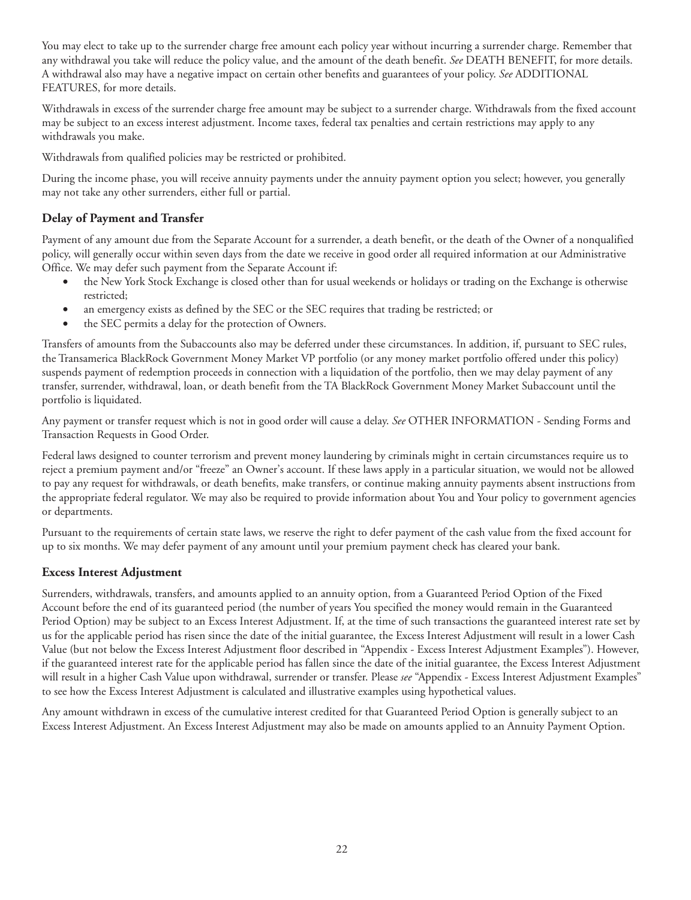<span id="page-31-0"></span>You may elect to take up to the surrender charge free amount each policy year without incurring a surrender charge. Remember that any withdrawal you take will reduce the policy value, and the amount of the death benefit. *See* DEATH BENEFIT, for more details. A withdrawal also may have a negative impact on certain other benefits and guarantees of your policy. *See* ADDITIONAL FEATURES, for more details.

Withdrawals in excess of the surrender charge free amount may be subject to a surrender charge. Withdrawals from the fixed account may be subject to an excess interest adjustment. Income taxes, federal tax penalties and certain restrictions may apply to any withdrawals you make.

Withdrawals from qualified policies may be restricted or prohibited.

During the income phase, you will receive annuity payments under the annuity payment option you select; however, you generally may not take any other surrenders, either full or partial.

#### **Delay of Payment and Transfer**

Payment of any amount due from the Separate Account for a surrender, a death benefit, or the death of the Owner of a nonqualified policy, will generally occur within seven days from the date we receive in good order all required information at our Administrative Office. We may defer such payment from the Separate Account if:

- the New York Stock Exchange is closed other than for usual weekends or holidays or trading on the Exchange is otherwise restricted;
- an emergency exists as defined by the SEC or the SEC requires that trading be restricted; or
- the SEC permits a delay for the protection of Owners.

Transfers of amounts from the Subaccounts also may be deferred under these circumstances. In addition, if, pursuant to SEC rules, the Transamerica BlackRock Government Money Market VP portfolio (or any money market portfolio offered under this policy) suspends payment of redemption proceeds in connection with a liquidation of the portfolio, then we may delay payment of any transfer, surrender, withdrawal, loan, or death benefit from the TA BlackRock Government Money Market Subaccount until the portfolio is liquidated.

Any payment or transfer request which is not in good order will cause a delay. *See* OTHER INFORMATION - Sending Forms and Transaction Requests in Good Order.

Federal laws designed to counter terrorism and prevent money laundering by criminals might in certain circumstances require us to reject a premium payment and/or "freeze" an Owner's account. If these laws apply in a particular situation, we would not be allowed to pay any request for withdrawals, or death benefits, make transfers, or continue making annuity payments absent instructions from the appropriate federal regulator. We may also be required to provide information about You and Your policy to government agencies or departments.

Pursuant to the requirements of certain state laws, we reserve the right to defer payment of the cash value from the fixed account for up to six months. We may defer payment of any amount until your premium payment check has cleared your bank.

#### **Excess Interest Adjustment**

Surrenders, withdrawals, transfers, and amounts applied to an annuity option, from a Guaranteed Period Option of the Fixed Account before the end of its guaranteed period (the number of years You specified the money would remain in the Guaranteed Period Option) may be subject to an Excess Interest Adjustment. If, at the time of such transactions the guaranteed interest rate set by us for the applicable period has risen since the date of the initial guarantee, the Excess Interest Adjustment will result in a lower Cash Value (but not below the Excess Interest Adjustment floor described in "Appendix - Excess Interest Adjustment Examples"). However, if the guaranteed interest rate for the applicable period has fallen since the date of the initial guarantee, the Excess Interest Adjustment will result in a higher Cash Value upon withdrawal, surrender or transfer. Please *see* "Appendix - Excess Interest Adjustment Examples" to see how the Excess Interest Adjustment is calculated and illustrative examples using hypothetical values.

Any amount withdrawn in excess of the cumulative interest credited for that Guaranteed Period Option is generally subject to an Excess Interest Adjustment. An Excess Interest Adjustment may also be made on amounts applied to an Annuity Payment Option.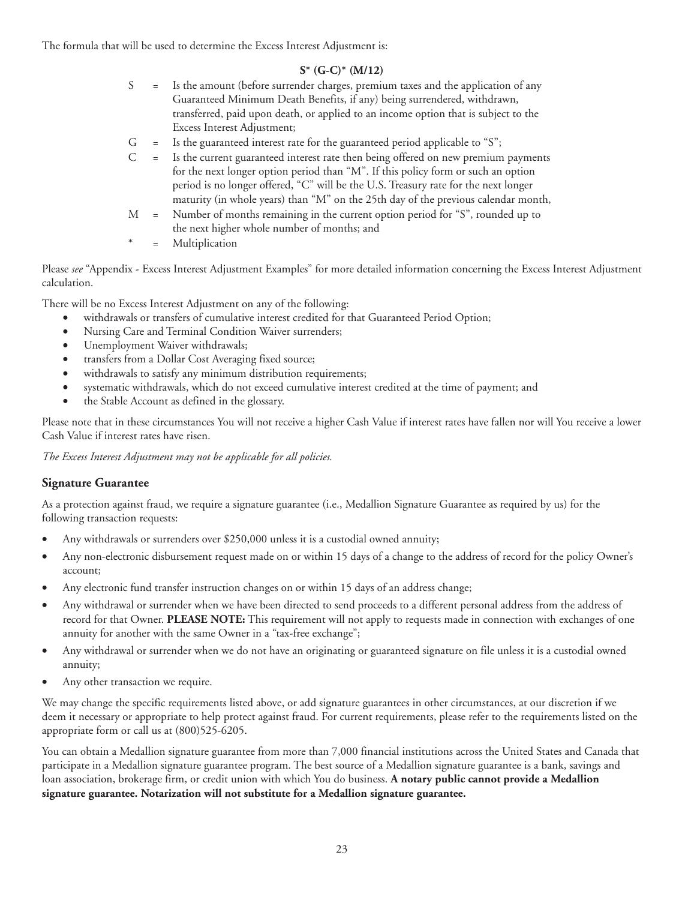<span id="page-32-0"></span>The formula that will be used to determine the Excess Interest Adjustment is:

#### **S\* (G-C)\* (M/12)**

- S = Is the amount (before surrender charges, premium taxes and the application of any Guaranteed Minimum Death Benefits, if any) being surrendered, withdrawn, transferred, paid upon death, or applied to an income option that is subject to the Excess Interest Adjustment;
- $G = Is the guaranteed interest rate for the guaranteed period applicable to "S";$
- C = Is the current guaranteed interest rate then being offered on new premium payments for the next longer option period than "M". If this policy form or such an option period is no longer offered, "C" will be the U.S. Treasury rate for the next longer maturity (in whole years) than "M" on the 25th day of the previous calendar month,
- M = Number of months remaining in the current option period for "S", rounded up to the next higher whole number of months; and
- **Multiplication**

Please *see* "Appendix - Excess Interest Adjustment Examples" for more detailed information concerning the Excess Interest Adjustment calculation.

There will be no Excess Interest Adjustment on any of the following:

- withdrawals or transfers of cumulative interest credited for that Guaranteed Period Option;
- Nursing Care and Terminal Condition Waiver surrenders;
- Unemployment Waiver withdrawals;
- transfers from a Dollar Cost Averaging fixed source;
- withdrawals to satisfy any minimum distribution requirements;
- systematic withdrawals, which do not exceed cumulative interest credited at the time of payment; and
- the Stable Account as defined in the glossary.

Please note that in these circumstances You will not receive a higher Cash Value if interest rates have fallen nor will You receive a lower Cash Value if interest rates have risen.

*The Excess Interest Adjustment may not be applicable for all policies.*

#### **Signature Guarantee**

As a protection against fraud, we require a signature guarantee (i.e., Medallion Signature Guarantee as required by us) for the following transaction requests:

- Any withdrawals or surrenders over \$250,000 unless it is a custodial owned annuity;
- Any non-electronic disbursement request made on or within 15 days of a change to the address of record for the policy Owner's account;
- Any electronic fund transfer instruction changes on or within 15 days of an address change;
- Any withdrawal or surrender when we have been directed to send proceeds to a different personal address from the address of record for that Owner. **PLEASE NOTE:** This requirement will not apply to requests made in connection with exchanges of one annuity for another with the same Owner in a "tax-free exchange";
- Any withdrawal or surrender when we do not have an originating or guaranteed signature on file unless it is a custodial owned annuity;
- Any other transaction we require.

We may change the specific requirements listed above, or add signature guarantees in other circumstances, at our discretion if we deem it necessary or appropriate to help protect against fraud. For current requirements, please refer to the requirements listed on the appropriate form or call us at (800)525-6205.

You can obtain a Medallion signature guarantee from more than 7,000 financial institutions across the United States and Canada that participate in a Medallion signature guarantee program. The best source of a Medallion signature guarantee is a bank, savings and loan association, brokerage firm, or credit union with which You do business. **A notary public cannot provide a Medallion signature guarantee. Notarization will not substitute for a Medallion signature guarantee.**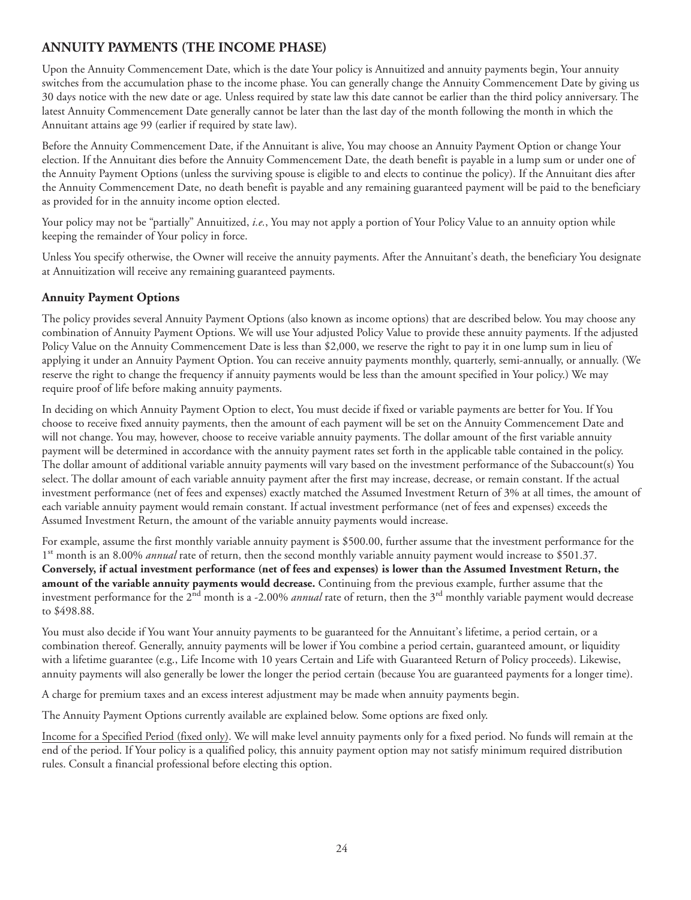#### <span id="page-33-0"></span>**ANNUITY PAYMENTS (THE INCOME PHASE)**

Upon the Annuity Commencement Date, which is the date Your policy is Annuitized and annuity payments begin, Your annuity switches from the accumulation phase to the income phase. You can generally change the Annuity Commencement Date by giving us 30 days notice with the new date or age. Unless required by state law this date cannot be earlier than the third policy anniversary. The latest Annuity Commencement Date generally cannot be later than the last day of the month following the month in which the Annuitant attains age 99 (earlier if required by state law).

Before the Annuity Commencement Date, if the Annuitant is alive, You may choose an Annuity Payment Option or change Your election. If the Annuitant dies before the Annuity Commencement Date, the death benefit is payable in a lump sum or under one of the Annuity Payment Options (unless the surviving spouse is eligible to and elects to continue the policy). If the Annuitant dies after the Annuity Commencement Date, no death benefit is payable and any remaining guaranteed payment will be paid to the beneficiary as provided for in the annuity income option elected.

Your policy may not be "partially" Annuitized, *i.e.*, You may not apply a portion of Your Policy Value to an annuity option while keeping the remainder of Your policy in force.

Unless You specify otherwise, the Owner will receive the annuity payments. After the Annuitant's death, the beneficiary You designate at Annuitization will receive any remaining guaranteed payments.

#### **Annuity Payment Options**

The policy provides several Annuity Payment Options (also known as income options) that are described below. You may choose any combination of Annuity Payment Options. We will use Your adjusted Policy Value to provide these annuity payments. If the adjusted Policy Value on the Annuity Commencement Date is less than \$2,000, we reserve the right to pay it in one lump sum in lieu of applying it under an Annuity Payment Option. You can receive annuity payments monthly, quarterly, semi-annually, or annually. (We reserve the right to change the frequency if annuity payments would be less than the amount specified in Your policy.) We may require proof of life before making annuity payments.

In deciding on which Annuity Payment Option to elect, You must decide if fixed or variable payments are better for You. If You choose to receive fixed annuity payments, then the amount of each payment will be set on the Annuity Commencement Date and will not change. You may, however, choose to receive variable annuity payments. The dollar amount of the first variable annuity payment will be determined in accordance with the annuity payment rates set forth in the applicable table contained in the policy. The dollar amount of additional variable annuity payments will vary based on the investment performance of the Subaccount(s) You select. The dollar amount of each variable annuity payment after the first may increase, decrease, or remain constant. If the actual investment performance (net of fees and expenses) exactly matched the Assumed Investment Return of 3% at all times, the amount of each variable annuity payment would remain constant. If actual investment performance (net of fees and expenses) exceeds the Assumed Investment Return, the amount of the variable annuity payments would increase.

For example, assume the first monthly variable annuity payment is \$500.00, further assume that the investment performance for the 1st month is an 8.00% *annual* rate of return, then the second monthly variable annuity payment would increase to \$501.37. **Conversely, if actual investment performance (net of fees and expenses) is lower than the Assumed Investment Return, the amount of the variable annuity payments would decrease.** Continuing from the previous example, further assume that the investment performance for the 2<sup>nd</sup> month is a -2.00% *annual* rate of return, then the 3<sup>rd</sup> monthly variable payment would decrease to \$498.88.

You must also decide if You want Your annuity payments to be guaranteed for the Annuitant's lifetime, a period certain, or a combination thereof. Generally, annuity payments will be lower if You combine a period certain, guaranteed amount, or liquidity with a lifetime guarantee (e.g., Life Income with 10 years Certain and Life with Guaranteed Return of Policy proceeds). Likewise, annuity payments will also generally be lower the longer the period certain (because You are guaranteed payments for a longer time).

A charge for premium taxes and an excess interest adjustment may be made when annuity payments begin.

The Annuity Payment Options currently available are explained below. Some options are fixed only.

Income for a Specified Period (fixed only). We will make level annuity payments only for a fixed period. No funds will remain at the end of the period. If Your policy is a qualified policy, this annuity payment option may not satisfy minimum required distribution rules. Consult a financial professional before electing this option.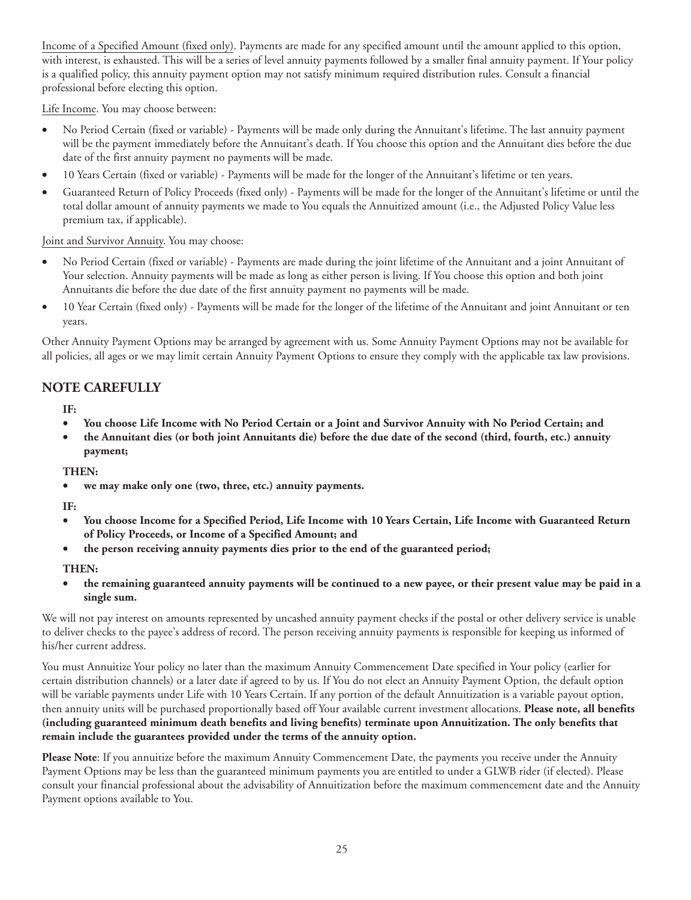Income of a Specified Amount (fixed only). Payments are made for any specified amount until the amount applied to this option, with interest, is exhausted. This will be a series of level annuity payments followed by a smaller final annuity payment. If Your policy is a qualified policy, this annuity payment option may not satisfy minimum required distribution rules. Consult a financial professional before electing this option.

Life Income. You may choose between:

- No Period Certain (fixed or variable) Payments will be made only during the Annuitant's lifetime. The last annuity payment will be the payment immediately before the Annuitant's death. If You choose this option and the Annuitant dies before the due date of the first annuity payment no payments will be made.
- 10 Years Certain (fixed or variable) Payments will be made for the longer of the Annuitant's lifetime or ten years.
- Guaranteed Return of Policy Proceeds (fixed only) Payments will be made for the longer of the Annuitant's lifetime or until the total dollar amount of annuity payments we made to You equals the Annuitized amount (i.e., the Adjusted Policy Value less premium tax, if applicable).

Joint and Survivor Annuity. You may choose:

- No Period Certain (fixed or variable) Payments are made during the joint lifetime of the Annuitant and a joint Annuitant of Your selection. Annuity payments will be made as long as either person is living. If You choose this option and both joint Annuitants die before the due date of the first annuity payment no payments will be made.
- 10 Year Certain (fixed only) Payments will be made for the longer of the lifetime of the Annuitant and joint Annuitant or ten years.

Other Annuity Payment Options may be arranged by agreement with us. Some Annuity Payment Options may not be available for all policies, all ages or we may limit certain Annuity Payment Options to ensure they comply with the applicable tax law provisions.

#### **NOTE CAREFULLY**

**IF:**

- **You choose Life Income with No Period Certain or a Joint and Survivor Annuity with No Period Certain; and**
- **the Annuitant dies (or both joint Annuitants die) before the due date of the second (third, fourth, etc.) annuity payment;**

**THEN:**

we may make only one (two, three, etc.) annuity payments.

**IF:**

- **You choose Income for a Specified Period, Life Income with 10 Years Certain, Life Income with Guaranteed Return of Policy Proceeds, or Income of a Specified Amount; and**
- **the person receiving annuity payments dies prior to the end of the guaranteed period;**

**THEN:**

• **the remaining guaranteed annuity payments will be continued to a new payee, or their present value may be paid in a single sum.**

We will not pay interest on amounts represented by uncashed annuity payment checks if the postal or other delivery service is unable to deliver checks to the payee's address of record. The person receiving annuity payments is responsible for keeping us informed of his/her current address.

You must Annuitize Your policy no later than the maximum Annuity Commencement Date specified in Your policy (earlier for certain distribution channels) or a later date if agreed to by us. If You do not elect an Annuity Payment Option, the default option will be variable payments under Life with 10 Years Certain. If any portion of the default Annuitization is a variable payout option, then annuity units will be purchased proportionally based off Your available current investment allocations. **Please note, all benefits (including guaranteed minimum death benefits and living benefits) terminate upon Annuitization. The only benefits that remain include the guarantees provided under the terms of the annuity option.**

**Please Note**: If you annuitize before the maximum Annuity Commencement Date, the payments you receive under the Annuity Payment Options may be less than the guaranteed minimum payments you are entitled to under a GLWB rider (if elected). Please consult your financial professional about the advisability of Annuitization before the maximum commencement date and the Annuity Payment options available to You.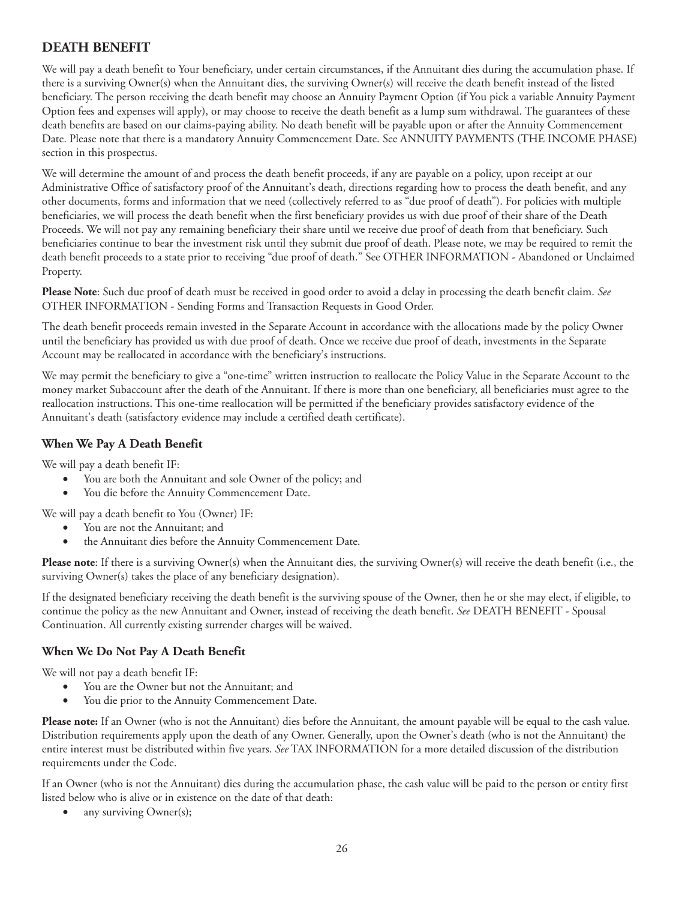#### <span id="page-35-0"></span>**DEATH BENEFIT**

We will pay a death benefit to Your beneficiary, under certain circumstances, if the Annuitant dies during the accumulation phase. If there is a surviving Owner(s) when the Annuitant dies, the surviving Owner(s) will receive the death benefit instead of the listed beneficiary. The person receiving the death benefit may choose an Annuity Payment Option (if You pick a variable Annuity Payment Option fees and expenses will apply), or may choose to receive the death benefit as a lump sum withdrawal. The guarantees of these death benefits are based on our claims-paying ability. No death benefit will be payable upon or after the Annuity Commencement Date. Please note that there is a mandatory Annuity Commencement Date. See ANNUITY PAYMENTS (THE INCOME PHASE) section in this prospectus.

We will determine the amount of and process the death benefit proceeds, if any are payable on a policy, upon receipt at our Administrative Office of satisfactory proof of the Annuitant's death, directions regarding how to process the death benefit, and any other documents, forms and information that we need (collectively referred to as "due proof of death"). For policies with multiple beneficiaries, we will process the death benefit when the first beneficiary provides us with due proof of their share of the Death Proceeds. We will not pay any remaining beneficiary their share until we receive due proof of death from that beneficiary. Such beneficiaries continue to bear the investment risk until they submit due proof of death. Please note, we may be required to remit the death benefit proceeds to a state prior to receiving "due proof of death." See OTHER INFORMATION - Abandoned or Unclaimed Property.

**Please Note**: Such due proof of death must be received in good order to avoid a delay in processing the death benefit claim. *See* OTHER INFORMATION - Sending Forms and Transaction Requests in Good Order.

The death benefit proceeds remain invested in the Separate Account in accordance with the allocations made by the policy Owner until the beneficiary has provided us with due proof of death. Once we receive due proof of death, investments in the Separate Account may be reallocated in accordance with the beneficiary's instructions.

We may permit the beneficiary to give a "one-time" written instruction to reallocate the Policy Value in the Separate Account to the money market Subaccount after the death of the Annuitant. If there is more than one beneficiary, all beneficiaries must agree to the reallocation instructions. This one-time reallocation will be permitted if the beneficiary provides satisfactory evidence of the Annuitant's death (satisfactory evidence may include a certified death certificate).

#### **When We Pay A Death Benefit**

We will pay a death benefit IF:

- You are both the Annuitant and sole Owner of the policy; and
- You die before the Annuity Commencement Date.

We will pay a death benefit to You (Owner) IF:

- You are not the Annuitant; and
- the Annuitant dies before the Annuity Commencement Date.

Please note: If there is a surviving Owner(s) when the Annuitant dies, the surviving Owner(s) will receive the death benefit (i.e., the surviving Owner(s) takes the place of any beneficiary designation).

If the designated beneficiary receiving the death benefit is the surviving spouse of the Owner, then he or she may elect, if eligible, to continue the policy as the new Annuitant and Owner, instead of receiving the death benefit. *See* DEATH BENEFIT - Spousal Continuation. All currently existing surrender charges will be waived.

#### **When We Do Not Pay A Death Benefit**

We will not pay a death benefit IF:

- You are the Owner but not the Annuitant; and
- You die prior to the Annuity Commencement Date.

**Please note:** If an Owner (who is not the Annuitant) dies before the Annuitant, the amount payable will be equal to the cash value. Distribution requirements apply upon the death of any Owner. Generally, upon the Owner's death (who is not the Annuitant) the entire interest must be distributed within five years. *See* TAX INFORMATION for a more detailed discussion of the distribution requirements under the Code.

If an Owner (who is not the Annuitant) dies during the accumulation phase, the cash value will be paid to the person or entity first listed below who is alive or in existence on the date of that death:

any surviving Owner(s);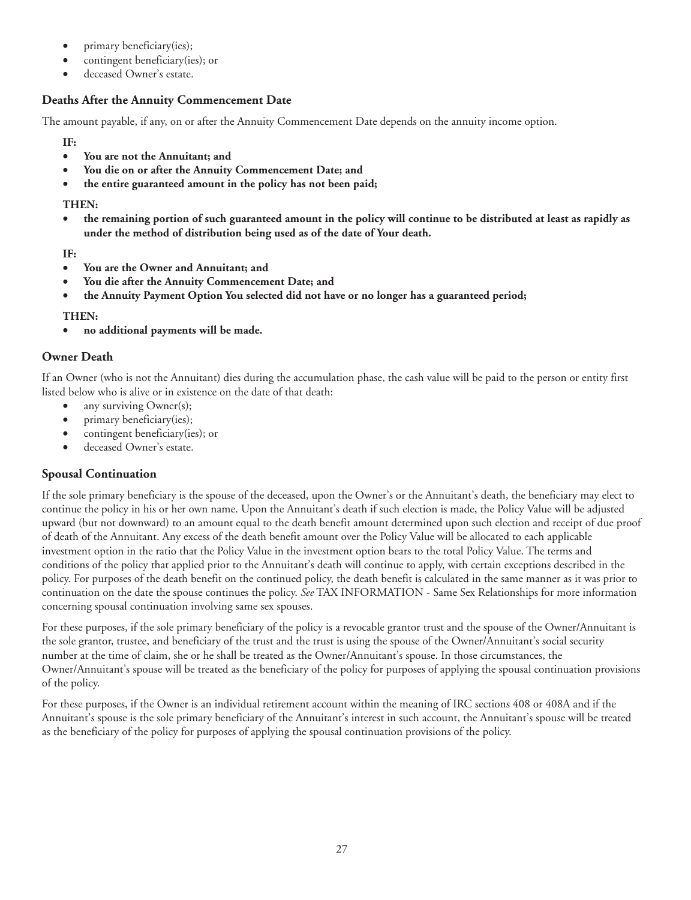- primary beneficiary(ies);
- contingent beneficiary(ies); or
- deceased Owner's estate.

## **Deaths After the Annuity Commencement Date**

The amount payable, if any, on or after the Annuity Commencement Date depends on the annuity income option.

**IF:**

- **You are not the Annuitant; and**
- **You die on or after the Annuity Commencement Date; and**
- **the entire guaranteed amount in the policy has not been paid;**

#### **THEN:**

• **the remaining portion of such guaranteed amount in the policy will continue to be distributed at least as rapidly as under the method of distribution being used as of the date of Your death.**

**IF:**

- **You are the Owner and Annuitant; and**
- **You die after the Annuity Commencement Date; and**
- **the Annuity Payment Option You selected did not have or no longer has a guaranteed period;**

### **THEN:**

• **no additional payments will be made.**

## **Owner Death**

If an Owner (who is not the Annuitant) dies during the accumulation phase, the cash value will be paid to the person or entity first listed below who is alive or in existence on the date of that death:

- any surviving Owner(s);
- primary beneficiary(ies);
- contingent beneficiary(ies); or
- deceased Owner's estate.

# **Spousal Continuation**

If the sole primary beneficiary is the spouse of the deceased, upon the Owner's or the Annuitant's death, the beneficiary may elect to continue the policy in his or her own name. Upon the Annuitant's death if such election is made, the Policy Value will be adjusted upward (but not downward) to an amount equal to the death benefit amount determined upon such election and receipt of due proof of death of the Annuitant. Any excess of the death benefit amount over the Policy Value will be allocated to each applicable investment option in the ratio that the Policy Value in the investment option bears to the total Policy Value. The terms and conditions of the policy that applied prior to the Annuitant's death will continue to apply, with certain exceptions described in the policy. For purposes of the death benefit on the continued policy, the death benefit is calculated in the same manner as it was prior to continuation on the date the spouse continues the policy. *See* TAX INFORMATION - Same Sex Relationships for more information concerning spousal continuation involving same sex spouses.

For these purposes, if the sole primary beneficiary of the policy is a revocable grantor trust and the spouse of the Owner/Annuitant is the sole grantor, trustee, and beneficiary of the trust and the trust is using the spouse of the Owner/Annuitant's social security number at the time of claim, she or he shall be treated as the Owner/Annuitant's spouse. In those circumstances, the Owner/Annuitant's spouse will be treated as the beneficiary of the policy for purposes of applying the spousal continuation provisions of the policy.

For these purposes, if the Owner is an individual retirement account within the meaning of IRC sections 408 or 408A and if the Annuitant's spouse is the sole primary beneficiary of the Annuitant's interest in such account, the Annuitant's spouse will be treated as the beneficiary of the policy for purposes of applying the spousal continuation provisions of the policy.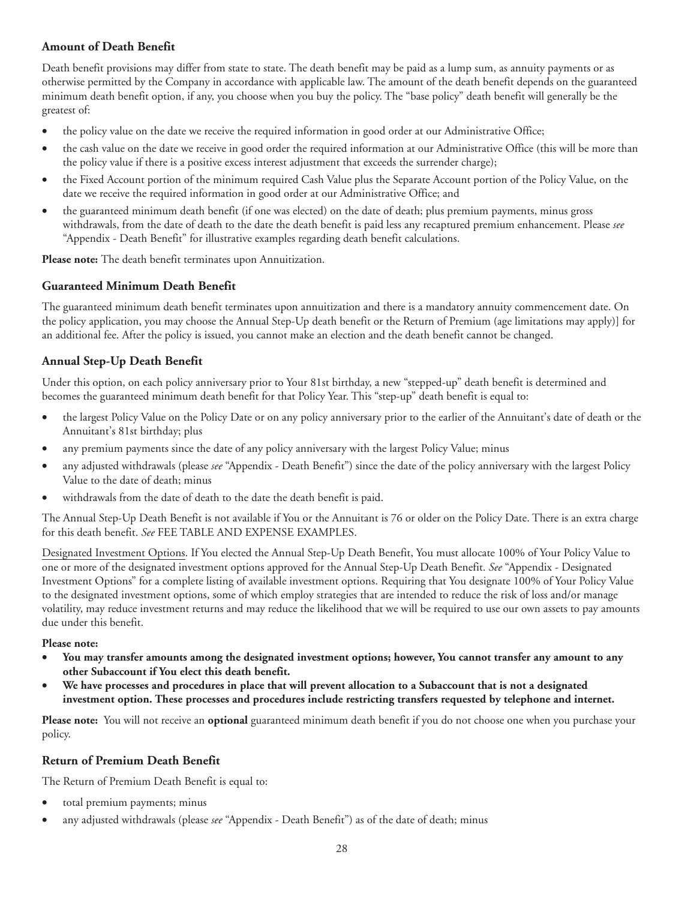## **Amount of Death Benefit**

Death benefit provisions may differ from state to state. The death benefit may be paid as a lump sum, as annuity payments or as otherwise permitted by the Company in accordance with applicable law. The amount of the death benefit depends on the guaranteed minimum death benefit option, if any, you choose when you buy the policy. The "base policy" death benefit will generally be the greatest of:

- the policy value on the date we receive the required information in good order at our Administrative Office;
- the cash value on the date we receive in good order the required information at our Administrative Office (this will be more than the policy value if there is a positive excess interest adjustment that exceeds the surrender charge);
- the Fixed Account portion of the minimum required Cash Value plus the Separate Account portion of the Policy Value, on the date we receive the required information in good order at our Administrative Office; and
- the guaranteed minimum death benefit (if one was elected) on the date of death; plus premium payments, minus gross withdrawals, from the date of death to the date the death benefit is paid less any recaptured premium enhancement. Please *see* "Appendix - Death Benefit" for illustrative examples regarding death benefit calculations.

**Please note:** The death benefit terminates upon Annuitization.

## **Guaranteed Minimum Death Benefit**

The guaranteed minimum death benefit terminates upon annuitization and there is a mandatory annuity commencement date. On the policy application, you may choose the Annual Step-Up death benefit or the Return of Premium (age limitations may apply)] for an additional fee. After the policy is issued, you cannot make an election and the death benefit cannot be changed.

# **Annual Step-Up Death Benefit**

Under this option, on each policy anniversary prior to Your 81st birthday, a new "stepped-up" death benefit is determined and becomes the guaranteed minimum death benefit for that Policy Year. This "step-up" death benefit is equal to:

- the largest Policy Value on the Policy Date or on any policy anniversary prior to the earlier of the Annuitant's date of death or the Annuitant's 81st birthday; plus
- any premium payments since the date of any policy anniversary with the largest Policy Value; minus
- any adjusted withdrawals (please *see* "Appendix Death Benefit") since the date of the policy anniversary with the largest Policy Value to the date of death; minus
- withdrawals from the date of death to the date the death benefit is paid.

The Annual Step-Up Death Benefit is not available if You or the Annuitant is 76 or older on the Policy Date. There is an extra charge for this death benefit. *See* FEE TABLE AND EXPENSE EXAMPLES.

Designated Investment Options. If You elected the Annual Step-Up Death Benefit, You must allocate 100% of Your Policy Value to one or more of the designated investment options approved for the Annual Step-Up Death Benefit. *See* "Appendix - Designated Investment Options" for a complete listing of available investment options. Requiring that You designate 100% of Your Policy Value to the designated investment options, some of which employ strategies that are intended to reduce the risk of loss and/or manage volatility, may reduce investment returns and may reduce the likelihood that we will be required to use our own assets to pay amounts due under this benefit.

#### **Please note:**

- **You may transfer amounts among the designated investment options; however, You cannot transfer any amount to any other Subaccount if You elect this death benefit.**
- **We have processes and procedures in place that will prevent allocation to a Subaccount that is not a designated investment option. These processes and procedures include restricting transfers requested by telephone and internet.**

**Please note:** You will not receive an **optional** guaranteed minimum death benefit if you do not choose one when you purchase your policy.

### **Return of Premium Death Benefit**

The Return of Premium Death Benefit is equal to:

- total premium payments; minus
- any adjusted withdrawals (please *see* "Appendix Death Benefit") as of the date of death; minus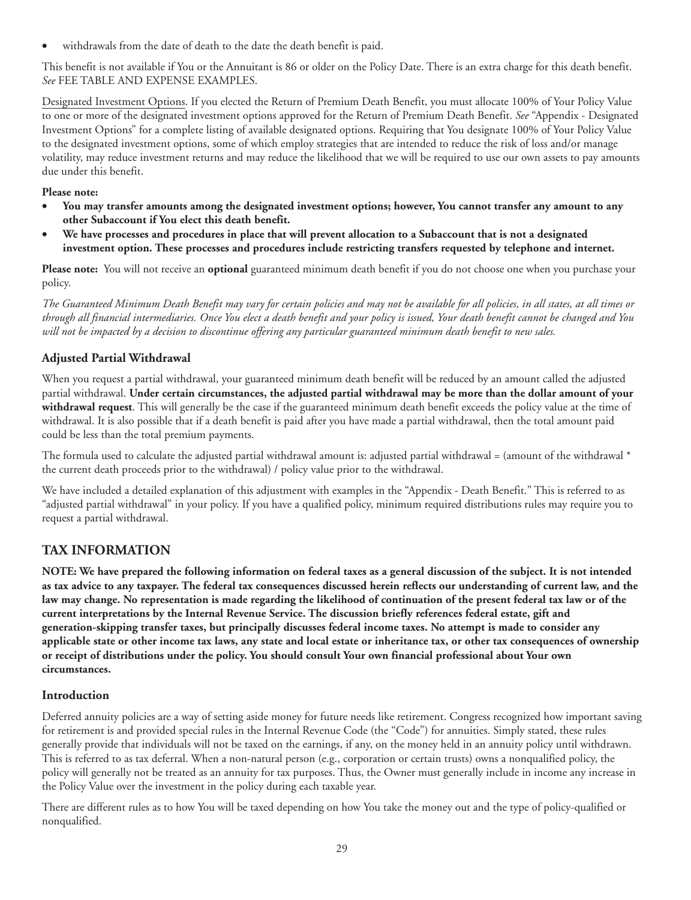withdrawals from the date of death to the date the death benefit is paid.

This benefit is not available if You or the Annuitant is 86 or older on the Policy Date. There is an extra charge for this death benefit. *See* FEE TABLE AND EXPENSE EXAMPLES.

Designated Investment Options. If you elected the Return of Premium Death Benefit, you must allocate 100% of Your Policy Value to one or more of the designated investment options approved for the Return of Premium Death Benefit. *See* "Appendix - Designated Investment Options" for a complete listing of available designated options. Requiring that You designate 100% of Your Policy Value to the designated investment options, some of which employ strategies that are intended to reduce the risk of loss and/or manage volatility, may reduce investment returns and may reduce the likelihood that we will be required to use our own assets to pay amounts due under this benefit.

#### **Please note:**

- **You may transfer amounts among the designated investment options; however, You cannot transfer any amount to any other Subaccount if You elect this death benefit.**
- **We have processes and procedures in place that will prevent allocation to a Subaccount that is not a designated investment option. These processes and procedures include restricting transfers requested by telephone and internet.**

**Please note:** You will not receive an **optional** guaranteed minimum death benefit if you do not choose one when you purchase your policy.

*The Guaranteed Minimum Death Benefit may vary for certain policies and may not be available for all policies, in all states, at all times or through all financial intermediaries. Once You elect a death benefit and your policy is issued, Your death benefit cannot be changed and You will not be impacted by a decision to discontinue offering any particular guaranteed minimum death benefit to new sales.*

# **Adjusted Partial Withdrawal**

When you request a partial withdrawal, your guaranteed minimum death benefit will be reduced by an amount called the adjusted partial withdrawal. **Under certain circumstances, the adjusted partial withdrawal may be more than the dollar amount of your withdrawal request**. This will generally be the case if the guaranteed minimum death benefit exceeds the policy value at the time of withdrawal. It is also possible that if a death benefit is paid after you have made a partial withdrawal, then the total amount paid could be less than the total premium payments.

The formula used to calculate the adjusted partial withdrawal amount is: adjusted partial withdrawal = (amount of the withdrawal \* the current death proceeds prior to the withdrawal) / policy value prior to the withdrawal.

We have included a detailed explanation of this adjustment with examples in the "Appendix - Death Benefit." This is referred to as "adjusted partial withdrawal" in your policy. If you have a qualified policy, minimum required distributions rules may require you to request a partial withdrawal.

# **TAX INFORMATION**

**NOTE: We have prepared the following information on federal taxes as a general discussion of the subject. It is not intended as tax advice to any taxpayer. The federal tax consequences discussed herein reflects our understanding of current law, and the law may change. No representation is made regarding the likelihood of continuation of the present federal tax law or of the current interpretations by the Internal Revenue Service. The discussion briefly references federal estate, gift and generation-skipping transfer taxes, but principally discusses federal income taxes. No attempt is made to consider any applicable state or other income tax laws, any state and local estate or inheritance tax, or other tax consequences of ownership or receipt of distributions under the policy. You should consult Your own financial professional about Your own circumstances.**

### **Introduction**

Deferred annuity policies are a way of setting aside money for future needs like retirement. Congress recognized how important saving for retirement is and provided special rules in the Internal Revenue Code (the "Code") for annuities. Simply stated, these rules generally provide that individuals will not be taxed on the earnings, if any, on the money held in an annuity policy until withdrawn. This is referred to as tax deferral. When a non-natural person (e.g., corporation or certain trusts) owns a nonqualified policy, the policy will generally not be treated as an annuity for tax purposes. Thus, the Owner must generally include in income any increase in the Policy Value over the investment in the policy during each taxable year.

There are different rules as to how You will be taxed depending on how You take the money out and the type of policy-qualified or nonqualified.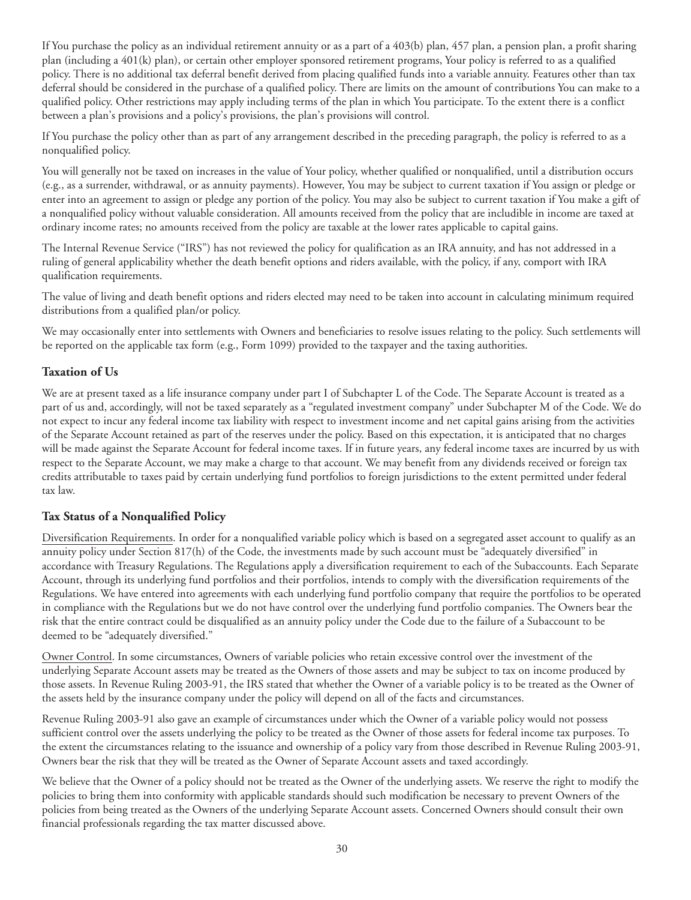If You purchase the policy as an individual retirement annuity or as a part of a 403(b) plan, 457 plan, a pension plan, a profit sharing plan (including a 401(k) plan), or certain other employer sponsored retirement programs, Your policy is referred to as a qualified policy. There is no additional tax deferral benefit derived from placing qualified funds into a variable annuity. Features other than tax deferral should be considered in the purchase of a qualified policy. There are limits on the amount of contributions You can make to a qualified policy. Other restrictions may apply including terms of the plan in which You participate. To the extent there is a conflict between a plan's provisions and a policy's provisions, the plan's provisions will control.

If You purchase the policy other than as part of any arrangement described in the preceding paragraph, the policy is referred to as a nonqualified policy.

You will generally not be taxed on increases in the value of Your policy, whether qualified or nonqualified, until a distribution occurs (e.g., as a surrender, withdrawal, or as annuity payments). However, You may be subject to current taxation if You assign or pledge or enter into an agreement to assign or pledge any portion of the policy. You may also be subject to current taxation if You make a gift of a nonqualified policy without valuable consideration. All amounts received from the policy that are includible in income are taxed at ordinary income rates; no amounts received from the policy are taxable at the lower rates applicable to capital gains.

The Internal Revenue Service ("IRS") has not reviewed the policy for qualification as an IRA annuity, and has not addressed in a ruling of general applicability whether the death benefit options and riders available, with the policy, if any, comport with IRA qualification requirements.

The value of living and death benefit options and riders elected may need to be taken into account in calculating minimum required distributions from a qualified plan/or policy.

We may occasionally enter into settlements with Owners and beneficiaries to resolve issues relating to the policy. Such settlements will be reported on the applicable tax form (e.g., Form 1099) provided to the taxpayer and the taxing authorities.

## **Taxation of Us**

We are at present taxed as a life insurance company under part I of Subchapter L of the Code. The Separate Account is treated as a part of us and, accordingly, will not be taxed separately as a "regulated investment company" under Subchapter M of the Code. We do not expect to incur any federal income tax liability with respect to investment income and net capital gains arising from the activities of the Separate Account retained as part of the reserves under the policy. Based on this expectation, it is anticipated that no charges will be made against the Separate Account for federal income taxes. If in future years, any federal income taxes are incurred by us with respect to the Separate Account, we may make a charge to that account. We may benefit from any dividends received or foreign tax credits attributable to taxes paid by certain underlying fund portfolios to foreign jurisdictions to the extent permitted under federal tax law.

### **Tax Status of a Nonqualified Policy**

Diversification Requirements. In order for a nonqualified variable policy which is based on a segregated asset account to qualify as an annuity policy under Section 817(h) of the Code, the investments made by such account must be "adequately diversified" in accordance with Treasury Regulations. The Regulations apply a diversification requirement to each of the Subaccounts. Each Separate Account, through its underlying fund portfolios and their portfolios, intends to comply with the diversification requirements of the Regulations. We have entered into agreements with each underlying fund portfolio company that require the portfolios to be operated in compliance with the Regulations but we do not have control over the underlying fund portfolio companies. The Owners bear the risk that the entire contract could be disqualified as an annuity policy under the Code due to the failure of a Subaccount to be deemed to be "adequately diversified."

Owner Control. In some circumstances, Owners of variable policies who retain excessive control over the investment of the underlying Separate Account assets may be treated as the Owners of those assets and may be subject to tax on income produced by those assets. In Revenue Ruling 2003-91, the IRS stated that whether the Owner of a variable policy is to be treated as the Owner of the assets held by the insurance company under the policy will depend on all of the facts and circumstances.

Revenue Ruling 2003-91 also gave an example of circumstances under which the Owner of a variable policy would not possess sufficient control over the assets underlying the policy to be treated as the Owner of those assets for federal income tax purposes. To the extent the circumstances relating to the issuance and ownership of a policy vary from those described in Revenue Ruling 2003-91, Owners bear the risk that they will be treated as the Owner of Separate Account assets and taxed accordingly.

We believe that the Owner of a policy should not be treated as the Owner of the underlying assets. We reserve the right to modify the policies to bring them into conformity with applicable standards should such modification be necessary to prevent Owners of the policies from being treated as the Owners of the underlying Separate Account assets. Concerned Owners should consult their own financial professionals regarding the tax matter discussed above.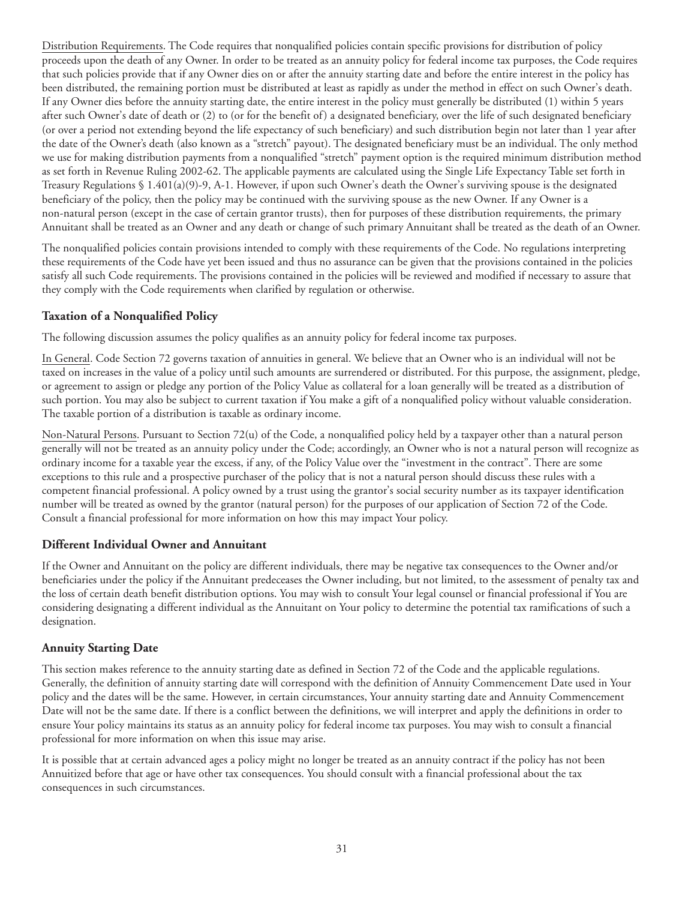Distribution Requirements. The Code requires that nonqualified policies contain specific provisions for distribution of policy proceeds upon the death of any Owner. In order to be treated as an annuity policy for federal income tax purposes, the Code requires that such policies provide that if any Owner dies on or after the annuity starting date and before the entire interest in the policy has been distributed, the remaining portion must be distributed at least as rapidly as under the method in effect on such Owner's death. If any Owner dies before the annuity starting date, the entire interest in the policy must generally be distributed (1) within 5 years after such Owner's date of death or (2) to (or for the benefit of) a designated beneficiary, over the life of such designated beneficiary (or over a period not extending beyond the life expectancy of such beneficiary) and such distribution begin not later than 1 year after the date of the Owner's death (also known as a "stretch" payout). The designated beneficiary must be an individual. The only method we use for making distribution payments from a nonqualified "stretch" payment option is the required minimum distribution method as set forth in Revenue Ruling 2002-62. The applicable payments are calculated using the Single Life Expectancy Table set forth in Treasury Regulations  $\S 1.401(a)(9)-9$ , A-1. However, if upon such Owner's death the Owner's surviving spouse is the designated beneficiary of the policy, then the policy may be continued with the surviving spouse as the new Owner. If any Owner is a non-natural person (except in the case of certain grantor trusts), then for purposes of these distribution requirements, the primary Annuitant shall be treated as an Owner and any death or change of such primary Annuitant shall be treated as the death of an Owner.

The nonqualified policies contain provisions intended to comply with these requirements of the Code. No regulations interpreting these requirements of the Code have yet been issued and thus no assurance can be given that the provisions contained in the policies satisfy all such Code requirements. The provisions contained in the policies will be reviewed and modified if necessary to assure that they comply with the Code requirements when clarified by regulation or otherwise.

# **Taxation of a Nonqualified Policy**

The following discussion assumes the policy qualifies as an annuity policy for federal income tax purposes.

In General. Code Section 72 governs taxation of annuities in general. We believe that an Owner who is an individual will not be taxed on increases in the value of a policy until such amounts are surrendered or distributed. For this purpose, the assignment, pledge, or agreement to assign or pledge any portion of the Policy Value as collateral for a loan generally will be treated as a distribution of such portion. You may also be subject to current taxation if You make a gift of a nonqualified policy without valuable consideration. The taxable portion of a distribution is taxable as ordinary income.

Non-Natural Persons. Pursuant to Section 72(u) of the Code, a nonqualified policy held by a taxpayer other than a natural person generally will not be treated as an annuity policy under the Code; accordingly, an Owner who is not a natural person will recognize as ordinary income for a taxable year the excess, if any, of the Policy Value over the "investment in the contract". There are some exceptions to this rule and a prospective purchaser of the policy that is not a natural person should discuss these rules with a competent financial professional. A policy owned by a trust using the grantor's social security number as its taxpayer identification number will be treated as owned by the grantor (natural person) for the purposes of our application of Section 72 of the Code. Consult a financial professional for more information on how this may impact Your policy.

### **Different Individual Owner and Annuitant**

If the Owner and Annuitant on the policy are different individuals, there may be negative tax consequences to the Owner and/or beneficiaries under the policy if the Annuitant predeceases the Owner including, but not limited, to the assessment of penalty tax and the loss of certain death benefit distribution options. You may wish to consult Your legal counsel or financial professional if You are considering designating a different individual as the Annuitant on Your policy to determine the potential tax ramifications of such a designation.

### **Annuity Starting Date**

This section makes reference to the annuity starting date as defined in Section 72 of the Code and the applicable regulations. Generally, the definition of annuity starting date will correspond with the definition of Annuity Commencement Date used in Your policy and the dates will be the same. However, in certain circumstances, Your annuity starting date and Annuity Commencement Date will not be the same date. If there is a conflict between the definitions, we will interpret and apply the definitions in order to ensure Your policy maintains its status as an annuity policy for federal income tax purposes. You may wish to consult a financial professional for more information on when this issue may arise.

It is possible that at certain advanced ages a policy might no longer be treated as an annuity contract if the policy has not been Annuitized before that age or have other tax consequences. You should consult with a financial professional about the tax consequences in such circumstances.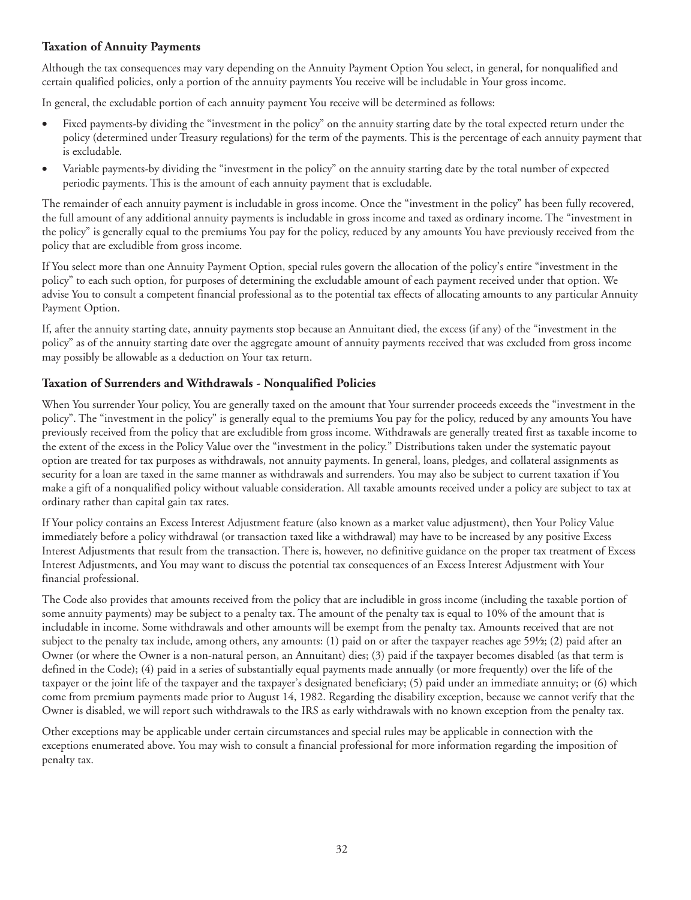## **Taxation of Annuity Payments**

Although the tax consequences may vary depending on the Annuity Payment Option You select, in general, for nonqualified and certain qualified policies, only a portion of the annuity payments You receive will be includable in Your gross income.

In general, the excludable portion of each annuity payment You receive will be determined as follows:

- Fixed payments-by dividing the "investment in the policy" on the annuity starting date by the total expected return under the policy (determined under Treasury regulations) for the term of the payments. This is the percentage of each annuity payment that is excludable.
- Variable payments-by dividing the "investment in the policy" on the annuity starting date by the total number of expected periodic payments. This is the amount of each annuity payment that is excludable.

The remainder of each annuity payment is includable in gross income. Once the "investment in the policy" has been fully recovered, the full amount of any additional annuity payments is includable in gross income and taxed as ordinary income. The "investment in the policy" is generally equal to the premiums You pay for the policy, reduced by any amounts You have previously received from the policy that are excludible from gross income.

If You select more than one Annuity Payment Option, special rules govern the allocation of the policy's entire "investment in the policy" to each such option, for purposes of determining the excludable amount of each payment received under that option. We advise You to consult a competent financial professional as to the potential tax effects of allocating amounts to any particular Annuity Payment Option.

If, after the annuity starting date, annuity payments stop because an Annuitant died, the excess (if any) of the "investment in the policy" as of the annuity starting date over the aggregate amount of annuity payments received that was excluded from gross income may possibly be allowable as a deduction on Your tax return.

## **Taxation of Surrenders and Withdrawals - Nonqualified Policies**

When You surrender Your policy, You are generally taxed on the amount that Your surrender proceeds exceeds the "investment in the policy". The "investment in the policy" is generally equal to the premiums You pay for the policy, reduced by any amounts You have previously received from the policy that are excludible from gross income. Withdrawals are generally treated first as taxable income to the extent of the excess in the Policy Value over the "investment in the policy." Distributions taken under the systematic payout option are treated for tax purposes as withdrawals, not annuity payments. In general, loans, pledges, and collateral assignments as security for a loan are taxed in the same manner as withdrawals and surrenders. You may also be subject to current taxation if You make a gift of a nonqualified policy without valuable consideration. All taxable amounts received under a policy are subject to tax at ordinary rather than capital gain tax rates.

If Your policy contains an Excess Interest Adjustment feature (also known as a market value adjustment), then Your Policy Value immediately before a policy withdrawal (or transaction taxed like a withdrawal) may have to be increased by any positive Excess Interest Adjustments that result from the transaction. There is, however, no definitive guidance on the proper tax treatment of Excess Interest Adjustments, and You may want to discuss the potential tax consequences of an Excess Interest Adjustment with Your financial professional.

The Code also provides that amounts received from the policy that are includible in gross income (including the taxable portion of some annuity payments) may be subject to a penalty tax. The amount of the penalty tax is equal to 10% of the amount that is includable in income. Some withdrawals and other amounts will be exempt from the penalty tax. Amounts received that are not subject to the penalty tax include, among others, any amounts: (1) paid on or after the taxpayer reaches age  $59\frac{1}{2}$ ; (2) paid after an Owner (or where the Owner is a non-natural person, an Annuitant) dies; (3) paid if the taxpayer becomes disabled (as that term is defined in the Code); (4) paid in a series of substantially equal payments made annually (or more frequently) over the life of the taxpayer or the joint life of the taxpayer and the taxpayer's designated beneficiary; (5) paid under an immediate annuity; or (6) which come from premium payments made prior to August 14, 1982. Regarding the disability exception, because we cannot verify that the Owner is disabled, we will report such withdrawals to the IRS as early withdrawals with no known exception from the penalty tax.

Other exceptions may be applicable under certain circumstances and special rules may be applicable in connection with the exceptions enumerated above. You may wish to consult a financial professional for more information regarding the imposition of penalty tax.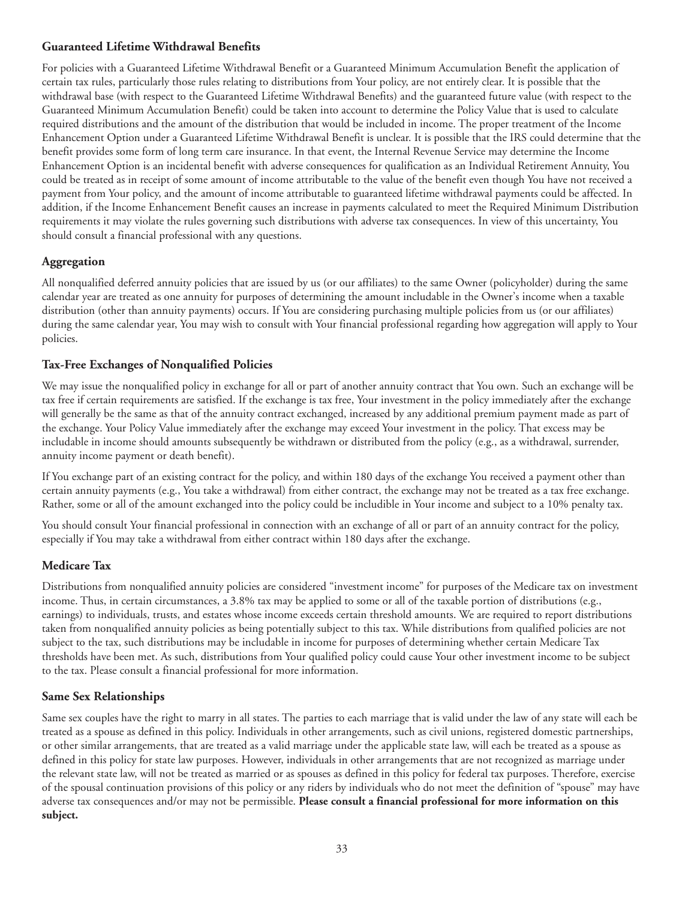### **Guaranteed Lifetime Withdrawal Benefits**

For policies with a Guaranteed Lifetime Withdrawal Benefit or a Guaranteed Minimum Accumulation Benefit the application of certain tax rules, particularly those rules relating to distributions from Your policy, are not entirely clear. It is possible that the withdrawal base (with respect to the Guaranteed Lifetime Withdrawal Benefits) and the guaranteed future value (with respect to the Guaranteed Minimum Accumulation Benefit) could be taken into account to determine the Policy Value that is used to calculate required distributions and the amount of the distribution that would be included in income. The proper treatment of the Income Enhancement Option under a Guaranteed Lifetime Withdrawal Benefit is unclear. It is possible that the IRS could determine that the benefit provides some form of long term care insurance. In that event, the Internal Revenue Service may determine the Income Enhancement Option is an incidental benefit with adverse consequences for qualification as an Individual Retirement Annuity, You could be treated as in receipt of some amount of income attributable to the value of the benefit even though You have not received a payment from Your policy, and the amount of income attributable to guaranteed lifetime withdrawal payments could be affected. In addition, if the Income Enhancement Benefit causes an increase in payments calculated to meet the Required Minimum Distribution requirements it may violate the rules governing such distributions with adverse tax consequences. In view of this uncertainty, You should consult a financial professional with any questions.

# **Aggregation**

All nonqualified deferred annuity policies that are issued by us (or our affiliates) to the same Owner (policyholder) during the same calendar year are treated as one annuity for purposes of determining the amount includable in the Owner's income when a taxable distribution (other than annuity payments) occurs. If You are considering purchasing multiple policies from us (or our affiliates) during the same calendar year, You may wish to consult with Your financial professional regarding how aggregation will apply to Your policies.

# **Tax-Free Exchanges of Nonqualified Policies**

We may issue the nonqualified policy in exchange for all or part of another annuity contract that You own. Such an exchange will be tax free if certain requirements are satisfied. If the exchange is tax free, Your investment in the policy immediately after the exchange will generally be the same as that of the annuity contract exchanged, increased by any additional premium payment made as part of the exchange. Your Policy Value immediately after the exchange may exceed Your investment in the policy. That excess may be includable in income should amounts subsequently be withdrawn or distributed from the policy (e.g., as a withdrawal, surrender, annuity income payment or death benefit).

If You exchange part of an existing contract for the policy, and within 180 days of the exchange You received a payment other than certain annuity payments (e.g., You take a withdrawal) from either contract, the exchange may not be treated as a tax free exchange. Rather, some or all of the amount exchanged into the policy could be includible in Your income and subject to a 10% penalty tax.

You should consult Your financial professional in connection with an exchange of all or part of an annuity contract for the policy, especially if You may take a withdrawal from either contract within 180 days after the exchange.

### **Medicare Tax**

Distributions from nonqualified annuity policies are considered "investment income" for purposes of the Medicare tax on investment income. Thus, in certain circumstances, a 3.8% tax may be applied to some or all of the taxable portion of distributions (e.g., earnings) to individuals, trusts, and estates whose income exceeds certain threshold amounts. We are required to report distributions taken from nonqualified annuity policies as being potentially subject to this tax. While distributions from qualified policies are not subject to the tax, such distributions may be includable in income for purposes of determining whether certain Medicare Tax thresholds have been met. As such, distributions from Your qualified policy could cause Your other investment income to be subject to the tax. Please consult a financial professional for more information.

# **Same Sex Relationships**

Same sex couples have the right to marry in all states. The parties to each marriage that is valid under the law of any state will each be treated as a spouse as defined in this policy. Individuals in other arrangements, such as civil unions, registered domestic partnerships, or other similar arrangements, that are treated as a valid marriage under the applicable state law, will each be treated as a spouse as defined in this policy for state law purposes. However, individuals in other arrangements that are not recognized as marriage under the relevant state law, will not be treated as married or as spouses as defined in this policy for federal tax purposes. Therefore, exercise of the spousal continuation provisions of this policy or any riders by individuals who do not meet the definition of "spouse" may have adverse tax consequences and/or may not be permissible. **Please consult a financial professional for more information on this subject.**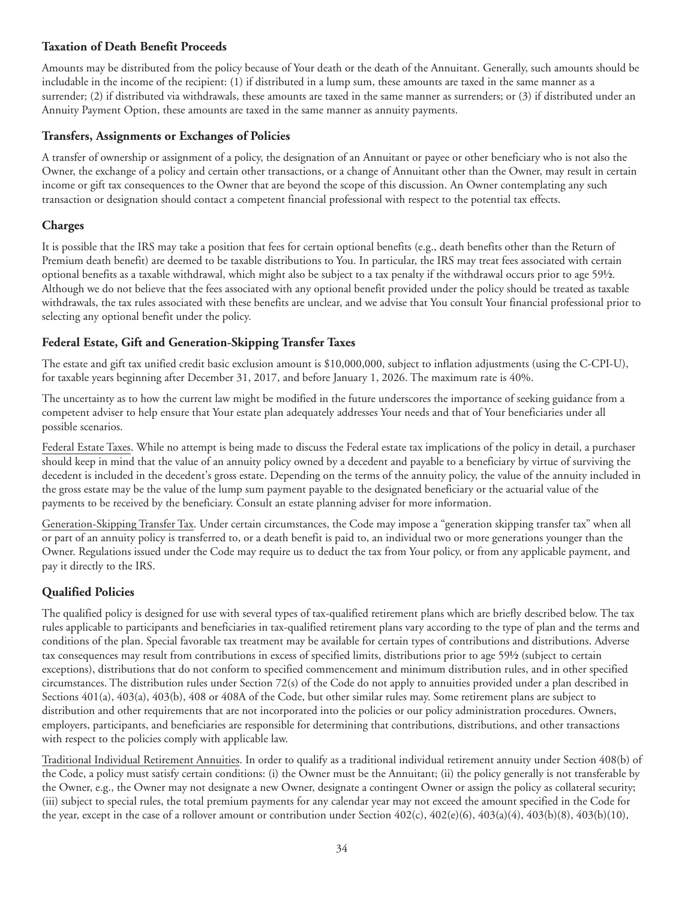### **Taxation of Death Benefit Proceeds**

Amounts may be distributed from the policy because of Your death or the death of the Annuitant. Generally, such amounts should be includable in the income of the recipient: (1) if distributed in a lump sum, these amounts are taxed in the same manner as a surrender; (2) if distributed via withdrawals, these amounts are taxed in the same manner as surrenders; or (3) if distributed under an Annuity Payment Option, these amounts are taxed in the same manner as annuity payments.

## **Transfers, Assignments or Exchanges of Policies**

A transfer of ownership or assignment of a policy, the designation of an Annuitant or payee or other beneficiary who is not also the Owner, the exchange of a policy and certain other transactions, or a change of Annuitant other than the Owner, may result in certain income or gift tax consequences to the Owner that are beyond the scope of this discussion. An Owner contemplating any such transaction or designation should contact a competent financial professional with respect to the potential tax effects.

# **Charges**

It is possible that the IRS may take a position that fees for certain optional benefits (e.g., death benefits other than the Return of Premium death benefit) are deemed to be taxable distributions to You. In particular, the IRS may treat fees associated with certain optional benefits as a taxable withdrawal, which might also be subject to a tax penalty if the withdrawal occurs prior to age 59½. Although we do not believe that the fees associated with any optional benefit provided under the policy should be treated as taxable withdrawals, the tax rules associated with these benefits are unclear, and we advise that You consult Your financial professional prior to selecting any optional benefit under the policy.

## **Federal Estate, Gift and Generation-Skipping Transfer Taxes**

The estate and gift tax unified credit basic exclusion amount is \$10,000,000, subject to inflation adjustments (using the C-CPI-U), for taxable years beginning after December 31, 2017, and before January 1, 2026. The maximum rate is 40%.

The uncertainty as to how the current law might be modified in the future underscores the importance of seeking guidance from a competent adviser to help ensure that Your estate plan adequately addresses Your needs and that of Your beneficiaries under all possible scenarios.

Federal Estate Taxes. While no attempt is being made to discuss the Federal estate tax implications of the policy in detail, a purchaser should keep in mind that the value of an annuity policy owned by a decedent and payable to a beneficiary by virtue of surviving the decedent is included in the decedent's gross estate. Depending on the terms of the annuity policy, the value of the annuity included in the gross estate may be the value of the lump sum payment payable to the designated beneficiary or the actuarial value of the payments to be received by the beneficiary. Consult an estate planning adviser for more information.

Generation-Skipping Transfer Tax. Under certain circumstances, the Code may impose a "generation skipping transfer tax" when all or part of an annuity policy is transferred to, or a death benefit is paid to, an individual two or more generations younger than the Owner. Regulations issued under the Code may require us to deduct the tax from Your policy, or from any applicable payment, and pay it directly to the IRS.

# **Qualified Policies**

The qualified policy is designed for use with several types of tax-qualified retirement plans which are briefly described below. The tax rules applicable to participants and beneficiaries in tax-qualified retirement plans vary according to the type of plan and the terms and conditions of the plan. Special favorable tax treatment may be available for certain types of contributions and distributions. Adverse tax consequences may result from contributions in excess of specified limits, distributions prior to age 59½ (subject to certain exceptions), distributions that do not conform to specified commencement and minimum distribution rules, and in other specified circumstances. The distribution rules under Section 72(s) of the Code do not apply to annuities provided under a plan described in Sections 401(a), 403(a), 403(b), 408 or 408A of the Code, but other similar rules may. Some retirement plans are subject to distribution and other requirements that are not incorporated into the policies or our policy administration procedures. Owners, employers, participants, and beneficiaries are responsible for determining that contributions, distributions, and other transactions with respect to the policies comply with applicable law.

Traditional Individual Retirement Annuities. In order to qualify as a traditional individual retirement annuity under Section 408(b) of the Code, a policy must satisfy certain conditions: (i) the Owner must be the Annuitant; (ii) the policy generally is not transferable by the Owner, e.g., the Owner may not designate a new Owner, designate a contingent Owner or assign the policy as collateral security; (iii) subject to special rules, the total premium payments for any calendar year may not exceed the amount specified in the Code for the year, except in the case of a rollover amount or contribution under Section  $402(c)$ ,  $402(e)(6)$ ,  $403(a)(4)$ ,  $403(b)(8)$ ,  $403(b)(10)$ ,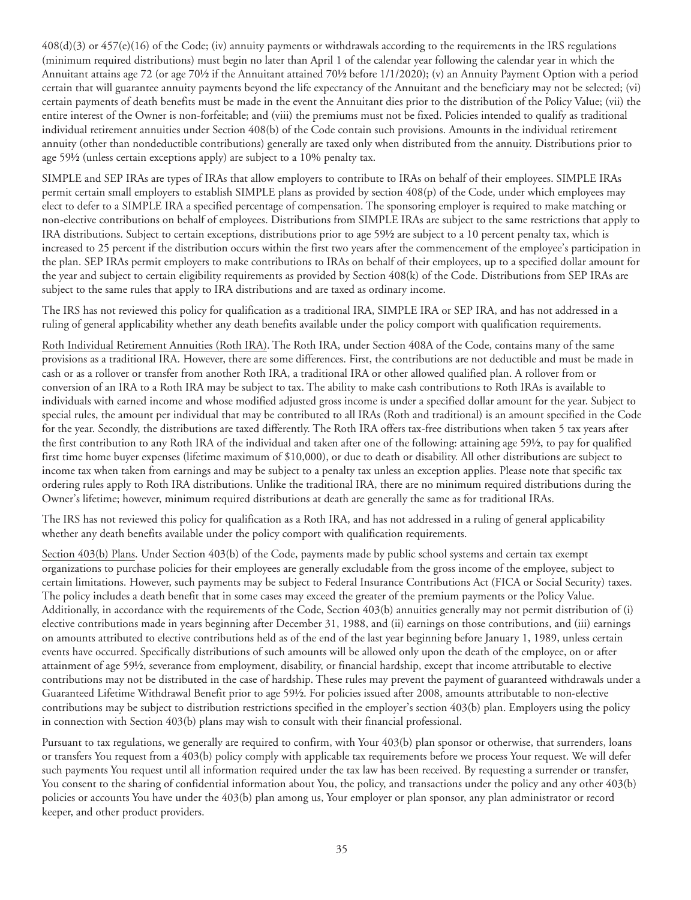408(d)(3) or 457(e)(16) of the Code; (iv) annuity payments or withdrawals according to the requirements in the IRS regulations (minimum required distributions) must begin no later than April 1 of the calendar year following the calendar year in which the Annuitant attains age 72 (or age 70½ if the Annuitant attained 70½ before 1/1/2020); (v) an Annuity Payment Option with a period certain that will guarantee annuity payments beyond the life expectancy of the Annuitant and the beneficiary may not be selected; (vi) certain payments of death benefits must be made in the event the Annuitant dies prior to the distribution of the Policy Value; (vii) the entire interest of the Owner is non-forfeitable; and (viii) the premiums must not be fixed. Policies intended to qualify as traditional individual retirement annuities under Section 408(b) of the Code contain such provisions. Amounts in the individual retirement annuity (other than nondeductible contributions) generally are taxed only when distributed from the annuity. Distributions prior to age 59½ (unless certain exceptions apply) are subject to a 10% penalty tax.

SIMPLE and SEP IRAs are types of IRAs that allow employers to contribute to IRAs on behalf of their employees. SIMPLE IRAs permit certain small employers to establish SIMPLE plans as provided by section 408(p) of the Code, under which employees may elect to defer to a SIMPLE IRA a specified percentage of compensation. The sponsoring employer is required to make matching or non-elective contributions on behalf of employees. Distributions from SIMPLE IRAs are subject to the same restrictions that apply to IRA distributions. Subject to certain exceptions, distributions prior to age 59½ are subject to a 10 percent penalty tax, which is increased to 25 percent if the distribution occurs within the first two years after the commencement of the employee's participation in the plan. SEP IRAs permit employers to make contributions to IRAs on behalf of their employees, up to a specified dollar amount for the year and subject to certain eligibility requirements as provided by Section 408(k) of the Code. Distributions from SEP IRAs are subject to the same rules that apply to IRA distributions and are taxed as ordinary income.

The IRS has not reviewed this policy for qualification as a traditional IRA, SIMPLE IRA or SEP IRA, and has not addressed in a ruling of general applicability whether any death benefits available under the policy comport with qualification requirements.

Roth Individual Retirement Annuities (Roth IRA). The Roth IRA, under Section 408A of the Code, contains many of the same provisions as a traditional IRA. However, there are some differences. First, the contributions are not deductible and must be made in cash or as a rollover or transfer from another Roth IRA, a traditional IRA or other allowed qualified plan. A rollover from or conversion of an IRA to a Roth IRA may be subject to tax. The ability to make cash contributions to Roth IRAs is available to individuals with earned income and whose modified adjusted gross income is under a specified dollar amount for the year. Subject to special rules, the amount per individual that may be contributed to all IRAs (Roth and traditional) is an amount specified in the Code for the year. Secondly, the distributions are taxed differently. The Roth IRA offers tax-free distributions when taken 5 tax years after the first contribution to any Roth IRA of the individual and taken after one of the following: attaining age 59½, to pay for qualified first time home buyer expenses (lifetime maximum of \$10,000), or due to death or disability. All other distributions are subject to income tax when taken from earnings and may be subject to a penalty tax unless an exception applies. Please note that specific tax ordering rules apply to Roth IRA distributions. Unlike the traditional IRA, there are no minimum required distributions during the Owner's lifetime; however, minimum required distributions at death are generally the same as for traditional IRAs.

The IRS has not reviewed this policy for qualification as a Roth IRA, and has not addressed in a ruling of general applicability whether any death benefits available under the policy comport with qualification requirements.

Section 403(b) Plans. Under Section 403(b) of the Code, payments made by public school systems and certain tax exempt organizations to purchase policies for their employees are generally excludable from the gross income of the employee, subject to certain limitations. However, such payments may be subject to Federal Insurance Contributions Act (FICA or Social Security) taxes. The policy includes a death benefit that in some cases may exceed the greater of the premium payments or the Policy Value. Additionally, in accordance with the requirements of the Code, Section 403(b) annuities generally may not permit distribution of (i) elective contributions made in years beginning after December 31, 1988, and (ii) earnings on those contributions, and (iii) earnings on amounts attributed to elective contributions held as of the end of the last year beginning before January 1, 1989, unless certain events have occurred. Specifically distributions of such amounts will be allowed only upon the death of the employee, on or after attainment of age 59½, severance from employment, disability, or financial hardship, except that income attributable to elective contributions may not be distributed in the case of hardship. These rules may prevent the payment of guaranteed withdrawals under a Guaranteed Lifetime Withdrawal Benefit prior to age 59½. For policies issued after 2008, amounts attributable to non-elective contributions may be subject to distribution restrictions specified in the employer's section 403(b) plan. Employers using the policy in connection with Section 403(b) plans may wish to consult with their financial professional.

Pursuant to tax regulations, we generally are required to confirm, with Your 403(b) plan sponsor or otherwise, that surrenders, loans or transfers You request from a 403(b) policy comply with applicable tax requirements before we process Your request. We will defer such payments You request until all information required under the tax law has been received. By requesting a surrender or transfer, You consent to the sharing of confidential information about You, the policy, and transactions under the policy and any other 403(b) policies or accounts You have under the 403(b) plan among us, Your employer or plan sponsor, any plan administrator or record keeper, and other product providers.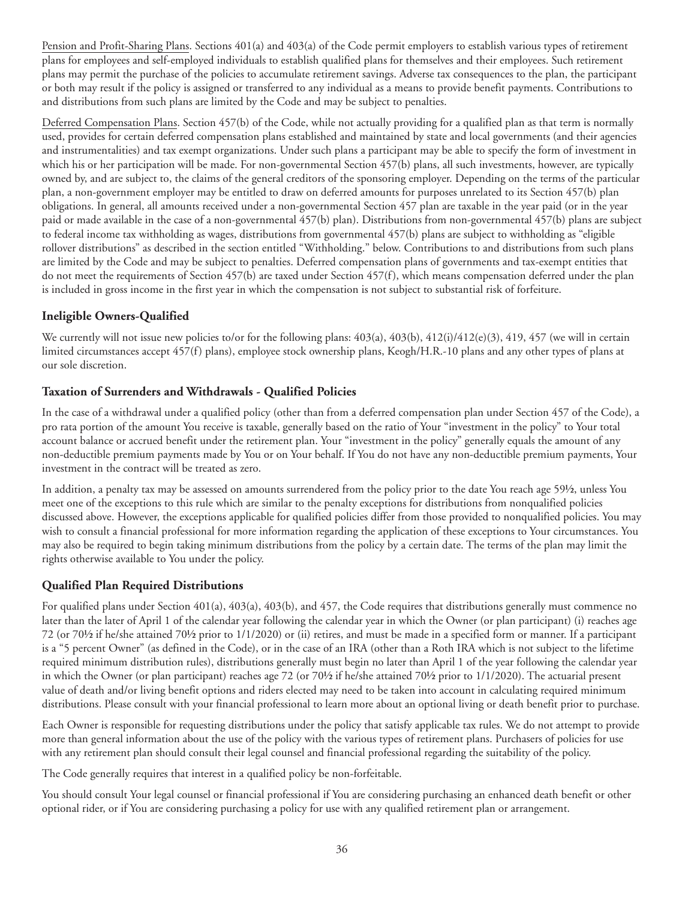Pension and Profit-Sharing Plans. Sections 401(a) and 403(a) of the Code permit employers to establish various types of retirement plans for employees and self-employed individuals to establish qualified plans for themselves and their employees. Such retirement plans may permit the purchase of the policies to accumulate retirement savings. Adverse tax consequences to the plan, the participant or both may result if the policy is assigned or transferred to any individual as a means to provide benefit payments. Contributions to and distributions from such plans are limited by the Code and may be subject to penalties.

Deferred Compensation Plans. Section 457(b) of the Code, while not actually providing for a qualified plan as that term is normally used, provides for certain deferred compensation plans established and maintained by state and local governments (and their agencies and instrumentalities) and tax exempt organizations. Under such plans a participant may be able to specify the form of investment in which his or her participation will be made. For non-governmental Section 457(b) plans, all such investments, however, are typically owned by, and are subject to, the claims of the general creditors of the sponsoring employer. Depending on the terms of the particular plan, a non-government employer may be entitled to draw on deferred amounts for purposes unrelated to its Section 457(b) plan obligations. In general, all amounts received under a non-governmental Section 457 plan are taxable in the year paid (or in the year paid or made available in the case of a non-governmental 457(b) plan). Distributions from non-governmental 457(b) plans are subject to federal income tax withholding as wages, distributions from governmental 457(b) plans are subject to withholding as "eligible rollover distributions" as described in the section entitled "Withholding." below. Contributions to and distributions from such plans are limited by the Code and may be subject to penalties. Deferred compensation plans of governments and tax-exempt entities that do not meet the requirements of Section 457(b) are taxed under Section 457(f), which means compensation deferred under the plan is included in gross income in the first year in which the compensation is not subject to substantial risk of forfeiture.

# **Ineligible Owners-Qualified**

We currently will not issue new policies to/or for the following plans:  $403(a)$ ,  $403(b)$ ,  $412(i)/412(e)(3)$ ,  $419$ ,  $457$  (we will in certain limited circumstances accept 457(f) plans), employee stock ownership plans, Keogh/H.R.-10 plans and any other types of plans at our sole discretion.

# **Taxation of Surrenders and Withdrawals - Qualified Policies**

In the case of a withdrawal under a qualified policy (other than from a deferred compensation plan under Section 457 of the Code), a pro rata portion of the amount You receive is taxable, generally based on the ratio of Your "investment in the policy" to Your total account balance or accrued benefit under the retirement plan. Your "investment in the policy" generally equals the amount of any non-deductible premium payments made by You or on Your behalf. If You do not have any non-deductible premium payments, Your investment in the contract will be treated as zero.

In addition, a penalty tax may be assessed on amounts surrendered from the policy prior to the date You reach age 59½, unless You meet one of the exceptions to this rule which are similar to the penalty exceptions for distributions from nonqualified policies discussed above. However, the exceptions applicable for qualified policies differ from those provided to nonqualified policies. You may wish to consult a financial professional for more information regarding the application of these exceptions to Your circumstances. You may also be required to begin taking minimum distributions from the policy by a certain date. The terms of the plan may limit the rights otherwise available to You under the policy.

# **Qualified Plan Required Distributions**

For qualified plans under Section 401(a), 403(a), 403(b), and 457, the Code requires that distributions generally must commence no later than the later of April 1 of the calendar year following the calendar year in which the Owner (or plan participant) (i) reaches age 72 (or 70½ if he/she attained 70½ prior to 1/1/2020) or (ii) retires, and must be made in a specified form or manner. If a participant is a "5 percent Owner" (as defined in the Code), or in the case of an IRA (other than a Roth IRA which is not subject to the lifetime required minimum distribution rules), distributions generally must begin no later than April 1 of the year following the calendar year in which the Owner (or plan participant) reaches age 72 (or 70½ if he/she attained 70½ prior to 1/1/2020). The actuarial present value of death and/or living benefit options and riders elected may need to be taken into account in calculating required minimum distributions. Please consult with your financial professional to learn more about an optional living or death benefit prior to purchase.

Each Owner is responsible for requesting distributions under the policy that satisfy applicable tax rules. We do not attempt to provide more than general information about the use of the policy with the various types of retirement plans. Purchasers of policies for use with any retirement plan should consult their legal counsel and financial professional regarding the suitability of the policy.

The Code generally requires that interest in a qualified policy be non-forfeitable.

You should consult Your legal counsel or financial professional if You are considering purchasing an enhanced death benefit or other optional rider, or if You are considering purchasing a policy for use with any qualified retirement plan or arrangement.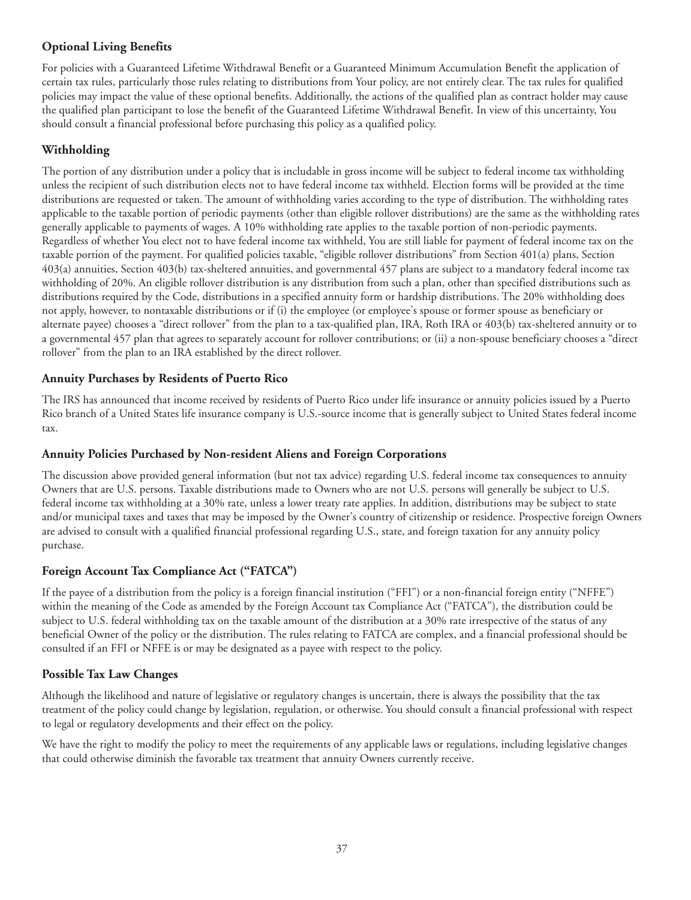# **Optional Living Benefits**

For policies with a Guaranteed Lifetime Withdrawal Benefit or a Guaranteed Minimum Accumulation Benefit the application of certain tax rules, particularly those rules relating to distributions from Your policy, are not entirely clear. The tax rules for qualified policies may impact the value of these optional benefits. Additionally, the actions of the qualified plan as contract holder may cause the qualified plan participant to lose the benefit of the Guaranteed Lifetime Withdrawal Benefit. In view of this uncertainty, You should consult a financial professional before purchasing this policy as a qualified policy.

# **Withholding**

The portion of any distribution under a policy that is includable in gross income will be subject to federal income tax withholding unless the recipient of such distribution elects not to have federal income tax withheld. Election forms will be provided at the time distributions are requested or taken. The amount of withholding varies according to the type of distribution. The withholding rates applicable to the taxable portion of periodic payments (other than eligible rollover distributions) are the same as the withholding rates generally applicable to payments of wages. A 10% withholding rate applies to the taxable portion of non-periodic payments. Regardless of whether You elect not to have federal income tax withheld, You are still liable for payment of federal income tax on the taxable portion of the payment. For qualified policies taxable, "eligible rollover distributions" from Section 401(a) plans, Section 403(a) annuities, Section 403(b) tax-sheltered annuities, and governmental 457 plans are subject to a mandatory federal income tax withholding of 20%. An eligible rollover distribution is any distribution from such a plan, other than specified distributions such as distributions required by the Code, distributions in a specified annuity form or hardship distributions. The 20% withholding does not apply, however, to nontaxable distributions or if (i) the employee (or employee's spouse or former spouse as beneficiary or alternate payee) chooses a "direct rollover" from the plan to a tax-qualified plan, IRA, Roth IRA or 403(b) tax-sheltered annuity or to a governmental 457 plan that agrees to separately account for rollover contributions; or (ii) a non-spouse beneficiary chooses a "direct rollover" from the plan to an IRA established by the direct rollover.

# **Annuity Purchases by Residents of Puerto Rico**

The IRS has announced that income received by residents of Puerto Rico under life insurance or annuity policies issued by a Puerto Rico branch of a United States life insurance company is U.S.-source income that is generally subject to United States federal income tax.

# **Annuity Policies Purchased by Non-resident Aliens and Foreign Corporations**

The discussion above provided general information (but not tax advice) regarding U.S. federal income tax consequences to annuity Owners that are U.S. persons. Taxable distributions made to Owners who are not U.S. persons will generally be subject to U.S. federal income tax withholding at a 30% rate, unless a lower treaty rate applies. In addition, distributions may be subject to state and/or municipal taxes and taxes that may be imposed by the Owner's country of citizenship or residence. Prospective foreign Owners are advised to consult with a qualified financial professional regarding U.S., state, and foreign taxation for any annuity policy purchase.

# **Foreign Account Tax Compliance Act ("FATCA")**

If the payee of a distribution from the policy is a foreign financial institution ("FFI") or a non-financial foreign entity ("NFFE") within the meaning of the Code as amended by the Foreign Account tax Compliance Act ("FATCA"), the distribution could be subject to U.S. federal withholding tax on the taxable amount of the distribution at a 30% rate irrespective of the status of any beneficial Owner of the policy or the distribution. The rules relating to FATCA are complex, and a financial professional should be consulted if an FFI or NFFE is or may be designated as a payee with respect to the policy.

# **Possible Tax Law Changes**

Although the likelihood and nature of legislative or regulatory changes is uncertain, there is always the possibility that the tax treatment of the policy could change by legislation, regulation, or otherwise. You should consult a financial professional with respect to legal or regulatory developments and their effect on the policy.

We have the right to modify the policy to meet the requirements of any applicable laws or regulations, including legislative changes that could otherwise diminish the favorable tax treatment that annuity Owners currently receive.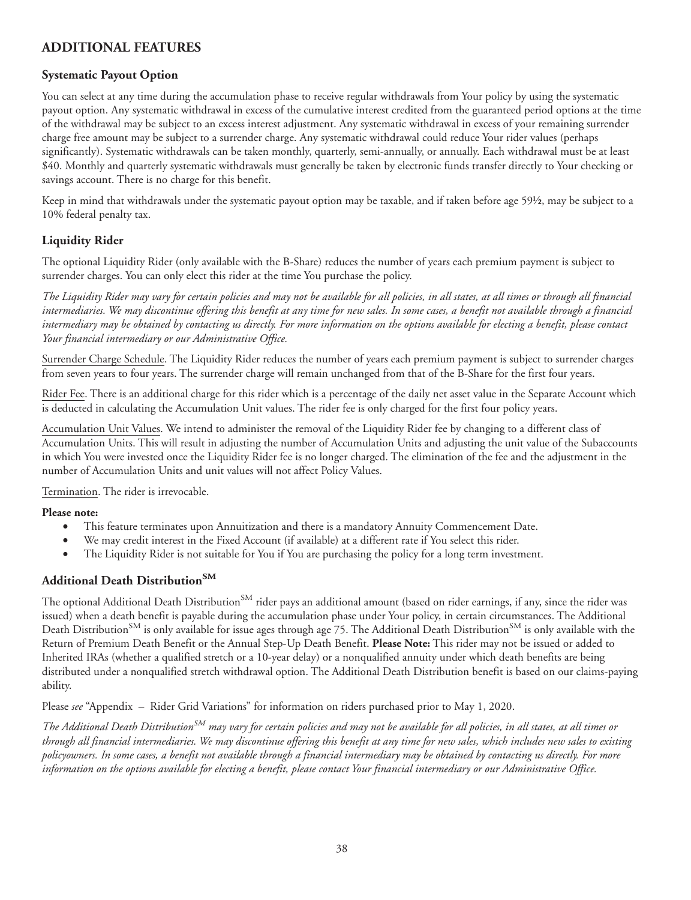# **ADDITIONAL FEATURES**

# **Systematic Payout Option**

You can select at any time during the accumulation phase to receive regular withdrawals from Your policy by using the systematic payout option. Any systematic withdrawal in excess of the cumulative interest credited from the guaranteed period options at the time of the withdrawal may be subject to an excess interest adjustment. Any systematic withdrawal in excess of your remaining surrender charge free amount may be subject to a surrender charge. Any systematic withdrawal could reduce Your rider values (perhaps significantly). Systematic withdrawals can be taken monthly, quarterly, semi-annually, or annually. Each withdrawal must be at least \$40. Monthly and quarterly systematic withdrawals must generally be taken by electronic funds transfer directly to Your checking or savings account. There is no charge for this benefit.

Keep in mind that withdrawals under the systematic payout option may be taxable, and if taken before age 59½, may be subject to a 10% federal penalty tax.

## **Liquidity Rider**

The optional Liquidity Rider (only available with the B-Share) reduces the number of years each premium payment is subject to surrender charges. You can only elect this rider at the time You purchase the policy.

*The Liquidity Rider may vary for certain policies and may not be available for all policies, in all states, at all times or through all financial intermediaries. We may discontinue offering this benefit at any time for new sales. In some cases, a benefit not available through a financial intermediary may be obtained by contacting us directly. For more information on the options available for electing a benefit, please contact Your financial intermediary or our Administrative Office.*

Surrender Charge Schedule. The Liquidity Rider reduces the number of years each premium payment is subject to surrender charges from seven years to four years. The surrender charge will remain unchanged from that of the B-Share for the first four years.

Rider Fee. There is an additional charge for this rider which is a percentage of the daily net asset value in the Separate Account which is deducted in calculating the Accumulation Unit values. The rider fee is only charged for the first four policy years.

Accumulation Unit Values. We intend to administer the removal of the Liquidity Rider fee by changing to a different class of Accumulation Units. This will result in adjusting the number of Accumulation Units and adjusting the unit value of the Subaccounts in which You were invested once the Liquidity Rider fee is no longer charged. The elimination of the fee and the adjustment in the number of Accumulation Units and unit values will not affect Policy Values.

Termination. The rider is irrevocable.

#### **Please note:**

- This feature terminates upon Annuitization and there is a mandatory Annuity Commencement Date.
- We may credit interest in the Fixed Account (if available) at a different rate if You select this rider.
- The Liquidity Rider is not suitable for You if You are purchasing the policy for a long term investment.

### **Additional Death DistributionSM**

The optional Additional Death Distribution<sup>SM</sup> rider pays an additional amount (based on rider earnings, if any, since the rider was issued) when a death benefit is payable during the accumulation phase under Your policy, in certain circumstances. The Additional Death Distribution<sup>SM</sup> is only available for issue ages through age 75. The Additional Death Distribution<sup>SM</sup> is only available with the Return of Premium Death Benefit or the Annual Step-Up Death Benefit. **Please Note:** This rider may not be issued or added to Inherited IRAs (whether a qualified stretch or a 10-year delay) or a nonqualified annuity under which death benefits are being distributed under a nonqualified stretch withdrawal option. The Additional Death Distribution benefit is based on our claims-paying ability.

Please *see* "Appendix – Rider Grid Variations" for information on riders purchased prior to May 1, 2020.

*The Additional Death DistributionSM may vary for certain policies and may not be available for all policies, in all states, at all times or through all financial intermediaries. We may discontinue offering this benefit at any time for new sales, which includes new sales to existing policyowners. In some cases, a benefit not available through a financial intermediary may be obtained by contacting us directly. For more information on the options available for electing a benefit, please contact Your financial intermediary or our Administrative Office.*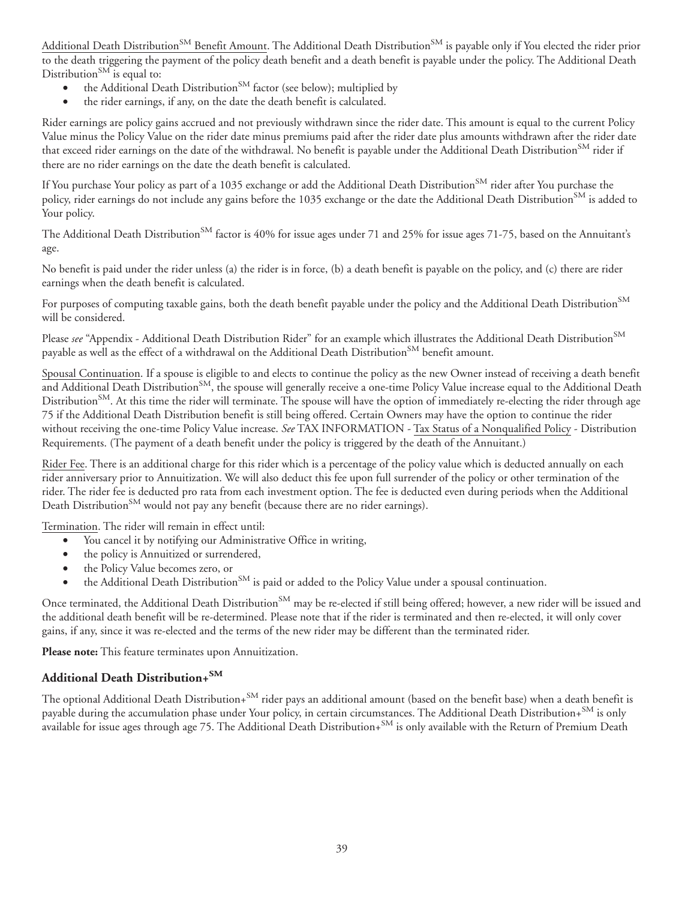Additional Death Distribution<sup>SM</sup> Benefit Amount. The Additional Death Distribution<sup>SM</sup> is payable only if You elected the rider prior to the death triggering the payment of the policy death benefit and a death benefit is payable under the policy. The Additional Death Distribution<sup>SM</sup> is equal to:

- the Additional Death Distribution<sup>SM</sup> factor (see below); multiplied by
- the rider earnings, if any, on the date the death benefit is calculated.

Rider earnings are policy gains accrued and not previously withdrawn since the rider date. This amount is equal to the current Policy Value minus the Policy Value on the rider date minus premiums paid after the rider date plus amounts withdrawn after the rider date that exceed rider earnings on the date of the withdrawal. No benefit is payable under the Additional Death Distribution<sup>SM</sup> rider if there are no rider earnings on the date the death benefit is calculated.

If You purchase Your policy as part of a 1035 exchange or add the Additional Death Distribution<sup>SM</sup> rider after You purchase the policy, rider earnings do not include any gains before the 1035 exchange or the date the Additional Death Distribution<sup>SM</sup> is added to Your policy.

The Additional Death Distribution<sup>SM</sup> factor is 40% for issue ages under 71 and 25% for issue ages 71-75, based on the Annuitant's age.

No benefit is paid under the rider unless (a) the rider is in force, (b) a death benefit is payable on the policy, and (c) there are rider earnings when the death benefit is calculated.

For purposes of computing taxable gains, both the death benefit payable under the policy and the Additional Death Distribution<sup>SM</sup> will be considered.

Please *see* "Appendix - Additional Death Distribution Rider" for an example which illustrates the Additional Death Distribution<sup>SM</sup> payable as well as the effect of a withdrawal on the Additional Death Distribution<sup>SM</sup> benefit amount.

Spousal Continuation. If a spouse is eligible to and elects to continue the policy as the new Owner instead of receiving a death benefit and Additional Death Distribution<sup>SM</sup>, the spouse will generally receive a one-time Policy Value increase equal to the Additional Death Distribution<sup>SM</sup>. At this time the rider will terminate. The spouse will have the option of immediately re-electing the rider through age 75 if the Additional Death Distribution benefit is still being offered. Certain Owners may have the option to continue the rider without receiving the one-time Policy Value increase. *See* TAX INFORMATION - Tax Status of a Nonqualified Policy - Distribution Requirements. (The payment of a death benefit under the policy is triggered by the death of the Annuitant.)

Rider Fee. There is an additional charge for this rider which is a percentage of the policy value which is deducted annually on each rider anniversary prior to Annuitization. We will also deduct this fee upon full surrender of the policy or other termination of the rider. The rider fee is deducted pro rata from each investment option. The fee is deducted even during periods when the Additional Death Distribution<sup>SM</sup> would not pay any benefit (because there are no rider earnings).

Termination. The rider will remain in effect until:

- You cancel it by notifying our Administrative Office in writing,
- the policy is Annuitized or surrendered,
- the Policy Value becomes zero, or
- the Additional Death Distribution<sup>SM</sup> is paid or added to the Policy Value under a spousal continuation.

Once terminated, the Additional Death Distribution<sup>SM</sup> may be re-elected if still being offered; however, a new rider will be issued and the additional death benefit will be re-determined. Please note that if the rider is terminated and then re-elected, it will only cover gains, if any, since it was re-elected and the terms of the new rider may be different than the terminated rider.

**Please note:** This feature terminates upon Annuitization.

### **Additional Death Distribution+SM**

The optional Additional Death Distribution+<sup>SM</sup> rider pays an additional amount (based on the benefit base) when a death benefit is payable during the accumulation phase under Your policy, in certain circumstances. The Additional Death Distribution+SM is only available for issue ages through age 75. The Additional Death Distribution+SM is only available with the Return of Premium Death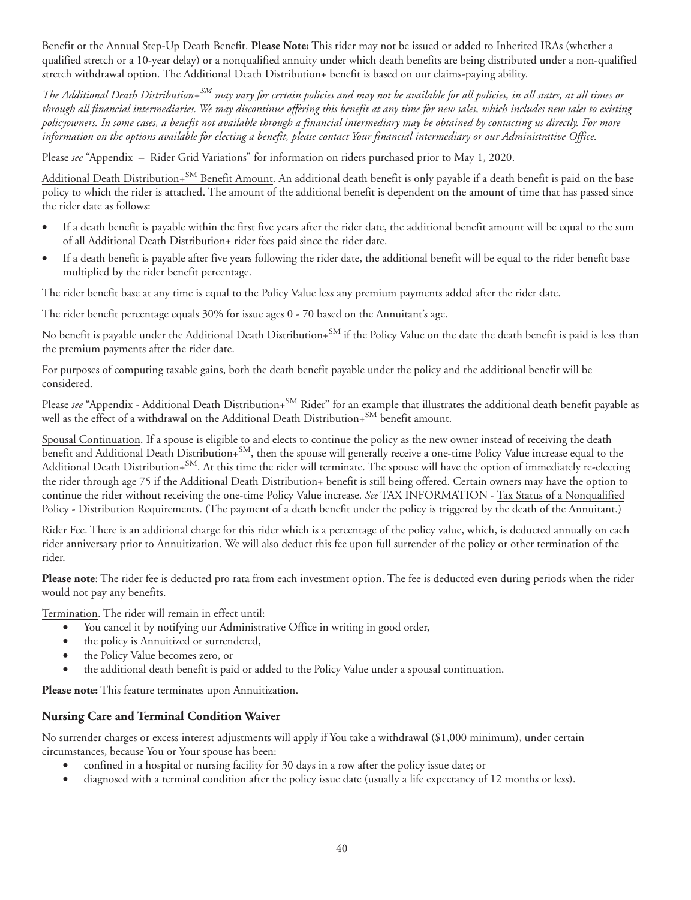Benefit or the Annual Step-Up Death Benefit. **Please Note:** This rider may not be issued or added to Inherited IRAs (whether a qualified stretch or a 10-year delay) or a nonqualified annuity under which death benefits are being distributed under a non-qualified stretch withdrawal option. The Additional Death Distribution+ benefit is based on our claims-paying ability.

*The Additional Death Distribution+SM may vary for certain policies and may not be available for all policies, in all states, at all times or through all financial intermediaries. We may discontinue offering this benefit at any time for new sales, which includes new sales to existing policyowners. In some cases, a benefit not available through a financial intermediary may be obtained by contacting us directly. For more information on the options available for electing a benefit, please contact Your financial intermediary or our Administrative Office.*

Please *see* "Appendix – Rider Grid Variations" for information on riders purchased prior to May 1, 2020.

Additional Death Distribution+<sup>SM</sup> Benefit Amount. An additional death benefit is only payable if a death benefit is paid on the base policy to which the rider is attached. The amount of the additional benefit is dependent on the amount of time that has passed since the rider date as follows:

- If a death benefit is payable within the first five years after the rider date, the additional benefit amount will be equal to the sum of all Additional Death Distribution+ rider fees paid since the rider date.
- If a death benefit is payable after five years following the rider date, the additional benefit will be equal to the rider benefit base multiplied by the rider benefit percentage.

The rider benefit base at any time is equal to the Policy Value less any premium payments added after the rider date.

The rider benefit percentage equals 30% for issue ages 0 - 70 based on the Annuitant's age.

No benefit is payable under the Additional Death Distribution+<sup>SM</sup> if the Policy Value on the date the death benefit is paid is less than the premium payments after the rider date.

For purposes of computing taxable gains, both the death benefit payable under the policy and the additional benefit will be considered.

Please see "Appendix - Additional Death Distribution+<sup>SM</sup> Rider" for an example that illustrates the additional death benefit payable as well as the effect of a withdrawal on the Additional Death Distribution+<sup>SM</sup> benefit amount.

Spousal Continuation. If a spouse is eligible to and elects to continue the policy as the new owner instead of receiving the death benefit and Additional Death Distribution+SM, then the spouse will generally receive a one-time Policy Value increase equal to the Additional Death Distribution+<sup>SM</sup>. At this time the rider will terminate. The spouse will have the option of immediately re-electing the rider through age 75 if the Additional Death Distribution+ benefit is still being offered. Certain owners may have the option to continue the rider without receiving the one-time Policy Value increase. *See* TAX INFORMATION - Tax Status of a Nonqualified Policy - Distribution Requirements. (The payment of a death benefit under the policy is triggered by the death of the Annuitant.)

Rider Fee. There is an additional charge for this rider which is a percentage of the policy value, which, is deducted annually on each rider anniversary prior to Annuitization. We will also deduct this fee upon full surrender of the policy or other termination of the rider.

**Please note**: The rider fee is deducted pro rata from each investment option. The fee is deducted even during periods when the rider would not pay any benefits.

Termination. The rider will remain in effect until:

- You cancel it by notifying our Administrative Office in writing in good order,
- the policy is Annuitized or surrendered,
- the Policy Value becomes zero, or
- the additional death benefit is paid or added to the Policy Value under a spousal continuation.

**Please note:** This feature terminates upon Annuitization.

### **Nursing Care and Terminal Condition Waiver**

No surrender charges or excess interest adjustments will apply if You take a withdrawal (\$1,000 minimum), under certain circumstances, because You or Your spouse has been:

- confined in a hospital or nursing facility for 30 days in a row after the policy issue date; or
- diagnosed with a terminal condition after the policy issue date (usually a life expectancy of 12 months or less).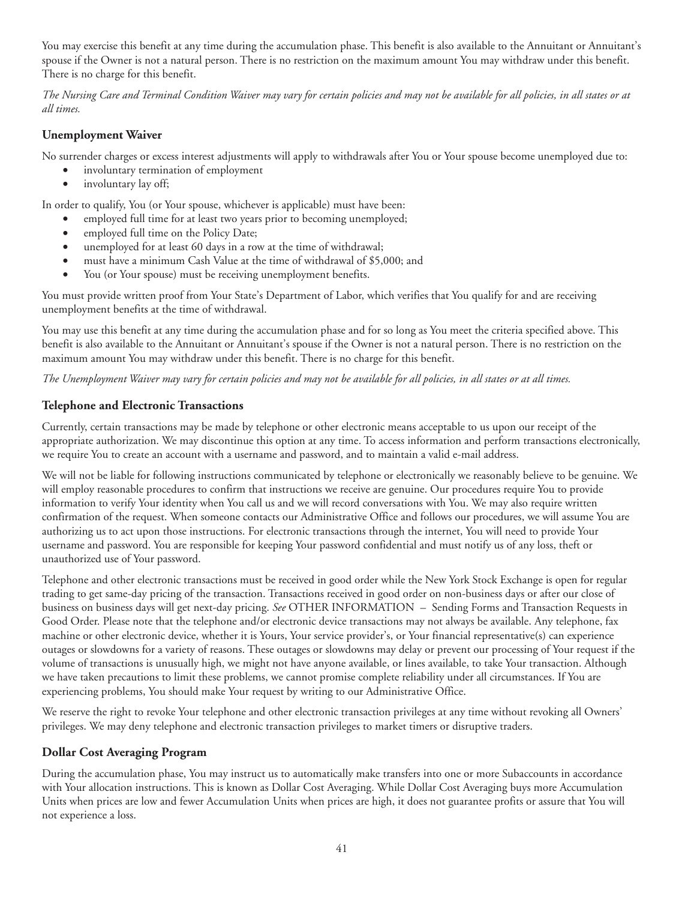You may exercise this benefit at any time during the accumulation phase. This benefit is also available to the Annuitant or Annuitant's spouse if the Owner is not a natural person. There is no restriction on the maximum amount You may withdraw under this benefit. There is no charge for this benefit.

*The Nursing Care and Terminal Condition Waiver may vary for certain policies and may not be available for all policies, in all states or at all times.*

## **Unemployment Waiver**

No surrender charges or excess interest adjustments will apply to withdrawals after You or Your spouse become unemployed due to:

- involuntary termination of employment
- involuntary lay off;

In order to qualify, You (or Your spouse, whichever is applicable) must have been:

- employed full time for at least two years prior to becoming unemployed;
- employed full time on the Policy Date;
- unemployed for at least 60 days in a row at the time of withdrawal;
- must have a minimum Cash Value at the time of withdrawal of \$5,000; and
- You (or Your spouse) must be receiving unemployment benefits.

You must provide written proof from Your State's Department of Labor, which verifies that You qualify for and are receiving unemployment benefits at the time of withdrawal.

You may use this benefit at any time during the accumulation phase and for so long as You meet the criteria specified above. This benefit is also available to the Annuitant or Annuitant's spouse if the Owner is not a natural person. There is no restriction on the maximum amount You may withdraw under this benefit. There is no charge for this benefit.

*The Unemployment Waiver may vary for certain policies and may not be available for all policies, in all states or at all times.*

## **Telephone and Electronic Transactions**

Currently, certain transactions may be made by telephone or other electronic means acceptable to us upon our receipt of the appropriate authorization. We may discontinue this option at any time. To access information and perform transactions electronically, we require You to create an account with a username and password, and to maintain a valid e-mail address.

We will not be liable for following instructions communicated by telephone or electronically we reasonably believe to be genuine. We will employ reasonable procedures to confirm that instructions we receive are genuine. Our procedures require You to provide information to verify Your identity when You call us and we will record conversations with You. We may also require written confirmation of the request. When someone contacts our Administrative Office and follows our procedures, we will assume You are authorizing us to act upon those instructions. For electronic transactions through the internet, You will need to provide Your username and password. You are responsible for keeping Your password confidential and must notify us of any loss, theft or unauthorized use of Your password.

Telephone and other electronic transactions must be received in good order while the New York Stock Exchange is open for regular trading to get same-day pricing of the transaction. Transactions received in good order on non-business days or after our close of business on business days will get next-day pricing. *See* OTHER INFORMATION – Sending Forms and Transaction Requests in Good Order. Please note that the telephone and/or electronic device transactions may not always be available. Any telephone, fax machine or other electronic device, whether it is Yours, Your service provider's, or Your financial representative(s) can experience outages or slowdowns for a variety of reasons. These outages or slowdowns may delay or prevent our processing of Your request if the volume of transactions is unusually high, we might not have anyone available, or lines available, to take Your transaction. Although we have taken precautions to limit these problems, we cannot promise complete reliability under all circumstances. If You are experiencing problems, You should make Your request by writing to our Administrative Office.

We reserve the right to revoke Your telephone and other electronic transaction privileges at any time without revoking all Owners' privileges. We may deny telephone and electronic transaction privileges to market timers or disruptive traders.

### **Dollar Cost Averaging Program**

During the accumulation phase, You may instruct us to automatically make transfers into one or more Subaccounts in accordance with Your allocation instructions. This is known as Dollar Cost Averaging. While Dollar Cost Averaging buys more Accumulation Units when prices are low and fewer Accumulation Units when prices are high, it does not guarantee profits or assure that You will not experience a loss.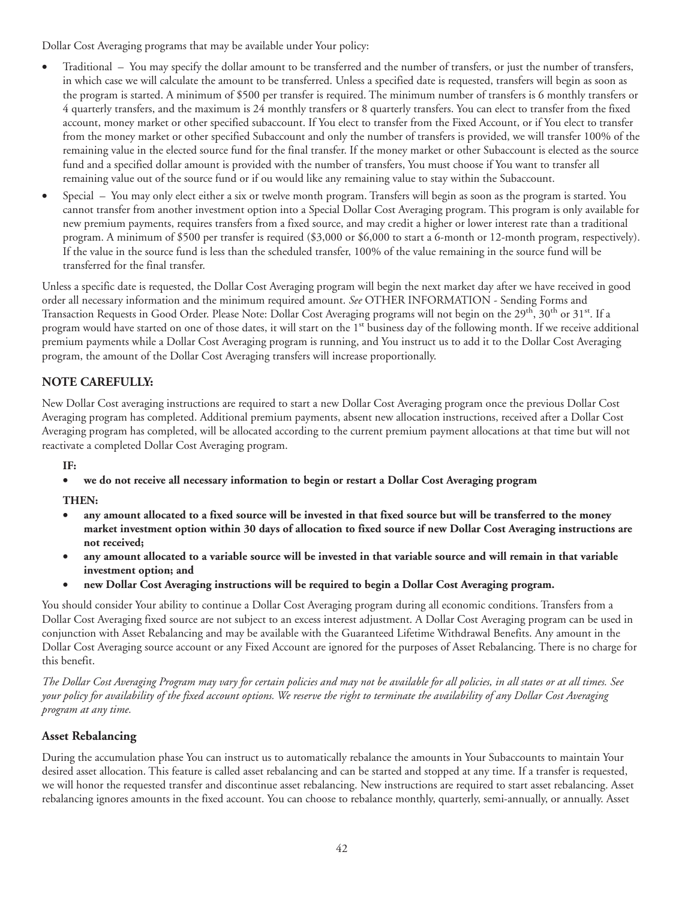Dollar Cost Averaging programs that may be available under Your policy:

- Traditional You may specify the dollar amount to be transferred and the number of transfers, or just the number of transfers, in which case we will calculate the amount to be transferred. Unless a specified date is requested, transfers will begin as soon as the program is started. A minimum of \$500 per transfer is required. The minimum number of transfers is 6 monthly transfers or 4 quarterly transfers, and the maximum is 24 monthly transfers or 8 quarterly transfers. You can elect to transfer from the fixed account, money market or other specified subaccount. If You elect to transfer from the Fixed Account, or if You elect to transfer from the money market or other specified Subaccount and only the number of transfers is provided, we will transfer 100% of the remaining value in the elected source fund for the final transfer. If the money market or other Subaccount is elected as the source fund and a specified dollar amount is provided with the number of transfers, You must choose if You want to transfer all remaining value out of the source fund or if ou would like any remaining value to stay within the Subaccount.
- Special You may only elect either a six or twelve month program. Transfers will begin as soon as the program is started. You cannot transfer from another investment option into a Special Dollar Cost Averaging program. This program is only available for new premium payments, requires transfers from a fixed source, and may credit a higher or lower interest rate than a traditional program. A minimum of \$500 per transfer is required (\$3,000 or \$6,000 to start a 6-month or 12-month program, respectively). If the value in the source fund is less than the scheduled transfer, 100% of the value remaining in the source fund will be transferred for the final transfer.

Unless a specific date is requested, the Dollar Cost Averaging program will begin the next market day after we have received in good order all necessary information and the minimum required amount. *See* OTHER INFORMATION - Sending Forms and Transaction Requests in Good Order. Please Note: Dollar Cost Averaging programs will not begin on the 29<sup>th</sup>, 30<sup>th</sup> or 31<sup>st</sup>. If a program would have started on one of those dates, it will start on the 1<sup>st</sup> business day of the following month. If we receive additional premium payments while a Dollar Cost Averaging program is running, and You instruct us to add it to the Dollar Cost Averaging program, the amount of the Dollar Cost Averaging transfers will increase proportionally.

# **NOTE CAREFULLY:**

New Dollar Cost averaging instructions are required to start a new Dollar Cost Averaging program once the previous Dollar Cost Averaging program has completed. Additional premium payments, absent new allocation instructions, received after a Dollar Cost Averaging program has completed, will be allocated according to the current premium payment allocations at that time but will not reactivate a completed Dollar Cost Averaging program.

**IF:**

• **we do not receive all necessary information to begin or restart a Dollar Cost Averaging program**

# **THEN:**

- **any amount allocated to a fixed source will be invested in that fixed source but will be transferred to the money market investment option within 30 days of allocation to fixed source if new Dollar Cost Averaging instructions are not received;**
- **any amount allocated to a variable source will be invested in that variable source and will remain in that variable investment option; and**
- **new Dollar Cost Averaging instructions will be required to begin a Dollar Cost Averaging program.**

You should consider Your ability to continue a Dollar Cost Averaging program during all economic conditions. Transfers from a Dollar Cost Averaging fixed source are not subject to an excess interest adjustment. A Dollar Cost Averaging program can be used in conjunction with Asset Rebalancing and may be available with the Guaranteed Lifetime Withdrawal Benefits. Any amount in the Dollar Cost Averaging source account or any Fixed Account are ignored for the purposes of Asset Rebalancing. There is no charge for this benefit.

*The Dollar Cost Averaging Program may vary for certain policies and may not be available for all policies, in all states or at all times. See your policy for availability of the fixed account options. We reserve the right to terminate the availability of any Dollar Cost Averaging program at any time.*

# **Asset Rebalancing**

During the accumulation phase You can instruct us to automatically rebalance the amounts in Your Subaccounts to maintain Your desired asset allocation. This feature is called asset rebalancing and can be started and stopped at any time. If a transfer is requested, we will honor the requested transfer and discontinue asset rebalancing. New instructions are required to start asset rebalancing. Asset rebalancing ignores amounts in the fixed account. You can choose to rebalance monthly, quarterly, semi-annually, or annually. Asset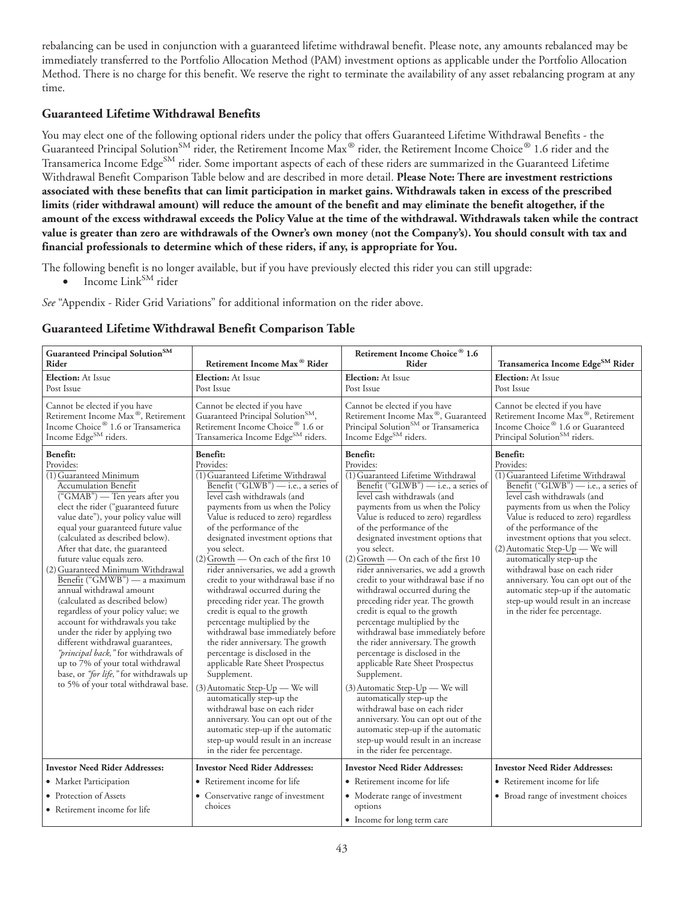rebalancing can be used in conjunction with a guaranteed lifetime withdrawal benefit. Please note, any amounts rebalanced may be immediately transferred to the Portfolio Allocation Method (PAM) investment options as applicable under the Portfolio Allocation Method. There is no charge for this benefit. We reserve the right to terminate the availability of any asset rebalancing program at any time.

## **Guaranteed Lifetime Withdrawal Benefits**

You may elect one of the following optional riders under the policy that offers Guaranteed Lifetime Withdrawal Benefits - the Guaranteed Principal Solution<sup>SM</sup> rider, the Retirement Income Max<sup>®</sup> rider, the Retirement Income Choice® 1.6 rider and the Transamerica Income Edge<sup>SM</sup> rider. Some important aspects of each of these riders are summarized in the Guaranteed Lifetime Withdrawal Benefit Comparison Table below and are described in more detail. **Please Note: There are investment restrictions associated with these benefits that can limit participation in market gains. Withdrawals taken in excess of the prescribed limits (rider withdrawal amount) will reduce the amount of the benefit and may eliminate the benefit altogether, if the amount of the excess withdrawal exceeds the Policy Value at the time of the withdrawal. Withdrawals taken while the contract value is greater than zero are withdrawals of the Owner's own money (not the Company's). You should consult with tax and financial professionals to determine which of these riders, if any, is appropriate for You.**

The following benefit is no longer available, but if you have previously elected this rider you can still upgrade:

 $\bullet$  Income Link<sup>SM</sup> rider

*See* "Appendix - Rider Grid Variations" for additional information on the rider above.

## **Guaranteed Lifetime Withdrawal Benefit Comparison Table**

| Guaranteed Principal Solution <sup>SM</sup><br>Rider                                                                                                                                                                                                                                                                                                                                                                                                                                                                                                                                                                                                                                                                                                                                                        | Retirement Income Max <sup>®</sup> Rider                                                                                                                                                                                                                                                                                                                                                                                                                                                                                                                                                                                                                                                                                                                                                                                                                                                                                                                                                          | Retirement Income Choice <sup>®</sup> 1.6<br>Rider                                                                                                                                                                                                                                                                                                                                                                                                                                                                                                                                                                                                                                                                                                                                                                                                                                                                                                                                                        | Transamerica Income Edge <sup>SM</sup> Rider                                                                                                                                                                                                                                                                                                                                                                                                                                                                                                               |
|-------------------------------------------------------------------------------------------------------------------------------------------------------------------------------------------------------------------------------------------------------------------------------------------------------------------------------------------------------------------------------------------------------------------------------------------------------------------------------------------------------------------------------------------------------------------------------------------------------------------------------------------------------------------------------------------------------------------------------------------------------------------------------------------------------------|---------------------------------------------------------------------------------------------------------------------------------------------------------------------------------------------------------------------------------------------------------------------------------------------------------------------------------------------------------------------------------------------------------------------------------------------------------------------------------------------------------------------------------------------------------------------------------------------------------------------------------------------------------------------------------------------------------------------------------------------------------------------------------------------------------------------------------------------------------------------------------------------------------------------------------------------------------------------------------------------------|-----------------------------------------------------------------------------------------------------------------------------------------------------------------------------------------------------------------------------------------------------------------------------------------------------------------------------------------------------------------------------------------------------------------------------------------------------------------------------------------------------------------------------------------------------------------------------------------------------------------------------------------------------------------------------------------------------------------------------------------------------------------------------------------------------------------------------------------------------------------------------------------------------------------------------------------------------------------------------------------------------------|------------------------------------------------------------------------------------------------------------------------------------------------------------------------------------------------------------------------------------------------------------------------------------------------------------------------------------------------------------------------------------------------------------------------------------------------------------------------------------------------------------------------------------------------------------|
| Election: At Issue<br>Post Issue                                                                                                                                                                                                                                                                                                                                                                                                                                                                                                                                                                                                                                                                                                                                                                            | <b>Election:</b> At Issue<br>Post Issue                                                                                                                                                                                                                                                                                                                                                                                                                                                                                                                                                                                                                                                                                                                                                                                                                                                                                                                                                           | <b>Election:</b> At Issue<br>Post Issue                                                                                                                                                                                                                                                                                                                                                                                                                                                                                                                                                                                                                                                                                                                                                                                                                                                                                                                                                                   | <b>Election:</b> At Issue<br>Post Issue                                                                                                                                                                                                                                                                                                                                                                                                                                                                                                                    |
| Cannot be elected if you have<br>Retirement Income Max®, Retirement<br>Income Choice <sup>®</sup> 1.6 or Transamerica<br>Income Edge <sup>SM</sup> riders.                                                                                                                                                                                                                                                                                                                                                                                                                                                                                                                                                                                                                                                  | Cannot be elected if you have<br>Guaranteed Principal Solution <sup>SM</sup> ,<br>Retirement Income Choice® 1.6 or<br>Transamerica Income Edge <sup>SM</sup> riders.                                                                                                                                                                                                                                                                                                                                                                                                                                                                                                                                                                                                                                                                                                                                                                                                                              | Cannot be elected if you have<br>Retirement Income Max®, Guaranteed<br>Principal Solution <sup>SM</sup> or Transamerica<br>Income Edge <sup>SM</sup> riders.                                                                                                                                                                                                                                                                                                                                                                                                                                                                                                                                                                                                                                                                                                                                                                                                                                              | Cannot be elected if you have<br>Retirement Income Max®, Retirement<br>Income Choice <sup>®</sup> 1.6 or Guaranteed<br>Principal Solution <sup>SM</sup> riders.                                                                                                                                                                                                                                                                                                                                                                                            |
| Benefit:<br>Provides:<br>$\overline{(1)$ Guaranteed Minimum<br><b>Accumulation Benefit</b><br>("GMAB") — Ten years after you<br>elect the rider ("guaranteed future<br>value date"), your policy value will<br>equal your guaranteed future value<br>(calculated as described below).<br>After that date, the guaranteed<br>future value equals zero.<br>(2) Guaranteed Minimum Withdrawal<br>Benefit ("GMWB") — a maximum<br>annual withdrawal amount<br>(calculated as described below)<br>regardless of your policy value; we<br>account for withdrawals you take<br>under the rider by applying two<br>different withdrawal guarantees,<br>"principal back," for withdrawals of<br>up to 7% of your total withdrawal<br>base, or "for life," for withdrawals up<br>to 5% of your total withdrawal base. | Benefit:<br>Provides:<br>$\overline{(1)}$ Guaranteed Lifetime Withdrawal<br>Benefit ("GLWB") — i.e., a series of<br>level cash withdrawals (and<br>payments from us when the Policy<br>Value is reduced to zero) regardless<br>of the performance of the<br>designated investment options that<br>you select.<br>(2) Growth — On each of the first 10<br>rider anniversaries, we add a growth<br>credit to your withdrawal base if no<br>withdrawal occurred during the<br>preceding rider year. The growth<br>credit is equal to the growth<br>percentage multiplied by the<br>withdrawal base immediately before<br>the rider anniversary. The growth<br>percentage is disclosed in the<br>applicable Rate Sheet Prospectus<br>Supplement.<br>(3) Automatic Step-Up - We will<br>automatically step-up the<br>withdrawal base on each rider<br>anniversary. You can opt out of the<br>automatic step-up if the automatic<br>step-up would result in an increase<br>in the rider fee percentage. | <b>Benefit:</b><br>Provides:<br>$\overline{(1)$ Guaranteed Lifetime Withdrawal<br>Benefit ("GLWB") $-$ i.e., a series of<br>level cash withdrawals (and<br>payments from us when the Policy<br>Value is reduced to zero) regardless<br>of the performance of the<br>designated investment options that<br>you select.<br>(2) Growth — On each of the first 10<br>rider anniversaries, we add a growth<br>credit to your withdrawal base if no<br>withdrawal occurred during the<br>preceding rider year. The growth<br>credit is equal to the growth<br>percentage multiplied by the<br>withdrawal base immediately before<br>the rider anniversary. The growth<br>percentage is disclosed in the<br>applicable Rate Sheet Prospectus<br>Supplement.<br>(3) Automatic Step-Up — We will<br>automatically step-up the<br>withdrawal base on each rider<br>anniversary. You can opt out of the<br>automatic step-up if the automatic<br>step-up would result in an increase<br>in the rider fee percentage. | <b>Benefit:</b><br>Provides:<br>$\overline{(1)$ Guaranteed Lifetime Withdrawal<br>Benefit ("GLWB") — i.e., a series of<br>level cash withdrawals (and<br>payments from us when the Policy<br>Value is reduced to zero) regardless<br>of the performance of the<br>investment options that you select.<br>(2) Automatic Step-Up — We will<br>automatically step-up the<br>withdrawal base on each rider<br>anniversary. You can opt out of the<br>automatic step-up if the automatic<br>step-up would result in an increase<br>in the rider fee percentage. |
| <b>Investor Need Rider Addresses:</b>                                                                                                                                                                                                                                                                                                                                                                                                                                                                                                                                                                                                                                                                                                                                                                       | <b>Investor Need Rider Addresses:</b>                                                                                                                                                                                                                                                                                                                                                                                                                                                                                                                                                                                                                                                                                                                                                                                                                                                                                                                                                             | <b>Investor Need Rider Addresses:</b>                                                                                                                                                                                                                                                                                                                                                                                                                                                                                                                                                                                                                                                                                                                                                                                                                                                                                                                                                                     | <b>Investor Need Rider Addresses:</b>                                                                                                                                                                                                                                                                                                                                                                                                                                                                                                                      |
| • Market Participation                                                                                                                                                                                                                                                                                                                                                                                                                                                                                                                                                                                                                                                                                                                                                                                      | • Retirement income for life                                                                                                                                                                                                                                                                                                                                                                                                                                                                                                                                                                                                                                                                                                                                                                                                                                                                                                                                                                      | • Retirement income for life                                                                                                                                                                                                                                                                                                                                                                                                                                                                                                                                                                                                                                                                                                                                                                                                                                                                                                                                                                              | • Retirement income for life                                                                                                                                                                                                                                                                                                                                                                                                                                                                                                                               |
| • Protection of Assets<br>• Retirement income for life                                                                                                                                                                                                                                                                                                                                                                                                                                                                                                                                                                                                                                                                                                                                                      | • Conservative range of investment<br>choices                                                                                                                                                                                                                                                                                                                                                                                                                                                                                                                                                                                                                                                                                                                                                                                                                                                                                                                                                     | • Moderate range of investment<br>options<br>• Income for long term care                                                                                                                                                                                                                                                                                                                                                                                                                                                                                                                                                                                                                                                                                                                                                                                                                                                                                                                                  | • Broad range of investment choices                                                                                                                                                                                                                                                                                                                                                                                                                                                                                                                        |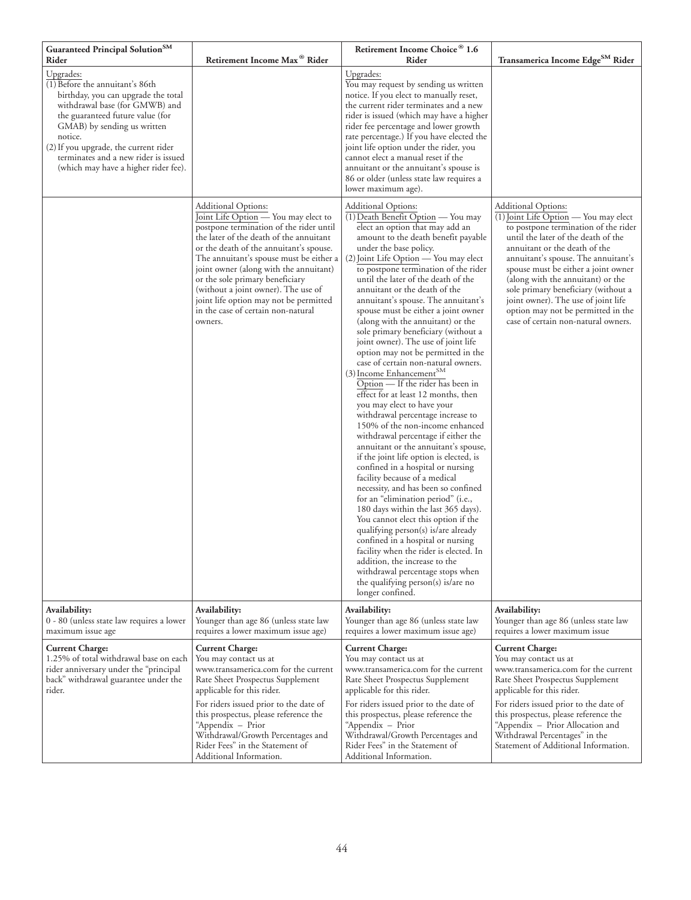| Guaranteed Principal Solution <sup>SM</sup><br>Rider                                                                                                                                                                                                                                                                         | Retirement Income Max <sup>®</sup> Rider                                                                                                                                                                                                                                                                                                                                                                                                                      | Retirement Income Choice® 1.6<br>Rider                                                                                                                                                                                                                                                                                                                                                                                                                                                                                                                                                                                                                                                                                                                                                                                                                                                                                                                                                                                                                                                                                                                                                                                                                                                                                                                                                                                                                | Transamerica Income Edge <sup>SM</sup> Rider                                                                                                                                                                                                                                                                                                                                                                                                                            |
|------------------------------------------------------------------------------------------------------------------------------------------------------------------------------------------------------------------------------------------------------------------------------------------------------------------------------|---------------------------------------------------------------------------------------------------------------------------------------------------------------------------------------------------------------------------------------------------------------------------------------------------------------------------------------------------------------------------------------------------------------------------------------------------------------|-------------------------------------------------------------------------------------------------------------------------------------------------------------------------------------------------------------------------------------------------------------------------------------------------------------------------------------------------------------------------------------------------------------------------------------------------------------------------------------------------------------------------------------------------------------------------------------------------------------------------------------------------------------------------------------------------------------------------------------------------------------------------------------------------------------------------------------------------------------------------------------------------------------------------------------------------------------------------------------------------------------------------------------------------------------------------------------------------------------------------------------------------------------------------------------------------------------------------------------------------------------------------------------------------------------------------------------------------------------------------------------------------------------------------------------------------------|-------------------------------------------------------------------------------------------------------------------------------------------------------------------------------------------------------------------------------------------------------------------------------------------------------------------------------------------------------------------------------------------------------------------------------------------------------------------------|
| Upgrades:<br>(1) Before the annuitant's 86th<br>birthday, you can upgrade the total<br>withdrawal base (for GMWB) and<br>the guaranteed future value (for<br>GMAB) by sending us written<br>notice.<br>(2) If you upgrade, the current rider<br>terminates and a new rider is issued<br>(which may have a higher rider fee). |                                                                                                                                                                                                                                                                                                                                                                                                                                                               | Upgrades:<br>You may request by sending us written<br>notice. If you elect to manually reset,<br>the current rider terminates and a new<br>rider is issued (which may have a higher<br>rider fee percentage and lower growth<br>rate percentage.) If you have elected the<br>joint life option under the rider, you<br>cannot elect a manual reset if the<br>annuitant or the annuitant's spouse is<br>86 or older (unless state law requires a<br>lower maximum age).                                                                                                                                                                                                                                                                                                                                                                                                                                                                                                                                                                                                                                                                                                                                                                                                                                                                                                                                                                                |                                                                                                                                                                                                                                                                                                                                                                                                                                                                         |
|                                                                                                                                                                                                                                                                                                                              | <b>Additional Options:</b><br>Joint Life Option - You may elect to<br>postpone termination of the rider until<br>the later of the death of the annuitant<br>or the death of the annuitant's spouse.<br>The annuitant's spouse must be either a<br>joint owner (along with the annuitant)<br>or the sole primary beneficiary<br>(without a joint owner). The use of<br>joint life option may not be permitted<br>in the case of certain non-natural<br>owners. | <b>Additional Options:</b><br>(1) Death Benefit Option - You may<br>elect an option that may add an<br>amount to the death benefit payable<br>under the base policy.<br>(2) Joint Life Option — You may elect<br>to postpone termination of the rider<br>until the later of the death of the<br>annuitant or the death of the<br>annuitant's spouse. The annuitant's<br>spouse must be either a joint owner<br>(along with the annuitant) or the<br>sole primary beneficiary (without a<br>joint owner). The use of joint life<br>option may not be permitted in the<br>case of certain non-natural owners.<br>(3) Income Enhancement <sup>SM</sup><br>Option — If the rider has been in<br>effect for at least 12 months, then<br>you may elect to have your<br>withdrawal percentage increase to<br>150% of the non-income enhanced<br>withdrawal percentage if either the<br>annuitant or the annuitant's spouse,<br>if the joint life option is elected, is<br>confined in a hospital or nursing<br>facility because of a medical<br>necessity, and has been so confined<br>for an "elimination period" (i.e.,<br>180 days within the last 365 days).<br>You cannot elect this option if the<br>qualifying person(s) is/are already<br>confined in a hospital or nursing<br>facility when the rider is elected. In<br>addition, the increase to the<br>withdrawal percentage stops when<br>the qualifying person(s) is/are no<br>longer confined. | Additional Options:<br>$\overline{(1)}$ Joint Life Option — You may elect<br>to postpone termination of the rider<br>until the later of the death of the<br>annuitant or the death of the<br>annuitant's spouse. The annuitant's<br>spouse must be either a joint owner<br>(along with the annuitant) or the<br>sole primary beneficiary (without a<br>joint owner). The use of joint life<br>option may not be permitted in the<br>case of certain non-natural owners. |
| Availability:<br>0 - 80 (unless state law requires a lower<br>maximum issue age                                                                                                                                                                                                                                              | Availability:<br>Younger than age 86 (unless state law<br>requires a lower maximum issue age)                                                                                                                                                                                                                                                                                                                                                                 | Availability:<br>Younger than age 86 (unless state law<br>requires a lower maximum issue age)                                                                                                                                                                                                                                                                                                                                                                                                                                                                                                                                                                                                                                                                                                                                                                                                                                                                                                                                                                                                                                                                                                                                                                                                                                                                                                                                                         | Availability:<br>Younger than age 86 (unless state law<br>requires a lower maximum issue                                                                                                                                                                                                                                                                                                                                                                                |
| <b>Current Charge:</b><br>1.25% of total withdrawal base on each<br>rider anniversary under the "principal<br>back" withdrawal guarantee under the<br>rider.                                                                                                                                                                 | <b>Current Charge:</b><br>You may contact us at<br>www.transamerica.com for the current<br>Rate Sheet Prospectus Supplement<br>applicable for this rider.                                                                                                                                                                                                                                                                                                     | <b>Current Charge:</b><br>You may contact us at<br>www.transamerica.com for the current<br>Rate Sheet Prospectus Supplement<br>applicable for this rider.                                                                                                                                                                                                                                                                                                                                                                                                                                                                                                                                                                                                                                                                                                                                                                                                                                                                                                                                                                                                                                                                                                                                                                                                                                                                                             | <b>Current Charge:</b><br>You may contact us at<br>www.transamerica.com for the current<br>Rate Sheet Prospectus Supplement<br>applicable for this rider.                                                                                                                                                                                                                                                                                                               |
|                                                                                                                                                                                                                                                                                                                              | For riders issued prior to the date of<br>this prospectus, please reference the<br>"Appendix - Prior<br>Withdrawal/Growth Percentages and<br>Rider Fees" in the Statement of<br>Additional Information.                                                                                                                                                                                                                                                       | For riders issued prior to the date of<br>this prospectus, please reference the<br>"Appendix - Prior<br>Withdrawal/Growth Percentages and<br>Rider Fees" in the Statement of<br>Additional Information.                                                                                                                                                                                                                                                                                                                                                                                                                                                                                                                                                                                                                                                                                                                                                                                                                                                                                                                                                                                                                                                                                                                                                                                                                                               | For riders issued prior to the date of<br>this prospectus, please reference the<br>"Appendix - Prior Allocation and<br>Withdrawal Percentages" in the<br>Statement of Additional Information.                                                                                                                                                                                                                                                                           |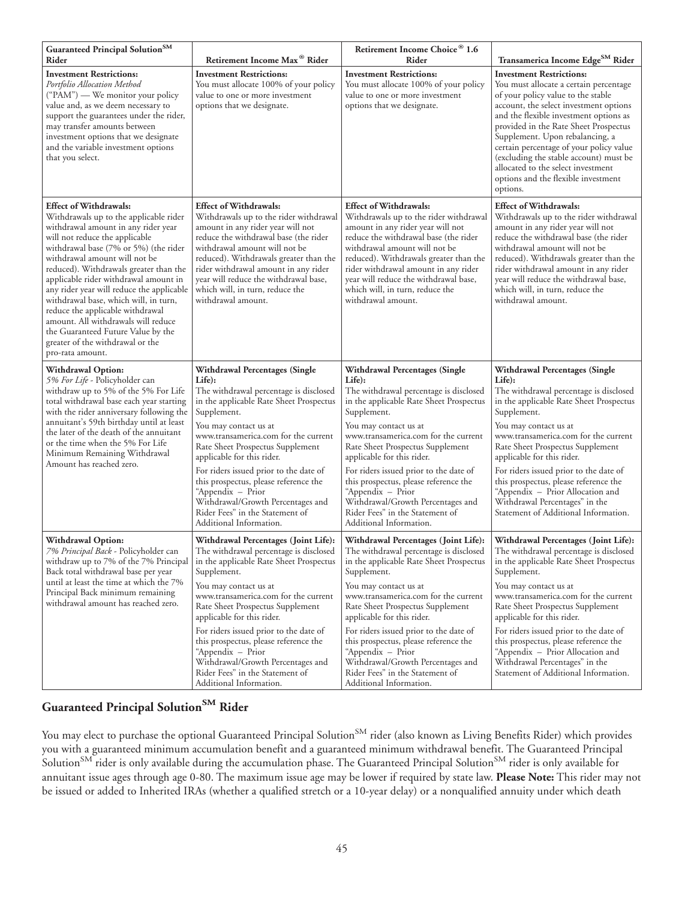| Guaranteed Principal Solution <sup>SM</sup><br>Rider                                                                                                                                                                                                                                                                                                                                                                                                                                                                                                                         | Retirement Income Max <sup>®</sup> Rider                                                                                                                                                                                                                                                                                                                                                                                                                                                          | Retirement Income Choice® 1.6<br>Rider                                                                                                                                                                                                                                                                                                                                                                                                                                                     | Transamerica Income Edge <sup>SM</sup> Rider                                                                                                                                                                                                                                                                                                                                                                                                                                     |
|------------------------------------------------------------------------------------------------------------------------------------------------------------------------------------------------------------------------------------------------------------------------------------------------------------------------------------------------------------------------------------------------------------------------------------------------------------------------------------------------------------------------------------------------------------------------------|---------------------------------------------------------------------------------------------------------------------------------------------------------------------------------------------------------------------------------------------------------------------------------------------------------------------------------------------------------------------------------------------------------------------------------------------------------------------------------------------------|--------------------------------------------------------------------------------------------------------------------------------------------------------------------------------------------------------------------------------------------------------------------------------------------------------------------------------------------------------------------------------------------------------------------------------------------------------------------------------------------|----------------------------------------------------------------------------------------------------------------------------------------------------------------------------------------------------------------------------------------------------------------------------------------------------------------------------------------------------------------------------------------------------------------------------------------------------------------------------------|
| <b>Investment Restrictions:</b><br>Portfolio Allocation Method<br>("PAM") — We monitor your policy<br>value and, as we deem necessary to<br>support the guarantees under the rider,<br>may transfer amounts between<br>investment options that we designate<br>and the variable investment options<br>that you select.                                                                                                                                                                                                                                                       | <b>Investment Restrictions:</b><br>You must allocate 100% of your policy<br>value to one or more investment<br>options that we designate.                                                                                                                                                                                                                                                                                                                                                         | <b>Investment Restrictions:</b><br>You must allocate 100% of your policy<br>value to one or more investment<br>options that we designate.                                                                                                                                                                                                                                                                                                                                                  | <b>Investment Restrictions:</b><br>You must allocate a certain percentage<br>of your policy value to the stable<br>account, the select investment options<br>and the flexible investment options as<br>provided in the Rate Sheet Prospectus<br>Supplement. Upon rebalancing, a<br>certain percentage of your policy value<br>(excluding the stable account) must be<br>allocated to the select investment<br>options and the flexible investment<br>options.                    |
| <b>Effect of Withdrawals:</b><br>Withdrawals up to the applicable rider<br>withdrawal amount in any rider year<br>will not reduce the applicable<br>withdrawal base (7% or 5%) (the rider<br>withdrawal amount will not be<br>reduced). Withdrawals greater than the<br>applicable rider withdrawal amount in<br>any rider year will reduce the applicable<br>withdrawal base, which will, in turn,<br>reduce the applicable withdrawal<br>amount. All withdrawals will reduce<br>the Guaranteed Future Value by the<br>greater of the withdrawal or the<br>pro-rata amount. | <b>Effect of Withdrawals:</b><br>Withdrawals up to the rider withdrawal<br>amount in any rider year will not<br>reduce the withdrawal base (the rider<br>withdrawal amount will not be<br>reduced). Withdrawals greater than the<br>rider withdrawal amount in any rider<br>year will reduce the withdrawal base,<br>which will, in turn, reduce the<br>withdrawal amount.                                                                                                                        | <b>Effect of Withdrawals:</b><br>Withdrawals up to the rider withdrawal<br>amount in any rider year will not<br>reduce the withdrawal base (the rider<br>withdrawal amount will not be<br>reduced). Withdrawals greater than the<br>rider withdrawal amount in any rider<br>year will reduce the withdrawal base,<br>which will, in turn, reduce the<br>withdrawal amount.                                                                                                                 | <b>Effect of Withdrawals:</b><br>Withdrawals up to the rider withdrawal<br>amount in any rider year will not<br>reduce the withdrawal base (the rider<br>withdrawal amount will not be<br>reduced). Withdrawals greater than the<br>rider withdrawal amount in any rider<br>year will reduce the withdrawal base,<br>which will, in turn, reduce the<br>withdrawal amount.                                                                                                       |
| Withdrawal Option:<br>5% For Life - Policyholder can<br>withdraw up to 5% of the 5% For Life<br>total withdrawal base each year starting<br>with the rider anniversary following the<br>annuitant's 59th birthday until at least<br>the later of the death of the annuitant<br>or the time when the 5% For Life<br>Minimum Remaining Withdrawal<br>Amount has reached zero.                                                                                                                                                                                                  | <b>Withdrawal Percentages (Single</b><br>Life):<br>The withdrawal percentage is disclosed<br>in the applicable Rate Sheet Prospectus<br>Supplement.<br>You may contact us at<br>www.transamerica.com for the current<br>Rate Sheet Prospectus Supplement<br>applicable for this rider.<br>For riders issued prior to the date of<br>this prospectus, please reference the<br>"Appendix - Prior<br>Withdrawal/Growth Percentages and<br>Rider Fees" in the Statement of<br>Additional Information. | Withdrawal Percentages (Single<br>Life):<br>The withdrawal percentage is disclosed<br>in the applicable Rate Sheet Prospectus<br>Supplement.<br>You may contact us at<br>www.transamerica.com for the current<br>Rate Sheet Prospectus Supplement<br>applicable for this rider.<br>For riders issued prior to the date of<br>this prospectus, please reference the<br>"Appendix - Prior<br>Withdrawal/Growth Percentages and<br>Rider Fees" in the Statement of<br>Additional Information. | Withdrawal Percentages (Single<br>Life):<br>The withdrawal percentage is disclosed<br>in the applicable Rate Sheet Prospectus<br>Supplement.<br>You may contact us at<br>www.transamerica.com for the current<br>Rate Sheet Prospectus Supplement<br>applicable for this rider.<br>For riders issued prior to the date of<br>this prospectus, please reference the<br>"Appendix - Prior Allocation and<br>Withdrawal Percentages" in the<br>Statement of Additional Information. |
| <b>Withdrawal Option:</b><br>7% Principal Back - Policyholder can<br>withdraw up to 7% of the 7% Principal<br>Back total withdrawal base per year<br>until at least the time at which the 7%<br>Principal Back minimum remaining<br>withdrawal amount has reached zero.                                                                                                                                                                                                                                                                                                      | Withdrawal Percentages (Joint Life):<br>The withdrawal percentage is disclosed<br>in the applicable Rate Sheet Prospectus<br>Supplement.<br>You may contact us at<br>www.transamerica.com for the current<br>Rate Sheet Prospectus Supplement<br>applicable for this rider.<br>For riders issued prior to the date of<br>this prospectus, please reference the<br>"Appendix - Prior<br>Withdrawal/Growth Percentages and<br>Rider Fees" in the Statement of<br>Additional Information.            | Withdrawal Percentages (Joint Life):<br>The withdrawal percentage is disclosed<br>in the applicable Rate Sheet Prospectus<br>Supplement.<br>You may contact us at<br>www.transamerica.com for the current<br>Rate Sheet Prospectus Supplement<br>applicable for this rider.<br>For riders issued prior to the date of<br>this prospectus, please reference the<br>"Appendix – Prior<br>Withdrawal/Growth Percentages and<br>Rider Fees" in the Statement of<br>Additional Information.     | Withdrawal Percentages (Joint Life):<br>The withdrawal percentage is disclosed<br>in the applicable Rate Sheet Prospectus<br>Supplement.<br>You may contact us at<br>www.transamerica.com for the current<br>Rate Sheet Prospectus Supplement<br>applicable for this rider.<br>For riders issued prior to the date of<br>this prospectus, please reference the<br>"Appendix - Prior Allocation and<br>Withdrawal Percentages" in the<br>Statement of Additional Information.     |

# **Guaranteed Principal SolutionSM Rider**

You may elect to purchase the optional Guaranteed Principal Solution<sup>SM</sup> rider (also known as Living Benefits Rider) which provides you with a guaranteed minimum accumulation benefit and a guaranteed minimum withdrawal benefit. The Guaranteed Principal Solution<sup>SM</sup> rider is only available during the accumulation phase. The Guaranteed Principal Solution<sup>SM</sup> rider is only available for annuitant issue ages through age 0-80. The maximum issue age may be lower if required by state law. **Please Note:** This rider may not be issued or added to Inherited IRAs (whether a qualified stretch or a 10-year delay) or a nonqualified annuity under which death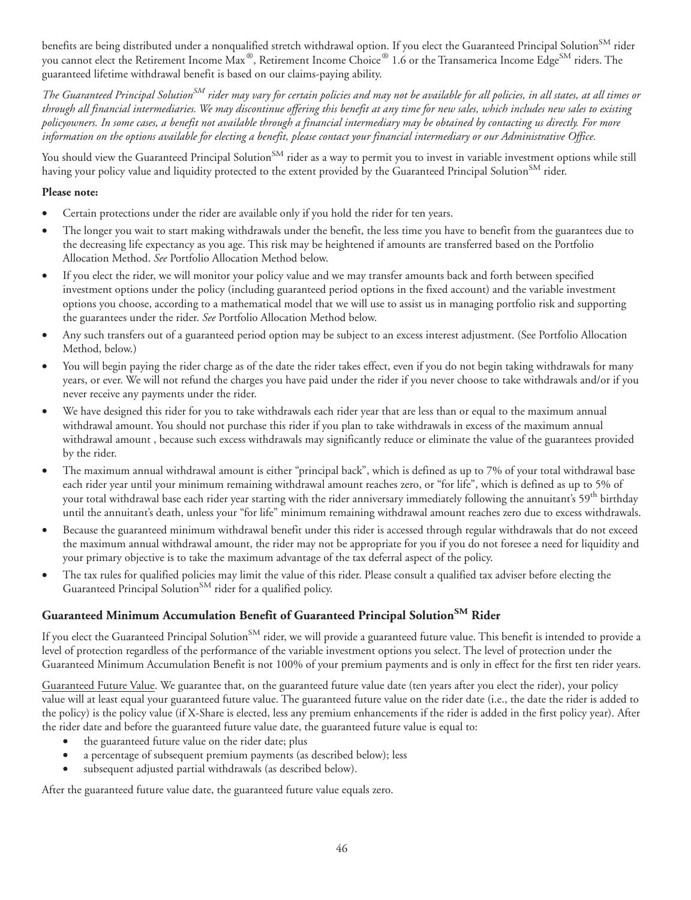benefits are being distributed under a nonqualified stretch withdrawal option. If you elect the Guaranteed Principal Solution<sup>SM</sup> rider you cannot elect the Retirement Income Max®, Retirement Income Choice® 1.6 or the Transamerica Income Edge<sup>SM</sup> riders. The guaranteed lifetime withdrawal benefit is based on our claims-paying ability.

*The Guaranteed Principal SolutionSM rider may vary for certain policies and may not be available for all policies, in all states, at all times or through all financial intermediaries. We may discontinue offering this benefit at any time for new sales, which includes new sales to existing policyowners. In some cases, a benefit not available through a financial intermediary may be obtained by contacting us directly. For more information on the options available for electing a benefit, please contact your financial intermediary or our Administrative Office.*

You should view the Guaranteed Principal Solution<sup>SM</sup> rider as a way to permit you to invest in variable investment options while still having your policy value and liquidity protected to the extent provided by the Guaranteed Principal Solution<sup>SM</sup> rider.

#### **Please note:**

- Certain protections under the rider are available only if you hold the rider for ten years.
- The longer you wait to start making withdrawals under the benefit, the less time you have to benefit from the guarantees due to the decreasing life expectancy as you age. This risk may be heightened if amounts are transferred based on the Portfolio Allocation Method. *See* Portfolio Allocation Method below.
- If you elect the rider, we will monitor your policy value and we may transfer amounts back and forth between specified investment options under the policy (including guaranteed period options in the fixed account) and the variable investment options you choose, according to a mathematical model that we will use to assist us in managing portfolio risk and supporting the guarantees under the rider. *See* Portfolio Allocation Method below.
- Any such transfers out of a guaranteed period option may be subject to an excess interest adjustment. (See Portfolio Allocation Method, below.)
- You will begin paying the rider charge as of the date the rider takes effect, even if you do not begin taking withdrawals for many years, or ever. We will not refund the charges you have paid under the rider if you never choose to take withdrawals and/or if you never receive any payments under the rider.
- We have designed this rider for you to take withdrawals each rider year that are less than or equal to the maximum annual withdrawal amount. You should not purchase this rider if you plan to take withdrawals in excess of the maximum annual withdrawal amount , because such excess withdrawals may significantly reduce or eliminate the value of the guarantees provided by the rider.
- The maximum annual withdrawal amount is either "principal back", which is defined as up to 7% of your total withdrawal base each rider year until your minimum remaining withdrawal amount reaches zero, or "for life", which is defined as up to 5% of your total withdrawal base each rider year starting with the rider anniversary immediately following the annuitant's 59<sup>th</sup> birthday until the annuitant's death, unless your "for life" minimum remaining withdrawal amount reaches zero due to excess withdrawals.
- Because the guaranteed minimum withdrawal benefit under this rider is accessed through regular withdrawals that do not exceed the maximum annual withdrawal amount, the rider may not be appropriate for you if you do not foresee a need for liquidity and your primary objective is to take the maximum advantage of the tax deferral aspect of the policy.
- The tax rules for qualified policies may limit the value of this rider. Please consult a qualified tax adviser before electing the Guaranteed Principal Solution<sup>SM</sup> rider for a qualified policy.

# **Guaranteed Minimum Accumulation Benefit of Guaranteed Principal SolutionSM Rider**

If you elect the Guaranteed Principal Solution<sup>SM</sup> rider, we will provide a guaranteed future value. This benefit is intended to provide a level of protection regardless of the performance of the variable investment options you select. The level of protection under the Guaranteed Minimum Accumulation Benefit is not 100% of your premium payments and is only in effect for the first ten rider years.

Guaranteed Future Value. We guarantee that, on the guaranteed future value date (ten years after you elect the rider), your policy value will at least equal your guaranteed future value. The guaranteed future value on the rider date (i.e., the date the rider is added to the policy) is the policy value (if X-Share is elected, less any premium enhancements if the rider is added in the first policy year). After the rider date and before the guaranteed future value date, the guaranteed future value is equal to:

- the guaranteed future value on the rider date; plus
- a percentage of subsequent premium payments (as described below); less
- subsequent adjusted partial withdrawals (as described below).

After the guaranteed future value date, the guaranteed future value equals zero.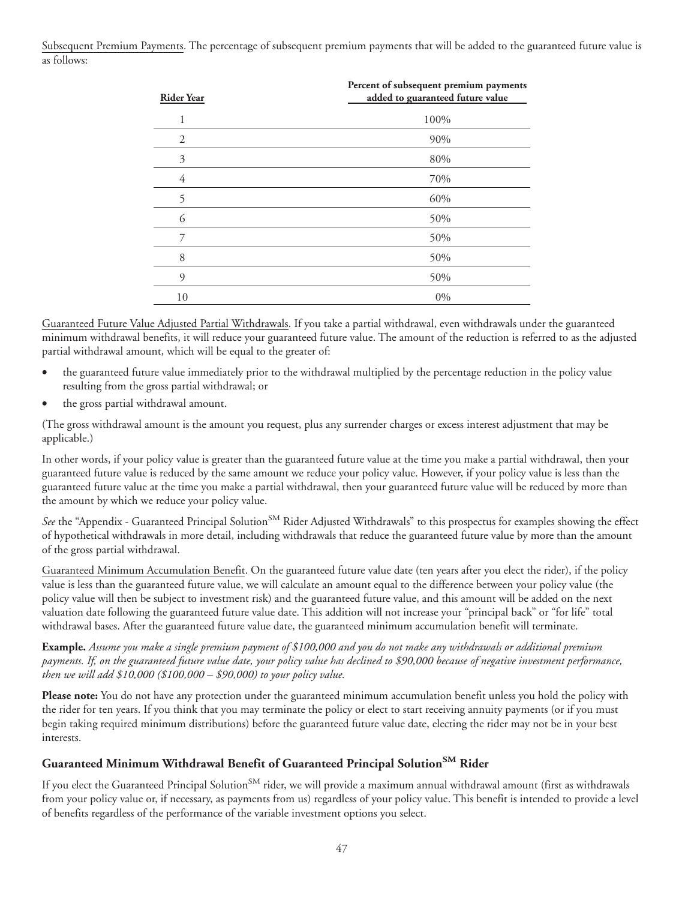Subsequent Premium Payments. The percentage of subsequent premium payments that will be added to the guaranteed future value is as follows:

| <b>Rider Year</b> | Percent of subsequent premium payments<br>added to guaranteed future value |
|-------------------|----------------------------------------------------------------------------|
|                   | 100%                                                                       |
| 2                 | 90%                                                                        |
| 3                 | 80%                                                                        |
| 4                 | 70%                                                                        |
| 5                 | 60%                                                                        |
| 6                 | 50%                                                                        |
| 7                 | 50%                                                                        |
| 8                 | 50%                                                                        |
| 9                 | 50%                                                                        |
| 10                | 0%                                                                         |

Guaranteed Future Value Adjusted Partial Withdrawals. If you take a partial withdrawal, even withdrawals under the guaranteed minimum withdrawal benefits, it will reduce your guaranteed future value. The amount of the reduction is referred to as the adjusted partial withdrawal amount, which will be equal to the greater of:

- the guaranteed future value immediately prior to the withdrawal multiplied by the percentage reduction in the policy value resulting from the gross partial withdrawal; or
- the gross partial withdrawal amount.

(The gross withdrawal amount is the amount you request, plus any surrender charges or excess interest adjustment that may be applicable.)

In other words, if your policy value is greater than the guaranteed future value at the time you make a partial withdrawal, then your guaranteed future value is reduced by the same amount we reduce your policy value. However, if your policy value is less than the guaranteed future value at the time you make a partial withdrawal, then your guaranteed future value will be reduced by more than the amount by which we reduce your policy value.

*See* the "Appendix - Guaranteed Principal Solution<sup>SM</sup> Rider Adjusted Withdrawals" to this prospectus for examples showing the effect of hypothetical withdrawals in more detail, including withdrawals that reduce the guaranteed future value by more than the amount of the gross partial withdrawal.

Guaranteed Minimum Accumulation Benefit. On the guaranteed future value date (ten years after you elect the rider), if the policy value is less than the guaranteed future value, we will calculate an amount equal to the difference between your policy value (the policy value will then be subject to investment risk) and the guaranteed future value, and this amount will be added on the next valuation date following the guaranteed future value date. This addition will not increase your "principal back" or "for life" total withdrawal bases. After the guaranteed future value date, the guaranteed minimum accumulation benefit will terminate.

**Example.** *Assume you make a single premium payment of \$100,000 and you do not make any withdrawals or additional premium payments. If, on the guaranteed future value date, your policy value has declined to \$90,000 because of negative investment performance, then we will add \$10,000 (\$100,000 – \$90,000) to your policy value.*

**Please note:** You do not have any protection under the guaranteed minimum accumulation benefit unless you hold the policy with the rider for ten years. If you think that you may terminate the policy or elect to start receiving annuity payments (or if you must begin taking required minimum distributions) before the guaranteed future value date, electing the rider may not be in your best interests.

# **Guaranteed Minimum Withdrawal Benefit of Guaranteed Principal SolutionSM Rider**

If you elect the Guaranteed Principal Solution<sup>SM</sup> rider, we will provide a maximum annual withdrawal amount (first as withdrawals from your policy value or, if necessary, as payments from us) regardless of your policy value. This benefit is intended to provide a level of benefits regardless of the performance of the variable investment options you select.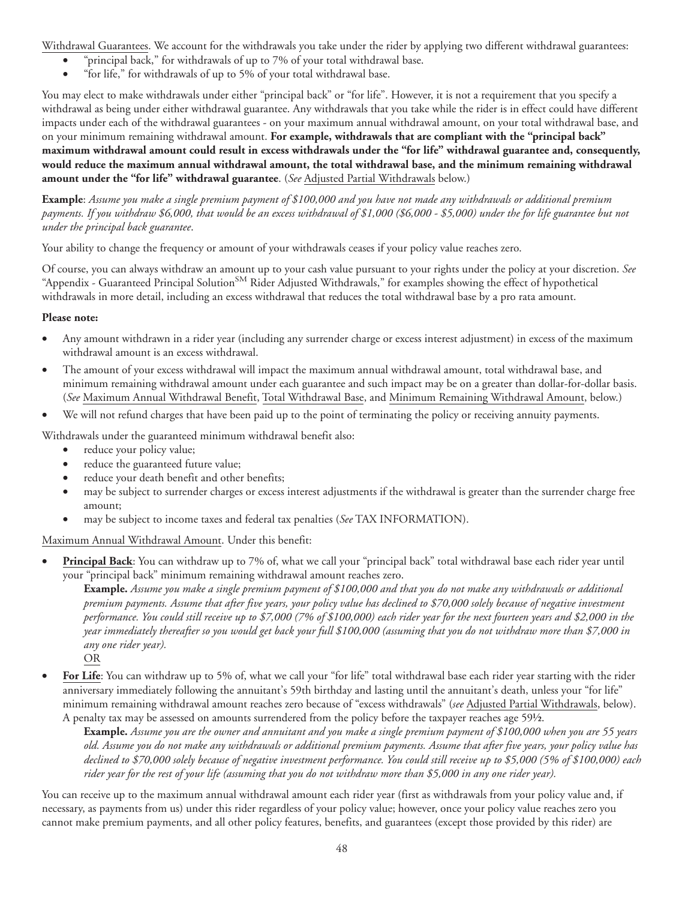Withdrawal Guarantees. We account for the withdrawals you take under the rider by applying two different withdrawal guarantees:

- "principal back," for withdrawals of up to 7% of your total withdrawal base.
- "for life," for withdrawals of up to 5% of your total withdrawal base.

You may elect to make withdrawals under either "principal back" or "for life". However, it is not a requirement that you specify a withdrawal as being under either withdrawal guarantee. Any withdrawals that you take while the rider is in effect could have different impacts under each of the withdrawal guarantees - on your maximum annual withdrawal amount, on your total withdrawal base, and on your minimum remaining withdrawal amount. **For example, withdrawals that are compliant with the "principal back" maximum withdrawal amount could result in excess withdrawals under the "for life" withdrawal guarantee and, consequently, would reduce the maximum annual withdrawal amount, the total withdrawal base, and the minimum remaining withdrawal amount under the "for life" withdrawal guarantee**. (*See* Adjusted Partial Withdrawals below.)

**Example**: *Assume you make a single premium payment of \$100,000 and you have not made any withdrawals or additional premium payments. If you withdraw \$6,000, that would be an excess withdrawal of \$1,000 (\$6,000 - \$5,000) under the for life guarantee but not under the principal back guarantee*.

Your ability to change the frequency or amount of your withdrawals ceases if your policy value reaches zero.

Of course, you can always withdraw an amount up to your cash value pursuant to your rights under the policy at your discretion. *See* "Appendix - Guaranteed Principal Solution<sup>SM</sup> Rider Adjusted Withdrawals," for examples showing the effect of hypothetical withdrawals in more detail, including an excess withdrawal that reduces the total withdrawal base by a pro rata amount.

#### **Please note:**

- Any amount withdrawn in a rider year (including any surrender charge or excess interest adjustment) in excess of the maximum withdrawal amount is an excess withdrawal.
- The amount of your excess withdrawal will impact the maximum annual withdrawal amount, total withdrawal base, and minimum remaining withdrawal amount under each guarantee and such impact may be on a greater than dollar-for-dollar basis. (*See* Maximum Annual Withdrawal Benefit, Total Withdrawal Base, and Minimum Remaining Withdrawal Amount, below.)
- We will not refund charges that have been paid up to the point of terminating the policy or receiving annuity payments.

Withdrawals under the guaranteed minimum withdrawal benefit also:

- reduce your policy value;
- reduce the guaranteed future value;
- reduce your death benefit and other benefits;
- may be subject to surrender charges or excess interest adjustments if the withdrawal is greater than the surrender charge free amount;
- may be subject to income taxes and federal tax penalties (*See* TAX INFORMATION).

Maximum Annual Withdrawal Amount. Under this benefit:

• **Principal Back**: You can withdraw up to 7% of, what we call your "principal back" total withdrawal base each rider year until your "principal back" minimum remaining withdrawal amount reaches zero.

**Example.** *Assume you make a single premium payment of \$100,000 and that you do not make any withdrawals or additional premium payments. Assume that after five years, your policy value has declined to \$70,000 solely because of negative investment performance. You could still receive up to \$7,000 (7% of \$100,000) each rider year for the next fourteen years and \$2,000 in the year immediately thereafter so you would get back your full \$100,000 (assuming that you do not withdraw more than \$7,000 in any one rider year).*

OR

• **For Life**: You can withdraw up to 5% of, what we call your "for life" total withdrawal base each rider year starting with the rider anniversary immediately following the annuitant's 59th birthday and lasting until the annuitant's death, unless your "for life" minimum remaining withdrawal amount reaches zero because of "excess withdrawals" (*see* Adjusted Partial Withdrawals, below). A penalty tax may be assessed on amounts surrendered from the policy before the taxpayer reaches age 59½.

**Example.** *Assume you are the owner and annuitant and you make a single premium payment of \$100,000 when you are 55 years old. Assume you do not make any withdrawals or additional premium payments. Assume that after five years, your policy value has declined to \$70,000 solely because of negative investment performance. You could still receive up to \$5,000 (5% of \$100,000) each rider year for the rest of your life (assuming that you do not withdraw more than \$5,000 in any one rider year).*

You can receive up to the maximum annual withdrawal amount each rider year (first as withdrawals from your policy value and, if necessary, as payments from us) under this rider regardless of your policy value; however, once your policy value reaches zero you cannot make premium payments, and all other policy features, benefits, and guarantees (except those provided by this rider) are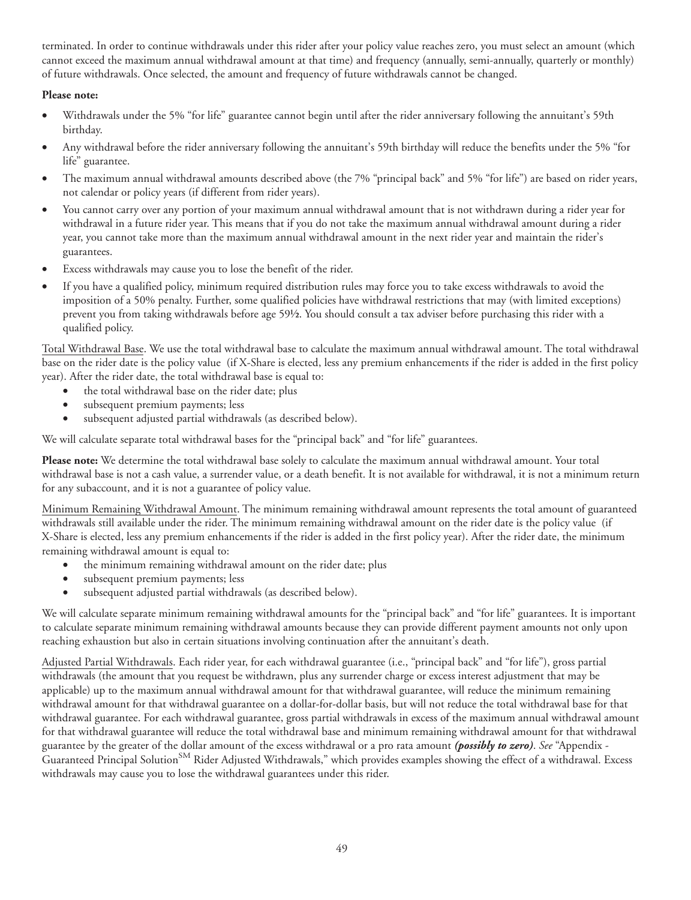terminated. In order to continue withdrawals under this rider after your policy value reaches zero, you must select an amount (which cannot exceed the maximum annual withdrawal amount at that time) and frequency (annually, semi-annually, quarterly or monthly) of future withdrawals. Once selected, the amount and frequency of future withdrawals cannot be changed.

#### **Please note:**

- Withdrawals under the 5% "for life" guarantee cannot begin until after the rider anniversary following the annuitant's 59th birthday.
- Any withdrawal before the rider anniversary following the annuitant's 59th birthday will reduce the benefits under the 5% "for life" guarantee.
- The maximum annual withdrawal amounts described above (the 7% "principal back" and 5% "for life") are based on rider years, not calendar or policy years (if different from rider years).
- You cannot carry over any portion of your maximum annual withdrawal amount that is not withdrawn during a rider year for withdrawal in a future rider year. This means that if you do not take the maximum annual withdrawal amount during a rider year, you cannot take more than the maximum annual withdrawal amount in the next rider year and maintain the rider's guarantees.
- Excess withdrawals may cause you to lose the benefit of the rider.
- If you have a qualified policy, minimum required distribution rules may force you to take excess withdrawals to avoid the imposition of a 50% penalty. Further, some qualified policies have withdrawal restrictions that may (with limited exceptions) prevent you from taking withdrawals before age 59½. You should consult a tax adviser before purchasing this rider with a qualified policy.

Total Withdrawal Base. We use the total withdrawal base to calculate the maximum annual withdrawal amount. The total withdrawal base on the rider date is the policy value (if X-Share is elected, less any premium enhancements if the rider is added in the first policy year). After the rider date, the total withdrawal base is equal to:

- the total withdrawal base on the rider date; plus
- subsequent premium payments; less
- subsequent adjusted partial withdrawals (as described below).

We will calculate separate total withdrawal bases for the "principal back" and "for life" guarantees.

**Please note:** We determine the total withdrawal base solely to calculate the maximum annual withdrawal amount. Your total withdrawal base is not a cash value, a surrender value, or a death benefit. It is not available for withdrawal, it is not a minimum return for any subaccount, and it is not a guarantee of policy value.

Minimum Remaining Withdrawal Amount. The minimum remaining withdrawal amount represents the total amount of guaranteed withdrawals still available under the rider. The minimum remaining withdrawal amount on the rider date is the policy value (if X-Share is elected, less any premium enhancements if the rider is added in the first policy year). After the rider date, the minimum remaining withdrawal amount is equal to:

- the minimum remaining withdrawal amount on the rider date; plus
- subsequent premium payments; less
- subsequent adjusted partial withdrawals (as described below).

We will calculate separate minimum remaining withdrawal amounts for the "principal back" and "for life" guarantees. It is important to calculate separate minimum remaining withdrawal amounts because they can provide different payment amounts not only upon reaching exhaustion but also in certain situations involving continuation after the annuitant's death.

Adjusted Partial Withdrawals. Each rider year, for each withdrawal guarantee (i.e., "principal back" and "for life"), gross partial withdrawals (the amount that you request be withdrawn, plus any surrender charge or excess interest adjustment that may be applicable) up to the maximum annual withdrawal amount for that withdrawal guarantee, will reduce the minimum remaining withdrawal amount for that withdrawal guarantee on a dollar-for-dollar basis, but will not reduce the total withdrawal base for that withdrawal guarantee. For each withdrawal guarantee, gross partial withdrawals in excess of the maximum annual withdrawal amount for that withdrawal guarantee will reduce the total withdrawal base and minimum remaining withdrawal amount for that withdrawal guarantee by the greater of the dollar amount of the excess withdrawal or a pro rata amount *(possibly to zero)*. *See* "Appendix - Guaranteed Principal Solution<sup>SM</sup> Rider Adjusted Withdrawals," which provides examples showing the effect of a withdrawal. Excess withdrawals may cause you to lose the withdrawal guarantees under this rider.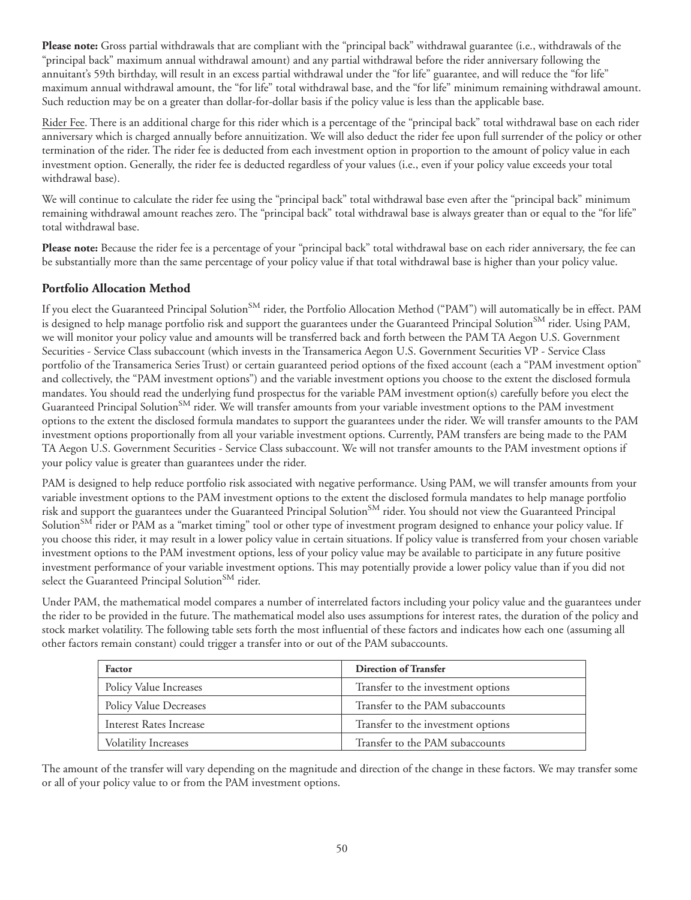**Please note:** Gross partial withdrawals that are compliant with the "principal back" withdrawal guarantee (i.e., withdrawals of the "principal back" maximum annual withdrawal amount) and any partial withdrawal before the rider anniversary following the annuitant's 59th birthday, will result in an excess partial withdrawal under the "for life" guarantee, and will reduce the "for life" maximum annual withdrawal amount, the "for life" total withdrawal base, and the "for life" minimum remaining withdrawal amount. Such reduction may be on a greater than dollar-for-dollar basis if the policy value is less than the applicable base.

Rider Fee. There is an additional charge for this rider which is a percentage of the "principal back" total withdrawal base on each rider anniversary which is charged annually before annuitization. We will also deduct the rider fee upon full surrender of the policy or other termination of the rider. The rider fee is deducted from each investment option in proportion to the amount of policy value in each investment option. Generally, the rider fee is deducted regardless of your values (i.e., even if your policy value exceeds your total withdrawal base).

We will continue to calculate the rider fee using the "principal back" total withdrawal base even after the "principal back" minimum remaining withdrawal amount reaches zero. The "principal back" total withdrawal base is always greater than or equal to the "for life" total withdrawal base.

**Please note:** Because the rider fee is a percentage of your "principal back" total withdrawal base on each rider anniversary, the fee can be substantially more than the same percentage of your policy value if that total withdrawal base is higher than your policy value.

## **Portfolio Allocation Method**

If you elect the Guaranteed Principal Solution<sup>SM</sup> rider, the Portfolio Allocation Method ("PAM") will automatically be in effect. PAM is designed to help manage portfolio risk and support the guarantees under the Guaranteed Principal Solution<sup>SM</sup> rider. Using PAM, we will monitor your policy value and amounts will be transferred back and forth between the PAM TA Aegon U.S. Government Securities - Service Class subaccount (which invests in the Transamerica Aegon U.S. Government Securities VP - Service Class portfolio of the Transamerica Series Trust) or certain guaranteed period options of the fixed account (each a "PAM investment option" and collectively, the "PAM investment options") and the variable investment options you choose to the extent the disclosed formula mandates. You should read the underlying fund prospectus for the variable PAM investment option(s) carefully before you elect the Guaranteed Principal Solution<sup>SM</sup> rider. We will transfer amounts from your variable investment options to the PAM investment options to the extent the disclosed formula mandates to support the guarantees under the rider. We will transfer amounts to the PAM investment options proportionally from all your variable investment options. Currently, PAM transfers are being made to the PAM TA Aegon U.S. Government Securities - Service Class subaccount. We will not transfer amounts to the PAM investment options if your policy value is greater than guarantees under the rider.

PAM is designed to help reduce portfolio risk associated with negative performance. Using PAM, we will transfer amounts from your variable investment options to the PAM investment options to the extent the disclosed formula mandates to help manage portfolio risk and support the guarantees under the Guaranteed Principal Solution<sup>SM</sup> rider. You should not view the Guaranteed Principal Solution<sup>SM</sup> rider or PAM as a "market timing" tool or other type of investment program designed to enhance your policy value. If you choose this rider, it may result in a lower policy value in certain situations. If policy value is transferred from your chosen variable investment options to the PAM investment options, less of your policy value may be available to participate in any future positive investment performance of your variable investment options. This may potentially provide a lower policy value than if you did not select the Guaranteed Principal Solution<sup>SM</sup> rider.

Under PAM, the mathematical model compares a number of interrelated factors including your policy value and the guarantees under the rider to be provided in the future. The mathematical model also uses assumptions for interest rates, the duration of the policy and stock market volatility. The following table sets forth the most influential of these factors and indicates how each one (assuming all other factors remain constant) could trigger a transfer into or out of the PAM subaccounts.

| Factor                        | <b>Direction of Transfer</b>       |
|-------------------------------|------------------------------------|
| Policy Value Increases        | Transfer to the investment options |
| <b>Policy Value Decreases</b> | Transfer to the PAM subaccounts    |
| Interest Rates Increase       | Transfer to the investment options |
| <b>Volatility Increases</b>   | Transfer to the PAM subaccounts    |

The amount of the transfer will vary depending on the magnitude and direction of the change in these factors. We may transfer some or all of your policy value to or from the PAM investment options.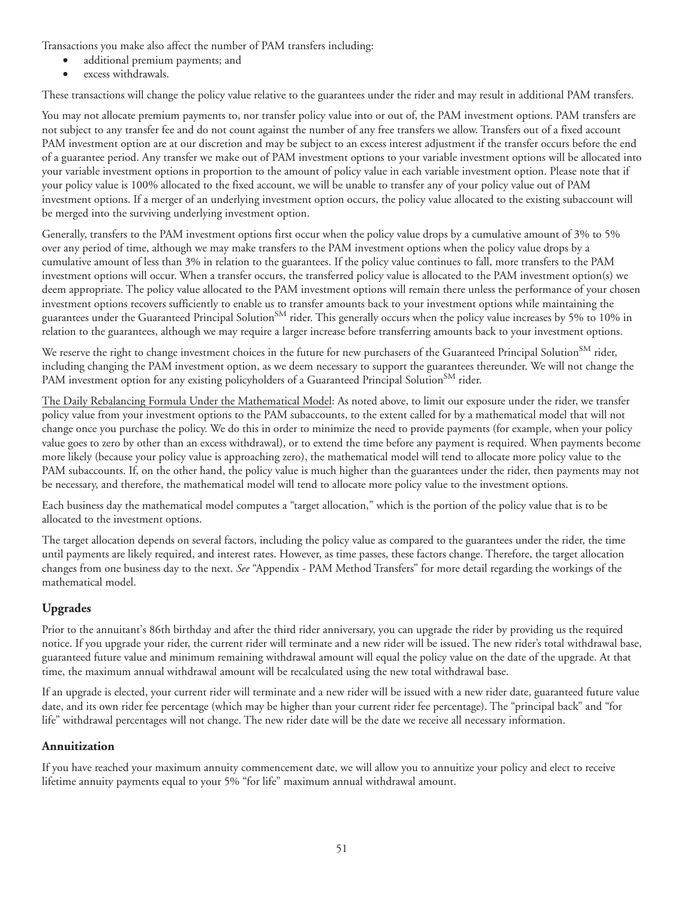Transactions you make also affect the number of PAM transfers including:

- additional premium payments; and
- excess withdrawals.

These transactions will change the policy value relative to the guarantees under the rider and may result in additional PAM transfers.

You may not allocate premium payments to, nor transfer policy value into or out of, the PAM investment options. PAM transfers are not subject to any transfer fee and do not count against the number of any free transfers we allow. Transfers out of a fixed account PAM investment option are at our discretion and may be subject to an excess interest adjustment if the transfer occurs before the end of a guarantee period. Any transfer we make out of PAM investment options to your variable investment options will be allocated into your variable investment options in proportion to the amount of policy value in each variable investment option. Please note that if your policy value is 100% allocated to the fixed account, we will be unable to transfer any of your policy value out of PAM investment options. If a merger of an underlying investment option occurs, the policy value allocated to the existing subaccount will be merged into the surviving underlying investment option.

Generally, transfers to the PAM investment options first occur when the policy value drops by a cumulative amount of 3% to 5% over any period of time, although we may make transfers to the PAM investment options when the policy value drops by a cumulative amount of less than 3% in relation to the guarantees. If the policy value continues to fall, more transfers to the PAM investment options will occur. When a transfer occurs, the transferred policy value is allocated to the PAM investment option(s) we deem appropriate. The policy value allocated to the PAM investment options will remain there unless the performance of your chosen investment options recovers sufficiently to enable us to transfer amounts back to your investment options while maintaining the guarantees under the Guaranteed Principal Solution<sup>SM</sup> rider. This generally occurs when the policy value increases by 5% to 10% in relation to the guarantees, although we may require a larger increase before transferring amounts back to your investment options.

We reserve the right to change investment choices in the future for new purchasers of the Guaranteed Principal Solution<sup>SM</sup> rider, including changing the PAM investment option, as we deem necessary to support the guarantees thereunder. We will not change the PAM investment option for any existing policyholders of a Guaranteed Principal Solution<sup>SM</sup> rider.

The Daily Rebalancing Formula Under the Mathematical Model: As noted above, to limit our exposure under the rider, we transfer policy value from your investment options to the PAM subaccounts, to the extent called for by a mathematical model that will not change once you purchase the policy. We do this in order to minimize the need to provide payments (for example, when your policy value goes to zero by other than an excess withdrawal), or to extend the time before any payment is required. When payments become more likely (because your policy value is approaching zero), the mathematical model will tend to allocate more policy value to the PAM subaccounts. If, on the other hand, the policy value is much higher than the guarantees under the rider, then payments may not be necessary, and therefore, the mathematical model will tend to allocate more policy value to the investment options.

Each business day the mathematical model computes a "target allocation," which is the portion of the policy value that is to be allocated to the investment options.

The target allocation depends on several factors, including the policy value as compared to the guarantees under the rider, the time until payments are likely required, and interest rates. However, as time passes, these factors change. Therefore, the target allocation changes from one business day to the next. *See* "Appendix - PAM Method Transfers" for more detail regarding the workings of the mathematical model.

# **Upgrades**

Prior to the annuitant's 86th birthday and after the third rider anniversary, you can upgrade the rider by providing us the required notice. If you upgrade your rider, the current rider will terminate and a new rider will be issued. The new rider's total withdrawal base, guaranteed future value and minimum remaining withdrawal amount will equal the policy value on the date of the upgrade. At that time, the maximum annual withdrawal amount will be recalculated using the new total withdrawal base.

If an upgrade is elected, your current rider will terminate and a new rider will be issued with a new rider date, guaranteed future value date, and its own rider fee percentage (which may be higher than your current rider fee percentage). The "principal back" and "for life" withdrawal percentages will not change. The new rider date will be the date we receive all necessary information.

# **Annuitization**

If you have reached your maximum annuity commencement date, we will allow you to annuitize your policy and elect to receive lifetime annuity payments equal to your 5% "for life" maximum annual withdrawal amount.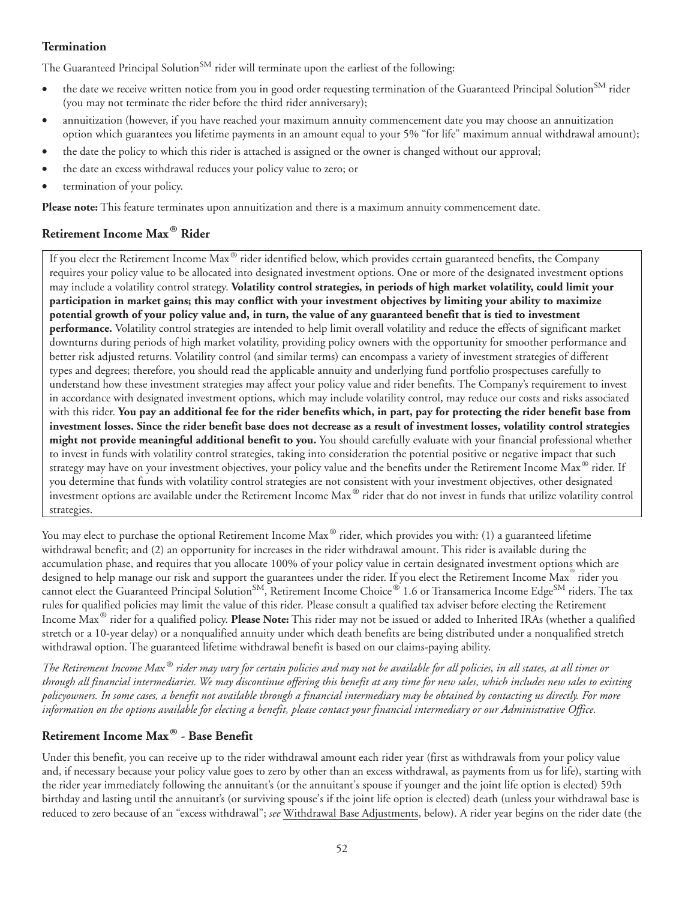### **Termination**

The Guaranteed Principal Solution<sup>SM</sup> rider will terminate upon the earliest of the following:

- the date we receive written notice from you in good order requesting termination of the Guaranteed Principal Solution<sup>SM</sup> rider (you may not terminate the rider before the third rider anniversary);
- annuitization (however, if you have reached your maximum annuity commencement date you may choose an annuitization option which guarantees you lifetime payments in an amount equal to your 5% "for life" maximum annual withdrawal amount);
- the date the policy to which this rider is attached is assigned or the owner is changed without our approval;
- the date an excess withdrawal reduces your policy value to zero; or
- termination of your policy.

**Please note:** This feature terminates upon annuitization and there is a maximum annuity commencement date.

# **Retirement Income Max® Rider**

If you elect the Retirement Income Max® rider identified below, which provides certain guaranteed benefits, the Company requires your policy value to be allocated into designated investment options. One or more of the designated investment options may include a volatility control strategy. **Volatility control strategies, in periods of high market volatility, could limit your participation in market gains; this may conflict with your investment objectives by limiting your ability to maximize potential growth of your policy value and, in turn, the value of any guaranteed benefit that is tied to investment performance.** Volatility control strategies are intended to help limit overall volatility and reduce the effects of significant market downturns during periods of high market volatility, providing policy owners with the opportunity for smoother performance and better risk adjusted returns. Volatility control (and similar terms) can encompass a variety of investment strategies of different types and degrees; therefore, you should read the applicable annuity and underlying fund portfolio prospectuses carefully to understand how these investment strategies may affect your policy value and rider benefits. The Company's requirement to invest in accordance with designated investment options, which may include volatility control, may reduce our costs and risks associated with this rider. **You pay an additional fee for the rider benefits which, in part, pay for protecting the rider benefit base from investment losses. Since the rider benefit base does not decrease as a result of investment losses, volatility control strategies might not provide meaningful additional benefit to you.** You should carefully evaluate with your financial professional whether to invest in funds with volatility control strategies, taking into consideration the potential positive or negative impact that such strategy may have on your investment objectives, your policy value and the benefits under the Retirement Income Max® rider. If you determine that funds with volatility control strategies are not consistent with your investment objectives, other designated investment options are available under the Retirement Income Max® rider that do not invest in funds that utilize volatility control strategies.

You may elect to purchase the optional Retirement Income Max<sup>®</sup> rider, which provides you with: (1) a guaranteed lifetime withdrawal benefit; and (2) an opportunity for increases in the rider withdrawal amount. This rider is available during the accumulation phase, and requires that you allocate 100% of your policy value in certain designated investment options which are designed to help manage our risk and support the guarantees under the rider. If you elect the Retirement Income Max ® rider you cannot elect the Guaranteed Principal Solution<sup>SM</sup>, Retirement Income Choice® 1.6 or Transamerica Income Edge<sup>SM</sup> riders. The tax rules for qualified policies may limit the value of this rider. Please consult a qualified tax adviser before electing the Retirement Income Max® rider for a qualified policy. **Please Note:** This rider may not be issued or added to Inherited IRAs (whether a qualified stretch or a 10-year delay) or a nonqualified annuity under which death benefits are being distributed under a nonqualified stretch withdrawal option. The guaranteed lifetime withdrawal benefit is based on our claims-paying ability.

*The Retirement Income Max ® rider may vary for certain policies and may not be available for all policies, in all states, at all times or through all financial intermediaries. We may discontinue offering this benefit at any time for new sales, which includes new sales to existing policyowners. In some cases, a benefit not available through a financial intermediary may be obtained by contacting us directly. For more information on the options available for electing a benefit, please contact your financial intermediary or our Administrative Office.*

# **Retirement Income Max® - Base Benefit**

Under this benefit, you can receive up to the rider withdrawal amount each rider year (first as withdrawals from your policy value and, if necessary because your policy value goes to zero by other than an excess withdrawal, as payments from us for life), starting with the rider year immediately following the annuitant's (or the annuitant's spouse if younger and the joint life option is elected) 59th birthday and lasting until the annuitant's (or surviving spouse's if the joint life option is elected) death (unless your withdrawal base is reduced to zero because of an "excess withdrawal"; *see* Withdrawal Base Adjustments, below). A rider year begins on the rider date (the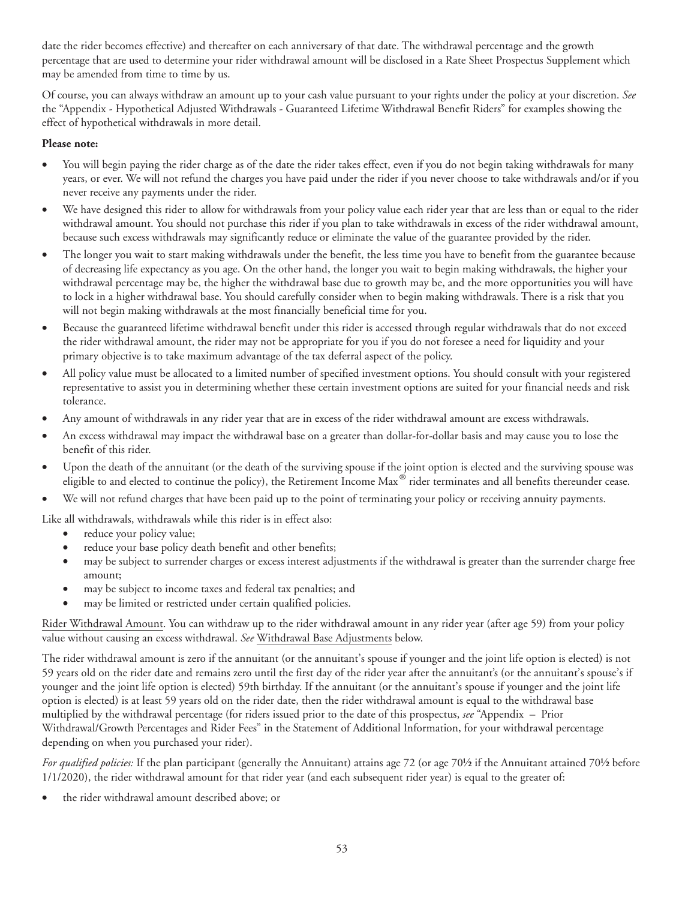date the rider becomes effective) and thereafter on each anniversary of that date. The withdrawal percentage and the growth percentage that are used to determine your rider withdrawal amount will be disclosed in a Rate Sheet Prospectus Supplement which may be amended from time to time by us.

Of course, you can always withdraw an amount up to your cash value pursuant to your rights under the policy at your discretion. *See* the "Appendix - Hypothetical Adjusted Withdrawals - Guaranteed Lifetime Withdrawal Benefit Riders" for examples showing the effect of hypothetical withdrawals in more detail.

### **Please note:**

- You will begin paying the rider charge as of the date the rider takes effect, even if you do not begin taking withdrawals for many years, or ever. We will not refund the charges you have paid under the rider if you never choose to take withdrawals and/or if you never receive any payments under the rider.
- We have designed this rider to allow for withdrawals from your policy value each rider year that are less than or equal to the rider withdrawal amount. You should not purchase this rider if you plan to take withdrawals in excess of the rider withdrawal amount, because such excess withdrawals may significantly reduce or eliminate the value of the guarantee provided by the rider.
- The longer you wait to start making withdrawals under the benefit, the less time you have to benefit from the guarantee because of decreasing life expectancy as you age. On the other hand, the longer you wait to begin making withdrawals, the higher your withdrawal percentage may be, the higher the withdrawal base due to growth may be, and the more opportunities you will have to lock in a higher withdrawal base. You should carefully consider when to begin making withdrawals. There is a risk that you will not begin making withdrawals at the most financially beneficial time for you.
- Because the guaranteed lifetime withdrawal benefit under this rider is accessed through regular withdrawals that do not exceed the rider withdrawal amount, the rider may not be appropriate for you if you do not foresee a need for liquidity and your primary objective is to take maximum advantage of the tax deferral aspect of the policy.
- All policy value must be allocated to a limited number of specified investment options. You should consult with your registered representative to assist you in determining whether these certain investment options are suited for your financial needs and risk tolerance.
- Any amount of withdrawals in any rider year that are in excess of the rider withdrawal amount are excess withdrawals.
- An excess withdrawal may impact the withdrawal base on a greater than dollar-for-dollar basis and may cause you to lose the benefit of this rider.
- Upon the death of the annuitant (or the death of the surviving spouse if the joint option is elected and the surviving spouse was eligible to and elected to continue the policy), the Retirement Income Max® rider terminates and all benefits thereunder cease.
- We will not refund charges that have been paid up to the point of terminating your policy or receiving annuity payments.

Like all withdrawals, withdrawals while this rider is in effect also:

- reduce your policy value;
- reduce your base policy death benefit and other benefits;
- may be subject to surrender charges or excess interest adjustments if the withdrawal is greater than the surrender charge free amount;
- may be subject to income taxes and federal tax penalties; and
- may be limited or restricted under certain qualified policies.

Rider Withdrawal Amount. You can withdraw up to the rider withdrawal amount in any rider year (after age 59) from your policy value without causing an excess withdrawal. *See* Withdrawal Base Adjustments below.

The rider withdrawal amount is zero if the annuitant (or the annuitant's spouse if younger and the joint life option is elected) is not 59 years old on the rider date and remains zero until the first day of the rider year after the annuitant's (or the annuitant's spouse's if younger and the joint life option is elected) 59th birthday. If the annuitant (or the annuitant's spouse if younger and the joint life option is elected) is at least 59 years old on the rider date, then the rider withdrawal amount is equal to the withdrawal base multiplied by the withdrawal percentage (for riders issued prior to the date of this prospectus, *see* "Appendix – Prior Withdrawal/Growth Percentages and Rider Fees" in the Statement of Additional Information, for your withdrawal percentage depending on when you purchased your rider).

*For qualified policies:* If the plan participant (generally the Annuitant) attains age 72 (or age 70½ if the Annuitant attained 70½ before 1/1/2020), the rider withdrawal amount for that rider year (and each subsequent rider year) is equal to the greater of:

• the rider withdrawal amount described above; or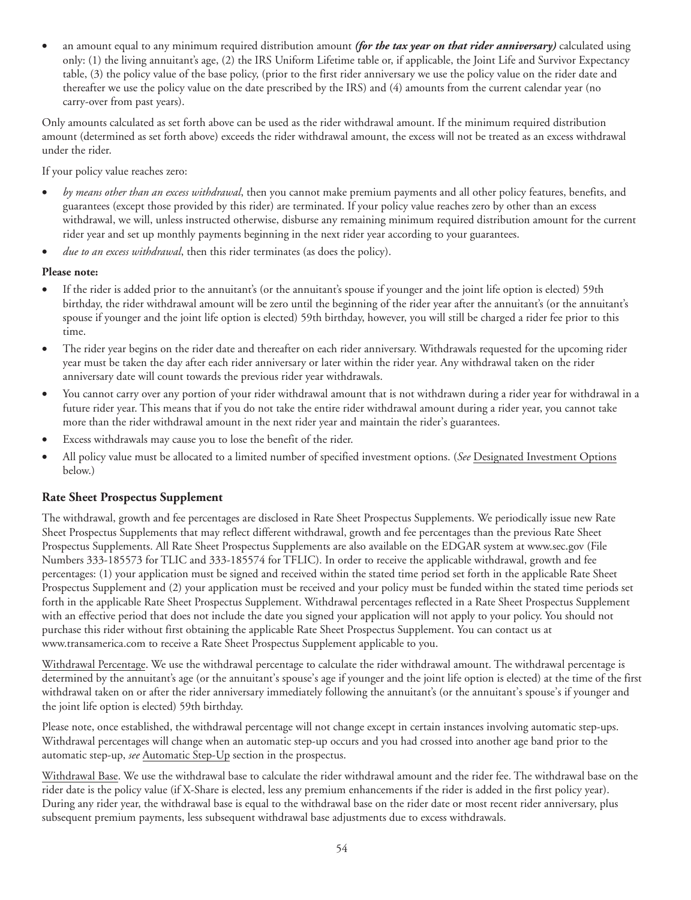• an amount equal to any minimum required distribution amount *(for the tax year on that rider anniversary)* calculated using only: (1) the living annuitant's age, (2) the IRS Uniform Lifetime table or, if applicable, the Joint Life and Survivor Expectancy table, (3) the policy value of the base policy, (prior to the first rider anniversary we use the policy value on the rider date and thereafter we use the policy value on the date prescribed by the IRS) and (4) amounts from the current calendar year (no carry-over from past years).

Only amounts calculated as set forth above can be used as the rider withdrawal amount. If the minimum required distribution amount (determined as set forth above) exceeds the rider withdrawal amount, the excess will not be treated as an excess withdrawal under the rider.

If your policy value reaches zero:

- *by means other than an excess withdrawal*, then you cannot make premium payments and all other policy features, benefits, and guarantees (except those provided by this rider) are terminated. If your policy value reaches zero by other than an excess withdrawal, we will, unless instructed otherwise, disburse any remaining minimum required distribution amount for the current rider year and set up monthly payments beginning in the next rider year according to your guarantees.
- due to an excess withdrawal, then this rider terminates (as does the policy).

#### **Please note:**

- If the rider is added prior to the annuitant's (or the annuitant's spouse if younger and the joint life option is elected) 59th birthday, the rider withdrawal amount will be zero until the beginning of the rider year after the annuitant's (or the annuitant's spouse if younger and the joint life option is elected) 59th birthday, however, you will still be charged a rider fee prior to this time.
- The rider year begins on the rider date and thereafter on each rider anniversary. Withdrawals requested for the upcoming rider year must be taken the day after each rider anniversary or later within the rider year. Any withdrawal taken on the rider anniversary date will count towards the previous rider year withdrawals.
- You cannot carry over any portion of your rider withdrawal amount that is not withdrawn during a rider year for withdrawal in a future rider year. This means that if you do not take the entire rider withdrawal amount during a rider year, you cannot take more than the rider withdrawal amount in the next rider year and maintain the rider's guarantees.
- Excess withdrawals may cause you to lose the benefit of the rider.
- All policy value must be allocated to a limited number of specified investment options. (*See* Designated Investment Options below.)

### **Rate Sheet Prospectus Supplement**

The withdrawal, growth and fee percentages are disclosed in Rate Sheet Prospectus Supplements. We periodically issue new Rate Sheet Prospectus Supplements that may reflect different withdrawal, growth and fee percentages than the previous Rate Sheet Prospectus Supplements. All Rate Sheet Prospectus Supplements are also available on the EDGAR system at www.sec.gov (File Numbers 333-185573 for TLIC and 333-185574 for TFLIC). In order to receive the applicable withdrawal, growth and fee percentages: (1) your application must be signed and received within the stated time period set forth in the applicable Rate Sheet Prospectus Supplement and (2) your application must be received and your policy must be funded within the stated time periods set forth in the applicable Rate Sheet Prospectus Supplement. Withdrawal percentages reflected in a Rate Sheet Prospectus Supplement with an effective period that does not include the date you signed your application will not apply to your policy. You should not purchase this rider without first obtaining the applicable Rate Sheet Prospectus Supplement. You can contact us at www.transamerica.com to receive a Rate Sheet Prospectus Supplement applicable to you.

Withdrawal Percentage. We use the withdrawal percentage to calculate the rider withdrawal amount. The withdrawal percentage is determined by the annuitant's age (or the annuitant's spouse's age if younger and the joint life option is elected) at the time of the first withdrawal taken on or after the rider anniversary immediately following the annuitant's (or the annuitant's spouse's if younger and the joint life option is elected) 59th birthday.

Please note, once established, the withdrawal percentage will not change except in certain instances involving automatic step-ups. Withdrawal percentages will change when an automatic step-up occurs and you had crossed into another age band prior to the automatic step-up, *see* Automatic Step-Up section in the prospectus.

Withdrawal Base. We use the withdrawal base to calculate the rider withdrawal amount and the rider fee. The withdrawal base on the rider date is the policy value (if X-Share is elected, less any premium enhancements if the rider is added in the first policy year). During any rider year, the withdrawal base is equal to the withdrawal base on the rider date or most recent rider anniversary, plus subsequent premium payments, less subsequent withdrawal base adjustments due to excess withdrawals.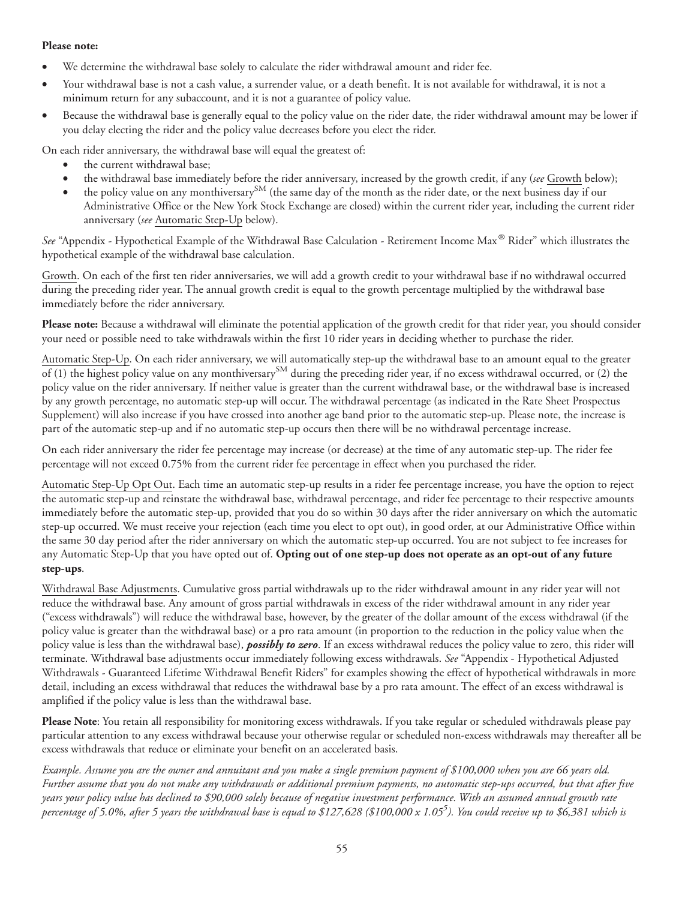#### **Please note:**

- We determine the withdrawal base solely to calculate the rider withdrawal amount and rider fee.
- Your withdrawal base is not a cash value, a surrender value, or a death benefit. It is not available for withdrawal, it is not a minimum return for any subaccount, and it is not a guarantee of policy value.
- Because the withdrawal base is generally equal to the policy value on the rider date, the rider withdrawal amount may be lower if you delay electing the rider and the policy value decreases before you elect the rider.

On each rider anniversary, the withdrawal base will equal the greatest of:

- the current withdrawal base;
- the withdrawal base immediately before the rider anniversary, increased by the growth credit, if any (*see* Growth below);
- the policy value on any monthiversary<sup>SM</sup> (the same day of the month as the rider date, or the next business day if our Administrative Office or the New York Stock Exchange are closed) within the current rider year, including the current rider anniversary (*see* Automatic Step-Up below).

*See* "Appendix - Hypothetical Example of the Withdrawal Base Calculation - Retirement Income Max® Rider" which illustrates the hypothetical example of the withdrawal base calculation.

Growth. On each of the first ten rider anniversaries, we will add a growth credit to your withdrawal base if no withdrawal occurred during the preceding rider year. The annual growth credit is equal to the growth percentage multiplied by the withdrawal base immediately before the rider anniversary.

**Please note:** Because a withdrawal will eliminate the potential application of the growth credit for that rider year, you should consider your need or possible need to take withdrawals within the first 10 rider years in deciding whether to purchase the rider.

Automatic Step-Up. On each rider anniversary, we will automatically step-up the withdrawal base to an amount equal to the greater of (1) the highest policy value on any monthiversary<sup>SM</sup> during the preceding rider year, if no excess withdrawal occurred, or (2) the policy value on the rider anniversary. If neither value is greater than the current withdrawal base, or the withdrawal base is increased by any growth percentage, no automatic step-up will occur. The withdrawal percentage (as indicated in the Rate Sheet Prospectus Supplement) will also increase if you have crossed into another age band prior to the automatic step-up. Please note, the increase is part of the automatic step-up and if no automatic step-up occurs then there will be no withdrawal percentage increase.

On each rider anniversary the rider fee percentage may increase (or decrease) at the time of any automatic step-up. The rider fee percentage will not exceed 0.75% from the current rider fee percentage in effect when you purchased the rider.

Automatic Step-Up Opt Out. Each time an automatic step-up results in a rider fee percentage increase, you have the option to reject the automatic step-up and reinstate the withdrawal base, withdrawal percentage, and rider fee percentage to their respective amounts immediately before the automatic step-up, provided that you do so within 30 days after the rider anniversary on which the automatic step-up occurred. We must receive your rejection (each time you elect to opt out), in good order, at our Administrative Office within the same 30 day period after the rider anniversary on which the automatic step-up occurred. You are not subject to fee increases for any Automatic Step-Up that you have opted out of. **Opting out of one step-up does not operate as an opt-out of any future step-ups**.

Withdrawal Base Adjustments. Cumulative gross partial withdrawals up to the rider withdrawal amount in any rider year will not reduce the withdrawal base. Any amount of gross partial withdrawals in excess of the rider withdrawal amount in any rider year ("excess withdrawals") will reduce the withdrawal base, however, by the greater of the dollar amount of the excess withdrawal (if the policy value is greater than the withdrawal base) or a pro rata amount (in proportion to the reduction in the policy value when the policy value is less than the withdrawal base), *possibly to zero*. If an excess withdrawal reduces the policy value to zero, this rider will terminate. Withdrawal base adjustments occur immediately following excess withdrawals. *See* "Appendix - Hypothetical Adjusted Withdrawals - Guaranteed Lifetime Withdrawal Benefit Riders" for examples showing the effect of hypothetical withdrawals in more detail, including an excess withdrawal that reduces the withdrawal base by a pro rata amount. The effect of an excess withdrawal is amplified if the policy value is less than the withdrawal base.

**Please Note**: You retain all responsibility for monitoring excess withdrawals. If you take regular or scheduled withdrawals please pay particular attention to any excess withdrawal because your otherwise regular or scheduled non-excess withdrawals may thereafter all be excess withdrawals that reduce or eliminate your benefit on an accelerated basis.

*Example. Assume you are the owner and annuitant and you make a single premium payment of \$100,000 when you are 66 years old. Further assume that you do not make any withdrawals or additional premium payments, no automatic step-ups occurred, but that after five years your policy value has declined to \$90,000 solely because of negative investment performance. With an assumed annual growth rate percentage of 5.0%, after 5 years the withdrawal base is equal to \$127,628 (\$100,000 x 1.055 ). You could receive up to \$6,381 which is*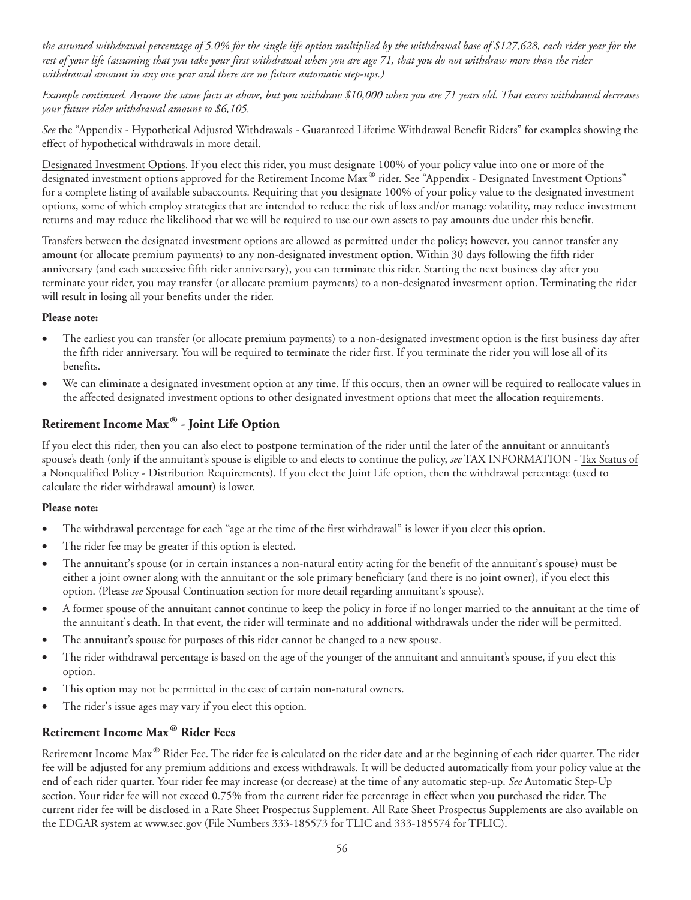*the assumed withdrawal percentage of 5.0% for the single life option multiplied by the withdrawal base of \$127,628, each rider year for the rest of your life (assuming that you take your first withdrawal when you are age 71, that you do not withdraw more than the rider withdrawal amount in any one year and there are no future automatic step-ups.)*

*Example continued. Assume the same facts as above, but you withdraw \$10,000 when you are 71 years old. That excess withdrawal decreases your future rider withdrawal amount to \$6,105.*

*See* the "Appendix - Hypothetical Adjusted Withdrawals - Guaranteed Lifetime Withdrawal Benefit Riders" for examples showing the effect of hypothetical withdrawals in more detail.

Designated Investment Options. If you elect this rider, you must designate 100% of your policy value into one or more of the designated investment options approved for the Retirement Income Max® rider. See "Appendix - Designated Investment Options" for a complete listing of available subaccounts. Requiring that you designate 100% of your policy value to the designated investment options, some of which employ strategies that are intended to reduce the risk of loss and/or manage volatility, may reduce investment returns and may reduce the likelihood that we will be required to use our own assets to pay amounts due under this benefit.

Transfers between the designated investment options are allowed as permitted under the policy; however, you cannot transfer any amount (or allocate premium payments) to any non-designated investment option. Within 30 days following the fifth rider anniversary (and each successive fifth rider anniversary), you can terminate this rider. Starting the next business day after you terminate your rider, you may transfer (or allocate premium payments) to a non-designated investment option. Terminating the rider will result in losing all your benefits under the rider.

#### **Please note:**

- The earliest you can transfer (or allocate premium payments) to a non-designated investment option is the first business day after the fifth rider anniversary. You will be required to terminate the rider first. If you terminate the rider you will lose all of its benefits.
- We can eliminate a designated investment option at any time. If this occurs, then an owner will be required to reallocate values in the affected designated investment options to other designated investment options that meet the allocation requirements.

# **Retirement Income Max® - Joint Life Option**

If you elect this rider, then you can also elect to postpone termination of the rider until the later of the annuitant or annuitant's spouse's death (only if the annuitant's spouse is eligible to and elects to continue the policy, *see* TAX INFORMATION - Tax Status of a Nonqualified Policy - Distribution Requirements). If you elect the Joint Life option, then the withdrawal percentage (used to calculate the rider withdrawal amount) is lower.

#### **Please note:**

- The withdrawal percentage for each "age at the time of the first withdrawal" is lower if you elect this option.
- The rider fee may be greater if this option is elected.
- The annuitant's spouse (or in certain instances a non-natural entity acting for the benefit of the annuitant's spouse) must be either a joint owner along with the annuitant or the sole primary beneficiary (and there is no joint owner), if you elect this option. (Please *see* Spousal Continuation section for more detail regarding annuitant's spouse).
- A former spouse of the annuitant cannot continue to keep the policy in force if no longer married to the annuitant at the time of the annuitant's death. In that event, the rider will terminate and no additional withdrawals under the rider will be permitted.
- The annuitant's spouse for purposes of this rider cannot be changed to a new spouse.
- The rider withdrawal percentage is based on the age of the younger of the annuitant and annuitant's spouse, if you elect this option.
- This option may not be permitted in the case of certain non-natural owners.
- The rider's issue ages may vary if you elect this option.

# **Retirement Income Max® Rider Fees**

Retirement Income Max® Rider Fee. The rider fee is calculated on the rider date and at the beginning of each rider quarter. The rider fee will be adjusted for any premium additions and excess withdrawals. It will be deducted automatically from your policy value at the end of each rider quarter. Your rider fee may increase (or decrease) at the time of any automatic step-up. *See* Automatic Step-Up section. Your rider fee will not exceed 0.75% from the current rider fee percentage in effect when you purchased the rider. The current rider fee will be disclosed in a Rate Sheet Prospectus Supplement. All Rate Sheet Prospectus Supplements are also available on the EDGAR system at www.sec.gov (File Numbers 333-185573 for TLIC and 333-185574 for TFLIC).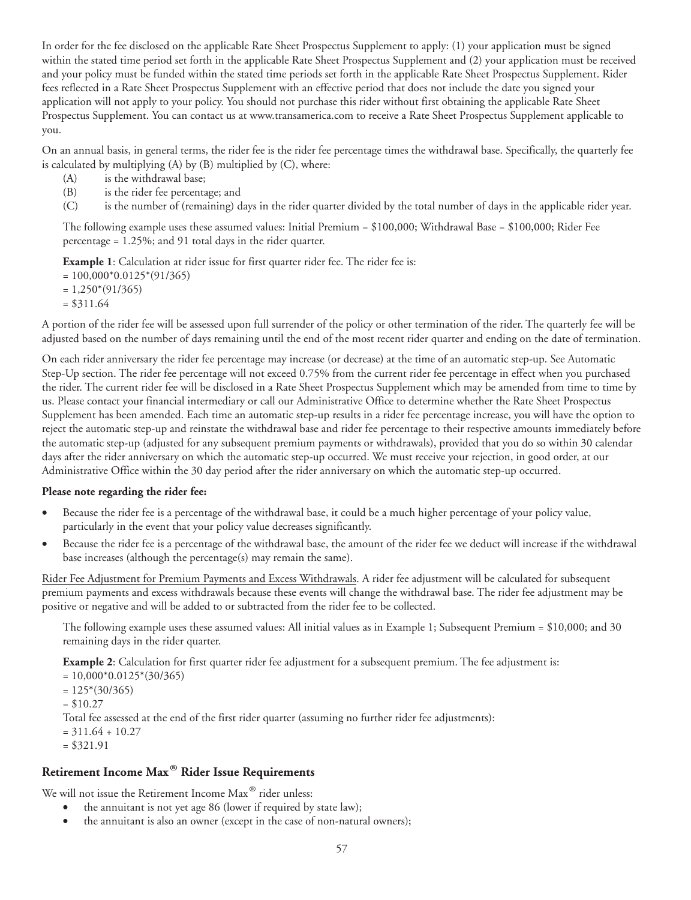In order for the fee disclosed on the applicable Rate Sheet Prospectus Supplement to apply: (1) your application must be signed within the stated time period set forth in the applicable Rate Sheet Prospectus Supplement and (2) your application must be received and your policy must be funded within the stated time periods set forth in the applicable Rate Sheet Prospectus Supplement. Rider fees reflected in a Rate Sheet Prospectus Supplement with an effective period that does not include the date you signed your application will not apply to your policy. You should not purchase this rider without first obtaining the applicable Rate Sheet Prospectus Supplement. You can contact us at www.transamerica.com to receive a Rate Sheet Prospectus Supplement applicable to you.

On an annual basis, in general terms, the rider fee is the rider fee percentage times the withdrawal base. Specifically, the quarterly fee is calculated by multiplying (A) by (B) multiplied by (C), where:

- (A) is the withdrawal base;
- (B) is the rider fee percentage; and
- (C) is the number of (remaining) days in the rider quarter divided by the total number of days in the applicable rider year.

The following example uses these assumed values: Initial Premium =  $$100,000$ ; Withdrawal Base =  $$100,000$ ; Rider Fee percentage = 1.25%; and 91 total days in the rider quarter.

**Example 1**: Calculation at rider issue for first quarter rider fee. The rider fee is:

 $= 100,000*0.0125*(91/365)$ 

- $= 1,250*(91/365)$
- $= $311.64$

A portion of the rider fee will be assessed upon full surrender of the policy or other termination of the rider. The quarterly fee will be adjusted based on the number of days remaining until the end of the most recent rider quarter and ending on the date of termination.

On each rider anniversary the rider fee percentage may increase (or decrease) at the time of an automatic step-up. See Automatic Step-Up section. The rider fee percentage will not exceed 0.75% from the current rider fee percentage in effect when you purchased the rider. The current rider fee will be disclosed in a Rate Sheet Prospectus Supplement which may be amended from time to time by us. Please contact your financial intermediary or call our Administrative Office to determine whether the Rate Sheet Prospectus Supplement has been amended. Each time an automatic step-up results in a rider fee percentage increase, you will have the option to reject the automatic step-up and reinstate the withdrawal base and rider fee percentage to their respective amounts immediately before the automatic step-up (adjusted for any subsequent premium payments or withdrawals), provided that you do so within 30 calendar days after the rider anniversary on which the automatic step-up occurred. We must receive your rejection, in good order, at our Administrative Office within the 30 day period after the rider anniversary on which the automatic step-up occurred.

#### **Please note regarding the rider fee:**

- Because the rider fee is a percentage of the withdrawal base, it could be a much higher percentage of your policy value, particularly in the event that your policy value decreases significantly.
- Because the rider fee is a percentage of the withdrawal base, the amount of the rider fee we deduct will increase if the withdrawal base increases (although the percentage(s) may remain the same).

Rider Fee Adjustment for Premium Payments and Excess Withdrawals. A rider fee adjustment will be calculated for subsequent premium payments and excess withdrawals because these events will change the withdrawal base. The rider fee adjustment may be positive or negative and will be added to or subtracted from the rider fee to be collected.

The following example uses these assumed values: All initial values as in Example 1; Subsequent Premium = \$10,000; and 30 remaining days in the rider quarter.

**Example 2**: Calculation for first quarter rider fee adjustment for a subsequent premium. The fee adjustment is:

 $= 10,000*0.0125*(30/365)$ 

- $= 125*(30/365)$
- $=$  \$10.27

Total fee assessed at the end of the first rider quarter (assuming no further rider fee adjustments):

 $= 311.64 + 10.27$ 

 $= $321.91$ 

#### **Retirement Income Max® Rider Issue Requirements**

We will not issue the Retirement Income Max<sup>®</sup> rider unless:

- the annuitant is not yet age 86 (lower if required by state law);
- the annuitant is also an owner (except in the case of non-natural owners);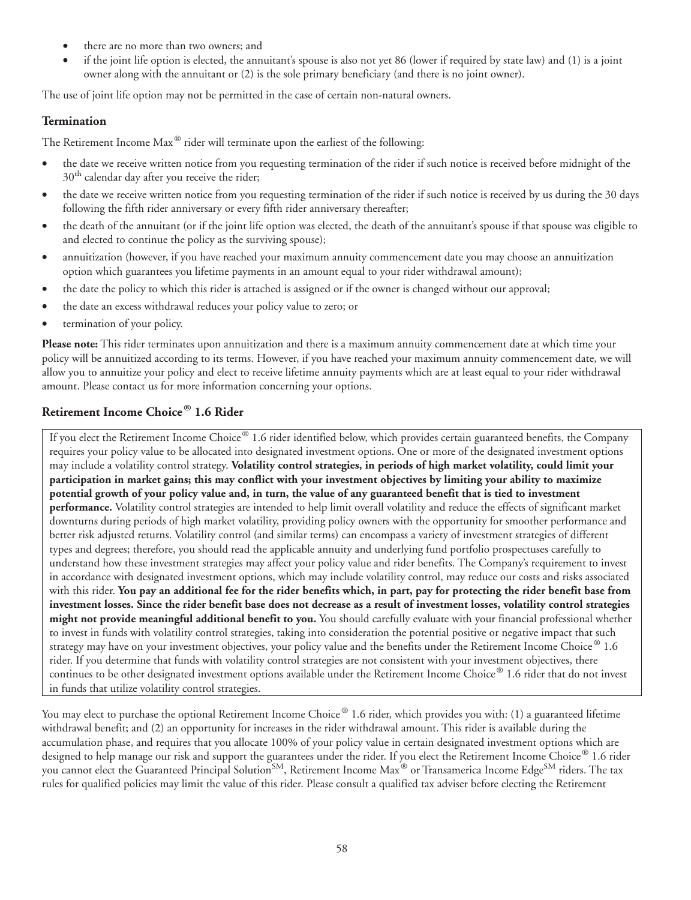- there are no more than two owners; and
- if the joint life option is elected, the annuitant's spouse is also not yet 86 (lower if required by state law) and (1) is a joint owner along with the annuitant or (2) is the sole primary beneficiary (and there is no joint owner).

The use of joint life option may not be permitted in the case of certain non-natural owners.

### **Termination**

The Retirement Income Max® rider will terminate upon the earliest of the following:

- the date we receive written notice from you requesting termination of the rider if such notice is received before midnight of the 30<sup>th</sup> calendar day after you receive the rider;
- the date we receive written notice from you requesting termination of the rider if such notice is received by us during the 30 days following the fifth rider anniversary or every fifth rider anniversary thereafter;
- the death of the annuitant (or if the joint life option was elected, the death of the annuitant's spouse if that spouse was eligible to and elected to continue the policy as the surviving spouse);
- annuitization (however, if you have reached your maximum annuity commencement date you may choose an annuitization option which guarantees you lifetime payments in an amount equal to your rider withdrawal amount);
- the date the policy to which this rider is attached is assigned or if the owner is changed without our approval;
- the date an excess withdrawal reduces your policy value to zero; or
- termination of your policy.

**Please note:** This rider terminates upon annuitization and there is a maximum annuity commencement date at which time your policy will be annuitized according to its terms. However, if you have reached your maximum annuity commencement date, we will allow you to annuitize your policy and elect to receive lifetime annuity payments which are at least equal to your rider withdrawal amount. Please contact us for more information concerning your options.

# **Retirement Income Choice® 1.6 Rider**

If you elect the Retirement Income Choice® 1.6 rider identified below, which provides certain guaranteed benefits, the Company requires your policy value to be allocated into designated investment options. One or more of the designated investment options may include a volatility control strategy. **Volatility control strategies, in periods of high market volatility, could limit your participation in market gains; this may conflict with your investment objectives by limiting your ability to maximize potential growth of your policy value and, in turn, the value of any guaranteed benefit that is tied to investment performance.** Volatility control strategies are intended to help limit overall volatility and reduce the effects of significant market downturns during periods of high market volatility, providing policy owners with the opportunity for smoother performance and better risk adjusted returns. Volatility control (and similar terms) can encompass a variety of investment strategies of different types and degrees; therefore, you should read the applicable annuity and underlying fund portfolio prospectuses carefully to understand how these investment strategies may affect your policy value and rider benefits. The Company's requirement to invest in accordance with designated investment options, which may include volatility control, may reduce our costs and risks associated with this rider. **You pay an additional fee for the rider benefits which, in part, pay for protecting the rider benefit base from investment losses. Since the rider benefit base does not decrease as a result of investment losses, volatility control strategies might not provide meaningful additional benefit to you.** You should carefully evaluate with your financial professional whether to invest in funds with volatility control strategies, taking into consideration the potential positive or negative impact that such strategy may have on your investment objectives, your policy value and the benefits under the Retirement Income Choice  $\degree$  1.6 rider. If you determine that funds with volatility control strategies are not consistent with your investment objectives, there continues to be other designated investment options available under the Retirement Income Choice® 1.6 rider that do not invest in funds that utilize volatility control strategies.

You may elect to purchase the optional Retirement Income Choice® 1.6 rider, which provides you with: (1) a guaranteed lifetime withdrawal benefit; and (2) an opportunity for increases in the rider withdrawal amount. This rider is available during the accumulation phase, and requires that you allocate 100% of your policy value in certain designated investment options which are designed to help manage our risk and support the guarantees under the rider. If you elect the Retirement Income Choice® 1.6 rider you cannot elect the Guaranteed Principal Solution<sup>SM</sup>, Retirement Income Max<sup>®</sup> or Transamerica Income Edge<sup>SM</sup> riders. The tax rules for qualified policies may limit the value of this rider. Please consult a qualified tax adviser before electing the Retirement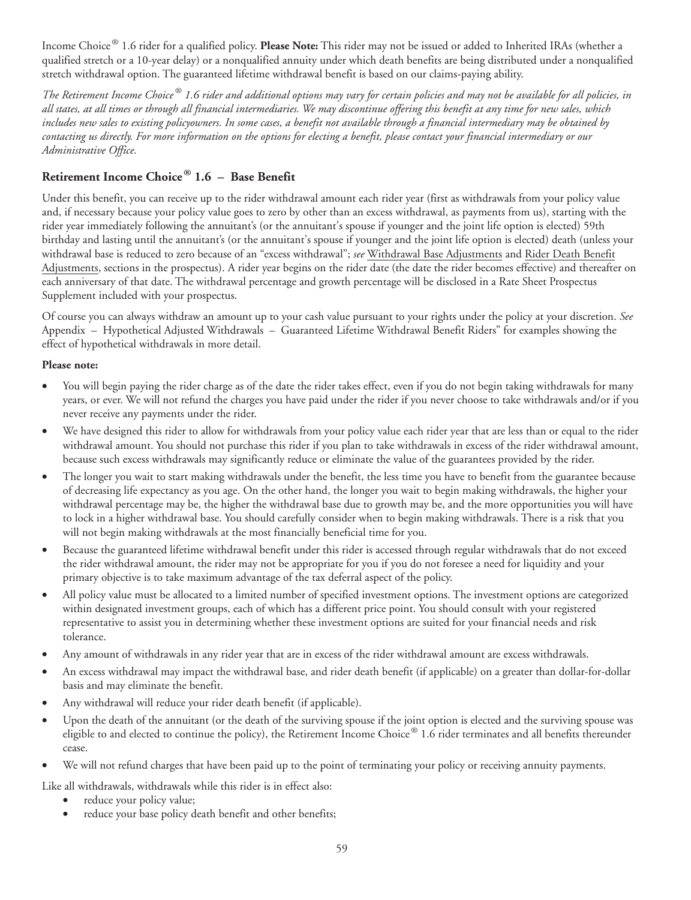Income Choice® 1.6 rider for a qualified policy. **Please Note:** This rider may not be issued or added to Inherited IRAs (whether a qualified stretch or a 10-year delay) or a nonqualified annuity under which death benefits are being distributed under a nonqualified stretch withdrawal option. The guaranteed lifetime withdrawal benefit is based on our claims-paying ability.

*The Retirement Income Choice ® 1.6 rider and additional options may vary for certain policies and may not be available for all policies, in all states, at all times or through all financial intermediaries. We may discontinue offering this benefit at any time for new sales, which includes new sales to existing policyowners. In some cases, a benefit not available through a financial intermediary may be obtained by contacting us directly. For more information on the options for electing a benefit, please contact your financial intermediary or our Administrative Office.*

# **Retirement Income Choice® 1.6 – Base Benefit**

Under this benefit, you can receive up to the rider withdrawal amount each rider year (first as withdrawals from your policy value and, if necessary because your policy value goes to zero by other than an excess withdrawal, as payments from us), starting with the rider year immediately following the annuitant's (or the annuitant's spouse if younger and the joint life option is elected) 59th birthday and lasting until the annuitant's (or the annuitant's spouse if younger and the joint life option is elected) death (unless your withdrawal base is reduced to zero because of an "excess withdrawal"; *see* Withdrawal Base Adjustments and Rider Death Benefit Adjustments, sections in the prospectus). A rider year begins on the rider date (the date the rider becomes effective) and thereafter on each anniversary of that date. The withdrawal percentage and growth percentage will be disclosed in a Rate Sheet Prospectus Supplement included with your prospectus.

Of course you can always withdraw an amount up to your cash value pursuant to your rights under the policy at your discretion. *See* Appendix – Hypothetical Adjusted Withdrawals – Guaranteed Lifetime Withdrawal Benefit Riders" for examples showing the effect of hypothetical withdrawals in more detail.

### **Please note:**

- You will begin paying the rider charge as of the date the rider takes effect, even if you do not begin taking withdrawals for many years, or ever. We will not refund the charges you have paid under the rider if you never choose to take withdrawals and/or if you never receive any payments under the rider.
- We have designed this rider to allow for withdrawals from your policy value each rider year that are less than or equal to the rider withdrawal amount. You should not purchase this rider if you plan to take withdrawals in excess of the rider withdrawal amount, because such excess withdrawals may significantly reduce or eliminate the value of the guarantees provided by the rider.
- The longer you wait to start making withdrawals under the benefit, the less time you have to benefit from the guarantee because of decreasing life expectancy as you age. On the other hand, the longer you wait to begin making withdrawals, the higher your withdrawal percentage may be, the higher the withdrawal base due to growth may be, and the more opportunities you will have to lock in a higher withdrawal base. You should carefully consider when to begin making withdrawals. There is a risk that you will not begin making withdrawals at the most financially beneficial time for you.
- Because the guaranteed lifetime withdrawal benefit under this rider is accessed through regular withdrawals that do not exceed the rider withdrawal amount, the rider may not be appropriate for you if you do not foresee a need for liquidity and your primary objective is to take maximum advantage of the tax deferral aspect of the policy.
- All policy value must be allocated to a limited number of specified investment options. The investment options are categorized within designated investment groups, each of which has a different price point. You should consult with your registered representative to assist you in determining whether these investment options are suited for your financial needs and risk tolerance.
- Any amount of withdrawals in any rider year that are in excess of the rider withdrawal amount are excess withdrawals.
- An excess withdrawal may impact the withdrawal base, and rider death benefit (if applicable) on a greater than dollar-for-dollar basis and may eliminate the benefit.
- Any withdrawal will reduce your rider death benefit (if applicable).
- Upon the death of the annuitant (or the death of the surviving spouse if the joint option is elected and the surviving spouse was eligible to and elected to continue the policy), the Retirement Income Choice<sup>®</sup> 1.6 rider terminates and all benefits thereunder cease.
- We will not refund charges that have been paid up to the point of terminating your policy or receiving annuity payments.
- Like all withdrawals, withdrawals while this rider is in effect also:
	- reduce your policy value;
	- reduce your base policy death benefit and other benefits;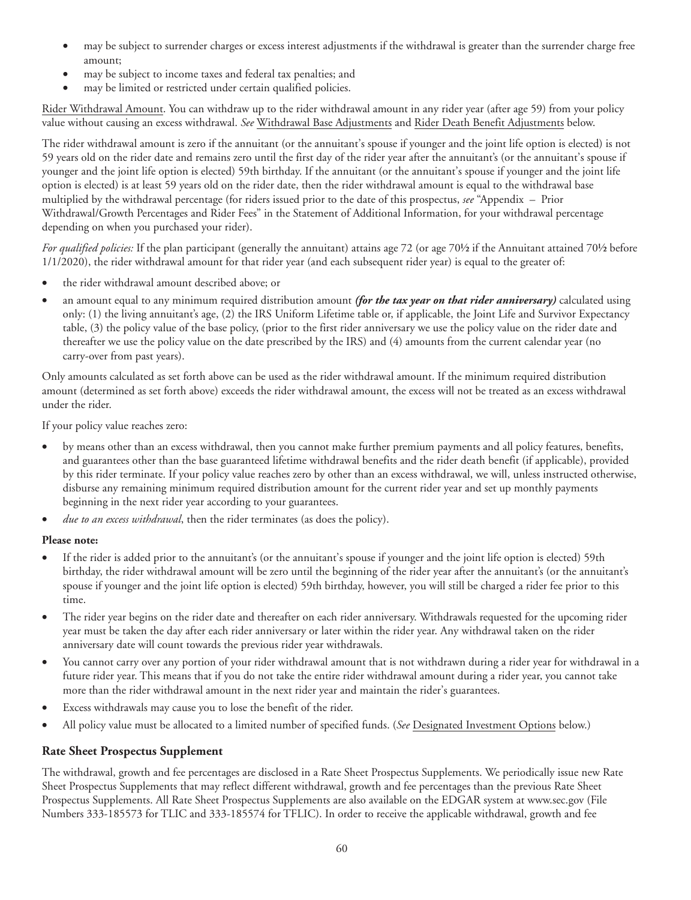- may be subject to surrender charges or excess interest adjustments if the withdrawal is greater than the surrender charge free amount;
- may be subject to income taxes and federal tax penalties; and
- may be limited or restricted under certain qualified policies.

Rider Withdrawal Amount. You can withdraw up to the rider withdrawal amount in any rider year (after age 59) from your policy value without causing an excess withdrawal. *See* Withdrawal Base Adjustments and Rider Death Benefit Adjustments below.

The rider withdrawal amount is zero if the annuitant (or the annuitant's spouse if younger and the joint life option is elected) is not 59 years old on the rider date and remains zero until the first day of the rider year after the annuitant's (or the annuitant's spouse if younger and the joint life option is elected) 59th birthday. If the annuitant (or the annuitant's spouse if younger and the joint life option is elected) is at least 59 years old on the rider date, then the rider withdrawal amount is equal to the withdrawal base multiplied by the withdrawal percentage (for riders issued prior to the date of this prospectus, *see* "Appendix – Prior Withdrawal/Growth Percentages and Rider Fees" in the Statement of Additional Information, for your withdrawal percentage depending on when you purchased your rider).

*For qualified policies:* If the plan participant (generally the annuitant) attains age 72 (or age 70½ if the Annuitant attained 70½ before 1/1/2020), the rider withdrawal amount for that rider year (and each subsequent rider year) is equal to the greater of:

- the rider withdrawal amount described above; or
- an amount equal to any minimum required distribution amount *(for the tax year on that rider anniversary)* calculated using only: (1) the living annuitant's age, (2) the IRS Uniform Lifetime table or, if applicable, the Joint Life and Survivor Expectancy table, (3) the policy value of the base policy, (prior to the first rider anniversary we use the policy value on the rider date and thereafter we use the policy value on the date prescribed by the IRS) and (4) amounts from the current calendar year (no carry-over from past years).

Only amounts calculated as set forth above can be used as the rider withdrawal amount. If the minimum required distribution amount (determined as set forth above) exceeds the rider withdrawal amount, the excess will not be treated as an excess withdrawal under the rider.

If your policy value reaches zero:

- by means other than an excess withdrawal, then you cannot make further premium payments and all policy features, benefits, and guarantees other than the base guaranteed lifetime withdrawal benefits and the rider death benefit (if applicable), provided by this rider terminate. If your policy value reaches zero by other than an excess withdrawal, we will, unless instructed otherwise, disburse any remaining minimum required distribution amount for the current rider year and set up monthly payments beginning in the next rider year according to your guarantees.
- *due to an excess withdrawal*, then the rider terminates (as does the policy).

#### **Please note:**

- If the rider is added prior to the annuitant's (or the annuitant's spouse if younger and the joint life option is elected) 59th birthday, the rider withdrawal amount will be zero until the beginning of the rider year after the annuitant's (or the annuitant's spouse if younger and the joint life option is elected) 59th birthday, however, you will still be charged a rider fee prior to this time.
- The rider year begins on the rider date and thereafter on each rider anniversary. Withdrawals requested for the upcoming rider year must be taken the day after each rider anniversary or later within the rider year. Any withdrawal taken on the rider anniversary date will count towards the previous rider year withdrawals.
- You cannot carry over any portion of your rider withdrawal amount that is not withdrawn during a rider year for withdrawal in a future rider year. This means that if you do not take the entire rider withdrawal amount during a rider year, you cannot take more than the rider withdrawal amount in the next rider year and maintain the rider's guarantees.
- Excess withdrawals may cause you to lose the benefit of the rider.
- All policy value must be allocated to a limited number of specified funds. (*See* Designated Investment Options below.)

### **Rate Sheet Prospectus Supplement**

The withdrawal, growth and fee percentages are disclosed in a Rate Sheet Prospectus Supplements. We periodically issue new Rate Sheet Prospectus Supplements that may reflect different withdrawal, growth and fee percentages than the previous Rate Sheet Prospectus Supplements. All Rate Sheet Prospectus Supplements are also available on the EDGAR system at www.sec.gov (File Numbers 333-185573 for TLIC and 333-185574 for TFLIC). In order to receive the applicable withdrawal, growth and fee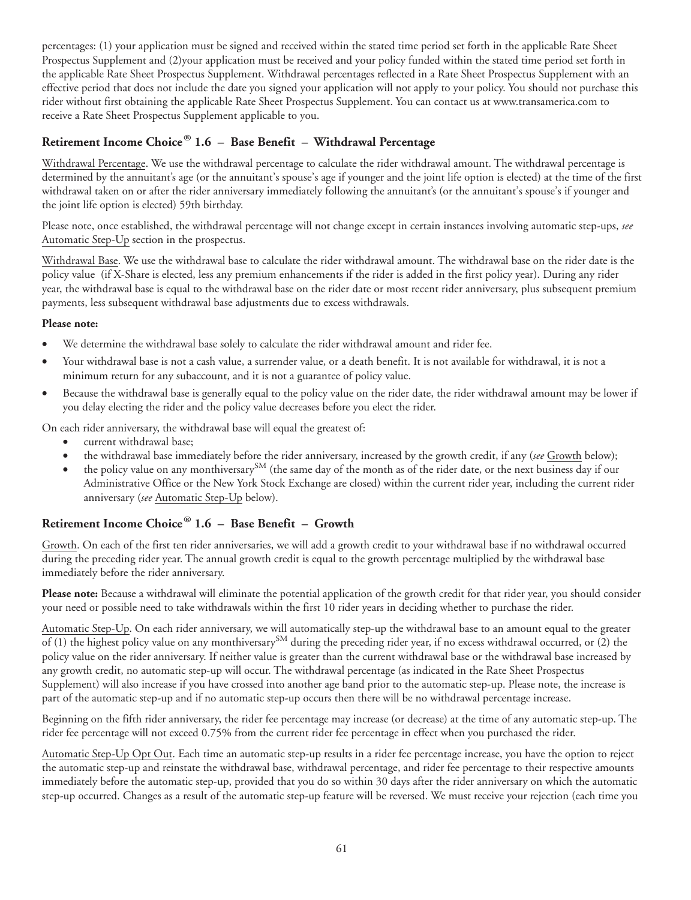percentages: (1) your application must be signed and received within the stated time period set forth in the applicable Rate Sheet Prospectus Supplement and (2)your application must be received and your policy funded within the stated time period set forth in the applicable Rate Sheet Prospectus Supplement. Withdrawal percentages reflected in a Rate Sheet Prospectus Supplement with an effective period that does not include the date you signed your application will not apply to your policy. You should not purchase this rider without first obtaining the applicable Rate Sheet Prospectus Supplement. You can contact us at www.transamerica.com to receive a Rate Sheet Prospectus Supplement applicable to you.

# **Retirement Income Choice® 1.6 – Base Benefit – Withdrawal Percentage**

Withdrawal Percentage. We use the withdrawal percentage to calculate the rider withdrawal amount. The withdrawal percentage is determined by the annuitant's age (or the annuitant's spouse's age if younger and the joint life option is elected) at the time of the first withdrawal taken on or after the rider anniversary immediately following the annuitant's (or the annuitant's spouse's if younger and the joint life option is elected) 59th birthday.

Please note, once established, the withdrawal percentage will not change except in certain instances involving automatic step-ups, *see* Automatic Step-Up section in the prospectus.

Withdrawal Base. We use the withdrawal base to calculate the rider withdrawal amount. The withdrawal base on the rider date is the policy value (if X-Share is elected, less any premium enhancements if the rider is added in the first policy year). During any rider year, the withdrawal base is equal to the withdrawal base on the rider date or most recent rider anniversary, plus subsequent premium payments, less subsequent withdrawal base adjustments due to excess withdrawals.

#### **Please note:**

- We determine the withdrawal base solely to calculate the rider withdrawal amount and rider fee.
- Your withdrawal base is not a cash value, a surrender value, or a death benefit. It is not available for withdrawal, it is not a minimum return for any subaccount, and it is not a guarantee of policy value.
- Because the withdrawal base is generally equal to the policy value on the rider date, the rider withdrawal amount may be lower if you delay electing the rider and the policy value decreases before you elect the rider.

On each rider anniversary, the withdrawal base will equal the greatest of:

- current withdrawal base;
- the withdrawal base immediately before the rider anniversary, increased by the growth credit, if any (*see* Growth below);
- the policy value on any monthiversary<sup>SM</sup> (the same day of the month as of the rider date, or the next business day if our Administrative Office or the New York Stock Exchange are closed) within the current rider year, including the current rider anniversary (*see* Automatic Step-Up below).

# **Retirement Income Choice® 1.6 – Base Benefit – Growth**

Growth. On each of the first ten rider anniversaries, we will add a growth credit to your withdrawal base if no withdrawal occurred during the preceding rider year. The annual growth credit is equal to the growth percentage multiplied by the withdrawal base immediately before the rider anniversary.

**Please note:** Because a withdrawal will eliminate the potential application of the growth credit for that rider year, you should consider your need or possible need to take withdrawals within the first 10 rider years in deciding whether to purchase the rider.

Automatic Step-Up. On each rider anniversary, we will automatically step-up the withdrawal base to an amount equal to the greater  $\overline{f(1)}$  the highest policy value on any monthiversary<sup>SM</sup> during the preceding rider year, if no excess withdrawal occurred, or (2) the policy value on the rider anniversary. If neither value is greater than the current withdrawal base or the withdrawal base increased by any growth credit, no automatic step-up will occur. The withdrawal percentage (as indicated in the Rate Sheet Prospectus Supplement) will also increase if you have crossed into another age band prior to the automatic step-up. Please note, the increase is part of the automatic step-up and if no automatic step-up occurs then there will be no withdrawal percentage increase.

Beginning on the fifth rider anniversary, the rider fee percentage may increase (or decrease) at the time of any automatic step-up. The rider fee percentage will not exceed 0.75% from the current rider fee percentage in effect when you purchased the rider.

Automatic Step-Up Opt Out. Each time an automatic step-up results in a rider fee percentage increase, you have the option to reject the automatic step-up and reinstate the withdrawal base, withdrawal percentage, and rider fee percentage to their respective amounts immediately before the automatic step-up, provided that you do so within 30 days after the rider anniversary on which the automatic step-up occurred. Changes as a result of the automatic step-up feature will be reversed. We must receive your rejection (each time you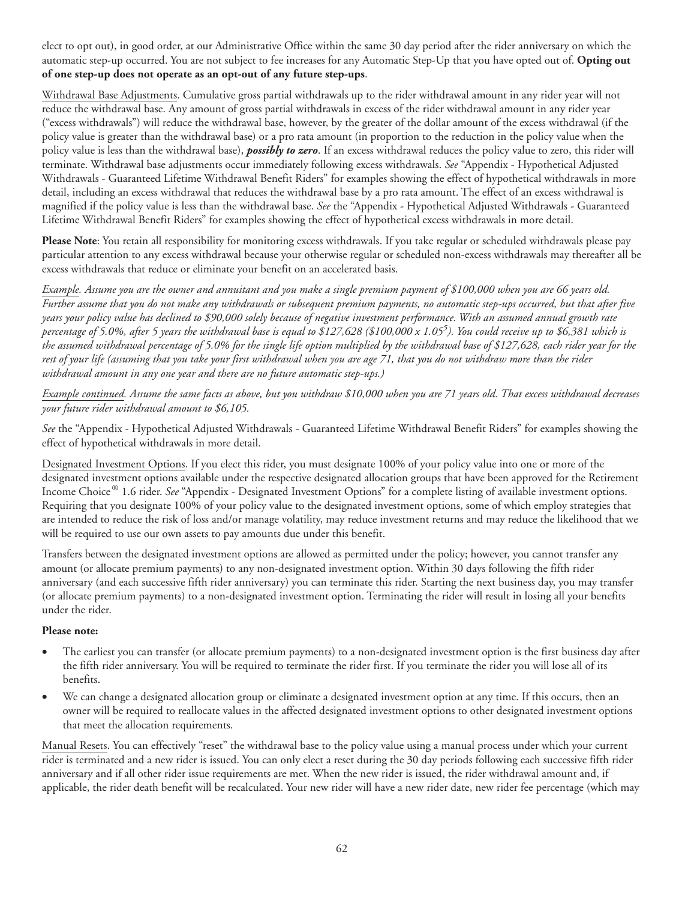elect to opt out), in good order, at our Administrative Office within the same 30 day period after the rider anniversary on which the automatic step-up occurred. You are not subject to fee increases for any Automatic Step-Up that you have opted out of. **Opting out of one step-up does not operate as an opt-out of any future step-ups**.

Withdrawal Base Adjustments. Cumulative gross partial withdrawals up to the rider withdrawal amount in any rider year will not reduce the withdrawal base. Any amount of gross partial withdrawals in excess of the rider withdrawal amount in any rider year ("excess withdrawals") will reduce the withdrawal base, however, by the greater of the dollar amount of the excess withdrawal (if the policy value is greater than the withdrawal base) or a pro rata amount (in proportion to the reduction in the policy value when the policy value is less than the withdrawal base), *possibly to zero*. If an excess withdrawal reduces the policy value to zero, this rider will terminate. Withdrawal base adjustments occur immediately following excess withdrawals. *See* "Appendix - Hypothetical Adjusted Withdrawals - Guaranteed Lifetime Withdrawal Benefit Riders" for examples showing the effect of hypothetical withdrawals in more detail, including an excess withdrawal that reduces the withdrawal base by a pro rata amount. The effect of an excess withdrawal is magnified if the policy value is less than the withdrawal base. *See* the "Appendix - Hypothetical Adjusted Withdrawals - Guaranteed Lifetime Withdrawal Benefit Riders" for examples showing the effect of hypothetical excess withdrawals in more detail.

**Please Note**: You retain all responsibility for monitoring excess withdrawals. If you take regular or scheduled withdrawals please pay particular attention to any excess withdrawal because your otherwise regular or scheduled non-excess withdrawals may thereafter all be excess withdrawals that reduce or eliminate your benefit on an accelerated basis.

*Example. Assume you are the owner and annuitant and you make a single premium payment of \$100,000 when you are 66 years old. Further assume that you do not make any withdrawals or subsequent premium payments, no automatic step-ups occurred, but that after five years your policy value has declined to \$90,000 solely because of negative investment performance. With an assumed annual growth rate percentage of 5.0%, after 5 years the withdrawal base is equal to \$127,628 (\$100,000 x 1.055 ). You could receive up to \$6,381 which is the assumed withdrawal percentage of 5.0% for the single life option multiplied by the withdrawal base of \$127,628, each rider year for the rest of your life (assuming that you take your first withdrawal when you are age 71, that you do not withdraw more than the rider withdrawal amount in any one year and there are no future automatic step-ups.)*

*Example continued. Assume the same facts as above, but you withdraw \$10,000 when you are 71 years old. That excess withdrawal decreases your future rider withdrawal amount to \$6,105.*

*See* the "Appendix - Hypothetical Adjusted Withdrawals - Guaranteed Lifetime Withdrawal Benefit Riders" for examples showing the effect of hypothetical withdrawals in more detail.

Designated Investment Options. If you elect this rider, you must designate 100% of your policy value into one or more of the designated investment options available under the respective designated allocation groups that have been approved for the Retirement Income Choice® 1.6 rider. *See* "Appendix - Designated Investment Options" for a complete listing of available investment options. Requiring that you designate 100% of your policy value to the designated investment options, some of which employ strategies that are intended to reduce the risk of loss and/or manage volatility, may reduce investment returns and may reduce the likelihood that we will be required to use our own assets to pay amounts due under this benefit.

Transfers between the designated investment options are allowed as permitted under the policy; however, you cannot transfer any amount (or allocate premium payments) to any non-designated investment option. Within 30 days following the fifth rider anniversary (and each successive fifth rider anniversary) you can terminate this rider. Starting the next business day, you may transfer (or allocate premium payments) to a non-designated investment option. Terminating the rider will result in losing all your benefits under the rider.

#### **Please note:**

- The earliest you can transfer (or allocate premium payments) to a non-designated investment option is the first business day after the fifth rider anniversary. You will be required to terminate the rider first. If you terminate the rider you will lose all of its benefits.
- We can change a designated allocation group or eliminate a designated investment option at any time. If this occurs, then an owner will be required to reallocate values in the affected designated investment options to other designated investment options that meet the allocation requirements.

Manual Resets. You can effectively "reset" the withdrawal base to the policy value using a manual process under which your current rider is terminated and a new rider is issued. You can only elect a reset during the 30 day periods following each successive fifth rider anniversary and if all other rider issue requirements are met. When the new rider is issued, the rider withdrawal amount and, if applicable, the rider death benefit will be recalculated. Your new rider will have a new rider date, new rider fee percentage (which may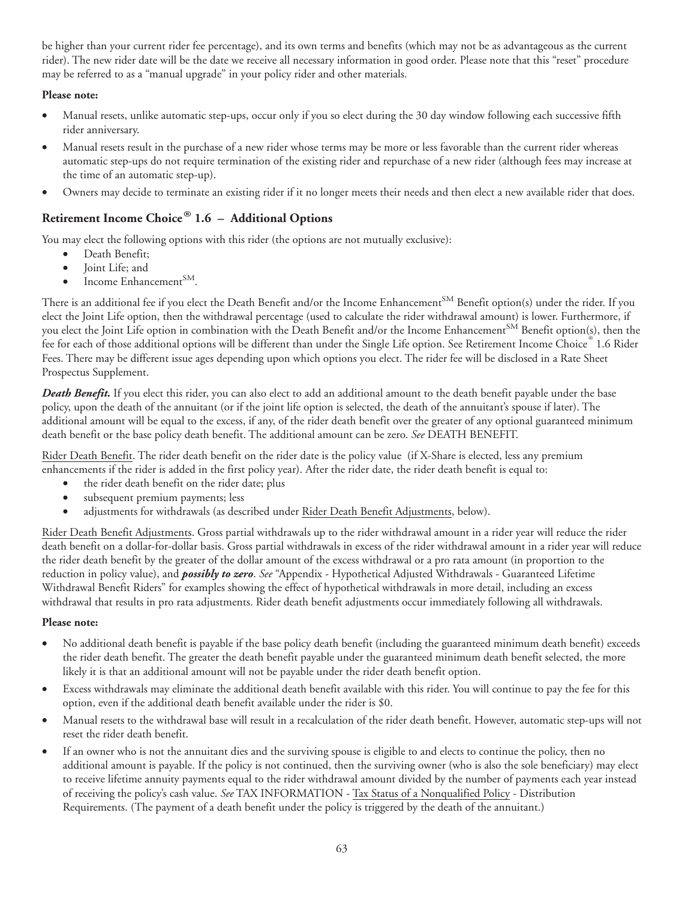be higher than your current rider fee percentage), and its own terms and benefits (which may not be as advantageous as the current rider). The new rider date will be the date we receive all necessary information in good order. Please note that this "reset" procedure may be referred to as a "manual upgrade" in your policy rider and other materials.

#### **Please note:**

- Manual resets, unlike automatic step-ups, occur only if you so elect during the 30 day window following each successive fifth rider anniversary.
- Manual resets result in the purchase of a new rider whose terms may be more or less favorable than the current rider whereas automatic step-ups do not require termination of the existing rider and repurchase of a new rider (although fees may increase at the time of an automatic step-up).
- Owners may decide to terminate an existing rider if it no longer meets their needs and then elect a new available rider that does.

# **Retirement Income Choice® 1.6 – Additional Options**

You may elect the following options with this rider (the options are not mutually exclusive):

- Death Benefit;
- Joint Life; and
- Income Enhancement<sup>SM</sup>.

There is an additional fee if you elect the Death Benefit and/or the Income Enhancement<sup>SM</sup> Benefit option(s) under the rider. If you elect the Joint Life option, then the withdrawal percentage (used to calculate the rider withdrawal amount) is lower. Furthermore, if you elect the Joint Life option in combination with the Death Benefit and/or the Income Enhancement<sup>SM</sup> Benefit option(s), then the .<br>fee for each of those additional options will be different than under the Single Life option. See Retirement Income Choice  $\degree$  1.6 Rider Fees. There may be different issue ages depending upon which options you elect. The rider fee will be disclosed in a Rate Sheet Prospectus Supplement.

*Death Benefit.* If you elect this rider, you can also elect to add an additional amount to the death benefit payable under the base policy, upon the death of the annuitant (or if the joint life option is selected, the death of the annuitant's spouse if later). The additional amount will be equal to the excess, if any, of the rider death benefit over the greater of any optional guaranteed minimum death benefit or the base policy death benefit. The additional amount can be zero. *See* DEATH BENEFIT.

Rider Death Benefit. The rider death benefit on the rider date is the policy value (if X-Share is elected, less any premium enhancements if the rider is added in the first policy year). After the rider date, the rider death benefit is equal to:

- the rider death benefit on the rider date; plus
- subsequent premium payments; less
- adjustments for withdrawals (as described under Rider Death Benefit Adjustments, below).

Rider Death Benefit Adjustments. Gross partial withdrawals up to the rider withdrawal amount in a rider year will reduce the rider death benefit on a dollar-for-dollar basis. Gross partial withdrawals in excess of the rider withdrawal amount in a rider year will reduce the rider death benefit by the greater of the dollar amount of the excess withdrawal or a pro rata amount (in proportion to the reduction in policy value), and *possibly to zero*. *See* "Appendix - Hypothetical Adjusted Withdrawals - Guaranteed Lifetime Withdrawal Benefit Riders" for examples showing the effect of hypothetical withdrawals in more detail, including an excess withdrawal that results in pro rata adjustments. Rider death benefit adjustments occur immediately following all withdrawals.

#### **Please note:**

- No additional death benefit is payable if the base policy death benefit (including the guaranteed minimum death benefit) exceeds the rider death benefit. The greater the death benefit payable under the guaranteed minimum death benefit selected, the more likely it is that an additional amount will not be payable under the rider death benefit option.
- Excess withdrawals may eliminate the additional death benefit available with this rider. You will continue to pay the fee for this option, even if the additional death benefit available under the rider is \$0.
- Manual resets to the withdrawal base will result in a recalculation of the rider death benefit. However, automatic step-ups will not reset the rider death benefit.
- If an owner who is not the annuitant dies and the surviving spouse is eligible to and elects to continue the policy, then no additional amount is payable. If the policy is not continued, then the surviving owner (who is also the sole beneficiary) may elect to receive lifetime annuity payments equal to the rider withdrawal amount divided by the number of payments each year instead of receiving the policy's cash value. *See* TAX INFORMATION - Tax Status of a Nonqualified Policy - Distribution Requirements. (The payment of a death benefit under the policy is triggered by the death of the annuitant.)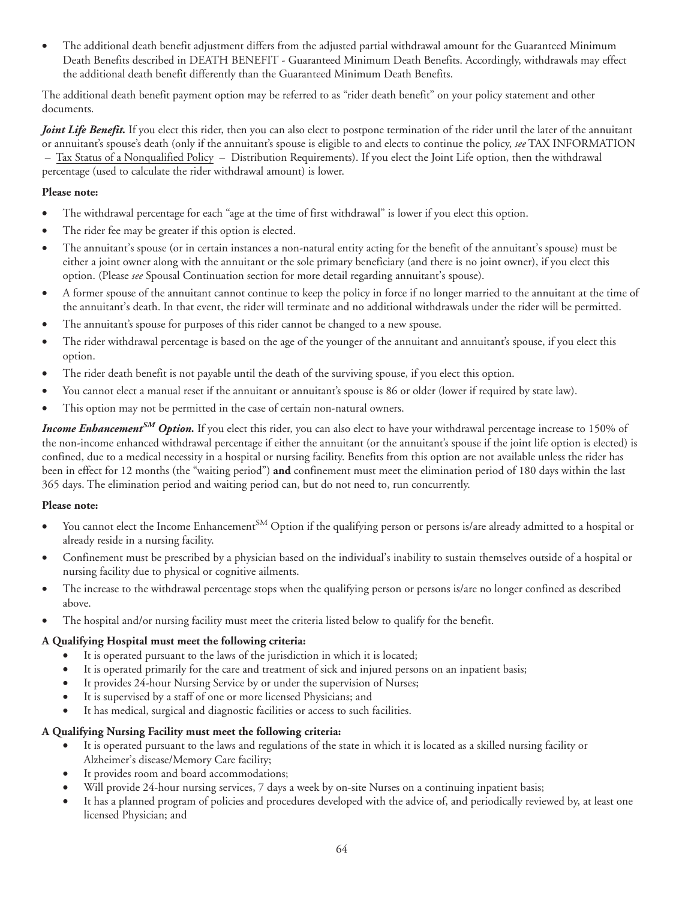• The additional death benefit adjustment differs from the adjusted partial withdrawal amount for the Guaranteed Minimum Death Benefits described in DEATH BENEFIT - Guaranteed Minimum Death Benefits. Accordingly, withdrawals may effect the additional death benefit differently than the Guaranteed Minimum Death Benefits.

The additional death benefit payment option may be referred to as "rider death benefit" on your policy statement and other documents.

*Joint Life Benefit.* If you elect this rider, then you can also elect to postpone termination of the rider until the later of the annuitant or annuitant's spouse's death (only if the annuitant's spouse is eligible to and elects to continue the policy, *see* TAX INFORMATION – Tax Status of a Nonqualified Policy – Distribution Requirements). If you elect the Joint Life option, then the withdrawal percentage (used to calculate the rider withdrawal amount) is lower.

#### **Please note:**

- The withdrawal percentage for each "age at the time of first withdrawal" is lower if you elect this option.
- The rider fee may be greater if this option is elected.
- The annuitant's spouse (or in certain instances a non-natural entity acting for the benefit of the annuitant's spouse) must be either a joint owner along with the annuitant or the sole primary beneficiary (and there is no joint owner), if you elect this option. (Please *see* Spousal Continuation section for more detail regarding annuitant's spouse).
- A former spouse of the annuitant cannot continue to keep the policy in force if no longer married to the annuitant at the time of the annuitant's death. In that event, the rider will terminate and no additional withdrawals under the rider will be permitted.
- The annuitant's spouse for purposes of this rider cannot be changed to a new spouse.
- The rider withdrawal percentage is based on the age of the younger of the annuitant and annuitant's spouse, if you elect this option.
- The rider death benefit is not payable until the death of the surviving spouse, if you elect this option.
- You cannot elect a manual reset if the annuitant or annuitant's spouse is 86 or older (lower if required by state law).
- This option may not be permitted in the case of certain non-natural owners.

*Income EnhancementSM Option.* If you elect this rider, you can also elect to have your withdrawal percentage increase to 150% of the non-income enhanced withdrawal percentage if either the annuitant (or the annuitant's spouse if the joint life option is elected) is confined, due to a medical necessity in a hospital or nursing facility. Benefits from this option are not available unless the rider has been in effect for 12 months (the "waiting period") **and** confinement must meet the elimination period of 180 days within the last 365 days. The elimination period and waiting period can, but do not need to, run concurrently.

#### **Please note:**

- You cannot elect the Income Enhancement<sup>SM</sup> Option if the qualifying person or persons is/are already admitted to a hospital or already reside in a nursing facility.
- Confinement must be prescribed by a physician based on the individual's inability to sustain themselves outside of a hospital or nursing facility due to physical or cognitive ailments.
- The increase to the withdrawal percentage stops when the qualifying person or persons is/are no longer confined as described above.
- The hospital and/or nursing facility must meet the criteria listed below to qualify for the benefit.

#### **A Qualifying Hospital must meet the following criteria:**

- It is operated pursuant to the laws of the jurisdiction in which it is located;
- It is operated primarily for the care and treatment of sick and injured persons on an inpatient basis;
- It provides 24-hour Nursing Service by or under the supervision of Nurses;
- It is supervised by a staff of one or more licensed Physicians; and
- It has medical, surgical and diagnostic facilities or access to such facilities.

#### **A Qualifying Nursing Facility must meet the following criteria:**

- It is operated pursuant to the laws and regulations of the state in which it is located as a skilled nursing facility or Alzheimer's disease/Memory Care facility;
- It provides room and board accommodations;
- Will provide 24-hour nursing services, 7 days a week by on-site Nurses on a continuing inpatient basis;
- It has a planned program of policies and procedures developed with the advice of, and periodically reviewed by, at least one licensed Physician; and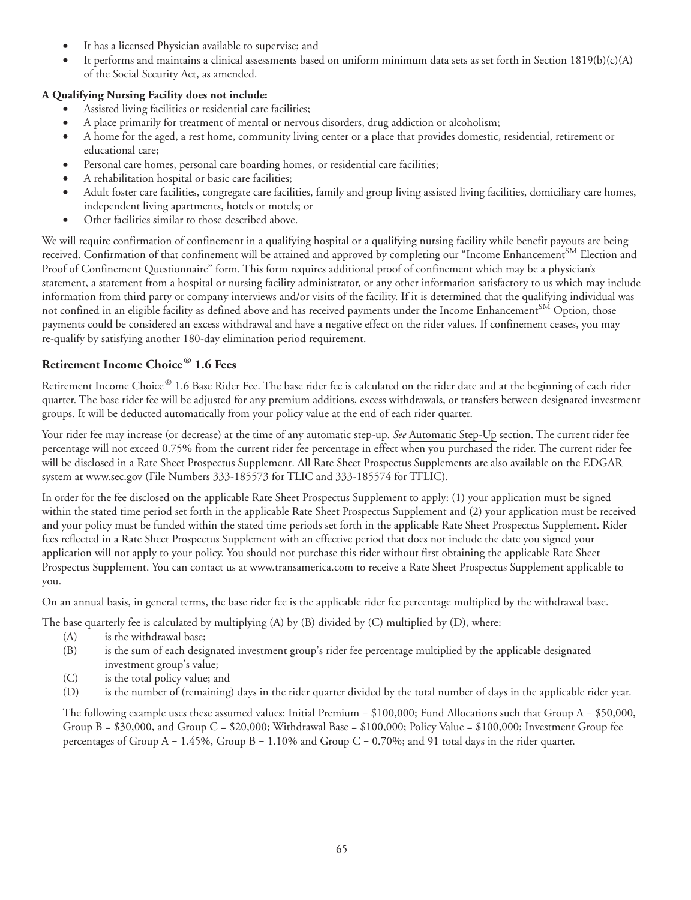- It has a licensed Physician available to supervise; and
- It performs and maintains a clinical assessments based on uniform minimum data sets as set forth in Section 1819(b)(c)(A) of the Social Security Act, as amended.

### **A Qualifying Nursing Facility does not include:**

- Assisted living facilities or residential care facilities;
- A place primarily for treatment of mental or nervous disorders, drug addiction or alcoholism;
- A home for the aged, a rest home, community living center or a place that provides domestic, residential, retirement or educational care;
- Personal care homes, personal care boarding homes, or residential care facilities;
- A rehabilitation hospital or basic care facilities;
- Adult foster care facilities, congregate care facilities, family and group living assisted living facilities, domiciliary care homes, independent living apartments, hotels or motels; or
- Other facilities similar to those described above.

We will require confirmation of confinement in a qualifying hospital or a qualifying nursing facility while benefit payouts are being received. Confirmation of that confinement will be attained and approved by completing our "Income Enhancement<sup>SM</sup> Election and Proof of Confinement Questionnaire" form. This form requires additional proof of confinement which may be a physician's statement, a statement from a hospital or nursing facility administrator, or any other information satisfactory to us which may include information from third party or company interviews and/or visits of the facility. If it is determined that the qualifying individual was not confined in an eligible facility as defined above and has received payments under the Income Enhancement<sup>SM</sup> Option, those payments could be considered an excess withdrawal and have a negative effect on the rider values. If confinement ceases, you may re-qualify by satisfying another 180-day elimination period requirement.

## **Retirement Income Choice® 1.6 Fees**

Retirement Income Choice® 1.6 Base Rider Fee. The base rider fee is calculated on the rider date and at the beginning of each rider quarter. The base rider fee will be adjusted for any premium additions, excess withdrawals, or transfers between designated investment groups. It will be deducted automatically from your policy value at the end of each rider quarter.

Your rider fee may increase (or decrease) at the time of any automatic step-up. *See* Automatic Step-Up section. The current rider fee percentage will not exceed 0.75% from the current rider fee percentage in effect when you purchased the rider. The current rider fee will be disclosed in a Rate Sheet Prospectus Supplement. All Rate Sheet Prospectus Supplements are also available on the EDGAR system at www.sec.gov (File Numbers 333-185573 for TLIC and 333-185574 for TFLIC).

In order for the fee disclosed on the applicable Rate Sheet Prospectus Supplement to apply: (1) your application must be signed within the stated time period set forth in the applicable Rate Sheet Prospectus Supplement and (2) your application must be received and your policy must be funded within the stated time periods set forth in the applicable Rate Sheet Prospectus Supplement. Rider fees reflected in a Rate Sheet Prospectus Supplement with an effective period that does not include the date you signed your application will not apply to your policy. You should not purchase this rider without first obtaining the applicable Rate Sheet Prospectus Supplement. You can contact us at www.transamerica.com to receive a Rate Sheet Prospectus Supplement applicable to you.

On an annual basis, in general terms, the base rider fee is the applicable rider fee percentage multiplied by the withdrawal base.

The base quarterly fee is calculated by multiplying (A) by (B) divided by (C) multiplied by (D), where:

- (A) is the withdrawal base;
- (B) is the sum of each designated investment group's rider fee percentage multiplied by the applicable designated investment group's value;
- (C) is the total policy value; and
- (D) is the number of (remaining) days in the rider quarter divided by the total number of days in the applicable rider year.

The following example uses these assumed values: Initial Premium =  $$100,000$ ; Fund Allocations such that Group A =  $$50,000$ , Group  $B = $30,000$ , and Group  $C = $20,000$ ; Withdrawal Base = \$100,000; Policy Value = \$100,000; Investment Group fee percentages of Group A = 1.45%, Group B = 1.10% and Group C = 0.70%; and 91 total days in the rider quarter.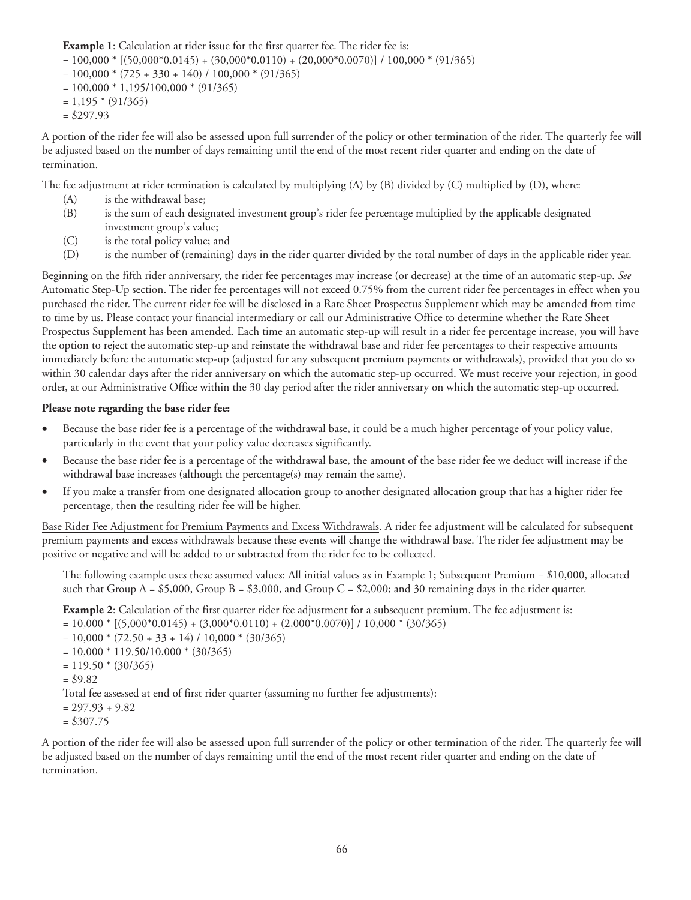**Example 1**: Calculation at rider issue for the first quarter fee. The rider fee is:

- $= 100,000 * [(50,000 * 0.0145) + (30,000 * 0.0110) + (20,000 * 0.0070)] / 100,000 * (91/365)$
- $= 100,000 * (725 + 330 + 140) / 100,000 * (91/365)$
- $= 100,000 * 1,195/100,000 * (91/365)$
- $= 1,195 * (91/365)$
- $= $297.93$

A portion of the rider fee will also be assessed upon full surrender of the policy or other termination of the rider. The quarterly fee will be adjusted based on the number of days remaining until the end of the most recent rider quarter and ending on the date of termination.

The fee adjustment at rider termination is calculated by multiplying (A) by (B) divided by (C) multiplied by (D), where:

- (A) is the withdrawal base;
- (B) is the sum of each designated investment group's rider fee percentage multiplied by the applicable designated investment group's value;
- (C) is the total policy value; and
- (D) is the number of (remaining) days in the rider quarter divided by the total number of days in the applicable rider year.

Beginning on the fifth rider anniversary, the rider fee percentages may increase (or decrease) at the time of an automatic step-up. *See* Automatic Step-Up section. The rider fee percentages will not exceed 0.75% from the current rider fee percentages in effect when you purchased the rider. The current rider fee will be disclosed in a Rate Sheet Prospectus Supplement which may be amended from time to time by us. Please contact your financial intermediary or call our Administrative Office to determine whether the Rate Sheet Prospectus Supplement has been amended. Each time an automatic step-up will result in a rider fee percentage increase, you will have the option to reject the automatic step-up and reinstate the withdrawal base and rider fee percentages to their respective amounts immediately before the automatic step-up (adjusted for any subsequent premium payments or withdrawals), provided that you do so within 30 calendar days after the rider anniversary on which the automatic step-up occurred. We must receive your rejection, in good order, at our Administrative Office within the 30 day period after the rider anniversary on which the automatic step-up occurred.

#### **Please note regarding the base rider fee:**

- Because the base rider fee is a percentage of the withdrawal base, it could be a much higher percentage of your policy value, particularly in the event that your policy value decreases significantly.
- Because the base rider fee is a percentage of the withdrawal base, the amount of the base rider fee we deduct will increase if the withdrawal base increases (although the percentage(s) may remain the same).
- If you make a transfer from one designated allocation group to another designated allocation group that has a higher rider fee percentage, then the resulting rider fee will be higher.

Base Rider Fee Adjustment for Premium Payments and Excess Withdrawals. A rider fee adjustment will be calculated for subsequent premium payments and excess withdrawals because these events will change the withdrawal base. The rider fee adjustment may be positive or negative and will be added to or subtracted from the rider fee to be collected.

The following example uses these assumed values: All initial values as in Example 1; Subsequent Premium = \$10,000, allocated such that Group  $A = $5,000$ , Group  $B = $3,000$ , and Group  $C = $2,000$ ; and 30 remaining days in the rider quarter.

**Example 2**: Calculation of the first quarter rider fee adjustment for a subsequent premium. The fee adjustment is:

 $= 10,000 * [(5,000 * 0.0145) + (3,000 * 0.0110) + (2,000 * 0.0070)] / 10,000 * (30/365)$ 

 $= 10,000 * (72.50 + 33 + 14) / 10,000 * (30/365)$ 

 $= 10,000 * 119.50/10,000 * (30/365)$ 

```
= 119.50 * (30/365)
```

```
= $9.82
```
Total fee assessed at end of first rider quarter (assuming no further fee adjustments):

```
= 297.93 + 9.82
```

```
= $307.75
```
A portion of the rider fee will also be assessed upon full surrender of the policy or other termination of the rider. The quarterly fee will be adjusted based on the number of days remaining until the end of the most recent rider quarter and ending on the date of termination.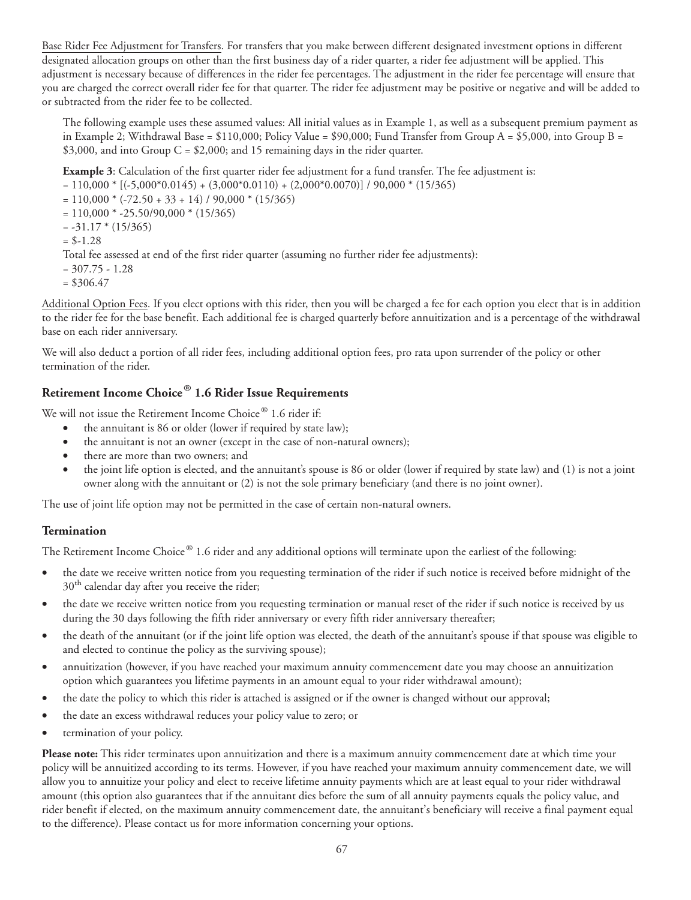Base Rider Fee Adjustment for Transfers. For transfers that you make between different designated investment options in different designated allocation groups on other than the first business day of a rider quarter, a rider fee adjustment will be applied. This adjustment is necessary because of differences in the rider fee percentages. The adjustment in the rider fee percentage will ensure that you are charged the correct overall rider fee for that quarter. The rider fee adjustment may be positive or negative and will be added to or subtracted from the rider fee to be collected.

The following example uses these assumed values: All initial values as in Example 1, as well as a subsequent premium payment as in Example 2; Withdrawal Base =  $$110,000$ ; Policy Value =  $$90,000$ ; Fund Transfer from Group A =  $$5,000$ , into Group B = \$3,000, and into Group  $C = $2,000$ ; and 15 remaining days in the rider quarter.

**Example 3**: Calculation of the first quarter rider fee adjustment for a fund transfer. The fee adjustment is:

 $= 110,000 * [(5,000 * 0.0145) + (3,000 * 0.0110) + (2,000 * 0.0070)] / 90,000 * (15/365)$ 

 $= 110,000 * (-72.50 + 33 + 14) / 90,000 * (15/365)$ 

 $= 110,000 * -25.50/90,000 * (15/365)$ 

 $= -31.17 * (15/365)$ 

$$
= $-1.28
$$

Total fee assessed at end of the first rider quarter (assuming no further rider fee adjustments):

 $= 307.75 - 1.28$ 

 $=$  \$306.47

Additional Option Fees. If you elect options with this rider, then you will be charged a fee for each option you elect that is in addition to the rider fee for the base benefit. Each additional fee is charged quarterly before annuitization and is a percentage of the withdrawal base on each rider anniversary.

We will also deduct a portion of all rider fees, including additional option fees, pro rata upon surrender of the policy or other termination of the rider.

## **Retirement Income Choice® 1.6 Rider Issue Requirements**

We will not issue the Retirement Income Choice® 1.6 rider if:

- the annuitant is 86 or older (lower if required by state law);
- the annuitant is not an owner (except in the case of non-natural owners);
- there are more than two owners; and
- the joint life option is elected, and the annuitant's spouse is 86 or older (lower if required by state law) and (1) is not a joint owner along with the annuitant or (2) is not the sole primary beneficiary (and there is no joint owner).

The use of joint life option may not be permitted in the case of certain non-natural owners.

#### **Termination**

The Retirement Income Choice® 1.6 rider and any additional options will terminate upon the earliest of the following:

- the date we receive written notice from you requesting termination of the rider if such notice is received before midnight of the 30<sup>th</sup> calendar day after you receive the rider;
- the date we receive written notice from you requesting termination or manual reset of the rider if such notice is received by us during the 30 days following the fifth rider anniversary or every fifth rider anniversary thereafter;
- the death of the annuitant (or if the joint life option was elected, the death of the annuitant's spouse if that spouse was eligible to and elected to continue the policy as the surviving spouse);
- annuitization (however, if you have reached your maximum annuity commencement date you may choose an annuitization option which guarantees you lifetime payments in an amount equal to your rider withdrawal amount);
- the date the policy to which this rider is attached is assigned or if the owner is changed without our approval;
- the date an excess withdrawal reduces your policy value to zero; or
- termination of your policy.

**Please note:** This rider terminates upon annuitization and there is a maximum annuity commencement date at which time your policy will be annuitized according to its terms. However, if you have reached your maximum annuity commencement date, we will allow you to annuitize your policy and elect to receive lifetime annuity payments which are at least equal to your rider withdrawal amount (this option also guarantees that if the annuitant dies before the sum of all annuity payments equals the policy value, and rider benefit if elected, on the maximum annuity commencement date, the annuitant's beneficiary will receive a final payment equal to the difference). Please contact us for more information concerning your options.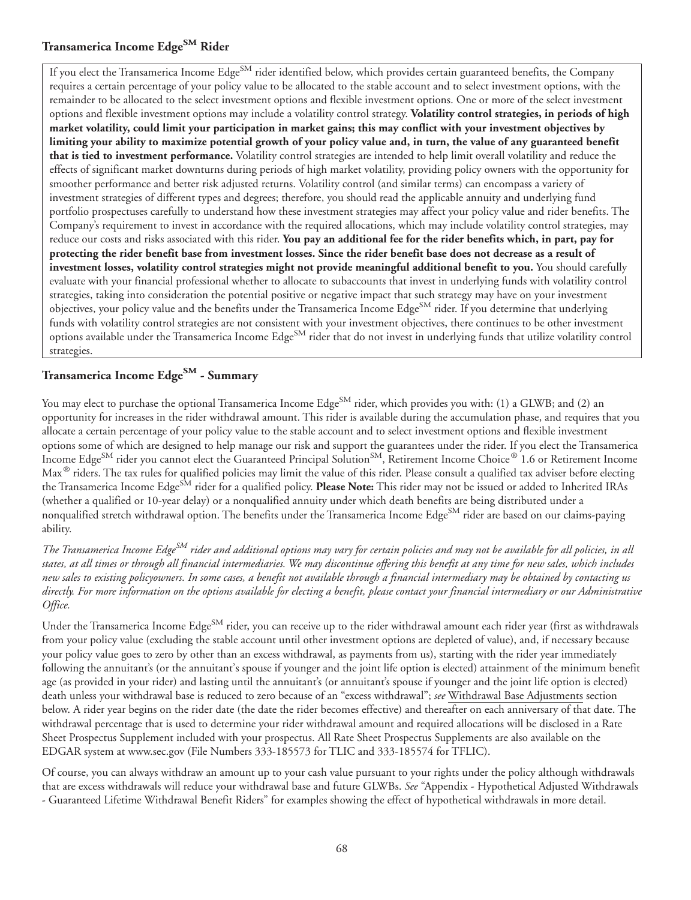### **Transamerica Income EdgeSM Rider**

If you elect the Transamerica Income Edge<sup>SM</sup> rider identified below, which provides certain guaranteed benefits, the Company requires a certain percentage of your policy value to be allocated to the stable account and to select investment options, with the remainder to be allocated to the select investment options and flexible investment options. One or more of the select investment options and flexible investment options may include a volatility control strategy. **Volatility control strategies, in periods of high market volatility, could limit your participation in market gains; this may conflict with your investment objectives by limiting your ability to maximize potential growth of your policy value and, in turn, the value of any guaranteed benefit that is tied to investment performance.** Volatility control strategies are intended to help limit overall volatility and reduce the effects of significant market downturns during periods of high market volatility, providing policy owners with the opportunity for smoother performance and better risk adjusted returns. Volatility control (and similar terms) can encompass a variety of investment strategies of different types and degrees; therefore, you should read the applicable annuity and underlying fund portfolio prospectuses carefully to understand how these investment strategies may affect your policy value and rider benefits. The Company's requirement to invest in accordance with the required allocations, which may include volatility control strategies, may reduce our costs and risks associated with this rider. **You pay an additional fee for the rider benefits which, in part, pay for protecting the rider benefit base from investment losses. Since the rider benefit base does not decrease as a result of investment losses, volatility control strategies might not provide meaningful additional benefit to you.** You should carefully evaluate with your financial professional whether to allocate to subaccounts that invest in underlying funds with volatility control strategies, taking into consideration the potential positive or negative impact that such strategy may have on your investment objectives, your policy value and the benefits under the Transamerica Income Edge<sup>SM</sup> rider. If you determine that underlying funds with volatility control strategies are not consistent with your investment objectives, there continues to be other investment options available under the Transamerica Income Edge<sup>SM</sup> rider that do not invest in underlying funds that utilize volatility control strategies.

## **Transamerica Income EdgeSM - Summary**

You may elect to purchase the optional Transamerica Income Edge<sup>SM</sup> rider, which provides you with: (1) a GLWB; and (2) an opportunity for increases in the rider withdrawal amount. This rider is available during the accumulation phase, and requires that you allocate a certain percentage of your policy value to the stable account and to select investment options and flexible investment options some of which are designed to help manage our risk and support the guarantees under the rider. If you elect the Transamerica Income Edge<sup>SM</sup> rider you cannot elect the Guaranteed Principal Solution<sup>SM</sup>, Retirement Income Choice® 1.6 or Retirement Income Max $^\circledast$  riders. The tax rules for qualified policies may limit the value of this rider. Please consult a qualified tax adviser before electing the Transamerica Income Edge<sup>SM</sup> rider for a qualified policy. **Please Note:** This rider may not be issued or added to Inherited IRAs (whether a qualified or 10-year delay) or a nonqualified annuity under which death benefits are being distributed under a nonqualified stretch withdrawal option. The benefits under the Transamerica Income Edge<sup>SM</sup> rider are based on our claims-paying ability.

*The Transamerica Income EdgeSM rider and additional options may vary for certain policies and may not be available for all policies, in all states, at all times or through all financial intermediaries. We may discontinue offering this benefit at any time for new sales, which includes new sales to existing policyowners. In some cases, a benefit not available through a financial intermediary may be obtained by contacting us directly. For more information on the options available for electing a benefit, please contact your financial intermediary or our Administrative Office.*

Under the Transamerica Income Edge<sup>SM</sup> rider, you can receive up to the rider withdrawal amount each rider year (first as withdrawals from your policy value (excluding the stable account until other investment options are depleted of value), and, if necessary because your policy value goes to zero by other than an excess withdrawal, as payments from us), starting with the rider year immediately following the annuitant's (or the annuitant's spouse if younger and the joint life option is elected) attainment of the minimum benefit age (as provided in your rider) and lasting until the annuitant's (or annuitant's spouse if younger and the joint life option is elected) death unless your withdrawal base is reduced to zero because of an "excess withdrawal"; *see* Withdrawal Base Adjustments section below. A rider year begins on the rider date (the date the rider becomes effective) and thereafter on each anniversary of that date. The withdrawal percentage that is used to determine your rider withdrawal amount and required allocations will be disclosed in a Rate Sheet Prospectus Supplement included with your prospectus. All Rate Sheet Prospectus Supplements are also available on the EDGAR system at www.sec.gov (File Numbers 333-185573 for TLIC and 333-185574 for TFLIC).

Of course, you can always withdraw an amount up to your cash value pursuant to your rights under the policy although withdrawals that are excess withdrawals will reduce your withdrawal base and future GLWBs. *See* "Appendix - Hypothetical Adjusted Withdrawals - Guaranteed Lifetime Withdrawal Benefit Riders" for examples showing the effect of hypothetical withdrawals in more detail.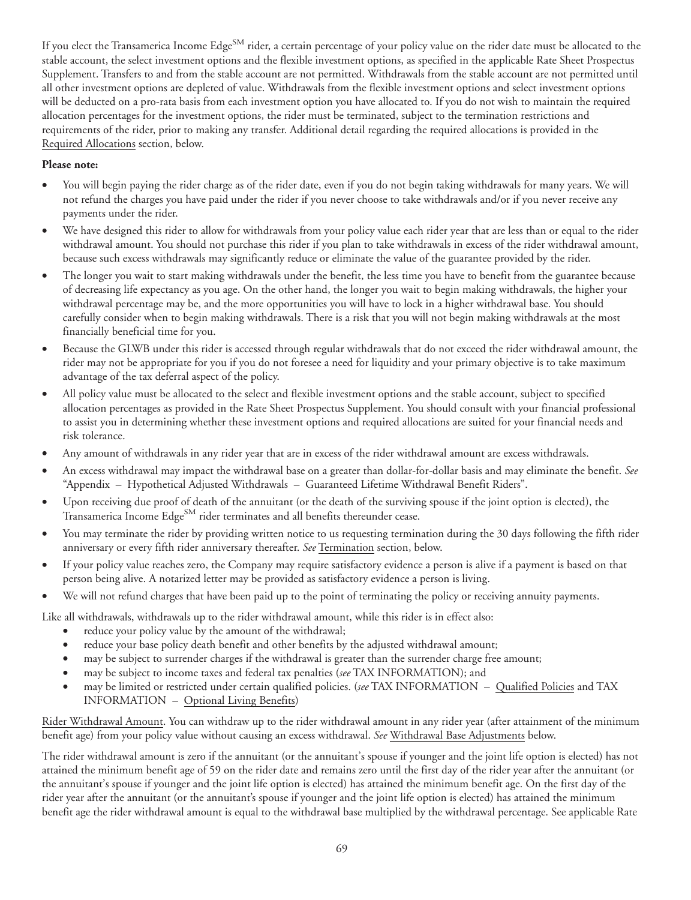If you elect the Transamerica Income Edge<sup>SM</sup> rider, a certain percentage of your policy value on the rider date must be allocated to the stable account, the select investment options and the flexible investment options, as specified in the applicable Rate Sheet Prospectus Supplement. Transfers to and from the stable account are not permitted. Withdrawals from the stable account are not permitted until all other investment options are depleted of value. Withdrawals from the flexible investment options and select investment options will be deducted on a pro-rata basis from each investment option you have allocated to. If you do not wish to maintain the required allocation percentages for the investment options, the rider must be terminated, subject to the termination restrictions and requirements of the rider, prior to making any transfer. Additional detail regarding the required allocations is provided in the Required Allocations section, below.

#### **Please note:**

- You will begin paying the rider charge as of the rider date, even if you do not begin taking withdrawals for many years. We will not refund the charges you have paid under the rider if you never choose to take withdrawals and/or if you never receive any payments under the rider.
- We have designed this rider to allow for withdrawals from your policy value each rider year that are less than or equal to the rider withdrawal amount. You should not purchase this rider if you plan to take withdrawals in excess of the rider withdrawal amount, because such excess withdrawals may significantly reduce or eliminate the value of the guarantee provided by the rider.
- The longer you wait to start making withdrawals under the benefit, the less time you have to benefit from the guarantee because of decreasing life expectancy as you age. On the other hand, the longer you wait to begin making withdrawals, the higher your withdrawal percentage may be, and the more opportunities you will have to lock in a higher withdrawal base. You should carefully consider when to begin making withdrawals. There is a risk that you will not begin making withdrawals at the most financially beneficial time for you.
- Because the GLWB under this rider is accessed through regular withdrawals that do not exceed the rider withdrawal amount, the rider may not be appropriate for you if you do not foresee a need for liquidity and your primary objective is to take maximum advantage of the tax deferral aspect of the policy.
- All policy value must be allocated to the select and flexible investment options and the stable account, subject to specified allocation percentages as provided in the Rate Sheet Prospectus Supplement. You should consult with your financial professional to assist you in determining whether these investment options and required allocations are suited for your financial needs and risk tolerance.
- Any amount of withdrawals in any rider year that are in excess of the rider withdrawal amount are excess withdrawals.
- An excess withdrawal may impact the withdrawal base on a greater than dollar-for-dollar basis and may eliminate the benefit. *See* "Appendix – Hypothetical Adjusted Withdrawals – Guaranteed Lifetime Withdrawal Benefit Riders".
- Upon receiving due proof of death of the annuitant (or the death of the surviving spouse if the joint option is elected), the Transamerica Income Edge<sup>SM</sup> rider terminates and all benefits thereunder cease.
- You may terminate the rider by providing written notice to us requesting termination during the 30 days following the fifth rider anniversary or every fifth rider anniversary thereafter. *See* Termination section, below.
- If your policy value reaches zero, the Company may require satisfactory evidence a person is alive if a payment is based on that person being alive. A notarized letter may be provided as satisfactory evidence a person is living.
- We will not refund charges that have been paid up to the point of terminating the policy or receiving annuity payments.

Like all withdrawals, withdrawals up to the rider withdrawal amount, while this rider is in effect also:

- reduce your policy value by the amount of the withdrawal;
- reduce your base policy death benefit and other benefits by the adjusted withdrawal amount;
- may be subject to surrender charges if the withdrawal is greater than the surrender charge free amount;
- may be subject to income taxes and federal tax penalties (*see* TAX INFORMATION); and
- may be limited or restricted under certain qualified policies. (*see* TAX INFORMATION Qualified Policies and TAX INFORMATION – Optional Living Benefits)

Rider Withdrawal Amount. You can withdraw up to the rider withdrawal amount in any rider year (after attainment of the minimum benefit age) from your policy value without causing an excess withdrawal. *See* Withdrawal Base Adjustments below.

The rider withdrawal amount is zero if the annuitant (or the annuitant's spouse if younger and the joint life option is elected) has not attained the minimum benefit age of 59 on the rider date and remains zero until the first day of the rider year after the annuitant (or the annuitant's spouse if younger and the joint life option is elected) has attained the minimum benefit age. On the first day of the rider year after the annuitant (or the annuitant's spouse if younger and the joint life option is elected) has attained the minimum benefit age the rider withdrawal amount is equal to the withdrawal base multiplied by the withdrawal percentage. See applicable Rate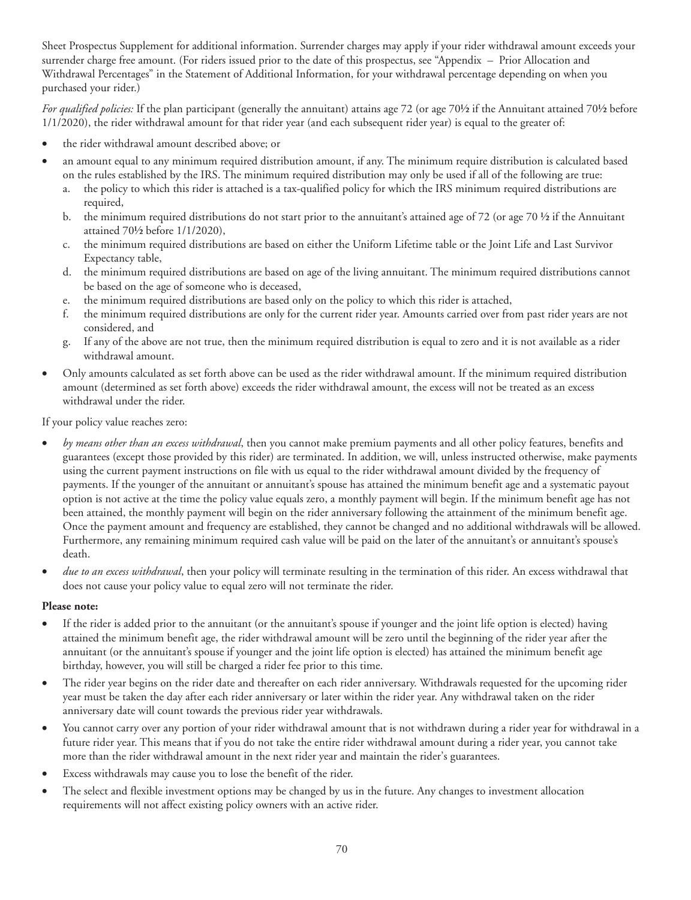Sheet Prospectus Supplement for additional information. Surrender charges may apply if your rider withdrawal amount exceeds your surrender charge free amount. (For riders issued prior to the date of this prospectus, see "Appendix – Prior Allocation and Withdrawal Percentages" in the Statement of Additional Information, for your withdrawal percentage depending on when you purchased your rider.)

*For qualified policies:* If the plan participant (generally the annuitant) attains age 72 (or age 70½ if the Annuitant attained 70½ before 1/1/2020), the rider withdrawal amount for that rider year (and each subsequent rider year) is equal to the greater of:

- the rider withdrawal amount described above; or
- an amount equal to any minimum required distribution amount, if any. The minimum require distribution is calculated based on the rules established by the IRS. The minimum required distribution may only be used if all of the following are true:
	- a. the policy to which this rider is attached is a tax-qualified policy for which the IRS minimum required distributions are required,
	- b. the minimum required distributions do not start prior to the annuitant's attained age of 72 (or age 70  $\frac{1}{2}$  if the Annuitant attained 70½ before 1/1/2020),
	- c. the minimum required distributions are based on either the Uniform Lifetime table or the Joint Life and Last Survivor Expectancy table,
	- d. the minimum required distributions are based on age of the living annuitant. The minimum required distributions cannot be based on the age of someone who is deceased,
	- e. the minimum required distributions are based only on the policy to which this rider is attached,
	- f. the minimum required distributions are only for the current rider year. Amounts carried over from past rider years are not considered, and
	- g. If any of the above are not true, then the minimum required distribution is equal to zero and it is not available as a rider withdrawal amount.
- Only amounts calculated as set forth above can be used as the rider withdrawal amount. If the minimum required distribution amount (determined as set forth above) exceeds the rider withdrawal amount, the excess will not be treated as an excess withdrawal under the rider.

If your policy value reaches zero:

- *by means other than an excess withdrawal*, then you cannot make premium payments and all other policy features, benefits and guarantees (except those provided by this rider) are terminated. In addition, we will, unless instructed otherwise, make payments using the current payment instructions on file with us equal to the rider withdrawal amount divided by the frequency of payments. If the younger of the annuitant or annuitant's spouse has attained the minimum benefit age and a systematic payout option is not active at the time the policy value equals zero, a monthly payment will begin. If the minimum benefit age has not been attained, the monthly payment will begin on the rider anniversary following the attainment of the minimum benefit age. Once the payment amount and frequency are established, they cannot be changed and no additional withdrawals will be allowed. Furthermore, any remaining minimum required cash value will be paid on the later of the annuitant's or annuitant's spouse's death.
- *due to an excess withdrawal*, then your policy will terminate resulting in the termination of this rider. An excess withdrawal that does not cause your policy value to equal zero will not terminate the rider.

#### **Please note:**

- If the rider is added prior to the annuitant (or the annuitant's spouse if younger and the joint life option is elected) having attained the minimum benefit age, the rider withdrawal amount will be zero until the beginning of the rider year after the annuitant (or the annuitant's spouse if younger and the joint life option is elected) has attained the minimum benefit age birthday, however, you will still be charged a rider fee prior to this time.
- The rider year begins on the rider date and thereafter on each rider anniversary. Withdrawals requested for the upcoming rider year must be taken the day after each rider anniversary or later within the rider year. Any withdrawal taken on the rider anniversary date will count towards the previous rider year withdrawals.
- You cannot carry over any portion of your rider withdrawal amount that is not withdrawn during a rider year for withdrawal in a future rider year. This means that if you do not take the entire rider withdrawal amount during a rider year, you cannot take more than the rider withdrawal amount in the next rider year and maintain the rider's guarantees.
- Excess withdrawals may cause you to lose the benefit of the rider.
- The select and flexible investment options may be changed by us in the future. Any changes to investment allocation requirements will not affect existing policy owners with an active rider.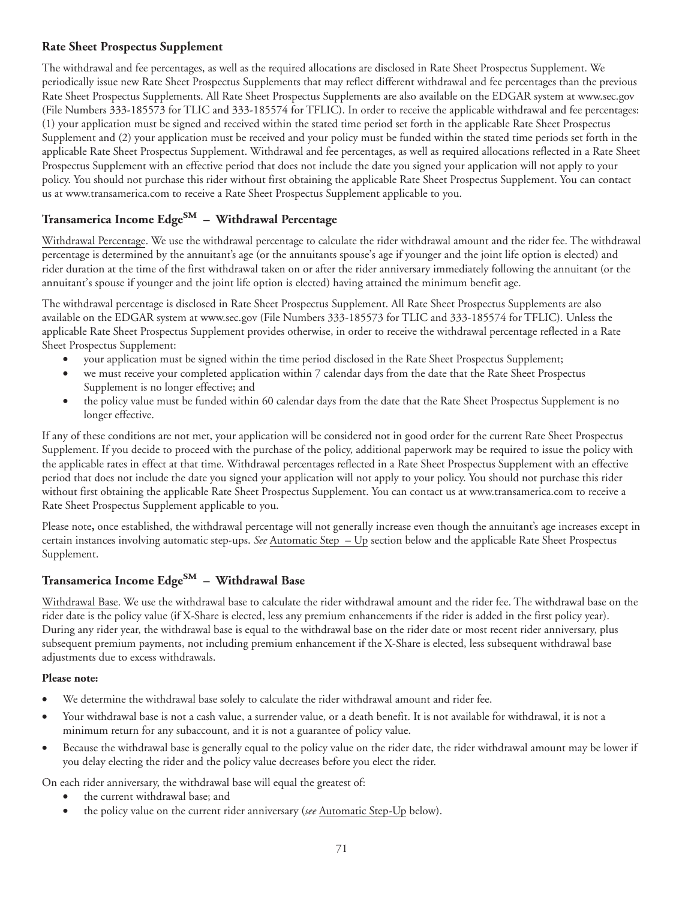#### **Rate Sheet Prospectus Supplement**

The withdrawal and fee percentages, as well as the required allocations are disclosed in Rate Sheet Prospectus Supplement. We periodically issue new Rate Sheet Prospectus Supplements that may reflect different withdrawal and fee percentages than the previous Rate Sheet Prospectus Supplements. All Rate Sheet Prospectus Supplements are also available on the EDGAR system at www.sec.gov (File Numbers 333-185573 for TLIC and 333-185574 for TFLIC). In order to receive the applicable withdrawal and fee percentages: (1) your application must be signed and received within the stated time period set forth in the applicable Rate Sheet Prospectus Supplement and (2) your application must be received and your policy must be funded within the stated time periods set forth in the applicable Rate Sheet Prospectus Supplement. Withdrawal and fee percentages, as well as required allocations reflected in a Rate Sheet Prospectus Supplement with an effective period that does not include the date you signed your application will not apply to your policy. You should not purchase this rider without first obtaining the applicable Rate Sheet Prospectus Supplement. You can contact us at www.transamerica.com to receive a Rate Sheet Prospectus Supplement applicable to you.

# **Transamerica Income EdgeSM – Withdrawal Percentage**

Withdrawal Percentage. We use the withdrawal percentage to calculate the rider withdrawal amount and the rider fee. The withdrawal percentage is determined by the annuitant's age (or the annuitants spouse's age if younger and the joint life option is elected) and rider duration at the time of the first withdrawal taken on or after the rider anniversary immediately following the annuitant (or the annuitant's spouse if younger and the joint life option is elected) having attained the minimum benefit age.

The withdrawal percentage is disclosed in Rate Sheet Prospectus Supplement. All Rate Sheet Prospectus Supplements are also available on the EDGAR system at www.sec.gov (File Numbers 333-185573 for TLIC and 333-185574 for TFLIC). Unless the applicable Rate Sheet Prospectus Supplement provides otherwise, in order to receive the withdrawal percentage reflected in a Rate Sheet Prospectus Supplement:

- your application must be signed within the time period disclosed in the Rate Sheet Prospectus Supplement;
- we must receive your completed application within 7 calendar days from the date that the Rate Sheet Prospectus Supplement is no longer effective; and
- the policy value must be funded within 60 calendar days from the date that the Rate Sheet Prospectus Supplement is no longer effective.

If any of these conditions are not met, your application will be considered not in good order for the current Rate Sheet Prospectus Supplement. If you decide to proceed with the purchase of the policy, additional paperwork may be required to issue the policy with the applicable rates in effect at that time. Withdrawal percentages reflected in a Rate Sheet Prospectus Supplement with an effective period that does not include the date you signed your application will not apply to your policy. You should not purchase this rider without first obtaining the applicable Rate Sheet Prospectus Supplement. You can contact us at www.transamerica.com to receive a Rate Sheet Prospectus Supplement applicable to you.

Please note, once established, the withdrawal percentage will not generally increase even though the annuitant's age increases except in certain instances involving automatic step-ups. *See* Automatic Step – Up section below and the applicable Rate Sheet Prospectus Supplement.

## **Transamerica Income EdgeSM – Withdrawal Base**

Withdrawal Base. We use the withdrawal base to calculate the rider withdrawal amount and the rider fee. The withdrawal base on the rider date is the policy value (if X-Share is elected, less any premium enhancements if the rider is added in the first policy year). During any rider year, the withdrawal base is equal to the withdrawal base on the rider date or most recent rider anniversary, plus subsequent premium payments, not including premium enhancement if the X-Share is elected, less subsequent withdrawal base adjustments due to excess withdrawals.

#### **Please note:**

- We determine the withdrawal base solely to calculate the rider withdrawal amount and rider fee.
- Your withdrawal base is not a cash value, a surrender value, or a death benefit. It is not available for withdrawal, it is not a minimum return for any subaccount, and it is not a guarantee of policy value.
- Because the withdrawal base is generally equal to the policy value on the rider date, the rider withdrawal amount may be lower if you delay electing the rider and the policy value decreases before you elect the rider.

On each rider anniversary, the withdrawal base will equal the greatest of:

- the current withdrawal base; and
- the policy value on the current rider anniversary (*see* Automatic Step-Up below).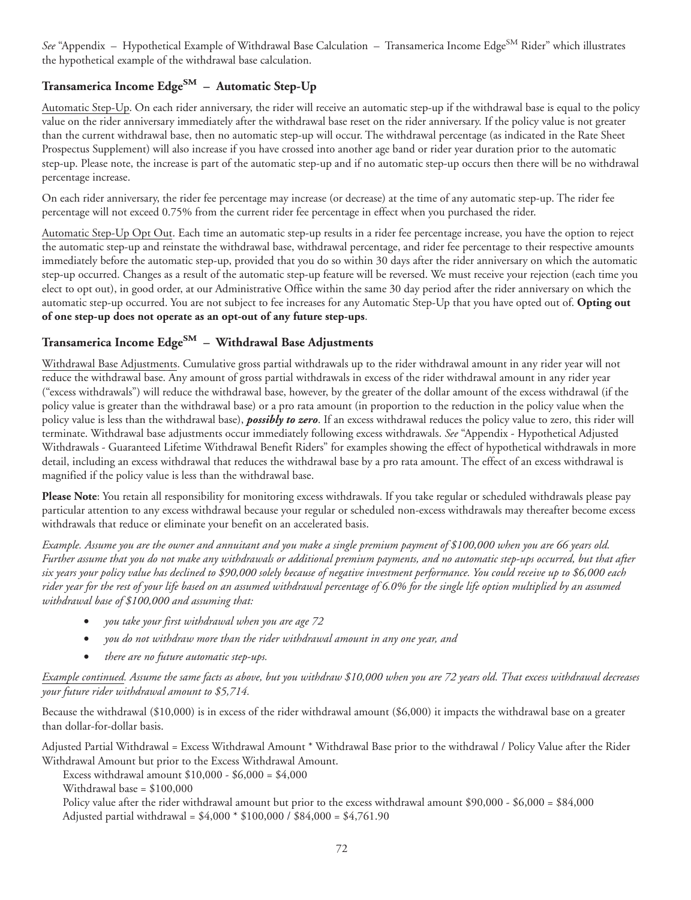See "Appendix – Hypothetical Example of Withdrawal Base Calculation – Transamerica Income Edge<sup>SM</sup> Rider" which illustrates the hypothetical example of the withdrawal base calculation.

# **Transamerica Income EdgeSM – Automatic Step-Up**

Automatic Step-Up. On each rider anniversary, the rider will receive an automatic step-up if the withdrawal base is equal to the policy value on the rider anniversary immediately after the withdrawal base reset on the rider anniversary. If the policy value is not greater than the current withdrawal base, then no automatic step-up will occur. The withdrawal percentage (as indicated in the Rate Sheet Prospectus Supplement) will also increase if you have crossed into another age band or rider year duration prior to the automatic step-up. Please note, the increase is part of the automatic step-up and if no automatic step-up occurs then there will be no withdrawal percentage increase.

On each rider anniversary, the rider fee percentage may increase (or decrease) at the time of any automatic step-up. The rider fee percentage will not exceed 0.75% from the current rider fee percentage in effect when you purchased the rider.

Automatic Step-Up Opt Out. Each time an automatic step-up results in a rider fee percentage increase, you have the option to reject the automatic step-up and reinstate the withdrawal base, withdrawal percentage, and rider fee percentage to their respective amounts immediately before the automatic step-up, provided that you do so within 30 days after the rider anniversary on which the automatic step-up occurred. Changes as a result of the automatic step-up feature will be reversed. We must receive your rejection (each time you elect to opt out), in good order, at our Administrative Office within the same 30 day period after the rider anniversary on which the automatic step-up occurred. You are not subject to fee increases for any Automatic Step-Up that you have opted out of. **Opting out of one step-up does not operate as an opt-out of any future step-ups**.

## **Transamerica Income EdgeSM – Withdrawal Base Adjustments**

Withdrawal Base Adjustments. Cumulative gross partial withdrawals up to the rider withdrawal amount in any rider year will not reduce the withdrawal base. Any amount of gross partial withdrawals in excess of the rider withdrawal amount in any rider year ("excess withdrawals") will reduce the withdrawal base, however, by the greater of the dollar amount of the excess withdrawal (if the policy value is greater than the withdrawal base) or a pro rata amount (in proportion to the reduction in the policy value when the policy value is less than the withdrawal base), *possibly to zero*. If an excess withdrawal reduces the policy value to zero, this rider will terminate. Withdrawal base adjustments occur immediately following excess withdrawals. *See* "Appendix - Hypothetical Adjusted Withdrawals - Guaranteed Lifetime Withdrawal Benefit Riders" for examples showing the effect of hypothetical withdrawals in more detail, including an excess withdrawal that reduces the withdrawal base by a pro rata amount. The effect of an excess withdrawal is magnified if the policy value is less than the withdrawal base.

Please Note: You retain all responsibility for monitoring excess withdrawals. If you take regular or scheduled withdrawals please pay particular attention to any excess withdrawal because your regular or scheduled non-excess withdrawals may thereafter become excess withdrawals that reduce or eliminate your benefit on an accelerated basis.

*Example. Assume you are the owner and annuitant and you make a single premium payment of \$100,000 when you are 66 years old. Further assume that you do not make any withdrawals or additional premium payments, and no automatic step-ups occurred, but that after six years your policy value has declined to \$90,000 solely because of negative investment performance. You could receive up to \$6,000 each rider year for the rest of your life based on an assumed withdrawal percentage of 6.0% for the single life option multiplied by an assumed withdrawal base of \$100,000 and assuming that:*

- *you take your first withdrawal when you are age 72*
- *you do not withdraw more than the rider withdrawal amount in any one year, and*
- *there are no future automatic step-ups.*

*Example continued. Assume the same facts as above, but you withdraw \$10,000 when you are 72 years old. That excess withdrawal decreases your future rider withdrawal amount to \$5,714.*

Because the withdrawal (\$10,000) is in excess of the rider withdrawal amount (\$6,000) it impacts the withdrawal base on a greater than dollar-for-dollar basis.

Adjusted Partial Withdrawal = Excess Withdrawal Amount \* Withdrawal Base prior to the withdrawal / Policy Value after the Rider Withdrawal Amount but prior to the Excess Withdrawal Amount.

Excess withdrawal amount \$10,000 - \$6,000 = \$4,000

Withdrawal base = \$100,000

Policy value after the rider withdrawal amount but prior to the excess withdrawal amount \$90,000 - \$6,000 = \$84,000 Adjusted partial withdrawal = \$4,000 \* \$100,000 / \$84,000 = \$4,761.90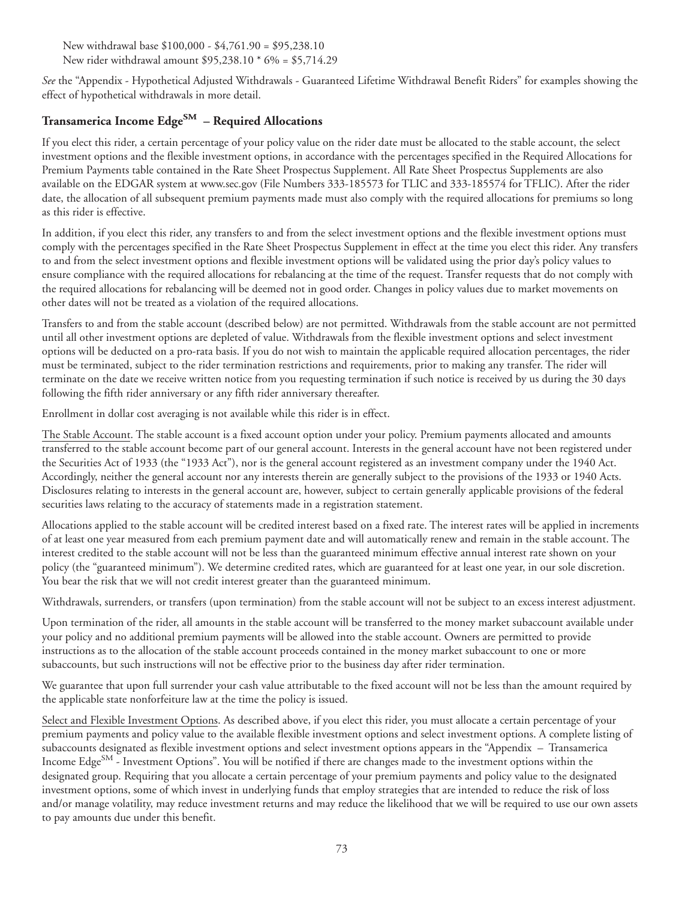New withdrawal base \$100,000 - \$4,761.90 = \$95,238.10 New rider withdrawal amount \$95,238.10 \* 6% = \$5,714.29

*See* the "Appendix - Hypothetical Adjusted Withdrawals - Guaranteed Lifetime Withdrawal Benefit Riders" for examples showing the effect of hypothetical withdrawals in more detail.

# **Transamerica Income EdgeSM – Required Allocations**

If you elect this rider, a certain percentage of your policy value on the rider date must be allocated to the stable account, the select investment options and the flexible investment options, in accordance with the percentages specified in the Required Allocations for Premium Payments table contained in the Rate Sheet Prospectus Supplement. All Rate Sheet Prospectus Supplements are also available on the EDGAR system at www.sec.gov (File Numbers 333-185573 for TLIC and 333-185574 for TFLIC). After the rider date, the allocation of all subsequent premium payments made must also comply with the required allocations for premiums so long as this rider is effective.

In addition, if you elect this rider, any transfers to and from the select investment options and the flexible investment options must comply with the percentages specified in the Rate Sheet Prospectus Supplement in effect at the time you elect this rider. Any transfers to and from the select investment options and flexible investment options will be validated using the prior day's policy values to ensure compliance with the required allocations for rebalancing at the time of the request. Transfer requests that do not comply with the required allocations for rebalancing will be deemed not in good order. Changes in policy values due to market movements on other dates will not be treated as a violation of the required allocations.

Transfers to and from the stable account (described below) are not permitted. Withdrawals from the stable account are not permitted until all other investment options are depleted of value. Withdrawals from the flexible investment options and select investment options will be deducted on a pro-rata basis. If you do not wish to maintain the applicable required allocation percentages, the rider must be terminated, subject to the rider termination restrictions and requirements, prior to making any transfer. The rider will terminate on the date we receive written notice from you requesting termination if such notice is received by us during the 30 days following the fifth rider anniversary or any fifth rider anniversary thereafter.

Enrollment in dollar cost averaging is not available while this rider is in effect.

The Stable Account. The stable account is a fixed account option under your policy. Premium payments allocated and amounts transferred to the stable account become part of our general account. Interests in the general account have not been registered under the Securities Act of 1933 (the "1933 Act"), nor is the general account registered as an investment company under the 1940 Act. Accordingly, neither the general account nor any interests therein are generally subject to the provisions of the 1933 or 1940 Acts. Disclosures relating to interests in the general account are, however, subject to certain generally applicable provisions of the federal securities laws relating to the accuracy of statements made in a registration statement.

Allocations applied to the stable account will be credited interest based on a fixed rate. The interest rates will be applied in increments of at least one year measured from each premium payment date and will automatically renew and remain in the stable account. The interest credited to the stable account will not be less than the guaranteed minimum effective annual interest rate shown on your policy (the "guaranteed minimum"). We determine credited rates, which are guaranteed for at least one year, in our sole discretion. You bear the risk that we will not credit interest greater than the guaranteed minimum.

Withdrawals, surrenders, or transfers (upon termination) from the stable account will not be subject to an excess interest adjustment.

Upon termination of the rider, all amounts in the stable account will be transferred to the money market subaccount available under your policy and no additional premium payments will be allowed into the stable account. Owners are permitted to provide instructions as to the allocation of the stable account proceeds contained in the money market subaccount to one or more subaccounts, but such instructions will not be effective prior to the business day after rider termination.

We guarantee that upon full surrender your cash value attributable to the fixed account will not be less than the amount required by the applicable state nonforfeiture law at the time the policy is issued.

Select and Flexible Investment Options. As described above, if you elect this rider, you must allocate a certain percentage of your premium payments and policy value to the available flexible investment options and select investment options. A complete listing of subaccounts designated as flexible investment options and select investment options appears in the "Appendix – Transamerica Income Edge<sup>SM</sup> - Investment Options". You will be notified if there are changes made to the investment options within the designated group. Requiring that you allocate a certain percentage of your premium payments and policy value to the designated investment options, some of which invest in underlying funds that employ strategies that are intended to reduce the risk of loss and/or manage volatility, may reduce investment returns and may reduce the likelihood that we will be required to use our own assets to pay amounts due under this benefit.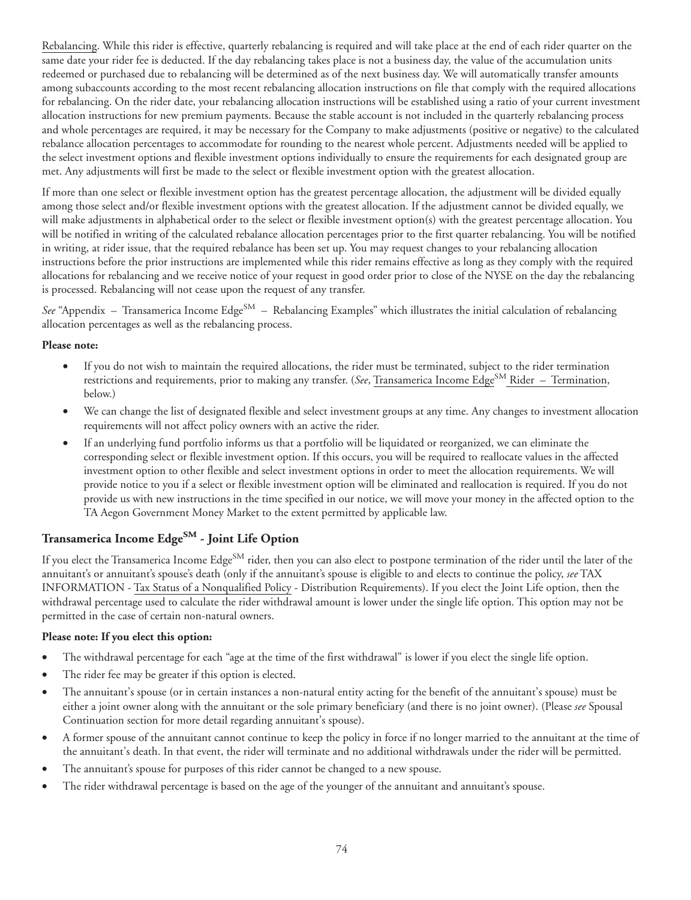Rebalancing. While this rider is effective, quarterly rebalancing is required and will take place at the end of each rider quarter on the same date your rider fee is deducted. If the day rebalancing takes place is not a business day, the value of the accumulation units redeemed or purchased due to rebalancing will be determined as of the next business day. We will automatically transfer amounts among subaccounts according to the most recent rebalancing allocation instructions on file that comply with the required allocations for rebalancing. On the rider date, your rebalancing allocation instructions will be established using a ratio of your current investment allocation instructions for new premium payments. Because the stable account is not included in the quarterly rebalancing process and whole percentages are required, it may be necessary for the Company to make adjustments (positive or negative) to the calculated rebalance allocation percentages to accommodate for rounding to the nearest whole percent. Adjustments needed will be applied to the select investment options and flexible investment options individually to ensure the requirements for each designated group are met. Any adjustments will first be made to the select or flexible investment option with the greatest allocation.

If more than one select or flexible investment option has the greatest percentage allocation, the adjustment will be divided equally among those select and/or flexible investment options with the greatest allocation. If the adjustment cannot be divided equally, we will make adjustments in alphabetical order to the select or flexible investment option(s) with the greatest percentage allocation. You will be notified in writing of the calculated rebalance allocation percentages prior to the first quarter rebalancing. You will be notified in writing, at rider issue, that the required rebalance has been set up. You may request changes to your rebalancing allocation instructions before the prior instructions are implemented while this rider remains effective as long as they comply with the required allocations for rebalancing and we receive notice of your request in good order prior to close of the NYSE on the day the rebalancing is processed. Rebalancing will not cease upon the request of any transfer.

*See* "Appendix – Transamerica Income Edge<sup>SM</sup> – Rebalancing Examples" which illustrates the initial calculation of rebalancing allocation percentages as well as the rebalancing process.

#### **Please note:**

- If you do not wish to maintain the required allocations, the rider must be terminated, subject to the rider termination restrictions and requirements, prior to making any transfer. (*See*, Transamerica Income Edge<sup>SM</sup> Rider – Termination, below.)
- We can change the list of designated flexible and select investment groups at any time. Any changes to investment allocation requirements will not affect policy owners with an active the rider.
- If an underlying fund portfolio informs us that a portfolio will be liquidated or reorganized, we can eliminate the corresponding select or flexible investment option. If this occurs, you will be required to reallocate values in the affected investment option to other flexible and select investment options in order to meet the allocation requirements. We will provide notice to you if a select or flexible investment option will be eliminated and reallocation is required. If you do not provide us with new instructions in the time specified in our notice, we will move your money in the affected option to the TA Aegon Government Money Market to the extent permitted by applicable law.

# **Transamerica Income EdgeSM - Joint Life Option**

If you elect the Transamerica Income Edge<sup>SM</sup> rider, then you can also elect to postpone termination of the rider until the later of the annuitant's or annuitant's spouse's death (only if the annuitant's spouse is eligible to and elects to continue the policy, *see* TAX INFORMATION - Tax Status of a Nonqualified Policy - Distribution Requirements). If you elect the Joint Life option, then the withdrawal percentage used to calculate the rider withdrawal amount is lower under the single life option. This option may not be permitted in the case of certain non-natural owners.

#### **Please note: If you elect this option:**

- The withdrawal percentage for each "age at the time of the first withdrawal" is lower if you elect the single life option.
- The rider fee may be greater if this option is elected.
- The annuitant's spouse (or in certain instances a non-natural entity acting for the benefit of the annuitant's spouse) must be either a joint owner along with the annuitant or the sole primary beneficiary (and there is no joint owner). (Please *see* Spousal Continuation section for more detail regarding annuitant's spouse).
- A former spouse of the annuitant cannot continue to keep the policy in force if no longer married to the annuitant at the time of the annuitant's death. In that event, the rider will terminate and no additional withdrawals under the rider will be permitted.
- The annuitant's spouse for purposes of this rider cannot be changed to a new spouse.
- The rider withdrawal percentage is based on the age of the younger of the annuitant and annuitant's spouse.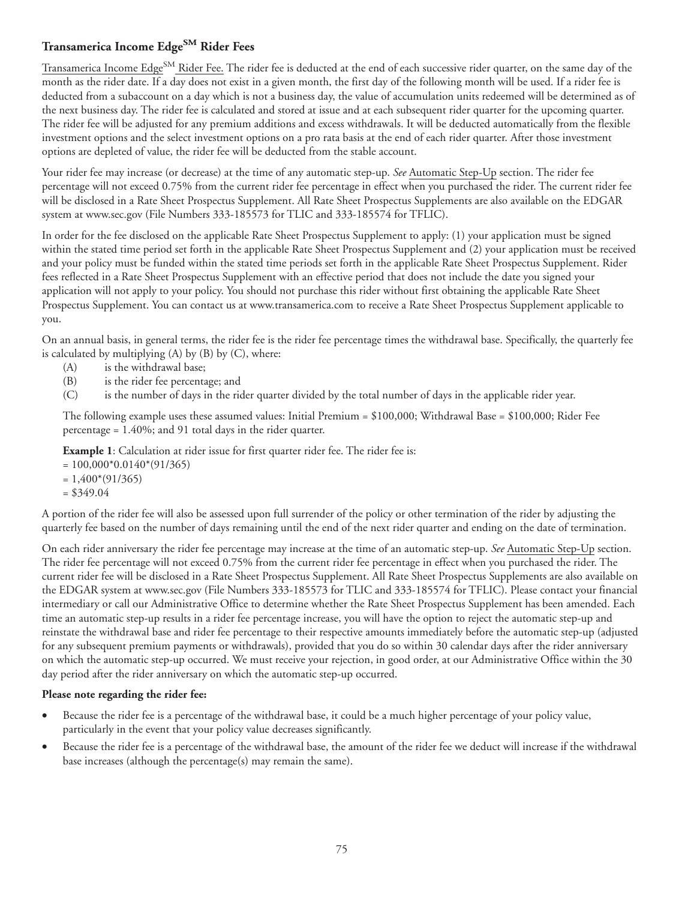## **Transamerica Income EdgeSM Rider Fees**

Transamerica Income Edge<sup>SM</sup> Rider Fee. The rider fee is deducted at the end of each successive rider quarter, on the same day of the month as the rider date. If a day does not exist in a given month, the first day of the following month will be used. If a rider fee is deducted from a subaccount on a day which is not a business day, the value of accumulation units redeemed will be determined as of the next business day. The rider fee is calculated and stored at issue and at each subsequent rider quarter for the upcoming quarter. The rider fee will be adjusted for any premium additions and excess withdrawals. It will be deducted automatically from the flexible investment options and the select investment options on a pro rata basis at the end of each rider quarter. After those investment options are depleted of value, the rider fee will be deducted from the stable account.

Your rider fee may increase (or decrease) at the time of any automatic step-up. *See* Automatic Step-Up section. The rider fee percentage will not exceed 0.75% from the current rider fee percentage in effect when you purchased the rider. The current rider fee will be disclosed in a Rate Sheet Prospectus Supplement. All Rate Sheet Prospectus Supplements are also available on the EDGAR system at www.sec.gov (File Numbers 333-185573 for TLIC and 333-185574 for TFLIC).

In order for the fee disclosed on the applicable Rate Sheet Prospectus Supplement to apply: (1) your application must be signed within the stated time period set forth in the applicable Rate Sheet Prospectus Supplement and (2) your application must be received and your policy must be funded within the stated time periods set forth in the applicable Rate Sheet Prospectus Supplement. Rider fees reflected in a Rate Sheet Prospectus Supplement with an effective period that does not include the date you signed your application will not apply to your policy. You should not purchase this rider without first obtaining the applicable Rate Sheet Prospectus Supplement. You can contact us at www.transamerica.com to receive a Rate Sheet Prospectus Supplement applicable to you.

On an annual basis, in general terms, the rider fee is the rider fee percentage times the withdrawal base. Specifically, the quarterly fee is calculated by multiplying  $(A)$  by  $(B)$  by  $(C)$ , where:

- (A) is the withdrawal base;
- (B) is the rider fee percentage; and
- (C) is the number of days in the rider quarter divided by the total number of days in the applicable rider year.

The following example uses these assumed values: Initial Premium =  $$100,000$ ; Withdrawal Base =  $$100,000$ ; Rider Fee percentage = 1.40%; and 91 total days in the rider quarter.

**Example 1**: Calculation at rider issue for first quarter rider fee. The rider fee is:

 $= 100,000*0.0140*(91/365)$ 

 $= 1,400*(91/365)$ 

 $= $349.04$ 

A portion of the rider fee will also be assessed upon full surrender of the policy or other termination of the rider by adjusting the quarterly fee based on the number of days remaining until the end of the next rider quarter and ending on the date of termination.

On each rider anniversary the rider fee percentage may increase at the time of an automatic step-up. *See* Automatic Step-Up section. The rider fee percentage will not exceed 0.75% from the current rider fee percentage in effect when you purchased the rider. The current rider fee will be disclosed in a Rate Sheet Prospectus Supplement. All Rate Sheet Prospectus Supplements are also available on the EDGAR system at www.sec.gov (File Numbers 333-185573 for TLIC and 333-185574 for TFLIC). Please contact your financial intermediary or call our Administrative Office to determine whether the Rate Sheet Prospectus Supplement has been amended. Each time an automatic step-up results in a rider fee percentage increase, you will have the option to reject the automatic step-up and reinstate the withdrawal base and rider fee percentage to their respective amounts immediately before the automatic step-up (adjusted for any subsequent premium payments or withdrawals), provided that you do so within 30 calendar days after the rider anniversary on which the automatic step-up occurred. We must receive your rejection, in good order, at our Administrative Office within the 30 day period after the rider anniversary on which the automatic step-up occurred.

#### **Please note regarding the rider fee:**

- Because the rider fee is a percentage of the withdrawal base, it could be a much higher percentage of your policy value, particularly in the event that your policy value decreases significantly.
- Because the rider fee is a percentage of the withdrawal base, the amount of the rider fee we deduct will increase if the withdrawal base increases (although the percentage(s) may remain the same).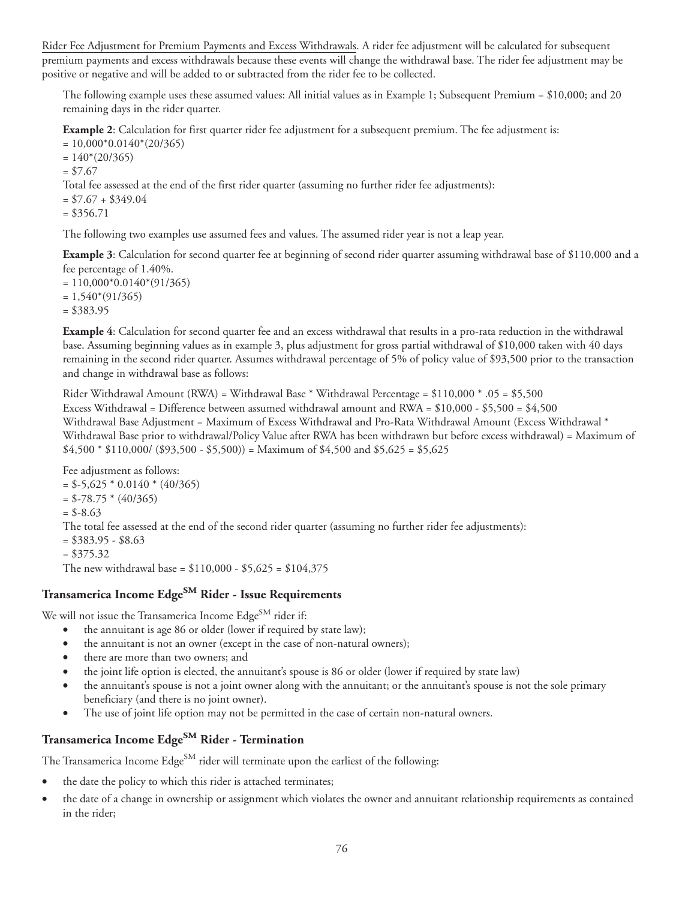Rider Fee Adjustment for Premium Payments and Excess Withdrawals. A rider fee adjustment will be calculated for subsequent premium payments and excess withdrawals because these events will change the withdrawal base. The rider fee adjustment may be positive or negative and will be added to or subtracted from the rider fee to be collected.

The following example uses these assumed values: All initial values as in Example 1; Subsequent Premium = \$10,000; and 20 remaining days in the rider quarter.

**Example 2**: Calculation for first quarter rider fee adjustment for a subsequent premium. The fee adjustment is:

 $= 10,000*0.0140*(20/365)$ 

 $= 140*(20/365)$ 

 $= $7.67$ 

Total fee assessed at the end of the first rider quarter (assuming no further rider fee adjustments):

 $= $7.67 + $349.04$ 

 $= $356.71$ 

The following two examples use assumed fees and values. The assumed rider year is not a leap year.

**Example 3**: Calculation for second quarter fee at beginning of second rider quarter assuming withdrawal base of \$110,000 and a fee percentage of 1.40%.

 $= 110,000*0.0140*(91/365)$ 

 $= 1,540*(91/365)$ 

= \$383.95

**Example 4**: Calculation for second quarter fee and an excess withdrawal that results in a pro-rata reduction in the withdrawal base. Assuming beginning values as in example 3, plus adjustment for gross partial withdrawal of \$10,000 taken with 40 days remaining in the second rider quarter. Assumes withdrawal percentage of 5% of policy value of \$93,500 prior to the transaction and change in withdrawal base as follows:

Rider Withdrawal Amount (RWA) = Withdrawal Base \* Withdrawal Percentage = \$110,000 \* .05 = \$5,500 Excess Withdrawal = Difference between assumed withdrawal amount and RWA = \$10,000 - \$5,500 = \$4,500 Withdrawal Base Adjustment = Maximum of Excess Withdrawal and Pro-Rata Withdrawal Amount (Excess Withdrawal \* Withdrawal Base prior to withdrawal/Policy Value after RWA has been withdrawn but before excess withdrawal) = Maximum of  $$4,500 * $110,000 / ($93,500 - $5,500)$  = Maximum of \$4,500 and \$5,625 = \$5,625

Fee adjustment as follows:  $= $-5,625 * 0.0140 * (40/365)$  $=$  \$-78.75  $*$  (40/365)  $= $-8.63$ The total fee assessed at the end of the second rider quarter (assuming no further rider fee adjustments):  $= $383.95 - $8.63$  $= $375.32$ The new withdrawal base =  $$110,000 - $5,625 = $104,375$ 

# **Transamerica Income EdgeSM Rider - Issue Requirements**

We will not issue the Transamerica Income  $\text{Edge}^{\text{SM}}$  rider if:

- the annuitant is age 86 or older (lower if required by state law);
- the annuitant is not an owner (except in the case of non-natural owners);
- there are more than two owners; and
- the joint life option is elected, the annuitant's spouse is 86 or older (lower if required by state law)
- the annuitant's spouse is not a joint owner along with the annuitant; or the annuitant's spouse is not the sole primary beneficiary (and there is no joint owner).
- The use of joint life option may not be permitted in the case of certain non-natural owners.

# **Transamerica Income EdgeSM Rider - Termination**

The Transamerica Income Edge<sup>SM</sup> rider will terminate upon the earliest of the following:

- the date the policy to which this rider is attached terminates;
- the date of a change in ownership or assignment which violates the owner and annuitant relationship requirements as contained in the rider;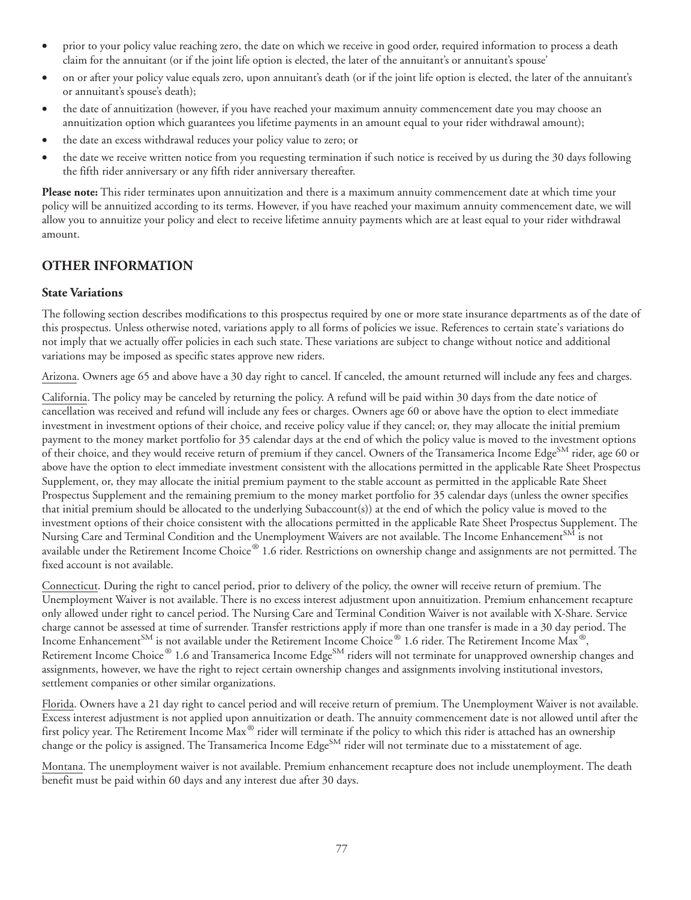- prior to your policy value reaching zero, the date on which we receive in good order, required information to process a death claim for the annuitant (or if the joint life option is elected, the later of the annuitant's or annuitant's spouse'
- on or after your policy value equals zero, upon annuitant's death (or if the joint life option is elected, the later of the annuitant's or annuitant's spouse's death);
- the date of annuitization (however, if you have reached your maximum annuity commencement date you may choose an annuitization option which guarantees you lifetime payments in an amount equal to your rider withdrawal amount);
- the date an excess withdrawal reduces your policy value to zero; or
- the date we receive written notice from you requesting termination if such notice is received by us during the 30 days following the fifth rider anniversary or any fifth rider anniversary thereafter.

**Please note:** This rider terminates upon annuitization and there is a maximum annuity commencement date at which time your policy will be annuitized according to its terms. However, if you have reached your maximum annuity commencement date, we will allow you to annuitize your policy and elect to receive lifetime annuity payments which are at least equal to your rider withdrawal amount.

## **OTHER INFORMATION**

#### **State Variations**

The following section describes modifications to this prospectus required by one or more state insurance departments as of the date of this prospectus. Unless otherwise noted, variations apply to all forms of policies we issue. References to certain state's variations do not imply that we actually offer policies in each such state. These variations are subject to change without notice and additional variations may be imposed as specific states approve new riders.

Arizona. Owners age 65 and above have a 30 day right to cancel. If canceled, the amount returned will include any fees and charges.

California. The policy may be canceled by returning the policy. A refund will be paid within 30 days from the date notice of cancellation was received and refund will include any fees or charges. Owners age 60 or above have the option to elect immediate investment in investment options of their choice, and receive policy value if they cancel; or, they may allocate the initial premium payment to the money market portfolio for 35 calendar days at the end of which the policy value is moved to the investment options of their choice, and they would receive return of premium if they cancel. Owners of the Transamerica Income Edge<sup>SM</sup> rider, age 60 or above have the option to elect immediate investment consistent with the allocations permitted in the applicable Rate Sheet Prospectus Supplement, or, they may allocate the initial premium payment to the stable account as permitted in the applicable Rate Sheet Prospectus Supplement and the remaining premium to the money market portfolio for 35 calendar days (unless the owner specifies that initial premium should be allocated to the underlying Subaccount(s)) at the end of which the policy value is moved to the investment options of their choice consistent with the allocations permitted in the applicable Rate Sheet Prospectus Supplement. The Nursing Care and Terminal Condition and the Unemployment Waivers are not available. The Income Enhancement<sup>SM</sup> is not available under the Retirement Income Choice® 1.6 rider. Restrictions on ownership change and assignments are not permitted. The fixed account is not available.

Connecticut. During the right to cancel period, prior to delivery of the policy, the owner will receive return of premium. The Unemployment Waiver is not available. There is no excess interest adjustment upon annuitization. Premium enhancement recapture only allowed under right to cancel period. The Nursing Care and Terminal Condition Waiver is not available with X-Share. Service charge cannot be assessed at time of surrender. Transfer restrictions apply if more than one transfer is made in a 30 day period. The Income Enhancement<sup>SM</sup> is not available under the Retirement Income Choice® 1.6 rider. The Retirement Income Max®, Retirement Income Choice® 1.6 and Transamerica Income Edge<sup>SM</sup> riders will not terminate for unapproved ownership changes and assignments, however, we have the right to reject certain ownership changes and assignments involving institutional investors, settlement companies or other similar organizations.

Florida. Owners have a 21 day right to cancel period and will receive return of premium. The Unemployment Waiver is not available. Excess interest adjustment is not applied upon annuitization or death. The annuity commencement date is not allowed until after the first policy year. The Retirement Income Max® rider will terminate if the policy to which this rider is attached has an ownership change or the policy is assigned. The Transamerica Income Edge<sup>SM</sup> rider will not terminate due to a misstatement of age.

Montana. The unemployment waiver is not available. Premium enhancement recapture does not include unemployment. The death benefit must be paid within 60 days and any interest due after 30 days.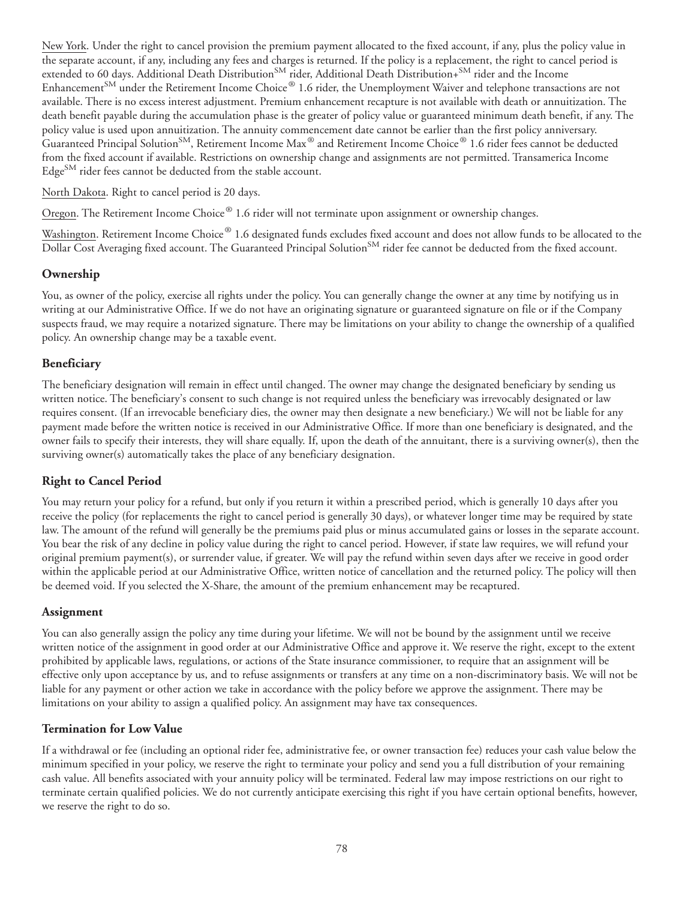New York. Under the right to cancel provision the premium payment allocated to the fixed account, if any, plus the policy value in the separate account, if any, including any fees and charges is returned. If the policy is a replacement, the right to cancel period is extended to 60 days. Additional Death Distribution<sup>SM</sup> rider, Additional Death Distribution+<sup>SM</sup> rider and the Income Enhancement<sup>SM</sup> under the Retirement Income Choice® 1.6 rider, the Unemployment Waiver and telephone transactions are not available. There is no excess interest adjustment. Premium enhancement recapture is not available with death or annuitization. The death benefit payable during the accumulation phase is the greater of policy value or guaranteed minimum death benefit, if any. The policy value is used upon annuitization. The annuity commencement date cannot be earlier than the first policy anniversary. Guaranteed Principal Solution<sup>SM</sup>, Retirement Income Max<sup>®</sup> and Retirement Income Choice® 1.6 rider fees cannot be deducted from the fixed account if available. Restrictions on ownership change and assignments are not permitted. Transamerica Income Edge<sup>SM</sup> rider fees cannot be deducted from the stable account.

#### North Dakota. Right to cancel period is 20 days.

Oregon. The Retirement Income Choice® 1.6 rider will not terminate upon assignment or ownership changes.

Washington. Retirement Income Choice® 1.6 designated funds excludes fixed account and does not allow funds to be allocated to the Dollar Cost Averaging fixed account. The Guaranteed Principal Solution<sup>SM</sup> rider fee cannot be deducted from the fixed account.

#### **Ownership**

You, as owner of the policy, exercise all rights under the policy. You can generally change the owner at any time by notifying us in writing at our Administrative Office. If we do not have an originating signature or guaranteed signature on file or if the Company suspects fraud, we may require a notarized signature. There may be limitations on your ability to change the ownership of a qualified policy. An ownership change may be a taxable event.

### **Beneficiary**

The beneficiary designation will remain in effect until changed. The owner may change the designated beneficiary by sending us written notice. The beneficiary's consent to such change is not required unless the beneficiary was irrevocably designated or law requires consent. (If an irrevocable beneficiary dies, the owner may then designate a new beneficiary.) We will not be liable for any payment made before the written notice is received in our Administrative Office. If more than one beneficiary is designated, and the owner fails to specify their interests, they will share equally. If, upon the death of the annuitant, there is a surviving owner(s), then the surviving owner(s) automatically takes the place of any beneficiary designation.

## **Right to Cancel Period**

You may return your policy for a refund, but only if you return it within a prescribed period, which is generally 10 days after you receive the policy (for replacements the right to cancel period is generally 30 days), or whatever longer time may be required by state law. The amount of the refund will generally be the premiums paid plus or minus accumulated gains or losses in the separate account. You bear the risk of any decline in policy value during the right to cancel period. However, if state law requires, we will refund your original premium payment(s), or surrender value, if greater. We will pay the refund within seven days after we receive in good order within the applicable period at our Administrative Office, written notice of cancellation and the returned policy. The policy will then be deemed void. If you selected the X-Share, the amount of the premium enhancement may be recaptured.

#### **Assignment**

You can also generally assign the policy any time during your lifetime. We will not be bound by the assignment until we receive written notice of the assignment in good order at our Administrative Office and approve it. We reserve the right, except to the extent prohibited by applicable laws, regulations, or actions of the State insurance commissioner, to require that an assignment will be effective only upon acceptance by us, and to refuse assignments or transfers at any time on a non-discriminatory basis. We will not be liable for any payment or other action we take in accordance with the policy before we approve the assignment. There may be limitations on your ability to assign a qualified policy. An assignment may have tax consequences.

#### **Termination for Low Value**

If a withdrawal or fee (including an optional rider fee, administrative fee, or owner transaction fee) reduces your cash value below the minimum specified in your policy, we reserve the right to terminate your policy and send you a full distribution of your remaining cash value. All benefits associated with your annuity policy will be terminated. Federal law may impose restrictions on our right to terminate certain qualified policies. We do not currently anticipate exercising this right if you have certain optional benefits, however, we reserve the right to do so.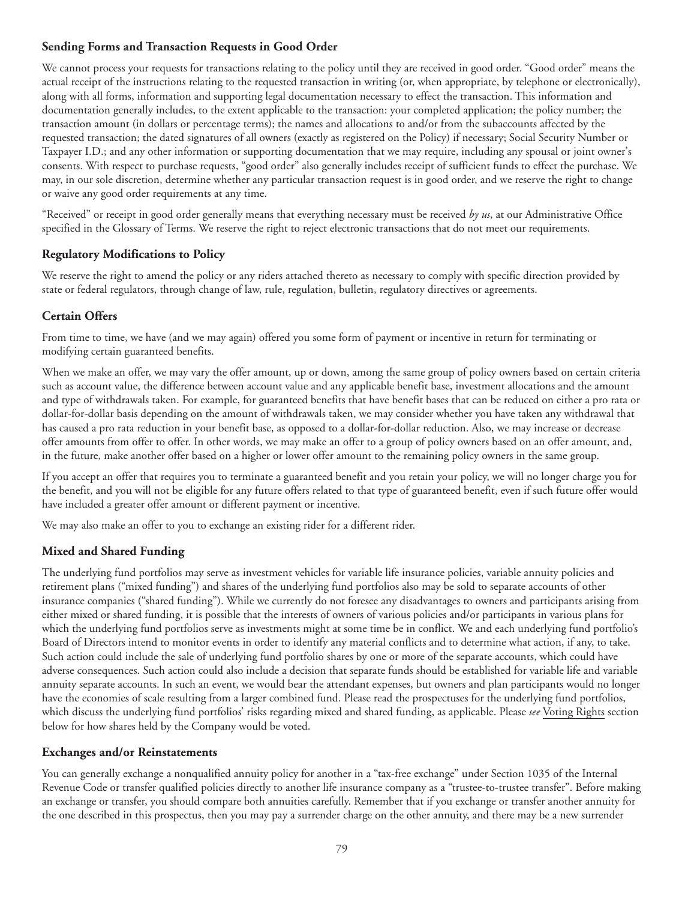#### **Sending Forms and Transaction Requests in Good Order**

We cannot process your requests for transactions relating to the policy until they are received in good order. "Good order" means the actual receipt of the instructions relating to the requested transaction in writing (or, when appropriate, by telephone or electronically), along with all forms, information and supporting legal documentation necessary to effect the transaction. This information and documentation generally includes, to the extent applicable to the transaction: your completed application; the policy number; the transaction amount (in dollars or percentage terms); the names and allocations to and/or from the subaccounts affected by the requested transaction; the dated signatures of all owners (exactly as registered on the Policy) if necessary; Social Security Number or Taxpayer I.D.; and any other information or supporting documentation that we may require, including any spousal or joint owner's consents. With respect to purchase requests, "good order" also generally includes receipt of sufficient funds to effect the purchase. We may, in our sole discretion, determine whether any particular transaction request is in good order, and we reserve the right to change or waive any good order requirements at any time.

"Received" or receipt in good order generally means that everything necessary must be received *by us*, at our Administrative Office specified in the Glossary of Terms. We reserve the right to reject electronic transactions that do not meet our requirements.

## **Regulatory Modifications to Policy**

We reserve the right to amend the policy or any riders attached thereto as necessary to comply with specific direction provided by state or federal regulators, through change of law, rule, regulation, bulletin, regulatory directives or agreements.

### **Certain Offers**

From time to time, we have (and we may again) offered you some form of payment or incentive in return for terminating or modifying certain guaranteed benefits.

When we make an offer, we may vary the offer amount, up or down, among the same group of policy owners based on certain criteria such as account value, the difference between account value and any applicable benefit base, investment allocations and the amount and type of withdrawals taken. For example, for guaranteed benefits that have benefit bases that can be reduced on either a pro rata or dollar-for-dollar basis depending on the amount of withdrawals taken, we may consider whether you have taken any withdrawal that has caused a pro rata reduction in your benefit base, as opposed to a dollar-for-dollar reduction. Also, we may increase or decrease offer amounts from offer to offer. In other words, we may make an offer to a group of policy owners based on an offer amount, and, in the future, make another offer based on a higher or lower offer amount to the remaining policy owners in the same group.

If you accept an offer that requires you to terminate a guaranteed benefit and you retain your policy, we will no longer charge you for the benefit, and you will not be eligible for any future offers related to that type of guaranteed benefit, even if such future offer would have included a greater offer amount or different payment or incentive.

We may also make an offer to you to exchange an existing rider for a different rider.

## **Mixed and Shared Funding**

The underlying fund portfolios may serve as investment vehicles for variable life insurance policies, variable annuity policies and retirement plans ("mixed funding") and shares of the underlying fund portfolios also may be sold to separate accounts of other insurance companies ("shared funding"). While we currently do not foresee any disadvantages to owners and participants arising from either mixed or shared funding, it is possible that the interests of owners of various policies and/or participants in various plans for which the underlying fund portfolios serve as investments might at some time be in conflict. We and each underlying fund portfolio's Board of Directors intend to monitor events in order to identify any material conflicts and to determine what action, if any, to take. Such action could include the sale of underlying fund portfolio shares by one or more of the separate accounts, which could have adverse consequences. Such action could also include a decision that separate funds should be established for variable life and variable annuity separate accounts. In such an event, we would bear the attendant expenses, but owners and plan participants would no longer have the economies of scale resulting from a larger combined fund. Please read the prospectuses for the underlying fund portfolios, which discuss the underlying fund portfolios' risks regarding mixed and shared funding, as applicable. Please *see* Voting Rights section below for how shares held by the Company would be voted.

#### **Exchanges and/or Reinstatements**

You can generally exchange a nonqualified annuity policy for another in a "tax-free exchange" under Section 1035 of the Internal Revenue Code or transfer qualified policies directly to another life insurance company as a "trustee-to-trustee transfer". Before making an exchange or transfer, you should compare both annuities carefully. Remember that if you exchange or transfer another annuity for the one described in this prospectus, then you may pay a surrender charge on the other annuity, and there may be a new surrender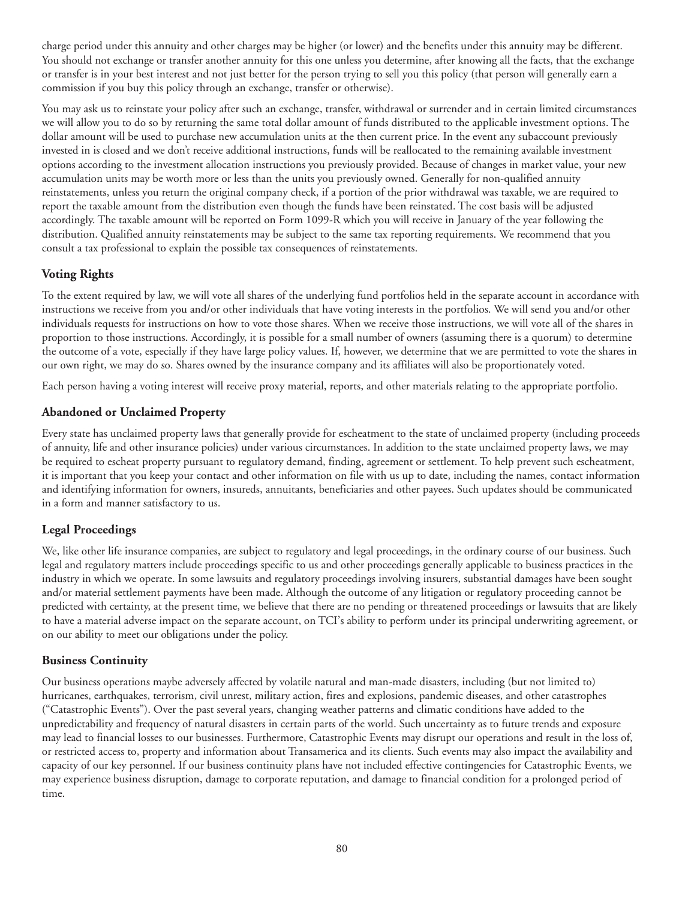charge period under this annuity and other charges may be higher (or lower) and the benefits under this annuity may be different. You should not exchange or transfer another annuity for this one unless you determine, after knowing all the facts, that the exchange or transfer is in your best interest and not just better for the person trying to sell you this policy (that person will generally earn a commission if you buy this policy through an exchange, transfer or otherwise).

You may ask us to reinstate your policy after such an exchange, transfer, withdrawal or surrender and in certain limited circumstances we will allow you to do so by returning the same total dollar amount of funds distributed to the applicable investment options. The dollar amount will be used to purchase new accumulation units at the then current price. In the event any subaccount previously invested in is closed and we don't receive additional instructions, funds will be reallocated to the remaining available investment options according to the investment allocation instructions you previously provided. Because of changes in market value, your new accumulation units may be worth more or less than the units you previously owned. Generally for non-qualified annuity reinstatements, unless you return the original company check, if a portion of the prior withdrawal was taxable, we are required to report the taxable amount from the distribution even though the funds have been reinstated. The cost basis will be adjusted accordingly. The taxable amount will be reported on Form 1099-R which you will receive in January of the year following the distribution. Qualified annuity reinstatements may be subject to the same tax reporting requirements. We recommend that you consult a tax professional to explain the possible tax consequences of reinstatements.

# **Voting Rights**

To the extent required by law, we will vote all shares of the underlying fund portfolios held in the separate account in accordance with instructions we receive from you and/or other individuals that have voting interests in the portfolios. We will send you and/or other individuals requests for instructions on how to vote those shares. When we receive those instructions, we will vote all of the shares in proportion to those instructions. Accordingly, it is possible for a small number of owners (assuming there is a quorum) to determine the outcome of a vote, especially if they have large policy values. If, however, we determine that we are permitted to vote the shares in our own right, we may do so. Shares owned by the insurance company and its affiliates will also be proportionately voted.

Each person having a voting interest will receive proxy material, reports, and other materials relating to the appropriate portfolio.

### **Abandoned or Unclaimed Property**

Every state has unclaimed property laws that generally provide for escheatment to the state of unclaimed property (including proceeds of annuity, life and other insurance policies) under various circumstances. In addition to the state unclaimed property laws, we may be required to escheat property pursuant to regulatory demand, finding, agreement or settlement. To help prevent such escheatment, it is important that you keep your contact and other information on file with us up to date, including the names, contact information and identifying information for owners, insureds, annuitants, beneficiaries and other payees. Such updates should be communicated in a form and manner satisfactory to us.

## **Legal Proceedings**

We, like other life insurance companies, are subject to regulatory and legal proceedings, in the ordinary course of our business. Such legal and regulatory matters include proceedings specific to us and other proceedings generally applicable to business practices in the industry in which we operate. In some lawsuits and regulatory proceedings involving insurers, substantial damages have been sought and/or material settlement payments have been made. Although the outcome of any litigation or regulatory proceeding cannot be predicted with certainty, at the present time, we believe that there are no pending or threatened proceedings or lawsuits that are likely to have a material adverse impact on the separate account, on TCI's ability to perform under its principal underwriting agreement, or on our ability to meet our obligations under the policy.

#### **Business Continuity**

Our business operations maybe adversely affected by volatile natural and man-made disasters, including (but not limited to) hurricanes, earthquakes, terrorism, civil unrest, military action, fires and explosions, pandemic diseases, and other catastrophes ("Catastrophic Events"). Over the past several years, changing weather patterns and climatic conditions have added to the unpredictability and frequency of natural disasters in certain parts of the world. Such uncertainty as to future trends and exposure may lead to financial losses to our businesses. Furthermore, Catastrophic Events may disrupt our operations and result in the loss of, or restricted access to, property and information about Transamerica and its clients. Such events may also impact the availability and capacity of our key personnel. If our business continuity plans have not included effective contingencies for Catastrophic Events, we may experience business disruption, damage to corporate reputation, and damage to financial condition for a prolonged period of time.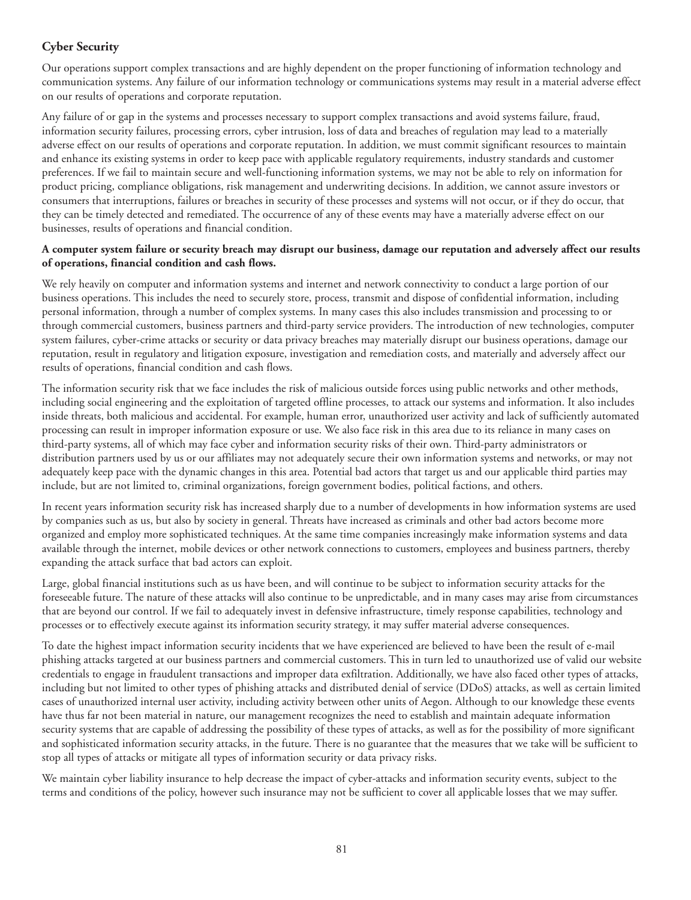## **Cyber Security**

Our operations support complex transactions and are highly dependent on the proper functioning of information technology and communication systems. Any failure of our information technology or communications systems may result in a material adverse effect on our results of operations and corporate reputation.

Any failure of or gap in the systems and processes necessary to support complex transactions and avoid systems failure, fraud, information security failures, processing errors, cyber intrusion, loss of data and breaches of regulation may lead to a materially adverse effect on our results of operations and corporate reputation. In addition, we must commit significant resources to maintain and enhance its existing systems in order to keep pace with applicable regulatory requirements, industry standards and customer preferences. If we fail to maintain secure and well-functioning information systems, we may not be able to rely on information for product pricing, compliance obligations, risk management and underwriting decisions. In addition, we cannot assure investors or consumers that interruptions, failures or breaches in security of these processes and systems will not occur, or if they do occur, that they can be timely detected and remediated. The occurrence of any of these events may have a materially adverse effect on our businesses, results of operations and financial condition.

#### **A computer system failure or security breach may disrupt our business, damage our reputation and adversely affect our results of operations, financial condition and cash flows.**

We rely heavily on computer and information systems and internet and network connectivity to conduct a large portion of our business operations. This includes the need to securely store, process, transmit and dispose of confidential information, including personal information, through a number of complex systems. In many cases this also includes transmission and processing to or through commercial customers, business partners and third-party service providers. The introduction of new technologies, computer system failures, cyber-crime attacks or security or data privacy breaches may materially disrupt our business operations, damage our reputation, result in regulatory and litigation exposure, investigation and remediation costs, and materially and adversely affect our results of operations, financial condition and cash flows.

The information security risk that we face includes the risk of malicious outside forces using public networks and other methods, including social engineering and the exploitation of targeted offline processes, to attack our systems and information. It also includes inside threats, both malicious and accidental. For example, human error, unauthorized user activity and lack of sufficiently automated processing can result in improper information exposure or use. We also face risk in this area due to its reliance in many cases on third-party systems, all of which may face cyber and information security risks of their own. Third-party administrators or distribution partners used by us or our affiliates may not adequately secure their own information systems and networks, or may not adequately keep pace with the dynamic changes in this area. Potential bad actors that target us and our applicable third parties may include, but are not limited to, criminal organizations, foreign government bodies, political factions, and others.

In recent years information security risk has increased sharply due to a number of developments in how information systems are used by companies such as us, but also by society in general. Threats have increased as criminals and other bad actors become more organized and employ more sophisticated techniques. At the same time companies increasingly make information systems and data available through the internet, mobile devices or other network connections to customers, employees and business partners, thereby expanding the attack surface that bad actors can exploit.

Large, global financial institutions such as us have been, and will continue to be subject to information security attacks for the foreseeable future. The nature of these attacks will also continue to be unpredictable, and in many cases may arise from circumstances that are beyond our control. If we fail to adequately invest in defensive infrastructure, timely response capabilities, technology and processes or to effectively execute against its information security strategy, it may suffer material adverse consequences.

To date the highest impact information security incidents that we have experienced are believed to have been the result of e-mail phishing attacks targeted at our business partners and commercial customers. This in turn led to unauthorized use of valid our website credentials to engage in fraudulent transactions and improper data exfiltration. Additionally, we have also faced other types of attacks, including but not limited to other types of phishing attacks and distributed denial of service (DDoS) attacks, as well as certain limited cases of unauthorized internal user activity, including activity between other units of Aegon. Although to our knowledge these events have thus far not been material in nature, our management recognizes the need to establish and maintain adequate information security systems that are capable of addressing the possibility of these types of attacks, as well as for the possibility of more significant and sophisticated information security attacks, in the future. There is no guarantee that the measures that we take will be sufficient to stop all types of attacks or mitigate all types of information security or data privacy risks.

We maintain cyber liability insurance to help decrease the impact of cyber-attacks and information security events, subject to the terms and conditions of the policy, however such insurance may not be sufficient to cover all applicable losses that we may suffer.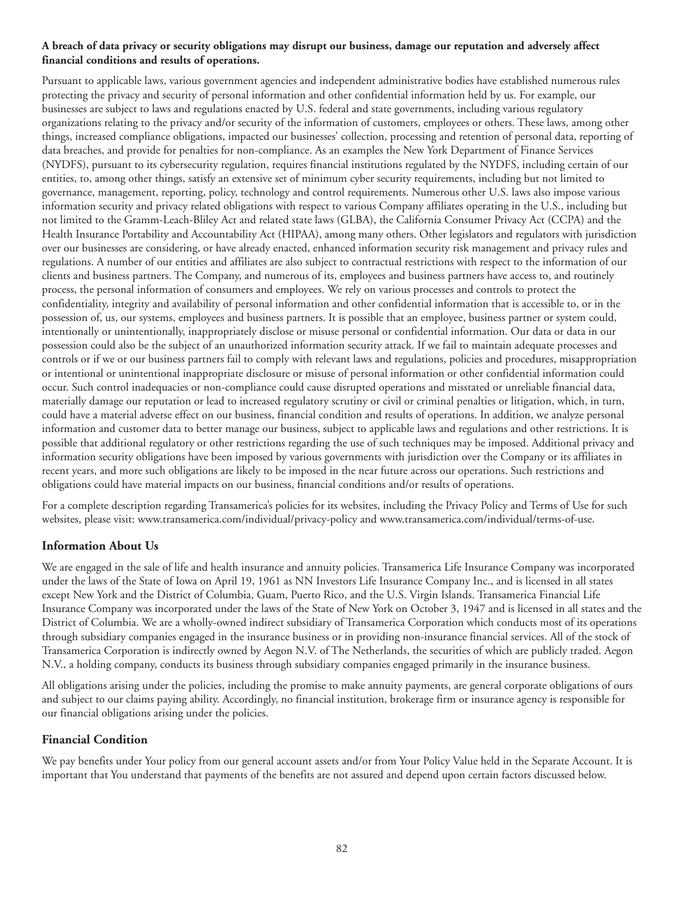#### **A breach of data privacy or security obligations may disrupt our business, damage our reputation and adversely affect financial conditions and results of operations.**

Pursuant to applicable laws, various government agencies and independent administrative bodies have established numerous rules protecting the privacy and security of personal information and other confidential information held by us. For example, our businesses are subject to laws and regulations enacted by U.S. federal and state governments, including various regulatory organizations relating to the privacy and/or security of the information of customers, employees or others. These laws, among other things, increased compliance obligations, impacted our businesses' collection, processing and retention of personal data, reporting of data breaches, and provide for penalties for non-compliance. As an examples the New York Department of Finance Services (NYDFS), pursuant to its cybersecurity regulation, requires financial institutions regulated by the NYDFS, including certain of our entities, to, among other things, satisfy an extensive set of minimum cyber security requirements, including but not limited to governance, management, reporting, policy, technology and control requirements. Numerous other U.S. laws also impose various information security and privacy related obligations with respect to various Company affiliates operating in the U.S., including but not limited to the Gramm-Leach-Bliley Act and related state laws (GLBA), the California Consumer Privacy Act (CCPA) and the Health Insurance Portability and Accountability Act (HIPAA), among many others. Other legislators and regulators with jurisdiction over our businesses are considering, or have already enacted, enhanced information security risk management and privacy rules and regulations. A number of our entities and affiliates are also subject to contractual restrictions with respect to the information of our clients and business partners. The Company, and numerous of its, employees and business partners have access to, and routinely process, the personal information of consumers and employees. We rely on various processes and controls to protect the confidentiality, integrity and availability of personal information and other confidential information that is accessible to, or in the possession of, us, our systems, employees and business partners. It is possible that an employee, business partner or system could, intentionally or unintentionally, inappropriately disclose or misuse personal or confidential information. Our data or data in our possession could also be the subject of an unauthorized information security attack. If we fail to maintain adequate processes and controls or if we or our business partners fail to comply with relevant laws and regulations, policies and procedures, misappropriation or intentional or unintentional inappropriate disclosure or misuse of personal information or other confidential information could occur. Such control inadequacies or non-compliance could cause disrupted operations and misstated or unreliable financial data, materially damage our reputation or lead to increased regulatory scrutiny or civil or criminal penalties or litigation, which, in turn, could have a material adverse effect on our business, financial condition and results of operations. In addition, we analyze personal information and customer data to better manage our business, subject to applicable laws and regulations and other restrictions. It is possible that additional regulatory or other restrictions regarding the use of such techniques may be imposed. Additional privacy and information security obligations have been imposed by various governments with jurisdiction over the Company or its affiliates in recent years, and more such obligations are likely to be imposed in the near future across our operations. Such restrictions and obligations could have material impacts on our business, financial conditions and/or results of operations.

For a complete description regarding Transamerica's policies for its websites, including the Privacy Policy and Terms of Use for such websites, please visit: www.transamerica.com/individual/privacy-policy and www.transamerica.com/individual/terms-of-use.

## **Information About Us**

We are engaged in the sale of life and health insurance and annuity policies. Transamerica Life Insurance Company was incorporated under the laws of the State of Iowa on April 19, 1961 as NN Investors Life Insurance Company Inc., and is licensed in all states except New York and the District of Columbia, Guam, Puerto Rico, and the U.S. Virgin Islands. Transamerica Financial Life Insurance Company was incorporated under the laws of the State of New York on October 3, 1947 and is licensed in all states and the District of Columbia. We are a wholly-owned indirect subsidiary of Transamerica Corporation which conducts most of its operations through subsidiary companies engaged in the insurance business or in providing non-insurance financial services. All of the stock of Transamerica Corporation is indirectly owned by Aegon N.V. of The Netherlands, the securities of which are publicly traded. Aegon N.V., a holding company, conducts its business through subsidiary companies engaged primarily in the insurance business.

All obligations arising under the policies, including the promise to make annuity payments, are general corporate obligations of ours and subject to our claims paying ability. Accordingly, no financial institution, brokerage firm or insurance agency is responsible for our financial obligations arising under the policies.

## **Financial Condition**

We pay benefits under Your policy from our general account assets and/or from Your Policy Value held in the Separate Account. It is important that You understand that payments of the benefits are not assured and depend upon certain factors discussed below.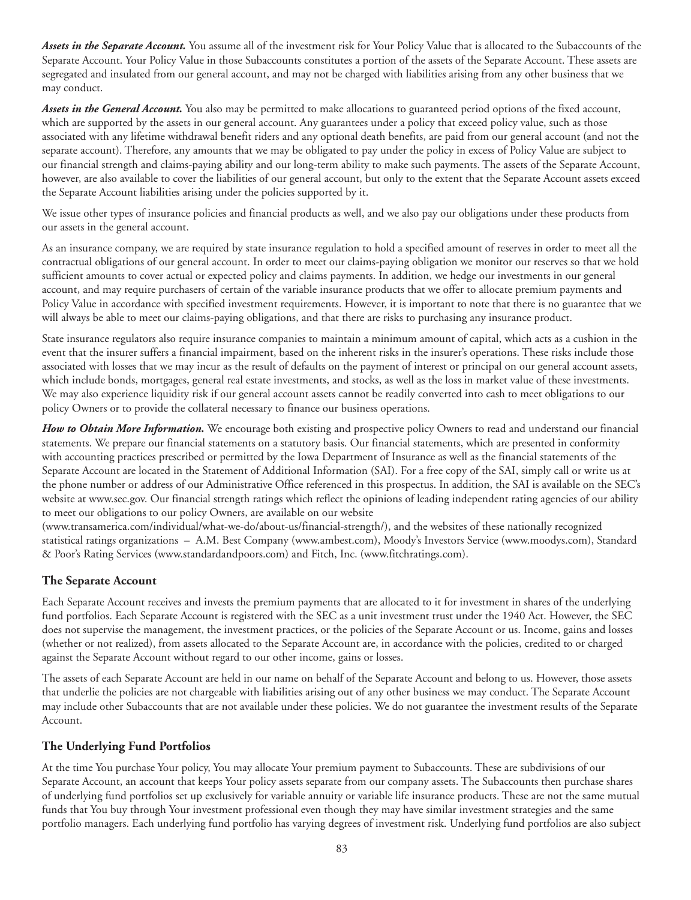*Assets in the Separate Account.* You assume all of the investment risk for Your Policy Value that is allocated to the Subaccounts of the Separate Account. Your Policy Value in those Subaccounts constitutes a portion of the assets of the Separate Account. These assets are segregated and insulated from our general account, and may not be charged with liabilities arising from any other business that we may conduct.

*Assets in the General Account.* You also may be permitted to make allocations to guaranteed period options of the fixed account, which are supported by the assets in our general account. Any guarantees under a policy that exceed policy value, such as those associated with any lifetime withdrawal benefit riders and any optional death benefits, are paid from our general account (and not the separate account). Therefore, any amounts that we may be obligated to pay under the policy in excess of Policy Value are subject to our financial strength and claims-paying ability and our long-term ability to make such payments. The assets of the Separate Account, however, are also available to cover the liabilities of our general account, but only to the extent that the Separate Account assets exceed the Separate Account liabilities arising under the policies supported by it.

We issue other types of insurance policies and financial products as well, and we also pay our obligations under these products from our assets in the general account.

As an insurance company, we are required by state insurance regulation to hold a specified amount of reserves in order to meet all the contractual obligations of our general account. In order to meet our claims-paying obligation we monitor our reserves so that we hold sufficient amounts to cover actual or expected policy and claims payments. In addition, we hedge our investments in our general account, and may require purchasers of certain of the variable insurance products that we offer to allocate premium payments and Policy Value in accordance with specified investment requirements. However, it is important to note that there is no guarantee that we will always be able to meet our claims-paying obligations, and that there are risks to purchasing any insurance product.

State insurance regulators also require insurance companies to maintain a minimum amount of capital, which acts as a cushion in the event that the insurer suffers a financial impairment, based on the inherent risks in the insurer's operations. These risks include those associated with losses that we may incur as the result of defaults on the payment of interest or principal on our general account assets, which include bonds, mortgages, general real estate investments, and stocks, as well as the loss in market value of these investments. We may also experience liquidity risk if our general account assets cannot be readily converted into cash to meet obligations to our policy Owners or to provide the collateral necessary to finance our business operations.

*How to Obtain More Information.* We encourage both existing and prospective policy Owners to read and understand our financial statements. We prepare our financial statements on a statutory basis. Our financial statements, which are presented in conformity with accounting practices prescribed or permitted by the Iowa Department of Insurance as well as the financial statements of the Separate Account are located in the Statement of Additional Information (SAI). For a free copy of the SAI, simply call or write us at the phone number or address of our Administrative Office referenced in this prospectus. In addition, the SAI is available on the SEC's website at www.sec.gov. Our financial strength ratings which reflect the opinions of leading independent rating agencies of our ability to meet our obligations to our policy Owners, are available on our website

(www.transamerica.com/individual/what-we-do/about-us/financial-strength/), and the websites of these nationally recognized statistical ratings organizations – A.M. Best Company (www.ambest.com), Moody's Investors Service (www.moodys.com), Standard & Poor's Rating Services (www.standardandpoors.com) and Fitch, Inc. (www.fitchratings.com).

## **The Separate Account**

Each Separate Account receives and invests the premium payments that are allocated to it for investment in shares of the underlying fund portfolios. Each Separate Account is registered with the SEC as a unit investment trust under the 1940 Act. However, the SEC does not supervise the management, the investment practices, or the policies of the Separate Account or us. Income, gains and losses (whether or not realized), from assets allocated to the Separate Account are, in accordance with the policies, credited to or charged against the Separate Account without regard to our other income, gains or losses.

The assets of each Separate Account are held in our name on behalf of the Separate Account and belong to us. However, those assets that underlie the policies are not chargeable with liabilities arising out of any other business we may conduct. The Separate Account may include other Subaccounts that are not available under these policies. We do not guarantee the investment results of the Separate Account.

#### **The Underlying Fund Portfolios**

At the time You purchase Your policy, You may allocate Your premium payment to Subaccounts. These are subdivisions of our Separate Account, an account that keeps Your policy assets separate from our company assets. The Subaccounts then purchase shares of underlying fund portfolios set up exclusively for variable annuity or variable life insurance products. These are not the same mutual funds that You buy through Your investment professional even though they may have similar investment strategies and the same portfolio managers. Each underlying fund portfolio has varying degrees of investment risk. Underlying fund portfolios are also subject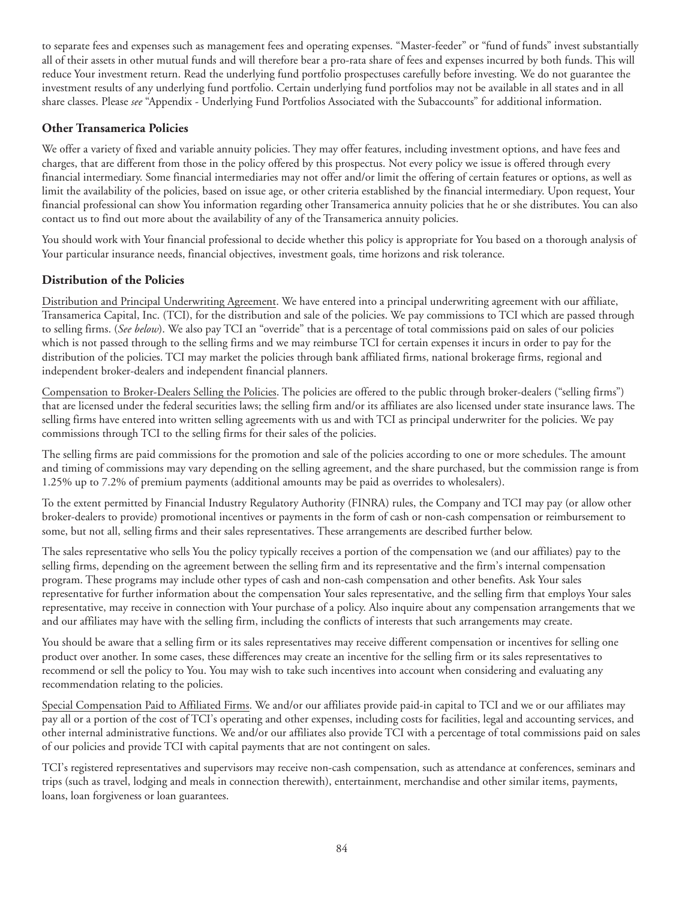to separate fees and expenses such as management fees and operating expenses. "Master-feeder" or "fund of funds" invest substantially all of their assets in other mutual funds and will therefore bear a pro-rata share of fees and expenses incurred by both funds. This will reduce Your investment return. Read the underlying fund portfolio prospectuses carefully before investing. We do not guarantee the investment results of any underlying fund portfolio. Certain underlying fund portfolios may not be available in all states and in all share classes. Please *see* "Appendix - Underlying Fund Portfolios Associated with the Subaccounts" for additional information.

### **Other Transamerica Policies**

We offer a variety of fixed and variable annuity policies. They may offer features, including investment options, and have fees and charges, that are different from those in the policy offered by this prospectus. Not every policy we issue is offered through every financial intermediary. Some financial intermediaries may not offer and/or limit the offering of certain features or options, as well as limit the availability of the policies, based on issue age, or other criteria established by the financial intermediary. Upon request, Your financial professional can show You information regarding other Transamerica annuity policies that he or she distributes. You can also contact us to find out more about the availability of any of the Transamerica annuity policies.

You should work with Your financial professional to decide whether this policy is appropriate for You based on a thorough analysis of Your particular insurance needs, financial objectives, investment goals, time horizons and risk tolerance.

### **Distribution of the Policies**

Distribution and Principal Underwriting Agreement. We have entered into a principal underwriting agreement with our affiliate, Transamerica Capital, Inc. (TCI), for the distribution and sale of the policies. We pay commissions to TCI which are passed through to selling firms. (*See below*). We also pay TCI an "override" that is a percentage of total commissions paid on sales of our policies which is not passed through to the selling firms and we may reimburse TCI for certain expenses it incurs in order to pay for the distribution of the policies. TCI may market the policies through bank affiliated firms, national brokerage firms, regional and independent broker-dealers and independent financial planners.

Compensation to Broker-Dealers Selling the Policies. The policies are offered to the public through broker-dealers ("selling firms") that are licensed under the federal securities laws; the selling firm and/or its affiliates are also licensed under state insurance laws. The selling firms have entered into written selling agreements with us and with TCI as principal underwriter for the policies. We pay commissions through TCI to the selling firms for their sales of the policies.

The selling firms are paid commissions for the promotion and sale of the policies according to one or more schedules. The amount and timing of commissions may vary depending on the selling agreement, and the share purchased, but the commission range is from 1.25% up to 7.2% of premium payments (additional amounts may be paid as overrides to wholesalers).

To the extent permitted by Financial Industry Regulatory Authority (FINRA) rules, the Company and TCI may pay (or allow other broker-dealers to provide) promotional incentives or payments in the form of cash or non-cash compensation or reimbursement to some, but not all, selling firms and their sales representatives. These arrangements are described further below.

The sales representative who sells You the policy typically receives a portion of the compensation we (and our affiliates) pay to the selling firms, depending on the agreement between the selling firm and its representative and the firm's internal compensation program. These programs may include other types of cash and non-cash compensation and other benefits. Ask Your sales representative for further information about the compensation Your sales representative, and the selling firm that employs Your sales representative, may receive in connection with Your purchase of a policy. Also inquire about any compensation arrangements that we and our affiliates may have with the selling firm, including the conflicts of interests that such arrangements may create.

You should be aware that a selling firm or its sales representatives may receive different compensation or incentives for selling one product over another. In some cases, these differences may create an incentive for the selling firm or its sales representatives to recommend or sell the policy to You. You may wish to take such incentives into account when considering and evaluating any recommendation relating to the policies.

Special Compensation Paid to Affiliated Firms. We and/or our affiliates provide paid-in capital to TCI and we or our affiliates may pay all or a portion of the cost of TCI's operating and other expenses, including costs for facilities, legal and accounting services, and other internal administrative functions. We and/or our affiliates also provide TCI with a percentage of total commissions paid on sales of our policies and provide TCI with capital payments that are not contingent on sales.

TCI's registered representatives and supervisors may receive non-cash compensation, such as attendance at conferences, seminars and trips (such as travel, lodging and meals in connection therewith), entertainment, merchandise and other similar items, payments, loans, loan forgiveness or loan guarantees.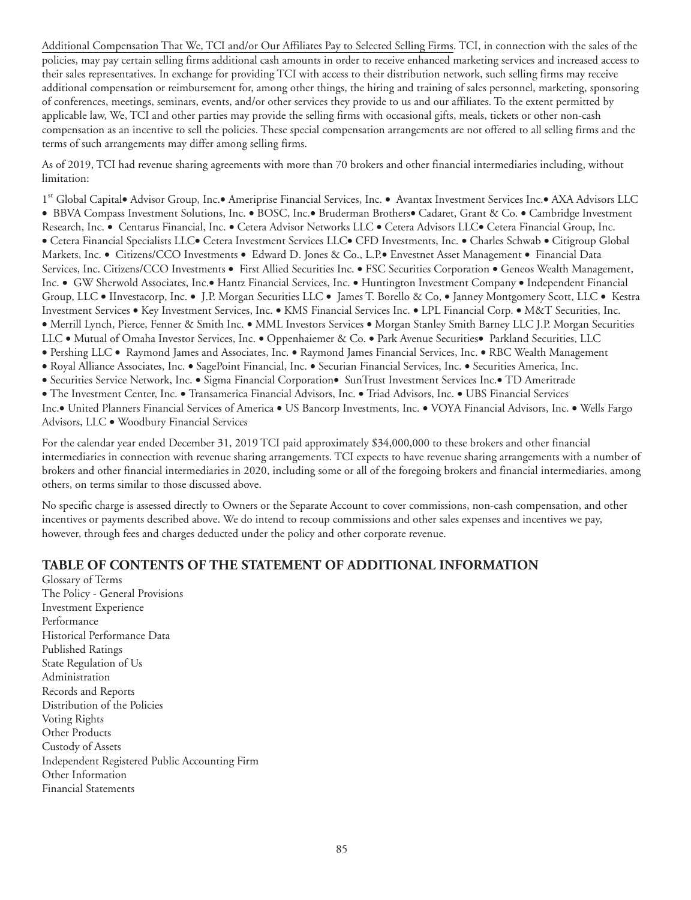Additional Compensation That We, TCI and/or Our Affiliates Pay to Selected Selling Firms. TCI, in connection with the sales of the policies, may pay certain selling firms additional cash amounts in order to receive enhanced marketing services and increased access to their sales representatives. In exchange for providing TCI with access to their distribution network, such selling firms may receive additional compensation or reimbursement for, among other things, the hiring and training of sales personnel, marketing, sponsoring of conferences, meetings, seminars, events, and/or other services they provide to us and our affiliates. To the extent permitted by applicable law, We, TCI and other parties may provide the selling firms with occasional gifts, meals, tickets or other non-cash compensation as an incentive to sell the policies. These special compensation arrangements are not offered to all selling firms and the terms of such arrangements may differ among selling firms.

As of 2019, TCI had revenue sharing agreements with more than 70 brokers and other financial intermediaries including, without limitation:

1st Global Capital• Advisor Group, Inc.• Ameriprise Financial Services, Inc. • Avantax Investment Services Inc.• AXA Advisors LLC • BBVA Compass Investment Solutions, Inc. • BOSC, Inc.• Bruderman Brothers• Cadaret, Grant & Co. • Cambridge Investment Research, Inc. • Centarus Financial, Inc. • Cetera Advisor Networks LLC • Cetera Advisors LLC• Cetera Financial Group, Inc. • Cetera Financial Specialists LLC• Cetera Investment Services LLC• CFD Investments, Inc. • Charles Schwab • Citigroup Global Markets, Inc. • Citizens/CCO Investments • Edward D. Jones & Co., L.P.• Envestnet Asset Management • Financial Data Services, Inc. Citizens/CCO Investments • First Allied Securities Inc. • FSC Securities Corporation • Geneos Wealth Management, Inc. • GW Sherwold Associates, Inc.• Hantz Financial Services, Inc. • Huntington Investment Company • Independent Financial Group, LLC • IInvestacorp, Inc. • J.P. Morgan Securities LLC • James T. Borello & Co, • Janney Montgomery Scott, LLC • Kestra Investment Services • Key Investment Services, Inc. • KMS Financial Services Inc. • LPL Financial Corp. • M&T Securities, Inc. • Merrill Lynch, Pierce, Fenner & Smith Inc. • MML Investors Services • Morgan Stanley Smith Barney LLC J.P. Morgan Securities LLC • Mutual of Omaha Investor Services, Inc. • Oppenhaiemer & Co. • Park Avenue Securities• Parkland Securities, LLC • Pershing LLC • Raymond James and Associates, Inc. • Raymond James Financial Services, Inc. • RBC Wealth Management • Royal Alliance Associates, Inc. • SagePoint Financial, Inc. • Securian Financial Services, Inc. • Securities America, Inc.

• Securities Service Network, Inc. • Sigma Financial Corporation• SunTrust Investment Services Inc.• TD Ameritrade

• The Investment Center, Inc. • Transamerica Financial Advisors, Inc. • Triad Advisors, Inc. • UBS Financial Services Inc.• United Planners Financial Services of America • US Bancorp Investments, Inc. • VOYA Financial Advisors, Inc. • Wells Fargo

Advisors, LLC • Woodbury Financial Services

For the calendar year ended December 31, 2019 TCI paid approximately \$34,000,000 to these brokers and other financial intermediaries in connection with revenue sharing arrangements. TCI expects to have revenue sharing arrangements with a number of brokers and other financial intermediaries in 2020, including some or all of the foregoing brokers and financial intermediaries, among others, on terms similar to those discussed above.

No specific charge is assessed directly to Owners or the Separate Account to cover commissions, non-cash compensation, and other incentives or payments described above. We do intend to recoup commissions and other sales expenses and incentives we pay, however, through fees and charges deducted under the policy and other corporate revenue.

## **TABLE OF CONTENTS OF THE STATEMENT OF ADDITIONAL INFORMATION**

Glossary of Terms The Policy - General Provisions Investment Experience Performance Historical Performance Data Published Ratings State Regulation of Us Administration Records and Reports Distribution of the Policies Voting Rights Other Products Custody of Assets Independent Registered Public Accounting Firm Other Information Financial Statements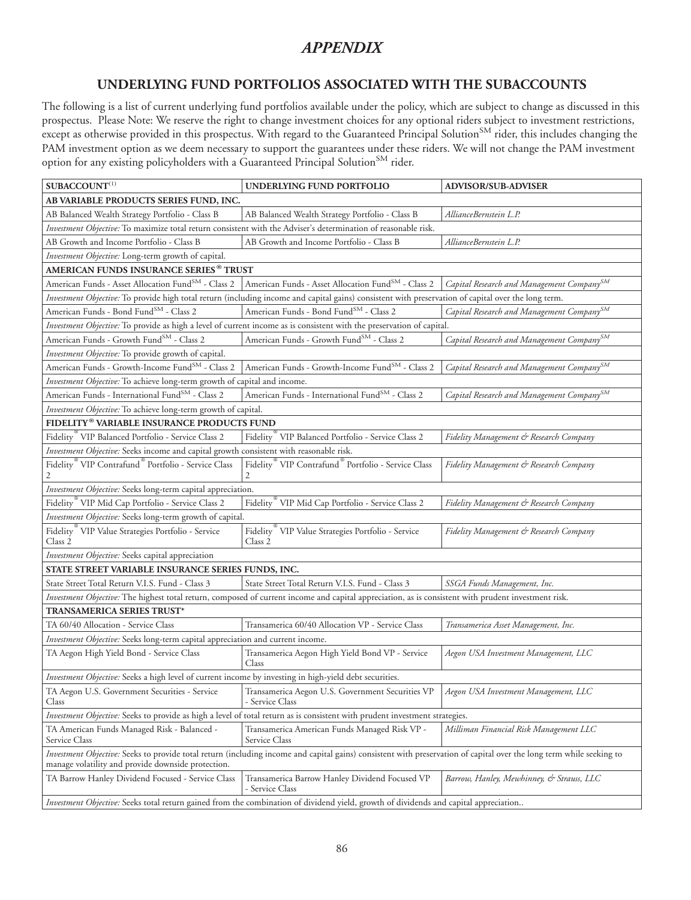# *APPENDIX*

# **UNDERLYING FUND PORTFOLIOS ASSOCIATED WITH THE SUBACCOUNTS**

The following is a list of current underlying fund portfolios available under the policy, which are subject to change as discussed in this prospectus. Please Note: We reserve the right to change investment choices for any optional riders subject to investment restrictions, except as otherwise provided in this prospectus. With regard to the Guaranteed Principal Solution $^{\text{SM}}$  rider, this includes changing the PAM investment option as we deem necessary to support the guarantees under these riders. We will not change the PAM investment option for any existing policyholders with a Guaranteed Principal Solution<sup>SM</sup> rider.

| $\mathbf{SUBACCOUNT}^{(1)}$                                                                            | UNDERLYING FUND PORTFOLIO                                                                                                                                            | <b>ADVISOR/SUB-ADVISER</b>                            |
|--------------------------------------------------------------------------------------------------------|----------------------------------------------------------------------------------------------------------------------------------------------------------------------|-------------------------------------------------------|
| AB VARIABLE PRODUCTS SERIES FUND, INC.                                                                 |                                                                                                                                                                      |                                                       |
| AB Balanced Wealth Strategy Portfolio - Class B                                                        | AB Balanced Wealth Strategy Portfolio - Class B                                                                                                                      | AllianceBernstein L.P.                                |
|                                                                                                        | Investment Objective: To maximize total return consistent with the Adviser's determination of reasonable risk.                                                       |                                                       |
| AB Growth and Income Portfolio - Class B                                                               | AB Growth and Income Portfolio - Class B                                                                                                                             | AllianceBernstein L.P.                                |
| Investment Objective: Long-term growth of capital.                                                     |                                                                                                                                                                      |                                                       |
| AMERICAN FUNDS INSURANCE SERIES® TRUST                                                                 |                                                                                                                                                                      |                                                       |
| American Funds - Asset Allocation Fund <sup>SM</sup> - Class 2                                         | American Funds - Asset Allocation FundSM - Class 2                                                                                                                   | Capital Research and Management Company <sup>SM</sup> |
|                                                                                                        | Investment Objective: To provide high total return (including income and capital gains) consistent with preservation of capital over the long term.                  |                                                       |
| American Funds - Bond Fund <sup>SM</sup> - Class 2                                                     | American Funds - Bond Fund <sup>SM</sup> - Class 2                                                                                                                   | Capital Research and Management Company <sup>SM</sup> |
|                                                                                                        | Investment Objective: To provide as high a level of current income as is consistent with the preservation of capital.                                                |                                                       |
| American Funds - Growth Fund <sup>SM</sup> - Class 2                                                   | American Funds - Growth Fund <sup>SM</sup> - Class 2                                                                                                                 | Capital Research and Management Company <sup>SM</sup> |
| Investment Objective: To provide growth of capital.                                                    |                                                                                                                                                                      |                                                       |
| American Funds - Growth-Income Fund <sup>SM</sup> - Class 2                                            | American Funds - Growth-Income Fund <sup>SM</sup> - Class 2                                                                                                          | Capital Research and Management Company <sup>SM</sup> |
| Investment Objective: To achieve long-term growth of capital and income.                               |                                                                                                                                                                      |                                                       |
| American Funds - International Fund <sup>SM</sup> - Class 2                                            | American Funds - International Fund <sup>SM</sup> - Class 2                                                                                                          | Capital Research and Management Company <sup>SM</sup> |
| Investment Objective: To achieve long-term growth of capital.                                          |                                                                                                                                                                      |                                                       |
| FIDELITY® VARIABLE INSURANCE PRODUCTS FUND                                                             |                                                                                                                                                                      |                                                       |
| Fidelity <sup>®</sup> VIP Balanced Portfolio - Service Class 2                                         | Fidelity <sup>®</sup> VIP Balanced Portfolio - Service Class 2                                                                                                       | Fidelity Management & Research Company                |
| Investment Objective: Seeks income and capital growth consistent with reasonable risk.                 |                                                                                                                                                                      |                                                       |
| Fidelity <sup>®</sup> VIP Contrafund <sup>®</sup> Portfolio - Service Class                            | Fidelity <sup>®</sup> VIP Contrafund <sup>®</sup> Portfolio - Service Class                                                                                          | Fidelity Management & Research Company                |
| Investment Objective: Seeks long-term capital appreciation.                                            |                                                                                                                                                                      |                                                       |
| Fidelity <sup>®</sup> VIP Mid Cap Portfolio - Service Class 2                                          | Fidelity <sup>®</sup> VIP Mid Cap Portfolio - Service Class 2                                                                                                        | Fidelity Management & Research Company                |
| Investment Objective: Seeks long-term growth of capital.                                               |                                                                                                                                                                      |                                                       |
| Fidelity <sup>®</sup> VIP Value Strategies Portfolio - Service<br>Class 2                              | Fidelity <sup>"</sup> VIP Value Strategies Portfolio - Service<br>Class 2                                                                                            | Fidelity Management & Research Company                |
| Investment Objective: Seeks capital appreciation                                                       |                                                                                                                                                                      |                                                       |
| STATE STREET VARIABLE INSURANCE SERIES FUNDS, INC.                                                     |                                                                                                                                                                      |                                                       |
| State Street Total Return V.I.S. Fund - Class 3                                                        | State Street Total Return V.I.S. Fund - Class 3                                                                                                                      | SSGA Funds Management, Inc.                           |
|                                                                                                        | Investment Objective: The highest total return, composed of current income and capital appreciation, as is consistent with prudent investment risk.                  |                                                       |
| TRANSAMERICA SERIES TRUST*                                                                             |                                                                                                                                                                      |                                                       |
| TA 60/40 Allocation - Service Class                                                                    | Transamerica 60/40 Allocation VP - Service Class                                                                                                                     | Transamerica Asset Management, Inc.                   |
| Investment Objective: Seeks long-term capital appreciation and current income.                         |                                                                                                                                                                      |                                                       |
| TA Aegon High Yield Bond - Service Class                                                               | Transamerica Aegon High Yield Bond VP - Service<br>Class                                                                                                             | Aegon USA Investment Management, LLC                  |
| Investment Objective: Seeks a high level of current income by investing in high-yield debt securities. |                                                                                                                                                                      |                                                       |
| TA Aegon U.S. Government Securities - Service<br>Class                                                 | Transamerica Aegon U.S. Government Securities VP<br>- Service Class                                                                                                  | Aegon USA Investment Management, LLC                  |
|                                                                                                        | Investment Objective: Seeks to provide as high a level of total return as is consistent with prudent investment strategies.                                          |                                                       |
| TA American Funds Managed Risk - Balanced -<br>Service Class                                           | Transamerica American Funds Managed Risk VP -<br>Service Class                                                                                                       | Milliman Financial Risk Management LLC                |
| manage volatility and provide downside protection.                                                     | Investment Objective: Seeks to provide total return (including income and capital gains) consistent with preservation of capital over the long term while seeking to |                                                       |
| TA Barrow Hanley Dividend Focused - Service Class                                                      | Transamerica Barrow Hanley Dividend Focused VP<br>- Service Class                                                                                                    | Barrow, Hanley, Mewhinney, & Strauss, LLC             |
|                                                                                                        | Investment Objective: Seeks total return gained from the combination of dividend yield, growth of dividends and capital appreciation                                 |                                                       |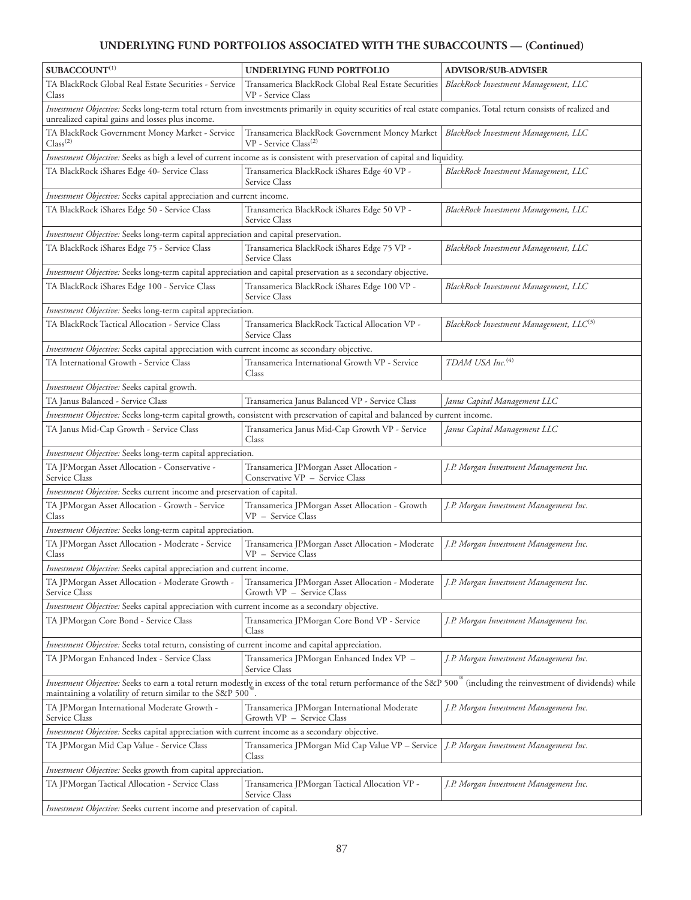# **UNDERLYING FUND PORTFOLIOS ASSOCIATED WITH THE SUBACCOUNTS — (Continued)**

| $SUBACCOUNT^{(1)}$                                                                                            | UNDERLYING FUND PORTFOLIO                                                                                                                                                         | <b>ADVISOR/SUB-ADVISER</b>              |
|---------------------------------------------------------------------------------------------------------------|-----------------------------------------------------------------------------------------------------------------------------------------------------------------------------------|-----------------------------------------|
| TA BlackRock Global Real Estate Securities - Service<br>Class                                                 | Transamerica BlackRock Global Real Estate Securities<br>VP - Service Class                                                                                                        | BlackRock Investment Management, LLC    |
| unrealized capital gains and losses plus income.                                                              | Investment Objective: Seeks long-term total return from investments primarily in equity securities of real estate companies. Total return consists of realized and                |                                         |
| TA BlackRock Government Money Market - Service<br>Class <sup>(2)</sup>                                        | Transamerica BlackRock Government Money Market  <br>VP - Service Class <sup>(2)</sup>                                                                                             | BlackRock Investment Management, LLC    |
|                                                                                                               | Investment Objective: Seeks as high a level of current income as is consistent with preservation of capital and liquidity.                                                        |                                         |
| TA BlackRock iShares Edge 40- Service Class                                                                   | Transamerica BlackRock iShares Edge 40 VP -<br>Service Class                                                                                                                      | BlackRock Investment Management, LLC    |
| Investment Objective: Seeks capital appreciation and current income.                                          |                                                                                                                                                                                   |                                         |
| TA BlackRock iShares Edge 50 - Service Class                                                                  | Transamerica BlackRock iShares Edge 50 VP -<br>Service Class                                                                                                                      | BlackRock Investment Management, LLC    |
| Investment Objective: Seeks long-term capital appreciation and capital preservation.                          |                                                                                                                                                                                   |                                         |
| TA BlackRock iShares Edge 75 - Service Class                                                                  | Transamerica BlackRock iShares Edge 75 VP -<br>Service Class                                                                                                                      | BlackRock Investment Management, LLC    |
| Investment Objective: Seeks long-term capital appreciation and capital preservation as a secondary objective. |                                                                                                                                                                                   |                                         |
| TA BlackRock iShares Edge 100 - Service Class                                                                 | Transamerica BlackRock iShares Edge 100 VP -<br>Service Class                                                                                                                     | BlackRock Investment Management, LLC    |
| Investment Objective: Seeks long-term capital appreciation.                                                   |                                                                                                                                                                                   |                                         |
| TA BlackRock Tactical Allocation - Service Class                                                              | Transamerica BlackRock Tactical Allocation VP -<br>Service Class                                                                                                                  | BlackRock Investment Management, LLC(3) |
| Investment Objective: Seeks capital appreciation with current income as secondary objective.                  |                                                                                                                                                                                   |                                         |
| TA International Growth - Service Class                                                                       | Transamerica International Growth VP - Service<br>Class                                                                                                                           | TDAM USA Inc. <sup>(4)</sup>            |
| Investment Objective: Seeks capital growth.                                                                   |                                                                                                                                                                                   |                                         |
| TA Janus Balanced - Service Class                                                                             | Transamerica Janus Balanced VP - Service Class                                                                                                                                    | Janus Capital Management LLC            |
|                                                                                                               | Investment Objective: Seeks long-term capital growth, consistent with preservation of capital and balanced by current income.                                                     |                                         |
| TA Janus Mid-Cap Growth - Service Class                                                                       | Transamerica Janus Mid-Cap Growth VP - Service<br>Class                                                                                                                           | Janus Capital Management LLC            |
| Investment Objective: Seeks long-term capital appreciation.                                                   |                                                                                                                                                                                   |                                         |
| TA JPMorgan Asset Allocation - Conservative -<br>Service Class                                                | Transamerica JPMorgan Asset Allocation -<br>Conservative VP - Service Class                                                                                                       | J.P. Morgan Investment Management Inc.  |
| Investment Objective: Seeks current income and preservation of capital.                                       |                                                                                                                                                                                   |                                         |
| TA JPMorgan Asset Allocation - Growth - Service<br>Class                                                      | Transamerica JPMorgan Asset Allocation - Growth<br>VP - Service Class                                                                                                             | J.P. Morgan Investment Management Inc.  |
| Investment Objective: Seeks long-term capital appreciation.                                                   |                                                                                                                                                                                   |                                         |
| TA JPMorgan Asset Allocation - Moderate - Service<br>Class                                                    | Transamerica JPMorgan Asset Allocation - Moderate<br>VP - Service Class                                                                                                           | J.P. Morgan Investment Management Inc.  |
| Investment Objective: Seeks capital appreciation and current income.                                          |                                                                                                                                                                                   |                                         |
| Service Class                                                                                                 | TA JPMorgan Asset Allocation - Moderate Growth - Transamerica JPMorgan Asset Allocation - Moderate J.P. Morgan Investment Management Inc.<br>Growth VP - Service Class            |                                         |
| <i>Investment Objective:</i> Seeks capital appreciation with current income as a secondary objective.         |                                                                                                                                                                                   |                                         |
| TA JPMorgan Core Bond - Service Class                                                                         | Transamerica JPMorgan Core Bond VP - Service<br>Class                                                                                                                             | J.P. Morgan Investment Management Inc.  |
| Investment Objective: Seeks total return, consisting of current income and capital appreciation.              |                                                                                                                                                                                   |                                         |
| TA JPMorgan Enhanced Index - Service Class                                                                    | Transamerica JPMorgan Enhanced Index VP -<br>Service Class                                                                                                                        | J.P. Morgan Investment Management Inc.  |
| maintaining a volatility of return similar to the S&P 500.                                                    | Investment Objective: Seeks to earn a total return modestly in excess of the total return performance of the S&P 500 <sup>®</sup> (including the reinvestment of dividends) while |                                         |
| TA JPMorgan International Moderate Growth -<br>Service Class                                                  | Transamerica JPMorgan International Moderate<br>Growth VP - Service Class                                                                                                         | J.P. Morgan Investment Management Inc.  |
| Investment Objective: Seeks capital appreciation with current income as a secondary objective.                |                                                                                                                                                                                   |                                         |
| TA JPMorgan Mid Cap Value - Service Class                                                                     | Transamerica JPMorgan Mid Cap Value VP - Service<br>Class                                                                                                                         | J.P. Morgan Investment Management Inc.  |
| Investment Objective: Seeks growth from capital appreciation.                                                 |                                                                                                                                                                                   |                                         |
| TA JPMorgan Tactical Allocation - Service Class                                                               | Transamerica JPMorgan Tactical Allocation VP -<br>Service Class                                                                                                                   | J.P. Morgan Investment Management Inc.  |
| <i>Investment Objective:</i> Seeks current income and preservation of capital.                                |                                                                                                                                                                                   |                                         |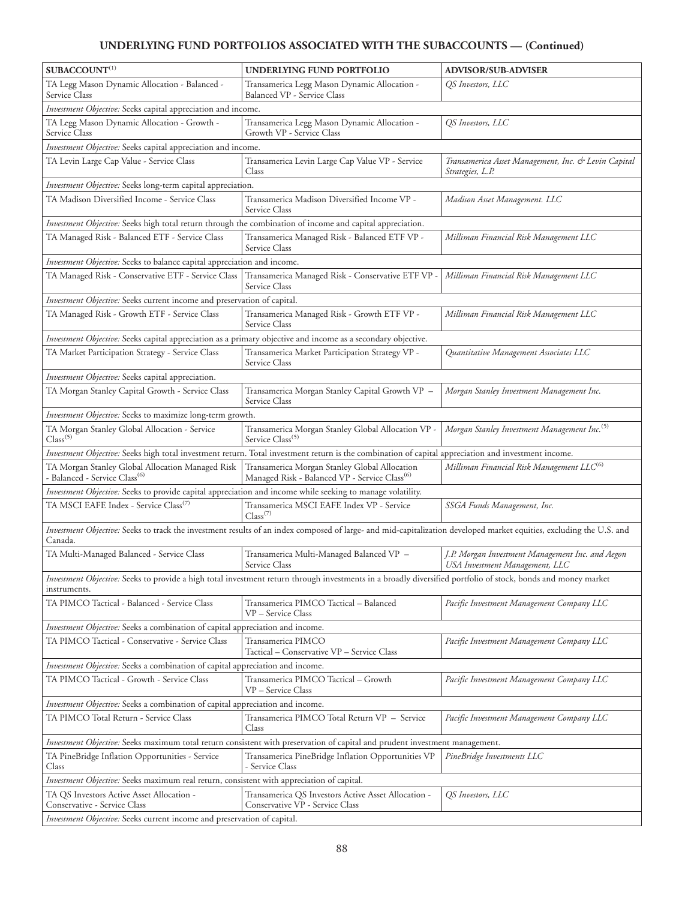# **UNDERLYING FUND PORTFOLIOS ASSOCIATED WITH THE SUBACCOUNTS — (Continued)**

| $\mathbf{SUBACCOUNT}^{(1)}$                                                                                  | UNDERLYING FUND PORTFOLIO                                                                                                                                           | <b>ADVISOR/SUB-ADVISER</b>                                                         |
|--------------------------------------------------------------------------------------------------------------|---------------------------------------------------------------------------------------------------------------------------------------------------------------------|------------------------------------------------------------------------------------|
| TA Legg Mason Dynamic Allocation - Balanced -<br>Service Class                                               | Transamerica Legg Mason Dynamic Allocation -<br><b>Balanced VP - Service Class</b>                                                                                  | QS Investors, LLC                                                                  |
| Investment Objective: Seeks capital appreciation and income.                                                 |                                                                                                                                                                     |                                                                                    |
| TA Legg Mason Dynamic Allocation - Growth -<br>Service Class                                                 | Transamerica Legg Mason Dynamic Allocation -<br>Growth VP - Service Class                                                                                           | QS Investors, LLC                                                                  |
| Investment Objective: Seeks capital appreciation and income.                                                 |                                                                                                                                                                     |                                                                                    |
| TA Levin Large Cap Value - Service Class                                                                     | Transamerica Levin Large Cap Value VP - Service<br>Class                                                                                                            | Transamerica Asset Management, Inc. & Levin Capital<br>Strategies, L.P.            |
| Investment Objective: Seeks long-term capital appreciation.                                                  |                                                                                                                                                                     |                                                                                    |
| TA Madison Diversified Income - Service Class                                                                | Transamerica Madison Diversified Income VP -<br>Service Class                                                                                                       | Madison Asset Management. LLC                                                      |
| Investment Objective: Seeks high total return through the combination of income and capital appreciation.    |                                                                                                                                                                     |                                                                                    |
| TA Managed Risk - Balanced ETF - Service Class                                                               | Transamerica Managed Risk - Balanced ETF VP -<br>Service Class                                                                                                      | Milliman Financial Risk Management LLC                                             |
| Investment Objective: Seeks to balance capital appreciation and income.                                      |                                                                                                                                                                     |                                                                                    |
| TA Managed Risk - Conservative ETF - Service Class                                                           | Transamerica Managed Risk - Conservative ETF VP<br>Service Class                                                                                                    | Milliman Financial Risk Management LLC                                             |
| Investment Objective: Seeks current income and preservation of capital.                                      |                                                                                                                                                                     |                                                                                    |
| TA Managed Risk - Growth ETF - Service Class                                                                 | Transamerica Managed Risk - Growth ETF VP -<br>Service Class                                                                                                        | Milliman Financial Risk Management LLC                                             |
| Investment Objective: Seeks capital appreciation as a primary objective and income as a secondary objective. |                                                                                                                                                                     |                                                                                    |
| TA Market Participation Strategy - Service Class                                                             | Transamerica Market Participation Strategy VP -<br>Service Class                                                                                                    | Quantitative Management Associates LLC                                             |
| Investment Objective: Seeks capital appreciation.                                                            |                                                                                                                                                                     |                                                                                    |
| TA Morgan Stanley Capital Growth - Service Class                                                             | Transamerica Morgan Stanley Capital Growth VP -<br>Service Class                                                                                                    | Morgan Stanley Investment Management Inc.                                          |
| Investment Objective: Seeks to maximize long-term growth.                                                    |                                                                                                                                                                     |                                                                                    |
| TA Morgan Stanley Global Allocation - Service<br>Class <sup>(5)</sup>                                        | Transamerica Morgan Stanley Global Allocation VP -<br>Service Class <sup>(5)</sup>                                                                                  | Morgan Stanley Investment Management Inc. <sup>(5)</sup>                           |
|                                                                                                              | Investment Objective: Seeks high total investment return. Total investment return is the combination of capital appreciation and investment income.                 |                                                                                    |
| TA Morgan Stanley Global Allocation Managed Risk<br>- Balanced - Service Class <sup>(6)</sup>                | Transamerica Morgan Stanley Global Allocation<br>Managed Risk - Balanced VP - Service Class <sup>(6)</sup>                                                          | Milliman Financial Risk Management LLC <sup>(6)</sup>                              |
| Investment Objective: Seeks to provide capital appreciation and income while seeking to manage volatility.   |                                                                                                                                                                     |                                                                                    |
| TA MSCI EAFE Index - Service Class <sup>(7)</sup>                                                            | Transamerica MSCI EAFE Index VP - Service<br>$Class^{(7)}$                                                                                                          | SSGA Funds Management, Inc.                                                        |
| Canada.                                                                                                      | Investment Objective: Seeks to track the investment results of an index composed of large- and mid-capitalization developed market equities, excluding the U.S. and |                                                                                    |
| TA Multi-Managed Balanced - Service Class                                                                    | Transamerica Multi-Managed Balanced VP -<br>Service Class                                                                                                           | J.P. Morgan Investment Management Inc. and Aegon<br>USA Investment Management, LLC |
| instruments.                                                                                                 | Investment Objective: Seeks to provide a high total investment return through investments in a broadly diversified portfolio of stock, bonds and money market       |                                                                                    |
| TA PIMCO Tactical - Balanced - Service Class                                                                 | Transamerica PIMCO Tactical - Balanced<br>VP - Service Class                                                                                                        | Pacific Investment Management Company LLC                                          |
| Investment Objective: Seeks a combination of capital appreciation and income.                                |                                                                                                                                                                     |                                                                                    |
| TA PIMCO Tactical - Conservative - Service Class                                                             | Transamerica PIMCO<br>Tactical - Conservative VP - Service Class                                                                                                    | Pacific Investment Management Company LLC                                          |
| Investment Objective: Seeks a combination of capital appreciation and income.                                |                                                                                                                                                                     |                                                                                    |
| TA PIMCO Tactical - Growth - Service Class                                                                   | Transamerica PIMCO Tactical - Growth<br>VP - Service Class                                                                                                          | Pacific Investment Management Company LLC                                          |
| Investment Objective: Seeks a combination of capital appreciation and income.                                |                                                                                                                                                                     |                                                                                    |
| TA PIMCO Total Return - Service Class                                                                        | Transamerica PIMCO Total Return VP - Service<br>Class                                                                                                               | Pacific Investment Management Company LLC                                          |
|                                                                                                              | Investment Objective: Seeks maximum total return consistent with preservation of capital and prudent investment management.                                         |                                                                                    |
| TA PineBridge Inflation Opportunities - Service<br>Class                                                     | Transamerica PineBridge Inflation Opportunities VP<br>- Service Class                                                                                               | PineBridge Investments LLC                                                         |
| Investment Objective: Seeks maximum real return, consistent with appreciation of capital.                    |                                                                                                                                                                     |                                                                                    |
| TA QS Investors Active Asset Allocation -<br>Conservative - Service Class                                    | Transamerica QS Investors Active Asset Allocation -<br>Conservative VP - Service Class                                                                              | QS Investors, LLC                                                                  |
| Investment Objective: Seeks current income and preservation of capital.                                      |                                                                                                                                                                     |                                                                                    |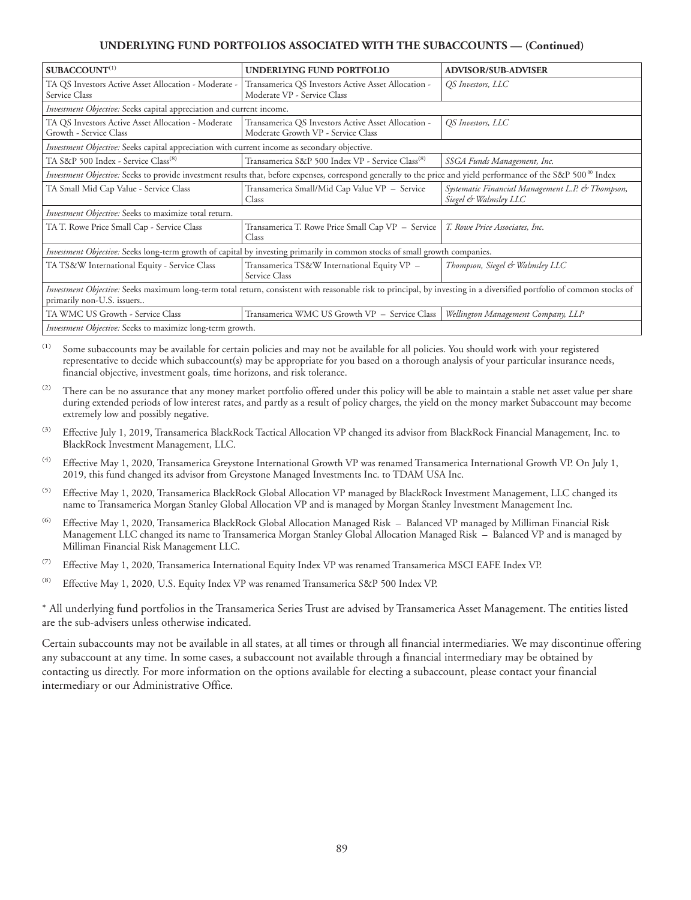#### **UNDERLYING FUND PORTFOLIOS ASSOCIATED WITH THE SUBACCOUNTS — (Continued)**

| $SUBACCOUNT^{(1)}$                                                                           | <b>UNDERLYING FUND PORTFOLIO</b>                                                                                                                                      | <b>ADVISOR/SUB-ADVISER</b>                                                |
|----------------------------------------------------------------------------------------------|-----------------------------------------------------------------------------------------------------------------------------------------------------------------------|---------------------------------------------------------------------------|
| TA QS Investors Active Asset Allocation - Moderate -<br>Service Class                        | Transamerica QS Investors Active Asset Allocation -<br>Moderate VP - Service Class                                                                                    | QS Investors, LLC                                                         |
| Investment Objective: Seeks capital appreciation and current income.                         |                                                                                                                                                                       |                                                                           |
| TA QS Investors Active Asset Allocation - Moderate<br>Growth - Service Class                 | Transamerica QS Investors Active Asset Allocation -<br>Moderate Growth VP - Service Class                                                                             | QS Investors, LLC                                                         |
| Investment Objective: Seeks capital appreciation with current income as secondary objective. |                                                                                                                                                                       |                                                                           |
| TA S&P 500 Index - Service Class <sup>(8)</sup>                                              | Transamerica S&P 500 Index VP - Service Class <sup>(8)</sup>                                                                                                          | SSGA Funds Management, Inc.                                               |
|                                                                                              | Investment Objective: Seeks to provide investment results that, before expenses, correspond generally to the price and yield performance of the S&P 500® Index        |                                                                           |
| TA Small Mid Cap Value - Service Class                                                       | Transamerica Small/Mid Cap Value VP - Service<br>Class                                                                                                                | Systematic Financial Management L.P. & Thompson,<br>Siegel & Walmsley LLC |
| Investment Objective: Seeks to maximize total return.                                        |                                                                                                                                                                       |                                                                           |
| TA T. Rowe Price Small Cap - Service Class                                                   | Transamerica T. Rowe Price Small Cap VP - Service<br>Class                                                                                                            | T. Rowe Price Associates, Inc.                                            |
|                                                                                              | Investment Objective: Seeks long-term growth of capital by investing primarily in common stocks of small growth companies.                                            |                                                                           |
| TA TS&W International Equity - Service Class                                                 | Transamerica TS&W International Equity VP -<br>Service Class                                                                                                          | Thompson, Siegel & Walmsley LLC                                           |
| primarily non-U.S. issuers                                                                   | Investment Objective: Seeks maximum long-term total return, consistent with reasonable risk to principal, by investing in a diversified portfolio of common stocks of |                                                                           |
| TA WMC US Growth - Service Class                                                             | Transamerica WMC US Growth VP - Service Class                                                                                                                         | Wellington Management Company, LLP                                        |
| Investment Objective: Seeks to maximize long-term growth.                                    |                                                                                                                                                                       |                                                                           |

- (1) Some subaccounts may be available for certain policies and may not be available for all policies. You should work with your registered representative to decide which subaccount(s) may be appropriate for you based on a thorough analysis of your particular insurance needs, financial objective, investment goals, time horizons, and risk tolerance.
- <sup>(2)</sup> There can be no assurance that any money market portfolio offered under this policy will be able to maintain a stable net asset value per share during extended periods of low interest rates, and partly as a result of policy charges, the yield on the money market Subaccount may become extremely low and possibly negative.
- (3) Effective July 1, 2019, Transamerica BlackRock Tactical Allocation VP changed its advisor from BlackRock Financial Management, Inc. to BlackRock Investment Management, LLC.
- (4) Effective May 1, 2020, Transamerica Greystone International Growth VP was renamed Transamerica International Growth VP. On July 1, 2019, this fund changed its advisor from Greystone Managed Investments Inc. to TDAM USA Inc.
- <sup>(5)</sup> Effective May 1, 2020, Transamerica BlackRock Global Allocation VP managed by BlackRock Investment Management, LLC changed its name to Transamerica Morgan Stanley Global Allocation VP and is managed by Morgan Stanley Investment Management Inc.
- <sup>(6)</sup> Effective May 1, 2020, Transamerica BlackRock Global Allocation Managed Risk Balanced VP managed by Milliman Financial Risk Management LLC changed its name to Transamerica Morgan Stanley Global Allocation Managed Risk – Balanced VP and is managed by Milliman Financial Risk Management LLC.
- (7) Effective May 1, 2020, Transamerica International Equity Index VP was renamed Transamerica MSCI EAFE Index VP.
- (8) Effective May 1, 2020, U.S. Equity Index VP was renamed Transamerica S&P 500 Index VP.

\* All underlying fund portfolios in the Transamerica Series Trust are advised by Transamerica Asset Management. The entities listed are the sub-advisers unless otherwise indicated.

Certain subaccounts may not be available in all states, at all times or through all financial intermediaries. We may discontinue offering any subaccount at any time. In some cases, a subaccount not available through a financial intermediary may be obtained by contacting us directly. For more information on the options available for electing a subaccount, please contact your financial intermediary or our Administrative Office.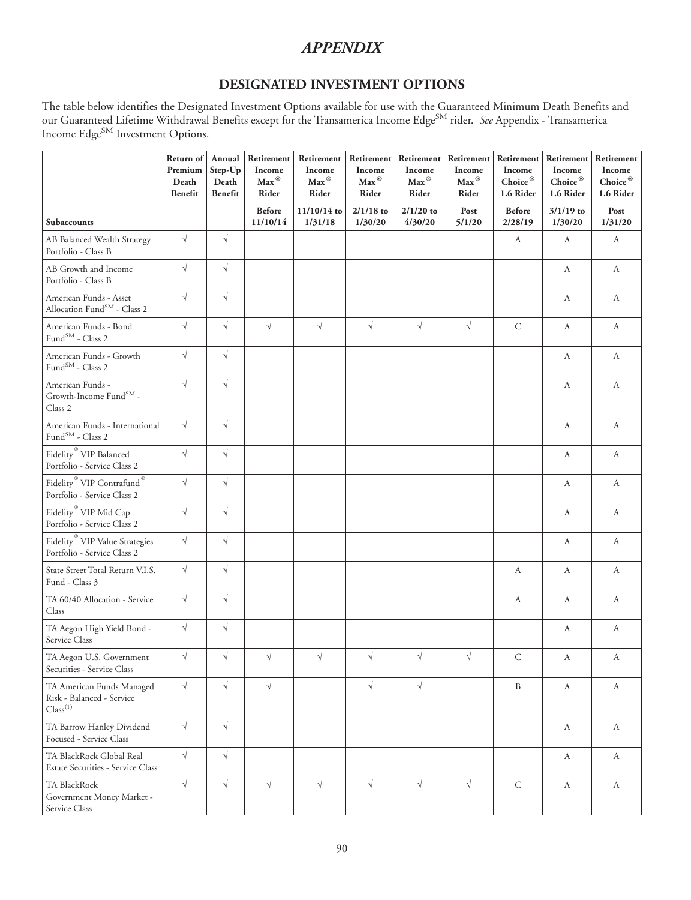# *APPENDIX*

# **DESIGNATED INVESTMENT OPTIONS**

The table below identifies the Designated Investment Options available for use with the Guaranteed Minimum Death Benefits and our Guaranteed Lifetime Withdrawal Benefits except for the Transamerica Income Edge<sup>SM</sup> rider. *See* Appendix - Transamerica Income Edge<sup>SM</sup> Investment Options.

|                                                                                          | Return of<br>Premium<br>Death<br>Benefit | Annual<br>Step-Up<br>Death<br>Benefit | Retirement<br>Income<br>Max <sup>®</sup><br>Rider | Retirement<br>Income<br>Max <sup>®</sup><br>Rider | Retirement<br>Income<br>$Max^{\circledR}$<br>Rider | Retirement<br>Income<br>$Max^{\circledR}$<br>Rider | Retirement<br>Income<br>Max <sup>®</sup><br>Rider | Retirement<br>Income<br>$Choice^{\circledR}$<br>1.6 Rider | Retirement<br>Income<br>$Choice^{\circledR}$<br>1.6 Rider | Retirement<br>Income<br>Choice®<br>1.6 Rider |
|------------------------------------------------------------------------------------------|------------------------------------------|---------------------------------------|---------------------------------------------------|---------------------------------------------------|----------------------------------------------------|----------------------------------------------------|---------------------------------------------------|-----------------------------------------------------------|-----------------------------------------------------------|----------------------------------------------|
| Subaccounts                                                                              |                                          |                                       | <b>Before</b><br>11/10/14                         | 11/10/14 to<br>1/31/18                            | $2/1/18$ to<br>1/30/20                             | $2/1/20$ to<br>4/30/20                             | Post<br>5/1/20                                    | <b>Before</b><br>2/28/19                                  | $3/1/19$ to<br>1/30/20                                    | Post<br>1/31/20                              |
| AB Balanced Wealth Strategy<br>Portfolio - Class B                                       | $\sqrt{ }$                               | $\sqrt{}$                             |                                                   |                                                   |                                                    |                                                    |                                                   | А                                                         | A                                                         | A                                            |
| AB Growth and Income<br>Portfolio - Class B                                              | $\sqrt{}$                                | $\sqrt{}$                             |                                                   |                                                   |                                                    |                                                    |                                                   |                                                           | A                                                         | A                                            |
| American Funds - Asset<br>Allocation Fund <sup>SM</sup> - Class 2                        | $\sqrt{}$                                | $\sqrt{}$                             |                                                   |                                                   |                                                    |                                                    |                                                   |                                                           | А                                                         | A                                            |
| American Funds - Bond<br>Fund <sup>SM</sup> - Class 2                                    | $\sqrt{}$                                | $\sqrt{}$                             | $\sqrt{}$                                         | $\sqrt{}$                                         | $\sqrt{}$                                          | $\sqrt{}$                                          | $\sqrt{}$                                         | $\mathsf C$                                               | A                                                         | A                                            |
| American Funds - Growth<br>$\mathrm{Fund}^\mathrm{SM}$ - Class $2$                       | $\sqrt{}$                                | $\sqrt{}$                             |                                                   |                                                   |                                                    |                                                    |                                                   |                                                           | A                                                         | A                                            |
| American Funds -<br>Growth-Income $\operatorname{Fund}^{\operatorname{SM}}$ -<br>Class 2 | $\sqrt{}$                                | $\sqrt{}$                             |                                                   |                                                   |                                                    |                                                    |                                                   |                                                           | $\boldsymbol{A}$                                          | $\boldsymbol{A}$                             |
| American Funds - International<br>$\rm Fund^{SM}$ - Class $2$                            | $\sqrt{}$                                | $\sqrt{}$                             |                                                   |                                                   |                                                    |                                                    |                                                   |                                                           | А                                                         | А                                            |
| Fidelity <sup>®</sup> VIP Balanced<br>Portfolio - Service Class 2                        | $\sqrt{}$                                | $\sqrt{}$                             |                                                   |                                                   |                                                    |                                                    |                                                   |                                                           | $\boldsymbol{A}$                                          | $\boldsymbol{A}$                             |
| Fidelity <sup>®</sup> VIP Contrafund <sup>®</sup><br>Portfolio - Service Class 2         | $\sqrt{}$                                | $\sqrt{}$                             |                                                   |                                                   |                                                    |                                                    |                                                   |                                                           | $\boldsymbol{A}$                                          | A                                            |
| Fidelity <sup>®</sup> VIP Mid Cap<br>Portfolio - Service Class 2                         | $\sqrt{}$                                | $\sqrt{}$                             |                                                   |                                                   |                                                    |                                                    |                                                   |                                                           | A                                                         | A                                            |
| Fidelity <sup>®</sup> VIP Value Strategies<br>Portfolio - Service Class 2                | $\sqrt{}$                                | $\sqrt{}$                             |                                                   |                                                   |                                                    |                                                    |                                                   |                                                           | A                                                         | A                                            |
| State Street Total Return V.I.S.<br>Fund - Class 3                                       | $\sqrt{}$                                | $\sqrt{}$                             |                                                   |                                                   |                                                    |                                                    |                                                   | А                                                         | А                                                         | A                                            |
| TA 60/40 Allocation - Service<br>Class                                                   | $\sqrt{}$                                | $\sqrt{}$                             |                                                   |                                                   |                                                    |                                                    |                                                   | А                                                         | A                                                         | A                                            |
| TA Aegon High Yield Bond -<br>Service Class                                              | $\sqrt{}$                                | $\sqrt{}$                             |                                                   |                                                   |                                                    |                                                    |                                                   |                                                           | А                                                         | A                                            |
| TA Aegon U.S. Government<br>Securities - Service Class                                   | $\sqrt{ }$                               | $\sqrt{}$                             | $\sqrt{}$                                         | $\sqrt{}$                                         | $\sqrt{}$                                          | $\sqrt{}$                                          | $\sqrt{ }$                                        | $\mathsf{C}$                                              | A                                                         | А                                            |
| TA American Funds Managed<br>Risk - Balanced - Service<br>Class <sup>(1)</sup>           | $\sqrt{}$                                | $\sqrt{}$                             | $\sqrt{}$                                         |                                                   | $\sqrt{}$                                          | $\sqrt{}$                                          |                                                   | B                                                         | А                                                         | A                                            |
| TA Barrow Hanley Dividend<br>Focused - Service Class                                     | $\sqrt{}$                                | $\sqrt{}$                             |                                                   |                                                   |                                                    |                                                    |                                                   |                                                           | А                                                         | A                                            |
| TA BlackRock Global Real<br>Estate Securities - Service Class                            | $\sqrt{}$                                | $\sqrt{}$                             |                                                   |                                                   |                                                    |                                                    |                                                   |                                                           | A                                                         | $\mathbf{A}$                                 |
| TA BlackRock<br>Government Money Market -<br>Service Class                               | $\sqrt{}$                                | $\sqrt{}$                             | $\sqrt{}$                                         | $\sqrt{}$                                         | $\sqrt{}$                                          | $\sqrt{ }$                                         | $\sqrt{}$                                         | ${\bf C}$                                                 | $\boldsymbol{A}$                                          | $\boldsymbol{A}$                             |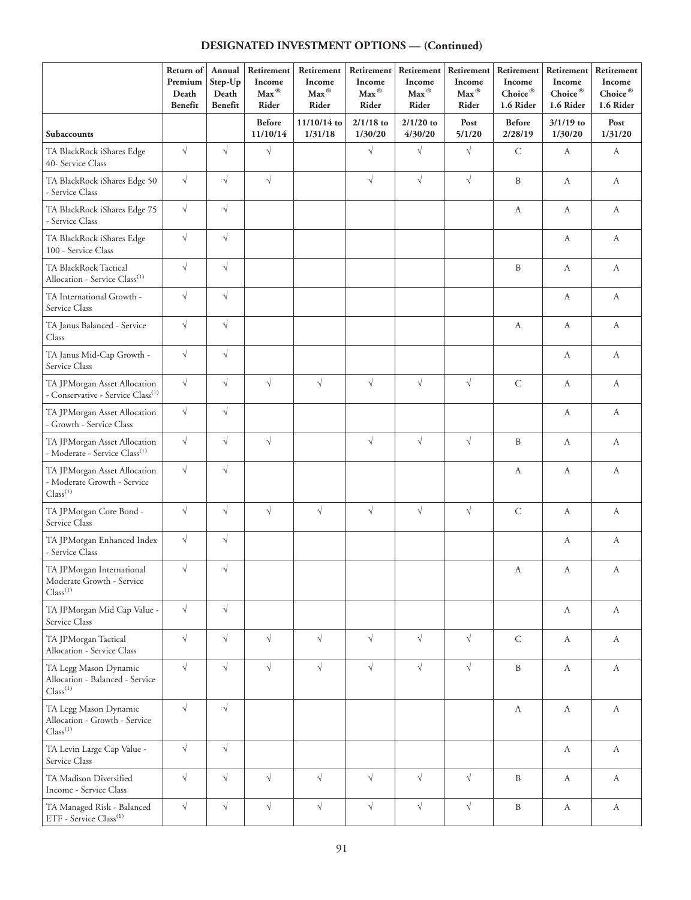# **DESIGNATED INVESTMENT OPTIONS — (Continued)**

|                                                                                     | Return of<br>Premium<br>Death<br>Benefit | Annual<br>Step-Up<br>Death<br>Benefit | Retirement<br>Income<br>Max <sup>®</sup><br>Rider | Retirement<br>Income<br>$\mathbf{Max}^\circledR$<br>Rider | Retirement<br>Income<br>Max <sup>®</sup><br>Rider | Retirement<br>Income<br>$Max^{\circledR}$<br>Rider | Retirement<br>Income<br>Max <sup>®</sup><br>Rider | Retirement<br>Income<br>Choice®<br>1.6 Rider | Retirement<br>Income<br>$Choice^{\circledR}$<br>1.6 Rider | Retirement<br>Income<br>$Choice^{@}$<br>1.6 Rider |
|-------------------------------------------------------------------------------------|------------------------------------------|---------------------------------------|---------------------------------------------------|-----------------------------------------------------------|---------------------------------------------------|----------------------------------------------------|---------------------------------------------------|----------------------------------------------|-----------------------------------------------------------|---------------------------------------------------|
| Subaccounts                                                                         |                                          |                                       | <b>Before</b><br>11/10/14                         | 11/10/14 to<br>1/31/18                                    | $2/1/18$ to<br>1/30/20                            | $2/1/20$ to<br>4/30/20                             | Post<br>5/1/20                                    | <b>Before</b><br>2/28/19                     | $3/1/19$ to<br>1/30/20                                    | Post<br>1/31/20                                   |
| TA BlackRock iShares Edge<br>40- Service Class                                      | $\sqrt{}$                                | $\sqrt{}$                             | $\sqrt{ }$                                        |                                                           | $\sqrt{}$                                         | $\sqrt{}$                                          | $\sqrt{}$                                         | $\mathsf C$                                  | A                                                         | A                                                 |
| TA BlackRock iShares Edge 50<br>- Service Class                                     | $\sqrt{}$                                | $\sqrt{}$                             | $\sqrt{}$                                         |                                                           | $\sqrt{}$                                         | $\sqrt{}$                                          | $\sqrt{}$                                         | $\, {\bf B}$                                 | A                                                         | A                                                 |
| TA BlackRock iShares Edge 75<br>- Service Class                                     | $\sqrt{}$                                | $\sqrt{}$                             |                                                   |                                                           |                                                   |                                                    |                                                   | A                                            | A                                                         | А                                                 |
| TA BlackRock iShares Edge<br>100 - Service Class                                    | $\sqrt{}$                                | $\sqrt{}$                             |                                                   |                                                           |                                                   |                                                    |                                                   |                                              | A                                                         | А                                                 |
| TA BlackRock Tactical<br>Allocation - Service Class <sup>(1)</sup>                  | $\sqrt{}$                                | $\sqrt{}$                             |                                                   |                                                           |                                                   |                                                    |                                                   | $\, {\bf B}$                                 | A                                                         | A                                                 |
| TA International Growth -<br>Service Class                                          | $\sqrt{ }$                               | $\sqrt{}$                             |                                                   |                                                           |                                                   |                                                    |                                                   |                                              | A                                                         | A                                                 |
| TA Janus Balanced - Service<br>Class                                                | $\sqrt{}$                                | $\sqrt{}$                             |                                                   |                                                           |                                                   |                                                    |                                                   | A                                            | A                                                         | A                                                 |
| TA Janus Mid-Cap Growth -<br>Service Class                                          | $\sqrt{}$                                | $\sqrt{}$                             |                                                   |                                                           |                                                   |                                                    |                                                   |                                              | A                                                         | А                                                 |
| TA JPMorgan Asset Allocation<br>- Conservative - Service Class <sup>(1)</sup>       | $\sqrt{ }$                               | $\sqrt{}$                             | $\sqrt{}$                                         | $\sqrt{}$                                                 | $\sqrt{}$                                         | $\sqrt{}$                                          | $\sqrt{}$                                         | $\mathsf C$                                  | A                                                         | А                                                 |
| TA JPMorgan Asset Allocation<br>- Growth - Service Class                            | $\sqrt{ }$                               | $\sqrt{}$                             |                                                   |                                                           |                                                   |                                                    |                                                   |                                              | А                                                         | А                                                 |
| TA JPMorgan Asset Allocation<br>- Moderate - Service Class <sup>(1)</sup>           | $\sqrt{}$                                | $\sqrt{}$                             | $\sqrt{}$                                         |                                                           | $\sqrt{}$                                         | $\sqrt{}$                                          | $\sqrt{}$                                         | $\, {\bf B}$                                 | A                                                         | А                                                 |
| TA JPMorgan Asset Allocation<br>- Moderate Growth - Service<br>Class <sup>(1)</sup> | $\sqrt{ }$                               | $\sqrt{}$                             |                                                   |                                                           |                                                   |                                                    |                                                   | $\boldsymbol{A}$                             | $\boldsymbol{A}$                                          | А                                                 |
| TA JPMorgan Core Bond -<br>Service Class                                            | $\sqrt{ }$                               | $\sqrt{}$                             | $\sqrt{}$                                         | $\sqrt{}$                                                 | $\sqrt{ }$                                        | $\sqrt{}$                                          | $\sqrt{}$                                         | $\mathsf C$                                  | А                                                         | А                                                 |
| TA JPMorgan Enhanced Index<br>- Service Class                                       | $\sqrt{}$                                | $\sqrt{}$                             |                                                   |                                                           |                                                   |                                                    |                                                   |                                              | $\boldsymbol{A}$                                          | А                                                 |
| TA JPMorgan International<br>Moderate Growth - Service<br>Class <sup>(1)</sup>      | $\sqrt{}$                                | $\sqrt{}$                             |                                                   |                                                           |                                                   |                                                    |                                                   | А                                            | A                                                         | A                                                 |
| TA JPMorgan Mid Cap Value -<br>Service Class                                        | $\sqrt{ }$                               | $\sqrt{}$                             |                                                   |                                                           |                                                   |                                                    |                                                   |                                              | A                                                         | A                                                 |
| TA JPMorgan Tactical<br>Allocation - Service Class                                  | $\sqrt{}$                                | $\sqrt{}$                             | $\sqrt{ }$                                        | $\sqrt{}$                                                 | $\sqrt{}$                                         | $\sqrt{ }$                                         | $\sqrt{}$                                         | $\mathsf{C}$                                 | A                                                         | А                                                 |
| TA Legg Mason Dynamic<br>Allocation - Balanced - Service<br>Class <sup>(1)</sup>    | $\sqrt{ }$                               | $\sqrt{}$                             | $\sqrt{}$                                         | $\sqrt{}$                                                 | $\sqrt{}$                                         | $\sqrt{}$                                          | $\sqrt{}$                                         | $\, {\bf B}$                                 | $\boldsymbol{A}$                                          | А                                                 |
| TA Legg Mason Dynamic<br>Allocation - Growth - Service<br>Class <sup>(1)</sup>      | $\sqrt{}$                                | $\sqrt{}$                             |                                                   |                                                           |                                                   |                                                    |                                                   | A                                            | A                                                         | А                                                 |
| TA Levin Large Cap Value -<br>Service Class                                         | $\sqrt{}$                                | $\sqrt{}$                             |                                                   |                                                           |                                                   |                                                    |                                                   |                                              | $\mathbf{A}$                                              | A                                                 |
| TA Madison Diversified<br>Income - Service Class                                    | $\sqrt{}$                                | $\sqrt{}$                             | $\sqrt{}$                                         | $\sqrt{}$                                                 | $\sqrt{}$                                         | $\sqrt{ }$                                         | $\sqrt{}$                                         | $\, {\bf B}$                                 | $\mathbf{A}$                                              | A                                                 |
| TA Managed Risk - Balanced<br>ETF - Service Class <sup>(1)</sup>                    | $\sqrt{}$                                | $\sqrt{}$                             | $\sqrt{}$                                         | $\sqrt{}$                                                 | $\sqrt{}$                                         | $\sqrt{}$                                          | $\sqrt{}$                                         | $\, {\bf B}$                                 | $\mathbf{A}$                                              | A                                                 |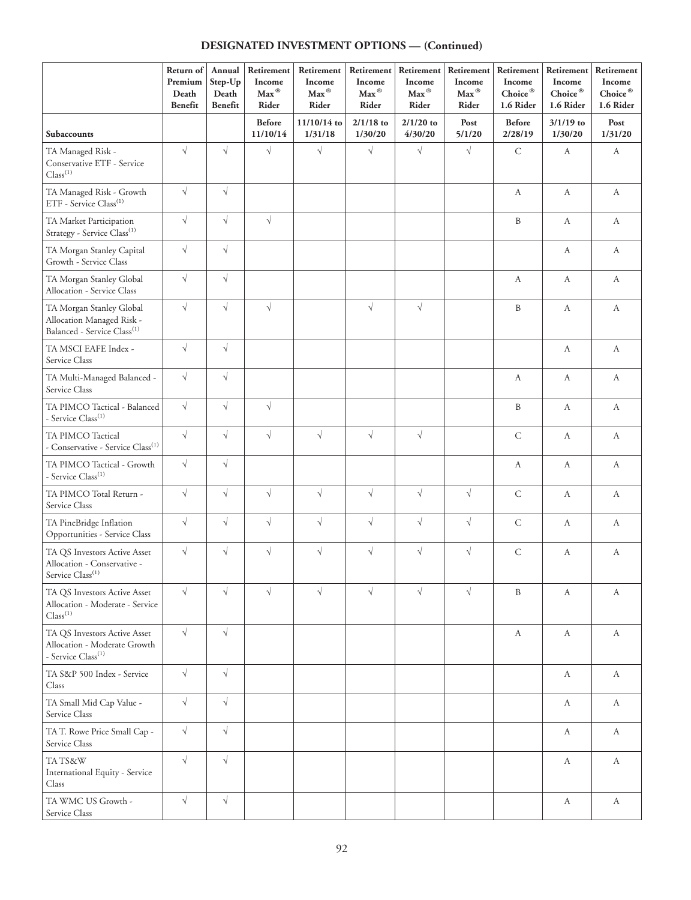# **DESIGNATED INVESTMENT OPTIONS — (Continued)**

|                                                                                                  | Return of<br>Premium<br>Death<br>Benefit | Annual<br>Step-Up<br>Death<br>Benefit | Retirement<br>Income<br>$Max^{\circledR}$<br>Rider | Retirement<br>Income<br>Max <sup>®</sup><br>Rider | Retirement<br>Income<br>Max <sup>®</sup><br>Rider | Retirement<br>Income<br>Max <sup>®</sup><br>Rider | Retirement<br>Income<br>Max <sup>®</sup><br>Rider | Retirement<br>Income<br>Choice®<br>1.6 Rider | Retirement<br>Income<br>$Choice^{\circledR}$<br>1.6 Rider | Retirement<br>Income<br>Choice®<br>1.6 Rider |
|--------------------------------------------------------------------------------------------------|------------------------------------------|---------------------------------------|----------------------------------------------------|---------------------------------------------------|---------------------------------------------------|---------------------------------------------------|---------------------------------------------------|----------------------------------------------|-----------------------------------------------------------|----------------------------------------------|
| <b>Subaccounts</b>                                                                               |                                          |                                       | <b>Before</b><br>11/10/14                          | 11/10/14 to<br>1/31/18                            | $2/1/18$ to<br>1/30/20                            | $2/1/20$ to<br>4/30/20                            | Post<br>5/1/20                                    | <b>Before</b><br>2/28/19                     | $3/1/19$ to<br>1/30/20                                    | Post<br>1/31/20                              |
| TA Managed Risk -<br>Conservative ETF - Service<br>Class <sup>(1)</sup>                          | $\sqrt{ }$                               | $\sqrt{}$                             | $\sqrt{}$                                          | $\sqrt{}$                                         | $\sqrt{}$                                         | $\sqrt{}$                                         | $\sqrt{}$                                         | $\mathsf C$                                  | A                                                         | A                                            |
| TA Managed Risk - Growth<br>ETF - Service Class <sup>(1)</sup>                                   | $\sqrt{}$                                | $\sqrt{}$                             |                                                    |                                                   |                                                   |                                                   |                                                   | A                                            | A                                                         | A                                            |
| TA Market Participation<br>Strategy - Service Class <sup>(1)</sup>                               | $\sqrt{ }$                               | $\sqrt{ }$                            | $\sqrt{}$                                          |                                                   |                                                   |                                                   |                                                   | B                                            | A                                                         | A                                            |
| TA Morgan Stanley Capital<br>Growth - Service Class                                              | $\sqrt{ }$                               | $\sqrt{}$                             |                                                    |                                                   |                                                   |                                                   |                                                   |                                              | A                                                         | A                                            |
| TA Morgan Stanley Global<br>Allocation - Service Class                                           | $\sqrt{ }$                               | $\sqrt{}$                             |                                                    |                                                   |                                                   |                                                   |                                                   | A                                            | A                                                         | А                                            |
| TA Morgan Stanley Global<br>Allocation Managed Risk -<br>Balanced - Service Class <sup>(1)</sup> | $\sqrt{ }$                               | $\sqrt{}$                             | $\sqrt{}$                                          |                                                   | $\sqrt{}$                                         | $\sqrt{}$                                         |                                                   | $\, {\bf B}$                                 | A                                                         | A                                            |
| TA MSCI EAFE Index -<br>Service Class                                                            | $\sqrt{ }$                               | $\sqrt{}$                             |                                                    |                                                   |                                                   |                                                   |                                                   |                                              | A                                                         | А                                            |
| TA Multi-Managed Balanced -<br>Service Class                                                     | $\sqrt{ }$                               | $\sqrt{}$                             |                                                    |                                                   |                                                   |                                                   |                                                   | A                                            | A                                                         | A                                            |
| TA PIMCO Tactical - Balanced<br>- Service Class <sup>(1)</sup>                                   | $\sqrt{ }$                               | $\sqrt{}$                             | $\sqrt{}$                                          |                                                   |                                                   |                                                   |                                                   | B                                            | A                                                         | A                                            |
| TA PIMCO Tactical<br>- Conservative - Service Class <sup>(1)</sup>                               | $\sqrt{ }$                               | $\sqrt{}$                             | $\sqrt{}$                                          | $\sqrt{}$                                         | $\sqrt{}$                                         | $\sqrt{}$                                         |                                                   | $\mathsf C$                                  | A                                                         | A                                            |
| TA PIMCO Tactical - Growth<br>- Service Class <sup>(1)</sup>                                     | $\sqrt{}$                                | $\sqrt{}$                             |                                                    |                                                   |                                                   |                                                   |                                                   | $\boldsymbol{A}$                             | $\boldsymbol{A}$                                          | A                                            |
| TA PIMCO Total Return -<br>Service Class                                                         | $\sqrt{\phantom{a}}$                     | $\sqrt{}$                             | $\sqrt{}$                                          | $\sqrt{}$                                         | $\sqrt{}$                                         | $\sqrt{}$                                         | $\sqrt{}$                                         | $\mathsf C$                                  | $\boldsymbol{A}$                                          | A                                            |
| TA PineBridge Inflation<br>Opportunities - Service Class                                         | $\sqrt{}$                                | $\sqrt{}$                             | $\sqrt{}$                                          | $\sqrt{}$                                         | $\sqrt{}$                                         | $\sqrt{}$                                         | $\sqrt{}$                                         | $\mathsf C$                                  | A                                                         | A                                            |
| TA QS Investors Active Asset<br>Allocation - Conservative -<br>Service Class <sup>(1)</sup>      | $\sqrt{ }$                               | $\sqrt{}$                             | $\sqrt{}$                                          | $\sqrt{}$                                         | $\sqrt{}$                                         | $\sqrt{}$                                         | $\sqrt{}$                                         | $\mathsf C$                                  | A                                                         | A                                            |
| TA QS Investors Active Asset<br>Allocation - Moderate - Service<br>Class <sup>(1)</sup>          | $\sqrt{}$                                | $\sqrt{}$                             | $\sqrt{}$                                          | $\sqrt{}$                                         | $\sqrt{}$                                         | $\sqrt{}$                                         | $\sqrt{}$                                         | B                                            | А                                                         | А                                            |
| TA QS Investors Active Asset<br>Allocation - Moderate Growth<br>- Service Class <sup>(1)</sup>   | $\sqrt{ }$                               | $\sqrt{}$                             |                                                    |                                                   |                                                   |                                                   |                                                   | $\boldsymbol{A}$                             | $\boldsymbol{A}$                                          | A                                            |
| TA S&P 500 Index - Service<br>Class                                                              | $\sqrt{ }$                               | $\sqrt{ }$                            |                                                    |                                                   |                                                   |                                                   |                                                   |                                              | $\boldsymbol{A}$                                          | A                                            |
| TA Small Mid Cap Value -<br>Service Class                                                        | $\sqrt{}$                                | $\sqrt{}$                             |                                                    |                                                   |                                                   |                                                   |                                                   |                                              | $\boldsymbol{A}$                                          | A                                            |
| TA T. Rowe Price Small Cap -<br>Service Class                                                    | $\sqrt{ }$                               | $\sqrt{}$                             |                                                    |                                                   |                                                   |                                                   |                                                   |                                              | А                                                         | A                                            |
| TATS&W<br>International Equity - Service<br>Class                                                | $\sqrt{ }$                               | $\sqrt{}$                             |                                                    |                                                   |                                                   |                                                   |                                                   |                                              | А                                                         | A                                            |
| TA WMC US Growth -<br>Service Class                                                              | $\sqrt{ }$                               | $\sqrt{}$                             |                                                    |                                                   |                                                   |                                                   |                                                   |                                              | $\boldsymbol{A}$                                          | A                                            |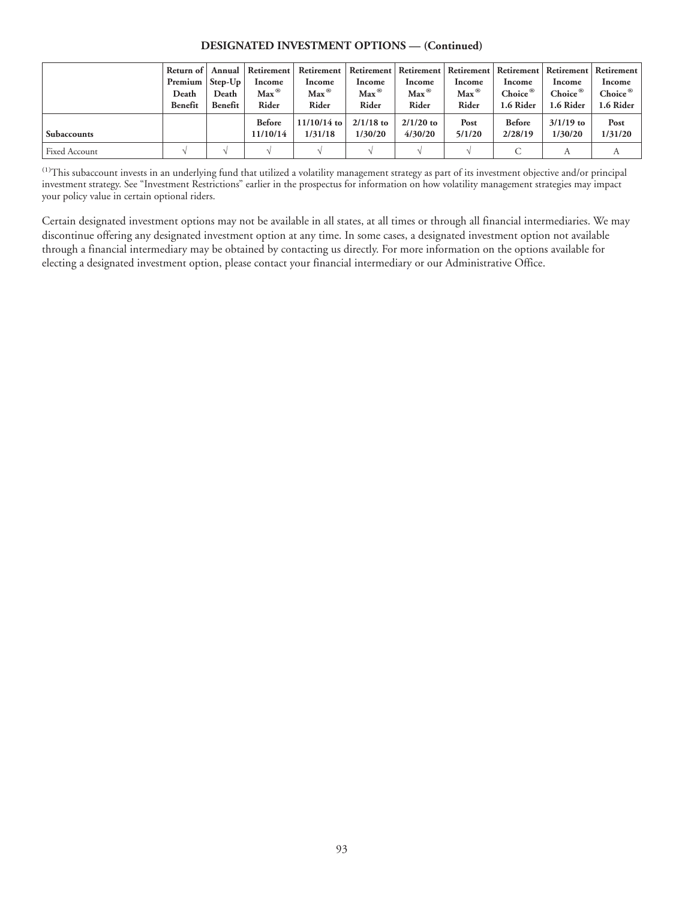#### **DESIGNATED INVESTMENT OPTIONS — (Continued)**

|                      | $P$ remium   Step-Up |                  | Return of   Annual   Retirement<br>Income | Retirement   Retirement   Retirement   Retirement  <br>Income | Income                     | Income                     | Income                     | Income                           | Income                           | Retirement   Retirement   Retirement  <br>Income |
|----------------------|----------------------|------------------|-------------------------------------------|---------------------------------------------------------------|----------------------------|----------------------------|----------------------------|----------------------------------|----------------------------------|--------------------------------------------------|
|                      | Death<br>Benefit     | Death<br>Benefit | $Max^{\circledR}$<br>Rider                | $Max^{\circledR}$<br>Rider                                    | $Max^{\circledR}$<br>Rider | $Max^{\circledR}$<br>Rider | $Max^{\circledR}$<br>Rider | Choice <sup>®</sup><br>1.6 Rider | Choice <sup>®</sup><br>1.6 Rider | Choice $^\circledR$<br>1.6 Rider                 |
| <b>Subaccounts</b>   |                      |                  | <b>Before</b><br>11/10/14                 | $11/10/14$ to<br>1/31/18                                      | $2/1/18$ to<br>1/30/20     | $2/1/20$ to<br>4/30/20     | Post<br>5/1/20             | <b>Before</b><br>2/28/19         | $3/1/19$ to<br>1/30/20           | Post<br>1/31/20                                  |
| <b>Fixed Account</b> |                      |                  |                                           |                                                               |                            |                            |                            |                                  | А                                |                                                  |

(1)This subaccount invests in an underlying fund that utilized a volatility management strategy as part of its investment objective and/or principal investment strategy. See "Investment Restrictions" earlier in the prospectus for information on how volatility management strategies may impact your policy value in certain optional riders.

Certain designated investment options may not be available in all states, at all times or through all financial intermediaries. We may discontinue offering any designated investment option at any time. In some cases, a designated investment option not available through a financial intermediary may be obtained by contacting us directly. For more information on the options available for electing a designated investment option, please contact your financial intermediary or our Administrative Office.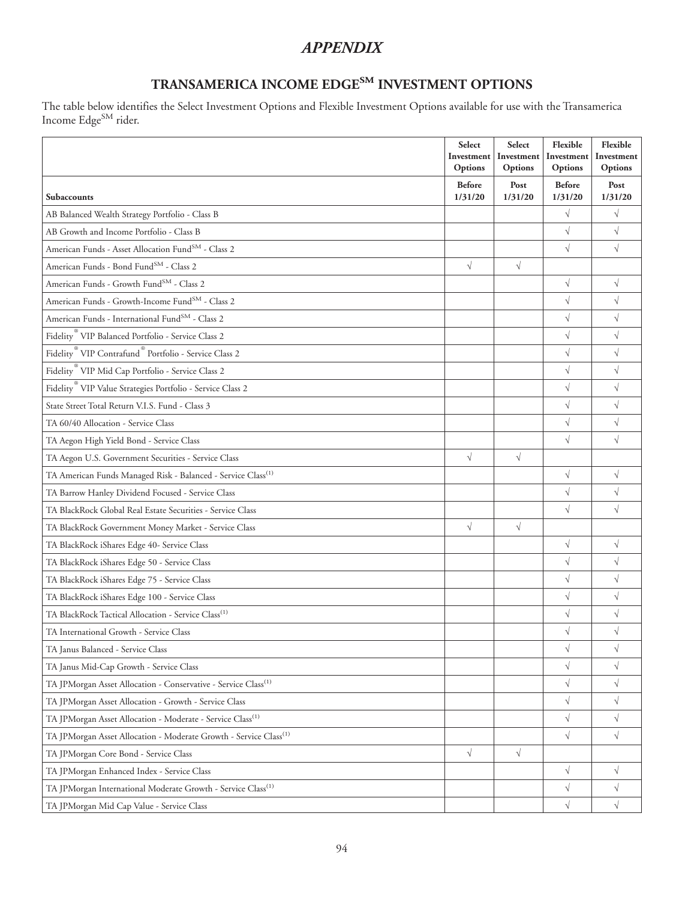# *APPENDIX*

# **TRANSAMERICA INCOME EDGESM INVESTMENT OPTIONS**

The table below identifies the Select Investment Options and Flexible Investment Options available for use with the Transamerica Income Edge<sup>SM</sup> rider.

|                                                                               | Select<br>Investment<br>Options | Select<br>Investment<br>Options | Flexible<br>Investment<br>Options | Flexible<br>Investment<br>Options |
|-------------------------------------------------------------------------------|---------------------------------|---------------------------------|-----------------------------------|-----------------------------------|
| <b>Subaccounts</b>                                                            | <b>Before</b><br>1/31/20        | Post<br>1/31/20                 | <b>Before</b><br>1/31/20          | Post<br>1/31/20                   |
| AB Balanced Wealth Strategy Portfolio - Class B                               |                                 |                                 | $\sqrt{}$                         | $\sqrt{}$                         |
| AB Growth and Income Portfolio - Class B                                      |                                 |                                 | $\sqrt{}$                         | $\sqrt{}$                         |
| American Funds - Asset Allocation Fund <sup>SM</sup> - Class 2                |                                 |                                 | $\sqrt{}$                         | $\sqrt{}$                         |
| American Funds - Bond Fund <sup>SM</sup> - Class 2                            | $\sqrt{}$                       | $\sqrt{}$                       |                                   |                                   |
| American Funds - Growth Fund <sup>SM</sup> - Class 2                          |                                 |                                 | $\sqrt{}$                         | $\sqrt{}$                         |
| American Funds - Growth-Income Fund <sup>SM</sup> - Class 2                   |                                 |                                 | $\sqrt{}$                         | $\sqrt{}$                         |
| American Funds - International Fund <sup>SM</sup> - Class 2                   |                                 |                                 | $\sqrt{}$                         | $\sqrt{}$                         |
| Fidelity <sup>®</sup> VIP Balanced Portfolio - Service Class 2                |                                 |                                 | $\sqrt{}$                         | $\sqrt{ }$                        |
| Fidelity <sup>®</sup> VIP Contrafund <sup>®</sup> Portfolio - Service Class 2 |                                 |                                 | $\sqrt{}$                         | $\sqrt{}$                         |
| Fidelity <sup>®</sup> VIP Mid Cap Portfolio - Service Class 2                 |                                 |                                 | $\sqrt{}$                         | $\sqrt{}$                         |
| Fidelity <sup>®</sup> VIP Value Strategies Portfolio - Service Class 2        |                                 |                                 | $\sqrt{}$                         | $\sqrt{}$                         |
| State Street Total Return V.I.S. Fund - Class 3                               |                                 |                                 | $\sqrt{}$                         | $\sqrt{}$                         |
| TA 60/40 Allocation - Service Class                                           |                                 |                                 | $\sqrt{}$                         | $\sqrt{}$                         |
| TA Aegon High Yield Bond - Service Class                                      |                                 |                                 | $\sqrt{}$                         | $\sqrt{}$                         |
| TA Aegon U.S. Government Securities - Service Class                           | $\sqrt{}$                       | $\sqrt{}$                       |                                   |                                   |
| TA American Funds Managed Risk - Balanced - Service Class <sup>(1)</sup>      |                                 |                                 | $\sqrt{}$                         | $\sqrt{}$                         |
| TA Barrow Hanley Dividend Focused - Service Class                             |                                 |                                 | $\sqrt{}$                         | $\sqrt{}$                         |
| TA BlackRock Global Real Estate Securities - Service Class                    |                                 |                                 | $\sqrt{}$                         | $\sqrt{}$                         |
| TA BlackRock Government Money Market - Service Class                          | $\sqrt{}$                       | $\sqrt{}$                       |                                   |                                   |
| TA BlackRock iShares Edge 40- Service Class                                   |                                 |                                 | $\sqrt{}$                         | $\sqrt{}$                         |
| TA BlackRock iShares Edge 50 - Service Class                                  |                                 |                                 | $\sqrt{}$                         | $\sqrt{}$                         |
| TA BlackRock iShares Edge 75 - Service Class                                  |                                 |                                 | $\sqrt{}$                         | $\sqrt{}$                         |
| TA BlackRock iShares Edge 100 - Service Class                                 |                                 |                                 | $\sqrt{}$                         | $\sqrt{}$                         |
| TA BlackRock Tactical Allocation - Service Class <sup>(1)</sup>               |                                 |                                 | $\sqrt{}$                         | $\sqrt{}$                         |
| TA International Growth - Service Class                                       |                                 |                                 | $\sqrt{}$                         | $\sqrt{}$                         |
| TA Janus Balanced - Service Class                                             |                                 |                                 | $\sqrt{}$                         | $\sqrt{}$                         |
| TA Janus Mid-Cap Growth - Service Class                                       |                                 |                                 | $\sqrt{}$                         | $\sqrt{}$                         |
| TA JPMorgan Asset Allocation - Conservative - Service Class <sup>(1)</sup>    |                                 |                                 | $\sqrt{}$                         | $\sqrt{}$                         |
| TA JPMorgan Asset Allocation - Growth - Service Class                         |                                 |                                 | $\sqrt{}$                         | $\sqrt{ }$                        |
| TA JPMorgan Asset Allocation - Moderate - Service Class <sup>(1)</sup>        |                                 |                                 | $\sqrt{}$                         | $\sqrt{}$                         |
| TA JPMorgan Asset Allocation - Moderate Growth - Service Class <sup>(1)</sup> |                                 |                                 | $\sqrt{}$                         | $\sqrt{ }$                        |
| TA JPMorgan Core Bond - Service Class                                         | $\sqrt{}$                       | $\sqrt{ }$                      |                                   |                                   |
| TA JPMorgan Enhanced Index - Service Class                                    |                                 |                                 | $\sqrt{}$                         | $\sqrt{}$                         |
| TA JPMorgan International Moderate Growth - Service Class <sup>(1)</sup>      |                                 |                                 | $\sqrt{}$                         | $\sqrt{}$                         |
| TA JPMorgan Mid Cap Value - Service Class                                     |                                 |                                 | $\sqrt{}$                         | $\sqrt{}$                         |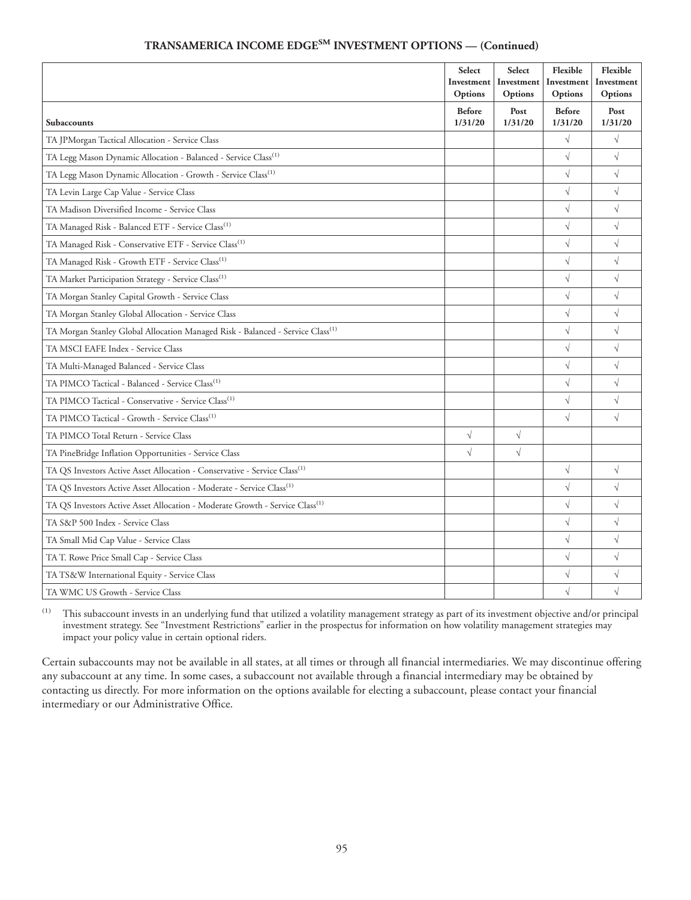| <b>TRANSAMERICA INCOME EDGESM INVESTMENT OPTIONS — (Continued)</b> |  |  |  |
|--------------------------------------------------------------------|--|--|--|
|--------------------------------------------------------------------|--|--|--|

|                                                                                            | Select<br>Investment<br>Options | Select<br>Investment<br>Options | Flexible<br>Investment<br>Options | Flexible<br>Investment<br>Options |
|--------------------------------------------------------------------------------------------|---------------------------------|---------------------------------|-----------------------------------|-----------------------------------|
| Subaccounts                                                                                | <b>Before</b><br>1/31/20        | Post<br>1/31/20                 | <b>Before</b><br>1/31/20          | Post<br>1/31/20                   |
| TA JPMorgan Tactical Allocation - Service Class                                            |                                 |                                 | $\sqrt{}$                         | $\sqrt{}$                         |
| TA Legg Mason Dynamic Allocation - Balanced - Service Class <sup>(1)</sup>                 |                                 |                                 | $\sqrt{}$                         | $\sqrt{}$                         |
| TA Legg Mason Dynamic Allocation - Growth - Service Class <sup>(1)</sup>                   |                                 |                                 | $\sqrt{}$                         | $\sqrt{}$                         |
| TA Levin Large Cap Value - Service Class                                                   |                                 |                                 | $\sqrt{}$                         | $\sqrt{2}$                        |
| TA Madison Diversified Income - Service Class                                              |                                 |                                 | $\sqrt{}$                         | $\sqrt{}$                         |
| TA Managed Risk - Balanced ETF - Service Class <sup>(1)</sup>                              |                                 |                                 | $\sqrt{}$                         | $\sqrt{}$                         |
| TA Managed Risk - Conservative ETF - Service Class <sup>(1)</sup>                          |                                 |                                 | $\sqrt{}$                         | $\sqrt{}$                         |
| TA Managed Risk - Growth ETF - Service Class <sup>(1)</sup>                                |                                 |                                 | $\sqrt{}$                         | $\sqrt{}$                         |
| TA Market Participation Strategy - Service Class <sup>(1)</sup>                            |                                 |                                 | $\sqrt{}$                         | $\sqrt{}$                         |
| TA Morgan Stanley Capital Growth - Service Class                                           |                                 |                                 | $\sqrt{}$                         | $\sqrt{}$                         |
| TA Morgan Stanley Global Allocation - Service Class                                        |                                 |                                 | $\sqrt{}$                         | $\sqrt{}$                         |
| TA Morgan Stanley Global Allocation Managed Risk - Balanced - Service Class <sup>(1)</sup> |                                 |                                 | $\sqrt{}$                         | $\sqrt{}$                         |
| TA MSCI EAFE Index - Service Class                                                         |                                 |                                 | $\sqrt{}$                         | $\sqrt{}$                         |
| TA Multi-Managed Balanced - Service Class                                                  |                                 |                                 | $\sqrt{}$                         | $\sqrt{}$                         |
| TA PIMCO Tactical - Balanced - Service Class <sup>(1)</sup>                                |                                 |                                 | $\sqrt{}$                         | $\sqrt{}$                         |
| TA PIMCO Tactical - Conservative - Service Class <sup>(1)</sup>                            |                                 |                                 | $\sqrt{}$                         | $\sqrt{}$                         |
| TA PIMCO Tactical - Growth - Service Class <sup>(1)</sup>                                  |                                 |                                 | $\sqrt{}$                         | $\sqrt{}$                         |
| TA PIMCO Total Return - Service Class                                                      | $\sqrt{}$                       | $\sqrt{}$                       |                                   |                                   |
| TA PineBridge Inflation Opportunities - Service Class                                      | $\sqrt{}$                       | $\sqrt{}$                       |                                   |                                   |
| TA QS Investors Active Asset Allocation - Conservative - Service Class <sup>(1)</sup>      |                                 |                                 | $\sqrt{}$                         | $\sqrt{}$                         |
| TA QS Investors Active Asset Allocation - Moderate - Service Class <sup>(1)</sup>          |                                 |                                 | $\sqrt{}$                         | $\sqrt{}$                         |
| TA QS Investors Active Asset Allocation - Moderate Growth - Service Class <sup>(1)</sup>   |                                 |                                 | $\sqrt{}$                         | $\sqrt{}$                         |
| TA S&P 500 Index - Service Class                                                           |                                 |                                 | $\sqrt{}$                         | $\sqrt{}$                         |
| TA Small Mid Cap Value - Service Class                                                     |                                 |                                 | $\sqrt{}$                         | $\sqrt{}$                         |
| TA T. Rowe Price Small Cap - Service Class                                                 |                                 |                                 | $\sqrt{}$                         | $\sqrt{}$                         |
| TA TS&W International Equity - Service Class                                               |                                 |                                 | $\sqrt{}$                         | $\sqrt{}$                         |
| TA WMC US Growth - Service Class                                                           |                                 |                                 | $\sqrt{}$                         | $\sqrt{}$                         |

(1) This subaccount invests in an underlying fund that utilized a volatility management strategy as part of its investment objective and/or principal investment strategy. See "Investment Restrictions" earlier in the prospectus for information on how volatility management strategies may impact your policy value in certain optional riders.

Certain subaccounts may not be available in all states, at all times or through all financial intermediaries. We may discontinue offering any subaccount at any time. In some cases, a subaccount not available through a financial intermediary may be obtained by contacting us directly. For more information on the options available for electing a subaccount, please contact your financial intermediary or our Administrative Office.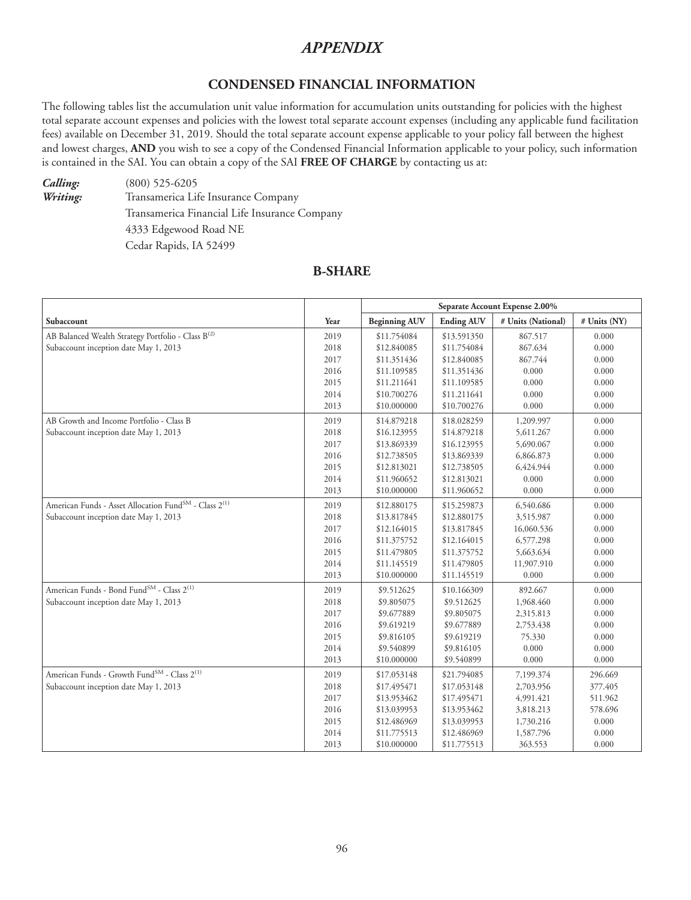# *APPENDIX*

### **CONDENSED FINANCIAL INFORMATION**

The following tables list the accumulation unit value information for accumulation units outstanding for policies with the highest total separate account expenses and policies with the lowest total separate account expenses (including any applicable fund facilitation fees) available on December 31, 2019. Should the total separate account expense applicable to your policy fall between the highest and lowest charges, **AND** you wish to see a copy of the Condensed Financial Information applicable to your policy, such information is contained in the SAI. You can obtain a copy of the SAI **FREE OF CHARGE** by contacting us at:

*Calling:* (800) 525-6205 *Writing:* Transamerica Life Insurance Company Transamerica Financial Life Insurance Company 4333 Edgewood Road NE Cedar Rapids, IA 52499

## **B-SHARE**

|                                                                               |      | Separate Account Expense 2.00% |                   |                    |              |  |  |
|-------------------------------------------------------------------------------|------|--------------------------------|-------------------|--------------------|--------------|--|--|
| Subaccount                                                                    | Year | <b>Beginning AUV</b>           | <b>Ending AUV</b> | # Units (National) | # Units (NY) |  |  |
| AB Balanced Wealth Strategy Portfolio - Class B <sup>(2)</sup>                | 2019 | \$11.754084                    | \$13.591350       | 867.517            | 0.000        |  |  |
| Subaccount inception date May 1, 2013                                         | 2018 | \$12.840085                    | \$11.754084       | 867.634            | 0.000        |  |  |
|                                                                               | 2017 | \$11.351436                    | \$12.840085       | 867.744            | 0.000        |  |  |
|                                                                               | 2016 | \$11.109585                    | \$11.351436       | 0.000              | 0.000        |  |  |
|                                                                               | 2015 | \$11.211641                    | \$11.109585       | 0.000              | 0.000        |  |  |
|                                                                               | 2014 | \$10.700276                    | \$11.211641       | 0.000              | 0.000        |  |  |
|                                                                               | 2013 | \$10.000000                    | \$10.700276       | 0.000              | 0.000        |  |  |
| AB Growth and Income Portfolio - Class B                                      | 2019 | \$14.879218                    | \$18.028259       | 1,209.997          | 0.000        |  |  |
| Subaccount inception date May 1, 2013                                         | 2018 | \$16.123955                    | \$14.879218       | 5,611.267          | 0.000        |  |  |
|                                                                               | 2017 | \$13.869339                    | \$16.123955       | 5,690.067          | 0.000        |  |  |
|                                                                               | 2016 | \$12.738505                    | \$13.869339       | 6,866.873          | 0.000        |  |  |
|                                                                               | 2015 | \$12.813021                    | \$12.738505       | 6,424.944          | 0.000        |  |  |
|                                                                               | 2014 | \$11.960652                    | \$12.813021       | 0.000              | 0.000        |  |  |
|                                                                               | 2013 | \$10.000000                    | \$11.960652       | 0.000              | 0.000        |  |  |
| American Funds - Asset Allocation Fund <sup>SM</sup> - Class 2 <sup>(1)</sup> | 2019 | \$12.880175                    | \$15.259873       | 6,540.686          | 0.000        |  |  |
| Subaccount inception date May 1, 2013                                         | 2018 | \$13.817845                    | \$12.880175       | 3,515.987          | 0.000        |  |  |
|                                                                               | 2017 | \$12.164015                    | \$13.817845       | 16,060.536         | 0.000        |  |  |
|                                                                               | 2016 | \$11.375752                    | \$12.164015       | 6,577.298          | 0.000        |  |  |
|                                                                               | 2015 | \$11.479805                    | \$11.375752       | 5,663.634          | 0.000        |  |  |
|                                                                               | 2014 | \$11.145519                    | \$11.479805       | 11,907.910         | 0.000        |  |  |
|                                                                               | 2013 | \$10.000000                    | \$11.145519       | 0.000              | 0.000        |  |  |
| American Funds - Bond Fund <sup>SM</sup> - Class 2 <sup>(1)</sup>             | 2019 | \$9.512625                     | \$10.166309       | 892.667            | 0.000        |  |  |
| Subaccount inception date May 1, 2013                                         | 2018 | \$9.805075                     | \$9.512625        | 1,968.460          | 0.000        |  |  |
|                                                                               | 2017 | \$9.677889                     | \$9.805075        | 2,315.813          | 0.000        |  |  |
|                                                                               | 2016 | \$9.619219                     | \$9.677889        | 2,753.438          | 0.000        |  |  |
|                                                                               | 2015 | \$9.816105                     | \$9.619219        | 75.330             | 0.000        |  |  |
|                                                                               | 2014 | \$9.540899                     | \$9.816105        | 0.000              | 0.000        |  |  |
|                                                                               | 2013 | \$10.000000                    | \$9.540899        | 0.000              | 0.000        |  |  |
| American Funds - Growth Fund <sup>SM</sup> - Class 2 <sup>(1)</sup>           | 2019 | \$17.053148                    | \$21.794085       | 7,199.374          | 296.669      |  |  |
| Subaccount inception date May 1, 2013                                         | 2018 | \$17.495471                    | \$17.053148       | 2,703.956          | 377.405      |  |  |
|                                                                               | 2017 | \$13.953462                    | \$17.495471       | 4,991.421          | 511.962      |  |  |
|                                                                               | 2016 | \$13.039953                    | \$13.953462       | 3,818.213          | 578.696      |  |  |
|                                                                               | 2015 | \$12.486969                    | \$13.039953       | 1,730.216          | 0.000        |  |  |
|                                                                               | 2014 | \$11.775513                    | \$12.486969       | 1,587.796          | 0.000        |  |  |
|                                                                               | 2013 | \$10.000000                    | \$11.775513       | 363.553            | 0.000        |  |  |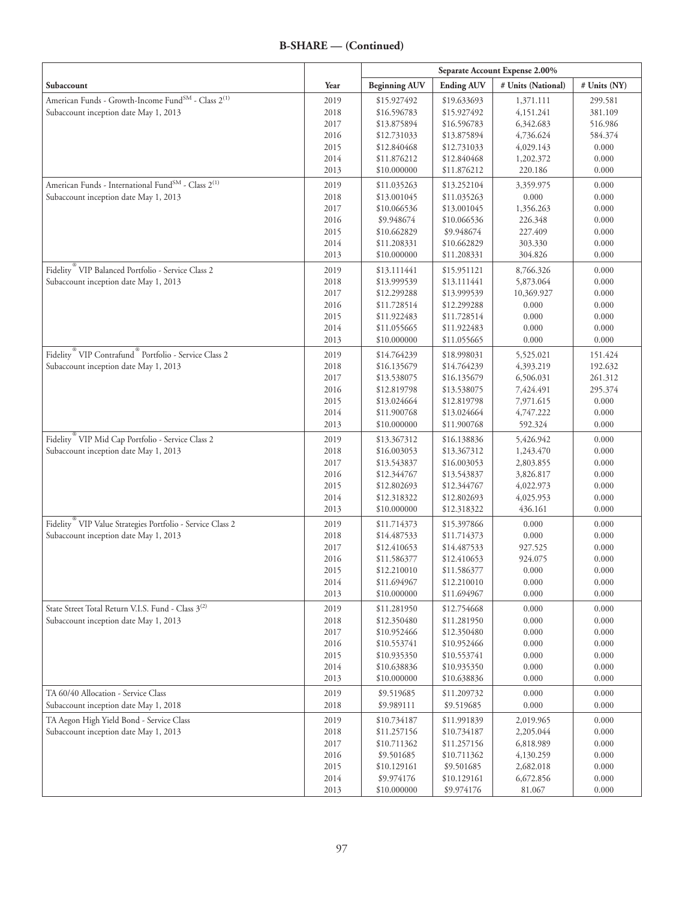#### **B-SHARE — (Continued)**

|                                                                               |              | Separate Account Expense 2.00% |                            |                        |                    |
|-------------------------------------------------------------------------------|--------------|--------------------------------|----------------------------|------------------------|--------------------|
| Subaccount                                                                    | Year         | <b>Beginning AUV</b>           | <b>Ending AUV</b>          | # Units (National)     | # Units (NY)       |
| American Funds - Growth-Income Fund <sup>SM</sup> - Class 2 <sup>(1)</sup>    | 2019         | \$15.927492                    | \$19.633693                | 1,371.111              | 299.581            |
| Subaccount inception date May 1, 2013                                         | 2018         | \$16.596783                    | \$15.927492                | 4,151.241              | 381.109            |
|                                                                               | 2017         | \$13.875894                    | \$16.596783                | 6,342.683              | 516.986            |
|                                                                               | 2016         | \$12.731033                    | \$13.875894                | 4,736.624              | 584.374            |
|                                                                               | 2015         | \$12.840468                    | \$12.731033                | 4,029.143              | 0.000              |
|                                                                               | 2014<br>2013 | \$11.876212<br>\$10.000000     | \$12.840468<br>\$11.876212 | 1,202.372<br>220.186   | 0.000<br>0.000     |
| American Funds - International Fund $^{\rm SM}$ - Class $2^{(1)}$             |              |                                |                            |                        |                    |
| Subaccount inception date May 1, 2013                                         | 2019<br>2018 | \$11.035263<br>\$13.001045     | \$13.252104<br>\$11.035263 | 3,359.975<br>0.000     | 0.000<br>0.000     |
|                                                                               | 2017         | \$10.066536                    | \$13.001045                | 1,356.263              | 0.000              |
|                                                                               | 2016         | \$9.948674                     | \$10.066536                | 226.348                | 0.000              |
|                                                                               | 2015         | \$10.662829                    | \$9.948674                 | 227.409                | 0.000              |
|                                                                               | 2014         | \$11.208331                    | \$10.662829                | 303.330                | 0.000              |
|                                                                               | 2013         | \$10.000000                    | \$11.208331                | 304.826                | 0.000              |
| Fidelity <sup>®</sup> VIP Balanced Portfolio - Service Class 2                | 2019         | \$13.111441                    | \$15.951121                | 8,766.326              | 0.000              |
| Subaccount inception date May 1, 2013                                         | 2018         | \$13.999539                    | \$13.111441                | 5,873.064              | 0.000              |
|                                                                               | 2017         | \$12.299288                    | \$13.999539                | 10,369.927             | 0.000              |
|                                                                               | 2016         | \$11.728514                    | \$12.299288                | 0.000                  | 0.000              |
|                                                                               | 2015         | \$11.922483                    | \$11.728514                | 0.000                  | 0.000              |
|                                                                               | 2014<br>2013 | \$11.055665<br>\$10.000000     | \$11.922483<br>\$11.055665 | 0.000<br>0.000         | 0.000<br>0.000     |
| Fidelity <sup>®</sup> VIP Contrafund <sup>®</sup> Portfolio - Service Class 2 |              |                                |                            |                        |                    |
| Subaccount inception date May 1, 2013                                         | 2019<br>2018 | \$14.764239<br>\$16.135679     | \$18.998031<br>\$14.764239 | 5,525.021<br>4,393.219 | 151.424<br>192.632 |
|                                                                               | 2017         | \$13.538075                    | \$16.135679                | 6,506.031              | 261.312            |
|                                                                               | 2016         | \$12.819798                    | \$13.538075                | 7,424.491              | 295.374            |
|                                                                               | 2015         | \$13.024664                    | \$12.819798                | 7,971.615              | 0.000              |
|                                                                               | 2014         | \$11.900768                    | \$13.024664                | 4,747.222              | 0.000              |
|                                                                               | 2013         | \$10.000000                    | \$11.900768                | 592.324                | 0.000              |
| Fidelity <sup>®</sup> VIP Mid Cap Portfolio - Service Class 2                 | 2019         | \$13.367312                    | \$16.138836                | 5,426.942              | 0.000              |
| Subaccount inception date May 1, 2013                                         | 2018         | \$16.003053                    | \$13.367312                | 1,243.470              | 0.000              |
|                                                                               | 2017         | \$13.543837                    | \$16.003053                | 2,803.855              | 0.000              |
|                                                                               | 2016         | \$12.344767                    | \$13.543837                | 3,826.817              | 0.000              |
|                                                                               | 2015         | \$12.802693                    | \$12.344767                | 4,022.973              | 0.000              |
|                                                                               | 2014<br>2013 | \$12.318322<br>\$10.000000     | \$12.802693<br>\$12.318322 | 4,025.953<br>436.161   | 0.000<br>0.000     |
| Fidelity <sup>®</sup> VIP Value Strategies Portfolio - Service Class 2        | 2019         | \$11.714373                    | \$15.397866                | 0.000                  | 0.000              |
| Subaccount inception date May 1, 2013                                         | 2018         | \$14.487533                    | \$11.714373                | 0.000                  | 0.000              |
|                                                                               | 2017         | \$12.410653                    | \$14.487533                | 927.525                | 0.000              |
|                                                                               | 2016         | \$11.586377                    | \$12.410653                | 924.075                | 0.000              |
|                                                                               | 2015         | \$12.210010                    | \$11.586377                | 0.000                  | 0.000              |
|                                                                               | 2014         | \$11.694967                    | \$12.210010                | 0.000                  | 0.000              |
|                                                                               | 2013         | \$10.000000                    | \$11.694967                | 0.000                  | 0.000              |
| State Street Total Return V.I.S. Fund - Class 3 <sup>(2)</sup>                | 2019         | \$11.281950                    | \$12.754668                | 0.000                  | 0.000              |
| Subaccount inception date May 1, 2013                                         | 2018         | \$12.350480                    | \$11.281950                | 0.000                  | 0.000              |
|                                                                               | 2017         | \$10.952466                    | \$12.350480                | 0.000                  | 0.000              |
|                                                                               | 2016<br>2015 | \$10.553741<br>\$10.935350     | \$10.952466<br>\$10.553741 | 0.000<br>0.000         | 0.000<br>0.000     |
|                                                                               | 2014         | \$10.638836                    | \$10.935350                | 0.000                  | 0.000              |
|                                                                               | 2013         | \$10.000000                    | \$10.638836                | 0.000                  | 0.000              |
| TA 60/40 Allocation - Service Class                                           | 2019         | \$9.519685                     | \$11.209732                | 0.000                  | 0.000              |
| Subaccount inception date May 1, 2018                                         | 2018         | \$9.989111                     | \$9.519685                 | 0.000                  | 0.000              |
| TA Aegon High Yield Bond - Service Class                                      | 2019         | \$10.734187                    | \$11.991839                | 2,019.965              | 0.000              |
| Subaccount inception date May 1, 2013                                         | 2018         | \$11.257156                    | \$10.734187                | 2,205.044              | 0.000              |
|                                                                               | 2017         | \$10.711362                    | \$11.257156                | 6,818.989              | 0.000              |
|                                                                               | 2016         | \$9.501685                     | \$10.711362                | 4,130.259              | 0.000              |
|                                                                               | 2015         | \$10.129161                    | \$9.501685                 | 2,682.018              | 0.000              |
|                                                                               | 2014         | \$9.974176                     | \$10.129161                | 6,672.856              | 0.000              |
|                                                                               | 2013         | \$10.000000                    | \$9.974176                 | 81.067                 | 0.000              |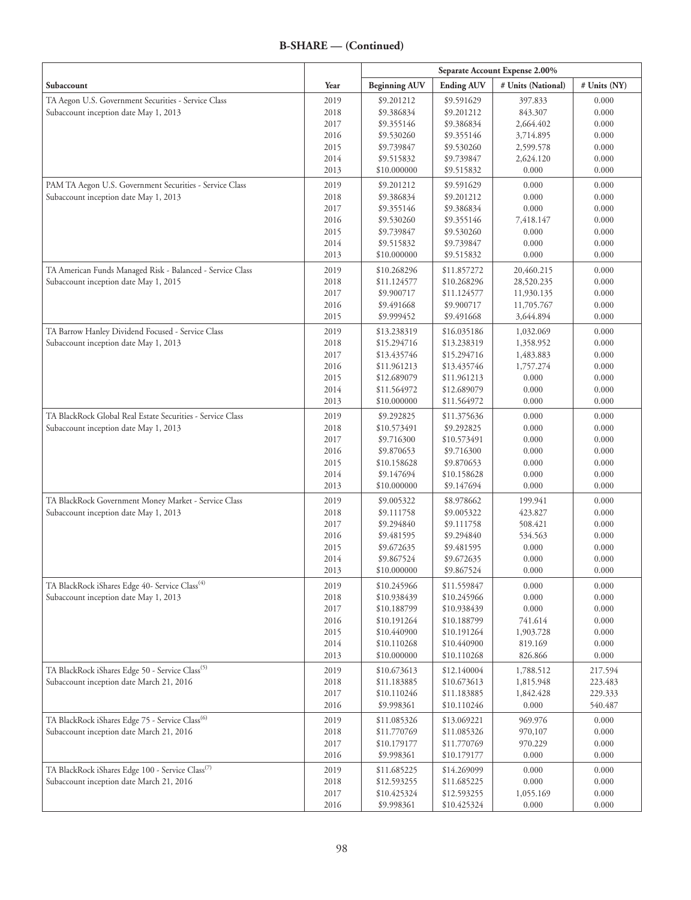# **B-SHARE — (Continued)**

|                                                                                                    |              | Separate Account Expense 2.00% |                            |                          |                |
|----------------------------------------------------------------------------------------------------|--------------|--------------------------------|----------------------------|--------------------------|----------------|
| Subaccount                                                                                         | Year         | <b>Beginning AUV</b>           | <b>Ending AUV</b>          | # Units (National)       | # Units (NY)   |
| TA Aegon U.S. Government Securities - Service Class                                                | 2019         | \$9.201212                     | \$9.591629                 | 397.833                  | 0.000          |
| Subaccount inception date May 1, 2013                                                              | 2018         | \$9.386834                     | \$9.201212                 | 843.307                  | 0.000          |
|                                                                                                    | 2017         | \$9.355146                     | \$9.386834                 | 2,664.402                | 0.000          |
|                                                                                                    | 2016         | \$9.530260                     | \$9.355146                 | 3,714.895                | 0.000          |
|                                                                                                    | 2015         | \$9.739847                     | \$9.530260                 | 2,599.578                | 0.000          |
|                                                                                                    | 2014         | \$9.515832                     | \$9.739847                 | 2,624.120                | 0.000          |
|                                                                                                    | 2013         | \$10.000000                    | \$9.515832                 | 0.000                    | 0.000          |
| PAM TA Aegon U.S. Government Securities - Service Class                                            | 2019         | \$9.201212                     | \$9.591629                 | 0.000                    | 0.000          |
| Subaccount inception date May 1, 2013                                                              | 2018         | \$9.386834                     | \$9.201212                 | 0.000                    | 0.000          |
|                                                                                                    | 2017         | \$9.355146                     | \$9.386834                 | 0.000                    | 0.000          |
|                                                                                                    | 2016<br>2015 | \$9.530260<br>\$9.739847       | \$9.355146                 | 7,418.147<br>0.000       | 0.000<br>0.000 |
|                                                                                                    | 2014         | \$9.515832                     | \$9.530260<br>\$9.739847   | 0.000                    | 0.000          |
|                                                                                                    | 2013         | \$10.000000                    | \$9.515832                 | 0.000                    | 0.000          |
|                                                                                                    |              |                                |                            |                          |                |
| TA American Funds Managed Risk - Balanced - Service Class<br>Subaccount inception date May 1, 2015 | 2019<br>2018 | \$10.268296<br>\$11.124577     | \$11.857272<br>\$10.268296 | 20,460.215<br>28,520.235 | 0.000<br>0.000 |
|                                                                                                    | 2017         | \$9.900717                     | \$11.124577                | 11,930.135               | 0.000          |
|                                                                                                    | 2016         | \$9.491668                     | \$9.900717                 | 11,705.767               | 0.000          |
|                                                                                                    | 2015         | \$9.999452                     | \$9.491668                 | 3,644.894                | 0.000          |
| TA Barrow Hanley Dividend Focused - Service Class                                                  | 2019         | \$13.238319                    | \$16.035186                | 1,032.069                | 0.000          |
| Subaccount inception date May 1, 2013                                                              | 2018         | \$15.294716                    | \$13.238319                | 1,358.952                | 0.000          |
|                                                                                                    | 2017         | \$13.435746                    | \$15.294716                | 1,483.883                | 0.000          |
|                                                                                                    | 2016         | \$11.961213                    | \$13.435746                | 1,757.274                | 0.000          |
|                                                                                                    | 2015         | \$12.689079                    | \$11.961213                | 0.000                    | 0.000          |
|                                                                                                    | 2014         | \$11.564972                    | \$12.689079                | 0.000                    | 0.000          |
|                                                                                                    | 2013         | \$10.000000                    | \$11.564972                | 0.000                    | 0.000          |
| TA BlackRock Global Real Estate Securities - Service Class                                         | 2019         | \$9.292825                     | \$11.375636                | 0.000                    | 0.000          |
| Subaccount inception date May 1, 2013                                                              | 2018         | \$10.573491                    | \$9.292825                 | 0.000                    | 0.000          |
|                                                                                                    | 2017         | \$9.716300                     | \$10.573491                | 0.000                    | 0.000          |
|                                                                                                    | 2016         | \$9.870653                     | \$9.716300                 | 0.000                    | 0.000          |
|                                                                                                    | 2015         | \$10.158628                    | \$9.870653                 | 0.000                    | 0.000          |
|                                                                                                    | 2014         | \$9.147694                     | \$10.158628                | 0.000                    | 0.000          |
|                                                                                                    | 2013         | \$10.000000                    | \$9.147694                 | 0.000                    | 0.000          |
| TA BlackRock Government Money Market - Service Class                                               | 2019         | \$9.005322                     | \$8.978662                 | 199.941                  | 0.000          |
| Subaccount inception date May 1, 2013                                                              | 2018         | \$9.111758                     | \$9.005322                 | 423.827                  | 0.000          |
|                                                                                                    | 2017         | \$9.294840                     | \$9.111758                 | 508.421                  | 0.000          |
|                                                                                                    | 2016         | \$9.481595                     | \$9.294840                 | 534.563                  | 0.000          |
|                                                                                                    | 2015         | \$9.672635                     | \$9.481595                 | 0.000                    | 0.000<br>0.000 |
|                                                                                                    | 2014<br>2013 | \$9.867524<br>\$10.000000      | \$9.672635<br>\$9.867524   | 0.000<br>0.000           | 0.000          |
| TA BlackRock iShares Edge 40- Service Class <sup>(4)</sup>                                         |              |                                |                            |                          |                |
| Subaccount inception date May 1, 2013                                                              | 2019<br>2018 | \$10.245966<br>\$10.938439     | \$11.559847<br>\$10.245966 | 0.000<br>0.000           | 0.000<br>0.000 |
|                                                                                                    | 2017         | \$10.188799                    | \$10.938439                | 0.000                    | 0.000          |
|                                                                                                    | 2016         | \$10.191264                    | \$10.188799                | 741.614                  | 0.000          |
|                                                                                                    | 2015         | \$10.440900                    | \$10.191264                | 1,903.728                | 0.000          |
|                                                                                                    | 2014         | \$10.110268                    | \$10.440900                | 819.169                  | 0.000          |
|                                                                                                    | 2013         | \$10.000000                    | \$10.110268                | 826.866                  | 0.000          |
| TA BlackRock iShares Edge 50 - Service Class <sup>(5)</sup>                                        | 2019         | \$10.673613                    | \$12.140004                | 1,788.512                | 217.594        |
| Subaccount inception date March 21, 2016                                                           | 2018         | \$11.183885                    | \$10.673613                | 1,815.948                | 223.483        |
|                                                                                                    | 2017         | \$10.110246                    | \$11.183885                | 1,842.428                | 229.333        |
|                                                                                                    | 2016         | \$9.998361                     | \$10.110246                | 0.000                    | 540.487        |
| TA BlackRock iShares Edge 75 - Service Class <sup>(6)</sup>                                        | 2019         | \$11.085326                    | \$13.069221                | 969.976                  | 0.000          |
| Subaccount inception date March 21, 2016                                                           | 2018         | \$11.770769                    | \$11.085326                | 970,107                  | 0.000          |
|                                                                                                    | 2017         | \$10.179177                    | \$11.770769                | 970.229                  | 0.000          |
|                                                                                                    | 2016         | \$9.998361                     | \$10.179177                | 0.000                    | 0.000          |
| TA BlackRock iShares Edge 100 - Service Class <sup>(7)</sup>                                       | 2019         | \$11.685225                    | \$14.269099                | 0.000                    | 0.000          |
| Subaccount inception date March 21, 2016                                                           | 2018         | \$12.593255                    | \$11.685225                | 0.000                    | 0.000          |
|                                                                                                    | 2017         | \$10.425324                    | \$12.593255                | 1,055.169                | 0.000          |
|                                                                                                    | 2016         | \$9.998361                     | \$10.425324                | 0.000                    | 0.000          |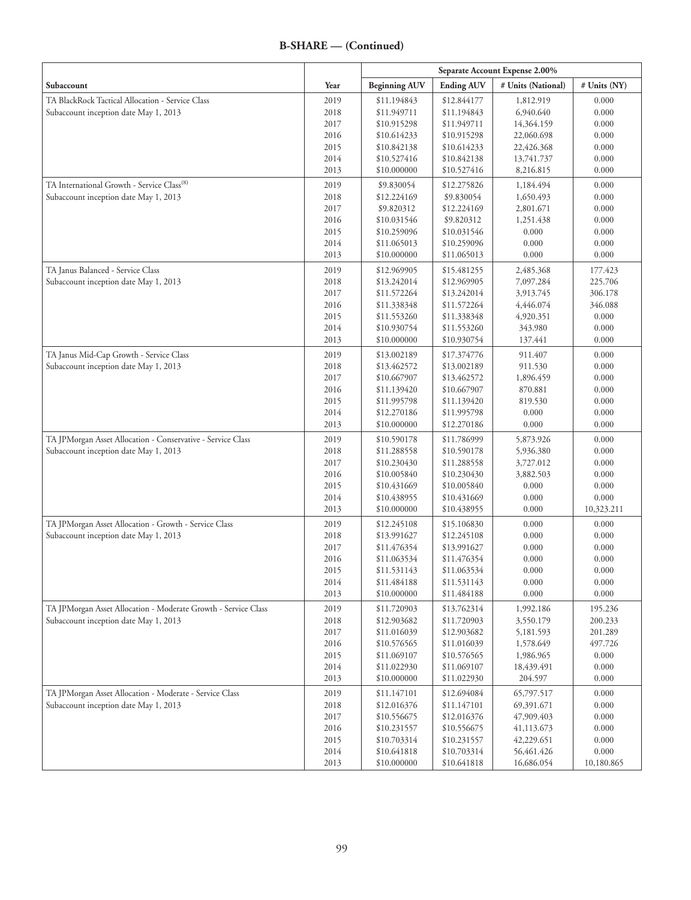| Subaccount                                                                       | Year         | <b>Beginning AUV</b>       | <b>Ending AUV</b>          | # Units (National)      | # Units (NY)     |
|----------------------------------------------------------------------------------|--------------|----------------------------|----------------------------|-------------------------|------------------|
| TA BlackRock Tactical Allocation - Service Class                                 | 2019         | \$11.194843                | \$12.844177                | 1,812.919               | 0.000            |
| Subaccount inception date May 1, 2013                                            | 2018         | \$11.949711                | \$11.194843                | 6,940.640               | 0.000            |
|                                                                                  | 2017         | \$10.915298                | \$11.949711                | 14,364.159              | 0.000            |
|                                                                                  | 2016         | \$10.614233                | \$10.915298                | 22,060.698              | 0.000            |
|                                                                                  | 2015         | \$10.842138                | \$10.614233                | 22,426.368              | 0.000            |
|                                                                                  | 2014         | \$10.527416                | \$10.842138                | 13,741.737              | 0.000            |
|                                                                                  | 2013         | \$10.000000                | \$10.527416                | 8,216.815               | 0.000            |
| TA International Growth - Service Class <sup>(8)</sup>                           | 2019         | \$9.830054                 | \$12.275826                | 1,184.494               | 0.000            |
| Subaccount inception date May 1, 2013                                            | 2018         | \$12.224169                | \$9.830054                 | 1,650.493               | 0.000            |
|                                                                                  | 2017         | \$9.820312                 | \$12.224169                | 2,801.671               | 0.000            |
|                                                                                  | 2016         | \$10.031546                | \$9.820312                 | 1,251.438               | 0.000            |
|                                                                                  | 2015         | \$10.259096                | \$10.031546                | 0.000                   | 0.000            |
|                                                                                  | 2014         | \$11.065013                | \$10.259096                | 0.000                   | 0.000            |
|                                                                                  | 2013         | \$10.000000                | \$11.065013                | 0.000                   | 0.000            |
| TA Janus Balanced - Service Class                                                | 2019         | \$12.969905                | \$15.481255                | 2,485.368               | 177.423          |
| Subaccount inception date May 1, 2013                                            | 2018         | \$13.242014                | \$12.969905                | 7,097.284               | 225.706          |
|                                                                                  | 2017         | \$11.572264                | \$13.242014                | 3,913.745               | 306.178          |
|                                                                                  | 2016         | \$11.338348                | \$11.572264                | 4,446.074               | 346.088          |
|                                                                                  | 2015         | \$11.553260                | \$11.338348                | 4,920.351               | 0.000            |
|                                                                                  | 2014<br>2013 | \$10.930754<br>\$10.000000 | \$11.553260<br>\$10.930754 | 343.980<br>137.441      | 0.000<br>0.000   |
|                                                                                  |              |                            |                            |                         |                  |
| TA Janus Mid-Cap Growth - Service Class<br>Subaccount inception date May 1, 2013 | 2019         | \$13.002189                | \$17.374776<br>\$13.002189 | 911.407                 | 0.000<br>0.000   |
|                                                                                  | 2018<br>2017 | \$13.462572<br>\$10.667907 | \$13.462572                | 911.530<br>1,896.459    | 0.000            |
|                                                                                  | 2016         | \$11.139420                | \$10.667907                | 870.881                 | 0.000            |
|                                                                                  | 2015         | \$11.995798                | \$11.139420                | 819.530                 | 0.000            |
|                                                                                  | 2014         | \$12.270186                | \$11.995798                | 0.000                   | 0.000            |
|                                                                                  | 2013         | \$10.000000                | \$12.270186                | 0.000                   | 0.000            |
| TA JPMorgan Asset Allocation - Conservative - Service Class                      | 2019         | \$10.590178                | \$11.786999                | 5,873.926               | 0.000            |
| Subaccount inception date May 1, 2013                                            | 2018         | \$11.288558                | \$10.590178                | 5,936.380               | 0.000            |
|                                                                                  | 2017         | \$10.230430                | \$11.288558                | 3,727.012               | 0.000            |
|                                                                                  | 2016         | \$10.005840                | \$10.230430                | 3,882.503               | 0.000            |
|                                                                                  | 2015         | \$10.431669                | \$10.005840                | 0.000                   | 0.000            |
|                                                                                  | 2014         | \$10.438955                | \$10.431669                | 0.000                   | 0.000            |
|                                                                                  | 2013         | \$10.000000                | \$10.438955                | 0.000                   | 10,323.211       |
| TA JPMorgan Asset Allocation - Growth - Service Class                            | 2019         | \$12.245108                | \$15.106830                | 0.000                   | 0.000            |
| Subaccount inception date May 1, 2013                                            | 2018         | \$13.991627                | \$12.245108                | 0.000                   | 0.000            |
|                                                                                  | 2017         | \$11.476354                | \$13.991627                | 0.000                   | 0.000            |
|                                                                                  | 2016         | \$11.063534                | \$11.476354                | 0.000                   | 0.000            |
|                                                                                  | 2015         | \$11.531143                | \$11.063534                | 0.000                   | 0.000            |
|                                                                                  | 2014         | \$11.484188                | \$11.531143                | 0.000                   | 0.000            |
|                                                                                  | 2013         | \$10.000000                | \$11.484188                | 0.000                   | 0.000            |
| TA JPMorgan Asset Allocation - Moderate Growth - Service Class                   | 2019         | \$11.720903                | \$13.762314                | 1,992.186               | 195.236          |
| Subaccount inception date May 1, 2013                                            | 2018         | \$12.903682                | \$11.720903                | 3,550.179               | 200.233          |
|                                                                                  | 2017         | \$11.016039                | \$12.903682                | 5,181.593               | 201.289          |
|                                                                                  | 2016<br>2015 | \$10.576565<br>\$11.069107 | \$11.016039<br>\$10.576565 | 1,578.649               | 497.726<br>0.000 |
|                                                                                  | 2014         | \$11.022930                | \$11.069107                | 1,986.965<br>18,439.491 | 0.000            |
|                                                                                  | 2013         | \$10.000000                | \$11.022930                | 204.597                 | 0.000            |
| TA JPMorgan Asset Allocation - Moderate - Service Class                          | 2019         | \$11.147101                | \$12.694084                | 65,797.517              | 0.000            |
| Subaccount inception date May 1, 2013                                            | 2018         | \$12.016376                | \$11.147101                | 69,391.671              | 0.000            |
|                                                                                  | 2017         | \$10.556675                | \$12.016376                | 47,909.403              | 0.000            |
|                                                                                  | 2016         | \$10.231557                | \$10.556675                | 41,113.673              | 0.000            |
|                                                                                  | 2015         | \$10.703314                | \$10.231557                | 42,229.651              | 0.000            |
|                                                                                  | 2014         | \$10.641818                | \$10.703314                | 56,461.426              | 0.000            |
|                                                                                  | 2013         | \$10.000000                | \$10.641818                | 16,686.054              | 10,180.865       |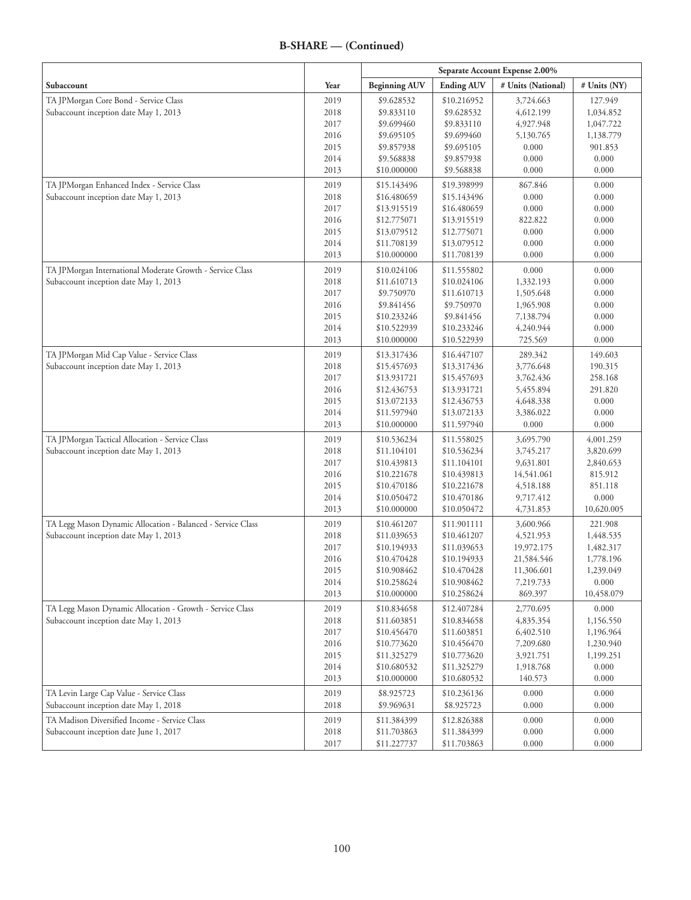|                                                             |      | Separate Account Expense 2.00% |                   |                    |              |
|-------------------------------------------------------------|------|--------------------------------|-------------------|--------------------|--------------|
| Subaccount                                                  | Year | <b>Beginning AUV</b>           | <b>Ending AUV</b> | # Units (National) | # Units (NY) |
| TA JPMorgan Core Bond - Service Class                       | 2019 | \$9.628532                     | \$10.216952       | 3,724.663          | 127.949      |
| Subaccount inception date May 1, 2013                       | 2018 | \$9.833110                     | \$9.628532        | 4,612.199          | 1,034.852    |
|                                                             | 2017 | \$9.699460                     | \$9.833110        | 4,927.948          | 1,047.722    |
|                                                             | 2016 | \$9.695105                     | \$9.699460        | 5,130.765          | 1,138.779    |
|                                                             | 2015 | \$9.857938                     | \$9.695105        | 0.000              | 901.853      |
|                                                             | 2014 | \$9.568838                     | \$9.857938        | 0.000              | 0.000        |
|                                                             | 2013 | \$10.000000                    | \$9.568838        | 0.000              | 0.000        |
| TA JPMorgan Enhanced Index - Service Class                  | 2019 | \$15.143496                    | \$19.398999       | 867.846            | 0.000        |
| Subaccount inception date May 1, 2013                       | 2018 | \$16.480659                    | \$15.143496       | 0.000              | 0.000        |
|                                                             | 2017 | \$13.915519                    | \$16.480659       | 0.000              | 0.000        |
|                                                             | 2016 | \$12.775071                    | \$13.915519       | 822.822            | 0.000        |
|                                                             | 2015 | \$13.079512                    | \$12.775071       | 0.000              | 0.000        |
|                                                             | 2014 | \$11.708139                    | \$13.079512       | 0.000              | 0.000        |
|                                                             | 2013 | \$10.000000                    | \$11.708139       | 0.000              | 0.000        |
| TA JPMorgan International Moderate Growth - Service Class   | 2019 | \$10.024106                    | \$11.555802       | 0.000              | 0.000        |
| Subaccount inception date May 1, 2013                       | 2018 | \$11.610713                    | \$10.024106       | 1,332.193          | 0.000        |
|                                                             | 2017 | \$9.750970                     | \$11.610713       | 1,505.648          | 0.000        |
|                                                             | 2016 | \$9.841456                     | \$9.750970        | 1,965.908          | 0.000        |
|                                                             | 2015 | \$10.233246                    | \$9.841456        | 7,138.794          | 0.000        |
|                                                             | 2014 | \$10.522939                    | \$10.233246       | 4,240.944          | 0.000        |
|                                                             | 2013 | \$10.000000                    | \$10.522939       | 725.569            | 0.000        |
| TA JPMorgan Mid Cap Value - Service Class                   | 2019 | \$13.317436                    | \$16.447107       | 289.342            | 149.603      |
| Subaccount inception date May 1, 2013                       | 2018 | \$15.457693                    | \$13.317436       | 3,776.648          | 190.315      |
|                                                             | 2017 | \$13.931721                    | \$15.457693       | 3,762.436          | 258.168      |
|                                                             | 2016 | \$12.436753                    | \$13.931721       | 5,455.894          | 291.820      |
|                                                             | 2015 | \$13.072133                    | \$12.436753       | 4,648.338          | 0.000        |
|                                                             | 2014 | \$11.597940                    | \$13.072133       | 3,386.022          | 0.000        |
|                                                             | 2013 | \$10.000000                    | \$11.597940       | 0.000              | 0.000        |
| TA JPMorgan Tactical Allocation - Service Class             | 2019 | \$10.536234                    | \$11.558025       | 3,695.790          | 4,001.259    |
| Subaccount inception date May 1, 2013                       | 2018 | \$11.104101                    | \$10.536234       | 3,745.217          | 3,820.699    |
|                                                             | 2017 | \$10.439813                    | \$11.104101       | 9,631.801          | 2,840.653    |
|                                                             | 2016 | \$10.221678                    | \$10.439813       | 14,541.061         | 815.912      |
|                                                             | 2015 | \$10.470186                    | \$10.221678       | 4,518.188          | 851.118      |
|                                                             | 2014 | \$10.050472                    | \$10.470186       | 9,717.412          | 0.000        |
|                                                             | 2013 | \$10.000000                    | \$10.050472       | 4,731.853          | 10,620.005   |
| TA Legg Mason Dynamic Allocation - Balanced - Service Class | 2019 | \$10.461207                    | \$11.901111       | 3,600.966          | 221.908      |
| Subaccount inception date May 1, 2013                       | 2018 | \$11.039653                    | \$10.461207       | 4,521.953          | 1,448.535    |
|                                                             | 2017 | \$10.194933                    | \$11.039653       | 19,972.175         | 1,482.317    |
|                                                             | 2016 | \$10.470428                    | \$10.194933       | 21,584.546         | 1,778.196    |
|                                                             | 2015 | \$10.908462                    | \$10.470428       | 11,306.601         | 1,239.049    |
|                                                             | 2014 | \$10.258624                    | \$10.908462       | 7,219.733          | 0.000        |
|                                                             | 2013 | \$10.000000                    | \$10.258624       | 869.397            | 10,458.079   |
| TA Legg Mason Dynamic Allocation - Growth - Service Class   | 2019 | \$10.834658                    | \$12.407284       | 2,770.695          | 0.000        |
| Subaccount inception date May 1, 2013                       | 2018 | \$11.603851                    | \$10.834658       | 4,835.354          | 1,156.550    |
|                                                             | 2017 | \$10.456470                    | \$11.603851       | 6,402.510          | 1,196.964    |
|                                                             | 2016 | \$10.773620                    | \$10.456470       | 7,209.680          | 1,230.940    |
|                                                             | 2015 | \$11.325279                    | \$10.773620       | 3,921.751          | 1,199.251    |
|                                                             | 2014 | \$10.680532                    | \$11.325279       | 1,918.768          | 0.000        |
|                                                             | 2013 | \$10.000000                    | \$10.680532       | 140.573            | 0.000        |
| TA Levin Large Cap Value - Service Class                    | 2019 | \$8.925723                     | \$10.236136       | 0.000              | 0.000        |
| Subaccount inception date May 1, 2018                       | 2018 | \$9.969631                     | \$8.925723        | 0.000              | 0.000        |
| TA Madison Diversified Income - Service Class               | 2019 | \$11.384399                    | \$12.826388       | 0.000              | 0.000        |
| Subaccount inception date June 1, 2017                      | 2018 | \$11.703863                    | \$11.384399       | $0.000\,$          | 0.000        |
|                                                             | 2017 | \$11.227737                    | \$11.703863       | 0.000              | 0.000        |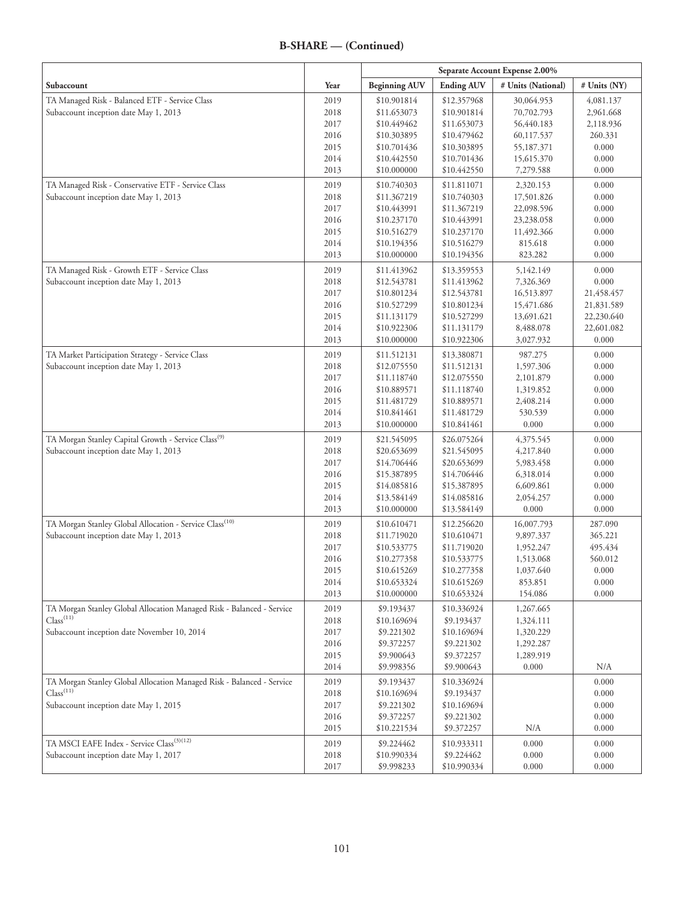|                                                                                                              |              | Separate Account Expense 2.00% |                            |                        |                    |
|--------------------------------------------------------------------------------------------------------------|--------------|--------------------------------|----------------------------|------------------------|--------------------|
| Subaccount                                                                                                   | Year         | <b>Beginning AUV</b>           | <b>Ending AUV</b>          | # Units (National)     | # Units (NY)       |
| TA Managed Risk - Balanced ETF - Service Class                                                               | 2019         | \$10.901814                    | \$12.357968                | 30,064.953             | 4,081.137          |
| Subaccount inception date May 1, 2013                                                                        | 2018         | \$11.653073                    | \$10.901814                | 70,702.793             | 2,961.668          |
|                                                                                                              | 2017         | \$10.449462                    | \$11.653073                | 56,440.183             | 2,118.936          |
|                                                                                                              | 2016         | \$10.303895                    | \$10.479462                | 60,117.537             | 260.331            |
|                                                                                                              | 2015         | \$10.701436                    | \$10.303895                | 55,187.371             | 0.000              |
|                                                                                                              | 2014         | \$10.442550                    | \$10.701436                | 15,615.370             | 0.000              |
|                                                                                                              | 2013         | \$10.000000                    | \$10.442550                | 7,279.588              | 0.000              |
| TA Managed Risk - Conservative ETF - Service Class                                                           | 2019         | \$10.740303                    | \$11.811071                | 2,320.153              | 0.000              |
| Subaccount inception date May 1, 2013                                                                        | 2018         | \$11.367219                    | \$10.740303                | 17,501.826             | 0.000              |
|                                                                                                              | 2017         | \$10.443991                    | \$11.367219                | 22,098.596             | 0.000              |
|                                                                                                              | 2016         | \$10.237170                    | \$10.443991                | 23,238.058             | 0.000              |
|                                                                                                              | 2015         | \$10.516279                    | \$10.237170                | 11,492.366             | 0.000              |
|                                                                                                              | 2014         | \$10.194356                    | \$10.516279                | 815.618                | 0.000              |
|                                                                                                              | 2013         | \$10.000000                    | \$10.194356                | 823.282                | 0.000              |
| TA Managed Risk - Growth ETF - Service Class                                                                 | 2019         | \$11.413962                    | \$13.359553                | 5,142.149              | 0.000              |
| Subaccount inception date May 1, 2013                                                                        | 2018         | \$12.543781                    | \$11.413962                | 7,326.369              | 0.000              |
|                                                                                                              | 2017         | \$10.801234                    | \$12.543781                | 16,513.897             | 21,458.457         |
|                                                                                                              | 2016         | \$10.527299                    | \$10.801234                | 15,471.686             | 21,831.589         |
|                                                                                                              | 2015         | \$11.131179                    | \$10.527299                | 13,691.621             | 22,230.640         |
|                                                                                                              | 2014         | \$10.922306                    | \$11.131179                | 8,488.078              | 22,601.082         |
|                                                                                                              | 2013         | \$10.000000                    | \$10.922306                | 3,027.932              | 0.000              |
| TA Market Participation Strategy - Service Class                                                             | 2019         | \$11.512131                    | \$13.380871                | 987.275                | 0.000              |
| Subaccount inception date May 1, 2013                                                                        | 2018         | \$12.075550                    | \$11.512131                | 1,597.306              | 0.000              |
|                                                                                                              | 2017         | \$11.118740                    | \$12.075550                | 2,101.879              | 0.000              |
|                                                                                                              | 2016         | \$10.889571                    | \$11.118740                | 1,319.852              | 0.000              |
|                                                                                                              | 2015         | \$11.481729                    | \$10.889571                | 2,408.214              | 0.000              |
|                                                                                                              | 2014         | \$10.841461                    | \$11.481729                | 530.539                | 0.000              |
|                                                                                                              | 2013         | \$10.000000                    | \$10.841461                | 0.000                  | 0.000              |
| TA Morgan Stanley Capital Growth - Service Class <sup>(9)</sup>                                              | 2019         | \$21.545095                    | \$26.075264                | 4,375.545              | 0.000              |
| Subaccount inception date May 1, 2013                                                                        | 2018         | \$20.653699                    | \$21.545095                | 4,217.840              | 0.000              |
|                                                                                                              | 2017         | \$14.706446                    | \$20.653699                | 5,983.458              | 0.000              |
|                                                                                                              | 2016         | \$15.387895                    | \$14.706446                | 6,318.014              | 0.000              |
|                                                                                                              | 2015         | \$14.085816                    | \$15.387895                | 6,609.861              | 0.000              |
|                                                                                                              | 2014<br>2013 | \$13.584149<br>\$10.000000     | \$14.085816<br>\$13.584149 | 2,054.257<br>0.000     | 0.000<br>0.000     |
|                                                                                                              |              |                                |                            |                        |                    |
| TA Morgan Stanley Global Allocation - Service Class <sup>(10)</sup><br>Subaccount inception date May 1, 2013 | 2019         | \$10.610471                    | \$12.256620                | 16,007.793             | 287.090            |
|                                                                                                              | 2018<br>2017 | \$11.719020<br>\$10.533775     | \$10.610471<br>\$11.719020 | 9,897.337<br>1,952.247 | 365.221<br>495.434 |
|                                                                                                              | 2016         | \$10.277358                    | \$10.533775                | 1,513.068              | 560.012            |
|                                                                                                              | 2015         | \$10.615269                    | \$10.277358                | 1,037.640              | 0.000              |
|                                                                                                              | 2014         | \$10.653324                    | \$10.615269                | 853.851                | 0.000              |
|                                                                                                              | 2013         | \$10.000000                    | \$10.653324                | 154.086                | 0.000              |
| TA Morgan Stanley Global Allocation Managed Risk - Balanced - Service                                        | 2019         | \$9.193437                     | \$10.336924                | 1,267.665              |                    |
| Class <sup>(11)</sup>                                                                                        | 2018         | \$10.169694                    | \$9.193437                 | 1,324.111              |                    |
| Subaccount inception date November 10, 2014                                                                  | 2017         | \$9.221302                     | \$10.169694                | 1,320.229              |                    |
|                                                                                                              | 2016         | \$9.372257                     | \$9.221302                 | 1,292.287              |                    |
|                                                                                                              | 2015         | \$9.900643                     | \$9.372257                 | 1,289.919              |                    |
|                                                                                                              | 2014         | \$9.998356                     | \$9.900643                 | 0.000                  | N/A                |
| TA Morgan Stanley Global Allocation Managed Risk - Balanced - Service                                        | 2019         | \$9.193437                     | \$10.336924                |                        | 0.000              |
| Class <sup>(11)</sup>                                                                                        | 2018         | \$10.169694                    | \$9.193437                 |                        | 0.000              |
| Subaccount inception date May 1, 2015                                                                        | 2017         | \$9.221302                     | \$10.169694                |                        | 0.000              |
|                                                                                                              | 2016         | \$9.372257                     | \$9.221302                 |                        | 0.000              |
|                                                                                                              | 2015         | \$10.221534                    | \$9.372257                 | N/A                    | 0.000              |
| TA MSCI EAFE Index - Service Class <sup>(3)(12)</sup>                                                        | 2019         | \$9.224462                     | \$10.933311                | 0.000                  | 0.000              |
| Subaccount inception date May 1, 2017                                                                        | 2018         | \$10.990334                    | \$9.224462                 | 0.000                  | 0.000              |
|                                                                                                              | 2017         | \$9.998233                     | \$10.990334                | 0.000                  | 0.000              |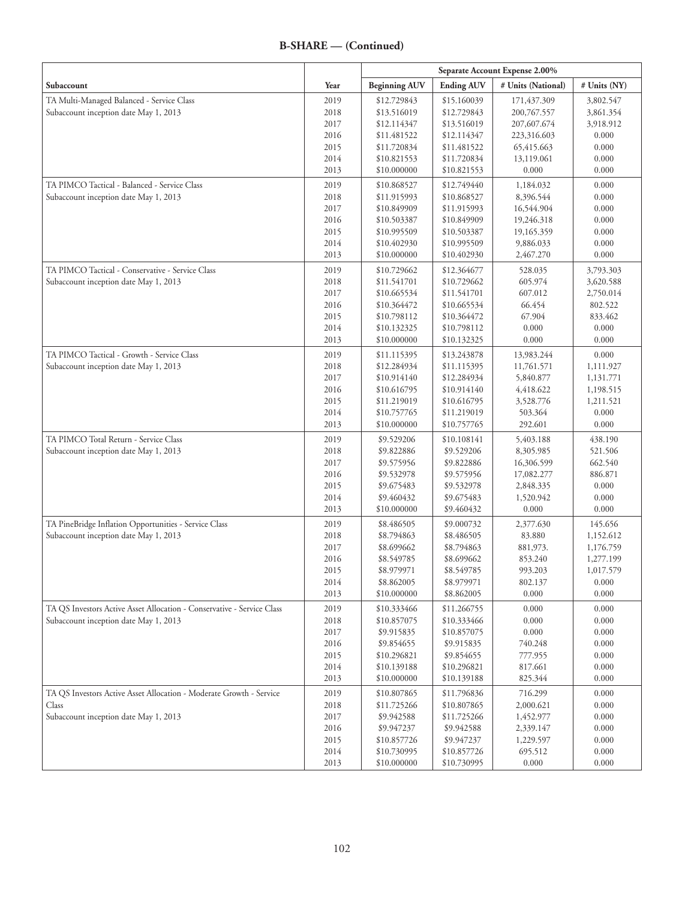|                                                                        |              | Separate Account Expense 2.00% |                          |                        |                |
|------------------------------------------------------------------------|--------------|--------------------------------|--------------------------|------------------------|----------------|
| Subaccount                                                             | Year         | <b>Beginning AUV</b>           | <b>Ending AUV</b>        | # Units (National)     | # Units (NY)   |
| TA Multi-Managed Balanced - Service Class                              | 2019         | \$12.729843                    | \$15.160039              | 171,437.309            | 3,802.547      |
| Subaccount inception date May 1, 2013                                  | 2018         | \$13.516019                    | \$12.729843              | 200,767.557            | 3,861.354      |
|                                                                        | 2017         | \$12.114347                    | \$13.516019              | 207,607.674            | 3,918.912      |
|                                                                        | 2016         | \$11.481522                    | \$12.114347              | 223,316.603            | 0.000          |
|                                                                        | 2015         | \$11.720834                    | \$11.481522              | 65,415.663             | 0.000          |
|                                                                        | 2014         | \$10.821553                    | \$11.720834              | 13,119.061             | 0.000          |
|                                                                        | 2013         | \$10.000000                    | \$10.821553              | 0.000                  | 0.000          |
| TA PIMCO Tactical - Balanced - Service Class                           | 2019         | \$10.868527                    | \$12.749440              | 1,184.032              | 0.000          |
| Subaccount inception date May 1, 2013                                  | 2018         | \$11.915993                    | \$10.868527              | 8,396.544              | 0.000          |
|                                                                        | 2017         | \$10.849909                    | \$11.915993              | 16,544.904             | 0.000          |
|                                                                        | 2016         | \$10.503387                    | \$10.849909              | 19,246.318             | 0.000          |
|                                                                        | 2015         | \$10.995509                    | \$10.503387              | 19,165.359             | 0.000          |
|                                                                        | 2014         | \$10.402930                    | \$10.995509              | 9,886.033              | 0.000          |
|                                                                        | 2013         | \$10.000000                    | \$10.402930              | 2,467.270              | 0.000          |
| TA PIMCO Tactical - Conservative - Service Class                       | 2019         | \$10.729662                    | \$12.364677              | 528.035                | 3,793.303      |
| Subaccount inception date May 1, 2013                                  | 2018         | \$11.541701                    | \$10.729662              | 605.974                | 3,620.588      |
|                                                                        | 2017         | \$10.665534                    | \$11.541701              | 607.012                | 2,750.014      |
|                                                                        | 2016         | \$10.364472                    | \$10.665534              | 66.454                 | 802.522        |
|                                                                        | 2015         | \$10.798112                    | \$10.364472              | 67.904                 | 833.462        |
|                                                                        | 2014         | \$10.132325                    | \$10.798112              | 0.000                  | 0.000          |
|                                                                        | 2013         | \$10.000000                    | \$10.132325              | 0.000                  | 0.000          |
| TA PIMCO Tactical - Growth - Service Class                             | 2019         | \$11.115395                    | \$13.243878              | 13,983.244             | 0.000          |
| Subaccount inception date May 1, 2013                                  | 2018         | \$12.284934                    | \$11.115395              | 11,761.571             | 1,111.927      |
|                                                                        | 2017         | \$10.914140                    | \$12.284934              | 5,840.877              | 1,131.771      |
|                                                                        | 2016         | \$10.616795                    | \$10.914140              | 4,418.622              | 1,198.515      |
|                                                                        | 2015         | \$11.219019                    | \$10.616795              | 3,528.776              | 1,211.521      |
|                                                                        | 2014         | \$10.757765                    | \$11.219019              | 503.364                | 0.000          |
|                                                                        | 2013         | \$10.000000                    | \$10.757765              | 292.601                | 0.000          |
| TA PIMCO Total Return - Service Class                                  | 2019         | \$9.529206                     | \$10.108141              | 5,403.188              | 438.190        |
| Subaccount inception date May 1, 2013                                  | 2018         | \$9.822886                     | \$9.529206               | 8,305.985              | 521.506        |
|                                                                        | 2017         | \$9.575956                     | \$9.822886               | 16,306.599             | 662.540        |
|                                                                        | 2016<br>2015 | \$9.532978                     | \$9.575956               | 17,082.277             | 886.871        |
|                                                                        | 2014         | \$9.675483<br>\$9.460432       | \$9.532978<br>\$9.675483 | 2,848.335<br>1,520.942 | 0.000<br>0.000 |
|                                                                        | 2013         | \$10.000000                    | \$9.460432               | 0.000                  | 0.000          |
| TA PineBridge Inflation Opportunities - Service Class                  | 2019         | \$8.486505                     | \$9.000732               | 2,377.630              | 145.656        |
| Subaccount inception date May 1, 2013                                  | 2018         | \$8.794863                     | \$8.486505               | 83.880                 | 1,152.612      |
|                                                                        | 2017         | \$8.699662                     | \$8.794863               | 881,973.               | 1,176.759      |
|                                                                        | 2016         | \$8.549785                     | \$8.699662               | 853.240                | 1,277.199      |
|                                                                        | 2015         | \$8.979971                     | \$8.549785               | 993.203                | 1,017.579      |
|                                                                        | 2014         | \$8.862005                     | \$8.979971               | 802.137                | 0.000          |
|                                                                        | 2013         | \$10.000000                    | \$8.862005               | 0.000                  | 0.000          |
| TA QS Investors Active Asset Allocation - Conservative - Service Class | 2019         | \$10.333466                    | \$11.266755              | 0.000                  | 0.000          |
| Subaccount inception date May 1, 2013                                  | 2018         | \$10.857075                    | \$10.333466              | $0.000\,$              | 0.000          |
|                                                                        | 2017         | \$9.915835                     | \$10.857075              | 0.000                  | 0.000          |
|                                                                        | 2016         | \$9.854655                     | \$9.915835               | 740.248                | 0.000          |
|                                                                        | 2015         | \$10.296821                    | \$9.854655               | 777.955                | 0.000          |
|                                                                        | 2014         | \$10.139188                    | \$10.296821              | 817.661                | 0.000          |
|                                                                        | 2013         | \$10.000000                    | \$10.139188              | 825.344                | 0.000          |
| TA QS Investors Active Asset Allocation - Moderate Growth - Service    | 2019         | \$10.807865                    | \$11.796836              | 716.299                | 0.000          |
| Class                                                                  | 2018         | \$11.725266                    | \$10.807865              | 2,000.621              | 0.000          |
| Subaccount inception date May 1, 2013                                  | 2017         | \$9.942588                     | \$11.725266              | 1,452.977              | 0.000          |
|                                                                        | 2016         | \$9.947237                     | \$9.942588               | 2,339.147              | 0.000          |
|                                                                        | 2015         | \$10.857726                    | \$9.947237               | 1,229.597              | 0.000          |
|                                                                        | 2014         | \$10.730995                    | \$10.857726              | 695.512                | 0.000          |
|                                                                        | 2013         | \$10.000000                    | \$10.730995              | 0.000                  | 0.000          |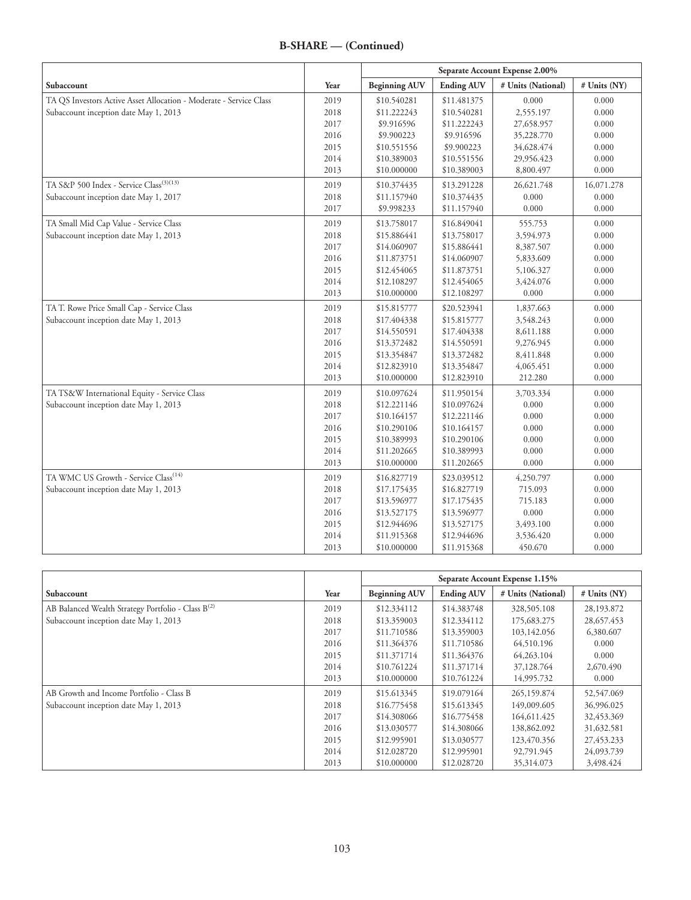|                                                                    |      | Separate Account Expense 2.00% |                   |                    |              |
|--------------------------------------------------------------------|------|--------------------------------|-------------------|--------------------|--------------|
| Subaccount                                                         | Year | <b>Beginning AUV</b>           | <b>Ending AUV</b> | # Units (National) | # Units (NY) |
| TA QS Investors Active Asset Allocation - Moderate - Service Class | 2019 | \$10.540281                    | \$11.481375       | 0.000              | 0.000        |
| Subaccount inception date May 1, 2013                              | 2018 | \$11.222243                    | \$10.540281       | 2,555.197          | 0.000        |
|                                                                    | 2017 | \$9.916596                     | \$11.222243       | 27,658.957         | 0.000        |
|                                                                    | 2016 | \$9.900223                     | \$9.916596        | 35,228.770         | 0.000        |
|                                                                    | 2015 | \$10.551556                    | \$9.900223        | 34,628.474         | 0.000        |
|                                                                    | 2014 | \$10.389003                    | \$10.551556       | 29,956.423         | 0.000        |
|                                                                    | 2013 | \$10.000000                    | \$10.389003       | 8,800.497          | 0.000        |
| TA S&P 500 Index - Service Class <sup>(3)(13)</sup>                | 2019 | \$10.374435                    | \$13.291228       | 26,621.748         | 16,071.278   |
| Subaccount inception date May 1, 2017                              | 2018 | \$11.157940                    | \$10.374435       | 0.000              | 0.000        |
|                                                                    | 2017 | \$9.998233                     | \$11.157940       | 0.000              | 0.000        |
| TA Small Mid Cap Value - Service Class                             | 2019 | \$13.758017                    | \$16.849041       | 555.753            | 0.000        |
| Subaccount inception date May 1, 2013                              | 2018 | \$15.886441                    | \$13.758017       | 3,594.973          | 0.000        |
|                                                                    | 2017 | \$14.060907                    | \$15.886441       | 8,387.507          | 0.000        |
|                                                                    | 2016 | \$11.873751                    | \$14.060907       | 5,833.609          | 0.000        |
|                                                                    | 2015 | \$12.454065                    | \$11.873751       | 5,106.327          | 0.000        |
|                                                                    | 2014 | \$12.108297                    | \$12.454065       | 3,424.076          | 0.000        |
|                                                                    | 2013 | \$10.000000                    | \$12.108297       | 0.000              | 0.000        |
| TA T. Rowe Price Small Cap - Service Class                         | 2019 | \$15.815777                    | \$20.523941       | 1,837.663          | 0.000        |
| Subaccount inception date May 1, 2013                              | 2018 | \$17.404338                    | \$15.815777       | 3,548.243          | 0.000        |
|                                                                    | 2017 | \$14.550591                    | \$17.404338       | 8,611.188          | 0.000        |
|                                                                    | 2016 | \$13.372482                    | \$14.550591       | 9,276.945          | 0.000        |
|                                                                    | 2015 | \$13.354847                    | \$13.372482       | 8,411.848          | 0.000        |
|                                                                    | 2014 | \$12.823910                    | \$13.354847       | 4,065.451          | 0.000        |
|                                                                    | 2013 | \$10.000000                    | \$12.823910       | 212.280            | 0.000        |
| TA TS&W International Equity - Service Class                       | 2019 | \$10.097624                    | \$11.950154       | 3,703.334          | 0.000        |
| Subaccount inception date May 1, 2013                              | 2018 | \$12.221146                    | \$10.097624       | 0.000              | 0.000        |
|                                                                    | 2017 | \$10.164157                    | \$12.221146       | 0.000              | 0.000        |
|                                                                    | 2016 | \$10.290106                    | \$10.164157       | 0.000              | 0.000        |
|                                                                    | 2015 | \$10.389993                    | \$10.290106       | 0.000              | 0.000        |
|                                                                    | 2014 | \$11.202665                    | \$10.389993       | 0.000              | 0.000        |
|                                                                    | 2013 | \$10.000000                    | \$11.202665       | 0.000              | 0.000        |
| TA WMC US Growth - Service Class <sup>(14)</sup>                   | 2019 | \$16.827719                    | \$23.039512       | 4,250.797          | 0.000        |
| Subaccount inception date May 1, 2013                              | 2018 | \$17.175435                    | \$16.827719       | 715.093            | 0.000        |
|                                                                    | 2017 | \$13.596977                    | \$17.175435       | 715.183            | 0.000        |
|                                                                    | 2016 | \$13.527175                    | \$13.596977       | 0.000              | 0.000        |
|                                                                    | 2015 | \$12.944696                    | \$13.527175       | 3,493.100          | 0.000        |
|                                                                    | 2014 | \$11.915368                    | \$12.944696       | 3,536.420          | 0.000        |
|                                                                    | 2013 | \$10.000000                    | \$11.915368       | 450.670            | 0.000        |

|                                                                |      | Separate Account Expense 1.15% |                   |                    |              |
|----------------------------------------------------------------|------|--------------------------------|-------------------|--------------------|--------------|
| Subaccount                                                     | Year | <b>Beginning AUV</b>           | <b>Ending AUV</b> | # Units (National) | # Units (NY) |
| AB Balanced Wealth Strategy Portfolio - Class B <sup>(2)</sup> | 2019 | \$12.334112                    | \$14,383748       | 328,505.108        | 28,193.872   |
| Subaccount inception date May 1, 2013                          | 2018 | \$13,359003                    | \$12,334112       | 175,683.275        | 28,657.453   |
|                                                                | 2017 | \$11.710586                    | \$13,359003       | 103,142.056        | 6,380.607    |
|                                                                | 2016 | \$11.364376                    | \$11,710586       | 64,510.196         | 0.000        |
|                                                                | 2015 | \$11.371714                    | \$11,364376       | 64,263.104         | 0.000        |
|                                                                | 2014 | \$10.761224                    | \$11,371714       | 37,128.764         | 2,670.490    |
|                                                                | 2013 | \$10,000000                    | \$10.761224       | 14,995.732         | 0.000        |
| AB Growth and Income Portfolio - Class B                       | 2019 | \$15.613345                    | \$19,079164       | 265,159.874        | 52,547.069   |
| Subaccount inception date May 1, 2013                          | 2018 | \$16,775458                    | \$15.613345       | 149,009.605        | 36,996.025   |
|                                                                | 2017 | \$14,308066                    | \$16,775458       | 164,611.425        | 32,453.369   |
|                                                                | 2016 | \$13,030577                    | \$14,308066       | 138,862.092        | 31,632.581   |
|                                                                | 2015 | \$12.995901                    | \$13,030577       | 123,470.356        | 27,453.233   |
|                                                                | 2014 | \$12.028720                    | \$12.995901       | 92,791.945         | 24,093.739   |
|                                                                | 2013 | \$10,000000                    | \$12,028720       | 35,314.073         | 3,498.424    |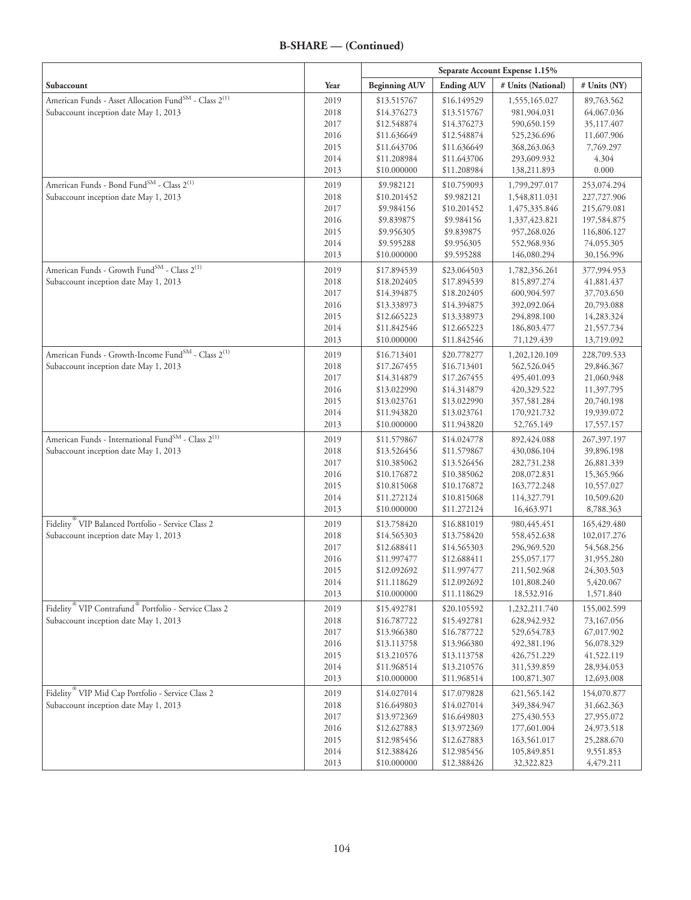|                                                                               |              | Separate Account Expense 1.15% |                            |                            |                          |
|-------------------------------------------------------------------------------|--------------|--------------------------------|----------------------------|----------------------------|--------------------------|
| Subaccount                                                                    | Year         | <b>Beginning AUV</b>           | <b>Ending AUV</b>          | # Units (National)         | # Units (NY)             |
| American Funds - Asset Allocation Fund <sup>SM</sup> - Class 2 <sup>(1)</sup> | 2019         | \$13.515767                    | \$16.149529                | 1,555,165.027              | 89,763.562               |
| Subaccount inception date May 1, 2013                                         | 2018         | \$14.376273                    | \$13.515767                | 981,904.031                | 64,067.036               |
|                                                                               | 2017         | \$12.548874                    | \$14.376273                | 590,650.159                | 35,117.407               |
|                                                                               | 2016         | \$11.636649                    | \$12.548874                | 525,236.696                | 11,607.906               |
|                                                                               | 2015         | \$11.643706                    | \$11.636649                | 368,263.063                | 7,769.297                |
|                                                                               | 2014         | \$11.208984                    | \$11.643706                | 293,609.932                | 4.304                    |
|                                                                               | 2013         | \$10.000000                    | \$11.208984                | 138,211.893                | 0.000                    |
| American Funds - Bond Fund <sup>SM</sup> - Class 2 <sup>(1)</sup>             | 2019         | \$9.982121                     | \$10.759093                | 1,799,297.017              | 253,074.294              |
| Subaccount inception date May 1, 2013                                         | 2018         | \$10.201452                    | \$9.982121                 | 1,548,811.031              | 227,727.906              |
|                                                                               | 2017         | \$9.984156                     | \$10.201452                | 1,475,335.846              | 215,679.081              |
|                                                                               | 2016         | \$9.839875                     | \$9.984156                 | 1,337,423.821              | 197,584.875              |
|                                                                               | 2015         | \$9.956305                     | \$9.839875                 | 957,268.026                | 116,806.127              |
|                                                                               | 2014         | \$9.595288                     | \$9.956305                 | 552,968.936                | 74,055.305               |
|                                                                               | 2013         | \$10.000000                    | \$9.595288                 | 146,080.294                | 30,156.996               |
| American Funds - Growth Fund <sup>SM</sup> - Class 2 <sup>(1)</sup>           | 2019         | \$17.894539                    | \$23.064503                | 1,782,356.261              | 377,994.953              |
| Subaccount inception date May 1, 2013                                         | 2018         | \$18.202405                    | \$17.894539                | 815,897.274                | 41,881.437               |
|                                                                               | 2017         | \$14.394875                    | \$18.202405                | 600,904.597                | 37,703.650               |
|                                                                               | 2016         | \$13.338973                    | \$14.394875                | 392,092.064                | 20,793.088               |
|                                                                               | 2015         | \$12.665223                    | \$13.338973                | 294,898.100                | 14,283.324               |
|                                                                               | 2014         | \$11.842546                    | \$12.665223                | 186,803.477                | 21,557.734               |
|                                                                               | 2013         | \$10.000000                    | \$11.842546                | 71,129.439                 | 13,719.092               |
| American Funds - Growth-Income Fund <sup>SM</sup> - Class 2 <sup>(1)</sup>    | 2019         | \$16.713401                    | \$20.778277                | 1,202,120.109              | 228,709.533              |
| Subaccount inception date May 1, 2013                                         | 2018         | \$17.267455                    | \$16.713401                | 562,526.045                | 29,846.367               |
|                                                                               | 2017<br>2016 | \$14.314879<br>\$13.022990     | \$17.267455<br>\$14.314879 | 495,401.093<br>420,329.522 | 21,060.948<br>11,397.795 |
|                                                                               | 2015         | \$13.023761                    | \$13.022990                | 357,581.284                |                          |
|                                                                               | 2014         | \$11.943820                    | \$13.023761                | 170,921.732                | 20,740.198<br>19,939.072 |
|                                                                               | 2013         | \$10.000000                    | \$11.943820                | 52,765.149                 | 17,557.157               |
| American Funds - International Fund <sup>SM</sup> - Class 2 <sup>(1)</sup>    | 2019         | \$11.579867                    | \$14.024778                | 892,424.088                | 267,397.197              |
| Subaccount inception date May 1, 2013                                         | 2018         | \$13.526456                    | \$11.579867                | 430,086.104                | 39,896.198               |
|                                                                               | 2017         | \$10.385062                    | \$13.526456                | 282,731.238                | 26,881.339               |
|                                                                               | 2016         | \$10.176872                    | \$10.385062                | 208,072.831                | 15,365.966               |
|                                                                               | 2015         | \$10.815068                    | \$10.176872                | 163,772.248                | 10,557.027               |
|                                                                               | 2014         | \$11.272124                    | \$10.815068                | 114,327.791                | 10,509.620               |
|                                                                               | 2013         | \$10.000000                    | \$11.272124                | 16,463.971                 | 8,788.363                |
| Fidelity <sup>®</sup> VIP Balanced Portfolio - Service Class 2                | 2019         | \$13.758420                    | \$16.881019                | 980, 445. 451              | 165,429.480              |
| Subaccount inception date May 1, 2013                                         | 2018         | \$14.565303                    | \$13.758420                | 558,452.638                | 102,017.276              |
|                                                                               | 2017         | \$12.688411                    | \$14.565303                | 296,969.520                | 54,568.256               |
|                                                                               | 2016         | \$11.997477                    | \$12.688411                | 255,057.177                | 31,955.280               |
|                                                                               | 2015         | \$12.092692                    | \$11.997477                | 211,502.968                | 24,303.503               |
|                                                                               | 2014         | \$11.118629                    | \$12.092692                | 101,808.240                | 5,420.067                |
|                                                                               | 2013         | \$10.000000                    | \$11.118629                | 18,532.916                 | 1,571.840                |
| Fidelity <sup>®</sup> VIP Contrafund <sup>®</sup> Portfolio - Service Class 2 | 2019         | \$15.492781                    | \$20.105592                | 1,232,211.740              | 155,002.599              |
| Subaccount inception date May 1, 2013                                         | 2018         | \$16.787722                    | \$15.492781                | 628,942.932                | 73,167.056               |
|                                                                               | 2017         | \$13.966380                    | \$16.787722                | 529,654.783                | 67,017.902               |
|                                                                               | 2016<br>2015 | \$13.113758<br>\$13.210576     | \$13.966380                | 492,381.196<br>426,751.229 | 56,078.329               |
|                                                                               | 2014         | \$11.968514                    | \$13.113758<br>\$13.210576 | 311,539.859                | 41,522.119<br>28,934.053 |
|                                                                               | 2013         | \$10.000000                    | \$11.968514                | 100,871.307                | 12,693.008               |
| Fidelity <sup>®</sup> VIP Mid Cap Portfolio - Service Class 2                 | 2019         | \$14.027014                    | \$17.079828                | 621,565.142                | 154,070.877              |
| Subaccount inception date May 1, 2013                                         | 2018         | \$16.649803                    | \$14.027014                | 349,384.947                | 31,662.363               |
|                                                                               | 2017         | \$13.972369                    | \$16.649803                | 275,430.553                | 27,955.072               |
|                                                                               | 2016         | \$12.627883                    | \$13.972369                | 177,601.004                | 24,973.518               |
|                                                                               | 2015         | \$12.985456                    | \$12.627883                | 163,561.017                | 25,288.670               |
|                                                                               | 2014         | \$12.388426                    | \$12.985456                | 105,849.851                | 9,551.853                |
|                                                                               | 2013         | \$10.000000                    | \$12.388426                | 32,322.823                 | 4,479.211                |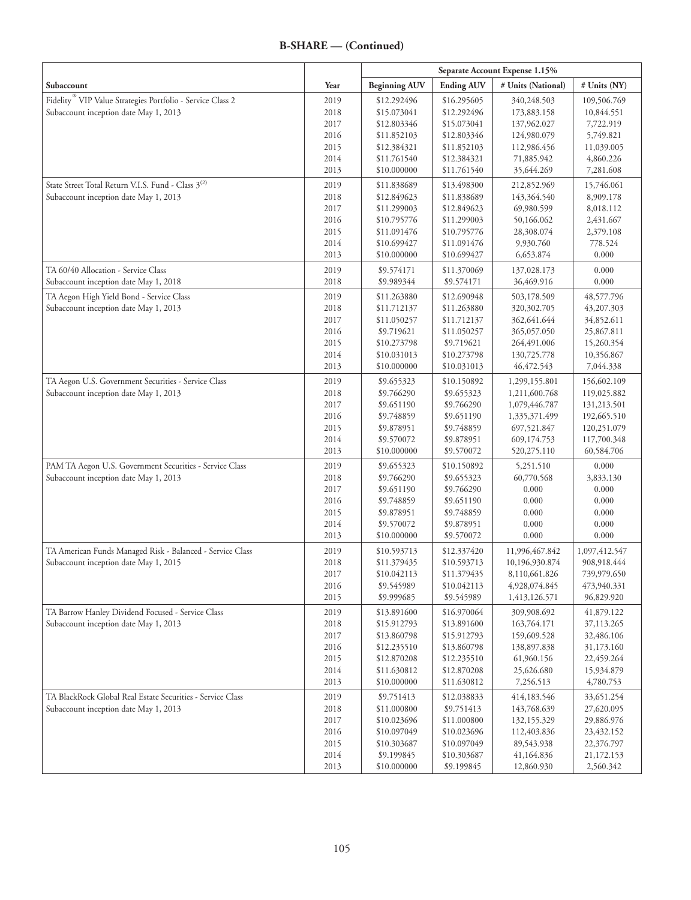|                                                                        |      | Separate Account Expense 1.15% |                   |                    |               |
|------------------------------------------------------------------------|------|--------------------------------|-------------------|--------------------|---------------|
| Subaccount                                                             | Year | <b>Beginning AUV</b>           | <b>Ending AUV</b> | # Units (National) | # Units (NY)  |
| Fidelity <sup>®</sup> VIP Value Strategies Portfolio - Service Class 2 | 2019 | \$12.292496                    | \$16.295605       | 340,248.503        | 109,506.769   |
| Subaccount inception date May 1, 2013                                  | 2018 | \$15.073041                    | \$12.292496       | 173,883.158        | 10,844.551    |
|                                                                        | 2017 | \$12.803346                    | \$15.073041       | 137,962.027        | 7,722.919     |
|                                                                        | 2016 | \$11.852103                    | \$12.803346       | 124,980.079        | 5,749.821     |
|                                                                        | 2015 | \$12.384321                    | \$11.852103       | 112,986.456        | 11,039.005    |
|                                                                        | 2014 | \$11.761540                    | \$12.384321       | 71,885.942         | 4,860.226     |
|                                                                        | 2013 | \$10.000000                    | \$11.761540       | 35,644.269         | 7,281.608     |
| State Street Total Return V.I.S. Fund - Class 3 <sup>(2)</sup>         | 2019 | \$11.838689                    | \$13.498300       | 212,852.969        | 15,746.061    |
| Subaccount inception date May 1, 2013                                  | 2018 | \$12.849623                    | \$11.838689       | 143,364.540        | 8,909.178     |
|                                                                        | 2017 | \$11.299003                    | \$12.849623       | 69,980.599         | 8,018.112     |
|                                                                        | 2016 | \$10.795776                    | \$11.299003       | 50,166.062         | 2,431.667     |
|                                                                        | 2015 | \$11.091476                    | \$10.795776       | 28,308.074         | 2,379.108     |
|                                                                        | 2014 | \$10.699427                    | \$11.091476       | 9,930.760          | 778.524       |
|                                                                        | 2013 | \$10.000000                    | \$10.699427       | 6,653.874          | 0.000         |
| TA 60/40 Allocation - Service Class                                    | 2019 | \$9.574171                     | \$11.370069       | 137,028.173        | 0.000         |
| Subaccount inception date May 1, 2018                                  | 2018 | \$9.989344                     | \$9.574171        | 36,469.916         | 0.000         |
| TA Aegon High Yield Bond - Service Class                               | 2019 | \$11.263880                    | \$12.690948       | 503,178.509        | 48,577.796    |
| Subaccount inception date May 1, 2013                                  | 2018 | \$11.712137                    | \$11.263880       | 320,302.705        | 43,207.303    |
|                                                                        | 2017 | \$11.050257                    | \$11.712137       | 362,641.644        | 34,852.611    |
|                                                                        | 2016 | \$9.719621                     | \$11.050257       | 365,057.050        | 25,867.811    |
|                                                                        | 2015 | \$10.273798                    | \$9.719621        | 264,491.006        | 15,260.354    |
|                                                                        | 2014 | \$10.031013                    | \$10.273798       | 130,725.778        | 10,356.867    |
|                                                                        | 2013 | \$10.000000                    | \$10.031013       | 46, 472.543        | 7,044.338     |
| TA Aegon U.S. Government Securities - Service Class                    | 2019 | \$9.655323                     | \$10.150892       | 1,299,155.801      | 156,602.109   |
| Subaccount inception date May 1, 2013                                  | 2018 | \$9.766290                     | \$9.655323        | 1,211,600.768      | 119,025.882   |
|                                                                        | 2017 | \$9.651190                     | \$9.766290        | 1,079,446.787      | 131,213.501   |
|                                                                        | 2016 | \$9.748859                     | \$9.651190        | 1,335,371.499      | 192,665.510   |
|                                                                        | 2015 | \$9.878951                     | \$9.748859        | 697,521.847        | 120,251.079   |
|                                                                        | 2014 | \$9.570072                     | \$9.878951        | 609,174.753        | 117,700.348   |
|                                                                        | 2013 | \$10.000000                    | \$9.570072        | 520, 275. 110      | 60,584.706    |
| PAM TA Aegon U.S. Government Securities - Service Class                | 2019 | \$9.655323                     | \$10.150892       | 5,251.510          | 0.000         |
| Subaccount inception date May 1, 2013                                  | 2018 | \$9.766290                     | \$9.655323        | 60,770.568         | 3,833.130     |
|                                                                        | 2017 | \$9.651190                     | \$9.766290        | 0.000              | 0.000         |
|                                                                        | 2016 | \$9.748859                     | \$9.651190        | 0.000              | 0.000         |
|                                                                        | 2015 | \$9.878951                     | \$9.748859        | 0.000              | 0.000         |
|                                                                        | 2014 | \$9.570072                     | \$9.878951        | 0.000              | 0.000         |
|                                                                        | 2013 | \$10.000000                    | \$9.570072        | 0.000              | 0.000         |
| TA American Funds Managed Risk - Balanced - Service Class              | 2019 | \$10.593713                    | \$12.337420       | 11,996,467.842     | 1,097,412.547 |
| Subaccount inception date May 1, 2015                                  | 2018 | \$11.379435                    | \$10.593713       | 10,196,930.874     | 908,918.444   |
|                                                                        | 2017 | \$10.042113                    | \$11.379435       | 8,110,661.826      | 739,979.650   |
|                                                                        | 2016 | \$9.545989                     | \$10.042113       | 4,928,074.845      | 473,940.331   |
|                                                                        | 2015 | \$9.999685                     | \$9.545989        | 1,413,126.571      | 96,829.920    |
| TA Barrow Hanley Dividend Focused - Service Class                      | 2019 | \$13.891600                    | \$16.970064       | 309,908.692        | 41,879.122    |
| Subaccount inception date May 1, 2013                                  | 2018 | \$15.912793                    | \$13.891600       | 163,764.171        | 37,113.265    |
|                                                                        | 2017 | \$13.860798                    | \$15.912793       | 159,609.528        | 32,486.106    |
|                                                                        | 2016 | \$12.235510                    | \$13.860798       | 138,897.838        | 31,173.160    |
|                                                                        | 2015 | \$12.870208                    | \$12.235510       | 61,960.156         | 22,459.264    |
|                                                                        | 2014 | \$11.630812                    | \$12.870208       | 25,626.680         | 15,934.879    |
|                                                                        | 2013 | \$10.000000                    | \$11.630812       | 7,256.513          | 4,780.753     |
| TA BlackRock Global Real Estate Securities - Service Class             | 2019 | \$9.751413                     | \$12.038833       | 414,183.546        | 33,651.254    |
| Subaccount inception date May 1, 2013                                  | 2018 | \$11.000800                    | \$9.751413        | 143,768.639        | 27,620.095    |
|                                                                        | 2017 | \$10.023696                    | \$11.000800       | 132,155.329        | 29,886.976    |
|                                                                        | 2016 | \$10.097049                    | \$10.023696       | 112,403.836        | 23,432.152    |
|                                                                        | 2015 | \$10.303687                    | \$10.097049       | 89,543.938         | 22,376.797    |
|                                                                        | 2014 | \$9.199845                     | \$10.303687       | 41,164.836         | 21,172.153    |
|                                                                        | 2013 | \$10.000000                    | \$9.199845        | 12,860.930         | 2,560.342     |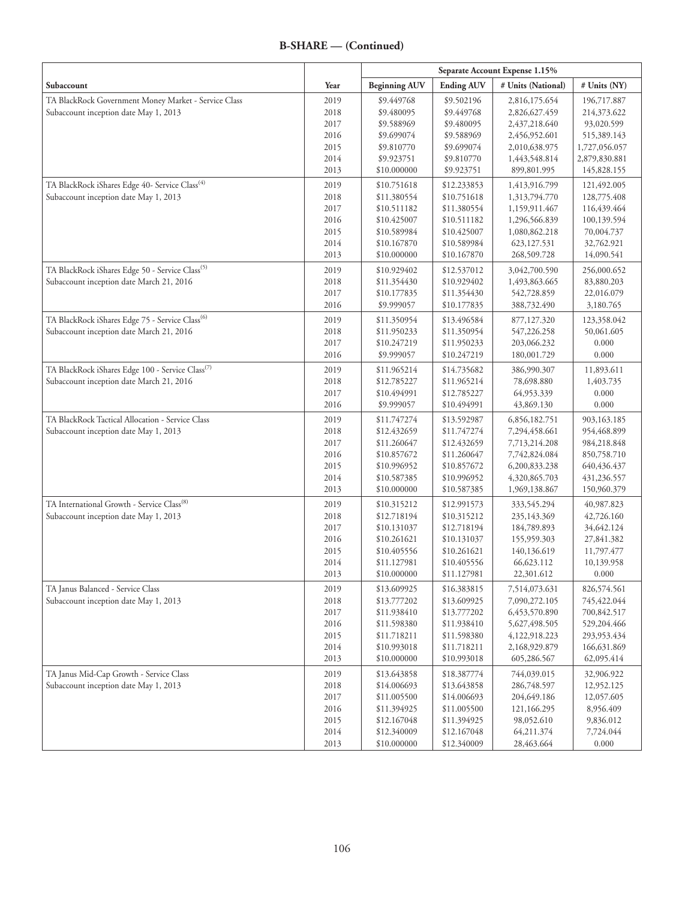|                                                              |              | Separate Account Expense 1.15% |                            |                                |                            |
|--------------------------------------------------------------|--------------|--------------------------------|----------------------------|--------------------------------|----------------------------|
| Subaccount                                                   | Year         | <b>Beginning AUV</b>           | <b>Ending AUV</b>          | # Units (National)             | # Units (NY)               |
| TA BlackRock Government Money Market - Service Class         | 2019         | \$9.449768                     | \$9.502196                 | 2,816,175.654                  | 196,717.887                |
| Subaccount inception date May 1, 2013                        | 2018         | \$9.480095                     | \$9.449768                 | 2,826,627.459                  | 214,373.622                |
|                                                              | 2017         | \$9.588969                     | \$9.480095                 | 2,437,218.640                  | 93,020.599                 |
|                                                              | 2016         | \$9.699074                     | \$9.588969                 | 2,456,952.601                  | 515,389.143                |
|                                                              | 2015         | \$9.810770                     | \$9.699074                 | 2,010,638.975                  | 1,727,056.057              |
|                                                              | 2014         | \$9.923751                     | \$9.810770                 | 1,443,548.814                  | 2,879,830.881              |
|                                                              | 2013         | \$10.000000                    | \$9.923751                 | 899,801.995                    | 145,828.155                |
| TA BlackRock iShares Edge 40- Service Class <sup>(4)</sup>   | 2019         | \$10.751618                    | \$12.233853                | 1,413,916.799                  | 121,492.005                |
| Subaccount inception date May 1, 2013                        | 2018         | \$11.380554                    | \$10.751618                | 1,313,794.770                  | 128,775.408                |
|                                                              | 2017         | \$10.511182                    | \$11.380554                | 1,159,911.467                  | 116,439.464                |
|                                                              | 2016         | \$10.425007                    | \$10.511182                | 1,296,566.839<br>1,080,862.218 | 100,139.594                |
|                                                              | 2015<br>2014 | \$10.589984<br>\$10.167870     | \$10.425007<br>\$10.589984 | 623,127.531                    | 70,004.737<br>32,762.921   |
|                                                              | 2013         | \$10.000000                    | \$10.167870                | 268,509.728                    | 14,090.541                 |
|                                                              |              |                                |                            |                                |                            |
| TA BlackRock iShares Edge 50 - Service Class <sup>(5)</sup>  | 2019         | \$10.929402                    | \$12.537012                | 3,042,700.590                  | 256,000.652                |
| Subaccount inception date March 21, 2016                     | 2018<br>2017 | \$11.354430<br>\$10.177835     | \$10.929402<br>\$11.354430 | 1,493,863.665<br>542,728.859   | 83,880.203<br>22,016.079   |
|                                                              | 2016         | \$9.999057                     | \$10.177835                | 388,732.490                    | 3,180.765                  |
|                                                              |              |                                |                            |                                |                            |
| TA BlackRock iShares Edge 75 - Service Class <sup>(6)</sup>  | 2019         | \$11.350954                    | \$13.496584                | 877,127.320<br>547,226.258     | 123,358.042                |
| Subaccount inception date March 21, 2016                     | 2018<br>2017 | \$11.950233<br>\$10.247219     | \$11.350954<br>\$11.950233 | 203,066.232                    | 50,061.605<br>0.000        |
|                                                              | 2016         | \$9.999057                     | \$10.247219                | 180,001.729                    | 0.000                      |
|                                                              |              |                                |                            |                                |                            |
| TA BlackRock iShares Edge 100 - Service Class <sup>(7)</sup> | 2019         | \$11.965214                    | \$14.735682                | 386,990.307                    | 11,893.611                 |
| Subaccount inception date March 21, 2016                     | 2018<br>2017 | \$12.785227<br>\$10.494991     | \$11.965214<br>\$12.785227 | 78,698.880<br>64,953.339       | 1,403.735<br>0.000         |
|                                                              | 2016         | \$9.999057                     | \$10.494991                | 43,869.130                     | 0.000                      |
| TA BlackRock Tactical Allocation - Service Class             |              | \$11.747274                    | \$13.592987                |                                |                            |
| Subaccount inception date May 1, 2013                        | 2019<br>2018 | \$12.432659                    | \$11.747274                | 6,856,182.751<br>7,294,458.661 | 903,163.185<br>954,468.899 |
|                                                              | 2017         | \$11.260647                    | \$12.432659                | 7,713,214.208                  | 984,218.848                |
|                                                              | 2016         | \$10.857672                    | \$11.260647                | 7,742,824.084                  | 850,758.710                |
|                                                              | 2015         | \$10.996952                    | \$10.857672                | 6,200,833.238                  | 640,436.437                |
|                                                              | 2014         | \$10.587385                    | \$10.996952                | 4,320,865.703                  | 431,236.557                |
|                                                              | 2013         | \$10.000000                    | \$10.587385                | 1,969,138.867                  | 150,960.379                |
| TA International Growth - Service Class <sup>(8)</sup>       | 2019         | \$10.315212                    | \$12.991573                | 333,545.294                    | 40,987.823                 |
| Subaccount inception date May 1, 2013                        | 2018         | \$12.718194                    | \$10.315212                | 235,143.369                    | 42,726.160                 |
|                                                              | 2017         | \$10.131037                    | \$12.718194                | 184,789.893                    | 34,642.124                 |
|                                                              | 2016         | \$10.261621                    | \$10.131037                | 155,959.303                    | 27,841.382                 |
|                                                              | 2015         | \$10.405556                    | \$10.261621                | 140,136.619                    | 11,797.477                 |
|                                                              | 2014         | \$11.127981                    | \$10.405556                | 66,623.112                     | 10,139.958                 |
|                                                              | 2013         | \$10.000000                    | \$11.127981                | 22,301.612                     | 0.000                      |
| TA Janus Balanced - Service Class                            | 2019         | \$13.609925                    | \$16.383815                | 7,514,073.631                  | 826,574.561                |
| Subaccount inception date May 1, 2013                        | 2018         | \$13.777202                    | \$13.609925                | 7,090,272.105                  | 745,422.044                |
|                                                              | 2017         | \$11.938410                    | \$13.777202                | 6,453,570.890                  | 700,842.517                |
|                                                              | 2016         | \$11.598380                    | \$11.938410                | 5,627,498.505                  | 529,204.466                |
|                                                              | 2015         | \$11.718211                    | \$11.598380                | 4,122,918.223                  | 293,953.434                |
|                                                              | 2014         | \$10.993018                    | \$11.718211                | 2,168,929.879                  | 166,631.869                |
|                                                              | 2013         | \$10.000000                    | \$10.993018                | 605,286.567                    | 62,095.414                 |
| TA Janus Mid-Cap Growth - Service Class                      | 2019         | \$13.643858                    | \$18.387774                | 744,039.015                    | 32,906.922                 |
| Subaccount inception date May 1, 2013                        | 2018         | \$14.006693                    | \$13.643858                | 286,748.597                    | 12,952.125                 |
|                                                              | 2017         | \$11.005500                    | \$14.006693                | 204,649.186                    | 12,057.605                 |
|                                                              | 2016         | \$11.394925                    | \$11.005500                | 121,166.295                    | 8,956.409                  |
|                                                              | 2015         | \$12.167048                    | \$11.394925                | 98,052.610                     | 9,836.012                  |
|                                                              | 2014<br>2013 | \$12.340009<br>\$10.000000     | \$12.167048<br>\$12.340009 | 64,211.374                     | 7,724.044<br>0.000         |
|                                                              |              |                                |                            | 28,463.664                     |                            |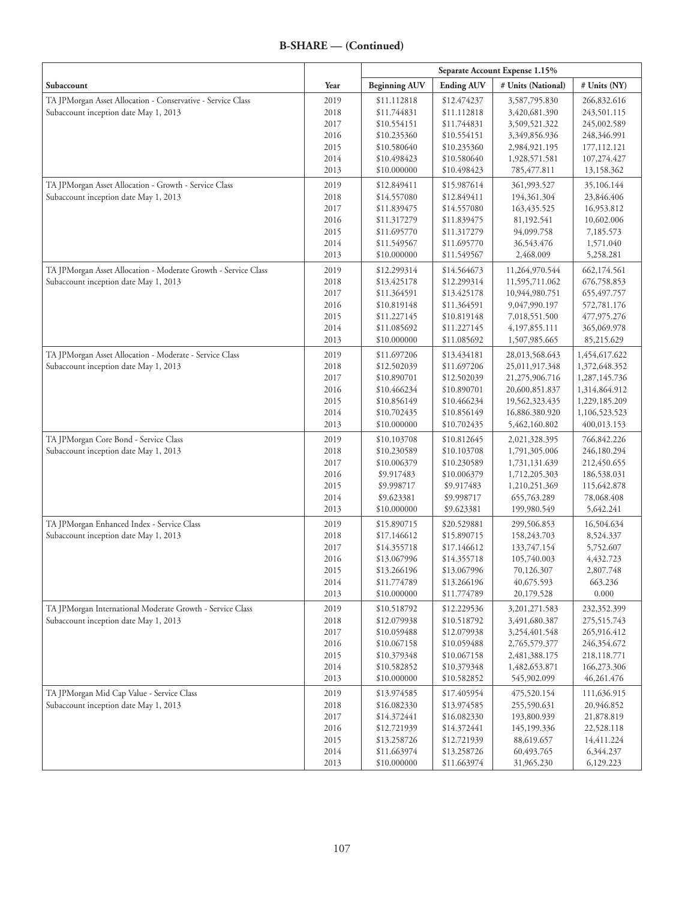| Subaccount                                                     | Year         | <b>Beginning AUV</b>       | <b>Ending AUV</b>          | # Units (National)               | # Units (NY)                   |
|----------------------------------------------------------------|--------------|----------------------------|----------------------------|----------------------------------|--------------------------------|
| TA JPMorgan Asset Allocation - Conservative - Service Class    | 2019         | \$11.112818                | \$12.474237                | 3,587,795.830                    | 266,832.616                    |
| Subaccount inception date May 1, 2013                          | 2018         | \$11.744831                | \$11.112818                | 3,420,681.390                    | 243,501.115                    |
|                                                                | 2017         | \$10.554151                | \$11.744831                | 3,509,521.322                    | 245,002.589                    |
|                                                                | 2016         | \$10.235360                | \$10.554151                | 3,349,856.936                    | 248,346.991                    |
|                                                                | 2015         | \$10.580640                | \$10.235360                | 2,984,921.195                    | 177, 112. 121                  |
|                                                                | 2014         | \$10.498423                | \$10.580640                | 1,928,571.581                    | 107,274.427                    |
|                                                                | 2013         | \$10.000000                | \$10.498423                | 785,477.811                      | 13,158.362                     |
| TA JPMorgan Asset Allocation - Growth - Service Class          | 2019         | \$12.849411                | \$15.987614                | 361,993.527                      | 35,106.144                     |
| Subaccount inception date May 1, 2013                          | 2018         | \$14.557080                | \$12.849411                | 194,361.304                      | 23,846.406                     |
|                                                                | 2017         | \$11.839475                | \$14.557080                | 163,435.525                      | 16,953.812                     |
|                                                                | 2016         | \$11.317279                | \$11.839475                | 81,192.541                       | 10,602.006                     |
|                                                                | 2015         | \$11.695770                | \$11.317279                | 94,099.758                       | 7,185.573                      |
|                                                                | 2014         | \$11.549567                | \$11.695770                | 36,543.476                       | 1,571.040                      |
|                                                                | 2013         | \$10.000000                | \$11.549567                | 2,468.009                        | 5,258.281                      |
| TA JPMorgan Asset Allocation - Moderate Growth - Service Class | 2019         | \$12.299314                | \$14.564673                | 11,264,970.544                   | 662,174.561                    |
| Subaccount inception date May 1, 2013                          | 2018         | \$13.425178                | \$12.299314                | 11,595,711.062                   | 676,758.853                    |
|                                                                | 2017         | \$11.364591                | \$13.425178                | 10,944,980.751                   | 655,497.757                    |
|                                                                | 2016         | \$10.819148                | \$11.364591                | 9,047,990.197                    | 572,781.176                    |
|                                                                | 2015         | \$11.227145                | \$10.819148                | 7,018,551.500                    | 477,975.276                    |
|                                                                | 2014         | \$11.085692                | \$11.227145                | 4,197,855.111                    | 365,069.978                    |
|                                                                | 2013         | \$10.000000                | \$11.085692                | 1,507,985.665                    | 85,215.629                     |
| TA JPMorgan Asset Allocation - Moderate - Service Class        | 2019         | \$11.697206                | \$13.434181                | 28,013,568.643                   | 1,454,617.622                  |
| Subaccount inception date May 1, 2013                          | 2018         | \$12.502039                | \$11.697206                | 25,011,917.348                   | 1,372,648.352                  |
|                                                                | 2017         | \$10.890701                | \$12.502039                | 21,275,906.716                   | 1,287,145.736                  |
|                                                                | 2016         | \$10.466234                | \$10.890701                | 20,600,851.837                   | 1,314,864.912                  |
|                                                                | 2015<br>2014 | \$10.856149<br>\$10.702435 | \$10.466234<br>\$10.856149 | 19,562,323.435<br>16,886.380.920 | 1,229,185.209<br>1,106,523.523 |
|                                                                | 2013         | \$10.000000                | \$10.702435                | 5,462,160.802                    | 400,013.153                    |
| TA JPMorgan Core Bond - Service Class                          | 2019         | \$10.103708                | \$10.812645                | 2,021,328.395                    | 766,842.226                    |
| Subaccount inception date May 1, 2013                          | 2018         | \$10.230589                | \$10.103708                | 1,791,305.006                    | 246,180.294                    |
|                                                                | 2017         | \$10.006379                | \$10.230589                | 1,731,131.639                    | 212,450.655                    |
|                                                                | 2016         | \$9.917483                 | \$10.006379                | 1,712,205.303                    | 186,538.031                    |
|                                                                | 2015         | \$9.998717                 | \$9.917483                 | 1,210,251.369                    | 115,642.878                    |
|                                                                | 2014         | \$9.623381                 | \$9.998717                 | 655,763.289                      | 78,068.408                     |
|                                                                | 2013         | \$10.000000                | \$9.623381                 | 199,980.549                      | 5,642.241                      |
| TA JPMorgan Enhanced Index - Service Class                     | 2019         | \$15.890715                | \$20.529881                | 299,506.853                      | 16,504.634                     |
| Subaccount inception date May 1, 2013                          | 2018         | \$17.146612                | \$15.890715                | 158,243.703                      | 8,524.337                      |
|                                                                | 2017         | \$14.355718                | \$17.146612                | 133,747.154                      | 5,752.607                      |
|                                                                | 2016         | \$13.067996                | \$14.355718                | 105,740.003                      | 4,432.723                      |
|                                                                | 2015         | \$13.266196                | \$13.067996                | 70,126.307                       | 2,807.748                      |
|                                                                | 2014         | \$11.774789                | \$13.266196                | 40,675.593                       | 663.236                        |
|                                                                | 2013         | \$10.000000                | \$11.774789                | 20,179.528                       | 0.000                          |
| TA JPMorgan International Moderate Growth - Service Class      | 2019         | \$10.518792                | \$12.229536                | 3, 201, 271. 583                 | 232,352.399                    |
| Subaccount inception date May 1, 2013                          | 2018         | \$12.079938                | \$10.518792                | 3,491,680.387                    | 275,515.743                    |
|                                                                | 2017         | \$10.059488                | \$12.079938                | 3,254,401.548                    | 265,916.412                    |
|                                                                | 2016<br>2015 | \$10.067158<br>\$10.379348 | \$10.059488<br>\$10.067158 | 2,765,579.377                    | 246,354.672<br>218,118.771     |
|                                                                | 2014         | \$10.582852                | \$10.379348                | 2,481,388.175<br>1,482,653.871   | 166,273.306                    |
|                                                                | 2013         | \$10.000000                | \$10.582852                | 545,902.099                      | 46,261.476                     |
| TA JPMorgan Mid Cap Value - Service Class                      | 2019         | \$13.974585                | \$17.405954                | 475,520.154                      | 111,636.915                    |
| Subaccount inception date May 1, 2013                          | 2018         | \$16.082330                | \$13.974585                | 255,590.631                      | 20,946.852                     |
|                                                                | 2017         | \$14.372441                | \$16.082330                | 193,800.939                      | 21,878.819                     |
|                                                                | 2016         | \$12.721939                | \$14.372441                | 145,199.336                      | 22,528.118                     |
|                                                                | 2015         | \$13.258726                | \$12.721939                | 88,619.657                       | 14,411.224                     |
|                                                                | 2014         | \$11.663974                | \$13.258726                | 60,493.765                       | 6,344.237                      |
|                                                                | 2013         | \$10.000000                | \$11.663974                | 31,965.230                       | 6,129.223                      |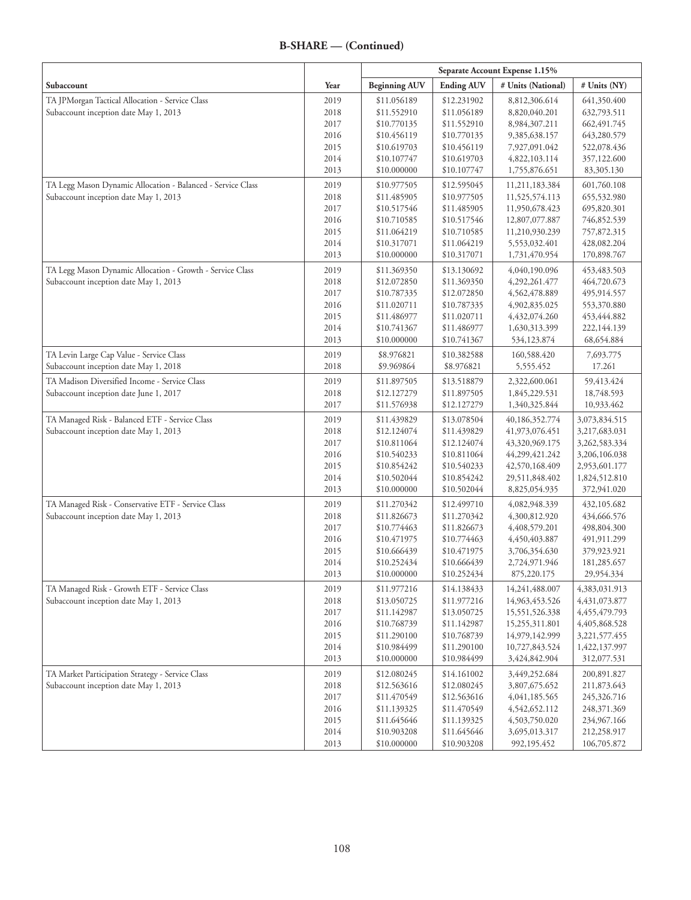|                                                             |      | Separate Account Expense 1.15% |                   |                    |                  |
|-------------------------------------------------------------|------|--------------------------------|-------------------|--------------------|------------------|
| Subaccount                                                  | Year | <b>Beginning AUV</b>           | <b>Ending AUV</b> | # Units (National) | # Units (NY)     |
| TA JPMorgan Tactical Allocation - Service Class             | 2019 | \$11.056189                    | \$12.231902       | 8,812,306.614      | 641,350.400      |
| Subaccount inception date May 1, 2013                       | 2018 | \$11.552910                    | \$11.056189       | 8,820,040.201      | 632,793.511      |
|                                                             | 2017 | \$10.770135                    | \$11.552910       | 8,984,307.211      | 662, 491. 745    |
|                                                             | 2016 | \$10.456119                    | \$10.770135       | 9,385,638.157      | 643,280.579      |
|                                                             | 2015 | \$10.619703                    | \$10.456119       | 7,927,091.042      | 522,078.436      |
|                                                             | 2014 | \$10.107747                    | \$10.619703       | 4,822,103.114      | 357,122.600      |
|                                                             | 2013 | \$10.000000                    | \$10.107747       | 1,755,876.651      | 83,305.130       |
| TA Legg Mason Dynamic Allocation - Balanced - Service Class | 2019 | \$10.977505                    | \$12.595045       | 11,211,183.384     | 601,760.108      |
| Subaccount inception date May 1, 2013                       | 2018 | \$11.485905                    | \$10.977505       | 11,525,574.113     | 655,532.980      |
|                                                             | 2017 | \$10.517546                    | \$11.485905       | 11,950,678.423     | 695,820.301      |
|                                                             | 2016 | \$10.710585                    | \$10.517546       | 12,807,077.887     | 746,852.539      |
|                                                             | 2015 | \$11.064219                    | \$10.710585       | 11,210,930.239     | 757,872.315      |
|                                                             | 2014 | \$10.317071                    | \$11.064219       | 5,553,032.401      | 428,082.204      |
|                                                             | 2013 | \$10.000000                    | \$10.317071       | 1,731,470.954      | 170,898.767      |
| TA Legg Mason Dynamic Allocation - Growth - Service Class   | 2019 | \$11.369350                    | \$13.130692       | 4,040,190.096      | 453, 483. 503    |
| Subaccount inception date May 1, 2013                       | 2018 | \$12.072850                    | \$11.369350       | 4,292,261.477      | 464,720.673      |
|                                                             | 2017 | \$10.787335                    | \$12.072850       | 4,562,478.889      | 495,914.557      |
|                                                             | 2016 | \$11.020711                    | \$10.787335       | 4,902,835.025      | 553,370.880      |
|                                                             | 2015 | \$11.486977                    | \$11.020711       | 4,432,074.260      | 453,444.882      |
|                                                             | 2014 | \$10.741367                    | \$11.486977       | 1,630,313.399      | 222,144.139      |
|                                                             | 2013 | \$10.000000                    | \$10.741367       | 534,123.874        | 68,654.884       |
| TA Levin Large Cap Value - Service Class                    | 2019 | \$8.976821                     | \$10.382588       | 160,588.420        | 7,693.775        |
| Subaccount inception date May 1, 2018                       | 2018 | \$9.969864                     | \$8.976821        | 5,555.452          | 17.261           |
| TA Madison Diversified Income - Service Class               | 2019 | \$11.897505                    | \$13.518879       | 2,322,600.061      | 59,413.424       |
| Subaccount inception date June 1, 2017                      | 2018 | \$12,127279                    | \$11.897505       | 1,845,229.531      | 18,748.593       |
|                                                             | 2017 | \$11.576938                    | \$12.127279       | 1,340,325.844      | 10,933.462       |
| TA Managed Risk - Balanced ETF - Service Class              | 2019 | \$11.439829                    | \$13.078504       | 40,186,352.774     | 3,073,834.515    |
| Subaccount inception date May 1, 2013                       | 2018 | \$12.124074                    | \$11.439829       | 41,973,076.451     | 3,217,683.031    |
|                                                             | 2017 | \$10.811064                    | \$12.124074       | 43,320,969.175     | 3,262,583.334    |
|                                                             | 2016 | \$10.540233                    | \$10.811064       | 44,299,421.242     | 3,206,106.038    |
|                                                             | 2015 | \$10.854242                    | \$10.540233       | 42,570,168.409     | 2,953,601.177    |
|                                                             | 2014 | \$10.502044                    | \$10.854242       | 29,511,848.402     | 1,824,512.810    |
|                                                             | 2013 | \$10.000000                    | \$10.502044       | 8,825,054.935      | 372,941.020      |
| TA Managed Risk - Conservative ETF - Service Class          | 2019 | \$11.270342                    | \$12.499710       | 4,082,948.339      | 432,105.682      |
| Subaccount inception date May 1, 2013                       | 2018 | \$11.826673                    | \$11.270342       | 4,300,812.920      | 434,666.576      |
|                                                             | 2017 | \$10.774463                    | \$11.826673       | 4,408,579.201      | 498,804.300      |
|                                                             | 2016 | \$10.471975                    | \$10.774463       | 4,450,403.887      | 491,911.299      |
|                                                             | 2015 | \$10.666439                    | \$10.471975       | 3,706,354.630      | 379,923.921      |
|                                                             | 2014 | \$10.252434                    | \$10.666439       | 2,724,971.946      | 181,285.657      |
|                                                             | 2013 | \$10.000000                    | \$10.252434       | 875,220.175        | 29,954.334       |
| TA Managed Risk - Growth ETF - Service Class                | 2019 | \$11.977216                    | \$14.138433       | 14,241,488.007     | 4,383,031.913    |
| Subaccount inception date May 1, 2013                       | 2018 | \$13.050725                    | \$11.977216       | 14,963,453.526     | 4, 431, 073. 877 |
|                                                             | 2017 | \$11.142987                    | \$13.050725       | 15,551,526.338     | 4,455,479.793    |
|                                                             | 2016 | \$10.768739                    | \$11.142987       | 15,255,311.801     | 4,405,868.528    |
|                                                             | 2015 | \$11.290100                    | \$10.768739       | 14,979,142.999     | 3,221,577.455    |
|                                                             | 2014 | \$10.984499                    | \$11.290100       | 10,727,843.524     | 1,422,137.997    |
|                                                             | 2013 | \$10.000000                    | \$10.984499       | 3,424,842.904      | 312,077.531      |
| TA Market Participation Strategy - Service Class            | 2019 | \$12.080245                    | \$14.161002       | 3,449,252.684      | 200,891.827      |
| Subaccount inception date May 1, 2013                       | 2018 | \$12.563616                    | \$12.080245       | 3,807,675.652      | 211,873.643      |
|                                                             | 2017 | \$11.470549                    | \$12.563616       | 4,041,185.565      | 245,326.716      |
|                                                             | 2016 | \$11.139325                    | \$11.470549       | 4,542,652.112      | 248,371.369      |
|                                                             | 2015 | \$11.645646                    | \$11.139325       | 4,503,750.020      | 234,967.166      |
|                                                             | 2014 | \$10.903208                    | \$11.645646       | 3,695,013.317      | 212,258.917      |
|                                                             | 2013 | \$10.000000                    | \$10.903208       | 992,195.452        | 106,705.872      |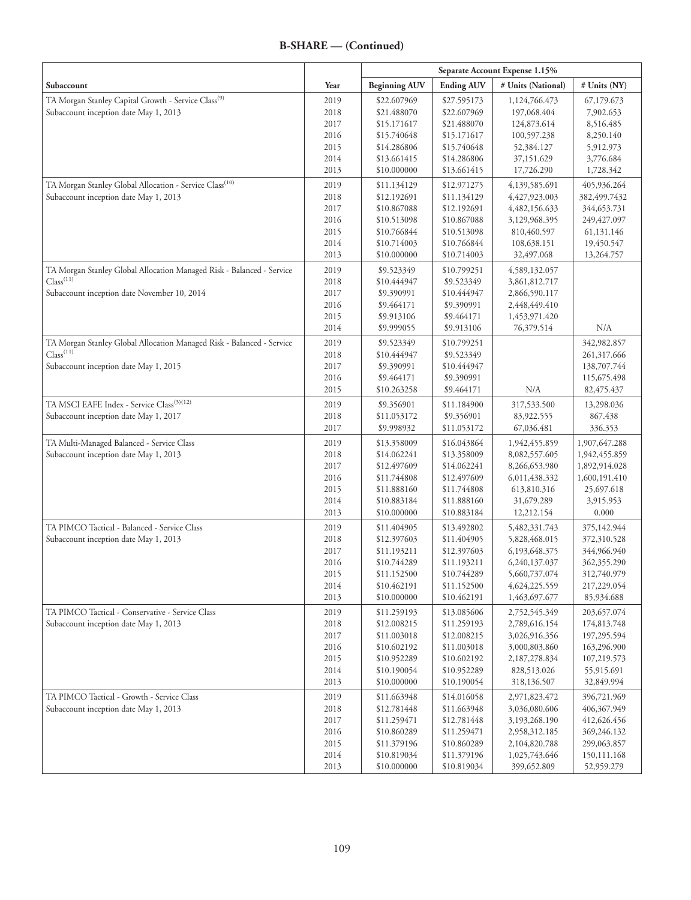| <b>Ending AUV</b><br># Units (National)<br>Subaccount<br>Year<br><b>Beginning AUV</b><br># Units (NY)<br>TA Morgan Stanley Capital Growth - Service Class <sup>(9)</sup><br>2019<br>67,179.673<br>\$22.607969<br>\$27.595173<br>1,124,766.473<br>Subaccount inception date May 1, 2013<br>2018<br>\$21.488070<br>\$22.607969<br>197,068.404<br>7,902.653<br>2017<br>\$15.171617<br>\$21.488070<br>124,873.614<br>8,516.485<br>2016<br>\$15.740648<br>\$15.171617<br>100,597.238<br>8,250.140<br>2015<br>\$15.740648<br>5,912.973<br>\$14.286806<br>52,384.127<br>2014<br>\$13.661415<br>\$14.286806<br>3,776.684<br>37,151.629<br>2013<br>\$10.000000<br>\$13.661415<br>17,726.290<br>1,728.342<br>TA Morgan Stanley Global Allocation - Service Class <sup>(10)</sup><br>2019<br>\$12.971275<br>405,936.264<br>\$11.134129<br>4,139,585.691<br>Subaccount inception date May 1, 2013<br>382,499.7432<br>2018<br>\$12.192691<br>\$11.134129<br>4,427,923.003<br>2017<br>\$10.867088<br>\$12.192691<br>4,482,156.633<br>344,653.731<br>2016<br>\$10.513098<br>\$10.867088<br>249, 427.097<br>3,129,968.395<br>2015<br>\$10.766844<br>\$10.513098<br>61,131.146<br>810,460.597<br>2014<br>\$10.714003<br>\$10.766844<br>108,638.151<br>19,450.547<br>2013<br>\$10.000000<br>\$10.714003<br>13,264.757<br>32,497.068<br>TA Morgan Stanley Global Allocation Managed Risk - Balanced - Service<br>2019<br>\$9.523349<br>\$10.799251<br>4,589,132.057<br>Class <sup>(11)</sup><br>2018<br>\$10.444947<br>\$9.523349<br>3,861,812.717<br>Subaccount inception date November 10, 2014<br>2017<br>\$9.390991<br>\$10.444947<br>2,866,590.117<br>2016<br>\$9.464171<br>\$9.390991<br>2,448,449.410<br>2015<br>\$9.913106<br>\$9.464171<br>1,453,971.420<br>N/A<br>2014<br>\$9.999055<br>\$9.913106<br>76,379.514<br>TA Morgan Stanley Global Allocation Managed Risk - Balanced - Service<br>342,982.857<br>2019<br>\$9.523349<br>\$10.799251<br>Class <sup>(11)</sup><br>2018<br>\$10.444947<br>\$9.523349<br>261,317.666<br>Subaccount inception date May 1, 2015<br>138,707.744<br>2017<br>\$9.390991<br>\$10.444947<br>2016<br>\$9.464171<br>\$9.390991<br>115,675.498<br>2015<br>\$9.464171<br>N/A<br>82,475.437<br>\$10.263258<br>TA MSCI EAFE Index - Service Class <sup>(3)(12)</sup><br>2019<br>\$9.356901<br>\$11.184900<br>317,533.500<br>13,298.036<br>Subaccount inception date May 1, 2017<br>2018<br>\$11.053172<br>\$9.356901<br>83,922.555<br>867.438<br>2017<br>\$9.998932<br>\$11.053172<br>67,036.481<br>336.353<br>TA Multi-Managed Balanced - Service Class<br>\$16.043864<br>2019<br>\$13.358009<br>1,907,647.288<br>1,942,455.859<br>Subaccount inception date May 1, 2013<br>2018<br>\$14.062241<br>\$13.358009<br>8,082,557.605<br>1,942,455.859<br>2017<br>\$12.497609<br>\$14.062241<br>8,266,653.980<br>1,892,914.028<br>2016<br>\$11.744808<br>\$12.497609<br>1,600,191.410<br>6,011,438.332<br>2015<br>\$11.888160<br>\$11.744808<br>25,697.618<br>613,810.316<br>2014<br>\$10.883184<br>\$11.888160<br>31,679.289<br>3,915.953<br>2013<br>\$10.000000<br>\$10.883184<br>12,212.154<br>0.000<br>TA PIMCO Tactical - Balanced - Service Class<br>2019<br>\$11.404905<br>\$13.492802<br>375,142.944<br>5,482,331.743<br>Subaccount inception date May 1, 2013<br>2018<br>\$12.397603<br>\$11.404905<br>372,310.528<br>5,828,468.015<br>2017<br>\$11.193211<br>\$12.397603<br>344,966.940<br>6, 193, 648. 375<br>2016<br>\$10.744289<br>362,355.290<br>\$11.193211<br>6,240,137.037<br>2015<br>\$10.744289<br>5,660,737.074<br>312,740.979<br>\$11.152500<br>2014<br>\$10.462191<br>\$11.152500<br>4,624,225.559<br>217,229.054<br>2013<br>\$10.000000<br>\$10.462191<br>1,463,697.677<br>85,934.688<br>TA PIMCO Tactical - Conservative - Service Class<br>2019<br>\$11.259193<br>\$13.085606<br>203,657.074<br>2,752,545.349<br>Subaccount inception date May 1, 2013<br>2018<br>\$12.008215<br>\$11.259193<br>2,789,616.154<br>174,813.748<br>2017<br>197,295.594<br>\$11.003018<br>\$12.008215<br>3,026,916.356<br>2016<br>\$10.602192<br>\$11.003018<br>3,000,803.860<br>163,296.900<br>2015<br>\$10.952289<br>\$10.602192<br>2,187,278.834<br>107,219.573<br>2014<br>\$10.190054<br>\$10.952289<br>828,513.026<br>55,915.691<br>2013<br>\$10.000000<br>\$10.190054<br>32,849.994<br>318,136.507<br>TA PIMCO Tactical - Growth - Service Class<br>2019<br>\$11.663948<br>\$14.016058<br>2,971,823.472<br>396,721.969<br>Subaccount inception date May 1, 2013<br>2018<br>\$12.781448<br>\$11.663948<br>406,367.949<br>3,036,080.606<br>\$12.781448<br>2017<br>\$11.259471<br>3,193,268.190<br>412,626.456<br>2016<br>\$10.860289<br>\$11.259471<br>369,246.132<br>2,958,312.185<br>2015<br>\$11.379196<br>\$10.860289<br>299,063.857<br>2,104,820.788<br>2014<br>\$10.819034<br>\$11.379196<br>150,111.168<br>1,025,743.646<br>2013<br>\$10.000000<br>\$10.819034<br>52,959.279<br>399,652.809 |  | Separate Account Expense 1.15% |  |  |  |
|------------------------------------------------------------------------------------------------------------------------------------------------------------------------------------------------------------------------------------------------------------------------------------------------------------------------------------------------------------------------------------------------------------------------------------------------------------------------------------------------------------------------------------------------------------------------------------------------------------------------------------------------------------------------------------------------------------------------------------------------------------------------------------------------------------------------------------------------------------------------------------------------------------------------------------------------------------------------------------------------------------------------------------------------------------------------------------------------------------------------------------------------------------------------------------------------------------------------------------------------------------------------------------------------------------------------------------------------------------------------------------------------------------------------------------------------------------------------------------------------------------------------------------------------------------------------------------------------------------------------------------------------------------------------------------------------------------------------------------------------------------------------------------------------------------------------------------------------------------------------------------------------------------------------------------------------------------------------------------------------------------------------------------------------------------------------------------------------------------------------------------------------------------------------------------------------------------------------------------------------------------------------------------------------------------------------------------------------------------------------------------------------------------------------------------------------------------------------------------------------------------------------------------------------------------------------------------------------------------------------------------------------------------------------------------------------------------------------------------------------------------------------------------------------------------------------------------------------------------------------------------------------------------------------------------------------------------------------------------------------------------------------------------------------------------------------------------------------------------------------------------------------------------------------------------------------------------------------------------------------------------------------------------------------------------------------------------------------------------------------------------------------------------------------------------------------------------------------------------------------------------------------------------------------------------------------------------------------------------------------------------------------------------------------------------------------------------------------------------------------------------------------------------------------------------------------------------------------------------------------------------------------------------------------------------------------------------------------------------------------------------------------------------------------------------------------------------------------------------------------------------------------------------------------------------------------------------------------------------------------------------------------------------------------------------------------------------------------------------------------------------------------------------------------------------------------------------------------------------------------------------------------------------------------------------------------------------------------------------------------------------------------------------------------------------------------------------------------------------------------------------------------------------------------------------------------------------------------------------------------------------------------------------------------|--|--------------------------------|--|--|--|
|                                                                                                                                                                                                                                                                                                                                                                                                                                                                                                                                                                                                                                                                                                                                                                                                                                                                                                                                                                                                                                                                                                                                                                                                                                                                                                                                                                                                                                                                                                                                                                                                                                                                                                                                                                                                                                                                                                                                                                                                                                                                                                                                                                                                                                                                                                                                                                                                                                                                                                                                                                                                                                                                                                                                                                                                                                                                                                                                                                                                                                                                                                                                                                                                                                                                                                                                                                                                                                                                                                                                                                                                                                                                                                                                                                                                                                                                                                                                                                                                                                                                                                                                                                                                                                                                                                                                                                                                                                                                                                                                                                                                                                                                                                                                                                                                                                                                                                                        |  |                                |  |  |  |
|                                                                                                                                                                                                                                                                                                                                                                                                                                                                                                                                                                                                                                                                                                                                                                                                                                                                                                                                                                                                                                                                                                                                                                                                                                                                                                                                                                                                                                                                                                                                                                                                                                                                                                                                                                                                                                                                                                                                                                                                                                                                                                                                                                                                                                                                                                                                                                                                                                                                                                                                                                                                                                                                                                                                                                                                                                                                                                                                                                                                                                                                                                                                                                                                                                                                                                                                                                                                                                                                                                                                                                                                                                                                                                                                                                                                                                                                                                                                                                                                                                                                                                                                                                                                                                                                                                                                                                                                                                                                                                                                                                                                                                                                                                                                                                                                                                                                                                                        |  |                                |  |  |  |
|                                                                                                                                                                                                                                                                                                                                                                                                                                                                                                                                                                                                                                                                                                                                                                                                                                                                                                                                                                                                                                                                                                                                                                                                                                                                                                                                                                                                                                                                                                                                                                                                                                                                                                                                                                                                                                                                                                                                                                                                                                                                                                                                                                                                                                                                                                                                                                                                                                                                                                                                                                                                                                                                                                                                                                                                                                                                                                                                                                                                                                                                                                                                                                                                                                                                                                                                                                                                                                                                                                                                                                                                                                                                                                                                                                                                                                                                                                                                                                                                                                                                                                                                                                                                                                                                                                                                                                                                                                                                                                                                                                                                                                                                                                                                                                                                                                                                                                                        |  |                                |  |  |  |
|                                                                                                                                                                                                                                                                                                                                                                                                                                                                                                                                                                                                                                                                                                                                                                                                                                                                                                                                                                                                                                                                                                                                                                                                                                                                                                                                                                                                                                                                                                                                                                                                                                                                                                                                                                                                                                                                                                                                                                                                                                                                                                                                                                                                                                                                                                                                                                                                                                                                                                                                                                                                                                                                                                                                                                                                                                                                                                                                                                                                                                                                                                                                                                                                                                                                                                                                                                                                                                                                                                                                                                                                                                                                                                                                                                                                                                                                                                                                                                                                                                                                                                                                                                                                                                                                                                                                                                                                                                                                                                                                                                                                                                                                                                                                                                                                                                                                                                                        |  |                                |  |  |  |
|                                                                                                                                                                                                                                                                                                                                                                                                                                                                                                                                                                                                                                                                                                                                                                                                                                                                                                                                                                                                                                                                                                                                                                                                                                                                                                                                                                                                                                                                                                                                                                                                                                                                                                                                                                                                                                                                                                                                                                                                                                                                                                                                                                                                                                                                                                                                                                                                                                                                                                                                                                                                                                                                                                                                                                                                                                                                                                                                                                                                                                                                                                                                                                                                                                                                                                                                                                                                                                                                                                                                                                                                                                                                                                                                                                                                                                                                                                                                                                                                                                                                                                                                                                                                                                                                                                                                                                                                                                                                                                                                                                                                                                                                                                                                                                                                                                                                                                                        |  |                                |  |  |  |
|                                                                                                                                                                                                                                                                                                                                                                                                                                                                                                                                                                                                                                                                                                                                                                                                                                                                                                                                                                                                                                                                                                                                                                                                                                                                                                                                                                                                                                                                                                                                                                                                                                                                                                                                                                                                                                                                                                                                                                                                                                                                                                                                                                                                                                                                                                                                                                                                                                                                                                                                                                                                                                                                                                                                                                                                                                                                                                                                                                                                                                                                                                                                                                                                                                                                                                                                                                                                                                                                                                                                                                                                                                                                                                                                                                                                                                                                                                                                                                                                                                                                                                                                                                                                                                                                                                                                                                                                                                                                                                                                                                                                                                                                                                                                                                                                                                                                                                                        |  |                                |  |  |  |
|                                                                                                                                                                                                                                                                                                                                                                                                                                                                                                                                                                                                                                                                                                                                                                                                                                                                                                                                                                                                                                                                                                                                                                                                                                                                                                                                                                                                                                                                                                                                                                                                                                                                                                                                                                                                                                                                                                                                                                                                                                                                                                                                                                                                                                                                                                                                                                                                                                                                                                                                                                                                                                                                                                                                                                                                                                                                                                                                                                                                                                                                                                                                                                                                                                                                                                                                                                                                                                                                                                                                                                                                                                                                                                                                                                                                                                                                                                                                                                                                                                                                                                                                                                                                                                                                                                                                                                                                                                                                                                                                                                                                                                                                                                                                                                                                                                                                                                                        |  |                                |  |  |  |
|                                                                                                                                                                                                                                                                                                                                                                                                                                                                                                                                                                                                                                                                                                                                                                                                                                                                                                                                                                                                                                                                                                                                                                                                                                                                                                                                                                                                                                                                                                                                                                                                                                                                                                                                                                                                                                                                                                                                                                                                                                                                                                                                                                                                                                                                                                                                                                                                                                                                                                                                                                                                                                                                                                                                                                                                                                                                                                                                                                                                                                                                                                                                                                                                                                                                                                                                                                                                                                                                                                                                                                                                                                                                                                                                                                                                                                                                                                                                                                                                                                                                                                                                                                                                                                                                                                                                                                                                                                                                                                                                                                                                                                                                                                                                                                                                                                                                                                                        |  |                                |  |  |  |
|                                                                                                                                                                                                                                                                                                                                                                                                                                                                                                                                                                                                                                                                                                                                                                                                                                                                                                                                                                                                                                                                                                                                                                                                                                                                                                                                                                                                                                                                                                                                                                                                                                                                                                                                                                                                                                                                                                                                                                                                                                                                                                                                                                                                                                                                                                                                                                                                                                                                                                                                                                                                                                                                                                                                                                                                                                                                                                                                                                                                                                                                                                                                                                                                                                                                                                                                                                                                                                                                                                                                                                                                                                                                                                                                                                                                                                                                                                                                                                                                                                                                                                                                                                                                                                                                                                                                                                                                                                                                                                                                                                                                                                                                                                                                                                                                                                                                                                                        |  |                                |  |  |  |
|                                                                                                                                                                                                                                                                                                                                                                                                                                                                                                                                                                                                                                                                                                                                                                                                                                                                                                                                                                                                                                                                                                                                                                                                                                                                                                                                                                                                                                                                                                                                                                                                                                                                                                                                                                                                                                                                                                                                                                                                                                                                                                                                                                                                                                                                                                                                                                                                                                                                                                                                                                                                                                                                                                                                                                                                                                                                                                                                                                                                                                                                                                                                                                                                                                                                                                                                                                                                                                                                                                                                                                                                                                                                                                                                                                                                                                                                                                                                                                                                                                                                                                                                                                                                                                                                                                                                                                                                                                                                                                                                                                                                                                                                                                                                                                                                                                                                                                                        |  |                                |  |  |  |
|                                                                                                                                                                                                                                                                                                                                                                                                                                                                                                                                                                                                                                                                                                                                                                                                                                                                                                                                                                                                                                                                                                                                                                                                                                                                                                                                                                                                                                                                                                                                                                                                                                                                                                                                                                                                                                                                                                                                                                                                                                                                                                                                                                                                                                                                                                                                                                                                                                                                                                                                                                                                                                                                                                                                                                                                                                                                                                                                                                                                                                                                                                                                                                                                                                                                                                                                                                                                                                                                                                                                                                                                                                                                                                                                                                                                                                                                                                                                                                                                                                                                                                                                                                                                                                                                                                                                                                                                                                                                                                                                                                                                                                                                                                                                                                                                                                                                                                                        |  |                                |  |  |  |
|                                                                                                                                                                                                                                                                                                                                                                                                                                                                                                                                                                                                                                                                                                                                                                                                                                                                                                                                                                                                                                                                                                                                                                                                                                                                                                                                                                                                                                                                                                                                                                                                                                                                                                                                                                                                                                                                                                                                                                                                                                                                                                                                                                                                                                                                                                                                                                                                                                                                                                                                                                                                                                                                                                                                                                                                                                                                                                                                                                                                                                                                                                                                                                                                                                                                                                                                                                                                                                                                                                                                                                                                                                                                                                                                                                                                                                                                                                                                                                                                                                                                                                                                                                                                                                                                                                                                                                                                                                                                                                                                                                                                                                                                                                                                                                                                                                                                                                                        |  |                                |  |  |  |
|                                                                                                                                                                                                                                                                                                                                                                                                                                                                                                                                                                                                                                                                                                                                                                                                                                                                                                                                                                                                                                                                                                                                                                                                                                                                                                                                                                                                                                                                                                                                                                                                                                                                                                                                                                                                                                                                                                                                                                                                                                                                                                                                                                                                                                                                                                                                                                                                                                                                                                                                                                                                                                                                                                                                                                                                                                                                                                                                                                                                                                                                                                                                                                                                                                                                                                                                                                                                                                                                                                                                                                                                                                                                                                                                                                                                                                                                                                                                                                                                                                                                                                                                                                                                                                                                                                                                                                                                                                                                                                                                                                                                                                                                                                                                                                                                                                                                                                                        |  |                                |  |  |  |
|                                                                                                                                                                                                                                                                                                                                                                                                                                                                                                                                                                                                                                                                                                                                                                                                                                                                                                                                                                                                                                                                                                                                                                                                                                                                                                                                                                                                                                                                                                                                                                                                                                                                                                                                                                                                                                                                                                                                                                                                                                                                                                                                                                                                                                                                                                                                                                                                                                                                                                                                                                                                                                                                                                                                                                                                                                                                                                                                                                                                                                                                                                                                                                                                                                                                                                                                                                                                                                                                                                                                                                                                                                                                                                                                                                                                                                                                                                                                                                                                                                                                                                                                                                                                                                                                                                                                                                                                                                                                                                                                                                                                                                                                                                                                                                                                                                                                                                                        |  |                                |  |  |  |
|                                                                                                                                                                                                                                                                                                                                                                                                                                                                                                                                                                                                                                                                                                                                                                                                                                                                                                                                                                                                                                                                                                                                                                                                                                                                                                                                                                                                                                                                                                                                                                                                                                                                                                                                                                                                                                                                                                                                                                                                                                                                                                                                                                                                                                                                                                                                                                                                                                                                                                                                                                                                                                                                                                                                                                                                                                                                                                                                                                                                                                                                                                                                                                                                                                                                                                                                                                                                                                                                                                                                                                                                                                                                                                                                                                                                                                                                                                                                                                                                                                                                                                                                                                                                                                                                                                                                                                                                                                                                                                                                                                                                                                                                                                                                                                                                                                                                                                                        |  |                                |  |  |  |
|                                                                                                                                                                                                                                                                                                                                                                                                                                                                                                                                                                                                                                                                                                                                                                                                                                                                                                                                                                                                                                                                                                                                                                                                                                                                                                                                                                                                                                                                                                                                                                                                                                                                                                                                                                                                                                                                                                                                                                                                                                                                                                                                                                                                                                                                                                                                                                                                                                                                                                                                                                                                                                                                                                                                                                                                                                                                                                                                                                                                                                                                                                                                                                                                                                                                                                                                                                                                                                                                                                                                                                                                                                                                                                                                                                                                                                                                                                                                                                                                                                                                                                                                                                                                                                                                                                                                                                                                                                                                                                                                                                                                                                                                                                                                                                                                                                                                                                                        |  |                                |  |  |  |
|                                                                                                                                                                                                                                                                                                                                                                                                                                                                                                                                                                                                                                                                                                                                                                                                                                                                                                                                                                                                                                                                                                                                                                                                                                                                                                                                                                                                                                                                                                                                                                                                                                                                                                                                                                                                                                                                                                                                                                                                                                                                                                                                                                                                                                                                                                                                                                                                                                                                                                                                                                                                                                                                                                                                                                                                                                                                                                                                                                                                                                                                                                                                                                                                                                                                                                                                                                                                                                                                                                                                                                                                                                                                                                                                                                                                                                                                                                                                                                                                                                                                                                                                                                                                                                                                                                                                                                                                                                                                                                                                                                                                                                                                                                                                                                                                                                                                                                                        |  |                                |  |  |  |
|                                                                                                                                                                                                                                                                                                                                                                                                                                                                                                                                                                                                                                                                                                                                                                                                                                                                                                                                                                                                                                                                                                                                                                                                                                                                                                                                                                                                                                                                                                                                                                                                                                                                                                                                                                                                                                                                                                                                                                                                                                                                                                                                                                                                                                                                                                                                                                                                                                                                                                                                                                                                                                                                                                                                                                                                                                                                                                                                                                                                                                                                                                                                                                                                                                                                                                                                                                                                                                                                                                                                                                                                                                                                                                                                                                                                                                                                                                                                                                                                                                                                                                                                                                                                                                                                                                                                                                                                                                                                                                                                                                                                                                                                                                                                                                                                                                                                                                                        |  |                                |  |  |  |
|                                                                                                                                                                                                                                                                                                                                                                                                                                                                                                                                                                                                                                                                                                                                                                                                                                                                                                                                                                                                                                                                                                                                                                                                                                                                                                                                                                                                                                                                                                                                                                                                                                                                                                                                                                                                                                                                                                                                                                                                                                                                                                                                                                                                                                                                                                                                                                                                                                                                                                                                                                                                                                                                                                                                                                                                                                                                                                                                                                                                                                                                                                                                                                                                                                                                                                                                                                                                                                                                                                                                                                                                                                                                                                                                                                                                                                                                                                                                                                                                                                                                                                                                                                                                                                                                                                                                                                                                                                                                                                                                                                                                                                                                                                                                                                                                                                                                                                                        |  |                                |  |  |  |
|                                                                                                                                                                                                                                                                                                                                                                                                                                                                                                                                                                                                                                                                                                                                                                                                                                                                                                                                                                                                                                                                                                                                                                                                                                                                                                                                                                                                                                                                                                                                                                                                                                                                                                                                                                                                                                                                                                                                                                                                                                                                                                                                                                                                                                                                                                                                                                                                                                                                                                                                                                                                                                                                                                                                                                                                                                                                                                                                                                                                                                                                                                                                                                                                                                                                                                                                                                                                                                                                                                                                                                                                                                                                                                                                                                                                                                                                                                                                                                                                                                                                                                                                                                                                                                                                                                                                                                                                                                                                                                                                                                                                                                                                                                                                                                                                                                                                                                                        |  |                                |  |  |  |
|                                                                                                                                                                                                                                                                                                                                                                                                                                                                                                                                                                                                                                                                                                                                                                                                                                                                                                                                                                                                                                                                                                                                                                                                                                                                                                                                                                                                                                                                                                                                                                                                                                                                                                                                                                                                                                                                                                                                                                                                                                                                                                                                                                                                                                                                                                                                                                                                                                                                                                                                                                                                                                                                                                                                                                                                                                                                                                                                                                                                                                                                                                                                                                                                                                                                                                                                                                                                                                                                                                                                                                                                                                                                                                                                                                                                                                                                                                                                                                                                                                                                                                                                                                                                                                                                                                                                                                                                                                                                                                                                                                                                                                                                                                                                                                                                                                                                                                                        |  |                                |  |  |  |
|                                                                                                                                                                                                                                                                                                                                                                                                                                                                                                                                                                                                                                                                                                                                                                                                                                                                                                                                                                                                                                                                                                                                                                                                                                                                                                                                                                                                                                                                                                                                                                                                                                                                                                                                                                                                                                                                                                                                                                                                                                                                                                                                                                                                                                                                                                                                                                                                                                                                                                                                                                                                                                                                                                                                                                                                                                                                                                                                                                                                                                                                                                                                                                                                                                                                                                                                                                                                                                                                                                                                                                                                                                                                                                                                                                                                                                                                                                                                                                                                                                                                                                                                                                                                                                                                                                                                                                                                                                                                                                                                                                                                                                                                                                                                                                                                                                                                                                                        |  |                                |  |  |  |
|                                                                                                                                                                                                                                                                                                                                                                                                                                                                                                                                                                                                                                                                                                                                                                                                                                                                                                                                                                                                                                                                                                                                                                                                                                                                                                                                                                                                                                                                                                                                                                                                                                                                                                                                                                                                                                                                                                                                                                                                                                                                                                                                                                                                                                                                                                                                                                                                                                                                                                                                                                                                                                                                                                                                                                                                                                                                                                                                                                                                                                                                                                                                                                                                                                                                                                                                                                                                                                                                                                                                                                                                                                                                                                                                                                                                                                                                                                                                                                                                                                                                                                                                                                                                                                                                                                                                                                                                                                                                                                                                                                                                                                                                                                                                                                                                                                                                                                                        |  |                                |  |  |  |
|                                                                                                                                                                                                                                                                                                                                                                                                                                                                                                                                                                                                                                                                                                                                                                                                                                                                                                                                                                                                                                                                                                                                                                                                                                                                                                                                                                                                                                                                                                                                                                                                                                                                                                                                                                                                                                                                                                                                                                                                                                                                                                                                                                                                                                                                                                                                                                                                                                                                                                                                                                                                                                                                                                                                                                                                                                                                                                                                                                                                                                                                                                                                                                                                                                                                                                                                                                                                                                                                                                                                                                                                                                                                                                                                                                                                                                                                                                                                                                                                                                                                                                                                                                                                                                                                                                                                                                                                                                                                                                                                                                                                                                                                                                                                                                                                                                                                                                                        |  |                                |  |  |  |
|                                                                                                                                                                                                                                                                                                                                                                                                                                                                                                                                                                                                                                                                                                                                                                                                                                                                                                                                                                                                                                                                                                                                                                                                                                                                                                                                                                                                                                                                                                                                                                                                                                                                                                                                                                                                                                                                                                                                                                                                                                                                                                                                                                                                                                                                                                                                                                                                                                                                                                                                                                                                                                                                                                                                                                                                                                                                                                                                                                                                                                                                                                                                                                                                                                                                                                                                                                                                                                                                                                                                                                                                                                                                                                                                                                                                                                                                                                                                                                                                                                                                                                                                                                                                                                                                                                                                                                                                                                                                                                                                                                                                                                                                                                                                                                                                                                                                                                                        |  |                                |  |  |  |
|                                                                                                                                                                                                                                                                                                                                                                                                                                                                                                                                                                                                                                                                                                                                                                                                                                                                                                                                                                                                                                                                                                                                                                                                                                                                                                                                                                                                                                                                                                                                                                                                                                                                                                                                                                                                                                                                                                                                                                                                                                                                                                                                                                                                                                                                                                                                                                                                                                                                                                                                                                                                                                                                                                                                                                                                                                                                                                                                                                                                                                                                                                                                                                                                                                                                                                                                                                                                                                                                                                                                                                                                                                                                                                                                                                                                                                                                                                                                                                                                                                                                                                                                                                                                                                                                                                                                                                                                                                                                                                                                                                                                                                                                                                                                                                                                                                                                                                                        |  |                                |  |  |  |
|                                                                                                                                                                                                                                                                                                                                                                                                                                                                                                                                                                                                                                                                                                                                                                                                                                                                                                                                                                                                                                                                                                                                                                                                                                                                                                                                                                                                                                                                                                                                                                                                                                                                                                                                                                                                                                                                                                                                                                                                                                                                                                                                                                                                                                                                                                                                                                                                                                                                                                                                                                                                                                                                                                                                                                                                                                                                                                                                                                                                                                                                                                                                                                                                                                                                                                                                                                                                                                                                                                                                                                                                                                                                                                                                                                                                                                                                                                                                                                                                                                                                                                                                                                                                                                                                                                                                                                                                                                                                                                                                                                                                                                                                                                                                                                                                                                                                                                                        |  |                                |  |  |  |
|                                                                                                                                                                                                                                                                                                                                                                                                                                                                                                                                                                                                                                                                                                                                                                                                                                                                                                                                                                                                                                                                                                                                                                                                                                                                                                                                                                                                                                                                                                                                                                                                                                                                                                                                                                                                                                                                                                                                                                                                                                                                                                                                                                                                                                                                                                                                                                                                                                                                                                                                                                                                                                                                                                                                                                                                                                                                                                                                                                                                                                                                                                                                                                                                                                                                                                                                                                                                                                                                                                                                                                                                                                                                                                                                                                                                                                                                                                                                                                                                                                                                                                                                                                                                                                                                                                                                                                                                                                                                                                                                                                                                                                                                                                                                                                                                                                                                                                                        |  |                                |  |  |  |
|                                                                                                                                                                                                                                                                                                                                                                                                                                                                                                                                                                                                                                                                                                                                                                                                                                                                                                                                                                                                                                                                                                                                                                                                                                                                                                                                                                                                                                                                                                                                                                                                                                                                                                                                                                                                                                                                                                                                                                                                                                                                                                                                                                                                                                                                                                                                                                                                                                                                                                                                                                                                                                                                                                                                                                                                                                                                                                                                                                                                                                                                                                                                                                                                                                                                                                                                                                                                                                                                                                                                                                                                                                                                                                                                                                                                                                                                                                                                                                                                                                                                                                                                                                                                                                                                                                                                                                                                                                                                                                                                                                                                                                                                                                                                                                                                                                                                                                                        |  |                                |  |  |  |
|                                                                                                                                                                                                                                                                                                                                                                                                                                                                                                                                                                                                                                                                                                                                                                                                                                                                                                                                                                                                                                                                                                                                                                                                                                                                                                                                                                                                                                                                                                                                                                                                                                                                                                                                                                                                                                                                                                                                                                                                                                                                                                                                                                                                                                                                                                                                                                                                                                                                                                                                                                                                                                                                                                                                                                                                                                                                                                                                                                                                                                                                                                                                                                                                                                                                                                                                                                                                                                                                                                                                                                                                                                                                                                                                                                                                                                                                                                                                                                                                                                                                                                                                                                                                                                                                                                                                                                                                                                                                                                                                                                                                                                                                                                                                                                                                                                                                                                                        |  |                                |  |  |  |
|                                                                                                                                                                                                                                                                                                                                                                                                                                                                                                                                                                                                                                                                                                                                                                                                                                                                                                                                                                                                                                                                                                                                                                                                                                                                                                                                                                                                                                                                                                                                                                                                                                                                                                                                                                                                                                                                                                                                                                                                                                                                                                                                                                                                                                                                                                                                                                                                                                                                                                                                                                                                                                                                                                                                                                                                                                                                                                                                                                                                                                                                                                                                                                                                                                                                                                                                                                                                                                                                                                                                                                                                                                                                                                                                                                                                                                                                                                                                                                                                                                                                                                                                                                                                                                                                                                                                                                                                                                                                                                                                                                                                                                                                                                                                                                                                                                                                                                                        |  |                                |  |  |  |
|                                                                                                                                                                                                                                                                                                                                                                                                                                                                                                                                                                                                                                                                                                                                                                                                                                                                                                                                                                                                                                                                                                                                                                                                                                                                                                                                                                                                                                                                                                                                                                                                                                                                                                                                                                                                                                                                                                                                                                                                                                                                                                                                                                                                                                                                                                                                                                                                                                                                                                                                                                                                                                                                                                                                                                                                                                                                                                                                                                                                                                                                                                                                                                                                                                                                                                                                                                                                                                                                                                                                                                                                                                                                                                                                                                                                                                                                                                                                                                                                                                                                                                                                                                                                                                                                                                                                                                                                                                                                                                                                                                                                                                                                                                                                                                                                                                                                                                                        |  |                                |  |  |  |
|                                                                                                                                                                                                                                                                                                                                                                                                                                                                                                                                                                                                                                                                                                                                                                                                                                                                                                                                                                                                                                                                                                                                                                                                                                                                                                                                                                                                                                                                                                                                                                                                                                                                                                                                                                                                                                                                                                                                                                                                                                                                                                                                                                                                                                                                                                                                                                                                                                                                                                                                                                                                                                                                                                                                                                                                                                                                                                                                                                                                                                                                                                                                                                                                                                                                                                                                                                                                                                                                                                                                                                                                                                                                                                                                                                                                                                                                                                                                                                                                                                                                                                                                                                                                                                                                                                                                                                                                                                                                                                                                                                                                                                                                                                                                                                                                                                                                                                                        |  |                                |  |  |  |
|                                                                                                                                                                                                                                                                                                                                                                                                                                                                                                                                                                                                                                                                                                                                                                                                                                                                                                                                                                                                                                                                                                                                                                                                                                                                                                                                                                                                                                                                                                                                                                                                                                                                                                                                                                                                                                                                                                                                                                                                                                                                                                                                                                                                                                                                                                                                                                                                                                                                                                                                                                                                                                                                                                                                                                                                                                                                                                                                                                                                                                                                                                                                                                                                                                                                                                                                                                                                                                                                                                                                                                                                                                                                                                                                                                                                                                                                                                                                                                                                                                                                                                                                                                                                                                                                                                                                                                                                                                                                                                                                                                                                                                                                                                                                                                                                                                                                                                                        |  |                                |  |  |  |
|                                                                                                                                                                                                                                                                                                                                                                                                                                                                                                                                                                                                                                                                                                                                                                                                                                                                                                                                                                                                                                                                                                                                                                                                                                                                                                                                                                                                                                                                                                                                                                                                                                                                                                                                                                                                                                                                                                                                                                                                                                                                                                                                                                                                                                                                                                                                                                                                                                                                                                                                                                                                                                                                                                                                                                                                                                                                                                                                                                                                                                                                                                                                                                                                                                                                                                                                                                                                                                                                                                                                                                                                                                                                                                                                                                                                                                                                                                                                                                                                                                                                                                                                                                                                                                                                                                                                                                                                                                                                                                                                                                                                                                                                                                                                                                                                                                                                                                                        |  |                                |  |  |  |
|                                                                                                                                                                                                                                                                                                                                                                                                                                                                                                                                                                                                                                                                                                                                                                                                                                                                                                                                                                                                                                                                                                                                                                                                                                                                                                                                                                                                                                                                                                                                                                                                                                                                                                                                                                                                                                                                                                                                                                                                                                                                                                                                                                                                                                                                                                                                                                                                                                                                                                                                                                                                                                                                                                                                                                                                                                                                                                                                                                                                                                                                                                                                                                                                                                                                                                                                                                                                                                                                                                                                                                                                                                                                                                                                                                                                                                                                                                                                                                                                                                                                                                                                                                                                                                                                                                                                                                                                                                                                                                                                                                                                                                                                                                                                                                                                                                                                                                                        |  |                                |  |  |  |
|                                                                                                                                                                                                                                                                                                                                                                                                                                                                                                                                                                                                                                                                                                                                                                                                                                                                                                                                                                                                                                                                                                                                                                                                                                                                                                                                                                                                                                                                                                                                                                                                                                                                                                                                                                                                                                                                                                                                                                                                                                                                                                                                                                                                                                                                                                                                                                                                                                                                                                                                                                                                                                                                                                                                                                                                                                                                                                                                                                                                                                                                                                                                                                                                                                                                                                                                                                                                                                                                                                                                                                                                                                                                                                                                                                                                                                                                                                                                                                                                                                                                                                                                                                                                                                                                                                                                                                                                                                                                                                                                                                                                                                                                                                                                                                                                                                                                                                                        |  |                                |  |  |  |
|                                                                                                                                                                                                                                                                                                                                                                                                                                                                                                                                                                                                                                                                                                                                                                                                                                                                                                                                                                                                                                                                                                                                                                                                                                                                                                                                                                                                                                                                                                                                                                                                                                                                                                                                                                                                                                                                                                                                                                                                                                                                                                                                                                                                                                                                                                                                                                                                                                                                                                                                                                                                                                                                                                                                                                                                                                                                                                                                                                                                                                                                                                                                                                                                                                                                                                                                                                                                                                                                                                                                                                                                                                                                                                                                                                                                                                                                                                                                                                                                                                                                                                                                                                                                                                                                                                                                                                                                                                                                                                                                                                                                                                                                                                                                                                                                                                                                                                                        |  |                                |  |  |  |
|                                                                                                                                                                                                                                                                                                                                                                                                                                                                                                                                                                                                                                                                                                                                                                                                                                                                                                                                                                                                                                                                                                                                                                                                                                                                                                                                                                                                                                                                                                                                                                                                                                                                                                                                                                                                                                                                                                                                                                                                                                                                                                                                                                                                                                                                                                                                                                                                                                                                                                                                                                                                                                                                                                                                                                                                                                                                                                                                                                                                                                                                                                                                                                                                                                                                                                                                                                                                                                                                                                                                                                                                                                                                                                                                                                                                                                                                                                                                                                                                                                                                                                                                                                                                                                                                                                                                                                                                                                                                                                                                                                                                                                                                                                                                                                                                                                                                                                                        |  |                                |  |  |  |
|                                                                                                                                                                                                                                                                                                                                                                                                                                                                                                                                                                                                                                                                                                                                                                                                                                                                                                                                                                                                                                                                                                                                                                                                                                                                                                                                                                                                                                                                                                                                                                                                                                                                                                                                                                                                                                                                                                                                                                                                                                                                                                                                                                                                                                                                                                                                                                                                                                                                                                                                                                                                                                                                                                                                                                                                                                                                                                                                                                                                                                                                                                                                                                                                                                                                                                                                                                                                                                                                                                                                                                                                                                                                                                                                                                                                                                                                                                                                                                                                                                                                                                                                                                                                                                                                                                                                                                                                                                                                                                                                                                                                                                                                                                                                                                                                                                                                                                                        |  |                                |  |  |  |
|                                                                                                                                                                                                                                                                                                                                                                                                                                                                                                                                                                                                                                                                                                                                                                                                                                                                                                                                                                                                                                                                                                                                                                                                                                                                                                                                                                                                                                                                                                                                                                                                                                                                                                                                                                                                                                                                                                                                                                                                                                                                                                                                                                                                                                                                                                                                                                                                                                                                                                                                                                                                                                                                                                                                                                                                                                                                                                                                                                                                                                                                                                                                                                                                                                                                                                                                                                                                                                                                                                                                                                                                                                                                                                                                                                                                                                                                                                                                                                                                                                                                                                                                                                                                                                                                                                                                                                                                                                                                                                                                                                                                                                                                                                                                                                                                                                                                                                                        |  |                                |  |  |  |
|                                                                                                                                                                                                                                                                                                                                                                                                                                                                                                                                                                                                                                                                                                                                                                                                                                                                                                                                                                                                                                                                                                                                                                                                                                                                                                                                                                                                                                                                                                                                                                                                                                                                                                                                                                                                                                                                                                                                                                                                                                                                                                                                                                                                                                                                                                                                                                                                                                                                                                                                                                                                                                                                                                                                                                                                                                                                                                                                                                                                                                                                                                                                                                                                                                                                                                                                                                                                                                                                                                                                                                                                                                                                                                                                                                                                                                                                                                                                                                                                                                                                                                                                                                                                                                                                                                                                                                                                                                                                                                                                                                                                                                                                                                                                                                                                                                                                                                                        |  |                                |  |  |  |
|                                                                                                                                                                                                                                                                                                                                                                                                                                                                                                                                                                                                                                                                                                                                                                                                                                                                                                                                                                                                                                                                                                                                                                                                                                                                                                                                                                                                                                                                                                                                                                                                                                                                                                                                                                                                                                                                                                                                                                                                                                                                                                                                                                                                                                                                                                                                                                                                                                                                                                                                                                                                                                                                                                                                                                                                                                                                                                                                                                                                                                                                                                                                                                                                                                                                                                                                                                                                                                                                                                                                                                                                                                                                                                                                                                                                                                                                                                                                                                                                                                                                                                                                                                                                                                                                                                                                                                                                                                                                                                                                                                                                                                                                                                                                                                                                                                                                                                                        |  |                                |  |  |  |
|                                                                                                                                                                                                                                                                                                                                                                                                                                                                                                                                                                                                                                                                                                                                                                                                                                                                                                                                                                                                                                                                                                                                                                                                                                                                                                                                                                                                                                                                                                                                                                                                                                                                                                                                                                                                                                                                                                                                                                                                                                                                                                                                                                                                                                                                                                                                                                                                                                                                                                                                                                                                                                                                                                                                                                                                                                                                                                                                                                                                                                                                                                                                                                                                                                                                                                                                                                                                                                                                                                                                                                                                                                                                                                                                                                                                                                                                                                                                                                                                                                                                                                                                                                                                                                                                                                                                                                                                                                                                                                                                                                                                                                                                                                                                                                                                                                                                                                                        |  |                                |  |  |  |
|                                                                                                                                                                                                                                                                                                                                                                                                                                                                                                                                                                                                                                                                                                                                                                                                                                                                                                                                                                                                                                                                                                                                                                                                                                                                                                                                                                                                                                                                                                                                                                                                                                                                                                                                                                                                                                                                                                                                                                                                                                                                                                                                                                                                                                                                                                                                                                                                                                                                                                                                                                                                                                                                                                                                                                                                                                                                                                                                                                                                                                                                                                                                                                                                                                                                                                                                                                                                                                                                                                                                                                                                                                                                                                                                                                                                                                                                                                                                                                                                                                                                                                                                                                                                                                                                                                                                                                                                                                                                                                                                                                                                                                                                                                                                                                                                                                                                                                                        |  |                                |  |  |  |
|                                                                                                                                                                                                                                                                                                                                                                                                                                                                                                                                                                                                                                                                                                                                                                                                                                                                                                                                                                                                                                                                                                                                                                                                                                                                                                                                                                                                                                                                                                                                                                                                                                                                                                                                                                                                                                                                                                                                                                                                                                                                                                                                                                                                                                                                                                                                                                                                                                                                                                                                                                                                                                                                                                                                                                                                                                                                                                                                                                                                                                                                                                                                                                                                                                                                                                                                                                                                                                                                                                                                                                                                                                                                                                                                                                                                                                                                                                                                                                                                                                                                                                                                                                                                                                                                                                                                                                                                                                                                                                                                                                                                                                                                                                                                                                                                                                                                                                                        |  |                                |  |  |  |
|                                                                                                                                                                                                                                                                                                                                                                                                                                                                                                                                                                                                                                                                                                                                                                                                                                                                                                                                                                                                                                                                                                                                                                                                                                                                                                                                                                                                                                                                                                                                                                                                                                                                                                                                                                                                                                                                                                                                                                                                                                                                                                                                                                                                                                                                                                                                                                                                                                                                                                                                                                                                                                                                                                                                                                                                                                                                                                                                                                                                                                                                                                                                                                                                                                                                                                                                                                                                                                                                                                                                                                                                                                                                                                                                                                                                                                                                                                                                                                                                                                                                                                                                                                                                                                                                                                                                                                                                                                                                                                                                                                                                                                                                                                                                                                                                                                                                                                                        |  |                                |  |  |  |
|                                                                                                                                                                                                                                                                                                                                                                                                                                                                                                                                                                                                                                                                                                                                                                                                                                                                                                                                                                                                                                                                                                                                                                                                                                                                                                                                                                                                                                                                                                                                                                                                                                                                                                                                                                                                                                                                                                                                                                                                                                                                                                                                                                                                                                                                                                                                                                                                                                                                                                                                                                                                                                                                                                                                                                                                                                                                                                                                                                                                                                                                                                                                                                                                                                                                                                                                                                                                                                                                                                                                                                                                                                                                                                                                                                                                                                                                                                                                                                                                                                                                                                                                                                                                                                                                                                                                                                                                                                                                                                                                                                                                                                                                                                                                                                                                                                                                                                                        |  |                                |  |  |  |
|                                                                                                                                                                                                                                                                                                                                                                                                                                                                                                                                                                                                                                                                                                                                                                                                                                                                                                                                                                                                                                                                                                                                                                                                                                                                                                                                                                                                                                                                                                                                                                                                                                                                                                                                                                                                                                                                                                                                                                                                                                                                                                                                                                                                                                                                                                                                                                                                                                                                                                                                                                                                                                                                                                                                                                                                                                                                                                                                                                                                                                                                                                                                                                                                                                                                                                                                                                                                                                                                                                                                                                                                                                                                                                                                                                                                                                                                                                                                                                                                                                                                                                                                                                                                                                                                                                                                                                                                                                                                                                                                                                                                                                                                                                                                                                                                                                                                                                                        |  |                                |  |  |  |
|                                                                                                                                                                                                                                                                                                                                                                                                                                                                                                                                                                                                                                                                                                                                                                                                                                                                                                                                                                                                                                                                                                                                                                                                                                                                                                                                                                                                                                                                                                                                                                                                                                                                                                                                                                                                                                                                                                                                                                                                                                                                                                                                                                                                                                                                                                                                                                                                                                                                                                                                                                                                                                                                                                                                                                                                                                                                                                                                                                                                                                                                                                                                                                                                                                                                                                                                                                                                                                                                                                                                                                                                                                                                                                                                                                                                                                                                                                                                                                                                                                                                                                                                                                                                                                                                                                                                                                                                                                                                                                                                                                                                                                                                                                                                                                                                                                                                                                                        |  |                                |  |  |  |
|                                                                                                                                                                                                                                                                                                                                                                                                                                                                                                                                                                                                                                                                                                                                                                                                                                                                                                                                                                                                                                                                                                                                                                                                                                                                                                                                                                                                                                                                                                                                                                                                                                                                                                                                                                                                                                                                                                                                                                                                                                                                                                                                                                                                                                                                                                                                                                                                                                                                                                                                                                                                                                                                                                                                                                                                                                                                                                                                                                                                                                                                                                                                                                                                                                                                                                                                                                                                                                                                                                                                                                                                                                                                                                                                                                                                                                                                                                                                                                                                                                                                                                                                                                                                                                                                                                                                                                                                                                                                                                                                                                                                                                                                                                                                                                                                                                                                                                                        |  |                                |  |  |  |
|                                                                                                                                                                                                                                                                                                                                                                                                                                                                                                                                                                                                                                                                                                                                                                                                                                                                                                                                                                                                                                                                                                                                                                                                                                                                                                                                                                                                                                                                                                                                                                                                                                                                                                                                                                                                                                                                                                                                                                                                                                                                                                                                                                                                                                                                                                                                                                                                                                                                                                                                                                                                                                                                                                                                                                                                                                                                                                                                                                                                                                                                                                                                                                                                                                                                                                                                                                                                                                                                                                                                                                                                                                                                                                                                                                                                                                                                                                                                                                                                                                                                                                                                                                                                                                                                                                                                                                                                                                                                                                                                                                                                                                                                                                                                                                                                                                                                                                                        |  |                                |  |  |  |
|                                                                                                                                                                                                                                                                                                                                                                                                                                                                                                                                                                                                                                                                                                                                                                                                                                                                                                                                                                                                                                                                                                                                                                                                                                                                                                                                                                                                                                                                                                                                                                                                                                                                                                                                                                                                                                                                                                                                                                                                                                                                                                                                                                                                                                                                                                                                                                                                                                                                                                                                                                                                                                                                                                                                                                                                                                                                                                                                                                                                                                                                                                                                                                                                                                                                                                                                                                                                                                                                                                                                                                                                                                                                                                                                                                                                                                                                                                                                                                                                                                                                                                                                                                                                                                                                                                                                                                                                                                                                                                                                                                                                                                                                                                                                                                                                                                                                                                                        |  |                                |  |  |  |
|                                                                                                                                                                                                                                                                                                                                                                                                                                                                                                                                                                                                                                                                                                                                                                                                                                                                                                                                                                                                                                                                                                                                                                                                                                                                                                                                                                                                                                                                                                                                                                                                                                                                                                                                                                                                                                                                                                                                                                                                                                                                                                                                                                                                                                                                                                                                                                                                                                                                                                                                                                                                                                                                                                                                                                                                                                                                                                                                                                                                                                                                                                                                                                                                                                                                                                                                                                                                                                                                                                                                                                                                                                                                                                                                                                                                                                                                                                                                                                                                                                                                                                                                                                                                                                                                                                                                                                                                                                                                                                                                                                                                                                                                                                                                                                                                                                                                                                                        |  |                                |  |  |  |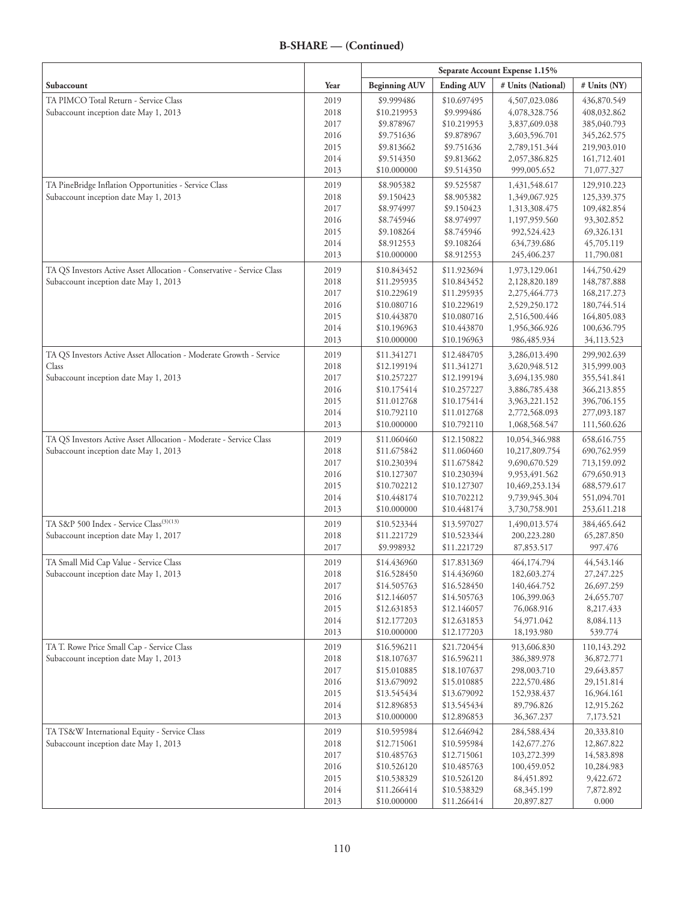|                                                                        |              | Separate Account Expense 1.15% |                            |                                |                            |
|------------------------------------------------------------------------|--------------|--------------------------------|----------------------------|--------------------------------|----------------------------|
| Subaccount                                                             | Year         | <b>Beginning AUV</b>           | <b>Ending AUV</b>          | # Units (National)             | # Units (NY)               |
| TA PIMCO Total Return - Service Class                                  | 2019         | \$9.999486                     | \$10.697495                | 4,507,023.086                  | 436,870.549                |
| Subaccount inception date May 1, 2013                                  | 2018         | \$10.219953                    | \$9.999486                 | 4,078,328.756                  | 408,032.862                |
|                                                                        | 2017         | \$9.878967                     | \$10.219953                | 3,837,609.038                  | 385,040.793                |
|                                                                        | 2016         | \$9.751636                     | \$9.878967                 | 3,603,596.701                  | 345,262.575                |
|                                                                        | 2015         | \$9.813662                     | \$9.751636                 | 2,789,151.344                  | 219,903.010                |
|                                                                        | 2014         | \$9.514350                     | \$9.813662                 | 2,057,386.825                  | 161,712.401                |
|                                                                        | 2013         | \$10.000000                    | \$9.514350                 | 999,005.652                    | 71,077.327                 |
| TA PineBridge Inflation Opportunities - Service Class                  | 2019         | \$8.905382                     | \$9.525587                 | 1,431,548.617                  | 129,910.223                |
| Subaccount inception date May 1, 2013                                  | 2018         | \$9.150423                     | \$8.905382                 | 1,349,067.925                  | 125,339.375                |
|                                                                        | 2017         | \$8.974997                     | \$9.150423                 | 1,313,308.475                  | 109,482.854                |
|                                                                        | 2016<br>2015 | \$8.745946<br>\$9.108264       | \$8.974997<br>\$8.745946   | 1,197,959.560<br>992,524.423   | 93,302.852<br>69,326.131   |
|                                                                        | 2014         | \$8.912553                     | \$9.108264                 | 634,739.686                    | 45,705.119                 |
|                                                                        | 2013         | \$10.000000                    | \$8.912553                 | 245,406.237                    | 11,790.081                 |
| TA QS Investors Active Asset Allocation - Conservative - Service Class |              |                                |                            |                                |                            |
| Subaccount inception date May 1, 2013                                  | 2019<br>2018 | \$10.843452<br>\$11.295935     | \$11.923694<br>\$10.843452 | 1,973,129.061<br>2,128,820.189 | 144,750.429<br>148,787.888 |
|                                                                        | 2017         | \$10.229619                    | \$11.295935                | 2,275,464.773                  | 168,217.273                |
|                                                                        | 2016         | \$10.080716                    | \$10.229619                | 2,529,250.172                  | 180,744.514                |
|                                                                        | 2015         | \$10.443870                    | \$10.080716                | 2,516,500.446                  | 164,805.083                |
|                                                                        | 2014         | \$10.196963                    | \$10.443870                | 1,956,366.926                  | 100,636.795                |
|                                                                        | 2013         | \$10.000000                    | \$10.196963                | 986, 485. 934                  | 34,113.523                 |
| TA QS Investors Active Asset Allocation - Moderate Growth - Service    | 2019         | \$11.341271                    | \$12.484705                | 3,286,013.490                  | 299,902.639                |
| Class                                                                  | 2018         | \$12.199194                    | \$11.341271                | 3,620,948.512                  | 315,999.003                |
| Subaccount inception date May 1, 2013                                  | 2017         | \$10.257227                    | \$12.199194                | 3,694,135.980                  | 355,541.841                |
|                                                                        | 2016         | \$10.175414                    | \$10.257227                | 3,886,785.438                  | 366,213.855                |
|                                                                        | 2015         | \$11.012768                    | \$10.175414                | 3,963,221.152                  | 396,706.155                |
|                                                                        | 2014         | \$10.792110                    | \$11.012768                | 2,772,568.093                  | 277,093.187                |
|                                                                        | 2013         | \$10.000000                    | \$10.792110                | 1,068,568.547                  | 111,560.626                |
| TA QS Investors Active Asset Allocation - Moderate - Service Class     | 2019         | \$11.060460                    | \$12.150822                | 10,054,346.988                 | 658, 616. 755              |
| Subaccount inception date May 1, 2013                                  | 2018         | \$11.675842                    | \$11.060460                | 10,217,809.754                 | 690,762.959                |
|                                                                        | 2017         | \$10.230394                    | \$11.675842                | 9,690,670.529                  | 713,159.092                |
|                                                                        | 2016         | \$10.127307                    | \$10.230394                | 9,953,491.562                  | 679,650.913                |
|                                                                        | 2015         | \$10.702212                    | \$10.127307                | 10,469,253.134                 | 688,579.617                |
|                                                                        | 2014         | \$10.448174                    | \$10.702212                | 9,739,945.304                  | 551,094.701                |
|                                                                        | 2013         | \$10.000000                    | \$10.448174                | 3,730,758.901                  | 253,611.218                |
| TA S&P 500 Index - Service Class <sup>(3)(13)</sup>                    | 2019         | \$10.523344                    | \$13.597027                | 1,490,013.574                  | 384,465.642                |
| Subaccount inception date May 1, 2017                                  | 2018<br>2017 | \$11.221729<br>\$9.998932      | \$10.523344<br>\$11.221729 | 200,223.280<br>87,853.517      | 65,287.850<br>997.476      |
| TA Small Mid Cap Value - Service Class                                 | 2019         | \$14.436960                    | \$17.831369                | 464,174.794                    | 44,543.146                 |
| Subaccount inception date May 1, 2013                                  | 2018         | \$16.528450                    | \$14.436960                | 182,603.274                    | 27, 247. 225               |
|                                                                        | 2017         | \$14.505763                    | \$16.528450                | 140,464.752                    | 26,697.259                 |
|                                                                        | 2016         | \$12.146057                    | \$14.505763                | 106,399.063                    | 24,655.707                 |
|                                                                        | 2015         | \$12.631853                    | \$12.146057                | 76,068.916                     | 8,217.433                  |
|                                                                        | 2014         | \$12.177203                    | \$12.631853                | 54,971.042                     | 8,084.113                  |
|                                                                        | 2013         | \$10.000000                    | \$12.177203                | 18,193.980                     | 539.774                    |
| TA T. Rowe Price Small Cap - Service Class                             | 2019         | \$16.596211                    | \$21.720454                | 913,606.830                    | 110,143.292                |
| Subaccount inception date May 1, 2013                                  | 2018         | \$18.107637                    | \$16.596211                | 386,389.978                    | 36,872.771                 |
|                                                                        | 2017         | \$15.010885                    | \$18.107637                | 298,003.710                    | 29,643.857                 |
|                                                                        | 2016         | \$13.679092                    | \$15.010885                | 222,570.486                    | 29,151.814                 |
|                                                                        | 2015         | \$13.545434                    | \$13.679092                | 152,938.437                    | 16,964.161                 |
|                                                                        | 2014         | \$12.896853                    | \$13.545434                | 89,796.826                     | 12,915.262                 |
|                                                                        | 2013         | \$10.000000                    | \$12.896853                | 36, 367. 237                   | 7,173.521                  |
| TA TS&W International Equity - Service Class                           | 2019         | \$10.595984                    | \$12.646942                | 284,588.434                    | 20,333.810                 |
| Subaccount inception date May 1, 2013                                  | 2018         | \$12.715061                    | \$10.595984                | 142, 677. 276                  | 12,867.822                 |
|                                                                        | 2017         | \$10.485763                    | \$12.715061                | 103,272.399                    | 14,583.898                 |
|                                                                        | 2016         | \$10.526120                    | \$10.485763                | 100,459.052                    | 10,284.983                 |
|                                                                        | 2015         | \$10.538329                    | \$10.526120                | 84,451.892                     | 9,422.672                  |
|                                                                        | 2014         | \$11.266414                    | \$10.538329                | 68, 345. 199                   | 7,872.892                  |
|                                                                        | 2013         | \$10.000000                    | \$11.266414                | 20,897.827                     | 0.000                      |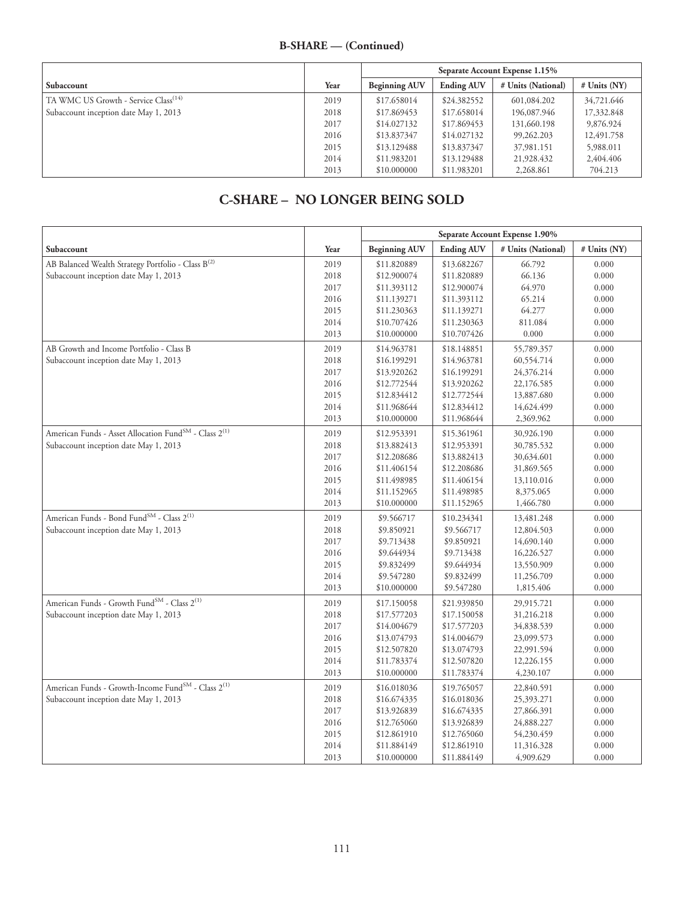|                                                  |      | Separate Account Expense 1.15% |                   |                    |                |
|--------------------------------------------------|------|--------------------------------|-------------------|--------------------|----------------|
| Subaccount                                       | Year | <b>Beginning AUV</b>           | <b>Ending AUV</b> | # Units (National) | $#$ Units (NY) |
| TA WMC US Growth - Service Class <sup>(14)</sup> | 2019 | \$17.658014                    | \$24.382552       | 601,084.202        | 34,721,646     |
| Subaccount inception date May 1, 2013            | 2018 | \$17.869453                    | \$17.658014       | 196,087.946        | 17,332.848     |
|                                                  | 2017 | \$14,027132                    | \$17.869453       | 131,660.198        | 9,876.924      |
|                                                  | 2016 | \$13,837347                    | \$14,027132       | 99,262.203         | 12,491.758     |
|                                                  | 2015 | \$13.129488                    | \$13.837347       | 37,981.151         | 5,988.011      |
|                                                  | 2014 | \$11.983201                    | \$13.129488       | 21,928.432         | 2,404.406      |
|                                                  | 2013 | \$10,000000                    | \$11.983201       | 2,268.861          | 704.213        |

# **C-SHARE – NO LONGER BEING SOLD**

|                                                                               |      | Separate Account Expense 1.90% |                   |                    |              |
|-------------------------------------------------------------------------------|------|--------------------------------|-------------------|--------------------|--------------|
| Subaccount                                                                    | Year | <b>Beginning AUV</b>           | <b>Ending AUV</b> | # Units (National) | # Units (NY) |
| AB Balanced Wealth Strategy Portfolio - Class B <sup>(2)</sup>                | 2019 | \$11.820889                    | \$13.682267       | 66.792             | 0.000        |
| Subaccount inception date May 1, 2013                                         | 2018 | \$12.900074                    | \$11.820889       | 66.136             | 0.000        |
|                                                                               | 2017 | \$11.393112                    | \$12.900074       | 64.970             | 0.000        |
|                                                                               | 2016 | \$11.139271                    | \$11.393112       | 65.214             | 0.000        |
|                                                                               | 2015 | \$11.230363                    | \$11.139271       | 64.277             | 0.000        |
|                                                                               | 2014 | \$10.707426                    | \$11.230363       | 811.084            | 0.000        |
|                                                                               | 2013 | \$10.000000                    | \$10.707426       | 0.000              | 0.000        |
| AB Growth and Income Portfolio - Class B                                      | 2019 | \$14.963781                    | \$18.148851       | 55,789.357         | 0.000        |
| Subaccount inception date May 1, 2013                                         | 2018 | \$16.199291                    | \$14.963781       | 60,554.714         | 0.000        |
|                                                                               | 2017 | \$13.920262                    | \$16.199291       | 24,376.214         | 0.000        |
|                                                                               | 2016 | \$12.772544                    | \$13.920262       | 22,176.585         | 0.000        |
|                                                                               | 2015 | \$12.834412                    | \$12.772544       | 13,887.680         | 0.000        |
|                                                                               | 2014 | \$11.968644                    | \$12.834412       | 14,624.499         | 0.000        |
|                                                                               | 2013 | \$10.000000                    | \$11.968644       | 2,369.962          | 0.000        |
| American Funds - Asset Allocation Fund <sup>SM</sup> - Class 2 <sup>(1)</sup> | 2019 | \$12.953391                    | \$15.361961       | 30,926.190         | 0.000        |
| Subaccount inception date May 1, 2013                                         | 2018 | \$13.882413                    | \$12.953391       | 30,785.532         | 0.000        |
|                                                                               | 2017 | \$12.208686                    | \$13.882413       | 30,634.601         | 0.000        |
|                                                                               | 2016 | \$11.406154                    | \$12.208686       | 31,869.565         | 0.000        |
|                                                                               | 2015 | \$11.498985                    | \$11.406154       | 13,110.016         | 0.000        |
|                                                                               | 2014 | \$11.152965                    | \$11.498985       | 8,375.065          | 0.000        |
|                                                                               | 2013 | \$10.000000                    | \$11.152965       | 1,466.780          | 0.000        |
| American Funds - Bond Fund<br>$^{\mbox{\scriptsize{SM}}}$ - Class $2^{(1)}$   | 2019 | \$9.566717                     | \$10.234341       | 13,481.248         | 0.000        |
| Subaccount inception date May 1, 2013                                         | 2018 | \$9.850921                     | \$9.566717        | 12,804.503         | 0.000        |
|                                                                               | 2017 | \$9.713438                     | \$9.850921        | 14,690.140         | 0.000        |
|                                                                               | 2016 | \$9.644934                     | \$9.713438        | 16,226.527         | 0.000        |
|                                                                               | 2015 | \$9.832499                     | \$9.644934        | 13,550.909         | 0.000        |
|                                                                               | 2014 | \$9.547280                     | \$9.832499        | 11,256.709         | 0.000        |
|                                                                               | 2013 | \$10.000000                    | \$9.547280        | 1,815.406          | 0.000        |
| American Funds - Growth Fund <sup>SM</sup> - Class 2 <sup>(1)</sup>           | 2019 | \$17.150058                    | \$21.939850       | 29,915.721         | 0.000        |
| Subaccount inception date May 1, 2013                                         | 2018 | \$17.577203                    | \$17.150058       | 31,216.218         | 0.000        |
|                                                                               | 2017 | \$14.004679                    | \$17.577203       | 34,838.539         | 0.000        |
|                                                                               | 2016 | \$13.074793                    | \$14.004679       | 23,099.573         | 0.000        |
|                                                                               | 2015 | \$12.507820                    | \$13.074793       | 22,991.594         | 0.000        |
|                                                                               | 2014 | \$11.783374                    | \$12.507820       | 12,226.155         | 0.000        |
|                                                                               | 2013 | \$10.000000                    | \$11.783374       | 4,230.107          | 0.000        |
| American Funds - Growth-Income Fund <sup>SM</sup> - Class 2 <sup>(1)</sup>    | 2019 | \$16.018036                    | \$19.765057       | 22,840.591         | 0.000        |
| Subaccount inception date May 1, 2013                                         | 2018 | \$16.674335                    | \$16.018036       | 25,393.271         | 0.000        |
|                                                                               | 2017 | \$13.926839                    | \$16.674335       | 27,866.391         | 0.000        |
|                                                                               | 2016 | \$12.765060                    | \$13.926839       | 24,888.227         | 0.000        |
|                                                                               | 2015 | \$12.861910                    | \$12.765060       | 54,230.459         | 0.000        |
|                                                                               | 2014 | \$11.884149                    | \$12.861910       | 11,316.328         | 0.000        |
|                                                                               | 2013 | \$10.000000                    | \$11.884149       | 4,909.629          | 0.000        |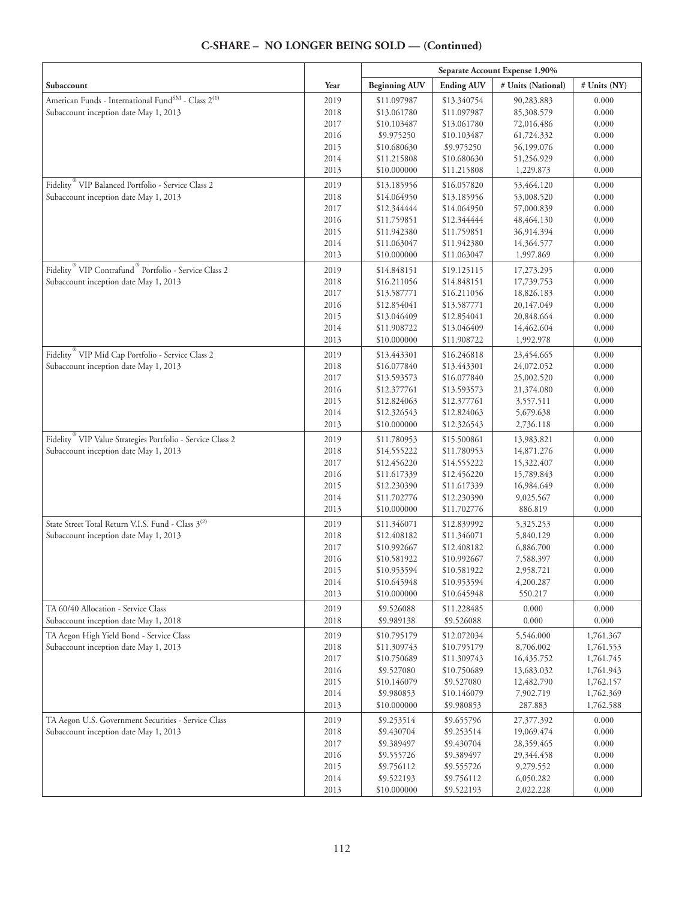|                                                                               |              | Separate Account Expense 1.90% |                            |                          |                |
|-------------------------------------------------------------------------------|--------------|--------------------------------|----------------------------|--------------------------|----------------|
| Subaccount                                                                    | Year         | <b>Beginning AUV</b>           | <b>Ending AUV</b>          | # Units (National)       | # Units (NY)   |
| American Funds - International Fund <sup>SM</sup> - Class 2 <sup>(1)</sup>    | 2019         | \$11.097987                    | \$13.340754                | 90,283.883               | 0.000          |
| Subaccount inception date May 1, 2013                                         | 2018         | \$13.061780                    | \$11.097987                | 85,308.579               | 0.000          |
|                                                                               | 2017         | \$10.103487                    | \$13.061780                | 72,016.486               | 0.000          |
|                                                                               | 2016         | \$9.975250                     | \$10.103487                | 61,724.332               | 0.000          |
|                                                                               | 2015         | \$10.680630                    | \$9.975250                 | 56,199.076               | 0.000          |
|                                                                               | 2014         | \$11.215808                    | \$10.680630                | 51,256.929               | 0.000          |
|                                                                               | 2013         | \$10.000000                    | \$11.215808                | 1,229.873                | 0.000          |
| Fidelity <sup>®</sup> VIP Balanced Portfolio - Service Class 2                | 2019         | \$13.185956                    | \$16.057820                | 53,464.120               | 0.000          |
| Subaccount inception date May 1, 2013                                         | 2018         | \$14.064950                    | \$13.185956                | 53,008.520               | 0.000          |
|                                                                               | 2017         | \$12.344444                    | \$14.064950                | 57,000.839               | 0.000          |
|                                                                               | 2016<br>2015 | \$11.759851<br>\$11.942380     | \$12.344444<br>\$11.759851 | 48,464.130<br>36,914.394 | 0.000<br>0.000 |
|                                                                               | 2014         | \$11.063047                    | \$11.942380                | 14,364.577               | 0.000          |
|                                                                               | 2013         | \$10.000000                    | \$11.063047                | 1,997.869                | 0.000          |
| Fidelity <sup>®</sup> VIP Contrafund <sup>®</sup> Portfolio - Service Class 2 | 2019         | \$14.848151                    | \$19.125115                | 17,273.295               | 0.000          |
| Subaccount inception date May 1, 2013                                         | 2018         | \$16.211056                    | \$14.848151                | 17,739.753               | 0.000          |
|                                                                               | 2017         | \$13.587771                    | \$16.211056                | 18,826.183               | 0.000          |
|                                                                               | 2016         | \$12.854041                    | \$13.587771                | 20,147.049               | 0.000          |
|                                                                               | 2015         | \$13.046409                    | \$12.854041                | 20,848.664               | 0.000          |
|                                                                               | 2014         | \$11.908722                    | \$13.046409                | 14,462.604               | 0.000          |
|                                                                               | 2013         | \$10.000000                    | \$11.908722                | 1,992.978                | 0.000          |
| Fidelity <sup>®</sup> VIP Mid Cap Portfolio - Service Class 2                 | 2019         | \$13.443301                    | \$16.246818                | 23,454.665               | 0.000          |
| Subaccount inception date May 1, 2013                                         | 2018         | \$16.077840                    | \$13.443301                | 24,072.052               | 0.000          |
|                                                                               | 2017         | \$13.593573                    | \$16.077840                | 25,002.520               | 0.000          |
|                                                                               | 2016         | \$12.377761                    | \$13.593573                | 21,374.080               | 0.000          |
|                                                                               | 2015         | \$12.824063                    | \$12.377761                | 3,557.511                | 0.000          |
|                                                                               | 2014         | \$12.326543                    | \$12.824063                | 5,679.638                | 0.000          |
|                                                                               | 2013         | \$10.000000                    | \$12.326543                | 2,736.118                | 0.000          |
| Fidelity VIP Value Strategies Portfolio - Service Class 2                     | 2019         | \$11.780953                    | \$15.500861                | 13,983.821               | 0.000          |
| Subaccount inception date May 1, 2013                                         | 2018         | \$14.555222                    | \$11.780953                | 14,871.276               | 0.000          |
|                                                                               | 2017         | \$12.456220                    | \$14.555222                | 15,322.407               | 0.000          |
|                                                                               | 2016         | \$11.617339                    | \$12.456220                | 15,789.843               | 0.000          |
|                                                                               | 2015         | \$12.230390                    | \$11.617339                | 16,984.649               | 0.000          |
|                                                                               | 2014         | \$11.702776                    | \$12.230390                | 9,025.567                | 0.000          |
|                                                                               | 2013         | \$10.000000                    | \$11.702776                | 886.819                  | 0.000          |
| State Street Total Return V.I.S. Fund - Class 3 <sup>(2)</sup>                | 2019         | \$11.346071                    | \$12.839992                | 5,325.253                | 0.000          |
| Subaccount inception date May 1, 2013                                         | 2018         | \$12.408182                    | \$11.346071                | 5,840.129                | 0.000          |
|                                                                               | 2017         | \$10.992667                    | \$12.408182                | 6,886.700                | 0.000          |
|                                                                               | 2016<br>2015 | \$10.581922<br>\$10.953594     | \$10.992667<br>\$10.581922 | 7,588.397<br>2,958.721   | 0.000<br>0.000 |
|                                                                               | 2014         | \$10.645948                    | \$10.953594                | 4,200.287                | 0.000          |
|                                                                               | 2013         | \$10.000000                    | \$10.645948                | 550.217                  | 0.000          |
| TA 60/40 Allocation - Service Class                                           | 2019         | \$9.526088                     | \$11.228485                | 0.000                    | 0.000          |
| Subaccount inception date May 1, 2018                                         | 2018         | \$9.989138                     | \$9.526088                 | 0.000                    | 0.000          |
| TA Aegon High Yield Bond - Service Class                                      | 2019         | \$10.795179                    | \$12.072034                | 5,546.000                | 1,761.367      |
| Subaccount inception date May 1, 2013                                         | 2018         | \$11.309743                    | \$10.795179                | 8,706.002                | 1,761.553      |
|                                                                               | 2017         | \$10.750689                    | \$11.309743                | 16,435.752               | 1,761.745      |
|                                                                               | 2016         | \$9.527080                     | \$10.750689                | 13,683.032               | 1,761.943      |
|                                                                               | 2015         | \$10.146079                    | \$9.527080                 | 12,482.790               | 1,762.157      |
|                                                                               | 2014         | \$9.980853                     | \$10.146079                | 7,902.719                | 1,762.369      |
|                                                                               | 2013         | \$10.000000                    | \$9.980853                 | 287.883                  | 1,762.588      |
| TA Aegon U.S. Government Securities - Service Class                           | 2019         | \$9.253514                     | \$9.655796                 | 27,377.392               | 0.000          |
| Subaccount inception date May 1, 2013                                         | 2018         | \$9.430704                     | \$9.253514                 | 19,069.474               | 0.000          |
|                                                                               | 2017         | \$9.389497                     | \$9.430704                 | 28,359.465               | 0.000          |
|                                                                               | 2016         | \$9.555726                     | \$9.389497                 | 29,344.458               | 0.000          |
|                                                                               | 2015         | \$9.756112                     | \$9.555726                 | 9,279.552                | 0.000          |
|                                                                               | 2014         | \$9.522193                     | \$9.756112                 | 6,050.282                | 0.000          |
|                                                                               | 2013         | \$10.000000                    | \$9.522193                 | 2,022.228                | 0.000          |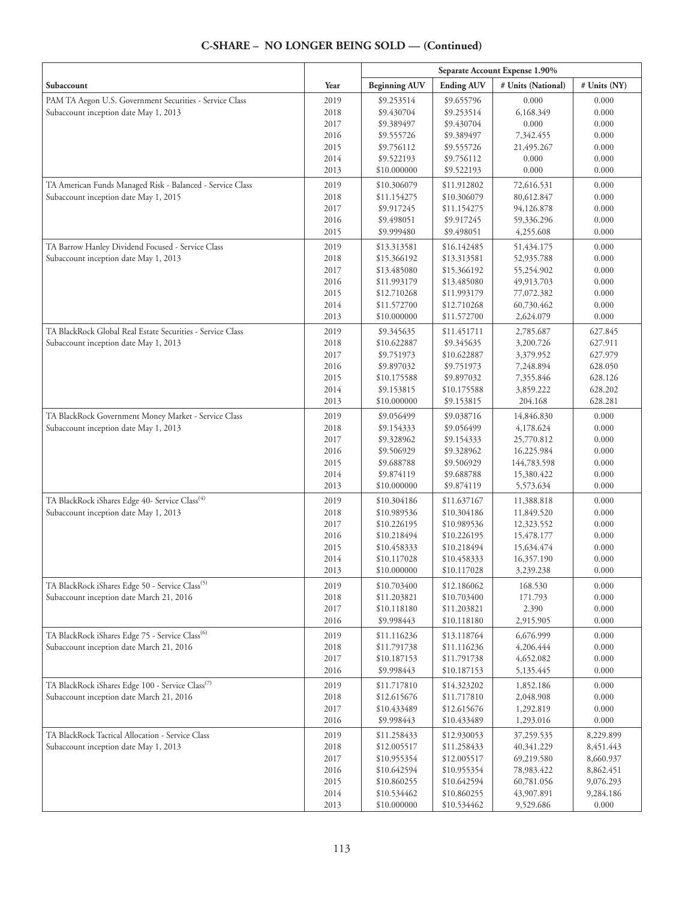|                                                              |              | Separate Account Expense 1.90% |                            |                          |                |
|--------------------------------------------------------------|--------------|--------------------------------|----------------------------|--------------------------|----------------|
| Subaccount                                                   | Year         | <b>Beginning AUV</b>           | <b>Ending AUV</b>          | # Units (National)       | # Units (NY)   |
| PAM TA Aegon U.S. Government Securities - Service Class      | 2019         | \$9.253514                     | \$9.655796                 | 0.000                    | 0.000          |
| Subaccount inception date May 1, 2013                        | 2018         | \$9.430704                     | \$9.253514                 | 6,168.349                | 0.000          |
|                                                              | 2017         | \$9.389497                     | \$9.430704                 | 0.000                    | 0.000          |
|                                                              | 2016         | \$9.555726                     | \$9.389497                 | 7,342.455                | 0.000          |
|                                                              | 2015         | \$9.756112                     | \$9.555726                 | 21,495.267               | 0.000          |
|                                                              | 2014         | \$9.522193                     | \$9.756112                 | 0.000                    | 0.000          |
|                                                              | 2013         | \$10.000000                    | \$9.522193                 | 0.000                    | 0.000          |
| TA American Funds Managed Risk - Balanced - Service Class    | 2019         | \$10.306079                    | \$11.912802                | 72,616.531               | 0.000          |
| Subaccount inception date May 1, 2015                        | 2018         | \$11.154275                    | \$10.306079                | 80,612.847               | 0.000          |
|                                                              | 2017         | \$9.917245                     | \$11.154275                | 94,126.878               | 0.000          |
|                                                              | 2016         | \$9.498051<br>\$9.999480       | \$9.917245                 | 59,336.296               | 0.000          |
|                                                              | 2015         |                                | \$9.498051                 | 4,255.608                | 0.000          |
| TA Barrow Hanley Dividend Focused - Service Class            | 2019         | \$13.313581                    | \$16.142485                | 51,434.175               | 0.000          |
| Subaccount inception date May 1, 2013                        | 2018         | \$15.366192                    | \$13.313581                | 52,935.788               | 0.000          |
|                                                              | 2017         | \$13.485080                    | \$15.366192                | 55,254.902               | 0.000          |
|                                                              | 2016<br>2015 | \$11.993179                    | \$13.485080<br>\$11.993179 | 49,913.703               | 0.000<br>0.000 |
|                                                              | 2014         | \$12.710268<br>\$11.572700     | \$12.710268                | 77,072.382<br>60,730.462 | 0.000          |
|                                                              | 2013         | \$10.000000                    | \$11.572700                | 2,624.079                | 0.000          |
| TA BlackRock Global Real Estate Securities - Service Class   | 2019         | \$9.345635                     | \$11.451711                | 2,785.687                | 627.845        |
| Subaccount inception date May 1, 2013                        | 2018         | \$10.622887                    | \$9.345635                 | 3,200.726                | 627.911        |
|                                                              | 2017         | \$9.751973                     | \$10.622887                | 3,379.952                | 627.979        |
|                                                              | 2016         | \$9.897032                     | \$9.751973                 | 7,248.894                | 628.050        |
|                                                              | 2015         | \$10.175588                    | \$9.897032                 | 7,355.846                | 628.126        |
|                                                              | 2014         | \$9.153815                     | \$10.175588                | 3,859.222                | 628.202        |
|                                                              | 2013         | \$10.000000                    | \$9.153815                 | 204.168                  | 628.281        |
| TA BlackRock Government Money Market - Service Class         | 2019         | \$9.056499                     | \$9.038716                 | 14,846.830               | 0.000          |
| Subaccount inception date May 1, 2013                        | 2018         | \$9.154333                     | \$9.056499                 | 4,178.624                | 0.000          |
|                                                              | 2017         | \$9.328962                     | \$9.154333                 | 25,770.812               | 0.000          |
|                                                              | 2016         | \$9.506929                     | \$9.328962                 | 16,225.984               | 0.000          |
|                                                              | 2015         | \$9.688788                     | \$9.506929                 | 144,783.598              | 0.000          |
|                                                              | 2014         | \$9.874119                     | \$9.688788                 | 15,380.422               | 0.000          |
|                                                              | 2013         | \$10.000000                    | \$9.874119                 | 5,573.634                | 0.000          |
| TA BlackRock iShares Edge 40- Service Class <sup>(4)</sup>   | 2019         | \$10.304186                    | \$11.637167                | 11,388.818               | 0.000          |
| Subaccount inception date May 1, 2013                        | 2018         | \$10.989536                    | \$10.304186                | 11,849.520               | 0.000          |
|                                                              | 2017         | \$10.226195                    | \$10.989536                | 12,323.552               | 0.000          |
|                                                              | 2016         | \$10.218494                    | \$10.226195                | 15,478.177               | 0.000          |
|                                                              | 2015         | \$10.458333                    | \$10.218494                | 15,634.474               | 0.000          |
|                                                              | 2014<br>2013 | \$10.117028<br>\$10.000000     | \$10.458333<br>\$10.117028 | 16,357.190<br>3,239.238  | 0.000<br>0.000 |
| TA BlackRock iShares Edge 50 - Service Class <sup>(5)</sup>  |              | \$10.703400                    | \$12.186062                | 168.530                  | 0.000          |
| Subaccount inception date March 21, 2016                     | 2019<br>2018 | \$11.203821                    | \$10.703400                | 171.793                  | 0.000          |
|                                                              | 2017         | \$10.118180                    | \$11.203821                | 2.390                    | 0.000          |
|                                                              | 2016         | \$9.998443                     | \$10.118180                | 2,915.905                | 0.000          |
| TA BlackRock iShares Edge 75 - Service Class <sup>(6)</sup>  | 2019         | \$11.116236                    | \$13.118764                | 6,676.999                | 0.000          |
| Subaccount inception date March 21, 2016                     | 2018         | \$11.791738                    | \$11.116236                | 4,206.444                | 0.000          |
|                                                              | 2017         | \$10.187153                    | \$11.791738                | 4,652.082                | 0.000          |
|                                                              | 2016         | \$9.998443                     | \$10.187153                | 5,135.445                | 0.000          |
| TA BlackRock iShares Edge 100 - Service Class <sup>(7)</sup> | 2019         | \$11.717810                    | \$14.323202                | 1,852.186                | 0.000          |
| Subaccount inception date March 21, 2016                     | 2018         | \$12.615676                    | \$11.717810                | 2,048.908                | 0.000          |
|                                                              | 2017         | \$10.433489                    | \$12.615676                | 1,292.819                | 0.000          |
|                                                              | 2016         | \$9.998443                     | \$10.433489                | 1,293.016                | 0.000          |
| TA BlackRock Tactical Allocation - Service Class             | 2019         | \$11.258433                    | \$12.930053                | 37,259.535               | 8,229.899      |
| Subaccount inception date May 1, 2013                        | 2018         | \$12.005517                    | \$11.258433                | 40,341.229               | 8,451.443      |
|                                                              | 2017         | \$10.955354                    | \$12.005517                | 69,219.580               | 8,660.937      |
|                                                              | 2016         | \$10.642594                    | \$10.955354                | 78,983.422               | 8,862.451      |
|                                                              | 2015         | \$10.860255                    | \$10.642594                | 60,781.056               | 9,076.293      |
|                                                              | 2014         | \$10.534462                    | \$10.860255                | 43,907.891               | 9,284.186      |
|                                                              | 2013         | \$10.000000                    | \$10.534462                | 9,529.686                | 0.000          |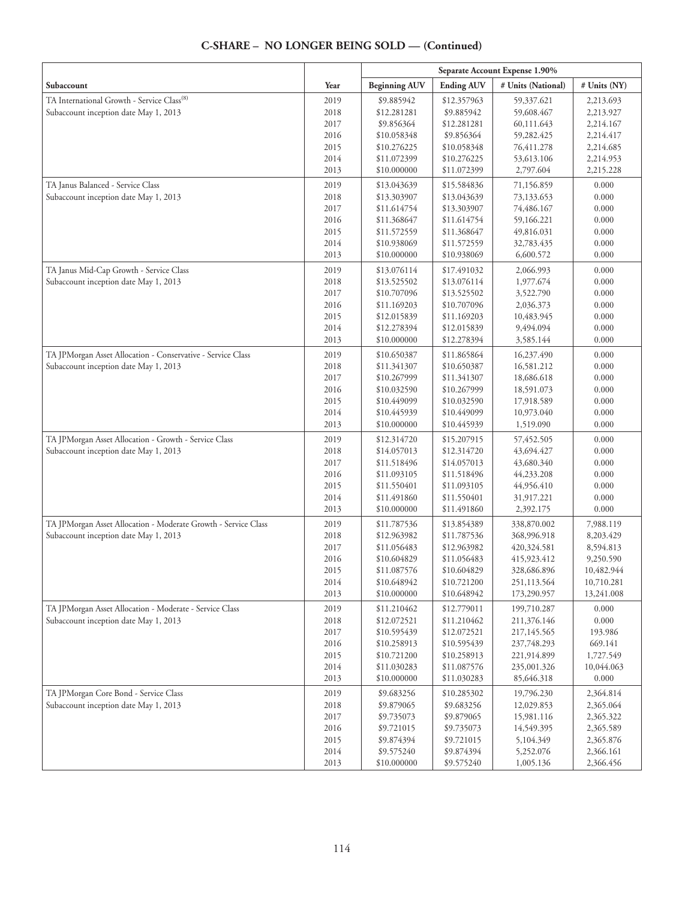#### **Separate Account Expense 1.90% Subaccount**  $\begin{array}{|c|c|c|c|c|}\hline \textbf{Year} & \textbf{Beginning AUV} & \textbf{Ending AUV} & \textbf{\# Units (National)} & \textbf{\# Units (NY)}\hline \end{array}$ TA International Growth - Service Class<sup>(8)</sup> Subaccount inception date May 1, 2013 2019 2018 2017 2016 2015 2014 2013 \$9.885942 \$12.281281 \$9.856364 \$10.058348 \$10.276225 \$11.072399 \$10.000000 \$12.357963 \$9.885942 \$12.281281 \$9.856364 \$10.058348 \$10.276225 \$11.072399 59,337.621 59,608.467 60,111.643 59,282.425 76,411.278 53,613.106 2,797.604 2,213.693 2,213.927 2,214.167 2,214.417 2,214.685 2,214.953 2,215.228 TA Janus Balanced - Service Class Subaccount inception date May 1, 2013 2019 2018 2017 2016 2015 2014 2013 \$13.043639 \$13.303907 \$11.614754 \$11.368647 \$11.572559 \$10.938069 \$10.000000 \$15.584836 \$13.043639 \$13.303907 \$11.614754 \$11.368647 \$11.572559 \$10.938069 71,156.859 73,133.653 74,486.167 59,166.221 49,816.031 32,783.435 6,600.572 0.000 0.000 0.000 0.000 0.000 0.000 0.000 TA Janus Mid-Cap Growth - Service Class Subaccount inception date May 1, 2013 2019 2018 2017 2016 2015 2014 2013 \$13.076114 \$13.525502 \$10.707096 \$11.169203 \$12.015839 \$12.278394 \$10.000000 \$17.491032 \$13.076114 \$13.525502 \$10.707096 \$11.169203 \$12.015839 \$12.278394 2,066.993 1,977.674 3,522.790 2,036.373 10,483.945 9,494.094 3,585.144 0.000 0.000 0.000 0.000 0.000 0.000 0.000 TA JPMorgan Asset Allocation - Conservative - Service Class Subaccount inception date May 1, 2013 2019 2018 2017 2016 2015 2014 2013 \$10.650387 \$11.341307 \$10.267999 \$10.032590 \$10.449099 \$10.445939 \$10.000000 \$11.865864 \$10.650387 \$11.341307 \$10.267999 \$10.032590 \$10.449099 \$10.445939 16,237.490 16,581.212 18,686.618 18,591.073 17,918.589 10,973.040 1,519.090 0.000 0.000 0.000 0.000 0.000 0.000 0.000 TA JPMorgan Asset Allocation - Growth - Service Class Subaccount inception date May 1, 2013 2019 2018 2017 2016 2015 2014 2013 \$12.314720 \$14.057013 \$11.518496 \$11.093105 \$11.550401 \$11.491860 \$10.000000 \$15.207915 \$12.314720 \$14.057013 \$11.518496 \$11.093105 \$11.550401 \$11.491860 57,452.505 43,694.427 43,680.340 44,233.208 44,956.410 31,917.221 2,392.175 0.000 0.000 0.000 0.000 0.000 0.000 0.000 TA JPMorgan Asset Allocation - Moderate Growth - Service Class Subaccount inception date May 1, 2013 2019 2018 2017 2016 2015 2014 2013 \$11.787536 \$12.963982 \$11.056483 \$10.604829 \$11.087576 \$10.648942 \$10.000000 \$13.854389 \$11.787536 \$12.963982 \$11.056483 \$10.604829 \$10.721200 \$10.648942 338,870.002 368,996.918 420,324.581 415,923.412 328,686.896 251,113.564 173,290.957 7,988.119 8,203.429 8,594.813 9,250.590 10,482.944 10,710.281 13,241.008 TA JPMorgan Asset Allocation - Moderate - Service Class Subaccount inception date May 1, 2013 2019 2018 2017 2016 2015 2014 2013 \$11.210462 \$12.072521 \$10.595439 \$10.258913 \$10.721200 \$11.030283 \$10.000000 \$12.779011 \$11.210462 \$12.072521 \$10.595439 \$10.258913 \$11.087576 \$11.030283 199,710.287 211,376.146 217,145.565 237,748.293 221,914.899 235,001.326 85,646.318 0.000 0.000 193.986 669.141 1,727.549 10,044.063 0.000 TA JPMorgan Core Bond - Service Class Subaccount inception date May 1, 2013 2019 2018 2017 2016 2015 2014 2013 \$9.683256 \$9.879065 \$9.735073 \$9.721015 \$9.874394 \$9.575240 \$10.000000 \$10.285302 \$9.683256 \$9.879065 \$9.735073 \$9.721015 \$9.874394 \$9.575240 19,796.230 12,029.853 15,981.116 14,549.395 5,104.349 5,252.076 1,005.136 2,364.814 2,365.064 2,365.322 2,365.589 2,365.876 2,366.161 2,366.456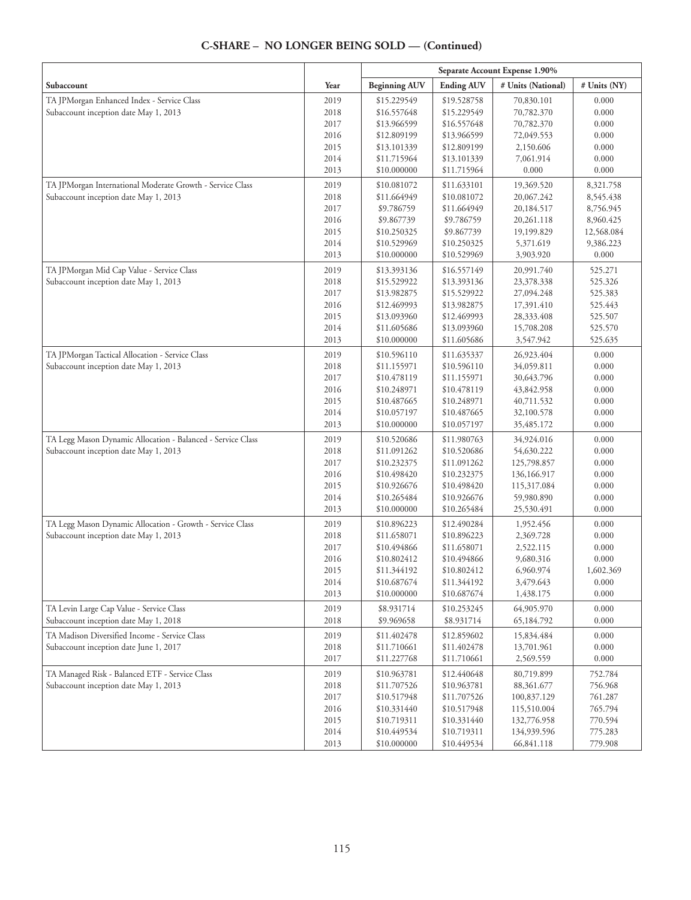|                                                             |      | Separate Account Expense 1.90% |                   |                    |              |
|-------------------------------------------------------------|------|--------------------------------|-------------------|--------------------|--------------|
| Subaccount                                                  | Year | <b>Beginning AUV</b>           | <b>Ending AUV</b> | # Units (National) | # Units (NY) |
| TA JPMorgan Enhanced Index - Service Class                  | 2019 | \$15.229549                    | \$19.528758       | 70,830.101         | 0.000        |
| Subaccount inception date May 1, 2013                       | 2018 | \$16.557648                    | \$15.229549       | 70,782.370         | 0.000        |
|                                                             | 2017 | \$13.966599                    | \$16.557648       | 70,782.370         | 0.000        |
|                                                             | 2016 | \$12.809199                    | \$13.966599       | 72,049.553         | 0.000        |
|                                                             | 2015 | \$13.101339                    | \$12.809199       | 2,150.606          | 0.000        |
|                                                             | 2014 | \$11.715964                    | \$13.101339       | 7,061.914          | 0.000        |
|                                                             | 2013 | \$10.000000                    | \$11.715964       | 0.000              | 0.000        |
| TA JPMorgan International Moderate Growth - Service Class   | 2019 | \$10.081072                    | \$11.633101       | 19,369.520         | 8,321.758    |
| Subaccount inception date May 1, 2013                       | 2018 | \$11.664949                    | \$10.081072       | 20,067.242         | 8,545.438    |
|                                                             | 2017 | \$9.786759                     | \$11.664949       | 20,184.517         | 8,756.945    |
|                                                             | 2016 | \$9.867739                     | \$9.786759        | 20,261.118         | 8,960.425    |
|                                                             | 2015 | \$10.250325                    | \$9.867739        | 19,199.829         | 12,568.084   |
|                                                             | 2014 | \$10.529969                    | \$10.250325       | 5,371.619          | 9,386.223    |
|                                                             | 2013 | \$10.000000                    | \$10.529969       | 3,903.920          | 0.000        |
| TA JPMorgan Mid Cap Value - Service Class                   | 2019 | \$13.393136                    | \$16.557149       | 20,991.740         | 525.271      |
| Subaccount inception date May 1, 2013                       | 2018 | \$15.529922                    | \$13.393136       | 23,378.338         | 525.326      |
|                                                             | 2017 | \$13.982875                    | \$15.529922       | 27,094.248         | 525.383      |
|                                                             | 2016 | \$12.469993                    | \$13.982875       | 17,391.410         | 525.443      |
|                                                             | 2015 | \$13.093960                    | \$12.469993       | 28,333.408         | 525.507      |
|                                                             | 2014 | \$11.605686                    | \$13.093960       | 15,708.208         | 525.570      |
|                                                             | 2013 | \$10.000000                    | \$11.605686       | 3,547.942          | 525.635      |
| TA JPMorgan Tactical Allocation - Service Class             | 2019 | \$10.596110                    | \$11.635337       | 26,923.404         | 0.000        |
| Subaccount inception date May 1, 2013                       | 2018 | \$11.155971                    | \$10.596110       | 34,059.811         | 0.000        |
|                                                             | 2017 | \$10.478119                    | \$11.155971       | 30,643.796         | 0.000        |
|                                                             | 2016 | \$10.248971                    | \$10.478119       | 43,842.958         | 0.000        |
|                                                             | 2015 | \$10.487665                    | \$10.248971       | 40,711.532         | 0.000        |
|                                                             | 2014 | \$10.057197                    | \$10.487665       | 32,100.578         | 0.000        |
|                                                             | 2013 | \$10.000000                    | \$10.057197       | 35,485.172         | 0.000        |
| TA Legg Mason Dynamic Allocation - Balanced - Service Class | 2019 | \$10.520686                    | \$11.980763       | 34,924.016         | 0.000        |
| Subaccount inception date May 1, 2013                       | 2018 | \$11.091262                    | \$10.520686       | 54,630.222         | 0.000        |
|                                                             | 2017 | \$10.232375                    | \$11.091262       | 125,798.857        | 0.000        |
|                                                             | 2016 | \$10.498420                    | \$10.232375       | 136,166.917        | 0.000        |
|                                                             | 2015 | \$10.926676                    | \$10.498420       | 115,317.084        | 0.000        |
|                                                             | 2014 | \$10.265484                    | \$10.926676       | 59,980.890         | 0.000        |
|                                                             | 2013 | \$10.000000                    | \$10.265484       | 25,530.491         | 0.000        |
| TA Legg Mason Dynamic Allocation - Growth - Service Class   | 2019 | \$10.896223                    | \$12.490284       | 1,952.456          | 0.000        |
| Subaccount inception date May 1, 2013                       | 2018 | \$11.658071                    | \$10.896223       | 2,369.728          | 0.000        |
|                                                             | 2017 | \$10.494866                    | \$11.658071       | 2,522.115          | 0.000        |
|                                                             | 2016 | \$10.802412                    | \$10.494866       | 9,680.316          | 0.000        |
|                                                             | 2015 | \$11.344192                    | \$10.802412       | 6,960.974          | 1,602.369    |
|                                                             | 2014 | \$10.687674                    | \$11.344192       | 3,479.643          | 0.000        |
|                                                             | 2013 | \$10.000000                    | \$10.687674       | 1,438.175          | 0.000        |
| TA Levin Large Cap Value - Service Class                    | 2019 | \$8.931714                     | \$10.253245       | 64,905.970         | 0.000        |
| Subaccount inception date May 1, 2018                       | 2018 | \$9.969658                     | \$8.931714        | 65,184.792         | 0.000        |
| TA Madison Diversified Income - Service Class               | 2019 | \$11.402478                    | \$12.859602       | 15,834.484         | 0.000        |
| Subaccount inception date June 1, 2017                      | 2018 | \$11.710661                    | \$11.402478       | 13,701.961         | 0.000        |
|                                                             | 2017 | \$11.227768                    | \$11.710661       | 2,569.559          | 0.000        |
| TA Managed Risk - Balanced ETF - Service Class              | 2019 | \$10.963781                    | \$12.440648       | 80,719.899         | 752.784      |
| Subaccount inception date May 1, 2013                       | 2018 | \$11.707526                    | \$10.963781       | 88,361.677         | 756.968      |
|                                                             | 2017 | \$10.517948                    | \$11.707526       | 100,837.129        | 761.287      |
|                                                             | 2016 | \$10.331440                    | \$10.517948       | 115,510.004        | 765.794      |
|                                                             | 2015 | \$10.719311                    | \$10.331440       | 132,776.958        | 770.594      |
|                                                             | 2014 | \$10.449534                    | \$10.719311       | 134,939.596        | 775.283      |
|                                                             | 2013 | \$10.000000                    | \$10.449534       | 66,841.118         | 779.908      |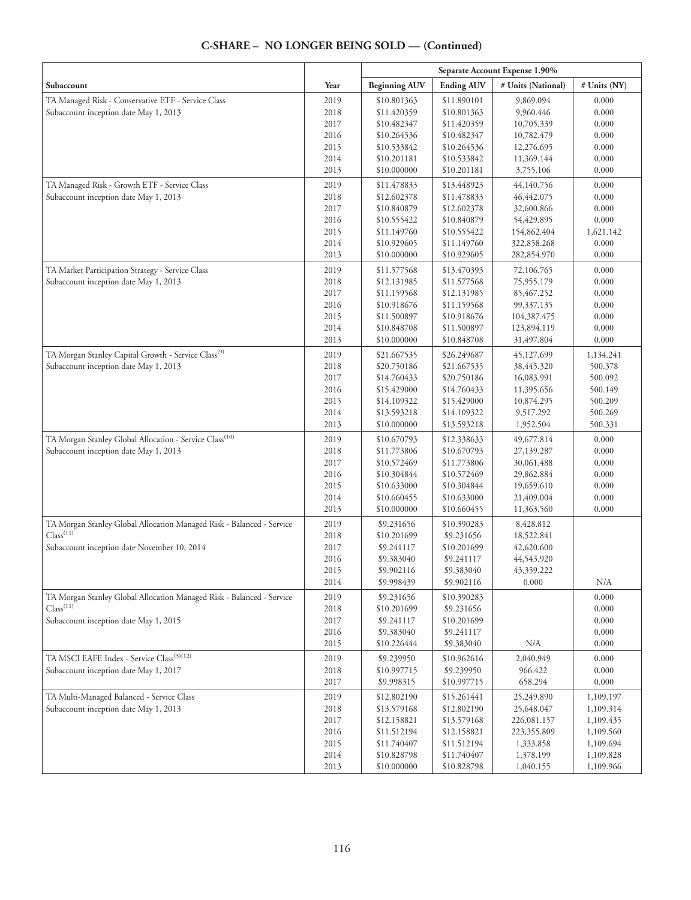|                                                                                                |              | Separate Account Expense 1.90% |                            |                            |                |
|------------------------------------------------------------------------------------------------|--------------|--------------------------------|----------------------------|----------------------------|----------------|
| Subaccount                                                                                     | Year         | <b>Beginning AUV</b>           | <b>Ending AUV</b>          | # Units (National)         | # Units (NY)   |
| TA Managed Risk - Conservative ETF - Service Class                                             | 2019         | \$10.801363                    | \$11.890101                | 9,869.094                  | 0.000          |
| Subaccount inception date May 1, 2013                                                          | 2018         | \$11.420359                    | \$10.801363                | 9,960.446                  | 0.000          |
|                                                                                                | 2017         | \$10.482347                    | \$11.420359                | 10,705.339                 | 0.000          |
|                                                                                                | 2016         | \$10.264536                    | \$10.482347                | 10,782.479                 | 0.000          |
|                                                                                                | 2015         | \$10.533842                    | \$10.264536                | 12,276.695                 | 0.000          |
|                                                                                                | 2014         | \$10.201181                    | \$10.533842                | 11,369.144                 | 0.000          |
|                                                                                                | 2013         | \$10.000000                    | \$10.201181                | 3,755.106                  | 0.000          |
| TA Managed Risk - Growth ETF - Service Class                                                   | 2019         | \$11.478833                    | \$13.448923                | 44,140.756                 | 0.000          |
| Subaccount inception date May 1, 2013                                                          | 2018         | \$12.602378                    | \$11.478833                | 46,442.075                 | 0.000          |
|                                                                                                | 2017         | \$10.840879                    | \$12.602378                | 32,600.866                 | 0.000          |
|                                                                                                | 2016         | \$10.555422                    | \$10.840879                | 54,429.895                 | 0.000          |
|                                                                                                | 2015         | \$11.149760                    | \$10.555422                | 154,862.404                | 1,621.142      |
|                                                                                                | 2014<br>2013 | \$10.929605<br>\$10.000000     | \$11.149760<br>\$10.929605 | 322,858.268<br>282,854.970 | 0.000<br>0.000 |
|                                                                                                |              |                                |                            |                            |                |
| TA Market Participation Strategy - Service Class                                               | 2019         | \$11.577568                    | \$13.470393                | 72,106.765                 | 0.000          |
| Subaccount inception date May 1, 2013                                                          | 2018<br>2017 | \$12.131985<br>\$11.159568     | \$11.577568<br>\$12.131985 | 75,955.179<br>85,467.252   | 0.000<br>0.000 |
|                                                                                                | 2016         | \$10.918676                    | \$11.159568                | 99,337.135                 | 0.000          |
|                                                                                                | 2015         | \$11.500897                    | \$10.918676                | 104,387.475                | 0.000          |
|                                                                                                | 2014         | \$10.848708                    | \$11.500897                | 123,894.119                | 0.000          |
|                                                                                                | 2013         | \$10.000000                    | \$10.848708                | 31,497.804                 | 0.000          |
| TA Morgan Stanley Capital Growth - Service Class <sup>(9)</sup>                                | 2019         | \$21.667535                    | \$26.249687                | 45,127.699                 | 1,134.241      |
| Subaccount inception date May 1, 2013                                                          | 2018         | \$20.750186                    | \$21.667535                | 38,445.320                 | 500.378        |
|                                                                                                | 2017         | \$14.760433                    | \$20.750186                | 16,083.991                 | 500.092        |
|                                                                                                | 2016         | \$15.429000                    | \$14.760433                | 11,395.656                 | 500.149        |
|                                                                                                | 2015         | \$14.109322                    | \$15.429000                | 10,874.295                 | 500.209        |
|                                                                                                | 2014         | \$13.593218                    | \$14.109322                | 9,517.292                  | 500.269        |
|                                                                                                | 2013         | \$10.000000                    | \$13.593218                | 1,952.504                  | 500.331        |
| TA Morgan Stanley Global Allocation - Service Class <sup>(10)</sup>                            | 2019         | \$10.670793                    | \$12.338633                | 49,677.814                 | 0.000          |
| Subaccount inception date May 1, 2013                                                          | 2018         | \$11.773806                    | \$10.670793                | 27,139.287                 | 0.000          |
|                                                                                                | 2017         | \$10.572469                    | \$11.773806                | 30,061.488                 | 0.000          |
|                                                                                                | 2016         | \$10.304844                    | \$10.572469                | 29,862.884                 | 0.000          |
|                                                                                                | 2015         | \$10.633000                    | \$10.304844                | 19,659.610                 | 0.000          |
|                                                                                                | 2014         | \$10.660455                    | \$10.633000                | 21,409.004                 | 0.000          |
|                                                                                                | 2013         | \$10.000000                    | \$10.660455                | 11,363.560                 | 0.000          |
| TA Morgan Stanley Global Allocation Managed Risk - Balanced - Service<br>Class <sup>(11)</sup> | 2019         | \$9.231656                     | \$10.390283                | 8,428.812                  |                |
|                                                                                                | 2018         | \$10.201699                    | \$9.231656                 | 18,522.841                 |                |
| Subaccount inception date November 10, 2014                                                    | 2017         | \$9.241117                     | \$10.201699                | 42,620.600                 |                |
|                                                                                                | 2016<br>2015 | \$9.383040<br>\$9.902116       | \$9.241117<br>\$9.383040   | 44,543.920<br>43,359.222   |                |
|                                                                                                | 2014         | \$9.998439                     | \$9.902116                 | 0.000                      | N/A            |
| TA Morgan Stanley Global Allocation Managed Risk - Balanced - Service                          | 2019         | \$9.231656                     | \$10.390283                |                            | 0.000          |
| Class <sup>(11)</sup>                                                                          | 2018         | \$10.201699                    | \$9.231656                 |                            | 0.000          |
| Subaccount inception date May 1, 2015                                                          | 2017         | \$9.241117                     | \$10.201699                |                            | 0.000          |
|                                                                                                | 2016         | \$9.383040                     | \$9.241117                 |                            | 0.000          |
|                                                                                                | 2015         | \$10.226444                    | \$9.383040                 | N/A                        | 0.000          |
| TA MSCI EAFE Index - Service Class <sup>(3)(12)</sup>                                          | 2019         | \$9.239950                     | \$10.962616                | 2,040.949                  | 0.000          |
| Subaccount inception date May 1, 2017                                                          | 2018         | \$10.997715                    | \$9.239950                 | 966.422                    | 0.000          |
|                                                                                                | 2017         | \$9.998315                     | \$10.997715                | 658.294                    | 0.000          |
| TA Multi-Managed Balanced - Service Class                                                      | 2019         | \$12.802190                    | \$15.261441                | 25,249.890                 | 1,109.197      |
| Subaccount inception date May 1, 2013                                                          | 2018         | \$13.579168                    | \$12.802190                | 25,648.047                 | 1,109.314      |
|                                                                                                | 2017         | \$12.158821                    | \$13.579168                | 226,081.157                | 1,109.435      |
|                                                                                                | 2016         | \$11.512194                    | \$12.158821                | 223,355.809                | 1,109.560      |
|                                                                                                | 2015         | \$11.740407                    | \$11.512194                | 1,333.858                  | 1,109.694      |
|                                                                                                | 2014         | \$10.828798                    | \$11.740407                | 1,378.199                  | 1,109.828      |
|                                                                                                | 2013         | \$10.000000                    | \$10.828798                | 1,040.155                  | 1,109.966      |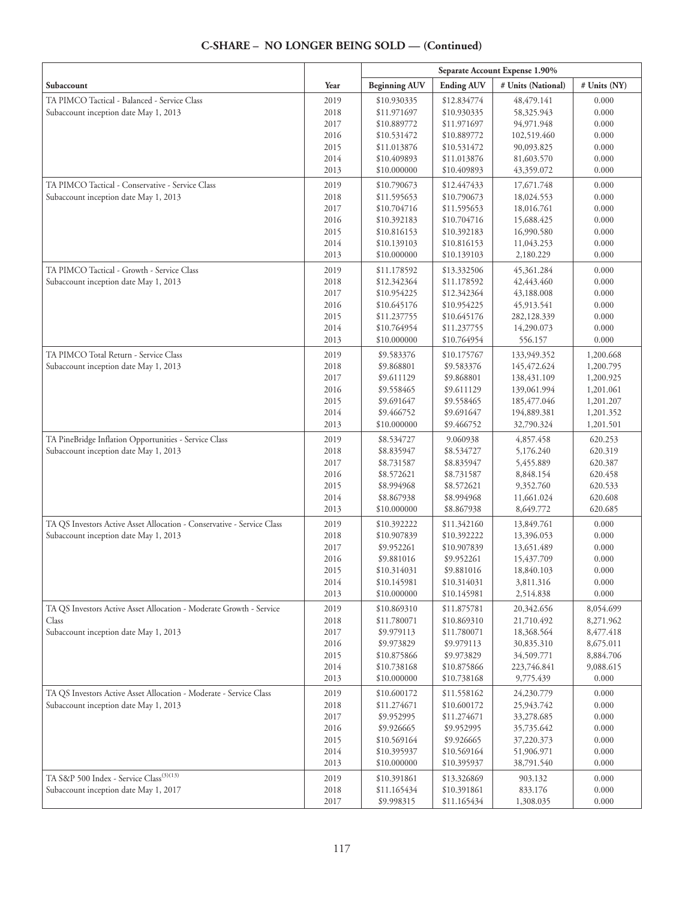|                                                                                                                 |              | Separate Account Expense 1.90% |                            |                             |                        |
|-----------------------------------------------------------------------------------------------------------------|--------------|--------------------------------|----------------------------|-----------------------------|------------------------|
| Subaccount                                                                                                      | Year         | <b>Beginning AUV</b>           | <b>Ending AUV</b>          | # Units (National)          | # Units (NY)           |
| TA PIMCO Tactical - Balanced - Service Class                                                                    | 2019         | \$10.930335                    | \$12.834774                | 48, 479. 141                | 0.000                  |
| Subaccount inception date May 1, 2013                                                                           | 2018         | \$11.971697                    | \$10.930335                | 58,325.943                  | 0.000                  |
|                                                                                                                 | 2017         | \$10.889772                    | \$11.971697                | 94,971.948                  | 0.000                  |
|                                                                                                                 | 2016         | \$10.531472                    | \$10.889772                | 102,519.460                 | 0.000                  |
|                                                                                                                 | 2015         | \$11.013876                    | \$10.531472                | 90,093.825                  | 0.000                  |
|                                                                                                                 | 2014         | \$10.409893                    | \$11.013876                | 81,603.570                  | 0.000                  |
|                                                                                                                 | 2013         | \$10.000000                    | \$10.409893                | 43,359.072                  | 0.000                  |
| TA PIMCO Tactical - Conservative - Service Class                                                                | 2019         | \$10.790673                    | \$12.447433                | 17,671.748                  | 0.000                  |
| Subaccount inception date May 1, 2013                                                                           | 2018         | \$11.595653                    | \$10.790673                | 18,024.553                  | 0.000                  |
|                                                                                                                 | 2017         | \$10.704716                    | \$11.595653                | 18,016.761                  | 0.000                  |
|                                                                                                                 | 2016         | \$10.392183                    | \$10.704716                | 15,688.425                  | 0.000                  |
|                                                                                                                 | 2015         | \$10.816153                    | \$10.392183                | 16,990.580                  | 0.000                  |
|                                                                                                                 | 2014<br>2013 | \$10.139103<br>\$10.000000     | \$10.816153<br>\$10.139103 | 11,043.253                  | 0.000<br>0.000         |
|                                                                                                                 |              |                                |                            | 2,180.229                   |                        |
| TA PIMCO Tactical - Growth - Service Class                                                                      | 2019         | \$11.178592                    | \$13.332506                | 45,361.284                  | 0.000                  |
| Subaccount inception date May 1, 2013                                                                           | 2018<br>2017 | \$12.342364<br>\$10.954225     | \$11.178592                | 42,443.460                  | 0.000                  |
|                                                                                                                 | 2016         | \$10.645176                    | \$12.342364<br>\$10.954225 | 43,188.008<br>45,913.541    | 0.000<br>0.000         |
|                                                                                                                 | 2015         | \$11.237755                    | \$10.645176                | 282,128.339                 | 0.000                  |
|                                                                                                                 | 2014         | \$10.764954                    | \$11.237755                | 14,290.073                  | 0.000                  |
|                                                                                                                 | 2013         | \$10.000000                    | \$10.764954                | 556.157                     | 0.000                  |
|                                                                                                                 |              |                                |                            |                             |                        |
| TA PIMCO Total Return - Service Class                                                                           | 2019         | \$9.583376                     | \$10.175767                | 133,949.352                 | 1,200.668              |
| Subaccount inception date May 1, 2013                                                                           | 2018         | \$9.868801                     | \$9.583376                 | 145, 472.624                | 1,200.795              |
|                                                                                                                 | 2017<br>2016 | \$9.611129                     | \$9.868801                 | 138,431.109                 | 1,200.925              |
|                                                                                                                 | 2015         | \$9.558465<br>\$9.691647       | \$9.611129<br>\$9.558465   | 139,061.994<br>185, 477.046 | 1,201.061<br>1,201.207 |
|                                                                                                                 | 2014         | \$9.466752                     | \$9.691647                 | 194,889.381                 |                        |
|                                                                                                                 | 2013         | \$10.000000                    | \$9.466752                 | 32,790.324                  | 1,201.352<br>1,201.501 |
|                                                                                                                 |              |                                |                            |                             |                        |
| TA PineBridge Inflation Opportunities - Service Class                                                           | 2019         | \$8.534727                     | 9.060938                   | 4,857.458                   | 620.253                |
| Subaccount inception date May 1, 2013                                                                           | 2018<br>2017 | \$8.835947                     | \$8.534727                 | 5,176.240                   | 620.319                |
|                                                                                                                 | 2016         | \$8.731587                     | \$8.835947                 | 5,455.889                   | 620.387                |
|                                                                                                                 | 2015         | \$8.572621<br>\$8.994968       | \$8.731587<br>\$8.572621   | 8,848.154<br>9,352.760      | 620.458<br>620.533     |
|                                                                                                                 | 2014         | \$8.867938                     | \$8.994968                 | 11,661.024                  | 620.608                |
|                                                                                                                 | 2013         | \$10.000000                    | \$8.867938                 | 8,649.772                   | 620.685                |
|                                                                                                                 |              |                                |                            | 13,849.761                  | 0.000                  |
| TA QS Investors Active Asset Allocation - Conservative - Service Class<br>Subaccount inception date May 1, 2013 | 2019<br>2018 | \$10.392222<br>\$10.907839     | \$11.342160<br>\$10.392222 | 13,396.053                  | 0.000                  |
|                                                                                                                 | 2017         | \$9.952261                     | \$10.907839                | 13,651.489                  | 0.000                  |
|                                                                                                                 | 2016         | \$9.881016                     | \$9.952261                 | 15,437.709                  | 0.000                  |
|                                                                                                                 | 2015         | \$10.314031                    | \$9.881016                 | 18,840.103                  | 0.000                  |
|                                                                                                                 | 2014         | \$10.145981                    | \$10.314031                | 3,811.316                   | 0.000                  |
|                                                                                                                 | 2013         | \$10.000000                    | \$10.145981                | 2,514.838                   | 0.000                  |
| TA QS Investors Active Asset Allocation - Moderate Growth - Service                                             | 2019         | \$10.869310                    | \$11.875781                | 20,342.656                  | 8,054.699              |
| Class                                                                                                           | 2018         | \$11.780071                    | \$10.869310                | 21,710.492                  | 8,271.962              |
| Subaccount inception date May 1, 2013                                                                           | 2017         | \$9.979113                     | \$11.780071                | 18,368.564                  | 8,477.418              |
|                                                                                                                 | 2016         | \$9.973829                     | \$9.979113                 | 30,835.310                  | 8,675.011              |
|                                                                                                                 | 2015         | \$10.875866                    | \$9.973829                 | 34,509.771                  | 8,884.706              |
|                                                                                                                 | 2014         | \$10.738168                    | \$10.875866                | 223,746.841                 | 9,088.615              |
|                                                                                                                 | 2013         | \$10.000000                    | \$10.738168                | 9,775.439                   | 0.000                  |
| TA QS Investors Active Asset Allocation - Moderate - Service Class                                              | 2019         | \$10.600172                    | \$11.558162                | 24,230.779                  | 0.000                  |
| Subaccount inception date May 1, 2013                                                                           | 2018         | \$11.274671                    | \$10.600172                | 25,943.742                  | 0.000                  |
|                                                                                                                 | 2017         | \$9.952995                     | \$11.274671                | 33,278.685                  | 0.000                  |
|                                                                                                                 | 2016         | \$9.926665                     | \$9.952995                 | 35,735.642                  | 0.000                  |
|                                                                                                                 | 2015         | \$10.569164                    | \$9.926665                 | 37,220.373                  | 0.000                  |
|                                                                                                                 | 2014         | \$10.395937                    | \$10.569164                | 51,906.971                  | 0.000                  |
|                                                                                                                 | 2013         | \$10.000000                    | \$10.395937                | 38,791.540                  | 0.000                  |
| TA S&P 500 Index - Service Class <sup>(3)(13)</sup>                                                             | 2019         | \$10.391861                    | \$13.326869                | 903.132                     | 0.000                  |
| Subaccount inception date May 1, 2017                                                                           | 2018         | \$11.165434                    | \$10.391861                | 833.176                     | 0.000                  |
|                                                                                                                 | 2017         | \$9.998315                     | \$11.165434                | 1,308.035                   | 0.000                  |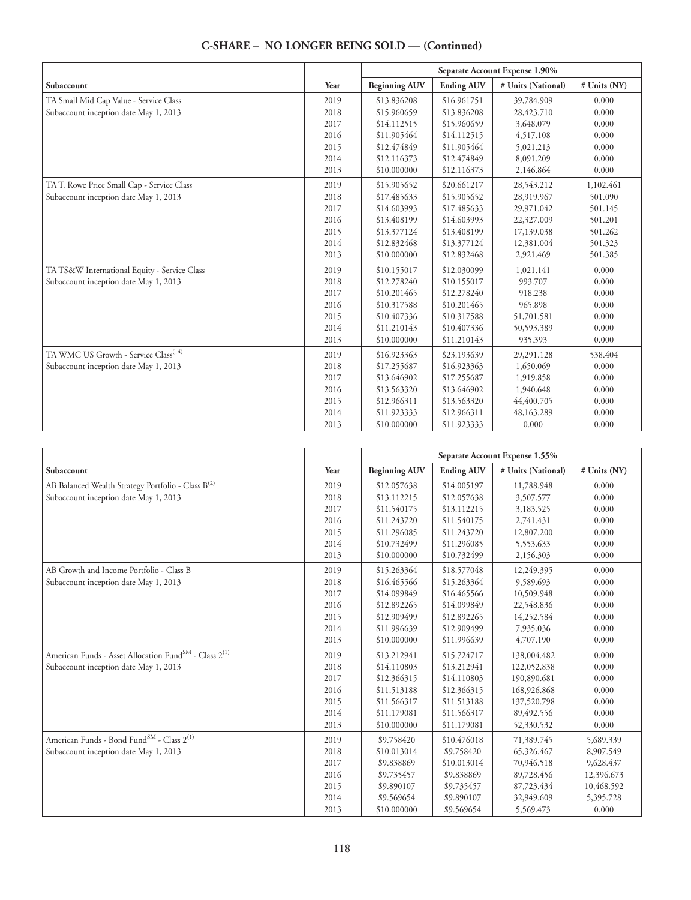|                                                  |      | Separate Account Expense 1.90% |                   |                    |              |
|--------------------------------------------------|------|--------------------------------|-------------------|--------------------|--------------|
| Subaccount                                       | Year | <b>Beginning AUV</b>           | <b>Ending AUV</b> | # Units (National) | # Units (NY) |
| TA Small Mid Cap Value - Service Class           | 2019 | \$13.836208                    | \$16.961751       | 39,784.909         | 0.000        |
| Subaccount inception date May 1, 2013            | 2018 | \$15.960659                    | \$13.836208       | 28,423.710         | 0.000        |
|                                                  | 2017 | \$14.112515                    | \$15.960659       | 3,648.079          | 0.000        |
|                                                  | 2016 | \$11.905464                    | \$14.112515       | 4,517.108          | 0.000        |
|                                                  | 2015 | \$12.474849                    | \$11.905464       | 5,021.213          | 0.000        |
|                                                  | 2014 | \$12.116373                    | \$12.474849       | 8,091.209          | 0.000        |
|                                                  | 2013 | \$10.000000                    | \$12.116373       | 2,146.864          | 0.000        |
| TA T. Rowe Price Small Cap - Service Class       | 2019 | \$15.905652                    | \$20.661217       | 28,543.212         | 1,102.461    |
| Subaccount inception date May 1, 2013            | 2018 | \$17.485633                    | \$15.905652       | 28,919.967         | 501.090      |
|                                                  | 2017 | \$14.603993                    | \$17.485633       | 29,971.042         | 501.145      |
|                                                  | 2016 | \$13.408199                    | \$14.603993       | 22,327.009         | 501.201      |
|                                                  | 2015 | \$13.377124                    | \$13.408199       | 17,139.038         | 501.262      |
|                                                  | 2014 | \$12.832468                    | \$13.377124       | 12,381.004         | 501.323      |
|                                                  | 2013 | \$10,000000                    | \$12.832468       | 2,921.469          | 501.385      |
| TA TS&W International Equity - Service Class     | 2019 | \$10.155017                    | \$12.030099       | 1,021.141          | 0.000        |
| Subaccount inception date May 1, 2013            | 2018 | \$12.278240                    | \$10.155017       | 993.707            | 0.000        |
|                                                  | 2017 | \$10.201465                    | \$12,278240       | 918.238            | 0.000        |
|                                                  | 2016 | \$10.317588                    | \$10.201465       | 965.898            | 0.000        |
|                                                  | 2015 | \$10.407336                    | \$10.317588       | 51,701.581         | 0.000        |
|                                                  | 2014 | \$11.210143                    | \$10.407336       | 50,593.389         | 0.000        |
|                                                  | 2013 | \$10.000000                    | \$11.210143       | 935.393            | 0.000        |
| TA WMC US Growth - Service Class <sup>(14)</sup> | 2019 | \$16.923363                    | \$23.193639       | 29,291.128         | 538.404      |
| Subaccount inception date May 1, 2013            | 2018 | \$17.255687                    | \$16.923363       | 1,650.069          | 0.000        |
|                                                  | 2017 | \$13.646902                    | \$17.255687       | 1,919.858          | 0.000        |
|                                                  | 2016 | \$13.563320                    | \$13.646902       | 1,940.648          | 0.000        |
|                                                  | 2015 | \$12.966311                    | \$13.563320       | 44,400.705         | 0.000        |
|                                                  | 2014 | \$11.923333                    | \$12.966311       | 48,163.289         | 0.000        |
|                                                  | 2013 | \$10.000000                    | \$11.923333       | 0.000              | 0.000        |

|  |  | C-SHARE – NO LONGER BEING SOLD — (Continued) |  |
|--|--|----------------------------------------------|--|
|--|--|----------------------------------------------|--|

|                                                                               |      | Separate Account Expense 1.55% |                   |                    |              |
|-------------------------------------------------------------------------------|------|--------------------------------|-------------------|--------------------|--------------|
| Subaccount                                                                    | Year | <b>Beginning AUV</b>           | <b>Ending AUV</b> | # Units (National) | # Units (NY) |
| AB Balanced Wealth Strategy Portfolio - Class B <sup>(2)</sup>                | 2019 | \$12.057638                    | \$14.005197       | 11,788.948         | 0.000        |
| Subaccount inception date May 1, 2013                                         | 2018 | \$13.112215                    | \$12.057638       | 3,507.577          | 0.000        |
|                                                                               | 2017 | \$11.540175                    | \$13.112215       | 3,183.525          | 0.000        |
|                                                                               | 2016 | \$11.243720                    | \$11.540175       | 2,741.431          | 0.000        |
|                                                                               | 2015 | \$11.296085                    | \$11.243720       | 12,807.200         | 0.000        |
|                                                                               | 2014 | \$10.732499                    | \$11.296085       | 5,553.633          | 0.000        |
|                                                                               | 2013 | \$10.000000                    | \$10.732499       | 2,156.303          | 0.000        |
| AB Growth and Income Portfolio - Class B                                      | 2019 | \$15.263364                    | \$18.577048       | 12,249.395         | 0.000        |
| Subaccount inception date May 1, 2013                                         | 2018 | \$16.465566                    | \$15.263364       | 9,589.693          | 0.000        |
|                                                                               | 2017 | \$14.099849                    | \$16,465566       | 10,509.948         | 0.000        |
|                                                                               | 2016 | \$12.892265                    | \$14.099849       | 22,548.836         | 0.000        |
|                                                                               | 2015 | \$12.909499                    | \$12.892265       | 14,252.584         | 0.000        |
|                                                                               | 2014 | \$11.996639                    | \$12.909499       | 7,935.036          | 0.000        |
|                                                                               | 2013 | \$10.000000                    | \$11.996639       | 4,707.190          | 0.000        |
| American Funds - Asset Allocation Fund <sup>SM</sup> - Class 2 <sup>(1)</sup> | 2019 | \$13.212941                    | \$15.724717       | 138,004.482        | 0.000        |
| Subaccount inception date May 1, 2013                                         | 2018 | \$14.110803                    | \$13.212941       | 122,052.838        | 0.000        |
|                                                                               | 2017 | \$12.366315                    | \$14.110803       | 190,890.681        | 0.000        |
|                                                                               | 2016 | \$11.513188                    | \$12.366315       | 168,926.868        | 0.000        |
|                                                                               | 2015 | \$11.566317                    | \$11.513188       | 137,520.798        | 0.000        |
|                                                                               | 2014 | \$11.179081                    | \$11.566317       | 89,492.556         | 0.000        |
|                                                                               | 2013 | \$10.000000                    | \$11.179081       | 52,330.532         | 0.000        |
| American Funds - Bond Fund <sup>SM</sup> - Class 2 <sup>(1)</sup>             | 2019 | \$9.758420                     | \$10.476018       | 71,389.745         | 5,689.339    |
| Subaccount inception date May 1, 2013                                         | 2018 | \$10.013014                    | \$9.758420        | 65,326.467         | 8,907.549    |
|                                                                               | 2017 | \$9.838869                     | \$10.013014       | 70,946.518         | 9,628.437    |
|                                                                               | 2016 | \$9.735457                     | \$9.838869        | 89,728.456         | 12,396.673   |
|                                                                               | 2015 | \$9.890107                     | \$9.735457        | 87,723.434         | 10,468.592   |
|                                                                               | 2014 | \$9.569654                     | \$9.890107        | 32,949.609         | 5,395.728    |
|                                                                               | 2013 | \$10,000000                    | \$9.569654        | 5,569.473          | 0.000        |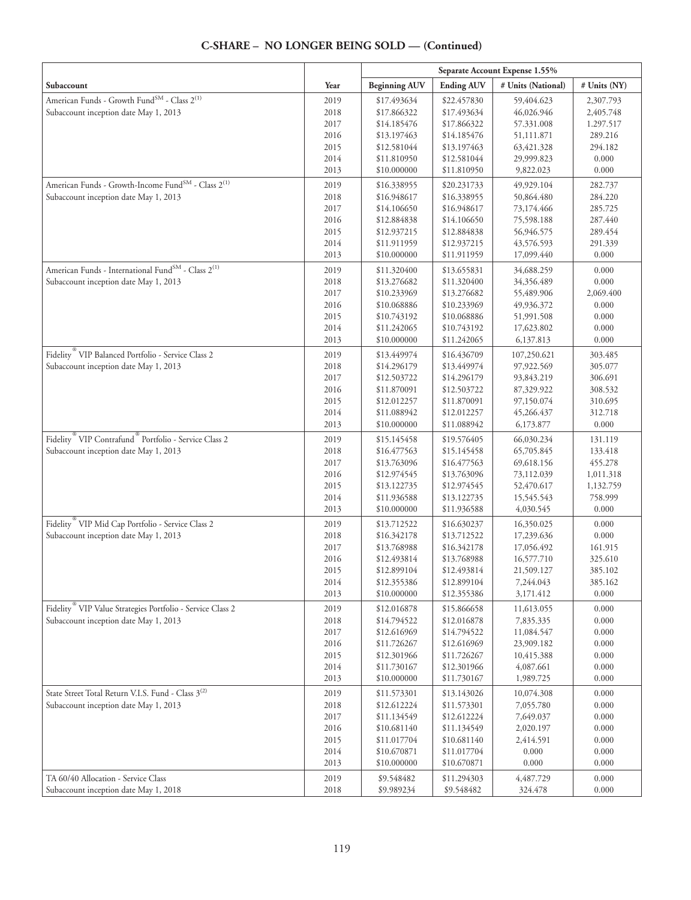|                                                                               |      | Separate Account Expense 1.55% |                   |                    |              |
|-------------------------------------------------------------------------------|------|--------------------------------|-------------------|--------------------|--------------|
| Subaccount                                                                    | Year | <b>Beginning AUV</b>           | <b>Ending AUV</b> | # Units (National) | # Units (NY) |
| American Funds - Growth Fund <sup>SM</sup> - Class 2 <sup>(1)</sup>           | 2019 | \$17.493634                    | \$22.457830       | 59,404.623         | 2,307.793    |
| Subaccount inception date May 1, 2013                                         | 2018 | \$17.866322                    | \$17.493634       | 46,026.946         | 2,405.748    |
|                                                                               | 2017 | \$14.185476                    | \$17.866322       | 57.331.008         | 1.297.517    |
|                                                                               | 2016 | \$13.197463                    | \$14.185476       | 51,111.871         | 289.216      |
|                                                                               | 2015 | \$12.581044                    | \$13.197463       | 63,421.328         | 294.182      |
|                                                                               | 2014 | \$11.810950                    | \$12.581044       | 29,999.823         | 0.000        |
|                                                                               | 2013 | \$10.000000                    | \$11.810950       | 9,822.023          | 0.000        |
| American Funds - Growth-Income Fund <sup>SM</sup> - Class 2 <sup>(1)</sup>    | 2019 | \$16.338955                    | \$20.231733       | 49,929.104         | 282.737      |
| Subaccount inception date May 1, 2013                                         | 2018 | \$16.948617                    | \$16.338955       | 50,864.480         | 284.220      |
|                                                                               | 2017 | \$14.106650                    | \$16.948617       | 73,174.466         | 285.725      |
|                                                                               | 2016 | \$12.884838                    | \$14.106650       | 75,598.188         | 287.440      |
|                                                                               | 2015 | \$12.937215                    | \$12.884838       | 56,946.575         | 289.454      |
|                                                                               | 2014 | \$11.911959                    | \$12.937215       | 43,576.593         | 291.339      |
|                                                                               | 2013 | \$10.000000                    | \$11.911959       | 17,099.440         | 0.000        |
| American Funds - International Fund <sup>SM</sup> - Class 2 <sup>(1)</sup>    | 2019 | \$11.320400                    | \$13.655831       | 34,688.259         | 0.000        |
| Subaccount inception date May 1, 2013                                         | 2018 | \$13.276682                    | \$11.320400       | 34,356.489         | 0.000        |
|                                                                               | 2017 | \$10.233969                    | \$13.276682       | 55,489.906         | 2,069.400    |
|                                                                               | 2016 | \$10.068886                    | \$10.233969       | 49,936.372         | 0.000        |
|                                                                               | 2015 | \$10.743192                    | \$10.068886       | 51,991.508         | 0.000        |
|                                                                               | 2014 | \$11.242065                    | \$10.743192       | 17,623.802         | 0.000        |
|                                                                               | 2013 | \$10.000000                    | \$11.242065       | 6,137.813          | 0.000        |
| Fidelity <sup>®</sup> VIP Balanced Portfolio - Service Class 2                | 2019 | \$13.449974                    | \$16.436709       | 107,250.621        | 303.485      |
| Subaccount inception date May 1, 2013                                         | 2018 | \$14.296179                    | \$13.449974       | 97,922.569         | 305.077      |
|                                                                               | 2017 | \$12.503722                    | \$14.296179       | 93,843.219         | 306.691      |
|                                                                               | 2016 | \$11.870091                    | \$12.503722       | 87,329.922         | 308.532      |
|                                                                               | 2015 | \$12.012257                    | \$11.870091       | 97,150.074         | 310.695      |
|                                                                               | 2014 | \$11.088942                    | \$12.012257       | 45,266.437         | 312.718      |
|                                                                               | 2013 | \$10.000000                    | \$11.088942       | 6,173.877          | 0.000        |
| Fidelity <sup>®</sup> VIP Contrafund <sup>®</sup> Portfolio - Service Class 2 | 2019 | \$15.145458                    | \$19.576405       | 66,030.234         | 131.119      |
| Subaccount inception date May 1, 2013                                         | 2018 | \$16.477563                    | \$15.145458       | 65,705.845         | 133.418      |
|                                                                               | 2017 | \$13.763096                    | \$16.477563       | 69,618.156         | 455.278      |
|                                                                               | 2016 | \$12.974545                    | \$13.763096       | 73,112.039         | 1,011.318    |
|                                                                               | 2015 | \$13.122735                    | \$12.974545       | 52,470.617         | 1,132.759    |
|                                                                               | 2014 | \$11.936588                    | \$13.122735       | 15,545.543         | 758.999      |
|                                                                               | 2013 | \$10.000000                    | \$11.936588       | 4,030.545          | 0.000        |
| Fidelity <sup>®</sup> VIP Mid Cap Portfolio - Service Class 2                 | 2019 | \$13.712522                    | \$16.630237       | 16,350.025         | 0.000        |
| Subaccount inception date May 1, 2013                                         | 2018 | \$16.342178                    | \$13.712522       | 17,239.636         | 0.000        |
|                                                                               | 2017 | \$13.768988                    | \$16.342178       | 17,056.492         | 161.915      |
|                                                                               | 2016 | \$12.493814                    | \$13.768988       | 16,577.710         | 325.610      |
|                                                                               | 2015 | \$12.899104                    | \$12.493814       | 21,509.127         | 385.102      |
|                                                                               | 2014 | \$12.355386                    | \$12.899104       | 7,244.043          | 385.162      |
|                                                                               | 2013 | \$10.000000                    | \$12.355386       | 3,171.412          | 0.000        |
| Fidelity <sup>®</sup> VIP Value Strategies Portfolio - Service Class 2        | 2019 | \$12.016878                    | \$15.866658       | 11,613.055         | 0.000        |
| Subaccount inception date May 1, 2013                                         | 2018 | \$14.794522                    | \$12.016878       | 7,835.335          | 0.000        |
|                                                                               | 2017 | \$12.616969                    | \$14.794522       | 11,084.547         | 0.000        |
|                                                                               | 2016 | \$11.726267                    | \$12.616969       | 23,909.182         | 0.000        |
|                                                                               | 2015 | \$12.301966                    | \$11.726267       | 10,415.388         | 0.000        |
|                                                                               | 2014 | \$11.730167                    | \$12.301966       | 4,087.661          | 0.000        |
|                                                                               | 2013 | \$10.000000                    | \$11.730167       | 1,989.725          | 0.000        |
| State Street Total Return V.I.S. Fund - Class 3 <sup>(2)</sup>                | 2019 | \$11.573301                    | \$13.143026       | 10,074.308         | 0.000        |
| Subaccount inception date May 1, 2013                                         | 2018 | \$12.612224                    | \$11.573301       | 7,055.780          | 0.000        |
|                                                                               | 2017 | \$11.134549                    | \$12.612224       | 7,649.037          | 0.000        |
|                                                                               | 2016 | \$10.681140                    | \$11.134549       | 2,020.197          | 0.000        |
|                                                                               | 2015 | \$11.017704                    | \$10.681140       | 2,414.591          | 0.000        |
|                                                                               | 2014 | \$10.670871                    | \$11.017704       | 0.000              | 0.000        |
|                                                                               | 2013 | \$10.000000                    | \$10.670871       | 0.000              | 0.000        |
| TA 60/40 Allocation - Service Class                                           | 2019 | \$9.548482                     | \$11.294303       | 4,487.729          | 0.000        |
| Subaccount inception date May 1, 2018                                         | 2018 | \$9.989234                     | \$9.548482        | 324.478            | 0.000        |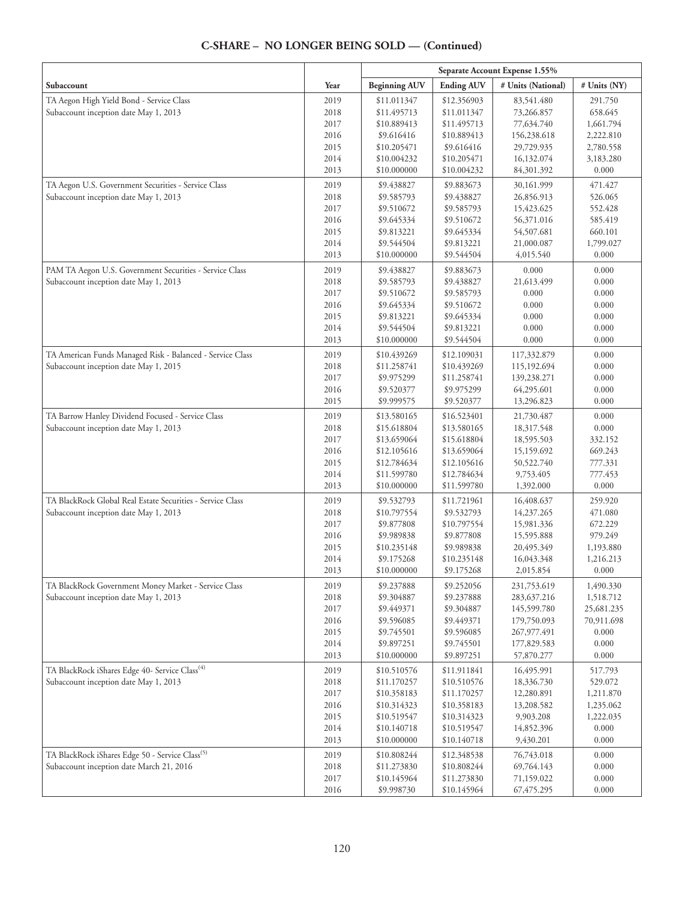|                                                             |      | Separate Account Expense 1.55% |                   |                    |              |
|-------------------------------------------------------------|------|--------------------------------|-------------------|--------------------|--------------|
| Subaccount                                                  | Year | <b>Beginning AUV</b>           | <b>Ending AUV</b> | # Units (National) | # Units (NY) |
| TA Aegon High Yield Bond - Service Class                    | 2019 | \$11.011347                    | \$12.356903       | 83,541.480         | 291.750      |
| Subaccount inception date May 1, 2013                       | 2018 | \$11.495713                    | \$11.011347       | 73,266.857         | 658.645      |
|                                                             | 2017 | \$10.889413                    | \$11.495713       | 77,634.740         | 1,661.794    |
|                                                             | 2016 | \$9.616416                     | \$10.889413       | 156,238.618        | 2,222.810    |
|                                                             | 2015 | \$10.205471                    | \$9.616416        | 29,729.935         | 2,780.558    |
|                                                             | 2014 | \$10.004232                    | \$10.205471       | 16,132.074         | 3,183.280    |
|                                                             | 2013 | \$10.000000                    | \$10.004232       | 84,301.392         | 0.000        |
| TA Aegon U.S. Government Securities - Service Class         | 2019 | \$9.438827                     | \$9.883673        | 30,161.999         | 471.427      |
| Subaccount inception date May 1, 2013                       | 2018 | \$9.585793                     | \$9.438827        | 26,856.913         | 526.065      |
|                                                             | 2017 | \$9.510672                     | \$9.585793        | 15,423.625         | 552.428      |
|                                                             | 2016 | \$9.645334                     | \$9.510672        | 56,371.016         | 585.419      |
|                                                             | 2015 | \$9.813221                     | \$9.645334        | 54,507.681         | 660.101      |
|                                                             | 2014 | \$9.544504                     | \$9.813221        | 21,000.087         | 1,799.027    |
|                                                             | 2013 | \$10.000000                    | \$9.544504        | 4,015.540          | 0.000        |
| PAM TA Aegon U.S. Government Securities - Service Class     | 2019 | \$9.438827                     | \$9.883673        | 0.000              | 0.000        |
| Subaccount inception date May 1, 2013                       | 2018 | \$9.585793                     | \$9.438827        | 21,613.499         | 0.000        |
|                                                             | 2017 | \$9.510672                     | \$9.585793        | 0.000              | 0.000        |
|                                                             | 2016 | \$9.645334                     | \$9.510672        | 0.000              | 0.000        |
|                                                             | 2015 | \$9.813221                     | \$9.645334        | 0.000              | 0.000        |
|                                                             | 2014 | \$9.544504                     | \$9.813221        | 0.000              | 0.000        |
|                                                             | 2013 | \$10.000000                    | \$9.544504        | 0.000              | 0.000        |
| TA American Funds Managed Risk - Balanced - Service Class   | 2019 | \$10.439269                    | \$12.109031       | 117,332.879        | 0.000        |
| Subaccount inception date May 1, 2015                       | 2018 | \$11.258741                    | \$10.439269       | 115,192.694        | 0.000        |
|                                                             | 2017 | \$9.975299                     | \$11.258741       | 139,238.271        | 0.000        |
|                                                             | 2016 | \$9.520377                     | \$9.975299        | 64,295.601         | 0.000        |
|                                                             | 2015 | \$9.999575                     | \$9.520377        | 13,296.823         | 0.000        |
| TA Barrow Hanley Dividend Focused - Service Class           | 2019 | \$13.580165                    | \$16.523401       | 21,730.487         | 0.000        |
| Subaccount inception date May 1, 2013                       | 2018 | \$15.618804                    | \$13.580165       | 18,317.548         | 0.000        |
|                                                             | 2017 | \$13.659064                    | \$15.618804       | 18,595.503         | 332.152      |
|                                                             | 2016 | \$12.105616                    | \$13.659064       | 15,159.692         | 669.243      |
|                                                             | 2015 | \$12.784634                    | \$12.105616       | 50,522.740         | 777.331      |
|                                                             | 2014 | \$11.599780                    | \$12.784634       | 9,753.405          | 777.453      |
|                                                             | 2013 | \$10.000000                    | \$11.599780       | 1,392.000          | 0.000        |
| TA BlackRock Global Real Estate Securities - Service Class  | 2019 | \$9.532793                     | \$11.721961       | 16,408.637         | 259.920      |
| Subaccount inception date May 1, 2013                       | 2018 | \$10.797554                    | \$9.532793        | 14,237.265         | 471.080      |
|                                                             | 2017 | \$9.877808                     | \$10.797554       | 15,981.336         | 672.229      |
|                                                             | 2016 | \$9.989838                     | \$9.877808        | 15,595.888         | 979.249      |
|                                                             | 2015 | \$10.235148                    | \$9.989838        | 20,495.349         | 1,193.880    |
|                                                             | 2014 | \$9.175268                     | \$10.235148       | 16,043.348         | 1,216.213    |
|                                                             | 2013 | \$10.000000                    | \$9.175268        | 2,015.854          | 0.000        |
| TA BlackRock Government Money Market - Service Class        | 2019 | \$9.237888                     | \$9.252056        | 231,753.619        | 1,490.330    |
| Subaccount inception date May 1, 2013                       | 2018 | \$9.304887                     | \$9.237888        | 283, 637. 216      | 1,518.712    |
|                                                             | 2017 | \$9.449371                     | \$9.304887        | 145,599.780        | 25,681.235   |
|                                                             | 2016 | \$9.596085                     | \$9.449371        | 179,750.093        | 70,911.698   |
|                                                             | 2015 | \$9.745501                     | \$9.596085        | 267,977.491        | 0.000        |
|                                                             | 2014 | \$9.897251                     | \$9.745501        | 177,829.583        | 0.000        |
|                                                             | 2013 | \$10.000000                    | \$9.897251        | 57,870.277         | 0.000        |
| TA BlackRock iShares Edge 40- Service Class <sup>(4)</sup>  | 2019 | \$10.510576                    | \$11.911841       | 16,495.991         | 517.793      |
| Subaccount inception date May 1, 2013                       | 2018 | \$11.170257                    | \$10.510576       | 18,336.730         | 529.072      |
|                                                             | 2017 | \$10.358183                    | \$11.170257       | 12,280.891         | 1,211.870    |
|                                                             | 2016 | \$10.314323                    | \$10.358183       | 13,208.582         | 1,235.062    |
|                                                             | 2015 | \$10.519547                    | \$10.314323       | 9,903.208          | 1,222.035    |
|                                                             | 2014 | \$10.140718                    | \$10.519547       | 14,852.396         | 0.000        |
|                                                             | 2013 | \$10.000000                    | \$10.140718       | 9,430.201          | 0.000        |
| TA BlackRock iShares Edge 50 - Service Class <sup>(5)</sup> | 2019 | \$10.808244                    | \$12.348538       | 76,743.018         | 0.000        |
| Subaccount inception date March 21, 2016                    | 2018 | \$11.273830                    | \$10.808244       | 69,764.143         | 0.000        |
|                                                             | 2017 | \$10.145964                    | \$11.273830       | 71,159.022         | 0.000        |
|                                                             | 2016 | \$9.998730                     | \$10.145964       | 67,475.295         | 0.000        |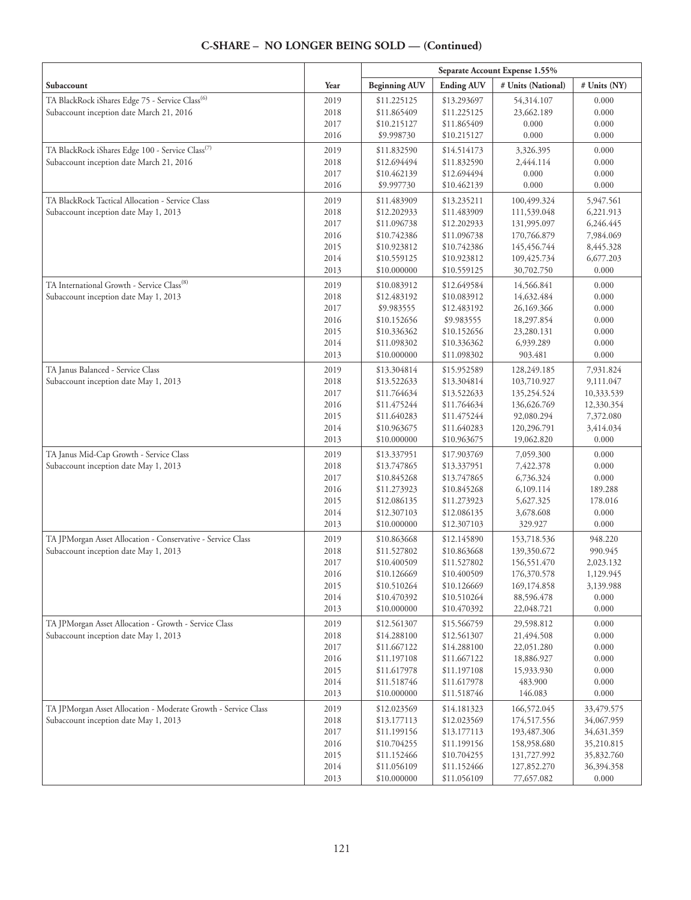|                                                                |              |                            |                            | Separate Account Expense 1.55% |                |
|----------------------------------------------------------------|--------------|----------------------------|----------------------------|--------------------------------|----------------|
| Subaccount                                                     | Year         | <b>Beginning AUV</b>       | <b>Ending AUV</b>          | # Units (National)             | # Units (NY)   |
| TA BlackRock iShares Edge 75 - Service Class <sup>(6)</sup>    | 2019         | \$11.225125                | \$13.293697                | 54,314.107                     | 0.000          |
| Subaccount inception date March 21, 2016                       | 2018         | \$11.865409                | \$11.225125                | 23,662.189                     | 0.000          |
|                                                                | 2017         | \$10.215127                | \$11.865409                | 0.000                          | 0.000          |
|                                                                | 2016         | \$9.998730                 | \$10.215127                | 0.000                          | 0.000          |
| TA BlackRock iShares Edge 100 - Service Class <sup>(7)</sup>   | 2019         | \$11.832590                | \$14.514173                | 3,326.395                      | 0.000          |
| Subaccount inception date March 21, 2016                       | 2018         | \$12.694494                | \$11.832590                | 2,444.114                      | 0.000          |
|                                                                | 2017         | \$10.462139                | \$12.694494                | 0.000                          | 0.000          |
|                                                                | 2016         | \$9.997730                 | \$10.462139                | 0.000                          | 0.000          |
| TA BlackRock Tactical Allocation - Service Class               | 2019         | \$11.483909                | \$13.235211                | 100,499.324                    | 5,947.561      |
| Subaccount inception date May 1, 2013                          | 2018         | \$12.202933                | \$11.483909                | 111,539.048                    | 6,221.913      |
|                                                                | 2017         | \$11.096738                | \$12.202933                | 131,995.097                    | 6,246.445      |
|                                                                | 2016         | \$10.742386                | \$11.096738                | 170,766.879                    | 7,984.069      |
|                                                                | 2015         | \$10.923812                | \$10.742386                | 145,456.744                    | 8,445.328      |
|                                                                | 2014         | \$10.559125                | \$10.923812                | 109,425.734                    | 6,677.203      |
|                                                                | 2013         | \$10.000000                | \$10.559125                | 30,702.750                     | 0.000          |
| TA International Growth - Service Class <sup>(8)</sup>         | 2019         | \$10.083912                | \$12.649584                | 14,566.841                     | 0.000          |
| Subaccount inception date May 1, 2013                          | 2018         | \$12.483192                | \$10.083912                | 14,632.484                     | 0.000          |
|                                                                | 2017         | \$9.983555                 | \$12.483192                | 26,169.366                     | 0.000          |
|                                                                | 2016         | \$10.152656                | \$9.983555                 | 18,297.854                     | 0.000          |
|                                                                | 2015         | \$10.336362                | \$10.152656                | 23,280.131                     | 0.000          |
|                                                                | 2014         | \$11.098302                | \$10.336362                | 6,939.289                      | 0.000          |
|                                                                | 2013         | \$10.000000                | \$11.098302                | 903.481                        | 0.000          |
| TA Janus Balanced - Service Class                              | 2019         | \$13.304814                | \$15.952589                | 128,249.185                    | 7,931.824      |
| Subaccount inception date May 1, 2013                          | 2018         | \$13.522633                | \$13.304814                | 103,710.927                    | 9,111.047      |
|                                                                | 2017         | \$11.764634                | \$13.522633                | 135,254.524                    | 10,333.539     |
|                                                                | 2016         | \$11.475244                | \$11.764634                | 136,626.769                    | 12,330.354     |
|                                                                | 2015         | \$11.640283                | \$11.475244                | 92,080.294                     | 7,372.080      |
|                                                                | 2014         | \$10.963675                | \$11.640283                | 120,296.791                    | 3,414.034      |
|                                                                | 2013         | \$10.000000                | \$10.963675                | 19,062.820                     | 0.000          |
| TA Janus Mid-Cap Growth - Service Class                        | 2019         | \$13.337951                | \$17.903769                | 7,059.300                      | 0.000          |
| Subaccount inception date May 1, 2013                          | 2018         | \$13.747865                | \$13.337951                | 7,422.378                      | 0.000          |
|                                                                | 2017         | \$10.845268                | \$13.747865                | 6,736.324                      | 0.000          |
|                                                                | 2016         | \$11.273923                | \$10.845268                | 6,109.114                      | 189.288        |
|                                                                | 2015         | \$12.086135                | \$11.273923                | 5,627.325                      | 178.016        |
|                                                                | 2014         | \$12.307103                | \$12.086135                | 3,678.608                      | 0.000          |
|                                                                | 2013         | \$10.000000                | \$12.307103                | 329.927                        | 0.000          |
| TA JPMorgan Asset Allocation - Conservative - Service Class    | 2019         | \$10.863668                | \$12.145890                | 153,718.536                    | 948.220        |
| Subaccount inception date May 1, 2013                          | 2018         | \$11.527802                | \$10.863668                | 139,350.672                    | 990.945        |
|                                                                | 2017         | \$10.400509                | \$11.527802                | 156,551.470                    | 2,023.132      |
|                                                                | 2016         | \$10.126669                | \$10.400509                | 176,370.578                    | 1,129.945      |
|                                                                | 2015         | \$10.510264                | \$10.126669                | 169,174.858                    | 3,139.988      |
|                                                                | 2014<br>2013 | \$10.470392<br>\$10.000000 | \$10.510264<br>\$10.470392 | 88,596.478<br>22,048.721       | 0.000<br>0.000 |
| TA JPMorgan Asset Allocation - Growth - Service Class          | 2019         | \$12.561307                | \$15.566759                | 29,598.812                     | 0.000          |
| Subaccount inception date May 1, 2013                          | 2018         | \$14.288100                | \$12.561307                | 21,494.508                     | 0.000          |
|                                                                | 2017         | \$11.667122                | \$14.288100                | 22,051.280                     | 0.000          |
|                                                                | 2016         | \$11.197108                | \$11.667122                | 18,886.927                     | 0.000          |
|                                                                | 2015         | \$11.617978                | \$11.197108                | 15,933.930                     | 0.000          |
|                                                                | 2014         | \$11.518746                | \$11.617978                | 483.900                        | 0.000          |
|                                                                | 2013         | \$10.000000                | \$11.518746                | 146.083                        | 0.000          |
| TA JPMorgan Asset Allocation - Moderate Growth - Service Class | 2019         | \$12.023569                | \$14.181323                | 166,572.045                    | 33,479.575     |
| Subaccount inception date May 1, 2013                          | 2018         | \$13.177113                | \$12.023569                | 174,517.556                    | 34,067.959     |
|                                                                | 2017         | \$11.199156                | \$13.177113                | 193,487.306                    | 34,631.359     |
|                                                                | 2016         | \$10.704255                | \$11.199156                | 158,958.680                    | 35,210.815     |
|                                                                | 2015         | \$11.152466                | \$10.704255                | 131,727.992                    | 35,832.760     |
|                                                                | 2014         | \$11.056109                | \$11.152466                | 127,852.270                    | 36,394.358     |
|                                                                | 2013         | \$10.000000                | \$11.056109                | 77,657.082                     | 0.000          |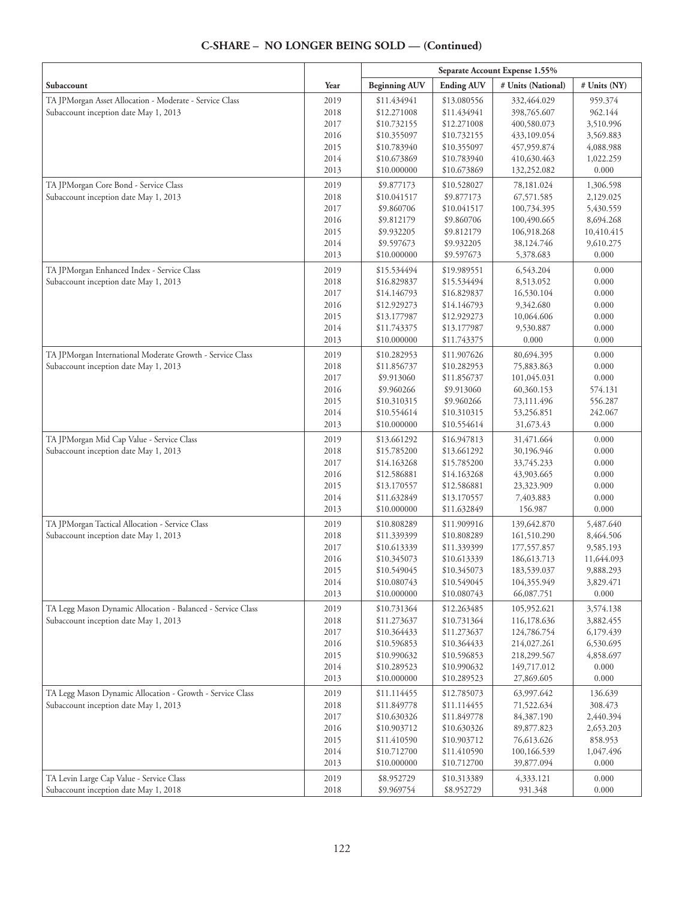#### **Separate Account Expense 1.55% Subaccount**  $\begin{array}{|c|c|c|c|c|}\hline \textbf{Year} & \textbf{Beginning AUV} & \textbf{Ending AUV} & \textbf{\# Units (National)} & \textbf{\# Units (NY)}\hline \end{array}$ TA JPMorgan Asset Allocation - Moderate - Service Class Subaccount inception date May 1, 2013 2019 2018 2017 2016 2015 2014 2013 \$11.434941 \$12.271008 \$10.732155 \$10.355097 \$10.783940 \$10.673869 \$10.000000 \$13.080556 \$11.434941 \$12.271008 \$10.732155 \$10.355097 \$10.783940 \$10.673869 332,464.029 398,765.607 400,580.073 433,109.054 457,959.874 410,630.463 132,252.082 959.374 962.144 3,510.996 3,569.883 4,088.988 1,022.259 0.000 TA JPMorgan Core Bond - Service Class Subaccount inception date May 1, 2013 2019 2018 2017 2016 2015 2014 2013 \$9.877173 \$10.041517 \$9.860706 \$9.812179 \$9.932205 \$9.597673 \$10.000000 \$10.528027 \$9.877173 \$10.041517 \$9.860706 \$9.812179 \$9.932205 \$9.597673 78,181.024 67,571.585 100,734.395 100,490.665 106,918.268 38,124.746 5,378.683 1,306.598 2,129.025 5,430.559 8,694.268 10,410.415 9,610.275 0.000 TA JPMorgan Enhanced Index - Service Class Subaccount inception date May 1, 2013 2019 2018 2017 2016 2015 2014 2013 \$15.534494 \$16.829837 \$14.146793 \$12.929273 \$13.177987 \$11.743375 \$10.000000 \$19.989551 \$15.534494 \$16.829837 \$14.146793 \$12.929273 \$13.177987 \$11.743375 6,543.204 8,513.052 16,530.104 9,342.680 10,064.606 9,530.887 0.000 0.000 0.000 0.000 0.000 0.000 0.000 0.000 TA JPMorgan International Moderate Growth - Service Class Subaccount inception date May 1, 2013 2019 2018 2017 2016 2015 2014 2013 \$10.282953 \$11.856737 \$9.913060 \$9.960266 \$10.310315 \$10.554614 \$10.000000 \$11.907626 \$10.282953 \$11.856737 \$9.913060 \$9.960266 \$10.310315 \$10.554614 80,694.395 75,883.863 101,045.031 60,360.153 73,111.496 53,256.851 31,673.43 0.000 0.000 0.000 574.131 556.287 242.067 0.000 TA JPMorgan Mid Cap Value - Service Class Subaccount inception date May 1, 2013 2019 2018 2017 2016 2015 2014 2013 \$13.661292 \$15.785200 \$14.163268 \$12.586881 \$13.170557 \$11.632849 \$10.000000 \$16.947813 \$13.661292 \$15.785200 \$14.163268 \$12.586881 \$13.170557 \$11.632849 31,471.664 30,196.946 33,745.233 43,903.665 23,323.909 7,403.883 156.987 0.000 0.000 0.000 0.000 0.000 0.000 0.000 TA JPMorgan Tactical Allocation - Service Class Subaccount inception date May 1, 2013 2019 2018 2017 2016 2015 2014 2013 \$10.808289 \$11.339399 \$10.613339 \$10.345073 \$10.549045 \$10.080743 \$10.000000 \$11.909916 \$10.808289 \$11.339399 \$10.613339 \$10.345073 \$10.549045 \$10.080743 139,642.870 161,510.290 177,557.857 186,613.713 183,539.037 104,355.949 66,087.751 5,487.640 8,464.506 9,585.193 11,644.093 9,888.293 3,829.471 0.000 TA Legg Mason Dynamic Allocation - Balanced - Service Class Subaccount inception date May 1, 2013 2019 2018 2017 2016 2015 2014 2013 \$10.731364 \$11.273637 \$10.364433 \$10.596853 \$10.990632 \$10.289523 \$10.000000 \$12.263485 \$10.731364 \$11.273637 \$10.364433 \$10.596853 \$10.990632 \$10.289523 105,952.621 116,178.636 124,786.754 214,027.261 218,299.567 149,717.012 27,869.605 3,574.138 3,882.455 6,179.439 6,530.695 4,858.697 0.000 0.000 TA Legg Mason Dynamic Allocation - Growth - Service Class Subaccount inception date May 1, 2013 2019 2018 2017 2016 2015 2014 2013 \$11.114455 \$11.849778 \$10.630326 \$10.903712 \$11.410590 \$10.712700 \$10.000000 \$12.785073 \$11.114455 \$11.849778 \$10.630326 \$10.903712 \$11.410590 \$10.712700 63,997.642 71,522.634 84,387.190 89,877.823 76,613.626 100,166.539 39,877.094 136.639 308.473 2,440.394 2,653.203 858.953 1,047.496 0.000 TA Levin Large Cap Value - Service Class Subaccount inception date May 1, 2018 2019 2018 \$8.952729 \$9.969754 \$10.313389 \$8.952729 4,333.121 931.348 0.000 0.000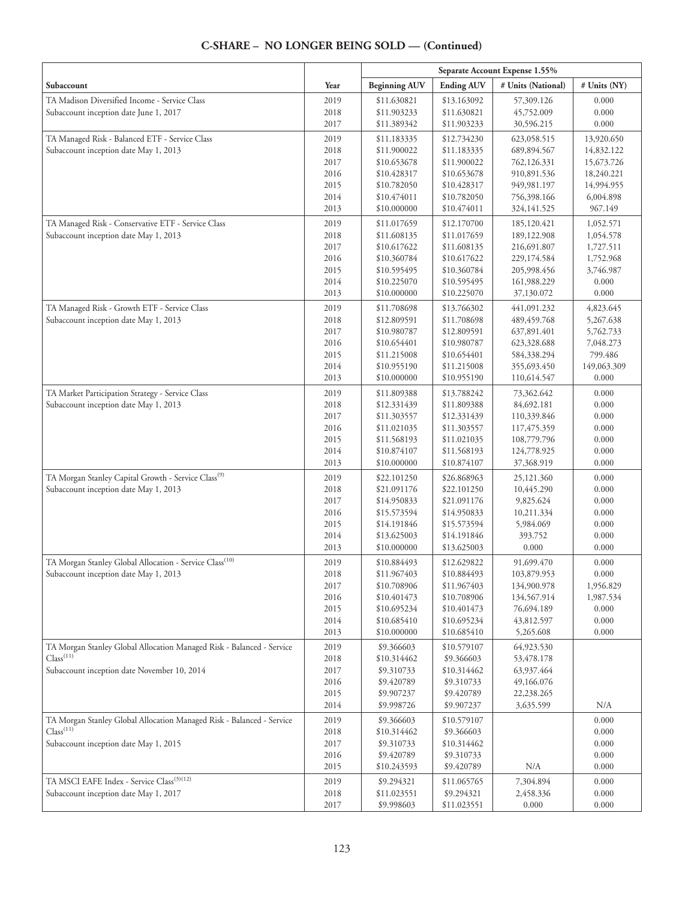|                                                                                                |              |                            |                            | Separate Account Expense 1.55% |                    |
|------------------------------------------------------------------------------------------------|--------------|----------------------------|----------------------------|--------------------------------|--------------------|
| Subaccount                                                                                     | Year         | <b>Beginning AUV</b>       | <b>Ending AUV</b>          | # Units (National)             | # Units (NY)       |
| TA Madison Diversified Income - Service Class                                                  | 2019         | \$11.630821                | \$13.163092                | 57,309.126                     | 0.000              |
| Subaccount inception date June 1, 2017                                                         | 2018         | \$11.903233                | \$11.630821                | 45,752.009                     | 0.000              |
|                                                                                                | 2017         | \$11.389342                | \$11.903233                | 30,596.215                     | 0.000              |
| TA Managed Risk - Balanced ETF - Service Class                                                 | 2019         | \$11.183335                | \$12.734230                | 623,058.515                    | 13,920.650         |
| Subaccount inception date May 1, 2013                                                          | 2018         | \$11.900022                | \$11.183335                | 689,894.567                    | 14,832.122         |
|                                                                                                | 2017         | \$10.653678                | \$11.900022                | 762,126.331                    | 15,673.726         |
|                                                                                                | 2016         | \$10.428317                | \$10.653678                | 910,891.536                    | 18,240.221         |
|                                                                                                | 2015         | \$10.782050                | \$10.428317                | 949,981.197                    | 14,994.955         |
|                                                                                                | 2014         | \$10.474011                | \$10.782050                | 756,398.166                    | 6,004.898          |
|                                                                                                | 2013         | \$10.000000                | \$10.474011                | 324,141.525                    | 967.149            |
| TA Managed Risk - Conservative ETF - Service Class                                             | 2019         | \$11.017659                | \$12.170700                | 185,120.421                    | 1,052.571          |
| Subaccount inception date May 1, 2013                                                          | 2018         | \$11.608135                | \$11.017659                | 189,122.908                    | 1,054.578          |
|                                                                                                | 2017         | \$10.617622                | \$11.608135                | 216,691.807                    | 1,727.511          |
|                                                                                                | 2016         | \$10.360784                | \$10.617622                | 229,174.584<br>205,998.456     | 1,752.968          |
|                                                                                                | 2015<br>2014 | \$10.595495<br>\$10.225070 | \$10.360784<br>\$10.595495 | 161,988.229                    | 3,746.987<br>0.000 |
|                                                                                                | 2013         | \$10.000000                | \$10.225070                | 37,130.072                     | 0.000              |
| TA Managed Risk - Growth ETF - Service Class                                                   | 2019         | \$11.708698                |                            |                                | 4,823.645          |
| Subaccount inception date May 1, 2013                                                          | 2018         | \$12.809591                | \$13.766302<br>\$11.708698 | 441,091.232<br>489, 459. 768   | 5,267.638          |
|                                                                                                | 2017         | \$10.980787                | \$12.809591                | 637,891.401                    | 5,762.733          |
|                                                                                                | 2016         | \$10.654401                | \$10.980787                | 623,328.688                    | 7,048.273          |
|                                                                                                | 2015         | \$11.215008                | \$10.654401                | 584,338.294                    | 799.486            |
|                                                                                                | 2014         | \$10.955190                | \$11.215008                | 355,693.450                    | 149,063.309        |
|                                                                                                | 2013         | \$10.000000                | \$10.955190                | 110,614.547                    | 0.000              |
| TA Market Participation Strategy - Service Class                                               | 2019         | \$11.809388                | \$13.788242                | 73,362.642                     | 0.000              |
| Subaccount inception date May 1, 2013                                                          | 2018         | \$12.331439                | \$11.809388                | 84,692.181                     | 0.000              |
|                                                                                                | 2017         | \$11.303557                | \$12.331439                | 110,339.846                    | 0.000              |
|                                                                                                | 2016         | \$11.021035                | \$11.303557                | 117, 475.359                   | 0.000              |
|                                                                                                | 2015         | \$11.568193                | \$11.021035                | 108,779.796                    | 0.000              |
|                                                                                                | 2014         | \$10.874107                | \$11.568193                | 124,778.925                    | 0.000              |
|                                                                                                | 2013         | \$10.000000                | \$10.874107                | 37,368.919                     | 0.000              |
| TA Morgan Stanley Capital Growth - Service Class <sup>(9)</sup>                                | 2019         | \$22.101250                | \$26.868963                | 25,121.360                     | 0.000              |
| Subaccount inception date May 1, 2013                                                          | 2018         | \$21.091176                | \$22.101250                | 10,445.290                     | 0.000              |
|                                                                                                | 2017<br>2016 | \$14.950833<br>\$15.573594 | \$21.091176<br>\$14.950833 | 9,825.624<br>10,211.334        | 0.000<br>0.000     |
|                                                                                                | 2015         | \$14.191846                | \$15.573594                | 5,984.069                      | 0.000              |
|                                                                                                | 2014         | \$13.625003                | \$14.191846                | 393.752                        | 0.000              |
|                                                                                                | 2013         | \$10.000000                | \$13.625003                | 0.000                          | 0.000              |
| TA Morgan Stanley Global Allocation - Service Class <sup>(10)</sup>                            | 2019         | \$10.884493                | \$12.629822                | 91,699.470                     | 0.000              |
| Subaccount inception date May 1, 2013                                                          | 2018         | \$11.967403                | \$10.884493                | 103,879.953                    | 0.000              |
|                                                                                                | 2017         | \$10.708906                | \$11.967403                | 134,900.978                    | 1,956.829          |
|                                                                                                | 2016         | \$10.401473                | \$10.708906                | 134,567.914                    | 1,987.534          |
|                                                                                                | 2015         | \$10.695234                | \$10.401473                | 76,694.189                     | 0.000              |
|                                                                                                | 2014         | \$10.685410                | \$10.695234                | 43,812.597                     | 0.000              |
|                                                                                                | 2013         | \$10.000000                | \$10.685410                | 5,265.608                      | 0.000              |
| TA Morgan Stanley Global Allocation Managed Risk - Balanced - Service                          | 2019         | \$9.366603                 | \$10.579107                | 64,923.530                     |                    |
| Class <sup>(11)</sup>                                                                          | 2018         | \$10.314462                | \$9.366603                 | 53,478.178                     |                    |
| Subaccount inception date November 10, 2014                                                    | 2017         | \$9.310733                 | \$10.314462                | 63,937.464                     |                    |
|                                                                                                | 2016<br>2015 | \$9.420789<br>\$9.907237   | \$9.310733<br>\$9.420789   | 49,166.076<br>22,238.265       |                    |
|                                                                                                | 2014         | \$9.998726                 | \$9.907237                 | 3,635.599                      | N/A                |
|                                                                                                |              |                            |                            |                                |                    |
| TA Morgan Stanley Global Allocation Managed Risk - Balanced - Service<br>Class <sup>(11)</sup> | 2019<br>2018 | \$9.366603<br>\$10.314462  | \$10.579107<br>\$9.366603  |                                | 0.000<br>0.000     |
| Subaccount inception date May 1, 2015                                                          | 2017         | \$9.310733                 | \$10.314462                |                                | 0.000              |
|                                                                                                | 2016         | \$9.420789                 | \$9.310733                 |                                | 0.000              |
|                                                                                                | 2015         | \$10.243593                | \$9.420789                 | N/A                            | 0.000              |
| TA MSCI EAFE Index - Service Class <sup>(3)(12)</sup>                                          | 2019         | \$9.294321                 | \$11.065765                | 7,304.894                      | 0.000              |
| Subaccount inception date May 1, 2017                                                          | 2018         | \$11.023551                | \$9.294321                 | 2,458.336                      | 0.000              |
|                                                                                                | 2017         | \$9.998603                 | \$11.023551                | 0.000                          | 0.000              |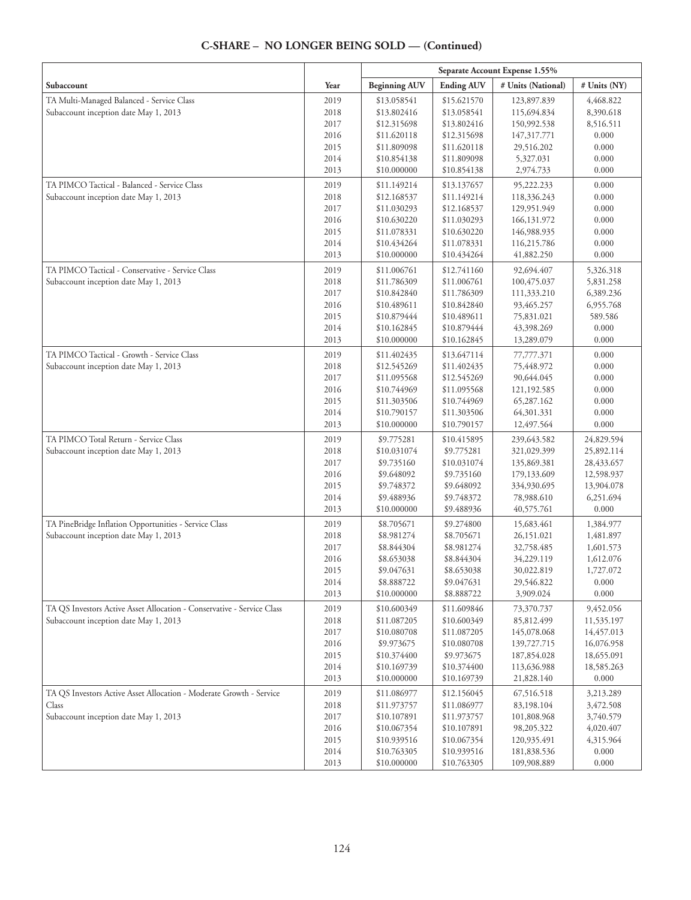|                                                                        |              |                            |                            | Separate Account Expense 1.55% |                        |
|------------------------------------------------------------------------|--------------|----------------------------|----------------------------|--------------------------------|------------------------|
| Subaccount                                                             | Year         | <b>Beginning AUV</b>       | <b>Ending AUV</b>          | # Units (National)             | # Units (NY)           |
| TA Multi-Managed Balanced - Service Class                              | 2019         | \$13.058541                | \$15.621570                | 123,897.839                    | 4,468.822              |
| Subaccount inception date May 1, 2013                                  | 2018         | \$13.802416                | \$13.058541                | 115,694.834                    | 8,390.618              |
|                                                                        | 2017         | \$12.315698                | \$13.802416                | 150,992.538                    | 8,516.511              |
|                                                                        | 2016         | \$11.620118                | \$12.315698                | 147,317.771                    | 0.000                  |
|                                                                        | 2015         | \$11.809098                | \$11.620118                | 29,516.202                     | 0.000                  |
|                                                                        | 2014         | \$10.854138                | \$11.809098                | 5,327.031                      | 0.000                  |
|                                                                        | 2013         | \$10.000000                | \$10.854138                | 2,974.733                      | 0.000                  |
| TA PIMCO Tactical - Balanced - Service Class                           | 2019         | \$11.149214                | \$13.137657                | 95,222.233                     | 0.000                  |
| Subaccount inception date May 1, 2013                                  | 2018         | \$12.168537                | \$11.149214                | 118,336.243                    | 0.000                  |
|                                                                        | 2017         | \$11.030293                | \$12.168537                | 129,951.949                    | 0.000                  |
|                                                                        | 2016         | \$10.630220                | \$11.030293                | 166,131.972                    | 0.000                  |
|                                                                        | 2015         | \$11.078331                | \$10.630220                | 146,988.935                    | 0.000                  |
|                                                                        | 2014         | \$10.434264                | \$11.078331                | 116,215.786                    | 0.000                  |
|                                                                        | 2013         | \$10.000000                | \$10.434264                | 41,882.250                     | 0.000                  |
| TA PIMCO Tactical - Conservative - Service Class                       | 2019         | \$11.006761                | \$12.741160                | 92,694.407                     | 5,326.318              |
| Subaccount inception date May 1, 2013                                  | 2018         | \$11.786309                | \$11.006761                | 100,475.037                    | 5,831.258              |
|                                                                        | 2017         | \$10.842840                | \$11.786309                | 111,333.210                    | 6,389.236              |
|                                                                        | 2016         | \$10.489611<br>\$10.879444 | \$10.842840                | 93,465.257                     | 6,955.768<br>589.586   |
|                                                                        | 2015<br>2014 | \$10.162845                | \$10.489611<br>\$10.879444 | 75,831.021<br>43,398.269       | 0.000                  |
|                                                                        | 2013         | \$10.000000                | \$10.162845                | 13,289.079                     | 0.000                  |
| TA PIMCO Tactical - Growth - Service Class                             | 2019         | \$11.402435                | \$13.647114                | 77,777.371                     | 0.000                  |
| Subaccount inception date May 1, 2013                                  | 2018         | \$12.545269                | \$11.402435                | 75,448.972                     | 0.000                  |
|                                                                        | 2017         | \$11.095568                | \$12.545269                | 90,644.045                     | 0.000                  |
|                                                                        | 2016         | \$10.744969                | \$11.095568                | 121,192.585                    | 0.000                  |
|                                                                        | 2015         | \$11.303506                | \$10.744969                | 65,287.162                     | 0.000                  |
|                                                                        | 2014         | \$10.790157                | \$11.303506                | 64,301.331                     | 0.000                  |
|                                                                        | 2013         | \$10.000000                | \$10.790157                | 12,497.564                     | 0.000                  |
| TA PIMCO Total Return - Service Class                                  | 2019         | \$9.775281                 | \$10.415895                | 239,643.582                    | 24,829.594             |
| Subaccount inception date May 1, 2013                                  | 2018         | \$10.031074                | \$9.775281                 | 321,029.399                    | 25,892.114             |
|                                                                        | 2017         | \$9.735160                 | \$10.031074                | 135,869.381                    | 28,433.657             |
|                                                                        | 2016         | \$9.648092                 | \$9.735160                 | 179,133.609                    | 12,598.937             |
|                                                                        | 2015         | \$9.748372                 | \$9.648092                 | 334,930.695                    | 13,904.078             |
|                                                                        | 2014         | \$9.488936                 | \$9.748372                 | 78,988.610                     | 6,251.694              |
|                                                                        | 2013         | \$10.000000                | \$9.488936                 | 40,575.761                     | 0.000                  |
| TA PineBridge Inflation Opportunities - Service Class                  | 2019         | \$8.705671                 | \$9.274800                 | 15,683.461                     | 1,384.977              |
| Subaccount inception date May 1, 2013                                  | 2018         | \$8.981274                 | \$8.705671                 | 26,151.021                     | 1,481.897              |
|                                                                        | 2017         | \$8.844304                 | \$8.981274                 | 32,758.485                     | 1,601.573              |
|                                                                        | 2016<br>2015 | \$8.653038<br>\$9.047631   | \$8.844304<br>\$8.653038   | 34,229.119<br>30,022.819       | 1,612.076<br>1,727.072 |
|                                                                        | 2014         | \$8.888722                 | \$9.047631                 | 29,546.822                     | 0.000                  |
|                                                                        | 2013         | \$10.000000                | \$8.888722                 | 3,909.024                      | 0.000                  |
| TA QS Investors Active Asset Allocation - Conservative - Service Class | 2019         | \$10.600349                | \$11.609846                | 73,370.737                     | 9,452.056              |
| Subaccount inception date May 1, 2013                                  | 2018         | \$11.087205                | \$10.600349                | 85,812.499                     | 11,535.197             |
|                                                                        | 2017         | \$10.080708                | \$11.087205                | 145,078.068                    | 14,457.013             |
|                                                                        | 2016         | \$9.973675                 | \$10.080708                | 139,727.715                    | 16,076.958             |
|                                                                        | 2015         | \$10.374400                | \$9.973675                 | 187,854.028                    | 18,655.091             |
|                                                                        | 2014         | \$10.169739                | \$10.374400                | 113,636.988                    | 18,585.263             |
|                                                                        | 2013         | \$10.000000                | \$10.169739                | 21,828.140                     | 0.000                  |
| TA QS Investors Active Asset Allocation - Moderate Growth - Service    | 2019         | \$11.086977                | \$12.156045                | 67,516.518                     | 3,213.289              |
| Class                                                                  | 2018         | \$11.973757                | \$11.086977                | 83,198.104                     | 3,472.508              |
| Subaccount inception date May 1, 2013                                  | 2017         | \$10.107891                | \$11.973757                | 101,808.968                    | 3,740.579              |
|                                                                        | 2016         | \$10.067354                | \$10.107891                | 98,205.322                     | 4,020.407              |
|                                                                        | 2015         | \$10.939516                | \$10.067354                | 120,935.491                    | 4,315.964              |
|                                                                        | 2014         | \$10.763305                | \$10.939516                | 181,838.536                    | 0.000                  |
|                                                                        | 2013         | \$10.000000                | \$10.763305                | 109,908.889                    | 0.000                  |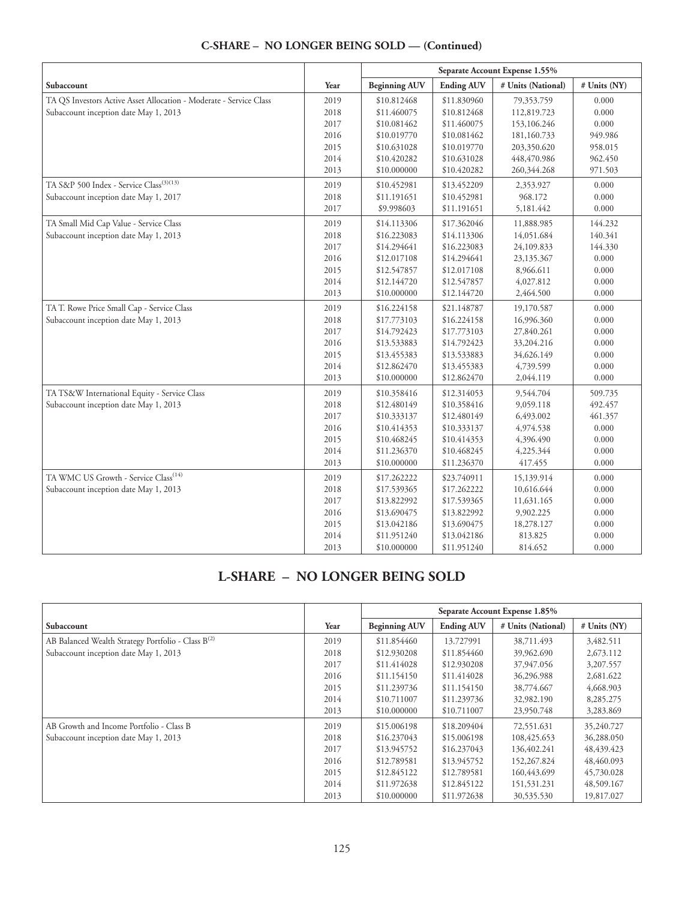|                                                                    |      | Separate Account Expense 1.55% |                   |                    |              |
|--------------------------------------------------------------------|------|--------------------------------|-------------------|--------------------|--------------|
| Subaccount                                                         | Year | <b>Beginning AUV</b>           | <b>Ending AUV</b> | # Units (National) | # Units (NY) |
| TA QS Investors Active Asset Allocation - Moderate - Service Class | 2019 | \$10.812468                    | \$11.830960       | 79,353.759         | 0.000        |
| Subaccount inception date May 1, 2013                              | 2018 | \$11.460075                    | \$10.812468       | 112,819.723        | 0.000        |
|                                                                    | 2017 | \$10.081462                    | \$11.460075       | 153,106.246        | 0.000        |
|                                                                    | 2016 | \$10.019770                    | \$10.081462       | 181,160.733        | 949.986      |
|                                                                    | 2015 | \$10.631028                    | \$10.019770       | 203,350.620        | 958.015      |
|                                                                    | 2014 | \$10.420282                    | \$10.631028       | 448,470.986        | 962.450      |
|                                                                    | 2013 | \$10.000000                    | \$10.420282       | 260,344.268        | 971.503      |
| TA S&P 500 Index - Service Class <sup>(3)(13)</sup>                | 2019 | \$10.452981                    | \$13.452209       | 2,353.927          | 0.000        |
| Subaccount inception date May 1, 2017                              | 2018 | \$11.191651                    | \$10.452981       | 968.172            | 0.000        |
|                                                                    | 2017 | \$9.998603                     | \$11.191651       | 5,181.442          | 0.000        |
| TA Small Mid Cap Value - Service Class                             | 2019 | \$14.113306                    | \$17.362046       | 11,888.985         | 144.232      |
| Subaccount inception date May 1, 2013                              | 2018 | \$16.223083                    | \$14.113306       | 14,051.684         | 140.341      |
|                                                                    | 2017 | \$14.294641                    | \$16.223083       | 24,109.833         | 144.330      |
|                                                                    | 2016 | \$12.017108                    | \$14.294641       | 23,135.367         | 0.000        |
|                                                                    | 2015 | \$12.547857                    | \$12.017108       | 8,966.611          | 0.000        |
|                                                                    | 2014 | \$12.144720                    | \$12.547857       | 4,027.812          | 0.000        |
|                                                                    | 2013 | \$10.000000                    | \$12.144720       | 2,464.500          | 0.000        |
| TA T. Rowe Price Small Cap - Service Class                         | 2019 | \$16.224158                    | \$21.148787       | 19,170.587         | 0.000        |
| Subaccount inception date May 1, 2013                              | 2018 | \$17.773103                    | \$16.224158       | 16,996.360         | 0.000        |
|                                                                    | 2017 | \$14.792423                    | \$17.773103       | 27,840.261         | 0.000        |
|                                                                    | 2016 | \$13.533883                    | \$14.792423       | 33,204.216         | 0.000        |
|                                                                    | 2015 | \$13.455383                    | \$13.533883       | 34,626.149         | 0.000        |
|                                                                    | 2014 | \$12.862470                    | \$13.455383       | 4,739.599          | 0.000        |
|                                                                    | 2013 | \$10.000000                    | \$12.862470       | 2,044.119          | 0.000        |
| TA TS&W International Equity - Service Class                       | 2019 | \$10.358416                    | \$12.314053       | 9,544.704          | 509.735      |
| Subaccount inception date May 1, 2013                              | 2018 | \$12.480149                    | \$10.358416       | 9,059.118          | 492.457      |
|                                                                    | 2017 | \$10.333137                    | \$12.480149       | 6,493.002          | 461.357      |
|                                                                    | 2016 | \$10.414353                    | \$10.333137       | 4,974.538          | 0.000        |
|                                                                    | 2015 | \$10.468245                    | \$10.414353       | 4,396.490          | 0.000        |
|                                                                    | 2014 | \$11.236370                    | \$10.468245       | 4,225.344          | 0.000        |
|                                                                    | 2013 | \$10.000000                    | \$11.236370       | 417.455            | 0.000        |
| TA WMC US Growth - Service Class <sup>(14)</sup>                   | 2019 | \$17.262222                    | \$23.740911       | 15,139.914         | 0.000        |
| Subaccount inception date May 1, 2013                              | 2018 | \$17.539365                    | \$17.262222       | 10,616.644         | 0.000        |
|                                                                    | 2017 | \$13.822992                    | \$17.539365       | 11,631.165         | 0.000        |
|                                                                    | 2016 | \$13.690475                    | \$13.822992       | 9,902.225          | 0.000        |
|                                                                    | 2015 | \$13.042186                    | \$13.690475       | 18,278.127         | 0.000        |
|                                                                    | 2014 | \$11.951240                    | \$13.042186       | 813.825            | 0.000        |
|                                                                    | 2013 | \$10.000000                    | \$11.951240       | 814.652            | 0.000        |

# **L-SHARE – NO LONGER BEING SOLD**

|                                                         |      | Separate Account Expense 1.85% |                   |                    |                |
|---------------------------------------------------------|------|--------------------------------|-------------------|--------------------|----------------|
| Subaccount                                              | Year | <b>Beginning AUV</b>           | <b>Ending AUV</b> | # Units (National) | $#$ Units (NY) |
| AB Balanced Wealth Strategy Portfolio - Class $B^{(2)}$ | 2019 | \$11.854460                    | 13.727991         | 38,711.493         | 3,482.511      |
| Subaccount inception date May 1, 2013                   | 2018 | \$12,930208                    | \$11.854460       | 39,962.690         | 2,673.112      |
|                                                         | 2017 | \$11,414028                    | \$12,930208       | 37,947.056         | 3,207.557      |
|                                                         | 2016 | \$11.154150                    | \$11.414028       | 36,296.988         | 2,681.622      |
|                                                         | 2015 | \$11.239736                    | \$11.154150       | 38,774.667         | 4,668.903      |
|                                                         | 2014 | \$10,711007                    | \$11.239736       | 32,982.190         | 8,285.275      |
|                                                         | 2013 | \$10,000000                    | \$10.711007       | 23,950.748         | 3,283.869      |
| AB Growth and Income Portfolio - Class B                | 2019 | \$15,006198                    | \$18,209404       | 72,551,631         | 35,240.727     |
| Subaccount inception date May 1, 2013                   | 2018 | \$16.237043                    | \$15,006198       | 108,425.653        | 36,288,050     |
|                                                         | 2017 | \$13.945752                    | \$16.237043       | 136,402.241        | 48, 439. 423   |
|                                                         | 2016 | \$12,789581                    | \$13,945752       | 152,267.824        | 48,460,093     |
|                                                         | 2015 | \$12.845122                    | \$12.789581       | 160,443.699        | 45,730.028     |
|                                                         | 2014 | \$11.972638                    | \$12.845122       | 151,531.231        | 48,509.167     |
|                                                         | 2013 | \$10,000000                    | \$11.972638       | 30,535.530         | 19,817.027     |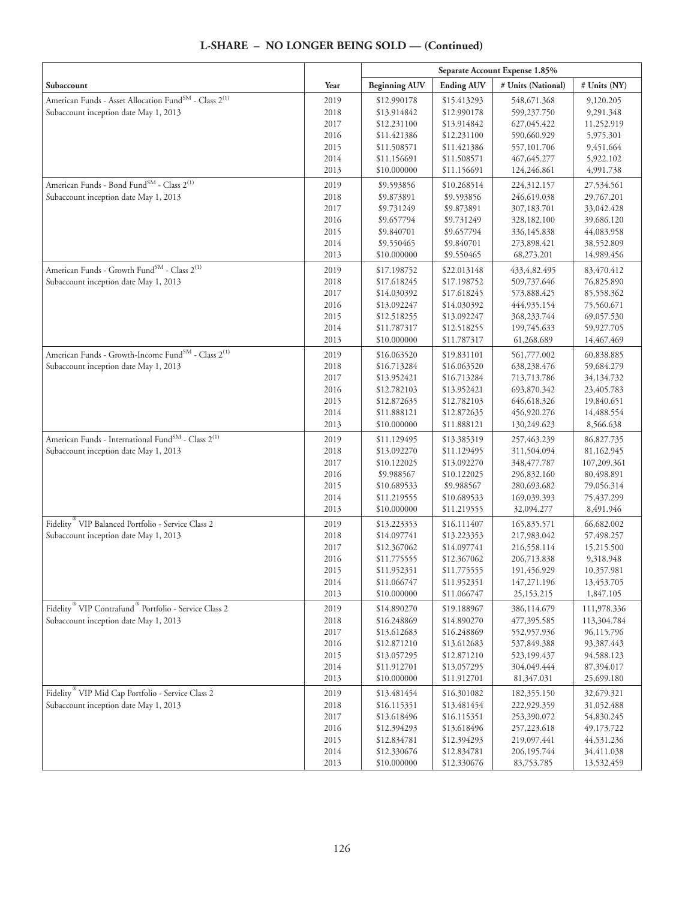| L-SHARE - NO LONGER BEING SOLD - (Continued) |  |
|----------------------------------------------|--|
|----------------------------------------------|--|

|                                                                               |              | Separate Account Expense 1.85% |                            |                            |                          |
|-------------------------------------------------------------------------------|--------------|--------------------------------|----------------------------|----------------------------|--------------------------|
| Subaccount                                                                    | Year         | <b>Beginning AUV</b>           | <b>Ending AUV</b>          | # Units (National)         | # Units (NY)             |
| American Funds - Asset Allocation Fund <sup>SM</sup> - Class 2 <sup>(1)</sup> | 2019         | \$12.990178                    | \$15.413293                | 548,671.368                | 9,120.205                |
| Subaccount inception date May 1, 2013                                         | 2018         | \$13.914842                    | \$12.990178                | 599,237.750                | 9,291.348                |
|                                                                               | 2017         | \$12.231100                    | \$13.914842                | 627,045.422                | 11,252.919               |
|                                                                               | 2016         | \$11.421386                    | \$12.231100                | 590,660.929                | 5,975.301                |
|                                                                               | 2015         | \$11.508571                    | \$11.421386                | 557,101.706                | 9,451.664                |
|                                                                               | 2014         | \$11.156691                    | \$11.508571                | 467, 645. 277              | 5,922.102                |
|                                                                               | 2013         | \$10.000000                    | \$11.156691                | 124,246.861                | 4,991.738                |
| American Funds - Bond Fund <sup>SM</sup> - Class 2 <sup>(1)</sup>             | 2019         | \$9.593856                     | \$10.268514                | 224,312.157                | 27,534.561               |
| Subaccount inception date May 1, 2013                                         | 2018         | \$9.873891                     | \$9.593856                 | 246,619.038                | 29,767.201               |
|                                                                               | 2017         | \$9.731249                     | \$9.873891                 | 307,183.701                | 33,042.428               |
|                                                                               | 2016         | \$9.657794                     | \$9.731249                 | 328,182.100                | 39,686.120               |
|                                                                               | 2015         | \$9.840701                     | \$9.657794                 | 336,145.838                | 44,083.958               |
|                                                                               | 2014         | \$9.550465                     | \$9.840701                 | 273,898.421                | 38,552.809               |
|                                                                               | 2013         | \$10.000000                    | \$9.550465                 | 68,273.201                 | 14,989.456               |
| American Funds - Growth FundSM - Class 2 <sup>(1)</sup>                       | 2019         | \$17.198752                    | \$22.013148                | 433, 4, 82. 495            | 83,470.412               |
| Subaccount inception date May 1, 2013                                         | 2018         | \$17.618245                    | \$17.198752                | 509,737.646                | 76,825.890               |
|                                                                               | 2017         | \$14.030392                    | \$17.618245                | 573,888.425                | 85,558.362               |
|                                                                               | 2016         | \$13.092247                    | \$14.030392                | 444,935.154                | 75,560.671               |
|                                                                               | 2015         | \$12.518255                    | \$13.092247                | 368,233.744                | 69,057.530               |
|                                                                               | 2014<br>2013 | \$11.787317<br>\$10.000000     | \$12.518255<br>\$11.787317 | 199,745.633                | 59,927.705<br>14,467.469 |
| American Funds - Growth-Income Fund <sup>SM</sup> - Class 2 <sup>(1)</sup>    |              |                                |                            | 61,268.689                 |                          |
|                                                                               | 2019         | \$16.063520                    | \$19.831101                | 561,777.002                | 60,838.885               |
| Subaccount inception date May 1, 2013                                         | 2018         | \$16.713284                    | \$16.063520<br>\$16.713284 | 638,238.476                | 59,684.279               |
|                                                                               | 2017<br>2016 | \$13.952421<br>\$12.782103     | \$13.952421                | 713,713.786<br>693,870.342 | 34,134.732<br>23,405.783 |
|                                                                               | 2015         | \$12.872635                    | \$12.782103                | 646,618.326                | 19,840.651               |
|                                                                               | 2014         | \$11.888121                    | \$12.872635                | 456,920.276                | 14,488.554               |
|                                                                               | 2013         | \$10.000000                    | \$11.888121                | 130,249.623                | 8,566.638                |
| American Funds - International Fund $^{\text{SM}}$ - Class $2^{(1)}$          | 2019         | \$11.129495                    | \$13.385319                | 257,463.239                | 86,827.735               |
| Subaccount inception date May 1, 2013                                         | 2018         | \$13.092270                    | \$11.129495                | 311,504.094                | 81,162.945               |
|                                                                               | 2017         | \$10.122025                    | \$13.092270                | 348, 477. 787              | 107,209.361              |
|                                                                               | 2016         | \$9.988567                     | \$10.122025                | 296,832.160                | 80,498.891               |
|                                                                               | 2015         | \$10.689533                    | \$9.988567                 | 280,693.682                | 79,056.314               |
|                                                                               | 2014         | \$11.219555                    | \$10.689533                | 169,039.393                | 75,437.299               |
|                                                                               | 2013         | \$10.000000                    | \$11.219555                | 32,094.277                 | 8,491.946                |
| Fidelity <sup>®</sup> VIP Balanced Portfolio - Service Class 2                | 2019         | \$13.223353                    | \$16.111407                | 165,835.571                | 66,682.002               |
| Subaccount inception date May 1, 2013                                         | 2018         | \$14.097741                    | \$13.223353                | 217,983.042                | 57,498.257               |
|                                                                               | 2017         | \$12.367062                    | \$14.097741                | 216,558.114                | 15,215.500               |
|                                                                               | 2016         | \$11.775555                    | \$12.367062                | 206,713.838                | 9,318.948                |
|                                                                               | 2015         | \$11.952351                    | \$11.775555                | 191,456.929                | 10,357.981               |
|                                                                               | 2014<br>2013 | \$11.066747<br>\$10.000000     | \$11.952351<br>\$11.066747 | 147,271.196<br>25,153.215  | 13,453.705<br>1,847.105  |
| Fidelity <sup>®</sup> VIP Contrafund <sup>®</sup> Portfolio - Service Class 2 | 2019         | \$14.890270                    | \$19.188967                | 386,114.679                | 111,978.336              |
| Subaccount inception date May 1, 2013                                         | 2018         | \$16.248869                    | \$14.890270                | 477,395.585                | 113,304.784              |
|                                                                               | 2017         | \$13.612683                    | \$16.248869                | 552,957.936                | 96,115.796               |
|                                                                               | 2016         | \$12.871210                    | \$13.612683                | 537,849.388                | 93,387.443               |
|                                                                               | 2015         | \$13.057295                    | \$12.871210                | 523,199.437                | 94,588.123               |
|                                                                               | 2014         | \$11.912701                    | \$13.057295                | 304,049.444                | 87,394.017               |
|                                                                               | 2013         | \$10.000000                    | \$11.912701                | 81,347.031                 | 25,699.180               |
| Fidelity <sup>®</sup> VIP Mid Cap Portfolio - Service Class 2                 | 2019         | \$13.481454                    | \$16.301082                | 182,355.150                | 32,679.321               |
| Subaccount inception date May 1, 2013                                         | 2018         | \$16.115351                    | \$13.481454                | 222,929.359                | 31,052.488               |
|                                                                               | 2017         | \$13.618496                    | \$16.115351                | 253,390.072                | 54,830.245               |
|                                                                               | 2016         | \$12.394293                    | \$13.618496                | 257,223.618                | 49,173.722               |
|                                                                               | 2015         | \$12.834781                    | \$12.394293                | 219,097.441                | 44,531.236               |
|                                                                               | 2014         | \$12.330676                    | \$12.834781                | 206, 195. 744              | 34,411.038               |
|                                                                               | 2013         | \$10.000000                    | \$12.330676                | 83,753.785                 | 13,532.459               |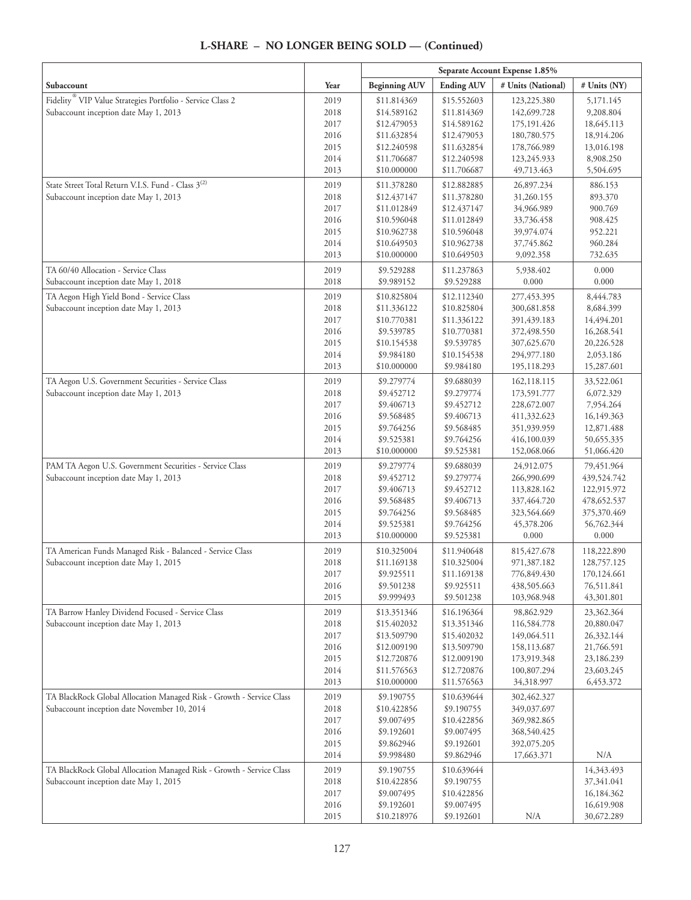|                                                                        |              | Separate Account Expense 1.85% |                            |                              |                            |
|------------------------------------------------------------------------|--------------|--------------------------------|----------------------------|------------------------------|----------------------------|
| Subaccount                                                             | Year         | <b>Beginning AUV</b>           | <b>Ending AUV</b>          | # Units (National)           | # Units (NY)               |
| Fidelity <sup>®</sup> VIP Value Strategies Portfolio - Service Class 2 | 2019         | \$11.814369                    | \$15.552603                | 123,225.380                  | 5,171.145                  |
| Subaccount inception date May 1, 2013                                  | 2018         | \$14.589162                    | \$11.814369                | 142,699.728                  | 9,208.804                  |
|                                                                        | 2017         | \$12.479053                    | \$14.589162                | 175, 191. 426                | 18,645.113                 |
|                                                                        | 2016         | \$11.632854                    | \$12.479053                | 180,780.575                  | 18,914.206                 |
|                                                                        | 2015<br>2014 | \$12.240598                    | \$11.632854                | 178,766.989                  | 13,016.198                 |
|                                                                        | 2013         | \$11.706687<br>\$10.000000     | \$12.240598<br>\$11.706687 | 123,245.933<br>49,713.463    | 8,908.250<br>5,504.695     |
| State Street Total Return V.I.S. Fund - Class 3 <sup>(2)</sup>         |              |                                |                            |                              |                            |
| Subaccount inception date May 1, 2013                                  | 2019<br>2018 | \$11.378280<br>\$12.437147     | \$12.882885<br>\$11.378280 | 26,897.234<br>31,260.155     | 886.153<br>893.370         |
|                                                                        | 2017         | \$11.012849                    | \$12.437147                | 34,966.989                   | 900.769                    |
|                                                                        | 2016         | \$10.596048                    | \$11.012849                | 33,736.458                   | 908.425                    |
|                                                                        | 2015         | \$10.962738                    | \$10.596048                | 39,974.074                   | 952.221                    |
|                                                                        | 2014         | \$10.649503                    | \$10.962738                | 37,745.862                   | 960.284                    |
|                                                                        | 2013         | \$10.000000                    | \$10.649503                | 9,092.358                    | 732.635                    |
| TA 60/40 Allocation - Service Class                                    | 2019         | \$9.529288                     | \$11.237863                | 5,938.402                    | 0.000                      |
| Subaccount inception date May 1, 2018                                  | 2018         | \$9.989152                     | \$9.529288                 | 0.000                        | 0.000                      |
| TA Aegon High Yield Bond - Service Class                               | 2019         | \$10.825804                    | \$12.112340                | 277,453.395                  | 8,444.783                  |
| Subaccount inception date May 1, 2013                                  | 2018         | \$11.336122                    | \$10.825804                | 300,681.858                  | 8,684.399                  |
|                                                                        | 2017         | \$10.770381                    | \$11.336122                | 391,439.183                  | 14,494.201                 |
|                                                                        | 2016         | \$9.539785                     | \$10.770381                | 372,498.550                  | 16,268.541                 |
|                                                                        | 2015         | \$10.154538                    | \$9.539785                 | 307,625.670                  | 20,226.528                 |
|                                                                        | 2014<br>2013 | \$9.984180<br>\$10.000000      | \$10.154538<br>\$9.984180  | 294,977.180<br>195,118.293   | 2,053.186<br>15,287.601    |
| TA Aegon U.S. Government Securities - Service Class                    |              |                                |                            |                              |                            |
| Subaccount inception date May 1, 2013                                  | 2019<br>2018 | \$9.279774<br>\$9.452712       | \$9.688039<br>\$9.279774   | 162,118.115<br>173,591.777   | 33,522.061<br>6,072.329    |
|                                                                        | 2017         | \$9.406713                     | \$9.452712                 | 228,672.007                  | 7,954.264                  |
|                                                                        | 2016         | \$9.568485                     | \$9.406713                 | 411,332.623                  | 16,149.363                 |
|                                                                        | 2015         | \$9.764256                     | \$9.568485                 | 351,939.959                  | 12,871.488                 |
|                                                                        | 2014         | \$9.525381                     | \$9.764256                 | 416,100.039                  | 50,655.335                 |
|                                                                        | 2013         | \$10.000000                    | \$9.525381                 | 152,068.066                  | 51,066.420                 |
| PAM TA Aegon U.S. Government Securities - Service Class                | 2019         | \$9.279774                     | \$9.688039                 | 24,912.075                   | 79,451.964                 |
| Subaccount inception date May 1, 2013                                  | 2018         | \$9.452712                     | \$9.279774                 | 266,990.699                  | 439,524.742                |
|                                                                        | 2017         | \$9.406713                     | \$9.452712                 | 113,828.162                  | 122,915.972                |
|                                                                        | 2016         | \$9.568485                     | \$9.406713                 | 337,464.720                  | 478, 652. 537              |
|                                                                        | 2015         | \$9.764256                     | \$9.568485                 | 323,564.669                  | 375,370.469                |
|                                                                        | 2014<br>2013 | \$9.525381<br>\$10.000000      | \$9.764256<br>\$9.525381   | 45,378.206<br>0.000          | 56,762.344<br>0.000        |
| TA American Funds Managed Risk - Balanced - Service Class              |              |                                |                            |                              |                            |
| Subaccount inception date May 1, 2015                                  | 2019<br>2018 | \$10.325004<br>\$11.169138     | \$11.940648<br>\$10.325004 | 815, 427. 678<br>971,387.182 | 118,222.890<br>128,757.125 |
|                                                                        | 2017         | \$9.925511                     | \$11.169138                | 776,849.430                  | 170,124.661                |
|                                                                        | 2016         | \$9.501238                     | \$9.925511                 | 438,505.663                  | 76,511.841                 |
|                                                                        | 2015         | \$9.999493                     | \$9.501238                 | 103,968.948                  | 43,301.801                 |
| TA Barrow Hanley Dividend Focused - Service Class                      | 2019         | \$13.351346                    | \$16.196364                | 98,862.929                   | 23,362.364                 |
| Subaccount inception date May 1, 2013                                  | 2018         | \$15.402032                    | \$13.351346                | 116,584.778                  | 20,880.047                 |
|                                                                        | 2017         | \$13.509790                    | \$15.402032                | 149,064.511                  | 26,332.144                 |
|                                                                        | 2016         | \$12.009190                    | \$13.509790                | 158,113.687                  | 21,766.591                 |
|                                                                        | 2015         | \$12.720876                    | \$12.009190                | 173,919.348                  | 23,186.239                 |
|                                                                        | 2014         | \$11.576563                    | \$12.720876                | 100,807.294                  | 23,603.245                 |
|                                                                        | 2013         | \$10.000000                    | \$11.576563                | 34,318.997                   | 6,453.372                  |
| TA BlackRock Global Allocation Managed Risk - Growth - Service Class   | 2019         | \$9.190755                     | \$10.639644                | 302,462.327                  |                            |
| Subaccount inception date November 10, 2014                            | 2018<br>2017 | \$10.422856<br>\$9.007495      | \$9.190755<br>\$10.422856  | 349,037.697<br>369,982.865   |                            |
|                                                                        | 2016         | \$9.192601                     | \$9.007495                 | 368,540.425                  |                            |
|                                                                        | 2015         | \$9.862946                     | \$9.192601                 | 392,075.205                  |                            |
|                                                                        | 2014         | \$9.998480                     | \$9.862946                 | 17,663.371                   | N/A                        |
| TA BlackRock Global Allocation Managed Risk - Growth - Service Class   | 2019         | \$9.190755                     | \$10.639644                |                              | 14,343.493                 |
| Subaccount inception date May 1, 2015                                  | 2018         | \$10.422856                    | \$9.190755                 |                              | 37,341.041                 |
|                                                                        | 2017         | \$9.007495                     | \$10.422856                |                              | 16,184.362                 |
|                                                                        | 2016         | \$9.192601                     | \$9.007495                 |                              | 16,619.908                 |
|                                                                        | 2015         | \$10.218976                    | \$9.192601                 | N/A                          | 30,672.289                 |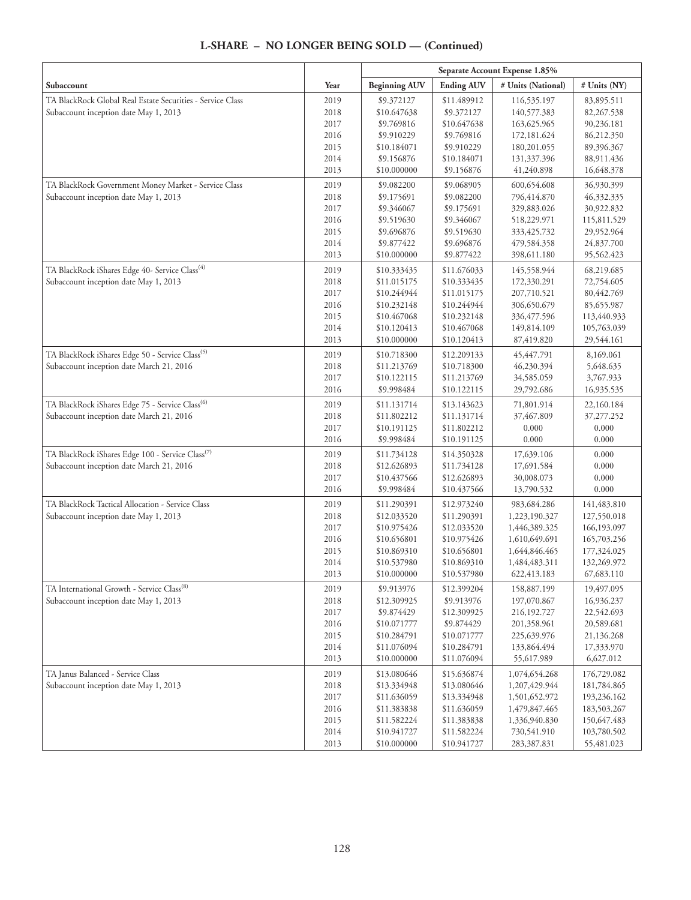|                                                              |              | Separate Account Expense 1.85% |                            |                            |                          |
|--------------------------------------------------------------|--------------|--------------------------------|----------------------------|----------------------------|--------------------------|
| Subaccount                                                   | Year         | <b>Beginning AUV</b>           | <b>Ending AUV</b>          | # Units (National)         | # Units (NY)             |
| TA BlackRock Global Real Estate Securities - Service Class   | 2019         | \$9.372127                     | \$11.489912                | 116,535.197                | 83,895.511               |
| Subaccount inception date May 1, 2013                        | 2018         | \$10.647638                    | \$9.372127                 | 140,577.383                | 82,267.538               |
|                                                              | 2017         | \$9.769816                     | \$10.647638                | 163,625.965                | 90,236.181               |
|                                                              | 2016         | \$9.910229                     | \$9.769816                 | 172,181.624                | 86,212.350               |
|                                                              | 2015         | \$10.184071                    | \$9.910229                 | 180,201.055                | 89,396.367               |
|                                                              | 2014         | \$9.156876                     | \$10.184071                | 131,337.396                | 88,911.436               |
|                                                              | 2013         | \$10.000000                    | \$9.156876                 | 41,240.898                 | 16,648.378               |
| TA BlackRock Government Money Market - Service Class         | 2019         | \$9.082200                     | \$9.068905                 | 600,654.608                | 36,930.399               |
| Subaccount inception date May 1, 2013                        | 2018         | \$9.175691                     | \$9.082200                 | 796,414.870                | 46,332.335               |
|                                                              | 2017         | \$9.346067                     | \$9.175691                 | 329,883.026                | 30,922.832               |
|                                                              | 2016         | \$9.519630                     | \$9.346067                 | 518,229.971                | 115,811.529              |
|                                                              | 2015<br>2014 | \$9.696876<br>\$9.877422       | \$9.519630<br>\$9.696876   | 333,425.732<br>479,584.358 | 29,952.964<br>24,837.700 |
|                                                              | 2013         | \$10.000000                    | \$9.877422                 | 398,611.180                | 95,562.423               |
|                                                              |              |                                |                            |                            |                          |
| TA BlackRock iShares Edge 40- Service Class <sup>(4)</sup>   | 2019         | \$10.333435                    | \$11.676033                | 145,558.944                | 68,219.685               |
| Subaccount inception date May 1, 2013                        | 2018<br>2017 | \$11.015175<br>\$10.244944     | \$10.333435<br>\$11.015175 | 172,330.291<br>207,710.521 | 72,754.605<br>80,442.769 |
|                                                              | 2016         | \$10.232148                    | \$10.244944                | 306,650.679                | 85,655.987               |
|                                                              | 2015         | \$10.467068                    | \$10.232148                | 336,477.596                | 113,440.933              |
|                                                              | 2014         | \$10.120413                    | \$10.467068                | 149,814.109                | 105,763.039              |
|                                                              | 2013         | \$10.000000                    | \$10.120413                | 87,419.820                 | 29,544.161               |
| TA BlackRock iShares Edge 50 - Service Class <sup>(5)</sup>  | 2019         | \$10.718300                    | \$12.209133                | 45, 447. 791               | 8,169.061                |
| Subaccount inception date March 21, 2016                     | 2018         | \$11.213769                    | \$10.718300                | 46,230.394                 | 5,648.635                |
|                                                              | 2017         | \$10.122115                    | \$11.213769                | 34,585.059                 | 3,767.933                |
|                                                              | 2016         | \$9.998484                     | \$10.122115                | 29,792.686                 | 16,935.535               |
| TA BlackRock iShares Edge 75 - Service Class <sup>(6)</sup>  | 2019         | \$11.131714                    | \$13.143623                | 71,801.914                 | 22,160.184               |
| Subaccount inception date March 21, 2016                     | 2018         | \$11.802212                    | \$11.131714                | 37,467.809                 | 37,277.252               |
|                                                              | 2017         | \$10.191125                    | \$11.802212                | 0.000                      | 0.000                    |
|                                                              | 2016         | \$9.998484                     | \$10.191125                | 0.000                      | 0.000                    |
| TA BlackRock iShares Edge 100 - Service Class <sup>(7)</sup> | 2019         | \$11.734128                    | \$14.350328                | 17,639.106                 | 0.000                    |
| Subaccount inception date March 21, 2016                     | 2018         | \$12.626893                    | \$11.734128                | 17,691.584                 | 0.000                    |
|                                                              | 2017         | \$10.437566                    | \$12.626893                | 30,008.073                 | 0.000                    |
|                                                              | 2016         | \$9.998484                     | \$10.437566                | 13,790.532                 | 0.000                    |
| TA BlackRock Tactical Allocation - Service Class             | 2019         | \$11.290391                    | \$12.973240                | 983,684.286                | 141,483.810              |
| Subaccount inception date May 1, 2013                        | 2018         | \$12.033520                    | \$11.290391                | 1,223,190.327              | 127,550.018              |
|                                                              | 2017         | \$10.975426                    | \$12.033520                | 1,446,389.325              | 166,193.097              |
|                                                              | 2016         | \$10.656801                    | \$10.975426                | 1,610,649.691              | 165,703.256              |
|                                                              | 2015         | \$10.869310                    | \$10.656801                | 1,644,846.465              | 177,324.025              |
|                                                              | 2014         | \$10.537980                    | \$10.869310                | 1,484,483.311              | 132,269.972              |
|                                                              | 2013         | \$10.000000                    | \$10.537980                | 622,413.183                | 67,683.110               |
| TA International Growth - Service Class <sup>(8)</sup>       | 2019         | \$9.913976                     | \$12.399204                | 158,887.199                | 19,497.095               |
| Subaccount inception date May 1, 2013                        | 2018         | \$12.309925                    | \$9.913976                 | 197,070.867                | 16,936.237               |
|                                                              | 2017         | \$9.874429                     | \$12.309925                | 216,192.727                | 22,542.693               |
|                                                              | 2016         | \$10.071777                    | \$9.874429                 | 201,358.961                | 20,589.681               |
|                                                              | 2015<br>2014 | \$10.284791<br>\$11.076094     | \$10.071777<br>\$10.284791 | 225,639.976<br>133,864.494 | 21,136.268               |
|                                                              | 2013         | \$10.000000                    | \$11.076094                | 55,617.989                 | 17,333.970<br>6,627.012  |
| TA Janus Balanced - Service Class                            | 2019         | \$13.080646                    | \$15.636874                | 1,074,654.268              | 176,729.082              |
| Subaccount inception date May 1, 2013                        | 2018         | \$13.334948                    | \$13.080646                | 1,207,429.944              | 181,784.865              |
|                                                              | 2017         | \$11.636059                    | \$13.334948                | 1,501,652.972              | 193,236.162              |
|                                                              | 2016         | \$11.383838                    | \$11.636059                | 1,479,847.465              | 183,503.267              |
|                                                              | 2015         | \$11.582224                    | \$11.383838                | 1,336,940.830              | 150,647.483              |
|                                                              | 2014         | \$10.941727                    | \$11.582224                | 730,541.910                | 103,780.502              |
|                                                              | 2013         | \$10.000000                    | \$10.941727                | 283,387.831                | 55,481.023               |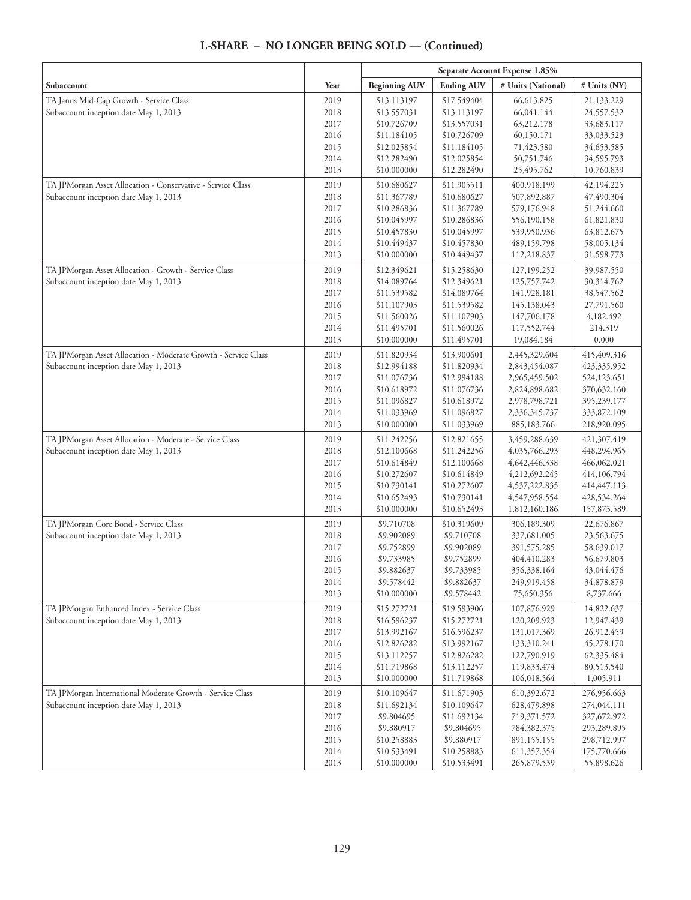|                                                                |              | Separate Account Expense 1.85% |                            |                            |                          |
|----------------------------------------------------------------|--------------|--------------------------------|----------------------------|----------------------------|--------------------------|
| Subaccount                                                     | Year         | <b>Beginning AUV</b>           | <b>Ending AUV</b>          | # Units (National)         | # Units (NY)             |
| TA Janus Mid-Cap Growth - Service Class                        | 2019         | \$13.113197                    | \$17.549404                | 66,613.825                 | 21,133.229               |
| Subaccount inception date May 1, 2013                          | 2018         | \$13.557031                    | \$13.113197                | 66,041.144                 | 24,557.532               |
|                                                                | 2017         | \$10.726709                    | \$13.557031                | 63,212.178                 | 33,683.117               |
|                                                                | 2016         | \$11.184105                    | \$10.726709                | 60,150.171                 | 33,033.523               |
|                                                                | 2015         | \$12.025854                    | \$11.184105                | 71,423.580                 | 34,653.585               |
|                                                                | 2014         | \$12.282490                    | \$12.025854                | 50,751.746                 | 34,595.793               |
|                                                                | 2013         | \$10.000000                    | \$12.282490                | 25,495.762                 | 10,760.839               |
| TA JPMorgan Asset Allocation - Conservative - Service Class    | 2019         | \$10.680627                    | \$11.905511                | 400,918.199                | 42,194.225               |
| Subaccount inception date May 1, 2013                          | 2018         | \$11.367789                    | \$10.680627                | 507,892.887                | 47,490.304               |
|                                                                | 2017         | \$10.286836                    | \$11.367789                | 579,176.948                | 51,244.660               |
|                                                                | 2016         | \$10.045997                    | \$10.286836                | 556,190.158                | 61,821.830               |
|                                                                | 2015         | \$10.457830                    | \$10.045997                | 539,950.936                | 63,812.675               |
|                                                                | 2014         | \$10.449437                    | \$10.457830                | 489,159.798                | 58,005.134               |
|                                                                | 2013         | \$10.000000                    | \$10.449437                | 112,218.837                | 31,598.773               |
| TA JPMorgan Asset Allocation - Growth - Service Class          | 2019         | \$12.349621                    | \$15.258630                | 127,199.252                | 39,987.550               |
| Subaccount inception date May 1, 2013                          | 2018         | \$14.089764                    | \$12.349621                | 125,757.742                | 30,314.762               |
|                                                                | 2017         | \$11.539582                    | \$14.089764                | 141,928.181                | 38,547.562               |
|                                                                | 2016         | \$11.107903                    | \$11.539582                | 145,138.043                | 27,791.560               |
|                                                                | 2015         | \$11.560026                    | \$11.107903                | 147,706.178                | 4,182.492                |
|                                                                | 2014         | \$11.495701                    | \$11.560026                | 117,552.744                | 214.319                  |
|                                                                | 2013         | \$10.000000                    | \$11.495701                | 19,084.184                 | 0.000                    |
| TA JPMorgan Asset Allocation - Moderate Growth - Service Class | 2019         | \$11.820934                    | \$13.900601                | 2,445,329.604              | 415,409.316              |
| Subaccount inception date May 1, 2013                          | 2018         | \$12.994188                    | \$11.820934                | 2,843,454.087              | 423,335.952              |
|                                                                | 2017         | \$11.076736                    | \$12.994188                | 2,965,459.502              | 524,123.651              |
|                                                                | 2016         | \$10.618972                    | \$11.076736                | 2,824,898.682              | 370,632.160              |
|                                                                | 2015         | \$11.096827                    | \$10.618972                | 2,978,798.721              | 395,239.177              |
|                                                                | 2014         | \$11.033969                    | \$11.096827                | 2,336,345.737              | 333,872.109              |
|                                                                | 2013         | \$10.000000                    | \$11.033969                | 885,183.766                | 218,920.095              |
| TA JPMorgan Asset Allocation - Moderate - Service Class        | 2019         | \$11.242256                    | \$12.821655                | 3,459,288.639              | 421,307.419              |
| Subaccount inception date May 1, 2013                          | 2018         | \$12.100668                    | \$11.242256                | 4,035,766.293              | 448,294.965              |
|                                                                | 2017         | \$10.614849                    | \$12.100668                | 4,642,446.338              | 466,062.021              |
|                                                                | 2016         | \$10.272607                    | \$10.614849                | 4,212,692.245              | 414,106.794              |
|                                                                | 2015         | \$10.730141                    | \$10.272607                | 4,537,222.835              | 414,447.113              |
|                                                                | 2014         | \$10.652493                    | \$10.730141                | 4,547,958.554              | 428,534.264              |
|                                                                | 2013         | \$10.000000                    | \$10.652493                | 1,812,160.186              | 157,873.589              |
| TA JPMorgan Core Bond - Service Class                          | 2019         | \$9.710708                     | \$10.319609                | 306,189.309                | 22,676.867               |
| Subaccount inception date May 1, 2013                          | 2018         | \$9.902089                     | \$9.710708                 | 337,681.005                | 23,563.675               |
|                                                                | 2017         | \$9.752899                     | \$9.902089                 | 391,575.285                | 58,639.017               |
|                                                                | 2016         | \$9.733985                     | \$9.752899                 | 404,410.283                | 56,679.803               |
|                                                                | 2015         | \$9.882637                     | \$9.733985                 | 356,338.164                | 43,044.476               |
|                                                                | 2014         | \$9.578442                     | \$9.882637                 | 249,919.458                | 34,878.879               |
|                                                                | 2013         | \$10.000000                    | \$9.578442                 | 75,650.356                 | 8,737.666                |
| TA JPMorgan Enhanced Index - Service Class                     | 2019         | \$15.272721                    | \$19.593906                | 107,876.929                | 14,822.637               |
| Subaccount inception date May 1, 2013                          | 2018<br>2017 | \$16.596237<br>\$13.992167     | \$15.272721<br>\$16.596237 | 120,209.923<br>131,017.369 | 12,947.439<br>26,912.459 |
|                                                                |              |                                |                            |                            |                          |
|                                                                | 2016         | \$12.826282                    | \$13.992167                | 133,310.241                | 45,278.170               |
|                                                                | 2015<br>2014 | \$13.112257                    | \$12.826282                | 122,790.919                | 62,335.484               |
|                                                                | 2013         | \$11.719868<br>\$10.000000     | \$13.112257<br>\$11.719868 | 119,833.474<br>106,018.564 | 80,513.540<br>1,005.911  |
| TA JPMorgan International Moderate Growth - Service Class      | 2019         | \$10.109647                    | \$11.671903                | 610,392.672                | 276,956.663              |
| Subaccount inception date May 1, 2013                          | 2018         | \$11.692134                    | \$10.109647                | 628,479.898                | 274,044.111              |
|                                                                | 2017         | \$9.804695                     | \$11.692134                | 719,371.572                | 327,672.972              |
|                                                                | 2016         | \$9.880917                     | \$9.804695                 | 784,382.375                | 293,289.895              |
|                                                                | 2015         | \$10.258883                    | \$9.880917                 | 891,155.155                | 298,712.997              |
|                                                                | 2014         | \$10.533491                    | \$10.258883                | 611,357.354                | 175,770.666              |
|                                                                | 2013         | \$10.000000                    | \$10.533491                | 265,879.539                | 55,898.626               |
|                                                                |              |                                |                            |                            |                          |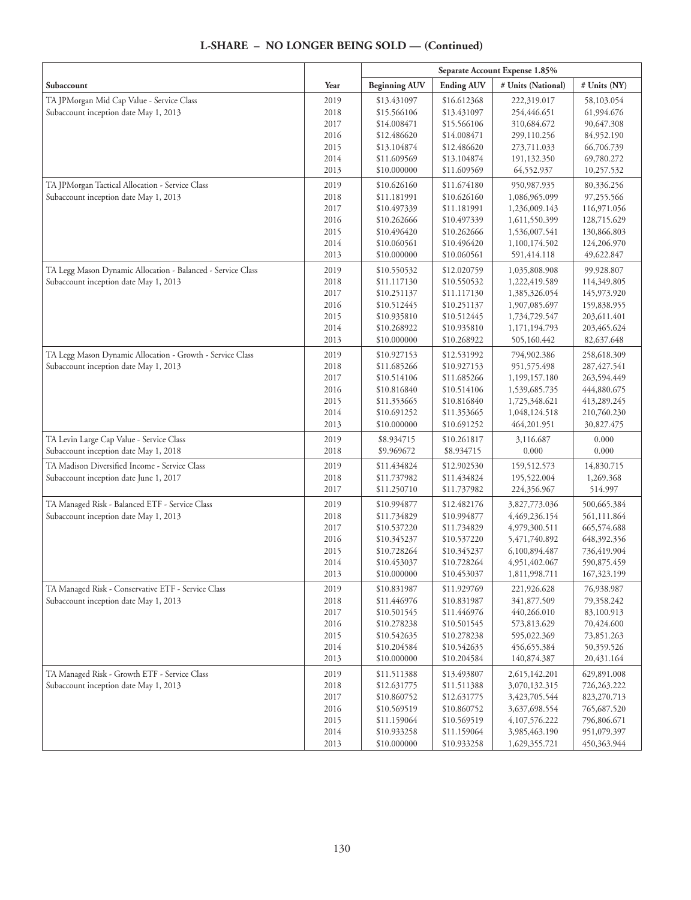|                                                             |      | Separate Account Expense 1.85% |                   |                    |              |
|-------------------------------------------------------------|------|--------------------------------|-------------------|--------------------|--------------|
| Subaccount                                                  | Year | <b>Beginning AUV</b>           | <b>Ending AUV</b> | # Units (National) | # Units (NY) |
| TA JPMorgan Mid Cap Value - Service Class                   | 2019 | \$13.431097                    | \$16.612368       | 222,319.017        | 58,103.054   |
| Subaccount inception date May 1, 2013                       | 2018 | \$15.566106                    | \$13.431097       | 254,446.651        | 61,994.676   |
|                                                             | 2017 | \$14.008471                    | \$15.566106       | 310,684.672        | 90,647.308   |
|                                                             | 2016 | \$12.486620                    | \$14.008471       | 299,110.256        | 84,952.190   |
|                                                             | 2015 | \$13.104874                    | \$12.486620       | 273,711.033        | 66,706.739   |
|                                                             | 2014 | \$11.609569                    | \$13.104874       | 191,132.350        | 69,780.272   |
|                                                             | 2013 | \$10.000000                    | \$11.609569       | 64,552.937         | 10,257.532   |
| TA JPMorgan Tactical Allocation - Service Class             | 2019 | \$10.626160                    | \$11.674180       | 950,987.935        | 80,336.256   |
| Subaccount inception date May 1, 2013                       | 2018 | \$11.181991                    | \$10.626160       | 1,086,965.099      | 97,255.566   |
|                                                             | 2017 | \$10.497339                    | \$11.181991       | 1,236,009.143      | 116,971.056  |
|                                                             | 2016 | \$10.262666                    | \$10.497339       | 1,611,550.399      | 128,715.629  |
|                                                             | 2015 | \$10.496420                    | \$10.262666       | 1,536,007.541      | 130,866.803  |
|                                                             | 2014 | \$10.060561                    | \$10.496420       | 1,100,174.502      | 124,206.970  |
|                                                             | 2013 | \$10.000000                    | \$10.060561       | 591,414.118        | 49,622.847   |
| TA Legg Mason Dynamic Allocation - Balanced - Service Class | 2019 | \$10.550532                    | \$12.020759       | 1,035,808.908      | 99,928.807   |
| Subaccount inception date May 1, 2013                       | 2018 | \$11.117130                    | \$10.550532       | 1,222,419.589      | 114,349.805  |
|                                                             | 2017 | \$10.251137                    | \$11.117130       | 1,385,326.054      | 145,973.920  |
|                                                             | 2016 | \$10.512445                    | \$10.251137       | 1,907,085.697      | 159,838.955  |
|                                                             | 2015 | \$10.935810                    | \$10.512445       | 1,734,729.547      | 203,611.401  |
|                                                             | 2014 | \$10.268922                    | \$10.935810       | 1,171,194.793      | 203,465.624  |
|                                                             | 2013 | \$10.000000                    | \$10.268922       | 505,160.442        | 82,637.648   |
| TA Legg Mason Dynamic Allocation - Growth - Service Class   | 2019 | \$10.927153                    | \$12.531992       | 794,902.386        | 258,618.309  |
| Subaccount inception date May 1, 2013                       | 2018 | \$11.685266                    | \$10.927153       | 951,575.498        | 287,427.541  |
|                                                             | 2017 | \$10.514106                    | \$11.685266       | 1,199,157.180      | 263,594.449  |
|                                                             | 2016 | \$10.816840                    | \$10.514106       | 1,539,685.735      | 444,880.675  |
|                                                             | 2015 | \$11.353665                    | \$10.816840       | 1,725,348.621      | 413,289.245  |
|                                                             | 2014 | \$10.691252                    | \$11.353665       | 1,048,124.518      | 210,760.230  |
|                                                             | 2013 | \$10.000000                    | \$10.691252       | 464,201.951        | 30,827.475   |
| TA Levin Large Cap Value - Service Class                    | 2019 | \$8.934715                     | \$10.261817       | 3,116.687          | 0.000        |
| Subaccount inception date May 1, 2018                       | 2018 | \$9.969672                     | \$8.934715        | 0.000              | 0.000        |
| TA Madison Diversified Income - Service Class               | 2019 | \$11.434824                    | \$12.902530       | 159,512.573        | 14,830.715   |
| Subaccount inception date June 1, 2017                      | 2018 | \$11.737982                    | \$11.434824       | 195,522.004        | 1,269.368    |
|                                                             | 2017 | \$11.250710                    | \$11.737982       | 224,356.967        | 514.997      |
| TA Managed Risk - Balanced ETF - Service Class              | 2019 | \$10.994877                    | \$12.482176       | 3,827,773.036      | 500,665.384  |
| Subaccount inception date May 1, 2013                       | 2018 | \$11.734829                    | \$10.994877       | 4,469,236.154      | 561,111.864  |
|                                                             | 2017 | \$10.537220                    | \$11.734829       | 4,979,300.511      | 665,574.688  |
|                                                             | 2016 | \$10.345237                    | \$10.537220       | 5,471,740.892      | 648,392.356  |
|                                                             | 2015 | \$10.728264                    | \$10.345237       | 6,100,894.487      | 736,419.904  |
|                                                             | 2014 | \$10.453037                    | \$10.728264       | 4,951,402.067      | 590,875.459  |
|                                                             | 2013 | \$10.000000                    | \$10.453037       | 1,811,998.711      | 167,323.199  |
| TA Managed Risk - Conservative ETF - Service Class          | 2019 | \$10.831987                    | \$11.929769       | 221,926.628        | 76,938.987   |
| Subaccount inception date May 1, 2013                       | 2018 | \$11.446976                    | \$10.831987       | 341,877.509        | 79,358.242   |
|                                                             | 2017 | \$10.501545                    | \$11.446976       | 440,266.010        | 83,100.913   |
|                                                             | 2016 | \$10.278238                    | \$10.501545       | 573,813.629        | 70,424.600   |
|                                                             | 2015 | \$10.542635                    | \$10.278238       | 595,022.369        | 73,851.263   |
|                                                             | 2014 | \$10.204584                    | \$10.542635       | 456,655.384        | 50,359.526   |
|                                                             | 2013 | \$10.000000                    | \$10.204584       | 140,874.387        | 20,431.164   |
| TA Managed Risk - Growth ETF - Service Class                | 2019 | \$11.511388                    | \$13.493807       | 2,615,142.201      | 629,891.008  |
| Subaccount inception date May 1, 2013                       | 2018 | \$12.631775                    | \$11.511388       | 3,070,132.315      | 726,263.222  |
|                                                             | 2017 | \$10.860752                    | \$12.631775       | 3,423,705.544      | 823,270.713  |
|                                                             | 2016 | \$10.569519                    | \$10.860752       | 3,637,698.554      | 765,687.520  |
|                                                             | 2015 | \$11.159064                    | \$10.569519       | 4,107,576.222      | 796,806.671  |
|                                                             | 2014 | \$10.933258                    | \$11.159064       | 3,985,463.190      | 951,079.397  |
|                                                             | 2013 | \$10.000000                    | \$10.933258       | 1,629,355.721      | 450,363.944  |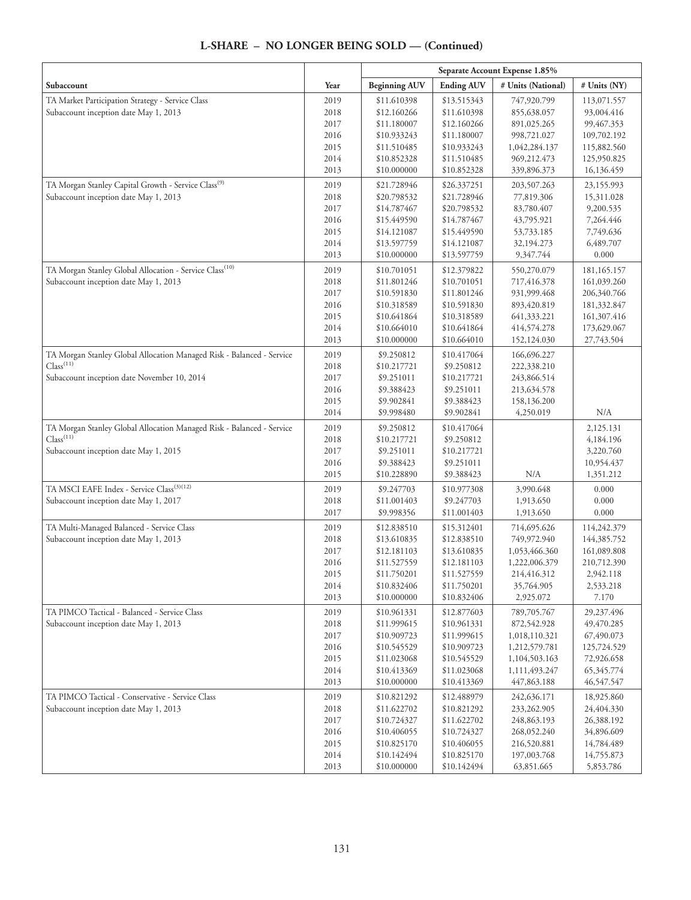|                                                                       |              | Separate Account Expense 1.85% |                            |                              |                          |
|-----------------------------------------------------------------------|--------------|--------------------------------|----------------------------|------------------------------|--------------------------|
| Subaccount                                                            | Year         | <b>Beginning AUV</b>           | <b>Ending AUV</b>          | # Units (National)           | # Units (NY)             |
| TA Market Participation Strategy - Service Class                      | 2019         | \$11.610398                    | \$13.515343                | 747,920.799                  | 113,071.557              |
| Subaccount inception date May 1, 2013                                 | 2018         | \$12.160266                    | \$11.610398                | 855,638.057                  | 93,004.416               |
|                                                                       | 2017         | \$11.180007                    | \$12.160266                | 891,025.265                  | 99,467.353               |
|                                                                       | 2016         | \$10.933243                    | \$11.180007                | 998,721.027                  | 109,702.192              |
|                                                                       | 2015         | \$11.510485                    | \$10.933243                | 1,042,284.137                | 115,882.560              |
|                                                                       | 2014         | \$10.852328                    | \$11.510485                | 969,212.473                  | 125,950.825              |
|                                                                       | 2013         | \$10.000000                    | \$10.852328                | 339,896.373                  | 16,136.459               |
| TA Morgan Stanley Capital Growth - Service Class <sup>(9)</sup>       | 2019         | \$21.728946                    | \$26.337251                | 203,507.263                  | 23,155.993               |
| Subaccount inception date May 1, 2013                                 | 2018         | \$20.798532                    | \$21.728946                | 77,819.306                   | 15,311.028               |
|                                                                       | 2017         | \$14.787467                    | \$20.798532                | 83,780.407                   | 9,200.535                |
|                                                                       | 2016         | \$15.449590                    | \$14.787467                | 43,795.921                   | 7,264.446<br>7,749.636   |
|                                                                       | 2015         | \$14.121087                    | \$15.449590                | 53,733.185                   | 6,489.707                |
|                                                                       | 2014<br>2013 | \$13.597759<br>\$10.000000     | \$14.121087<br>\$13.597759 | 32,194.273<br>9,347.744      | 0.000                    |
| TA Morgan Stanley Global Allocation - Service Class <sup>(10)</sup>   | 2019         | \$10.701051                    | \$12.379822                | 550,270.079                  | 181,165.157              |
| Subaccount inception date May 1, 2013                                 | 2018         | \$11.801246                    | \$10.701051                | 717,416.378                  | 161,039.260              |
|                                                                       | 2017         | \$10.591830                    | \$11.801246                | 931,999.468                  | 206,340.766              |
|                                                                       | 2016         | \$10.318589                    | \$10.591830                | 893,420.819                  | 181,332.847              |
|                                                                       | 2015         | \$10.641864                    | \$10.318589                | 641,333.221                  | 161,307.416              |
|                                                                       | 2014         | \$10.664010                    | \$10.641864                | 414,574.278                  | 173,629.067              |
|                                                                       | 2013         | \$10.000000                    | \$10.664010                | 152,124.030                  | 27,743.504               |
| TA Morgan Stanley Global Allocation Managed Risk - Balanced - Service | 2019         | \$9.250812                     | \$10.417064                | 166,696.227                  |                          |
| Class <sup>(11)</sup>                                                 | 2018         | \$10.217721                    | \$9.250812                 | 222,338.210                  |                          |
| Subaccount inception date November 10, 2014                           | 2017         | \$9.251011                     | \$10.217721                | 243,866.514                  |                          |
|                                                                       | 2016         | \$9.388423                     | \$9.251011                 | 213,634.578                  |                          |
|                                                                       | 2015         | \$9.902841                     | \$9.388423                 | 158,136.200                  |                          |
|                                                                       | 2014         | \$9.998480                     | \$9.902841                 | 4,250.019                    | N/A                      |
| TA Morgan Stanley Global Allocation Managed Risk - Balanced - Service | 2019         | \$9.250812                     | \$10.417064                |                              | 2,125.131                |
| Class <sup>(11)</sup>                                                 | 2018         | \$10.217721                    | \$9.250812                 |                              | 4,184.196                |
| Subaccount inception date May 1, 2015                                 | 2017         | \$9.251011                     | \$10.217721                |                              | 3,220.760                |
|                                                                       | 2016         | \$9.388423                     | \$9.251011                 |                              | 10,954.437               |
|                                                                       | 2015         | \$10.228890                    | \$9.388423                 | N/A                          | 1,351.212                |
| TA MSCI EAFE Index - Service Class <sup>(3)(12)</sup>                 | 2019         | \$9.247703                     | \$10.977308                | 3,990.648                    | 0.000                    |
| Subaccount inception date May 1, 2017                                 | 2018         | \$11.001403                    | \$9.247703                 | 1,913.650                    | 0.000                    |
|                                                                       | 2017         | \$9.998356                     | \$11.001403                | 1,913.650                    | 0.000                    |
| TA Multi-Managed Balanced - Service Class                             | 2019         | \$12.838510                    | \$15.312401                | 714,695.626                  | 114,242.379              |
| Subaccount inception date May 1, 2013                                 | 2018         | \$13.610835                    | \$12.838510                | 749,972.940                  | 144,385.752              |
|                                                                       | 2017         | \$12.181103                    | \$13.610835                | 1,053,466.360                | 161,089.808              |
|                                                                       | 2016<br>2015 | \$11.527559<br>\$11.750201     | \$12.181103<br>\$11.527559 | 1,222,006.379<br>214,416.312 | 210,712.390<br>2,942.118 |
|                                                                       | 2014         | \$10.832406                    | \$11.750201                | 35,764.905                   | 2,533.218                |
|                                                                       | 2013         | \$10.000000                    | \$10.832406                | 2,925.072                    | 7.170                    |
| TA PIMCO Tactical - Balanced - Service Class                          | 2019         | \$10.961331                    | \$12.877603                | 789,705.767                  | 29,237.496               |
| Subaccount inception date May 1, 2013                                 | 2018         | \$11.999615                    | \$10.961331                | 872,542.928                  | 49,470.285               |
|                                                                       | 2017         | \$10.909723                    | \$11.999615                | 1,018,110.321                | 67,490.073               |
|                                                                       | 2016         | \$10.545529                    | \$10.909723                | 1,212,579.781                | 125,724.529              |
|                                                                       | 2015         | \$11.023068                    | \$10.545529                | 1,104,503.163                | 72,926.658               |
|                                                                       | 2014         | \$10.413369                    | \$11.023068                | 1,111,493.247                | 65,345.774               |
|                                                                       | 2013         | \$10.000000                    | \$10.413369                | 447,863.188                  | 46,547.547               |
| TA PIMCO Tactical - Conservative - Service Class                      | 2019         | \$10.821292                    | \$12.488979                | 242,636.171                  | 18,925.860               |
| Subaccount inception date May 1, 2013                                 | 2018         | \$11.622702                    | \$10.821292                | 233,262.905                  | 24,404.330               |
|                                                                       | 2017         | \$10.724327                    | \$11.622702                | 248,863.193                  | 26,388.192               |
|                                                                       | 2016         | \$10.406055                    | \$10.724327                | 268,052.240                  | 34,896.609               |
|                                                                       | 2015         | \$10.825170                    | \$10.406055                | 216,520.881                  | 14,784.489               |
|                                                                       | 2014         | \$10.142494                    | \$10.825170                | 197,003.768                  | 14,755.873               |
|                                                                       | 2013         | \$10.000000                    | \$10.142494                | 63,851.665                   | 5,853.786                |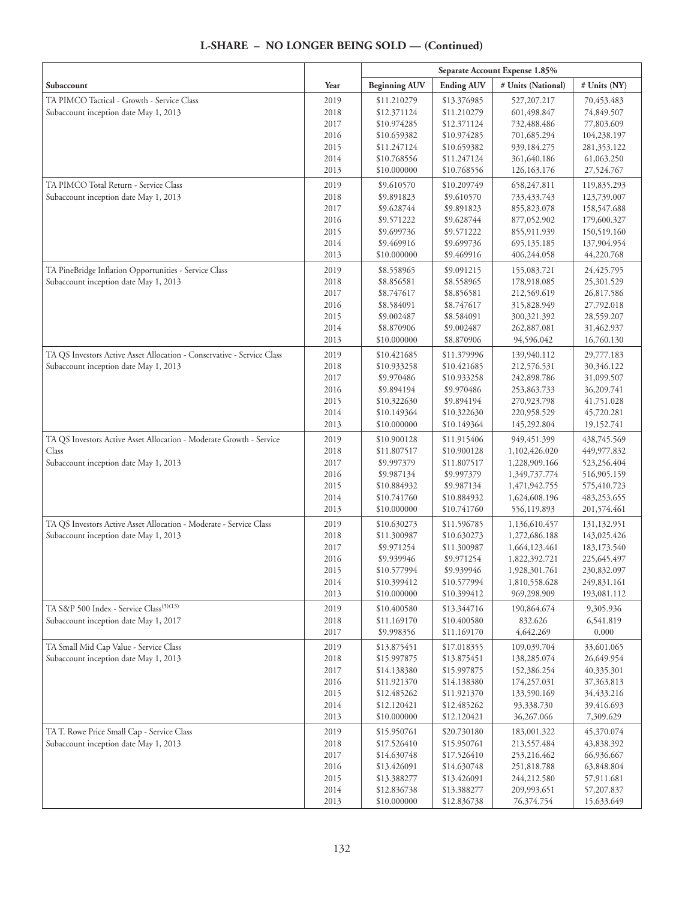#### **Separate Account Expense 1.85% Subaccount**  $\begin{array}{|c|c|c|c|c|}\hline \textbf{Year} & \textbf{Beginning AUV} & \textbf{Ending AUV} & \textbf{\# Units (National)} & \textbf{\# Units (NY)}\hline \end{array}$ TA PIMCO Tactical - Growth - Service Class Subaccount inception date May 1, 2013 2019 2018 2017 2016 2015 2014 2013 \$11.210279 \$12.371124 \$10.974285 \$10.659382 \$11.247124 \$10.768556 \$10.000000 \$13.376985 \$11.210279 \$12.371124 \$10.974285 \$10.659382 \$11.247124 \$10.768556 527,207.217 601,498.847 732,488.486 701,685.294 939,184.275 361,640.186 126,163.176 70,453.483 74,849.507 77,803.609 104,238.197 281,353.122 61,063.250 27,524.767 TA PIMCO Total Return - Service Class Subaccount inception date May 1, 2013 2019 2018 2017 2016 2015 2014 2013 \$9.610570 \$9.891823 \$9.628744 \$9.571222 \$9.699736 \$9.469916 \$10.000000 \$10.209749 \$9.610570 \$9.891823 \$9.628744 \$9.571222 \$9.699736 \$9.469916 658,247.811 733,433.743 855,823.078 877,052.902 855,911.939 695,135.185 406,244.058 119,835.293 123,739.007 158,547.688 179,600.327 150,519.160 137,904.954 44,220.768 TA PineBridge Inflation Opportunities - Service Class Subaccount inception date May 1, 2013 2019 2018 2017 2016 2015 2014 2013 \$8.558965 \$8.856581 \$8.747617 \$8.584091 \$9.002487 \$8.870906 \$10.000000 \$9.091215 \$8.558965 \$8.856581 \$8.747617 \$8.584091 \$9.002487 \$8.870906 155,083.721 178,918.085 212,569.619 315,828.949 300,321.392 262,887.081 94,596.042 24,425.795 25,301.529 26,817.586 27,792.018 28,559.207 31,462.937 16,760.130 TA QS Investors Active Asset Allocation - Conservative - Service Class Subaccount inception date May 1, 2013 2019 2018 2017 2016 2015 2014 2013 \$10.421685 \$10.933258 \$9.970486 \$9.894194 \$10.322630 \$10.149364 \$10.000000 \$11.379996 \$10.421685 \$10.933258 \$9.970486 \$9.894194 \$10.322630 \$10.149364 139,940.112 212,576.531 242,898.786 253,863.733 270,923.798 220,958.529 145,292.804 29,777.183 30,346.122 31,099.507 36,209.741 41,751.028 45,720.281 19,152.741 TA QS Investors Active Asset Allocation - Moderate Growth - Service Class Subaccount inception date May 1, 2013 2019 2018 2017 2016 2015 2014 2013 \$10.900128 \$11.807517 \$9.997379 \$9.987134 \$10.884932 \$10.741760 \$10.000000 \$11.915406 \$10.900128 \$11.807517 \$9.997379 \$9.987134 \$10.884932 \$10.741760 949,451.399 1,102,426.020 1,228,909.166 1,349,737.774 1,471,942.755 1,624,608.196 556,119.893 438,745.569 449,977.832 523,256.404 516,905.159 575,410.723 483,253.655 201,574.461 TA QS Investors Active Asset Allocation - Moderate - Service Class Subaccount inception date May 1, 2013 2019 2018 2017 2016 2015 2014 2013 \$10.630273 \$11.300987 \$9.971254 \$9.939946 \$10.577994 \$10.399412 \$10.000000 \$11.596785 \$10.630273 \$11.300987 \$9.971254 \$9.939946 \$10.577994 \$10.399412 1,136,610.457 1,272,686.188 1,664,123.461 1,822,392.721 1,928,301.761 1,810,558.628 969,298.909 131,132.951 143,025.426 183,173.540 225,645.497 230,832.097 249,831.161 193,081.112 TA S&P 500 Index - Service Class<sup>(3)(13)</sup> Subaccount inception date May 1, 2017 2019 2018 2017 \$10.400580 \$11.169170 \$9.998356 \$13.344716 \$10.400580 \$11.169170 190,864.674 832.626 4,642.269 9,305.936 6,541.819 0.000 TA Small Mid Cap Value - Service Class Subaccount inception date May 1, 2013 2019 2018 2017 2016 2015 2014 2013 \$13.875451 \$15.997875 \$14.138380 \$11.921370 \$12.485262 \$12.120421 \$10.000000 \$17.018355 \$13.875451 \$15.997875 \$14.138380 \$11.921370 \$12.485262 \$12.120421 109,039.704 138,285.074 152,386.254 174,257.031 133,590.169 93,338.730 36,267.066 33,601.065 26,649.954 40,335.301 37,363.813 34,433.216 39,416.693 7,309.629 TA T. Rowe Price Small Cap - Service Class Subaccount inception date May 1, 2013 2019 2018 2017 2016 2015 2014 2013 \$15.950761 \$17.526410 \$14.630748 \$13.426091 \$13.388277 \$12.836738 \$10.000000 \$20.730180 \$15.950761 \$17.526410 \$14.630748 \$13.426091 \$13.388277 \$12.836738 183,001.322 213,557.484 253,216.462 251,818.788 244,212.580 209,993.651 76,374.754 45,370.074 43,838.392 66,936.667 63,848.804 57,911.681 57,207.837 15,633.649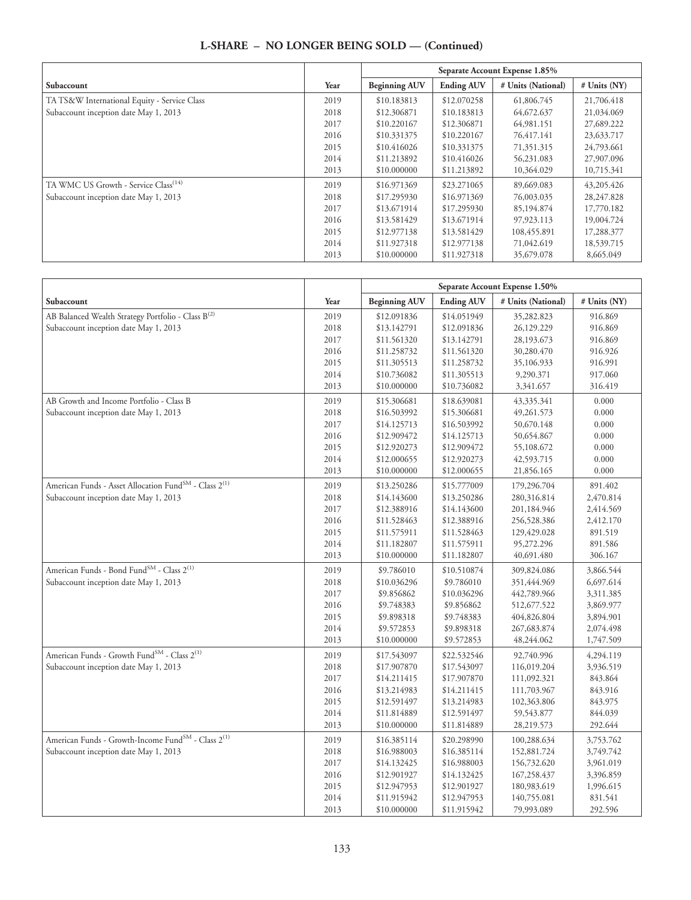| L-SHARE – NO LONGER BEING SOLD — (Continued) |  |
|----------------------------------------------|--|
|----------------------------------------------|--|

|                                                  |      | Separate Account Expense 1.85% |                   |                    |                |
|--------------------------------------------------|------|--------------------------------|-------------------|--------------------|----------------|
| Subaccount                                       | Year | <b>Beginning AUV</b>           | <b>Ending AUV</b> | # Units (National) | $#$ Units (NY) |
| TA TS&W International Equity - Service Class     | 2019 | \$10.183813                    | \$12.070258       | 61,806.745         | 21,706.418     |
| Subaccount inception date May 1, 2013            | 2018 | \$12.306871                    | \$10.183813       | 64,672.637         | 21,034.069     |
|                                                  | 2017 | \$10.220167                    | \$12.306871       | 64,981.151         | 27,689.222     |
|                                                  | 2016 | \$10.331375                    | \$10.220167       | 76,417.141         | 23,633.717     |
|                                                  | 2015 | \$10.416026                    | \$10.331375       | 71,351.315         | 24,793.661     |
|                                                  | 2014 | \$11.213892                    | \$10.416026       | 56,231.083         | 27,907.096     |
|                                                  | 2013 | \$10.000000                    | \$11.213892       | 10,364.029         | 10,715.341     |
| TA WMC US Growth - Service Class <sup>(14)</sup> | 2019 | \$16.971369                    | \$23.271065       | 89,669.083         | 43,205.426     |
| Subaccount inception date May 1, 2013            | 2018 | \$17.295930                    | \$16.971369       | 76,003.035         | 28, 247.828    |
|                                                  | 2017 | \$13.671914                    | \$17.295930       | 85,194.874         | 17,770.182     |
|                                                  | 2016 | \$13,581429                    | \$13.671914       | 97,923.113         | 19,004.724     |
|                                                  | 2015 | \$12,977138                    | \$13.581429       | 108,455.891        | 17,288.377     |
|                                                  | 2014 | \$11.927318                    | \$12,977138       | 71,042.619         | 18,539.715     |
|                                                  | 2013 | \$10,000000                    | \$11.927318       | 35,679.078         | 8,665.049      |

|                                                                               |      | Separate Account Expense 1.50% |                   |                    |              |
|-------------------------------------------------------------------------------|------|--------------------------------|-------------------|--------------------|--------------|
| Subaccount                                                                    | Year | <b>Beginning AUV</b>           | <b>Ending AUV</b> | # Units (National) | # Units (NY) |
| AB Balanced Wealth Strategy Portfolio - Class B <sup>(2)</sup>                | 2019 | \$12.091836                    | \$14.051949       | 35,282.823         | 916.869      |
| Subaccount inception date May 1, 2013                                         | 2018 | \$13.142791                    | \$12.091836       | 26,129.229         | 916.869      |
|                                                                               | 2017 | \$11.561320                    | \$13.142791       | 28,193.673         | 916.869      |
|                                                                               | 2016 | \$11.258732                    | \$11.561320       | 30,280.470         | 916.926      |
|                                                                               | 2015 | \$11.305513                    | \$11.258732       | 35,106.933         | 916.991      |
|                                                                               | 2014 | \$10.736082                    | \$11.305513       | 9,290.371          | 917.060      |
|                                                                               | 2013 | \$10.000000                    | \$10.736082       | 3,341.657          | 316.419      |
| AB Growth and Income Portfolio - Class B                                      | 2019 | \$15.306681                    | \$18.639081       | 43,335.341         | 0.000        |
| Subaccount inception date May 1, 2013                                         | 2018 | \$16.503992                    | \$15.306681       | 49,261.573         | 0.000        |
|                                                                               | 2017 | \$14.125713                    | \$16.503992       | 50,670.148         | 0.000        |
|                                                                               | 2016 | \$12.909472                    | \$14.125713       | 50,654.867         | 0.000        |
|                                                                               | 2015 | \$12.920273                    | \$12.909472       | 55,108.672         | 0.000        |
|                                                                               | 2014 | \$12.000655                    | \$12.920273       | 42,593.715         | 0.000        |
|                                                                               | 2013 | \$10.000000                    | \$12.000655       | 21,856.165         | 0.000        |
| American Funds - Asset Allocation Fund <sup>SM</sup> - Class 2 <sup>(1)</sup> | 2019 | \$13.250286                    | \$15.777009       | 179,296.704        | 891.402      |
| Subaccount inception date May 1, 2013                                         | 2018 | \$14.143600                    | \$13.250286       | 280,316.814        | 2,470.814    |
|                                                                               | 2017 | \$12.388916                    | \$14.143600       | 201,184.946        | 2,414.569    |
|                                                                               | 2016 | \$11.528463                    | \$12.388916       | 256,528.386        | 2,412.170    |
|                                                                               | 2015 | \$11.575911                    | \$11.528463       | 129,429.028        | 891.519      |
|                                                                               | 2014 | \$11.182807                    | \$11.575911       | 95,272.296         | 891.586      |
|                                                                               | 2013 | \$10.000000                    | \$11.182807       | 40,691.480         | 306.167      |
| American Funds - Bond Fund <sup>SM</sup> - Class 2 <sup>(1)</sup>             | 2019 | \$9.786010                     | \$10.510874       | 309,824.086        | 3,866.544    |
| Subaccount inception date May 1, 2013                                         | 2018 | \$10.036296                    | \$9.786010        | 351,444.969        | 6,697.614    |
|                                                                               | 2017 | \$9.856862                     | \$10.036296       | 442,789.966        | 3,311.385    |
|                                                                               | 2016 | \$9.748383                     | \$9.856862        | 512,677.522        | 3,869.977    |
|                                                                               | 2015 | \$9.898318                     | \$9.748383        | 404,826.804        | 3,894.901    |
|                                                                               | 2014 | \$9.572853                     | \$9.898318        | 267, 683.874       | 2,074.498    |
|                                                                               | 2013 | \$10.000000                    | \$9.572853        | 48,244.062         | 1,747.509    |
| American Funds - Growth Fund <sup>SM</sup> - Class 2 <sup>(1)</sup>           | 2019 | \$17.543097                    | \$22.532546       | 92,740.996         | 4,294.119    |
| Subaccount inception date May 1, 2013                                         | 2018 | \$17.907870                    | \$17.543097       | 116,019.204        | 3,936.519    |
|                                                                               | 2017 | \$14.211415                    | \$17.907870       | 111,092.321        | 843.864      |
|                                                                               | 2016 | \$13.214983                    | \$14.211415       | 111,703.967        | 843.916      |
|                                                                               | 2015 | \$12.591497                    | \$13.214983       | 102,363.806        | 843.975      |
|                                                                               | 2014 | \$11.814889                    | \$12.591497       | 59,543.877         | 844.039      |
|                                                                               | 2013 | \$10.000000                    | \$11.814889       | 28,219.573         | 292.644      |
| American Funds - Growth-Income Fund <sup>SM</sup> - Class 2 <sup>(1)</sup>    | 2019 | \$16.385114                    | \$20.298990       | 100,288.634        | 3,753.762    |
| Subaccount inception date May 1, 2013                                         | 2018 | \$16.988003                    | \$16.385114       | 152,881.724        | 3,749.742    |
|                                                                               | 2017 | \$14.132425                    | \$16.988003       | 156,732.620        | 3,961.019    |
|                                                                               | 2016 | \$12.901927                    | \$14.132425       | 167,258.437        | 3,396.859    |
|                                                                               | 2015 | \$12.947953                    | \$12.901927       | 180,983.619        | 1,996.615    |
|                                                                               | 2014 | \$11.915942                    | \$12.947953       | 140,755.081        | 831.541      |
|                                                                               | 2013 | \$10.000000                    | \$11.915942       | 79,993.089         | 292.596      |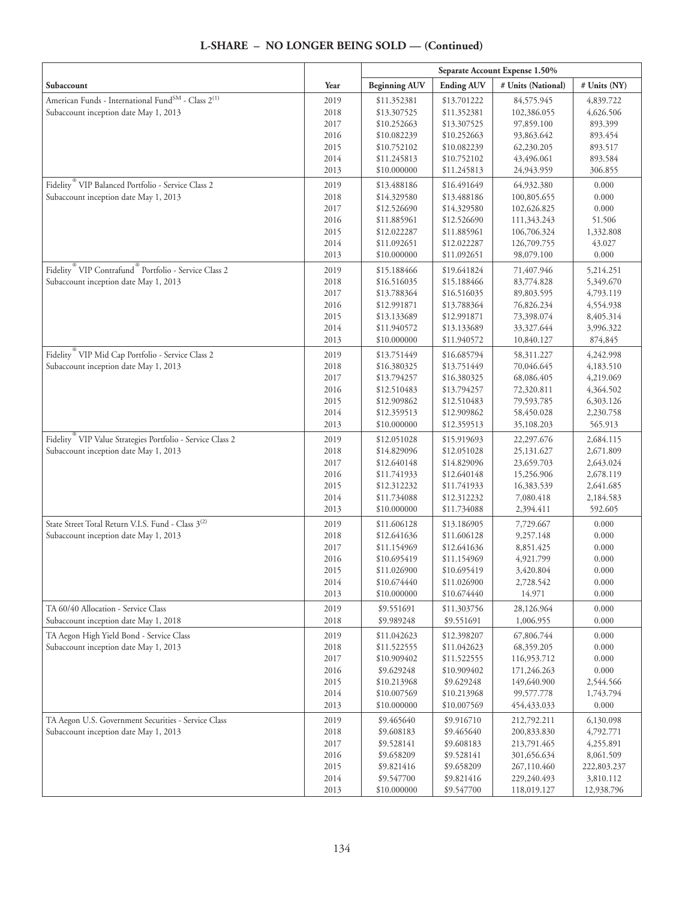|                                                                               |              | Separate Account Expense 1.50% |                            |                            |                          |
|-------------------------------------------------------------------------------|--------------|--------------------------------|----------------------------|----------------------------|--------------------------|
| Subaccount                                                                    | Year         | <b>Beginning AUV</b>           | <b>Ending AUV</b>          | # Units (National)         | # Units (NY)             |
| American Funds - International Fund $^{\text{SM}}$ - Class $2^{(1)}$          | 2019         | \$11.352381                    | \$13.701222                | 84,575.945                 | 4,839.722                |
| Subaccount inception date May 1, 2013                                         | 2018         | \$13.307525                    | \$11.352381                | 102,386.055                | 4,626.506                |
|                                                                               | 2017         | \$10.252663                    | \$13.307525                | 97,859.100                 | 893.399                  |
|                                                                               | 2016         | \$10.082239                    | \$10.252663                | 93,863.642                 | 893.454                  |
|                                                                               | 2015         | \$10.752102                    | \$10.082239                | 62,230.205                 | 893.517                  |
|                                                                               | 2014<br>2013 | \$11.245813<br>\$10.000000     | \$10.752102<br>\$11.245813 | 43,496.061<br>24,943.959   | 893.584<br>306.855       |
| Fidelity VIP Balanced Portfolio - Service Class 2                             | 2019         | \$13.488186                    | \$16.491649                | 64,932.380                 | 0.000                    |
| Subaccount inception date May 1, 2013                                         | 2018         | \$14.329580                    | \$13.488186                | 100,805.655                | 0.000                    |
|                                                                               | 2017         | \$12.526690                    | \$14.329580                | 102,626.825                | 0.000                    |
|                                                                               | 2016         | \$11.885961                    | \$12.526690                | 111,343.243                | 51.506                   |
|                                                                               | 2015         | \$12.022287                    | \$11.885961                | 106,706.324                | 1,332.808                |
|                                                                               | 2014         | \$11.092651                    | \$12.022287                | 126,709.755                | 43.027                   |
|                                                                               | 2013         | \$10.000000                    | \$11.092651                | 98,079.100                 | 0.000                    |
| Fidelity <sup>®</sup> VIP Contrafund <sup>®</sup> Portfolio - Service Class 2 | 2019         | \$15.188466                    | \$19.641824                | 71,407.946                 | 5,214.251                |
| Subaccount inception date May 1, 2013                                         | 2018         | \$16.516035                    | \$15.188466                | 83,774.828                 | 5,349.670                |
|                                                                               | 2017         | \$13.788364                    | \$16.516035                | 89,803.595                 | 4,793.119                |
|                                                                               | 2016         | \$12.991871                    | \$13.788364                | 76,826.234                 | 4,554.938                |
|                                                                               | 2015<br>2014 | \$13.133689                    | \$12.991871                | 73,398.074                 | 8,405.314                |
|                                                                               | 2013         | \$11.940572<br>\$10.000000     | \$13.133689<br>\$11.940572 | 33, 327. 644<br>10,840.127 | 3,996.322<br>874,845     |
| Fidelity <sup>®</sup> VIP Mid Cap Portfolio - Service Class 2                 | 2019         | \$13.751449                    | \$16.685794                | 58,311.227                 | 4,242.998                |
| Subaccount inception date May 1, 2013                                         | 2018         | \$16.380325                    | \$13.751449                | 70,046.645                 | 4,183.510                |
|                                                                               | 2017         | \$13.794257                    | \$16.380325                | 68,086.405                 | 4,219.069                |
|                                                                               | 2016         | \$12.510483                    | \$13.794257                | 72,320.811                 | 4,364.502                |
|                                                                               | 2015         | \$12.909862                    | \$12.510483                | 79,593.785                 | 6,303.126                |
|                                                                               | 2014         | \$12.359513                    | \$12.909862                | 58,450.028                 | 2,230.758                |
|                                                                               | 2013         | \$10.000000                    | \$12.359513                | 35,108.203                 | 565.913                  |
| Fidelity <sup>®</sup> VIP Value Strategies Portfolio - Service Class 2        | 2019         | \$12.051028                    | \$15.919693                | 22,297.676                 | 2,684.115                |
| Subaccount inception date May 1, 2013                                         | 2018         | \$14.829096                    | \$12.051028                | 25,131.627                 | 2,671.809                |
|                                                                               | 2017         | \$12.640148                    | \$14.829096                | 23,659.703                 | 2,643.024                |
|                                                                               | 2016<br>2015 | \$11.741933<br>\$12.312232     | \$12.640148<br>\$11.741933 | 15,256.906<br>16,383.539   | 2,678.119<br>2,641.685   |
|                                                                               | 2014         | \$11.734088                    | \$12.312232                | 7,080.418                  | 2,184.583                |
|                                                                               | 2013         | \$10.000000                    | \$11.734088                | 2,394.411                  | 592.605                  |
| State Street Total Return V.I.S. Fund - Class 3 <sup>(2)</sup>                | 2019         | \$11.606128                    | \$13.186905                | 7,729.667                  | 0.000                    |
| Subaccount inception date May 1, 2013                                         | 2018         | \$12.641636                    | \$11.606128                | 9,257.148                  | 0.000                    |
|                                                                               | 2017         | \$11.154969                    | \$12.641636                | 8,851.425                  | 0.000                    |
|                                                                               | 2016         | \$10.695419                    | \$11.154969                | 4,921.799                  | 0.000                    |
|                                                                               | 2015         | \$11.026900                    | \$10.695419                | 3,420.804                  | 0.000                    |
|                                                                               | 2014         | \$10.674440<br>\$10.000000     | \$11.026900<br>\$10.674440 | 2,728.542<br>14.971        | 0.000<br>0.000           |
|                                                                               | 2013         |                                |                            |                            |                          |
| TA 60/40 Allocation - Service Class<br>Subaccount inception date May 1, 2018  | 2019<br>2018 | \$9.551691<br>\$9.989248       | \$11.303756<br>\$9.551691  | 28,126.964<br>1,006.955    | 0.000<br>0.000           |
| TA Aegon High Yield Bond - Service Class                                      | 2019         | \$11.042623                    | \$12.398207                | 67,806.744                 | 0.000                    |
| Subaccount inception date May 1, 2013                                         | 2018         | \$11.522555                    | \$11.042623                | 68,359.205                 | 0.000                    |
|                                                                               | 2017         | \$10.909402                    | \$11.522555                | 116,953.712                | 0.000                    |
|                                                                               | 2016         | \$9.629248                     | \$10.909402                | 171,246.263                | 0.000                    |
|                                                                               | 2015         | \$10.213968                    | \$9.629248                 | 149,640.900                | 2,544.566                |
|                                                                               | 2014         | \$10.007569                    | \$10.213968                | 99,577.778                 | 1,743.794                |
|                                                                               | 2013         | \$10.000000                    | \$10.007569                | 454, 433. 033              | 0.000                    |
| TA Aegon U.S. Government Securities - Service Class                           | 2019         | \$9.465640                     | \$9.916710                 | 212,792.211                | 6,130.098                |
| Subaccount inception date May 1, 2013                                         | 2018         | \$9.608183                     | \$9.465640                 | 200,833.830                | 4,792.771                |
|                                                                               | 2017         | \$9.528141                     | \$9.608183                 | 213,791.465                | 4,255.891                |
|                                                                               | 2016<br>2015 | \$9.658209<br>\$9.821416       | \$9.528141<br>\$9.658209   | 301,656.634<br>267,110.460 | 8,061.509<br>222,803.237 |
|                                                                               | 2014         | \$9.547700                     | \$9.821416                 | 229,240.493                | 3,810.112                |
|                                                                               | 2013         | \$10.000000                    | \$9.547700                 | 118,019.127                | 12,938.796               |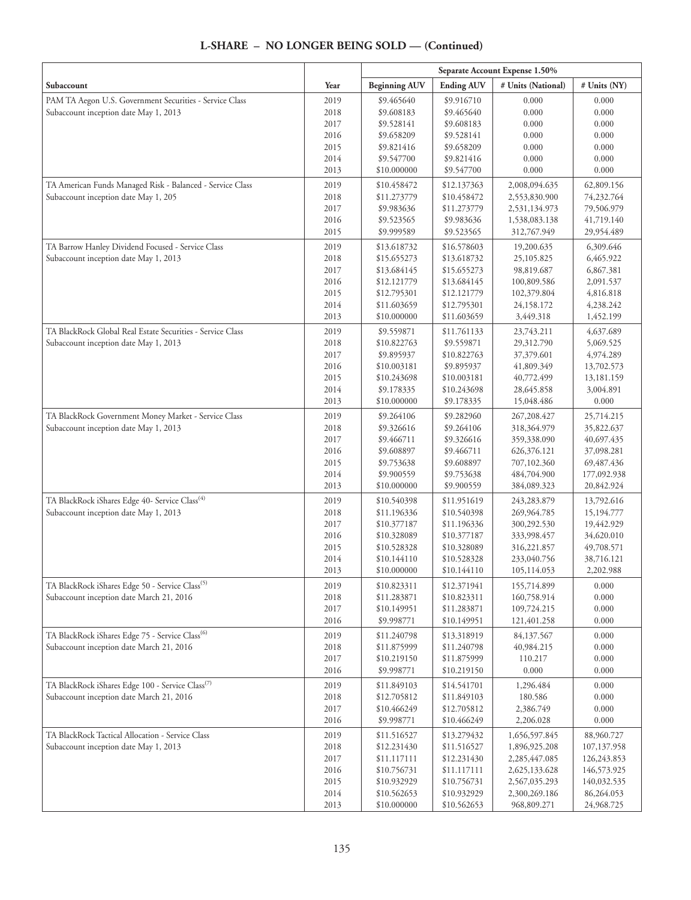|                                                                                                   |              | Separate Account Expense 1.50% |                            |                                |                            |
|---------------------------------------------------------------------------------------------------|--------------|--------------------------------|----------------------------|--------------------------------|----------------------------|
| Subaccount                                                                                        | Year         | <b>Beginning AUV</b>           | <b>Ending AUV</b>          | # Units (National)             | # Units (NY)               |
| PAM TA Aegon U.S. Government Securities - Service Class                                           | 2019         | \$9.465640                     | \$9.916710                 | 0.000                          | 0.000                      |
| Subaccount inception date May 1, 2013                                                             | 2018         | \$9.608183                     | \$9.465640                 | 0.000                          | 0.000                      |
|                                                                                                   | 2017         | \$9.528141                     | \$9.608183                 | 0.000                          | 0.000                      |
|                                                                                                   | 2016         | \$9.658209                     | \$9.528141                 | 0.000                          | 0.000                      |
|                                                                                                   | 2015         | \$9.821416                     | \$9.658209                 | 0.000                          | 0.000                      |
|                                                                                                   | 2014<br>2013 | \$9.547700<br>\$10.000000      | \$9.821416<br>\$9.547700   | 0.000<br>0.000                 | 0.000<br>0.000             |
|                                                                                                   |              |                                |                            | 2,008,094.635                  |                            |
| TA American Funds Managed Risk - Balanced - Service Class<br>Subaccount inception date May 1, 205 | 2019<br>2018 | \$10.458472<br>\$11.273779     | \$12.137363<br>\$10.458472 | 2,553,830.900                  | 62,809.156<br>74,232.764   |
|                                                                                                   | 2017         | \$9.983636                     | \$11.273779                | 2,531,134.973                  | 79,506.979                 |
|                                                                                                   | 2016         | \$9.523565                     | \$9.983636                 | 1,538,083.138                  | 41,719.140                 |
|                                                                                                   | 2015         | \$9.999589                     | \$9.523565                 | 312,767.949                    | 29,954.489                 |
| TA Barrow Hanley Dividend Focused - Service Class                                                 | 2019         | \$13.618732                    | \$16.578603                | 19,200.635                     | 6,309.646                  |
| Subaccount inception date May 1, 2013                                                             | 2018         | \$15.655273                    | \$13.618732                | 25,105.825                     | 6,465.922                  |
|                                                                                                   | 2017         | \$13.684145                    | \$15.655273                | 98,819.687                     | 6,867.381                  |
|                                                                                                   | 2016         | \$12.121779                    | \$13.684145                | 100,809.586                    | 2,091.537                  |
|                                                                                                   | 2015         | \$12.795301                    | \$12.121779                | 102,379.804                    | 4,816.818                  |
|                                                                                                   | 2014         | \$11.603659                    | \$12.795301                | 24,158.172                     | 4,238.242                  |
|                                                                                                   | 2013         | \$10.000000                    | \$11.603659                | 3,449.318                      | 1,452.199                  |
| TA BlackRock Global Real Estate Securities - Service Class                                        | 2019         | \$9.559871                     | \$11.761133                | 23,743.211                     | 4,637.689                  |
| Subaccount inception date May 1, 2013                                                             | 2018         | \$10.822763                    | \$9.559871                 | 29,312.790                     | 5,069.525                  |
|                                                                                                   | 2017<br>2016 | \$9.895937<br>\$10.003181      | \$10.822763<br>\$9.895937  | 37,379.601<br>41,809.349       | 4,974.289<br>13,702.573    |
|                                                                                                   | 2015         | \$10.243698                    | \$10.003181                | 40,772.499                     | 13,181.159                 |
|                                                                                                   | 2014         | \$9.178335                     | \$10.243698                | 28,645.858                     | 3,004.891                  |
|                                                                                                   | 2013         | \$10.000000                    | \$9.178335                 | 15,048.486                     | 0.000                      |
| TA BlackRock Government Money Market - Service Class                                              | 2019         | \$9.264106                     | \$9.282960                 | 267,208.427                    | 25,714.215                 |
| Subaccount inception date May 1, 2013                                                             | 2018         | \$9.326616                     | \$9.264106                 | 318,364.979                    | 35,822.637                 |
|                                                                                                   | 2017         | \$9.466711                     | \$9.326616                 | 359,338.090                    | 40,697.435                 |
|                                                                                                   | 2016         | \$9.608897                     | \$9.466711                 | 626,376.121                    | 37,098.281                 |
|                                                                                                   | 2015         | \$9.753638                     | \$9.608897                 | 707,102.360                    | 69,487.436                 |
|                                                                                                   | 2014         | \$9.900559                     | \$9.753638                 | 484,704.900                    | 177,092.938                |
|                                                                                                   | 2013         | \$10.000000                    | \$9.900559                 | 384,089.323                    | 20,842.924                 |
| TA BlackRock iShares Edge 40- Service Class <sup>(4)</sup>                                        | 2019         | \$10.540398                    | \$11.951619                | 243,283.879                    | 13,792.616                 |
| Subaccount inception date May 1, 2013                                                             | 2018         | \$11.196336                    | \$10.540398                | 269,964.785                    | 15,194.777                 |
|                                                                                                   | 2017         | \$10.377187                    | \$11.196336                | 300,292.530                    | 19,442.929                 |
|                                                                                                   | 2016<br>2015 | \$10.328089<br>\$10.528328     | \$10.377187<br>\$10.328089 | 333,998.457<br>316,221.857     | 34,620.010<br>49,708.571   |
|                                                                                                   | 2014         | \$10.144110                    | \$10.528328                | 233,040.756                    | 38,716.121                 |
|                                                                                                   | 2013         | \$10.000000                    | \$10.144110                | 105,114.053                    | 2,202.988                  |
| TA BlackRock iShares Edge 50 - Service Class <sup>(5)</sup>                                       | 2019         | \$10.823311                    | \$12.371941                | 155,714.899                    | 0.000                      |
| Subaccount inception date March 21, 2016                                                          | 2018         | \$11.283871                    | \$10.823311                | 160,758.914                    | 0.000                      |
|                                                                                                   | 2017         | \$10.149951                    | \$11.283871                | 109,724.215                    | 0.000                      |
|                                                                                                   | 2016         | \$9.998771                     | \$10.149951                | 121,401.258                    | 0.000                      |
| TA BlackRock iShares Edge 75 - Service Class <sup>(6)</sup>                                       | 2019         | \$11.240798                    | \$13.318919                | 84,137.567                     | 0.000                      |
| Subaccount inception date March 21, 2016                                                          | 2018         | \$11.875999                    | \$11.240798                | 40,984.215                     | 0.000                      |
|                                                                                                   | 2017         | \$10.219150                    | \$11.875999                | 110.217                        | 0.000                      |
|                                                                                                   | 2016         | \$9.998771                     | \$10.219150                | 0.000                          | 0.000                      |
| TA BlackRock iShares Edge 100 - Service Class <sup>(7)</sup>                                      | 2019         | \$11.849103                    | \$14.541701                | 1,296.484                      | 0.000                      |
| Subaccount inception date March 21, 2016                                                          | 2018         | \$12.705812                    | \$11.849103                | 180.586                        | 0.000                      |
|                                                                                                   | 2017         | \$10.466249                    | \$12.705812                | 2,386.749                      | 0.000                      |
|                                                                                                   | 2016         | \$9.998771                     | \$10.466249                | 2,206.028                      | 0.000                      |
| TA BlackRock Tactical Allocation - Service Class<br>Subaccount inception date May 1, 2013         | 2019<br>2018 | \$11.516527                    | \$13.279432                | 1,656,597.845                  | 88,960.727                 |
|                                                                                                   | 2017         | \$12.231430<br>\$11.117111     | \$11.516527<br>\$12.231430 | 1,896,925.208<br>2,285,447.085 | 107,137.958<br>126,243.853 |
|                                                                                                   | 2016         | \$10.756731                    | \$11.117111                | 2,625,133.628                  | 146,573.925                |
|                                                                                                   | 2015         | \$10.932929                    | \$10.756731                | 2,567,035.293                  | 140,032.535                |
|                                                                                                   | 2014         | \$10.562653                    | \$10.932929                | 2,300,269.186                  | 86,264.053                 |
|                                                                                                   | 2013         | \$10.000000                    | \$10.562653                | 968,809.271                    | 24,968.725                 |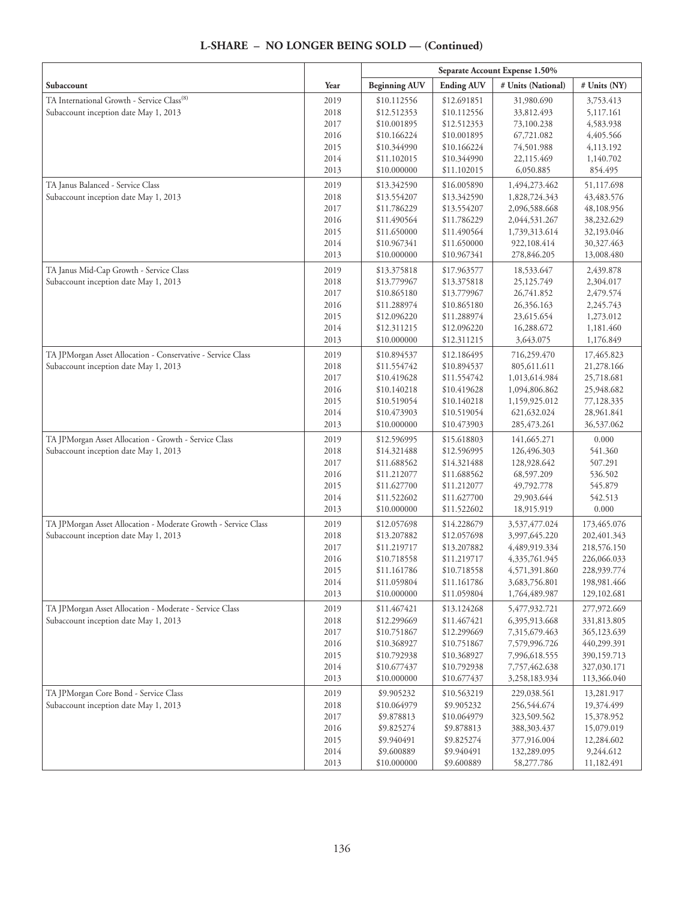#### **Separate Account Expense 1.50% Subaccount**  $\begin{array}{|c|c|c|c|c|}\hline \textbf{Year} & \textbf{Beginning AUV} & \textbf{Ending AUV} & \textbf{\# Units (National)} & \textbf{\# Units (NY)}\hline \end{array}$ TA International Growth - Service Class<sup>(8)</sup> Subaccount inception date May 1, 2013 2019 2018 2017 2016 2015 2014 2013 \$10.112556 \$12.512353 \$10.001895 \$10.166224 \$10.344990 \$11.102015 \$10.000000 \$12.691851 \$10.112556 \$12.512353 \$10.001895 \$10.166224 \$10.344990 \$11.102015 31,980.690 33,812.493 73,100.238 67,721.082 74,501.988 22,115.469 6,050.885 3,753.413 5,117.161 4,583.938 4,405.566 4,113.192 1,140.702 854.495 TA Janus Balanced - Service Class Subaccount inception date May 1, 2013 2019 2018 2017 2016 2015 2014 2013 \$13.342590 \$13.554207 \$11.786229 \$11.490564 \$11.650000 \$10.967341 \$10.000000 \$16.005890 \$13.342590 \$13.554207 \$11.786229 \$11.490564 \$11.650000 \$10.967341 1,494,273.462 1,828,724.343 2,096,588.668 2,044,531.267 1,739,313.614 922,108.414 278,846.205 51,117.698 43,483.576 48,108.956 38,232.629 32,193.046 30,327.463 13,008.480 TA Janus Mid-Cap Growth - Service Class Subaccount inception date May 1, 2013 2019 2018 2017 2016 2015 2014 2013 \$13.375818 \$13.779967 \$10.865180 \$11.288974 \$12.096220 \$12.311215 \$10.000000 \$17.963577 \$13.375818 \$13.779967 \$10.865180 \$11.288974 \$12.096220 \$12.311215 18,533.647 25,125.749 26,741.852 26,356.163 23,615.654 16,288.672 3,643.075 2,439.878 2,304.017 2,479.574 2,245.743 1,273.012 1,181.460 1,176.849 TA JPMorgan Asset Allocation - Conservative - Service Class Subaccount inception date May 1, 2013 2019 2018 2017 2016 2015 2014 2013 \$10.894537 \$11.554742 \$10.419628 \$10.140218 \$10.519054 \$10.473903 \$10.000000 \$12.186495 \$10.894537 \$11.554742 \$10.419628 \$10.140218 \$10.519054 \$10.473903 716,259.470 805,611.611 1,013,614.984 1,094,806.862 1,159,925.012 621,632.024 285,473.261 17,465.823 21,278.166 25,718.681 25,948.682 77,128.335 28,961.841 36,537.062 TA JPMorgan Asset Allocation - Growth - Service Class Subaccount inception date May 1, 2013 2019 2018 2017 2016 2015 2014 2013 \$12.596995 \$14.321488 \$11.688562 \$11.212077 \$11.627700 \$11.522602 \$10.000000 \$15.618803 \$12.596995 \$14.321488 \$11.688562 \$11.212077 \$11.627700 \$11.522602 141,665.271 126,496.303 128,928.642 68,597.209 49,792.778 29,903.644 18,915.919 0.000 541.360 507.291 536.502 545.879 542.513 0.000 TA JPMorgan Asset Allocation - Moderate Growth - Service Class Subaccount inception date May 1, 2013 2019 2018 2017 2016 2015 2014 2013 \$12.057698 \$13.207882 \$11.219717 \$10.718558 \$11.161786 \$11.059804 \$10.000000 \$14.228679 \$12.057698 \$13.207882 \$11.219717 \$10.718558 \$11.161786 \$11.059804 3,537,477.024 3,997,645.220 4,489,919.334 4,335,761.945 4,571,391.860 3,683,756.801 1,764,489.987 173,465.076 202,401.343 218,576.150 226,066.033 228,939.774 198,981.466 129,102.681 TA JPMorgan Asset Allocation - Moderate - Service Class Subaccount inception date May 1, 2013 2019 2018 2017 2016 2015 2014 2013 \$11.467421 \$12.299669 \$10.751867 \$10.368927 \$10.792938 \$10.677437 \$10.000000 \$13.124268 \$11.467421 \$12.299669 \$10.751867 \$10.368927 \$10.792938 \$10.677437 5,477,932.721 6,395,913.668 7,315,679.463 7,579,996.726 7,996,618.555 7,757,462.638 3,258,183.934 277,972.669 331,813.805 365,123.639 440,299.391 390,159.713 327,030.171 113,366.040 TA JPMorgan Core Bond - Service Class Subaccount inception date May 1, 2013 2019 2018 2017 2016 2015 2014 2013 \$9.905232 \$10.064979 \$9.878813 \$9.825274 \$9.940491 \$9.600889 \$10.000000 \$10.563219 \$9.905232 \$10.064979 \$9.878813 \$9.825274 \$9.940491 \$9.600889 229,038.561 256,544.674 323,509.562 388,303.437 377,916.004 132,289.095 58,277.786 13,281.917 19,374.499 15,378.952 15,079.019 12,284.602 9,244.612 11,182.491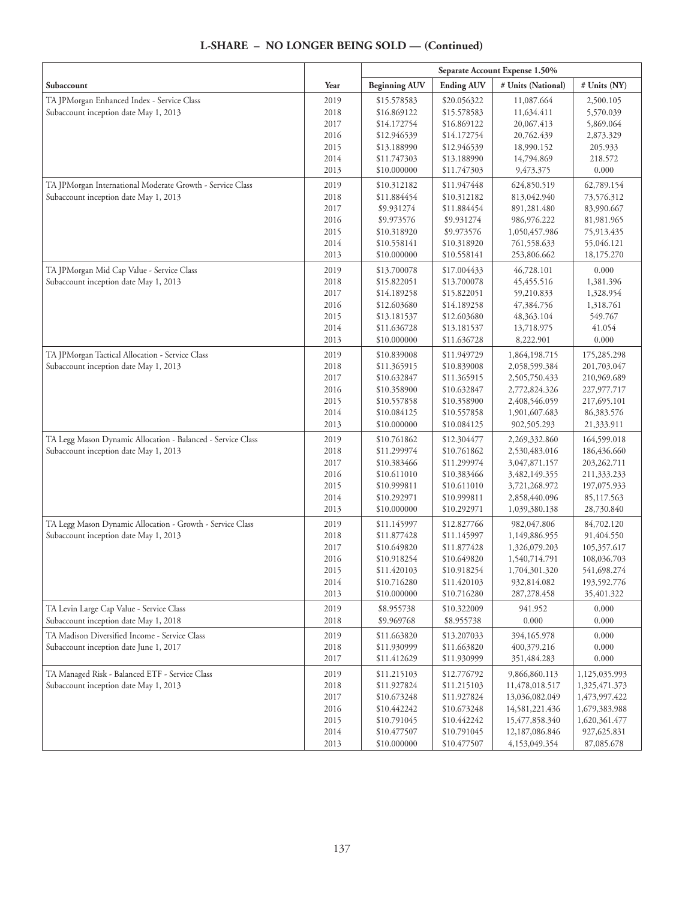|                                                             |      | Separate Account Expense 1.50% |                   |                    |               |
|-------------------------------------------------------------|------|--------------------------------|-------------------|--------------------|---------------|
| Subaccount                                                  | Year | <b>Beginning AUV</b>           | <b>Ending AUV</b> | # Units (National) | # Units (NY)  |
| TA JPMorgan Enhanced Index - Service Class                  | 2019 | \$15.578583                    | \$20.056322       | 11,087.664         | 2,500.105     |
| Subaccount inception date May 1, 2013                       | 2018 | \$16.869122                    | \$15.578583       | 11,634.411         | 5,570.039     |
|                                                             | 2017 | \$14.172754                    | \$16.869122       | 20,067.413         | 5,869.064     |
|                                                             | 2016 | \$12.946539                    | \$14.172754       | 20,762.439         | 2,873.329     |
|                                                             | 2015 | \$13.188990                    | \$12.946539       | 18,990.152         | 205.933       |
|                                                             | 2014 | \$11.747303                    | \$13.188990       | 14,794.869         | 218.572       |
|                                                             | 2013 | \$10.000000                    | \$11.747303       | 9,473.375          | 0.000         |
| TA JPMorgan International Moderate Growth - Service Class   | 2019 | \$10.312182                    | \$11.947448       | 624,850.519        | 62,789.154    |
| Subaccount inception date May 1, 2013                       | 2018 | \$11.884454                    | \$10.312182       | 813,042.940        | 73,576.312    |
|                                                             | 2017 | \$9.931274                     | \$11.884454       | 891,281.480        | 83,990.667    |
|                                                             | 2016 | \$9.973576                     | \$9.931274        | 986,976.222        | 81,981.965    |
|                                                             | 2015 | \$10.318920                    | \$9.973576        | 1,050,457.986      | 75,913.435    |
|                                                             | 2014 | \$10.558141                    | \$10.318920       | 761,558.633        | 55,046.121    |
|                                                             | 2013 | \$10.000000                    | \$10.558141       | 253,806.662        | 18,175.270    |
| TA JPMorgan Mid Cap Value - Service Class                   | 2019 | \$13.700078                    | \$17.004433       | 46,728.101         | 0.000         |
| Subaccount inception date May 1, 2013                       | 2018 | \$15.822051                    | \$13.700078       | 45,455.516         | 1,381.396     |
|                                                             | 2017 | \$14.189258                    | \$15.822051       | 59,210.833         | 1,328.954     |
|                                                             | 2016 | \$12.603680                    | \$14.189258       | 47,384.756         | 1,318.761     |
|                                                             | 2015 | \$13.181537                    | \$12.603680       | 48,363.104         | 549.767       |
|                                                             | 2014 | \$11.636728                    | \$13.181537       | 13,718.975         | 41.054        |
|                                                             | 2013 | \$10.000000                    | \$11.636728       | 8,222.901          | 0.000         |
| TA JPMorgan Tactical Allocation - Service Class             | 2019 | \$10.839008                    | \$11.949729       | 1,864,198.715      | 175,285.298   |
| Subaccount inception date May 1, 2013                       | 2018 | \$11.365915                    | \$10.839008       | 2,058,599.384      | 201,703.047   |
|                                                             | 2017 | \$10.632847                    | \$11.365915       | 2,505,750.433      | 210,969.689   |
|                                                             | 2016 | \$10.358900                    | \$10.632847       | 2,772,824.326      | 227,977.717   |
|                                                             | 2015 | \$10.557858                    | \$10.358900       | 2,408,546.059      | 217,695.101   |
|                                                             | 2014 | \$10.084125                    | \$10.557858       | 1,901,607.683      | 86,383.576    |
|                                                             | 2013 | \$10.000000                    | \$10.084125       | 902,505.293        | 21,333.911    |
| TA Legg Mason Dynamic Allocation - Balanced - Service Class | 2019 | \$10.761862                    | \$12.304477       | 2,269,332.860      | 164,599.018   |
| Subaccount inception date May 1, 2013                       | 2018 | \$11.299974                    | \$10.761862       | 2,530,483.016      | 186,436.660   |
|                                                             | 2017 | \$10.383466                    | \$11.299974       | 3,047,871.157      | 203,262.711   |
|                                                             | 2016 | \$10.611010                    | \$10.383466       | 3,482,149.355      | 211,333.233   |
|                                                             | 2015 | \$10.999811                    | \$10.611010       | 3,721,268.972      | 197,075.933   |
|                                                             | 2014 | \$10.292971                    | \$10.999811       | 2,858,440.096      | 85,117.563    |
|                                                             | 2013 | \$10.000000                    | \$10.292971       | 1,039,380.138      | 28,730.840    |
| TA Legg Mason Dynamic Allocation - Growth - Service Class   | 2019 | \$11.145997                    | \$12.827766       | 982,047.806        | 84,702.120    |
| Subaccount inception date May 1, 2013                       | 2018 | \$11.877428                    | \$11.145997       | 1,149,886.955      | 91,404.550    |
|                                                             | 2017 | \$10.649820                    | \$11.877428       | 1,326,079.203      | 105,357.617   |
|                                                             | 2016 | \$10.918254                    | \$10.649820       | 1,540,714.791      | 108,036.703   |
|                                                             | 2015 | \$11.420103                    | \$10.918254       | 1,704,301.320      | 541,698.274   |
|                                                             | 2014 | \$10.716280                    | \$11.420103       | 932,814.082        | 193,592.776   |
|                                                             | 2013 | \$10.000000                    | \$10.716280       | 287, 278. 458      | 35,401.322    |
| TA Levin Large Cap Value - Service Class                    | 2019 | \$8.955738                     | \$10.322009       | 941.952            | 0.000         |
| Subaccount inception date May 1, 2018                       | 2018 | \$9.969768                     | \$8.955738        | 0.000              | 0.000         |
| TA Madison Diversified Income - Service Class               | 2019 | \$11.663820                    | \$13.207033       | 394,165.978        | 0.000         |
| Subaccount inception date June 1, 2017                      | 2018 | \$11.930999                    | \$11.663820       | 400,379.216        | 0.000         |
|                                                             | 2017 | \$11.412629                    | \$11.930999       | 351,484.283        | 0.000         |
| TA Managed Risk - Balanced ETF - Service Class              | 2019 | \$11.215103                    | \$12.776792       | 9,866,860.113      | 1,125,035.993 |
| Subaccount inception date May 1, 2013                       | 2018 | \$11.927824                    | \$11.215103       | 11,478,018.517     | 1,325,471.373 |
|                                                             | 2017 | \$10.673248                    | \$11.927824       | 13,036,082.049     | 1,473,997.422 |
|                                                             | 2016 | \$10.442242                    | \$10.673248       | 14,581,221.436     | 1,679,383.988 |
|                                                             | 2015 | \$10.791045                    | \$10.442242       | 15,477,858.340     | 1,620,361.477 |
|                                                             | 2014 | \$10.477507                    | \$10.791045       | 12,187,086.846     | 927,625.831   |
|                                                             | 2013 | \$10.000000                    | \$10.477507       | 4,153,049.354      | 87,085.678    |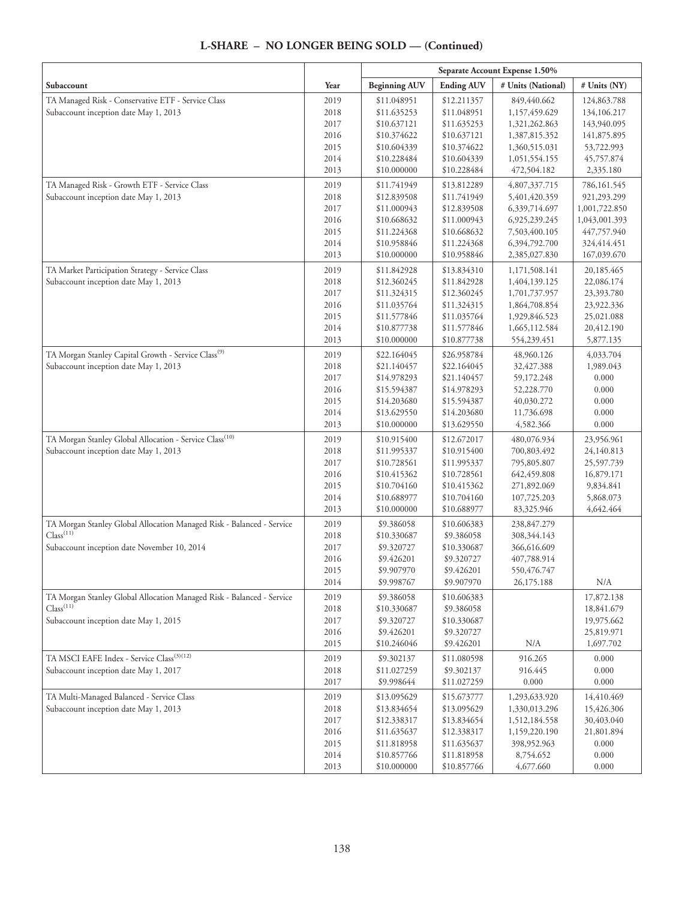|                                                                                                          |              | Separate Account Expense 1.50% |                            |                              |                         |
|----------------------------------------------------------------------------------------------------------|--------------|--------------------------------|----------------------------|------------------------------|-------------------------|
| Subaccount                                                                                               | Year         | <b>Beginning AUV</b>           | <b>Ending AUV</b>          | # Units (National)           | # Units (NY)            |
| TA Managed Risk - Conservative ETF - Service Class                                                       | 2019         | \$11.048951                    | \$12.211357                | 849,440.662                  | 124,863.788             |
| Subaccount inception date May 1, 2013                                                                    | 2018         | \$11.635253                    | \$11.048951                | 1,157,459.629                | 134,106.217             |
|                                                                                                          | 2017         | \$10.637121                    | \$11.635253                | 1,321,262.863                | 143,940.095             |
|                                                                                                          | 2016         | \$10.374622                    | \$10.637121                | 1,387,815.352                | 141,875.895             |
|                                                                                                          | 2015         | \$10.604339                    | \$10.374622                | 1,360,515.031                | 53,722.993              |
|                                                                                                          | 2014         | \$10.228484                    | \$10.604339                | 1,051,554.155                | 45,757.874              |
|                                                                                                          | 2013         | \$10.000000                    | \$10.228484                | 472,504.182                  | 2,335.180               |
| TA Managed Risk - Growth ETF - Service Class                                                             | 2019         | \$11.741949                    | \$13.812289                | 4,807,337.715                | 786,161.545             |
| Subaccount inception date May 1, 2013                                                                    | 2018         | \$12.839508                    | \$11.741949                | 5,401,420.359                | 921,293.299             |
|                                                                                                          | 2017         | \$11.000943                    | \$12.839508                | 6,339,714.697                | 1,001,722.850           |
|                                                                                                          | 2016         | \$10.668632                    | \$11.000943                | 6,925,239.245                | 1,043,001.393           |
|                                                                                                          | 2015         | \$11.224368                    | \$10.668632                | 7,503,400.105                | 447,757.940             |
|                                                                                                          | 2014         | \$10.958846                    | \$11.224368                | 6,394,792.700                | 324,414.451             |
|                                                                                                          | 2013         | \$10.000000                    | \$10.958846                | 2,385,027.830                | 167,039.670             |
| TA Market Participation Strategy - Service Class                                                         | 2019         | \$11.842928                    | \$13.834310                | 1,171,508.141                | 20,185.465              |
| Subaccount inception date May 1, 2013                                                                    | 2018         | \$12.360245                    | \$11.842928                | 1,404,139.125                | 22,086.174              |
|                                                                                                          | 2017         | \$11.324315                    | \$12.360245                | 1,701,737.957                | 23,393.780              |
|                                                                                                          | 2016         | \$11.035764                    | \$11.324315                | 1,864,708.854                | 23,922.336              |
|                                                                                                          | 2015         | \$11.577846                    | \$11.035764                | 1,929,846.523                | 25,021.088              |
|                                                                                                          | 2014<br>2013 | \$10.877738<br>\$10.000000     | \$11.577846<br>\$10.877738 | 1,665,112.584<br>554,239.451 | 20,412.190<br>5,877.135 |
|                                                                                                          |              |                                |                            |                              |                         |
| TA Morgan Stanley Capital Growth - Service Class <sup>(9)</sup><br>Subaccount inception date May 1, 2013 | 2019         | \$22.164045                    | \$26.958784                | 48,960.126                   | 4,033.704               |
|                                                                                                          | 2018         | \$21.140457                    | \$22.164045                | 32,427.388                   | 1,989.043               |
|                                                                                                          | 2017<br>2016 | \$14.978293<br>\$15.594387     | \$21.140457<br>\$14.978293 | 59,172.248<br>52,228.770     | 0.000<br>0.000          |
|                                                                                                          | 2015         | \$14.203680                    | \$15.594387                | 40,030.272                   | 0.000                   |
|                                                                                                          | 2014         | \$13.629550                    | \$14.203680                | 11,736.698                   | 0.000                   |
|                                                                                                          | 2013         | \$10.000000                    | \$13.629550                | 4,582.366                    | 0.000                   |
| TA Morgan Stanley Global Allocation - Service Class <sup>(10)</sup>                                      | 2019         | \$10.915400                    | \$12.672017                | 480,076.934                  | 23,956.961              |
| Subaccount inception date May 1, 2013                                                                    | 2018         | \$11.995337                    | \$10.915400                | 700,803.492                  | 24,140.813              |
|                                                                                                          | 2017         | \$10.728561                    | \$11.995337                | 795,805.807                  | 25,597.739              |
|                                                                                                          | 2016         | \$10.415362                    | \$10.728561                | 642, 459.808                 | 16,879.171              |
|                                                                                                          | 2015         | \$10.704160                    | \$10.415362                | 271,892.069                  | 9,834.841               |
|                                                                                                          | 2014         | \$10.688977                    | \$10.704160                | 107,725.203                  | 5,868.073               |
|                                                                                                          | 2013         | \$10.000000                    | \$10.688977                | 83,325.946                   | 4,642.464               |
| TA Morgan Stanley Global Allocation Managed Risk - Balanced - Service                                    | 2019         | \$9.386058                     | \$10.606383                | 238,847.279                  |                         |
| Class <sup>(11)</sup>                                                                                    | 2018         | \$10.330687                    | \$9.386058                 | 308,344.143                  |                         |
| Subaccount inception date November 10, 2014                                                              | 2017         | \$9.320727                     | \$10.330687                | 366,616.609                  |                         |
|                                                                                                          | 2016         | \$9.426201                     | \$9.320727                 | 407,788.914                  |                         |
|                                                                                                          | 2015         | \$9.907970                     | \$9.426201                 | 550, 476. 747                |                         |
|                                                                                                          | 2014         | \$9.998767                     | \$9.907970                 | 26,175.188                   | N/A                     |
| TA Morgan Stanley Global Allocation Managed Risk - Balanced - Service                                    | 2019         | \$9.386058                     | \$10.606383                |                              | 17,872.138              |
| Class <sup>(11)</sup>                                                                                    | 2018         | \$10.330687                    | \$9.386058                 |                              | 18,841.679              |
| Subaccount inception date May 1, 2015                                                                    | 2017         | \$9.320727                     | \$10.330687                |                              | 19,975.662              |
|                                                                                                          | 2016         | \$9.426201                     | \$9.320727                 |                              | 25,819.971              |
|                                                                                                          | 2015         | \$10.246046                    | \$9.426201                 | N/A                          | 1,697.702               |
| TA MSCI EAFE Index - Service Class <sup>(3)(12)</sup>                                                    | 2019         | \$9.302137                     | \$11.080598                | 916.265                      | 0.000                   |
| Subaccount inception date May 1, 2017                                                                    | 2018         | \$11.027259                    | \$9.302137                 | 916.445                      | 0.000                   |
|                                                                                                          | 2017         | \$9.998644                     | \$11.027259                | 0.000                        | $0.000\,$               |
| TA Multi-Managed Balanced - Service Class                                                                | 2019         | \$13.095629                    | \$15.673777                | 1,293,633.920                | 14,410.469              |
| Subaccount inception date May 1, 2013                                                                    | 2018         | \$13.834654                    | \$13.095629                | 1,330,013.296                | 15,426.306              |
|                                                                                                          | 2017         | \$12.338317                    | \$13.834654                | 1,512,184.558                | 30,403.040              |
|                                                                                                          | 2016         | \$11.635637                    | \$12.338317                | 1,159,220.190                | 21,801.894              |
|                                                                                                          | 2015         | \$11.818958                    | \$11.635637                | 398,952.963                  | 0.000                   |
|                                                                                                          | 2014         | \$10.857766                    | \$11.818958                | 8,754.652                    | 0.000                   |
|                                                                                                          | 2013         | \$10.000000                    | \$10.857766                | 4,677.660                    | 0.000                   |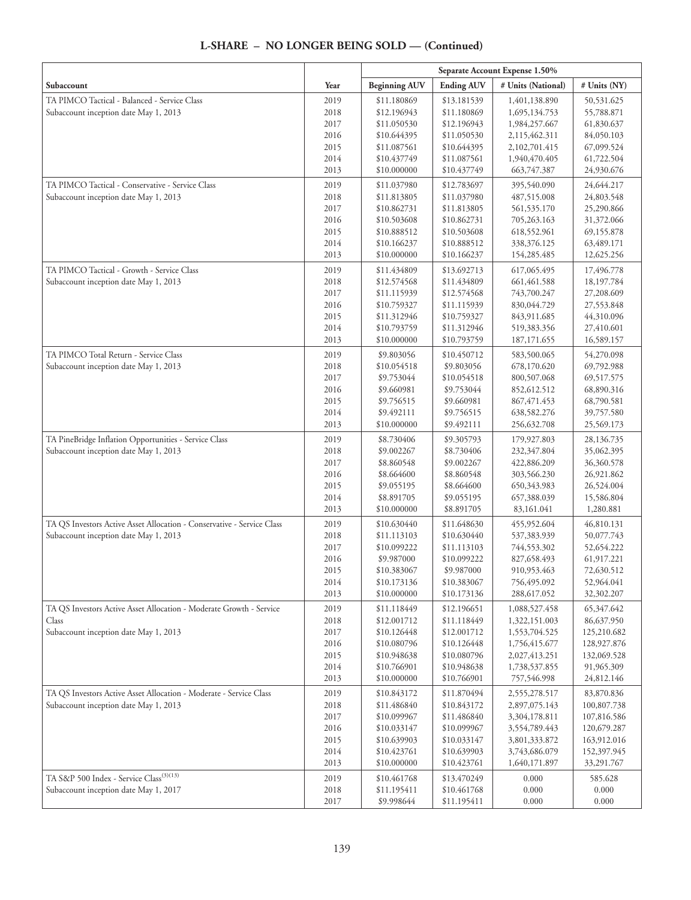|                                                                                                                 |              | Separate Account Expense 1.50% |                            |                            |                          |
|-----------------------------------------------------------------------------------------------------------------|--------------|--------------------------------|----------------------------|----------------------------|--------------------------|
| Subaccount                                                                                                      | Year         | <b>Beginning AUV</b>           | <b>Ending AUV</b>          | # Units (National)         | # Units (NY)             |
| TA PIMCO Tactical - Balanced - Service Class                                                                    | 2019         | \$11.180869                    | \$13.181539                | 1,401,138.890              | 50,531.625               |
| Subaccount inception date May 1, 2013                                                                           | 2018         | \$12.196943                    | \$11.180869                | 1,695,134.753              | 55,788.871               |
|                                                                                                                 | 2017         | \$11.050530                    | \$12.196943                | 1,984,257.667              | 61,830.637               |
|                                                                                                                 | 2016         | \$10.644395                    | \$11.050530                | 2,115,462.311              | 84,050.103               |
|                                                                                                                 | 2015         | \$11.087561                    | \$10.644395                | 2,102,701.415              | 67,099.524               |
|                                                                                                                 | 2014         | \$10.437749                    | \$11.087561                | 1,940,470.405              | 61,722.504               |
|                                                                                                                 | 2013         | \$10.000000                    | \$10.437749                | 663,747.387                | 24,930.676               |
| TA PIMCO Tactical - Conservative - Service Class                                                                | 2019         | \$11.037980                    | \$12.783697                | 395,540.090                | 24,644.217               |
| Subaccount inception date May 1, 2013                                                                           | 2018         | \$11.813805                    | \$11.037980                | 487,515.008                | 24,803.548               |
|                                                                                                                 | 2017         | \$10.862731                    | \$11.813805                | 561,535.170                | 25,290.866               |
|                                                                                                                 | 2016         | \$10.503608                    | \$10.862731                | 705,263.163                | 31,372.066               |
|                                                                                                                 | 2015         | \$10.888512                    | \$10.503608                | 618,552.961                | 69,155.878               |
|                                                                                                                 | 2014         | \$10.166237                    | \$10.888512                | 338,376.125                | 63,489.171               |
|                                                                                                                 | 2013         | \$10.000000                    | \$10.166237                | 154,285.485                | 12,625.256               |
| TA PIMCO Tactical - Growth - Service Class                                                                      | 2019         | \$11.434809                    | \$13.692713                | 617,065.495                | 17,496.778               |
| Subaccount inception date May 1, 2013                                                                           | 2018         | \$12.574568                    | \$11.434809                | 661,461.588                | 18,197.784               |
|                                                                                                                 | 2017         | \$11.115939                    | \$12.574568                | 743,700.247                | 27,208.609               |
|                                                                                                                 | 2016         | \$10.759327                    | \$11.115939                | 830,044.729                | 27,553.848               |
|                                                                                                                 | 2015         | \$11.312946                    | \$10.759327                | 843,911.685                | 44,310.096               |
|                                                                                                                 | 2014         | \$10.793759                    | \$11.312946                | 519,383.356                | 27,410.601               |
|                                                                                                                 | 2013         | \$10.000000                    | \$10.793759                | 187, 171.655               | 16,589.157               |
| TA PIMCO Total Return - Service Class                                                                           | 2019         | \$9.803056                     | \$10.450712                | 583,500.065                | 54,270.098               |
| Subaccount inception date May 1, 2013                                                                           | 2018         | \$10.054518                    | \$9.803056                 | 678,170.620                | 69,792.988               |
|                                                                                                                 | 2017         | \$9.753044                     | \$10.054518                | 800,507.068                | 69,517.575               |
|                                                                                                                 | 2016         | \$9.660981                     | \$9.753044                 | 852,612.512                | 68,890.316               |
|                                                                                                                 | 2015         | \$9.756515                     | \$9.660981                 | 867, 471. 453              | 68,790.581               |
|                                                                                                                 | 2014         | \$9.492111                     | \$9.756515                 | 638,582.276                | 39,757.580               |
|                                                                                                                 | 2013         | \$10.000000                    | \$9.492111                 | 256,632.708                | 25,569.173               |
| TA PineBridge Inflation Opportunities - Service Class                                                           | 2019         | \$8.730406                     | \$9.305793                 | 179,927.803                | 28,136.735               |
| Subaccount inception date May 1, 2013                                                                           | 2018         | \$9.002267                     | \$8.730406                 | 232,347.804                | 35,062.395               |
|                                                                                                                 | 2017         | \$8.860548                     | \$9.002267                 | 422,886.209                | 36,360.578               |
|                                                                                                                 | 2016<br>2015 | \$8.664600<br>\$9.055195       | \$8.860548<br>\$8.664600   | 303,566.230<br>650,343.983 | 26,921.862<br>26,524.004 |
|                                                                                                                 | 2014         | \$8.891705                     | \$9.055195                 | 657,388.039                | 15,586.804               |
|                                                                                                                 | 2013         | \$10.000000                    | \$8.891705                 | 83,161.041                 | 1,280.881                |
|                                                                                                                 |              | \$10.630440                    |                            |                            |                          |
| TA QS Investors Active Asset Allocation - Conservative - Service Class<br>Subaccount inception date May 1, 2013 | 2019<br>2018 | \$11.113103                    | \$11.648630<br>\$10.630440 | 455,952.604<br>537,383.939 | 46,810.131<br>50,077.743 |
|                                                                                                                 | 2017         | \$10.099222                    | \$11.113103                | 744,553.302                | 52,654.222               |
|                                                                                                                 | 2016         | \$9.987000                     | \$10.099222                | 827,658.493                | 61,917.221               |
|                                                                                                                 | 2015         | \$10.383067                    | \$9.987000                 | 910,953.463                | 72,630.512               |
|                                                                                                                 | 2014         | \$10.173136                    | \$10.383067                | 756,495.092                | 52,964.041               |
|                                                                                                                 | 2013         | \$10.000000                    | \$10.173136                | 288,617.052                | 32,302.207               |
| TA QS Investors Active Asset Allocation - Moderate Growth - Service                                             | 2019         | \$11.118449                    | \$12.196651                | 1,088,527.458              | 65,347.642               |
| Class                                                                                                           | 2018         | \$12.001712                    | \$11.118449                | 1,322,151.003              | 86,637.950               |
| Subaccount inception date May 1, 2013                                                                           | 2017         | \$10.126448                    | \$12.001712                | 1,553,704.525              | 125,210.682              |
|                                                                                                                 | 2016         | \$10.080796                    | \$10.126448                | 1,756,415.677              | 128,927.876              |
|                                                                                                                 | 2015         | \$10.948638                    | \$10.080796                | 2,027,413.251              | 132,069.528              |
|                                                                                                                 | 2014         | \$10.766901                    | \$10.948638                | 1,738,537.855              | 91,965.309               |
|                                                                                                                 | 2013         | \$10.000000                    | \$10.766901                | 757,546.998                | 24,812.146               |
| TA QS Investors Active Asset Allocation - Moderate - Service Class                                              | 2019         | \$10.843172                    | \$11.870494                | 2,555,278.517              | 83,870.836               |
| Subaccount inception date May 1, 2013                                                                           | 2018         | \$11.486840                    | \$10.843172                | 2,897,075.143              | 100,807.738              |
|                                                                                                                 | 2017         | \$10.099967                    | \$11.486840                | 3,304,178.811              | 107,816.586              |
|                                                                                                                 | 2016         | \$10.033147                    | \$10.099967                | 3,554,789.443              | 120,679.287              |
|                                                                                                                 | 2015         | \$10.639903                    | \$10.033147                | 3,801,333.872              | 163,912.016              |
|                                                                                                                 | 2014         | \$10.423761                    | \$10.639903                | 3,743,686.079              | 152,397.945              |
|                                                                                                                 | 2013         | \$10.000000                    | \$10.423761                | 1,640,171.897              | 33,291.767               |
| TA S&P 500 Index - Service Class <sup>(3)(13)</sup>                                                             | 2019         | \$10.461768                    | \$13.470249                | 0.000                      | 585.628                  |
| Subaccount inception date May 1, 2017                                                                           | 2018         | \$11.195411                    | \$10.461768                | 0.000                      | 0.000                    |
|                                                                                                                 | 2017         | \$9.998644                     | \$11.195411                | 0.000                      | 0.000                    |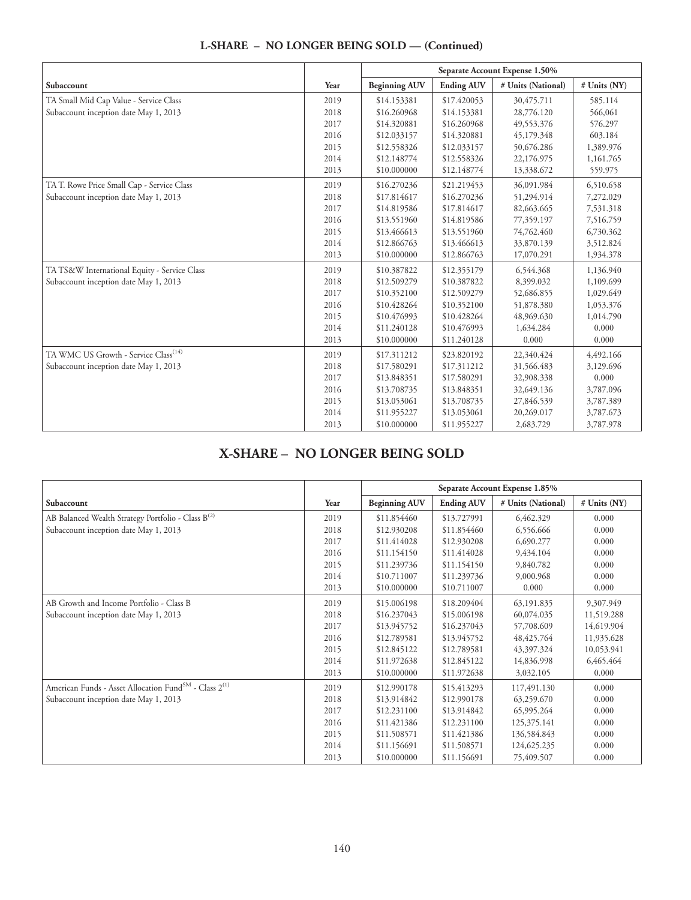|                                                  |      | Separate Account Expense 1.50% |                   |                    |              |
|--------------------------------------------------|------|--------------------------------|-------------------|--------------------|--------------|
| Subaccount                                       | Year | <b>Beginning AUV</b>           | <b>Ending AUV</b> | # Units (National) | # Units (NY) |
| TA Small Mid Cap Value - Service Class           | 2019 | \$14.153381                    | \$17.420053       | 30,475.711         | 585.114      |
| Subaccount inception date May 1, 2013            | 2018 | \$16,260968                    | \$14.153381       | 28,776.120         | 566,061      |
|                                                  | 2017 | \$14.320881                    | \$16.260968       | 49,553.376         | 576.297      |
|                                                  | 2016 | \$12.033157                    | \$14.320881       | 45,179.348         | 603.184      |
|                                                  | 2015 | \$12.558326                    | \$12.033157       | 50,676.286         | 1,389.976    |
|                                                  | 2014 | \$12.148774                    | \$12,558326       | 22,176.975         | 1,161.765    |
|                                                  | 2013 | \$10.000000                    | \$12.148774       | 13,338.672         | 559.975      |
| TA T. Rowe Price Small Cap - Service Class       | 2019 | \$16.270236                    | \$21.219453       | 36,091.984         | 6,510.658    |
| Subaccount inception date May 1, 2013            | 2018 | \$17.814617                    | \$16.270236       | 51,294.914         | 7,272.029    |
|                                                  | 2017 | \$14.819586                    | \$17.814617       | 82,663.665         | 7,531.318    |
|                                                  | 2016 | \$13.551960                    | \$14.819586       | 77,359.197         | 7,516.759    |
|                                                  | 2015 | \$13.466613                    | \$13.551960       | 74,762.460         | 6,730.362    |
|                                                  | 2014 | \$12.866763                    | \$13.466613       | 33,870.139         | 3,512.824    |
|                                                  | 2013 | \$10.000000                    | \$12.866763       | 17,070.291         | 1,934.378    |
| TA TS&W International Equity - Service Class     | 2019 | \$10.387822                    | \$12.355179       | 6,544.368          | 1,136.940    |
| Subaccount inception date May 1, 2013            | 2018 | \$12.509279                    | \$10.387822       | 8,399.032          | 1,109.699    |
|                                                  | 2017 | \$10.352100                    | \$12.509279       | 52,686.855         | 1,029.649    |
|                                                  | 2016 | \$10.428264                    | \$10.352100       | 51,878.380         | 1,053.376    |
|                                                  | 2015 | \$10.476993                    | \$10.428264       | 48,969.630         | 1,014.790    |
|                                                  | 2014 | \$11.240128                    | \$10.476993       | 1,634.284          | 0.000        |
|                                                  | 2013 | \$10.000000                    | \$11.240128       | 0.000              | 0.000        |
| TA WMC US Growth - Service Class <sup>(14)</sup> | 2019 | \$17.311212                    | \$23.820192       | 22,340.424         | 4,492.166    |
| Subaccount inception date May 1, 2013            | 2018 | \$17.580291                    | \$17.311212       | 31,566.483         | 3,129.696    |
|                                                  | 2017 | \$13.848351                    | \$17.580291       | 32,908.338         | 0.000        |
|                                                  | 2016 | \$13.708735                    | \$13.848351       | 32,649.136         | 3,787.096    |
|                                                  | 2015 | \$13.053061                    | \$13.708735       | 27,846.539         | 3,787.389    |
|                                                  | 2014 | \$11.955227                    | \$13.053061       | 20,269.017         | 3,787.673    |
|                                                  | 2013 | \$10.000000                    | \$11.955227       | 2,683.729          | 3,787.978    |

# **X-SHARE – NO LONGER BEING SOLD**

|                                                                               |      | Separate Account Expense 1.85% |                   |                    |                |
|-------------------------------------------------------------------------------|------|--------------------------------|-------------------|--------------------|----------------|
| Subaccount                                                                    | Year | <b>Beginning AUV</b>           | <b>Ending AUV</b> | # Units (National) | $#$ Units (NY) |
| AB Balanced Wealth Strategy Portfolio - Class B <sup>(2)</sup>                | 2019 | \$11.854460                    | \$13.727991       | 6,462.329          | 0.000          |
| Subaccount inception date May 1, 2013                                         | 2018 | \$12.930208                    | \$11.854460       | 6,556.666          | 0.000          |
|                                                                               | 2017 | \$11.414028                    | \$12.930208       | 6,690.277          | 0.000          |
|                                                                               | 2016 | \$11.154150                    | \$11.414028       | 9,434.104          | 0.000          |
|                                                                               | 2015 | \$11.239736                    | \$11.154150       | 9,840.782          | 0.000          |
|                                                                               | 2014 | \$10.711007                    | \$11.239736       | 9,000.968          | 0.000          |
|                                                                               | 2013 | \$10,000000                    | \$10.711007       | 0.000              | 0.000          |
| AB Growth and Income Portfolio - Class B                                      | 2019 | \$15.006198                    | \$18.209404       | 63,191.835         | 9,307.949      |
| Subaccount inception date May 1, 2013                                         | 2018 | \$16.237043                    | \$15,006198       | 60,074.035         | 11,519.288     |
|                                                                               | 2017 | \$13.945752                    | \$16.237043       | 57,708.609         | 14,619.904     |
|                                                                               | 2016 | \$12.789581                    | \$13.945752       | 48, 425, 764       | 11,935.628     |
|                                                                               | 2015 | \$12.845122                    | \$12.789581       | 43,397.324         | 10,053.941     |
|                                                                               | 2014 | \$11.972638                    | \$12.845122       | 14,836.998         | 6,465.464      |
|                                                                               | 2013 | \$10.000000                    | \$11.972638       | 3,032,105          | 0.000          |
| American Funds - Asset Allocation Fund <sup>SM</sup> - Class 2 <sup>(1)</sup> | 2019 | \$12.990178                    | \$15.413293       | 117,491.130        | 0.000          |
| Subaccount inception date May 1, 2013                                         | 2018 | \$13.914842                    | \$12.990178       | 63,259.670         | 0.000          |
|                                                                               | 2017 | \$12.231100                    | \$13.914842       | 65,995.264         | 0.000          |
|                                                                               | 2016 | \$11.421386                    | \$12.231100       | 125,375.141        | 0.000          |
|                                                                               | 2015 | \$11.508571                    | \$11.421386       | 136,584.843        | 0.000          |
|                                                                               | 2014 | \$11.156691                    | \$11.508571       | 124,625.235        | 0.000          |
|                                                                               | 2013 | \$10,000000                    | \$11.156691       | 75,409.507         | 0.000          |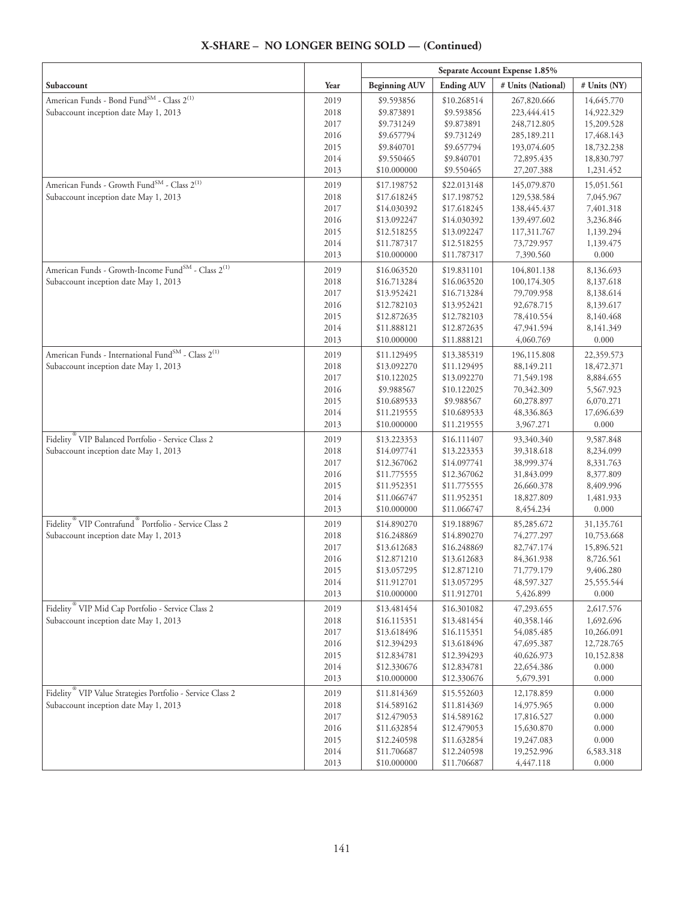#### **Separate Account Expense 1.85% Subaccount**  $\begin{array}{|c|c|c|c|c|}\hline \textbf{Year} & \textbf{Beginning AUV} & \textbf{Ending AUV} & \textbf{\# Units (National)} & \textbf{\# Units (NY)}\hline \end{array}$ American Funds - Bond Fund<br/> $^{\rm SM}$  - Class  $2^{(1)}$ Subaccount inception date May 1, 2013 2019 2018 2017 2016 2015 2014 2013 \$9.593856 \$9.873891 \$9.731249 \$9.657794 \$9.840701 \$9.550465 \$10.000000 \$10.268514 \$9.593856 \$9.873891 \$9.731249 \$9.657794 \$9.840701 \$9.550465 267,820.666 223,444.415 248,712.805 285,189.211 193,074.605 72,895.435 27,207.388 14,645.770 14,922.329 15,209.528 17,468.143 18,732.238 18,830.797 1,231.452 American Funds - Growth Fund<sup>SM</sup> - Class  $2^{(1)}$ Subaccount inception date May 1, 2013 2019 2018 2017 2016 2015 2014 2013 \$17.198752 \$17.618245 \$14.030392 \$13.092247 \$12.518255 \$11.787317 \$10.000000 \$22.013148 \$17.198752 \$17.618245 \$14.030392 \$13.092247 \$12.518255 \$11.787317 145,079.870 129,538.584 138,445.437 139,497.602 117,311.767 73,729.957 7,390.560 15,051.561 7,045.967 7,401.318 3,236.846 1,139.294 1,139.475 0.000 American Funds - Growth-Income Fund<sup>SM</sup> - Class 2<sup>(1)</sup> Subaccount inception date May 1, 2013 2019 2018 2017 2016 2015 2014 2013 \$16.063520 \$16.713284 \$13.952421 \$12.782103 \$12.872635 \$11.888121 \$10.000000 \$19.831101 \$16.063520 \$16.713284 \$13.952421 \$12.782103 \$12.872635 \$11.888121 104,801.138 100,174.305 79,709.958 92,678.715 78,410.554 47,941.594 4,060.769 8,136.693 8,137.618 8,138.614 8,139.617 8,140.468 8,141.349 0.000 American Funds - International Fund<sup>SM</sup> - Class 2<sup>(1)</sup> Subaccount inception date May 1, 2013 2019 2018 2017 2016 2015 2014 2013 \$11.129495 \$13.092270 \$10.122025 \$9.988567 \$10.689533 \$11.219555 \$10.000000 \$13.385319 \$11.129495 \$13.092270 \$10.122025 \$9.988567 \$10.689533 \$11.219555 196,115.808 88,149.211 71,549.198 70,342.309 60,278.897 48,336.863 3,967.271 22,359.573 18,472.371 8,884.655 5,567.923 6,070.271 17,696.639 0.000 Fidelity ® VIP Balanced Portfolio - Service Class 2 Subaccount inception date May 1, 2013 2019 2018 2017 2016 2015 2014 2013 \$13.223353 \$14.097741 \$12.367062 \$11.775555 \$11.952351 \$11.066747 \$10.000000 \$16.111407 \$13.223353 \$14.097741 \$12.367062 \$11.775555 \$11.952351 \$11.066747 93,340.340 39,318.618 38,999.374 31,843.099 26,660.378 18,827.809 8,454.234 9,587.848 8,234.099 8,331.763 8,377.809 8,409.996 1,481.933 0.000 Fidelity ® VIP Contrafund ® Portfolio - Service Class 2 Subaccount inception date May 1, 2013 2019 2018 2017 2016 2015 2014 2013 \$14.890270 \$16.248869 \$13.612683 \$12.871210 \$13.057295 \$11.912701 \$10.000000 \$19.188967 \$14.890270 \$16.248869 \$13.612683 \$12.871210 \$13.057295 \$11.912701 85,285.672 74,277.297 82,747.174 84,361.938 71,779.179 48,597.327 5,426.899 31,135.761 10,753.668 15,896.521 8,726.561 9,406.280 25,555.544 0.000 Fidelity ® VIP Mid Cap Portfolio - Service Class 2 Subaccount inception date May 1, 2013 2019 2018 2017 2016 2015 2014 2013 \$13.481454 \$16.115351 \$13.618496 \$12.394293 \$12.834781 \$12.330676 \$10.000000 \$16.301082 \$13.481454 \$16.115351 \$13.618496 \$12.394293 \$12.834781 \$12.330676 47,293.655 40,358.146 54,085.485 47,695.387 40,626.973 22,654.386 5,679.391 2,617.576 1,692.696 10,266.091 12,728.765 10,152.838 0.000 0.000 Fidelity ® VIP Value Strategies Portfolio - Service Class 2 Subaccount inception date May 1, 2013 2019 2018 2017 2016 2015 2014 2013 \$11.814369 \$14.589162 \$12.479053 \$11.632854 \$12.240598 \$11.706687 \$10.000000 \$15.552603 \$11.814369 \$14.589162 \$12.479053 \$11.632854 \$12.240598 \$11.706687 12,178.859 14,975.965 17,816.527 15,630.870 19,247.083 19,252.996 4,447.118 0.000 0.000 0.000 0.000 0.000 6,583.318 0.000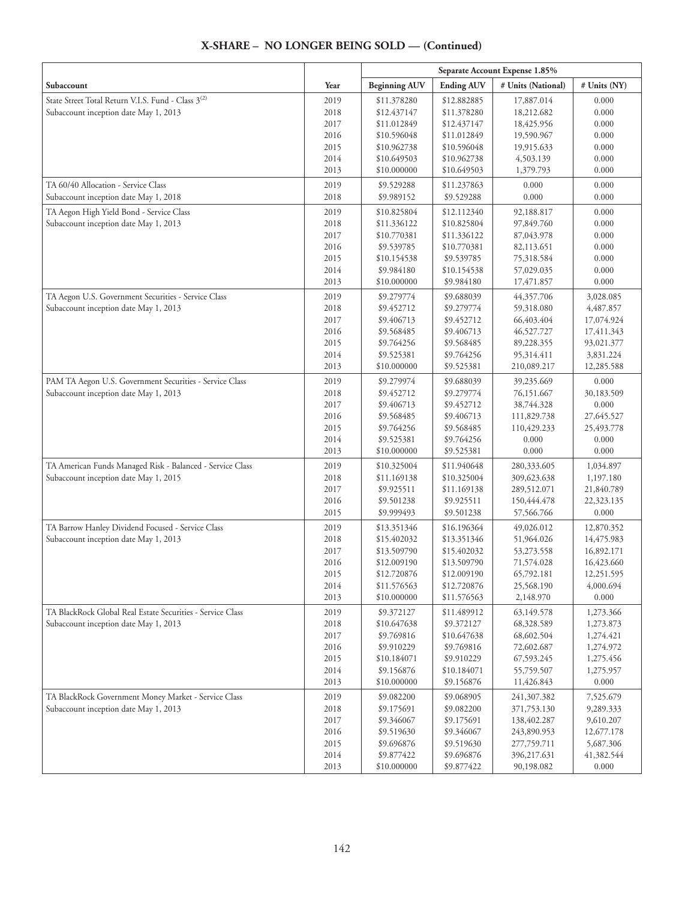|                                                                |              |                            |                            | Separate Account Expense 1.85% |                          |
|----------------------------------------------------------------|--------------|----------------------------|----------------------------|--------------------------------|--------------------------|
| Subaccount                                                     | Year         | <b>Beginning AUV</b>       | <b>Ending AUV</b>          | # Units (National)             | # Units (NY)             |
| State Street Total Return V.I.S. Fund - Class 3 <sup>(2)</sup> | 2019         | \$11.378280                | \$12.882885                | 17,887.014                     | 0.000                    |
| Subaccount inception date May 1, 2013                          | 2018         | \$12.437147                | \$11.378280                | 18,212.682                     | 0.000                    |
|                                                                | 2017         | \$11.012849                | \$12.437147                | 18,425.956                     | 0.000                    |
|                                                                | 2016         | \$10.596048                | \$11.012849                | 19,590.967                     | 0.000                    |
|                                                                | 2015         | \$10.962738                | \$10.596048                | 19,915.633                     | 0.000                    |
|                                                                | 2014         | \$10.649503                | \$10.962738                | 4,503.139                      | 0.000                    |
|                                                                | 2013         | \$10.000000                | \$10.649503                | 1,379.793                      | 0.000                    |
| TA 60/40 Allocation - Service Class                            | 2019         | \$9.529288                 | \$11.237863                | 0.000                          | 0.000                    |
| Subaccount inception date May 1, 2018                          | 2018         | \$9.989152                 | \$9.529288                 | 0.000                          | 0.000                    |
| TA Aegon High Yield Bond - Service Class                       | 2019         | \$10.825804                | \$12.112340                | 92,188.817                     | 0.000                    |
| Subaccount inception date May 1, 2013                          | 2018         | \$11.336122                | \$10.825804                | 97,849.760                     | 0.000                    |
|                                                                | 2017         | \$10.770381                | \$11.336122                | 87,043.978                     | 0.000                    |
|                                                                | 2016         | \$9.539785                 | \$10.770381                | 82,113.651                     | 0.000                    |
|                                                                | 2015         | \$10.154538                | \$9.539785                 | 75,318.584                     | 0.000                    |
|                                                                | 2014         | \$9.984180                 | \$10.154538                | 57,029.035                     | 0.000                    |
|                                                                | 2013         | \$10.000000                | \$9.984180                 | 17,471.857                     | 0.000                    |
| TA Aegon U.S. Government Securities - Service Class            | 2019         | \$9.279774                 | \$9.688039                 | 44,357.706                     | 3,028.085                |
| Subaccount inception date May 1, 2013                          | 2018<br>2017 | \$9.452712                 | \$9.279774                 | 59,318.080                     | 4,487.857                |
|                                                                | 2016         | \$9.406713<br>\$9.568485   | \$9.452712<br>\$9.406713   | 66,403.404<br>46,527.727       | 17,074.924<br>17,411.343 |
|                                                                | 2015         | \$9.764256                 | \$9.568485                 | 89,228.355                     | 93,021.377               |
|                                                                | 2014         | \$9.525381                 | \$9.764256                 | 95,314.411                     | 3,831.224                |
|                                                                | 2013         | \$10.000000                | \$9.525381                 | 210,089.217                    | 12,285.588               |
| PAM TA Aegon U.S. Government Securities - Service Class        | 2019         | \$9.279974                 | \$9.688039                 | 39,235.669                     | 0.000                    |
| Subaccount inception date May 1, 2013                          | 2018         | \$9.452712                 | \$9.279774                 | 76,151.667                     | 30,183.509               |
|                                                                | 2017         | \$9.406713                 | \$9.452712                 | 38,744.328                     | 0.000                    |
|                                                                | 2016         | \$9.568485                 | \$9.406713                 | 111,829.738                    | 27,645.527               |
|                                                                | 2015         | \$9.764256                 | \$9.568485                 | 110,429.233                    | 25,493.778               |
|                                                                | 2014         | \$9.525381                 | \$9.764256                 | 0.000                          | 0.000                    |
|                                                                | 2013         | \$10.000000                | \$9.525381                 | 0.000                          | 0.000                    |
| TA American Funds Managed Risk - Balanced - Service Class      | 2019         | \$10.325004                | \$11.940648                | 280,333.605                    | 1,034.897                |
| Subaccount inception date May 1, 2015                          | 2018         | \$11.169138                | \$10.325004                | 309,623.638                    | 1,197.180                |
|                                                                | 2017         | \$9.925511                 | \$11.169138                | 289,512.071                    | 21,840.789               |
|                                                                | 2016         | \$9.501238                 | \$9.925511                 | 150,444.478                    | 22,323.135               |
|                                                                | 2015         | \$9.999493                 | \$9.501238                 | 57,566.766                     | 0.000                    |
| TA Barrow Hanley Dividend Focused - Service Class              | 2019         | \$13.351346                | \$16.196364                | 49,026.012                     | 12,870.352               |
| Subaccount inception date May 1, 2013                          | 2018         | \$15.402032                | \$13.351346                | 51,964.026                     | 14,475.983               |
|                                                                | 2017         | \$13.509790                | \$15.402032                | 53,273.558                     | 16,892.171               |
|                                                                | 2016         | \$12.009190                | \$13.509790                | 71,574.028                     | 16,423.660               |
|                                                                | 2015<br>2014 | \$12,720876<br>\$11.576563 | \$12.009190<br>\$12.720876 | 65,792.181                     | 12,251.595<br>4,000.694  |
|                                                                | 2013         | \$10.000000                | \$11.576563                | 25,568.190<br>2,148.970        | 0.000                    |
| TA BlackRock Global Real Estate Securities - Service Class     | 2019         | \$9.372127                 | \$11.489912                | 63,149.578                     | 1,273.366                |
| Subaccount inception date May 1, 2013                          | 2018         | \$10.647638                | \$9.372127                 | 68,328.589                     | 1,273.873                |
|                                                                | 2017         | \$9.769816                 | \$10.647638                | 68,602.504                     | 1,274.421                |
|                                                                | 2016         | \$9.910229                 | \$9.769816                 | 72,602.687                     | 1,274.972                |
|                                                                | 2015         | \$10.184071                | \$9.910229                 | 67,593.245                     | 1,275.456                |
|                                                                | 2014         | \$9.156876                 | \$10.184071                | 55,759.507                     | 1,275.957                |
|                                                                | 2013         | \$10.000000                | \$9.156876                 | 11,426.843                     | 0.000                    |
| TA BlackRock Government Money Market - Service Class           | 2019         | \$9.082200                 | \$9.068905                 | 241,307.382                    | 7,525.679                |
| Subaccount inception date May 1, 2013                          | 2018         | \$9.175691                 | \$9.082200                 | 371,753.130                    | 9,289.333                |
|                                                                | 2017         | \$9.346067                 | \$9.175691                 | 138,402.287                    | 9,610.207                |
|                                                                | 2016         | \$9.519630                 | \$9.346067                 | 243,890.953                    | 12,677.178               |
|                                                                | 2015         | \$9.696876                 | \$9.519630                 | 277,759.711                    | 5,687.306                |
|                                                                | 2014         | \$9.877422                 | \$9.696876                 | 396,217.631                    | 41,382.544               |
|                                                                | 2013         | \$10.000000                | \$9.877422                 | 90,198.082                     | 0.000                    |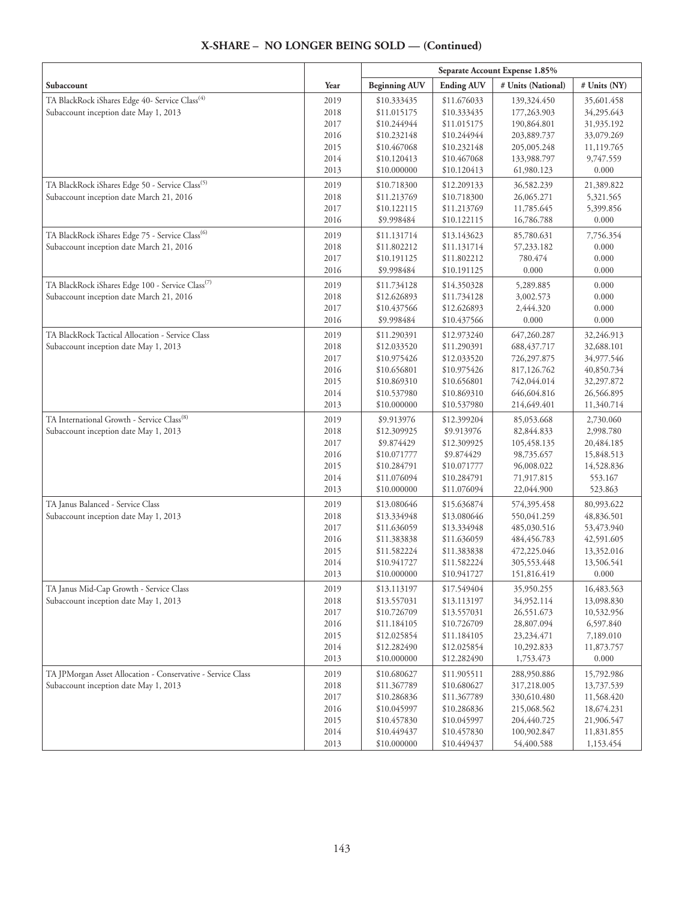| Subaccount                                                                 | Year         | <b>Beginning AUV</b>       | <b>Ending AUV</b>          | # Units (National)         | # Units (NY)             |
|----------------------------------------------------------------------------|--------------|----------------------------|----------------------------|----------------------------|--------------------------|
| TA BlackRock iShares Edge 40- Service Class <sup>(4)</sup>                 | 2019         | \$10.333435                | \$11.676033                | 139,324.450                | 35,601.458               |
| Subaccount inception date May 1, 2013                                      | 2018         | \$11.015175                | \$10.333435                | 177,263.903                | 34,295.643               |
|                                                                            | 2017         | \$10.244944                | \$11.015175                | 190,864.801                | 31,935.192               |
|                                                                            | 2016         | \$10.232148                | \$10.244944                | 203,889.737                | 33,079.269               |
|                                                                            | 2015         | \$10.467068                | \$10.232148                | 205,005.248                | 11,119.765               |
|                                                                            | 2014         | \$10.120413                | \$10.467068                | 133,988.797                | 9,747.559                |
|                                                                            | 2013         | \$10.000000                | \$10.120413                | 61,980.123                 | 0.000                    |
| TA BlackRock iShares Edge 50 - Service Class <sup>(5)</sup>                | 2019         | \$10.718300                | \$12.209133                | 36,582.239                 | 21,389.822               |
| Subaccount inception date March 21, 2016                                   | 2018         | \$11.213769                | \$10.718300                | 26,065.271                 | 5,321.565                |
|                                                                            | 2017         | \$10.122115                | \$11.213769                | 11,785.645                 | 5,399.856                |
|                                                                            | 2016         | \$9.998484                 | \$10.122115                | 16,786.788                 | 0.000                    |
| TA BlackRock iShares Edge 75 - Service Class <sup>(6)</sup>                | 2019         | \$11.131714                | \$13.143623                | 85,780.631                 | 7,756.354                |
| Subaccount inception date March 21, 2016                                   | 2018         | \$11.802212                | \$11.131714                | 57,233.182                 | 0.000                    |
|                                                                            | 2017         | \$10.191125                | \$11.802212                | 780.474                    | 0.000                    |
|                                                                            | 2016         | \$9.998484                 | \$10.191125                | 0.000                      | 0.000                    |
| TA BlackRock iShares Edge 100 - Service Class <sup>(7)</sup>               | 2019         | \$11.734128                | \$14.350328                | 5,289.885                  | 0.000                    |
| Subaccount inception date March 21, 2016                                   | 2018         | \$12.626893                | \$11.734128                | 3,002.573                  | 0.000                    |
|                                                                            | 2017         | \$10.437566                | \$12.626893                | 2,444.320                  | 0.000                    |
|                                                                            | 2016         | \$9.998484                 | \$10.437566                | 0.000                      | 0.000                    |
| TA BlackRock Tactical Allocation - Service Class                           | 2019         | \$11.290391                | \$12.973240                | 647,260.287                | 32,246.913               |
| Subaccount inception date May 1, 2013                                      | 2018         | \$12.033520                | \$11.290391                | 688, 437. 717              | 32,688.101               |
|                                                                            | 2017         | \$10.975426                | \$12.033520                | 726,297.875                | 34,977.546               |
|                                                                            | 2016         | \$10.656801                | \$10.975426                | 817,126.762                | 40,850.734               |
|                                                                            | 2015         | \$10.869310                | \$10.656801                | 742,044.014                | 32,297.872               |
|                                                                            | 2014         | \$10.537980                | \$10.869310                | 646,604.816                | 26,566.895               |
|                                                                            | 2013         | \$10.000000                | \$10.537980                | 214,649.401                | 11,340.714               |
| TA International Growth - Service Class <sup>(8)</sup>                     | 2019         | \$9.913976                 | \$12.399204                | 85,053.668                 | 2,730.060                |
| Subaccount inception date May 1, 2013                                      | 2018         | \$12.309925                | \$9.913976                 | 82,844.833                 | 2,998.780                |
|                                                                            | 2017         | \$9.874429                 | \$12.309925                | 105,458.135                | 20,484.185               |
|                                                                            | 2016         | \$10.071777                | \$9.874429                 | 98,735.657                 | 15,848.513               |
|                                                                            | 2015         | \$10.284791                | \$10.071777                | 96,008.022                 | 14,528.836               |
|                                                                            | 2014<br>2013 | \$11.076094<br>\$10.000000 | \$10.284791<br>\$11.076094 | 71,917.815<br>22,044.900   | 553.167<br>523.863       |
|                                                                            |              |                            |                            |                            |                          |
| TA Janus Balanced - Service Class<br>Subaccount inception date May 1, 2013 | 2019<br>2018 | \$13.080646<br>\$13.334948 | \$15.636874<br>\$13.080646 | 574,395.458<br>550,041.259 | 80,993.622<br>48,836.501 |
|                                                                            | 2017         | \$11.636059                | \$13.334948                | 485,030.516                | 53,473.940               |
|                                                                            | 2016         | \$11.383838                | \$11.636059                | 484, 456. 783              | 42,591.605               |
|                                                                            | 2015         | \$11.582224                | \$11.383838                | 472,225.046                | 13,352.016               |
|                                                                            | 2014         | \$10.941727                | \$11.582224                | 305,553.448                | 13,506.541               |
|                                                                            | 2013         | \$10.000000                | \$10.941727                | 151,816.419                | 0.000                    |
| TA Janus Mid-Cap Growth - Service Class                                    | 2019         | \$13.113197                | \$17.549404                | 35,950.255                 | 16,483.563               |
| Subaccount inception date May 1, 2013                                      | 2018         | \$13.557031                | \$13.113197                | 34,952.114                 | 13,098.830               |
|                                                                            | 2017         | \$10.726709                | \$13.557031                | 26,551.673                 | 10,532.956               |
|                                                                            | 2016         | \$11.184105                | \$10.726709                | 28,807.094                 | 6,597.840                |
|                                                                            | 2015         | \$12.025854                | \$11.184105                | 23, 234. 471               | 7,189.010                |
|                                                                            | 2014         | \$12.282490                | \$12.025854                | 10,292.833                 | 11,873.757               |
|                                                                            | 2013         | \$10.000000                | \$12.282490                | 1,753.473                  | 0.000                    |
| TA JPMorgan Asset Allocation - Conservative - Service Class                | 2019         | \$10.680627                | \$11.905511                | 288,950.886                | 15,792.986               |
| Subaccount inception date May 1, 2013                                      | 2018         | \$11.367789                | \$10.680627                | 317,218.005                | 13,737.539               |
|                                                                            | 2017         | \$10.286836                | \$11.367789                | 330,610.480                | 11,568.420               |
|                                                                            | 2016         | \$10.045997                | \$10.286836                | 215,068.562                | 18,674.231               |
|                                                                            | 2015         | \$10.457830                | \$10.045997                | 204,440.725                | 21,906.547               |
|                                                                            | 2014         | \$10.449437                | \$10.457830                | 100,902.847                | 11,831.855               |
|                                                                            | 2013         | \$10.000000                | \$10.449437                | 54,400.588                 | 1,153.454                |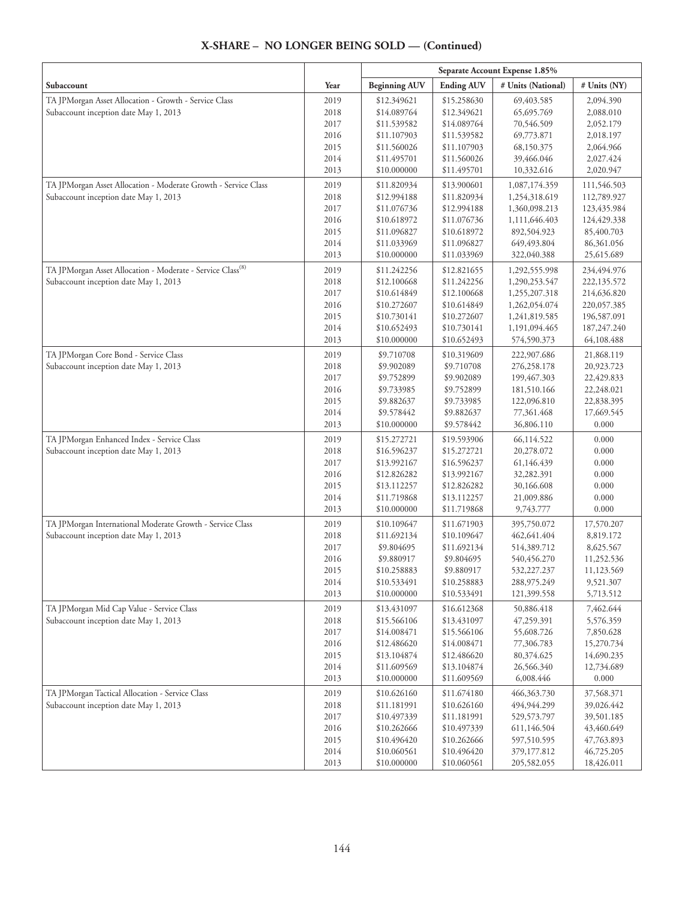|                                                                                                         |              | Separate Account Expense 1.85% |                            |                                |                            |
|---------------------------------------------------------------------------------------------------------|--------------|--------------------------------|----------------------------|--------------------------------|----------------------------|
| Subaccount                                                                                              | Year         | <b>Beginning AUV</b>           | <b>Ending AUV</b>          | # Units (National)             | # Units (NY)               |
| TA JPMorgan Asset Allocation - Growth - Service Class                                                   | 2019         | \$12.349621                    | \$15.258630                | 69,403.585                     | 2,094.390                  |
| Subaccount inception date May 1, 2013                                                                   | 2018         | \$14.089764                    | \$12.349621                | 65,695.769                     | 2,088.010                  |
|                                                                                                         | 2017         | \$11.539582                    | \$14.089764                | 70,546.509                     | 2,052.179                  |
|                                                                                                         | 2016         | \$11.107903                    | \$11.539582                | 69,773.871                     | 2,018.197                  |
|                                                                                                         | 2015         | \$11.560026                    | \$11.107903                | 68,150.375                     | 2,064.966                  |
|                                                                                                         | 2014<br>2013 | \$11.495701<br>\$10.000000     | \$11.560026<br>\$11.495701 | 39,466.046<br>10,332.616       | 2,027.424<br>2,020.947     |
|                                                                                                         |              | \$11.820934                    |                            |                                |                            |
| TA JPMorgan Asset Allocation - Moderate Growth - Service Class<br>Subaccount inception date May 1, 2013 | 2019<br>2018 | \$12.994188                    | \$13.900601<br>\$11.820934 | 1,087,174.359<br>1,254,318.619 | 111,546.503<br>112,789.927 |
|                                                                                                         | 2017         | \$11.076736                    | \$12.994188                | 1,360,098.213                  | 123,435.984                |
|                                                                                                         | 2016         | \$10.618972                    | \$11.076736                | 1,111,646.403                  | 124,429.338                |
|                                                                                                         | 2015         | \$11.096827                    | \$10.618972                | 892,504.923                    | 85,400.703                 |
|                                                                                                         | 2014         | \$11.033969                    | \$11.096827                | 649,493.804                    | 86,361.056                 |
|                                                                                                         | 2013         | \$10.000000                    | \$11.033969                | 322,040.388                    | 25,615.689                 |
| TA JPMorgan Asset Allocation - Moderate - Service Class <sup>(8)</sup>                                  | 2019         | \$11.242256                    | \$12.821655                | 1,292,555.998                  | 234,494.976                |
| Subaccount inception date May 1, 2013                                                                   | 2018         | \$12.100668                    | \$11.242256                | 1,290,253.547                  | 222,135.572                |
|                                                                                                         | 2017         | \$10.614849                    | \$12.100668                | 1,255,207.318                  | 214,636.820                |
|                                                                                                         | 2016         | \$10.272607                    | \$10.614849                | 1,262,054.074                  | 220,057.385                |
|                                                                                                         | 2015         | \$10.730141                    | \$10.272607                | 1,241,819.585                  | 196,587.091                |
|                                                                                                         | 2014<br>2013 | \$10.652493                    | \$10.730141<br>\$10.652493 | 1,191,094.465                  | 187,247.240<br>64,108.488  |
|                                                                                                         |              | \$10.000000                    |                            | 574,590.373                    |                            |
| TA JPMorgan Core Bond - Service Class                                                                   | 2019         | \$9.710708                     | \$10.319609                | 222,907.686                    | 21,868.119                 |
| Subaccount inception date May 1, 2013                                                                   | 2018<br>2017 | \$9.902089<br>\$9.752899       | \$9.710708<br>\$9.902089   | 276,258.178<br>199,467.303     | 20,923.723<br>22,429.833   |
|                                                                                                         | 2016         | \$9.733985                     | \$9.752899                 | 181,510.166                    | 22,248.021                 |
|                                                                                                         | 2015         | \$9.882637                     | \$9.733985                 | 122,096.810                    | 22,838.395                 |
|                                                                                                         | 2014         | \$9.578442                     | \$9.882637                 | 77,361.468                     | 17,669.545                 |
|                                                                                                         | 2013         | \$10.000000                    | \$9.578442                 | 36,806.110                     | 0.000                      |
| TA JPMorgan Enhanced Index - Service Class                                                              | 2019         | \$15.272721                    | \$19.593906                | 66,114.522                     | 0.000                      |
| Subaccount inception date May 1, 2013                                                                   | 2018         | \$16.596237                    | \$15.272721                | 20,278.072                     | 0.000                      |
|                                                                                                         | 2017         | \$13.992167                    | \$16.596237                | 61,146.439                     | 0.000                      |
|                                                                                                         | 2016         | \$12.826282                    | \$13.992167                | 32,282.391                     | 0.000                      |
|                                                                                                         | 2015         | \$13.112257                    | \$12.826282                | 30,166.608                     | 0.000                      |
|                                                                                                         | 2014<br>2013 | \$11.719868<br>\$10.000000     | \$13.112257<br>\$11.719868 | 21,009.886<br>9,743.777        | 0.000<br>0.000             |
| TA JPMorgan International Moderate Growth - Service Class                                               | 2019         | \$10.109647                    | \$11.671903                | 395,750.072                    | 17,570.207                 |
| Subaccount inception date May 1, 2013                                                                   | 2018         | \$11.692134                    | \$10.109647                | 462,641.404                    | 8,819.172                  |
|                                                                                                         | 2017         | \$9.804695                     | \$11.692134                | 514,389.712                    | 8,625.567                  |
|                                                                                                         | 2016         | \$9.880917                     | \$9.804695                 | 540,456.270                    | 11,252.536                 |
|                                                                                                         | 2015         | \$10.258883                    | \$9.880917                 | 532,227.237                    | 11,123.569                 |
|                                                                                                         | 2014         | \$10.533491                    | \$10.258883                | 288,975.249                    | 9,521.307                  |
|                                                                                                         | 2013         | \$10.000000                    | \$10.533491                | 121,399.558                    | 5,713.512                  |
| TA JPMorgan Mid Cap Value - Service Class                                                               | 2019         | \$13.431097                    | \$16.612368                | 50,886.418                     | 7,462.644                  |
| Subaccount inception date May 1, 2013                                                                   | 2018         | \$15.566106                    | \$13.431097                | 47,259.391                     | 5,576.359                  |
|                                                                                                         | 2017         | \$14.008471                    | \$15.566106                | 55,608.726                     | 7,850.628                  |
|                                                                                                         | 2016<br>2015 | \$12.486620<br>\$13.104874     | \$14.008471<br>\$12.486620 | 77,306.783<br>80,374.625       | 15,270.734<br>14,690.235   |
|                                                                                                         | 2014         | \$11.609569                    | \$13.104874                | 26,566.340                     | 12,734.689                 |
|                                                                                                         | 2013         | \$10.000000                    | \$11.609569                | 6,008.446                      | 0.000                      |
| TA JPMorgan Tactical Allocation - Service Class                                                         | 2019         | \$10.626160                    | \$11.674180                | 466,363.730                    | 37,568.371                 |
| Subaccount inception date May 1, 2013                                                                   | 2018         | \$11.181991                    | \$10.626160                | 494,944.299                    | 39,026.442                 |
|                                                                                                         | 2017         | \$10.497339                    | \$11.181991                | 529,573.797                    | 39,501.185                 |
|                                                                                                         | 2016         | \$10.262666                    | \$10.497339                | 611,146.504                    | 43,460.649                 |
|                                                                                                         | 2015         | \$10.496420                    | \$10.262666                | 597,510.595                    | 47,763.893                 |
|                                                                                                         | 2014         | \$10.060561                    | \$10.496420                | 379,177.812                    | 46,725.205                 |
|                                                                                                         | 2013         | \$10.000000                    | \$10.060561                | 205,582.055                    | 18,426.011                 |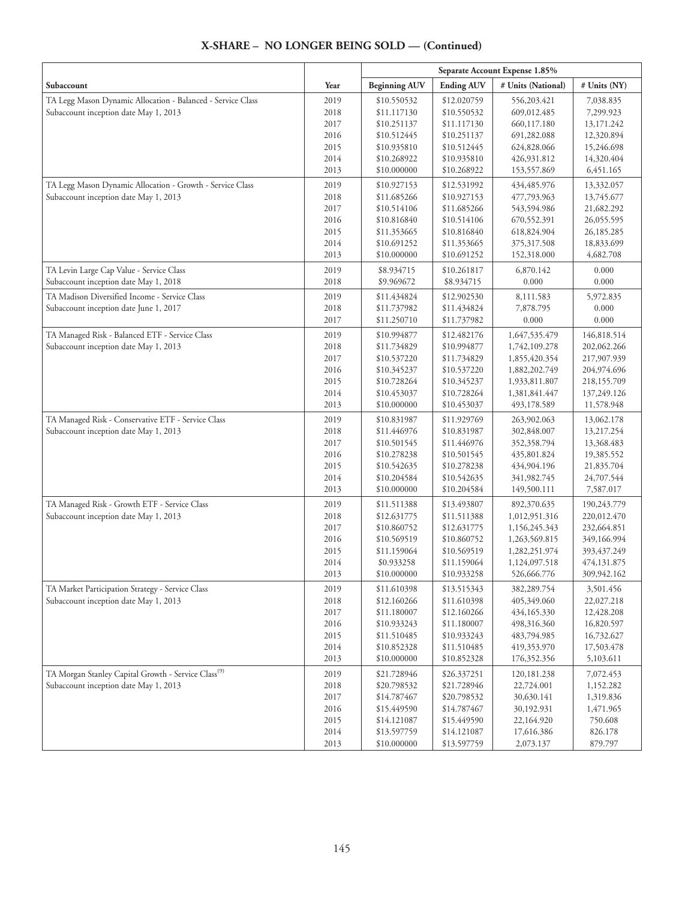|                                                                 |      | Separate Account Expense 1.85% |                   |                    |              |
|-----------------------------------------------------------------|------|--------------------------------|-------------------|--------------------|--------------|
| Subaccount                                                      | Year | <b>Beginning AUV</b>           | <b>Ending AUV</b> | # Units (National) | # Units (NY) |
| TA Legg Mason Dynamic Allocation - Balanced - Service Class     | 2019 | \$10.550532                    | \$12.020759       | 556,203.421        | 7,038.835    |
| Subaccount inception date May 1, 2013                           | 2018 | \$11.117130                    | \$10.550532       | 609,012.485        | 7,299.923    |
|                                                                 | 2017 | \$10.251137                    | \$11.117130       | 660,117.180        | 13,171.242   |
|                                                                 | 2016 | \$10.512445                    | \$10.251137       | 691,282.088        | 12,320.894   |
|                                                                 | 2015 | \$10.935810                    | \$10.512445       | 624,828.066        | 15,246.698   |
|                                                                 | 2014 | \$10.268922                    | \$10.935810       | 426,931.812        | 14,320.404   |
|                                                                 | 2013 | \$10.000000                    | \$10.268922       | 153,557.869        | 6,451.165    |
| TA Legg Mason Dynamic Allocation - Growth - Service Class       | 2019 | \$10.927153                    | \$12.531992       | 434,485.976        | 13,332.057   |
| Subaccount inception date May 1, 2013                           | 2018 | \$11.685266                    | \$10.927153       | 477,793.963        | 13,745.677   |
|                                                                 | 2017 | \$10.514106                    | \$11.685266       | 543,594.986        | 21,682.292   |
|                                                                 | 2016 | \$10.816840                    | \$10.514106       | 670,552.391        | 26,055.595   |
|                                                                 | 2015 | \$11.353665                    | \$10.816840       | 618,824.904        | 26,185.285   |
|                                                                 | 2014 | \$10.691252                    | \$11.353665       | 375,317.508        | 18,833.699   |
|                                                                 | 2013 | \$10.000000                    | \$10.691252       | 152,318.000        | 4,682.708    |
| TA Levin Large Cap Value - Service Class                        | 2019 | \$8.934715                     | \$10.261817       | 6,870.142          | 0.000        |
| Subaccount inception date May 1, 2018                           | 2018 | \$9.969672                     | \$8.934715        | 0.000              | 0.000        |
| TA Madison Diversified Income - Service Class                   | 2019 | \$11.434824                    | \$12.902530       | 8,111.583          | 5,972.835    |
| Subaccount inception date June 1, 2017                          | 2018 | \$11.737982                    | \$11.434824       | 7,878.795          | 0.000        |
|                                                                 | 2017 | \$11.250710                    | \$11.737982       | 0.000              | 0.000        |
| TA Managed Risk - Balanced ETF - Service Class                  | 2019 | \$10.994877                    | \$12.482176       | 1,647,535.479      | 146,818.514  |
| Subaccount inception date May 1, 2013                           | 2018 | \$11.734829                    | \$10.994877       | 1,742,109.278      | 202,062.266  |
|                                                                 | 2017 | \$10.537220                    | \$11.734829       | 1,855,420.354      | 217,907.939  |
|                                                                 | 2016 | \$10.345237                    | \$10.537220       | 1,882,202.749      | 204,974.696  |
|                                                                 | 2015 | \$10.728264                    | \$10.345237       | 1,933,811.807      | 218,155.709  |
|                                                                 | 2014 | \$10.453037                    | \$10.728264       | 1,381,841.447      | 137,249.126  |
|                                                                 | 2013 | \$10.000000                    | \$10.453037       | 493,178.589        | 11,578.948   |
| TA Managed Risk - Conservative ETF - Service Class              | 2019 | \$10.831987                    | \$11.929769       | 263,902.063        | 13,062.178   |
| Subaccount inception date May 1, 2013                           | 2018 | \$11.446976                    | \$10.831987       | 302,848.007        | 13,217.254   |
|                                                                 | 2017 | \$10.501545                    | \$11.446976       | 352,358.794        | 13,368.483   |
|                                                                 | 2016 | \$10.278238                    | \$10.501545       | 435,801.824        | 19,385.552   |
|                                                                 | 2015 | \$10.542635                    | \$10.278238       | 434,904.196        | 21,835.704   |
|                                                                 | 2014 | \$10.204584                    | \$10.542635       | 341,982.745        | 24,707.544   |
|                                                                 | 2013 | \$10.000000                    | \$10.204584       | 149,500.111        | 7,587.017    |
| TA Managed Risk - Growth ETF - Service Class                    | 2019 | \$11.511388                    | \$13.493807       | 892,370.635        | 190,243.779  |
| Subaccount inception date May 1, 2013                           | 2018 | \$12.631775                    | \$11.511388       | 1,012,951.316      | 220,012.470  |
|                                                                 | 2017 | \$10.860752                    | \$12.631775       | 1,156,245.343      | 232,664.851  |
|                                                                 | 2016 | \$10.569519                    | \$10.860752       | 1,263,569.815      | 349,166.994  |
|                                                                 | 2015 | \$11.159064                    | \$10.569519       | 1,282,251.974      | 393,437.249  |
|                                                                 | 2014 | \$0.933258                     | \$11.159064       | 1,124,097.518      | 474,131.875  |
|                                                                 | 2013 | \$10.000000                    | \$10.933258       | 526,666.776        | 309,942.162  |
| TA Market Participation Strategy - Service Class                | 2019 | \$11.610398                    | \$13.515343       | 382,289.754        | 3,501.456    |
| Subaccount inception date May 1, 2013                           | 2018 | \$12.160266                    | \$11.610398       | 405,349.060        | 22,027.218   |
|                                                                 | 2017 | \$11.180007                    | \$12.160266       | 434,165.330        | 12,428.208   |
|                                                                 | 2016 | \$10.933243                    | \$11.180007       | 498,316.360        | 16,820.597   |
|                                                                 | 2015 | \$11.510485                    | \$10.933243       | 483,794.985        | 16,732.627   |
|                                                                 | 2014 | \$10.852328                    | \$11.510485       | 419,353.970        | 17,503.478   |
|                                                                 | 2013 | \$10.000000                    | \$10.852328       | 176,352.356        | 5,103.611    |
| TA Morgan Stanley Capital Growth - Service Class <sup>(9)</sup> | 2019 | \$21.728946                    | \$26.337251       | 120, 181. 238      | 7,072.453    |
| Subaccount inception date May 1, 2013                           | 2018 | \$20.798532                    | \$21.728946       | 22,724.001         | 1,152.282    |
|                                                                 | 2017 | \$14.787467                    | \$20.798532       | 30,630.141         | 1,319.836    |
|                                                                 | 2016 | \$15.449590                    | \$14.787467       | 30,192.931         | 1,471.965    |
|                                                                 | 2015 | \$14.121087                    | \$15.449590       | 22,164.920         | 750.608      |
|                                                                 | 2014 | \$13.597759                    | \$14.121087       | 17,616.386         | 826.178      |
|                                                                 | 2013 | \$10.000000                    | \$13.597759       | 2,073.137          | 879.797      |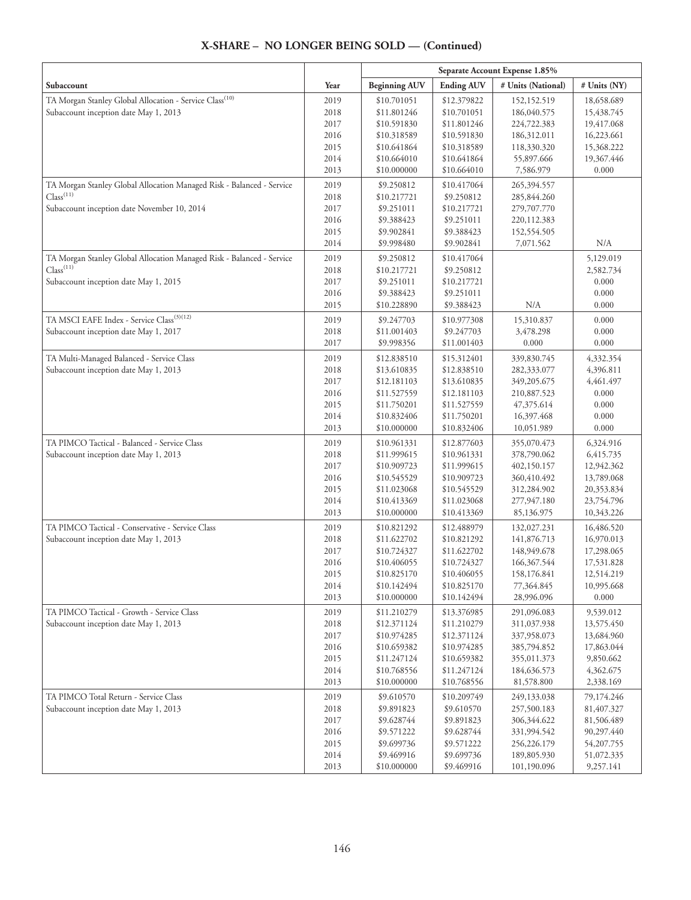|                                                                       |              | Separate Account Expense 1.85% |                            |                          |                     |
|-----------------------------------------------------------------------|--------------|--------------------------------|----------------------------|--------------------------|---------------------|
| Subaccount                                                            | Year         | <b>Beginning AUV</b>           | <b>Ending AUV</b>          | # Units (National)       | # Units (NY)        |
| TA Morgan Stanley Global Allocation - Service Class <sup>(10)</sup>   | 2019         | \$10.701051                    | \$12.379822                | 152,152.519              | 18,658.689          |
| Subaccount inception date May 1, 2013                                 | 2018         | \$11.801246                    | \$10.701051                | 186,040.575              | 15,438.745          |
|                                                                       | 2017         | \$10.591830                    | \$11.801246                | 224,722.383              | 19,417.068          |
|                                                                       | 2016         | \$10.318589                    | \$10.591830                | 186,312.011              | 16,223.661          |
|                                                                       | 2015         | \$10.641864                    | \$10.318589                | 118,330.320              | 15,368.222          |
|                                                                       | 2014         | \$10.664010                    | \$10.641864                | 55,897.666               | 19,367.446          |
|                                                                       | 2013         | \$10.000000                    | \$10.664010                | 7,586.979                | 0.000               |
| TA Morgan Stanley Global Allocation Managed Risk - Balanced - Service | 2019         | \$9.250812                     | \$10.417064                | 265,394.557              |                     |
| Class <sup>(11)</sup>                                                 | 2018         | \$10.217721                    | \$9.250812                 | 285,844.260              |                     |
| Subaccount inception date November 10, 2014                           | 2017         | \$9.251011                     | \$10.217721                | 279,707.770              |                     |
|                                                                       | 2016         | \$9.388423                     | \$9.251011                 | 220,112.383              |                     |
|                                                                       | 2015<br>2014 | \$9.902841<br>\$9.998480       | \$9.388423<br>\$9.902841   | 152,554.505<br>7,071.562 | N/A                 |
| TA Morgan Stanley Global Allocation Managed Risk - Balanced - Service | 2019         | \$9.250812                     | \$10.417064                |                          | 5,129.019           |
| Class <sup>(11)</sup>                                                 | 2018         | \$10.217721                    | \$9.250812                 |                          | 2,582.734           |
| Subaccount inception date May 1, 2015                                 | 2017         | \$9.251011                     | \$10.217721                |                          | 0.000               |
|                                                                       | 2016         | \$9.388423                     | \$9.251011                 |                          | 0.000               |
|                                                                       | 2015         | \$10.228890                    | \$9.388423                 | N/A                      | 0.000               |
| TA MSCI EAFE Index - Service Class <sup>(3)(12)</sup>                 | 2019         | \$9.247703                     | \$10.977308                | 15,310.837               | 0.000               |
| Subaccount inception date May 1, 2017                                 | 2018         | \$11.001403                    | \$9.247703                 | 3,478.298                | 0.000               |
|                                                                       | 2017         | \$9.998356                     | \$11.001403                | 0.000                    | 0.000               |
| TA Multi-Managed Balanced - Service Class                             | 2019         | \$12.838510                    | \$15.312401                | 339,830.745              | 4,332.354           |
| Subaccount inception date May 1, 2013                                 | 2018         | \$13.610835                    | \$12.838510                | 282,333.077              | 4,396.811           |
|                                                                       | 2017         | \$12.181103                    | \$13.610835                | 349,205.675              | 4,461.497           |
|                                                                       | 2016         | \$11.527559                    | \$12.181103                | 210,887.523              | 0.000               |
|                                                                       | 2015         | \$11.750201                    | \$11.527559                | 47,375.614               | 0.000               |
|                                                                       | 2014<br>2013 | \$10.832406<br>\$10.000000     | \$11.750201<br>\$10.832406 | 16,397.468<br>10,051.989 | 0.000<br>0.000      |
| TA PIMCO Tactical - Balanced - Service Class                          | 2019         | \$10.961331                    | \$12.877603                | 355,070.473              | 6,324.916           |
| Subaccount inception date May 1, 2013                                 | 2018         | \$11.999615                    | \$10.961331                | 378,790.062              | 6,415.735           |
|                                                                       | 2017         | \$10.909723                    | \$11.999615                | 402,150.157              | 12,942.362          |
|                                                                       | 2016         | \$10.545529                    | \$10.909723                | 360,410.492              | 13,789.068          |
|                                                                       | 2015         | \$11.023068                    | \$10.545529                | 312,284.902              | 20,353.834          |
|                                                                       | 2014         | \$10.413369                    | \$11.023068                | 277,947.180              | 23,754.796          |
|                                                                       | 2013         | \$10.000000                    | \$10.413369                | 85,136.975               | 10,343.226          |
| TA PIMCO Tactical - Conservative - Service Class                      | 2019         | \$10.821292                    | \$12.488979                | 132,027.231              | 16,486.520          |
| Subaccount inception date May 1, 2013                                 | 2018         | \$11.622702                    | \$10.821292                | 141,876.713              | 16,970.013          |
|                                                                       | 2017         | \$10.724327                    | \$11.622702                | 148,949.678              | 17,298.065          |
|                                                                       | 2016         | \$10.406055                    | \$10.724327                | 166,367.544              | 17,531.828          |
|                                                                       | 2015         | \$10.825170                    | \$10.406055                | 158,176.841              | 12,514.219          |
|                                                                       | 2014<br>2013 | \$10.142494<br>\$10.000000     | \$10.825170<br>\$10.142494 | 77,364.845<br>28,996.096 | 10,995.668<br>0.000 |
| TA PIMCO Tactical - Growth - Service Class                            | 2019         | \$11.210279                    | \$13.376985                | 291,096.083              | 9,539.012           |
| Subaccount inception date May 1, 2013                                 | 2018         | \$12.371124                    | \$11.210279                | 311,037.938              | 13,575.450          |
|                                                                       | 2017         | \$10.974285                    | \$12.371124                | 337,958.073              | 13,684.960          |
|                                                                       | 2016         | \$10.659382                    | \$10.974285                | 385,794.852              | 17,863.044          |
|                                                                       | 2015         | \$11.247124                    | \$10.659382                | 355,011.373              | 9,850.662           |
|                                                                       | 2014         | \$10.768556                    | \$11.247124                | 184,636.573              | 4,362.675           |
|                                                                       | 2013         | \$10.000000                    | \$10.768556                | 81,578.800               | 2,338.169           |
| TA PIMCO Total Return - Service Class                                 | 2019         | \$9.610570                     | \$10.209749                | 249,133.038              | 79,174.246          |
| Subaccount inception date May 1, 2013                                 | 2018         | \$9.891823                     | \$9.610570                 | 257,500.183              | 81,407.327          |
|                                                                       | 2017         | \$9.628744                     | \$9.891823                 | 306,344.622              | 81,506.489          |
|                                                                       | 2016         | \$9.571222                     | \$9.628744                 | 331,994.542              | 90,297.440          |
|                                                                       | 2015         | \$9.699736                     | \$9.571222                 | 256,226.179              | 54,207.755          |
|                                                                       | 2014         | \$9.469916                     | \$9.699736                 | 189,805.930              | 51,072.335          |
|                                                                       | 2013         | \$10.000000                    | \$9.469916                 | 101,190.096              | 9,257.141           |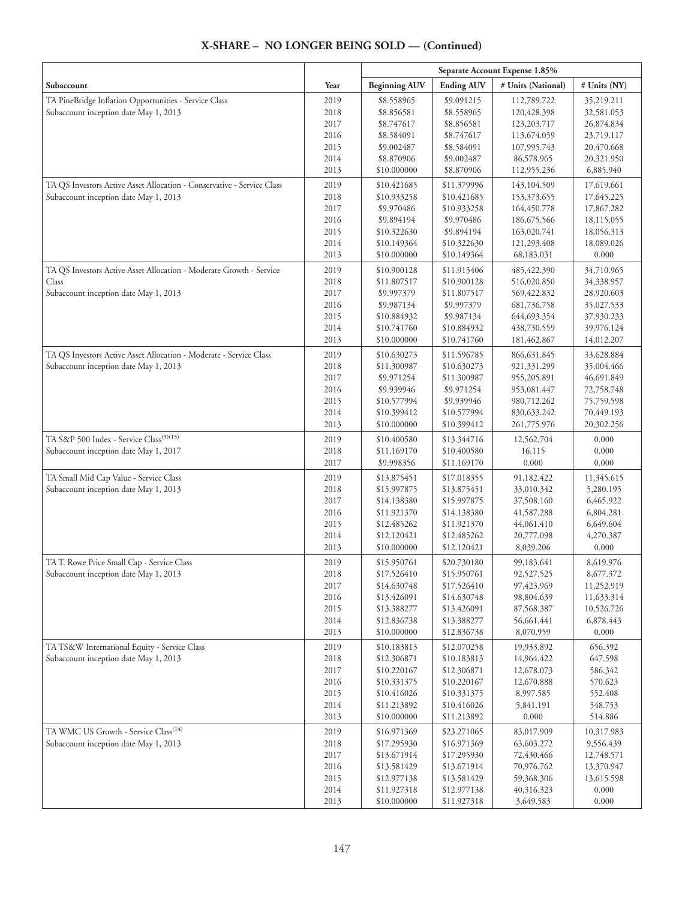|                                                                                     |              | Separate Account Expense 1.85% |                            |                          |                        |
|-------------------------------------------------------------------------------------|--------------|--------------------------------|----------------------------|--------------------------|------------------------|
| Subaccount                                                                          | Year         | <b>Beginning AUV</b>           | <b>Ending AUV</b>          | # Units (National)       | # Units (NY)           |
| TA PineBridge Inflation Opportunities - Service Class                               | 2019         | \$8.558965                     | \$9.091215                 | 112,789.722              | 35,219.211             |
| Subaccount inception date May 1, 2013                                               | 2018         | \$8.856581                     | \$8.558965                 | 120,428.398              | 32,581.053             |
|                                                                                     | 2017         | \$8.747617                     | \$8.856581                 | 123,203.717              | 26,874.834             |
|                                                                                     | 2016         | \$8.584091                     | \$8.747617                 | 113,674.059              | 23,719.117             |
|                                                                                     | 2015         | \$9.002487                     | \$8.584091                 | 107,995.743              | 20,470.668             |
|                                                                                     | 2014         | \$8.870906                     | \$9.002487                 | 86,578.965               | 20,321.950             |
|                                                                                     | 2013         | \$10.000000                    | \$8.870906                 | 112,955.236              | 6,885.940              |
| TA QS Investors Active Asset Allocation - Conservative - Service Class              | 2019         | \$10.421685                    | \$11.379996                | 143,104.509              | 17,619.661             |
| Subaccount inception date May 1, 2013                                               | 2018         | \$10.933258                    | \$10.421685                | 153,373.655              | 17,645.225             |
|                                                                                     | 2017         | \$9.970486                     | \$10.933258                | 164,450.778              | 17,867.282             |
|                                                                                     | 2016         | \$9.894194                     | \$9.970486                 | 186,675.566              | 18,115.055             |
|                                                                                     | 2015         | \$10.322630                    | \$9.894194                 | 163,020.741              | 18,056.313             |
|                                                                                     | 2014         | \$10.149364                    | \$10.322630                | 121,293.408              | 18,089.026             |
|                                                                                     | 2013         | \$10.000000                    | \$10.149364                | 68,183.031               | 0.000                  |
| TA QS Investors Active Asset Allocation - Moderate Growth - Service                 | 2019         | \$10.900128                    | \$11.915406                | 485, 422.390             | 34,710.965             |
| Class                                                                               | 2018         | \$11.807517                    | \$10.900128                | 516,020.850              | 34,338.957             |
| Subaccount inception date May 1, 2013                                               | 2017         | \$9.997379                     | \$11.807517                | 569,422.832              | 28,920.603             |
|                                                                                     | 2016         | \$9.987134                     | \$9.997379                 | 681,736.758              | 35,027.533             |
|                                                                                     | 2015         | \$10.884932                    | \$9.987134                 | 644,693.354              | 37,930.233             |
|                                                                                     | 2014         | \$10.741760                    | \$10.884932                | 438,730.559              | 39,976.124             |
|                                                                                     | 2013         | \$10.000000                    | \$10.741760                | 181,462.867              | 14,012.207             |
| TA QS Investors Active Asset Allocation - Moderate - Service Class                  | 2019         | \$10.630273                    | \$11.596785                | 866,631.845              | 33,628.884             |
| Subaccount inception date May 1, 2013                                               | 2018         | \$11.300987                    | \$10.630273                | 921,331.299              | 35,004.466             |
|                                                                                     | 2017         | \$9.971254                     | \$11.300987                | 955,205.891              | 46,691.849             |
|                                                                                     | 2016         | \$9.939946                     | \$9.971254                 | 953,081.447              | 72,758.748             |
|                                                                                     | 2015         | \$10.577994                    | \$9.939946                 | 980,712.262              | 75,759.598             |
|                                                                                     | 2014         | \$10.399412                    | \$10.577994                | 830, 633. 242            | 70,449.193             |
|                                                                                     | 2013         | \$10.000000                    | \$10.399412                | 261,775.976              | 20,302.256             |
| TA S&P 500 Index - Service Class <sup>(3)(13)</sup>                                 | 2019         | \$10.400580                    | \$13.344716                | 12,562.704               | 0.000                  |
| Subaccount inception date May 1, 2017                                               | 2018         | \$11.169170                    | \$10.400580                | 16.115                   | 0.000                  |
|                                                                                     | 2017         | \$9.998356                     | \$11.169170                | 0.000                    | 0.000                  |
| TA Small Mid Cap Value - Service Class                                              | 2019         | \$13.875451                    | \$17.018355                | 91,182.422               | 11,345.615             |
| Subaccount inception date May 1, 2013                                               | 2018         | \$15.997875                    | \$13.875451                | 33,010.342               | 5,280.195              |
|                                                                                     | 2017         | \$14.138380                    | \$15.997875                | 37,508.160               | 6,465.922              |
|                                                                                     | 2016         | \$11.921370                    | \$14.138380                | 41,587.288               | 6,804.281              |
|                                                                                     | 2015<br>2014 | \$12.485262<br>\$12.120421     | \$11.921370<br>\$12.485262 | 44,061.410               | 6,649.604<br>4,270.387 |
|                                                                                     | 2013         | \$10.000000                    | \$12.120421                | 20,777.098<br>8,039.206  | 0.000                  |
|                                                                                     |              |                                |                            |                          |                        |
| TA T. Rowe Price Small Cap - Service Class<br>Subaccount inception date May 1, 2013 | 2019<br>2018 | \$15.950761<br>\$17.526410     | \$20.730180<br>\$15.950761 | 99,183.641<br>92,527.525 | 8,619.976<br>8,677.372 |
|                                                                                     | 2017         | \$14.630748                    | \$17.526410                | 97,423.969               | 11,252.919             |
|                                                                                     | 2016         | \$13.426091                    | \$14.630748                | 98,804.639               | 11,633.314             |
|                                                                                     | 2015         | \$13.388277                    | \$13.426091                | 87,568.387               | 10,526.726             |
|                                                                                     | 2014         | \$12.836738                    | \$13.388277                | 56,661.441               | 6,878.443              |
|                                                                                     | 2013         | \$10.000000                    | \$12.836738                | 8,070.959                | 0.000                  |
| TA TS&W International Equity - Service Class                                        | 2019         | \$10.183813                    | \$12.070258                | 19,933.892               | 656.392                |
| Subaccount inception date May 1, 2013                                               | 2018         | \$12.306871                    | \$10.183813                | 14,964.422               | 647.598                |
|                                                                                     | 2017         | \$10.220167                    | \$12.306871                | 12,678.073               | 586.342                |
|                                                                                     | 2016         | \$10.331375                    | \$10.220167                | 12,670.888               | 570.623                |
|                                                                                     | 2015         | \$10.416026                    | \$10.331375                | 8,997.585                | 552.408                |
|                                                                                     | 2014         | \$11.213892                    | \$10.416026                | 5,841.191                | 548.753                |
|                                                                                     | 2013         | \$10.000000                    | \$11.213892                | 0.000                    | 514.886                |
| TA WMC US Growth - Service Class <sup>(14)</sup>                                    | 2019         | \$16.971369                    | \$23.271065                | 83,017.909               | 10,317.983             |
| Subaccount inception date May 1, 2013                                               | 2018         | \$17.295930                    | \$16.971369                | 63,603.272               | 9,556.439              |
|                                                                                     | 2017         | \$13.671914                    | \$17.295930                | 72,430.466               | 12,748.571             |
|                                                                                     | 2016         | \$13.581429                    | \$13.671914                | 70,976.762               | 13,370.947             |
|                                                                                     | 2015         | \$12.977138                    | \$13.581429                | 59,368.306               | 13,615.598             |
|                                                                                     | 2014         | \$11.927318                    | \$12.977138                | 40,316.323               | 0.000                  |
|                                                                                     | 2013         | \$10.000000                    | \$11.927318                | 3,649.583                | 0.000                  |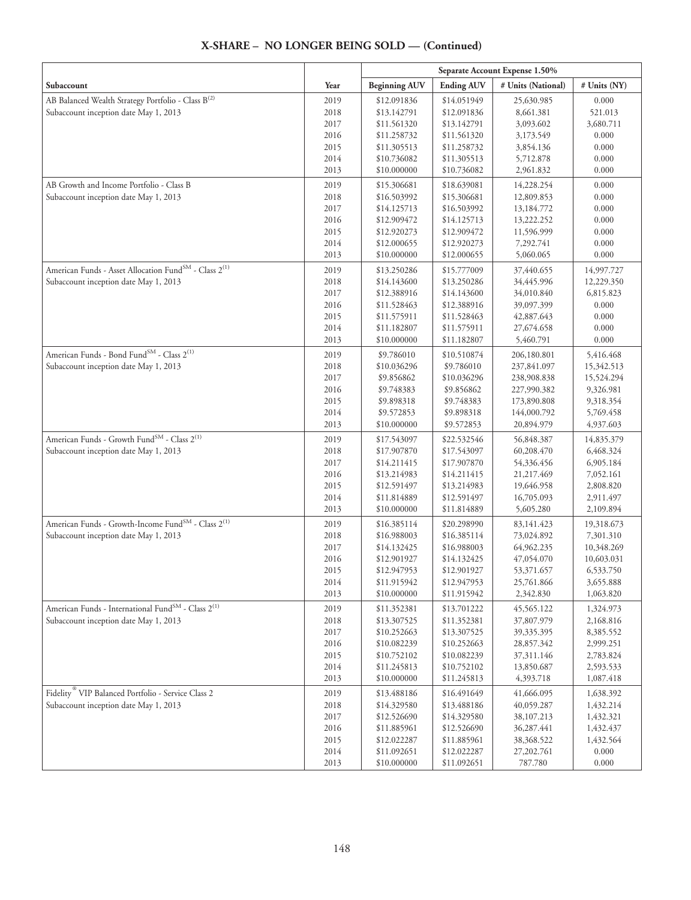|                                                                               |              | Separate Account Expense 1.50% |                            |                         |                        |
|-------------------------------------------------------------------------------|--------------|--------------------------------|----------------------------|-------------------------|------------------------|
| Subaccount                                                                    | Year         | <b>Beginning AUV</b>           | <b>Ending AUV</b>          | # Units (National)      | # Units (NY)           |
| AB Balanced Wealth Strategy Portfolio - Class B <sup>(2)</sup>                | 2019         | \$12.091836                    | \$14.051949                | 25,630.985              | 0.000                  |
| Subaccount inception date May 1, 2013                                         | 2018         | \$13.142791                    | \$12.091836                | 8,661.381               | 521.013                |
|                                                                               | 2017         | \$11.561320                    | \$13.142791                | 3,093.602               | 3,680.711              |
|                                                                               | 2016         | \$11.258732                    | \$11.561320                | 3,173.549               | 0.000                  |
|                                                                               | 2015         | \$11.305513                    | \$11.258732                | 3,854.136               | 0.000                  |
|                                                                               | 2014         | \$10.736082                    | \$11.305513                | 5,712.878               | 0.000                  |
|                                                                               | 2013         | \$10.000000                    | \$10.736082                | 2,961.832               | 0.000                  |
| AB Growth and Income Portfolio - Class B                                      | 2019         | \$15.306681                    | \$18.639081                | 14,228.254              | 0.000                  |
| Subaccount inception date May 1, 2013                                         | 2018         | \$16.503992                    | \$15.306681                | 12,809.853              | 0.000                  |
|                                                                               | 2017         | \$14.125713                    | \$16.503992                | 13,184.772              | 0.000                  |
|                                                                               | 2016         | \$12.909472                    | \$14.125713                | 13,222.252              | 0.000                  |
|                                                                               | 2015         | \$12.920273                    | \$12.909472                | 11,596.999              | 0.000                  |
|                                                                               | 2014         | \$12.000655                    | \$12.920273                | 7,292.741               | 0.000                  |
|                                                                               | 2013         | \$10.000000                    | \$12.000655                | 5,060.065               | 0.000                  |
| American Funds - Asset Allocation Fund <sup>SM</sup> - Class 2 <sup>(1)</sup> | 2019         | \$13.250286                    | \$15.777009                | 37,440.655              | 14,997.727             |
| Subaccount inception date May 1, 2013                                         | 2018         | \$14.143600                    | \$13.250286                | 34,445.996              | 12,229.350             |
|                                                                               | 2017         | \$12.388916                    | \$14.143600                | 34,010.840              | 6,815.823              |
|                                                                               | 2016         | \$11.528463                    | \$12.388916                | 39,097.399              | 0.000                  |
|                                                                               | 2015         | \$11.575911                    | \$11.528463                | 42,887.643              | 0.000                  |
|                                                                               | 2014         | \$11.182807                    | \$11.575911                | 27,674.658              | 0.000                  |
|                                                                               | 2013         | \$10.000000                    | \$11.182807                | 5,460.791               | 0.000                  |
| American Funds - Bond Fund <sup>SM</sup> - Class 2 <sup>(1)</sup>             | 2019         | \$9.786010                     | \$10.510874                | 206,180.801             | 5,416.468              |
| Subaccount inception date May 1, 2013                                         | 2018         | \$10.036296                    | \$9.786010                 | 237,841.097             | 15,342.513             |
|                                                                               | 2017         | \$9.856862                     | \$10.036296                | 238,908.838             | 15,524.294             |
|                                                                               | 2016         | \$9.748383                     | \$9.856862                 | 227,990.382             | 9,326.981              |
|                                                                               | 2015         | \$9.898318                     | \$9.748383                 | 173,890.808             | 9,318.354              |
|                                                                               | 2014         | \$9.572853                     | \$9.898318                 | 144,000.792             | 5,769.458              |
|                                                                               | 2013         | \$10.000000                    | \$9.572853                 | 20,894.979              | 4,937.603              |
| American Funds - Growth Fund <sup>SM</sup> - Class 2 <sup>(1)</sup>           | 2019         | \$17.543097                    | \$22.532546                | 56,848.387              | 14,835.379             |
| Subaccount inception date May 1, 2013                                         | 2018         | \$17.907870                    | \$17.543097                | 60,208.470              | 6,468.324              |
|                                                                               | 2017         | \$14.211415                    | \$17.907870                | 54,336.456              | 6,905.184              |
|                                                                               | 2016         | \$13.214983                    | \$14.211415                | 21,217.469              | 7,052.161              |
|                                                                               | 2015         | \$12.591497                    | \$13.214983                | 19,646.958              | 2,808.820              |
|                                                                               | 2014         | \$11.814889                    | \$12.591497                | 16,705.093              | 2,911.497              |
|                                                                               | 2013         | \$10.000000                    | \$11.814889                | 5,605.280               | 2,109.894              |
| American Funds - Growth-Income Fund <sup>SM</sup> - Class 2 <sup>(1)</sup>    | 2019         | \$16.385114                    | \$20.298990                | 83, 141. 423            | 19,318.673             |
| Subaccount inception date May 1, 2013                                         | 2018         | \$16.988003                    | \$16.385114                | 73,024.892              | 7,301.310              |
|                                                                               | 2017         | \$14.132425                    | \$16.988003                | 64,962.235              | 10,348.269             |
|                                                                               | 2016         | \$12.901927                    | \$14.132425                | 47,054.070              | 10,603.031             |
|                                                                               | 2015         | \$12.947953                    | \$12.901927                | 53,371.657              | 6,533.750              |
|                                                                               | 2014<br>2013 | \$11.915942<br>\$10.000000     | \$12.947953<br>\$11.915942 | 25,761.866<br>2,342.830 | 3,655.888<br>1,063.820 |
| American Funds - International Fund <sup>SM</sup> - Class 2 <sup>(1)</sup>    | 2019         | \$11.352381                    | \$13.701222                | 45,565.122              | 1,324.973              |
| Subaccount inception date May 1, 2013                                         | 2018         | \$13.307525                    | \$11.352381                | 37,807.979              | 2,168.816              |
|                                                                               | 2017         | \$10.252663                    | \$13.307525                | 39,335.395              | 8,385.552              |
|                                                                               | 2016         | \$10.082239                    | \$10.252663                | 28,857.342              | 2,999.251              |
|                                                                               | 2015         | \$10.752102                    | \$10.082239                | 37,311.146              | 2,783.824              |
|                                                                               | 2014         | \$11.245813                    | \$10.752102                | 13,850.687              | 2,593.533              |
|                                                                               | 2013         | \$10.000000                    | \$11.245813                | 4,393.718               | 1,087.418              |
| Fidelity <sup>®</sup> VIP Balanced Portfolio - Service Class 2                | 2019         | \$13.488186                    | \$16.491649                | 41,666.095              | 1,638.392              |
| Subaccount inception date May 1, 2013                                         | 2018         | \$14.329580                    | \$13.488186                | 40,059.287              | 1,432.214              |
|                                                                               | 2017         | \$12.526690                    | \$14.329580                | 38,107.213              | 1,432.321              |
|                                                                               | 2016         | \$11.885961                    | \$12.526690                | 36,287.441              | 1,432.437              |
|                                                                               | 2015         | \$12.022287                    | \$11.885961                | 38,368.522              | 1,432.564              |
|                                                                               | 2014         | \$11.092651                    | \$12.022287                | 27,202.761              | 0.000                  |
|                                                                               | 2013         | \$10.000000                    | \$11.092651                | 787.780                 | 0.000                  |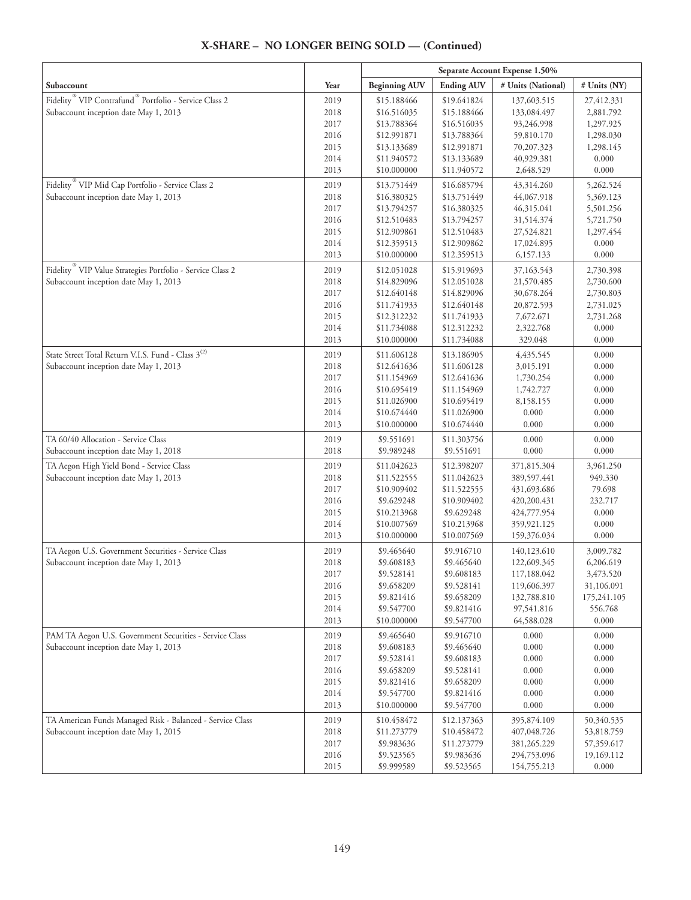|                                                                               |              | Separate Account Expense 1.50% |                            |                      |                |
|-------------------------------------------------------------------------------|--------------|--------------------------------|----------------------------|----------------------|----------------|
| Subaccount                                                                    | Year         | <b>Beginning AUV</b>           | <b>Ending AUV</b>          | # Units (National)   | # Units (NY)   |
| Fidelity <sup>®</sup> VIP Contrafund <sup>®</sup> Portfolio - Service Class 2 | 2019         | \$15.188466                    | \$19.641824                | 137,603.515          | 27,412.331     |
| Subaccount inception date May 1, 2013                                         | 2018         | \$16.516035                    | \$15.188466                | 133,084.497          | 2,881.792      |
|                                                                               | 2017         | \$13.788364                    | \$16.516035                | 93,246.998           | 1,297.925      |
|                                                                               | 2016         | \$12.991871                    | \$13.788364                | 59,810.170           | 1,298.030      |
|                                                                               | 2015         | \$13.133689                    | \$12.991871                | 70,207.323           | 1,298.145      |
|                                                                               | 2014         | \$11.940572                    | \$13.133689                | 40,929.381           | 0.000          |
|                                                                               | 2013         | \$10.000000                    | \$11.940572                | 2,648.529            | 0.000          |
| Fidelity <sup>®</sup> VIP Mid Cap Portfolio - Service Class 2                 | 2019         | \$13.751449                    | \$16.685794                | 43,314.260           | 5,262.524      |
| Subaccount inception date May 1, 2013                                         | 2018         | \$16.380325                    | \$13.751449                | 44,067.918           | 5,369.123      |
|                                                                               | 2017         | \$13.794257                    | \$16.380325                | 46,315.041           | 5,501.256      |
|                                                                               | 2016         | \$12.510483                    | \$13.794257                | 31,514.374           | 5,721.750      |
|                                                                               | 2015         | \$12.909861                    | \$12.510483                | 27,524.821           | 1,297.454      |
|                                                                               | 2014         | \$12.359513                    | \$12.909862                | 17,024.895           | 0.000          |
|                                                                               | 2013         | \$10.000000                    | \$12.359513                | 6,157.133            | 0.000          |
| Fidelity <sup>®</sup> VIP Value Strategies Portfolio - Service Class 2        | 2019         | \$12.051028                    | \$15.919693                | 37,163.543           | 2,730.398      |
| Subaccount inception date May 1, 2013                                         | 2018         | \$14.829096                    | \$12.051028                | 21,570.485           | 2,730.600      |
|                                                                               | 2017         | \$12.640148                    | \$14.829096                | 30,678.264           | 2,730.803      |
|                                                                               | 2016         | \$11.741933                    | \$12.640148                | 20,872.593           | 2,731.025      |
|                                                                               | 2015         | \$12.312232                    | \$11.741933                | 7,672.671            | 2,731.268      |
|                                                                               | 2014<br>2013 | \$11.734088                    | \$12.312232                | 2,322.768<br>329.048 | 0.000          |
|                                                                               |              | \$10.000000                    | \$11.734088                |                      | 0.000          |
| State Street Total Return V.I.S. Fund - Class 3 <sup>(2)</sup>                | 2019         | \$11.606128                    | \$13.186905                | 4,435.545            | 0.000          |
| Subaccount inception date May 1, 2013                                         | 2018         | \$12.641636                    | \$11.606128                | 3,015.191            | 0.000          |
|                                                                               | 2017         | \$11.154969                    | \$12.641636                | 1,730.254            | 0.000          |
|                                                                               | 2016         | \$10.695419                    | \$11.154969                | 1,742.727            | 0.000<br>0.000 |
|                                                                               | 2015<br>2014 | \$11.026900<br>\$10.674440     | \$10.695419<br>\$11.026900 | 8,158.155<br>0.000   | 0.000          |
|                                                                               | 2013         | \$10.000000                    | \$10.674440                | 0.000                | 0.000          |
|                                                                               |              |                                |                            |                      |                |
| TA 60/40 Allocation - Service Class<br>Subaccount inception date May 1, 2018  | 2019<br>2018 | \$9.551691<br>\$9.989248       | \$11.303756<br>\$9.551691  | 0.000<br>0.000       | 0.000<br>0.000 |
| TA Aegon High Yield Bond - Service Class                                      | 2019         | \$11.042623                    | \$12.398207                | 371,815.304          | 3,961.250      |
| Subaccount inception date May 1, 2013                                         | 2018         | \$11.522555                    | \$11.042623                | 389,597.441          | 949.330        |
|                                                                               | 2017         | \$10.909402                    | \$11.522555                | 431,693.686          | 79.698         |
|                                                                               | 2016         | \$9.629248                     | \$10.909402                | 420,200.431          | 232.717        |
|                                                                               | 2015         | \$10.213968                    | \$9.629248                 | 424,777.954          | 0.000          |
|                                                                               | 2014         | \$10.007569                    | \$10.213968                | 359,921.125          | 0.000          |
|                                                                               | 2013         | \$10.000000                    | \$10.007569                | 159,376.034          | 0.000          |
| TA Aegon U.S. Government Securities - Service Class                           | 2019         | \$9.465640                     | \$9.916710                 | 140,123.610          | 3,009.782      |
| Subaccount inception date May 1, 2013                                         | 2018         | \$9.608183                     | \$9.465640                 | 122,609.345          | 6,206.619      |
|                                                                               | 2017         | \$9.528141                     | \$9.608183                 | 117,188.042          | 3,473.520      |
|                                                                               | 2016         | \$9.658209                     | \$9.528141                 | 119,606.397          | 31,106.091     |
|                                                                               | 2015         | \$9.821416                     | \$9.658209                 | 132,788.810          | 175,241.105    |
|                                                                               | 2014         | \$9.547700                     | \$9.821416                 | 97,541.816           | 556.768        |
|                                                                               | 2013         | \$10.000000                    | \$9.547700                 | 64,588.028           | 0.000          |
| PAM TA Aegon U.S. Government Securities - Service Class                       | 2019         | \$9.465640                     | \$9.916710                 | 0.000                | 0.000          |
| Subaccount inception date May 1, 2013                                         | 2018         | \$9.608183                     | \$9.465640                 | 0.000                | 0.000          |
|                                                                               | 2017         | \$9.528141                     | \$9.608183                 | 0.000                | 0.000          |
|                                                                               | 2016         | \$9.658209                     | \$9.528141                 | 0.000                | 0.000          |
|                                                                               | 2015         | \$9.821416                     | \$9.658209                 | 0.000                | 0.000          |
|                                                                               | 2014         | \$9.547700                     | \$9.821416                 | 0.000                | 0.000          |
|                                                                               | 2013         | \$10.000000                    | \$9.547700                 | 0.000                | 0.000          |
| TA American Funds Managed Risk - Balanced - Service Class                     | 2019         | \$10.458472                    | \$12.137363                | 395,874.109          | 50,340.535     |
| Subaccount inception date May 1, 2015                                         | 2018         | \$11.273779                    | \$10.458472                | 407,048.726          | 53,818.759     |
|                                                                               | 2017         | \$9.983636                     | \$11.273779                | 381,265.229          | 57,359.617     |
|                                                                               | 2016         | \$9.523565                     | \$9.983636                 | 294,753.096          | 19,169.112     |
|                                                                               | 2015         | \$9.999589                     | \$9.523565                 | 154,755.213          | 0.000          |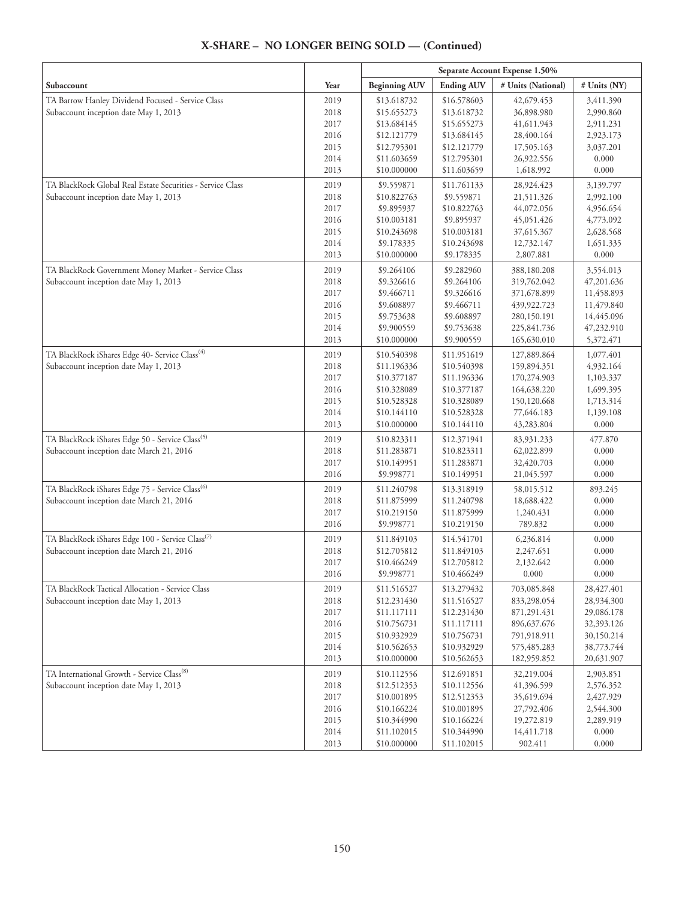|                                                              |              | Separate Account Expense 1.50% |                            |                            |                          |
|--------------------------------------------------------------|--------------|--------------------------------|----------------------------|----------------------------|--------------------------|
| Subaccount                                                   | Year         | <b>Beginning AUV</b>           | <b>Ending AUV</b>          | # Units (National)         | # Units (NY)             |
| TA Barrow Hanley Dividend Focused - Service Class            | 2019         | \$13.618732                    | \$16.578603                | 42,679.453                 | 3,411.390                |
| Subaccount inception date May 1, 2013                        | 2018         | \$15.655273                    | \$13.618732                | 36,898.980                 | 2,990.860                |
|                                                              | 2017         | \$13.684145                    | \$15.655273                | 41,611.943                 | 2,911.231                |
|                                                              | 2016         | \$12,121779                    | \$13.684145                | 28,400.164                 | 2,923.173                |
|                                                              | 2015         | \$12.795301                    | \$12.121779                | 17,505.163                 | 3,037.201                |
|                                                              | 2014         | \$11.603659                    | \$12.795301                | 26,922.556                 | 0.000                    |
|                                                              | 2013         | \$10.000000                    | \$11.603659                | 1,618.992                  | 0.000                    |
| TA BlackRock Global Real Estate Securities - Service Class   | 2019         | \$9.559871                     | \$11.761133                | 28,924.423                 | 3,139.797                |
| Subaccount inception date May 1, 2013                        | 2018         | \$10.822763                    | \$9.559871                 | 21,511.326                 | 2,992.100                |
|                                                              | 2017         | \$9.895937                     | \$10.822763                | 44,072.056                 | 4,956.654                |
|                                                              | 2016         | \$10.003181                    | \$9.895937                 | 45,051.426                 | 4,773.092                |
|                                                              | 2015         | \$10.243698                    | \$10.003181                | 37,615.367                 | 2,628.568                |
|                                                              | 2014         | \$9.178335                     | \$10.243698                | 12,732.147                 | 1,651.335                |
|                                                              | 2013         | \$10.000000                    | \$9.178335                 | 2,807.881                  | 0.000                    |
| TA BlackRock Government Money Market - Service Class         | 2019         | \$9.264106                     | \$9.282960                 | 388,180.208                | 3,554.013                |
| Subaccount inception date May 1, 2013                        | 2018         | \$9.326616                     | \$9.264106                 | 319,762.042                | 47,201.636               |
|                                                              | 2017         | \$9.466711                     | \$9.326616                 | 371,678.899                | 11,458.893               |
|                                                              | 2016         | \$9.608897                     | \$9.466711                 | 439,922.723                | 11,479.840               |
|                                                              | 2015         | \$9.753638                     | \$9.608897                 | 280,150.191                | 14,445.096               |
|                                                              | 2014         | \$9.900559                     | \$9.753638                 | 225,841.736                | 47,232.910               |
|                                                              | 2013         | \$10.000000                    | \$9.900559                 | 165,630.010                | 5,372.471                |
| TA BlackRock iShares Edge 40- Service Class <sup>(4)</sup>   | 2019         | \$10.540398                    | \$11.951619                | 127,889.864                | 1,077.401                |
| Subaccount inception date May 1, 2013                        | 2018         | \$11.196336                    | \$10.540398                | 159,894.351                | 4,932.164                |
|                                                              | 2017         | \$10.377187                    | \$11.196336                | 170,274.903                | 1,103.337                |
|                                                              | 2016         | \$10.328089                    | \$10.377187                | 164,638.220                | 1,699.395                |
|                                                              | 2015         | \$10.528328                    | \$10.328089                | 150,120.668                | 1,713.314                |
|                                                              | 2014         | \$10.144110                    | \$10.528328                | 77,646.183                 | 1,139.108                |
|                                                              | 2013         | \$10.000000                    | \$10.144110                | 43,283.804                 | 0.000                    |
| TA BlackRock iShares Edge 50 - Service Class <sup>(5)</sup>  | 2019         | \$10.823311                    | \$12.371941                | 83,931.233                 | 477.870                  |
| Subaccount inception date March 21, 2016                     | 2018         | \$11.283871                    | \$10.823311                | 62,022.899                 | 0.000                    |
|                                                              | 2017         | \$10.149951                    | \$11.283871                | 32,420.703                 | 0.000                    |
|                                                              | 2016         | \$9.998771                     | \$10.149951                | 21,045.597                 | 0.000                    |
| TA BlackRock iShares Edge 75 - Service Class <sup>(6)</sup>  | 2019         | \$11.240798                    | \$13.318919                | 58,015.512                 | 893.245                  |
| Subaccount inception date March 21, 2016                     | 2018         | \$11.875999                    | \$11.240798                | 18,688.422                 | 0.000                    |
|                                                              | 2017         | \$10.219150                    | \$11.875999                | 1,240.431                  | 0.000                    |
|                                                              | 2016         | \$9.998771                     | \$10.219150                | 789.832                    | 0.000                    |
| TA BlackRock iShares Edge 100 - Service Class <sup>(7)</sup> | 2019         | \$11.849103                    | \$14.541701                | 6,236.814                  | 0.000                    |
| Subaccount inception date March 21, 2016                     | 2018         | \$12.705812                    | \$11.849103                | 2,247.651                  | 0.000                    |
|                                                              | 2017         | \$10.466249                    | \$12.705812                | 2,132.642                  | 0.000                    |
|                                                              | 2016         | \$9.998771                     | \$10.466249                | 0.000                      | 0.000                    |
| TA BlackRock Tactical Allocation - Service Class             | 2019         | \$11.516527                    | \$13.279432                | 703,085.848                | 28,427.401               |
| Subaccount inception date May 1, 2013                        | 2018         | \$12.231430                    | \$11.516527                | 833,298.054                | 28,934.300               |
|                                                              | 2017         | \$11.117111                    | \$12.231430                | 871,291.431                | 29,086.178               |
|                                                              | 2016         | \$10.756731                    | \$11.117111                | 896, 637. 676              | 32,393.126               |
|                                                              | 2015         | \$10.932929                    | \$10.756731                | 791,918.911                | 30,150.214               |
|                                                              | 2014<br>2013 | \$10.562653<br>\$10.000000     | \$10.932929<br>\$10.562653 | 575,485.283<br>182,959.852 | 38,773.744<br>20,631.907 |
|                                                              |              |                                |                            |                            |                          |
| TA International Growth - Service Class <sup>(8)</sup>       | 2019         | \$10.112556                    | \$12.691851                | 32,219.004                 | 2,903.851                |
| Subaccount inception date May 1, 2013                        | 2018         | \$12.512353                    | \$10.112556                | 41,396.599                 | 2,576.352                |
|                                                              | 2017         | \$10.001895                    | \$12.512353                | 35,619.694                 | 2,427.929                |
|                                                              | 2016<br>2015 | \$10.166224<br>\$10.344990     | \$10.001895<br>\$10.166224 | 27,792.406                 | 2,544.300<br>2,289.919   |
|                                                              | 2014         | \$11.102015                    | \$10.344990                | 19,272.819<br>14,411.718   | 0.000                    |
|                                                              | 2013         | \$10.000000                    | \$11.102015                | 902.411                    | 0.000                    |
|                                                              |              |                                |                            |                            |                          |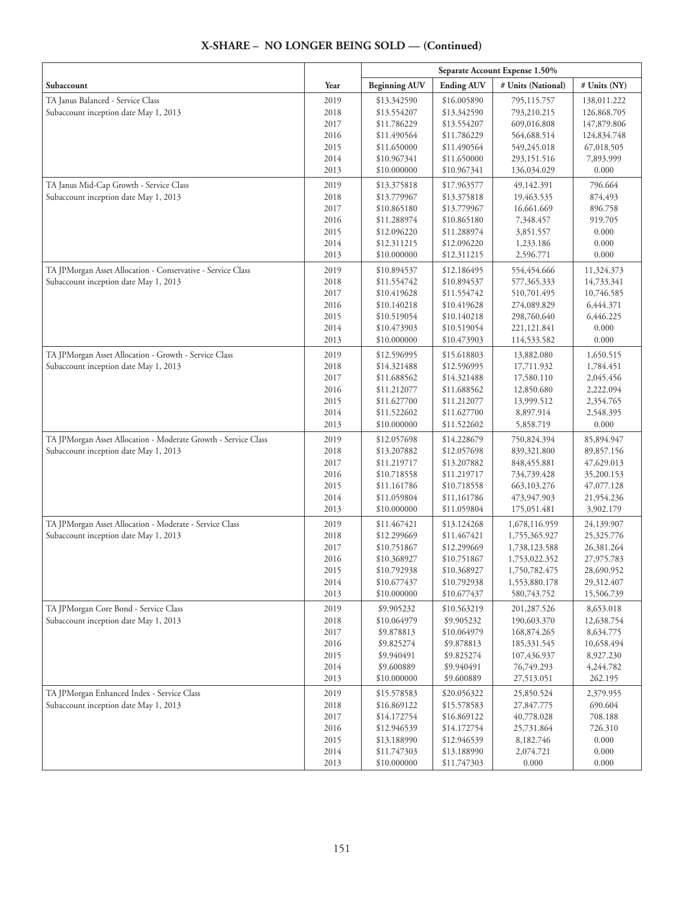|                                                                |              | Separate Account Expense 1.50% |                            |                            |                         |
|----------------------------------------------------------------|--------------|--------------------------------|----------------------------|----------------------------|-------------------------|
| Subaccount                                                     | Year         | <b>Beginning AUV</b>           | <b>Ending AUV</b>          | # Units (National)         | # Units (NY)            |
| TA Janus Balanced - Service Class                              | 2019         | \$13.342590                    | \$16.005890                | 795,115.757                | 138,011.222             |
| Subaccount inception date May 1, 2013                          | 2018         | \$13.554207                    | \$13.342590                | 793,210.215                | 126,868.705             |
|                                                                | 2017         | \$11.786229                    | \$13.554207                | 609,016.808                | 147,879.806             |
|                                                                | 2016         | \$11.490564                    | \$11.786229                | 564,688.514                | 124,834.748             |
|                                                                | 2015         | \$11.650000                    | \$11.490564                | 549,245.018                | 67,018.505              |
|                                                                | 2014         | \$10.967341                    | \$11.650000                | 293,151.516                | 7,893.999               |
|                                                                | 2013         | \$10.000000                    | \$10.967341                | 136,034.029                | 0.000                   |
| TA Janus Mid-Cap Growth - Service Class                        | 2019         | \$13.375818                    | \$17.963577                | 49,142.391                 | 796.664                 |
| Subaccount inception date May 1, 2013                          | 2018         | \$13.779967                    | \$13.375818                | 19,463.535                 | 874,493                 |
|                                                                | 2017         | \$10.865180                    | \$13.779967                | 16,661.669                 | 896.758                 |
|                                                                | 2016         | \$11.288974                    | \$10.865180                | 7,348.457                  | 919.705                 |
|                                                                | 2015         | \$12.096220                    | \$11.288974                | 3,851.557                  | 0.000                   |
|                                                                | 2014         | \$12.311215                    | \$12.096220                | 1,233.186                  | 0.000                   |
|                                                                | 2013         | \$10.000000                    | \$12.311215                | 2,596.771                  | 0.000                   |
| TA JPMorgan Asset Allocation - Conservative - Service Class    | 2019         | \$10.894537                    | \$12.186495                | 554,454.666                | 11,324.373              |
| Subaccount inception date May 1, 2013                          | 2018         | \$11.554742                    | \$10.894537                | 577,365.333                | 14,733.341              |
|                                                                | 2017         | \$10.419628                    | \$11.554742                | 510,701.495                | 10,746.585              |
|                                                                | 2016         | \$10.140218                    | \$10.419628                | 274,089.829                | 6,444.371               |
|                                                                | 2015         | \$10.519054                    | \$10.140218                | 298,760.640                | 6,446.225               |
|                                                                | 2014         | \$10.473903                    | \$10.519054                | 221,121.841                | 0.000                   |
|                                                                | 2013         | \$10.000000                    | \$10.473903                | 114,533.582                | 0.000                   |
| TA JPMorgan Asset Allocation - Growth - Service Class          | 2019         | \$12.596995                    | \$15.618803                | 13,882.080                 | 1,650.515               |
| Subaccount inception date May 1, 2013                          | 2018         | \$14.321488                    | \$12.596995                | 17,711.932                 | 1,784.451               |
|                                                                | 2017<br>2016 | \$11.688562                    | \$14.321488                | 17,580.110                 | 2,045.456               |
|                                                                | 2015         | \$11.212077<br>\$11.627700     | \$11.688562<br>\$11.212077 | 12,850.680<br>13,999.512   | 2,222.094<br>2,354.765  |
|                                                                | 2014         | \$11.522602                    | \$11.627700                | 8,897.914                  | 2,548.395               |
|                                                                | 2013         | \$10.000000                    | \$11.522602                | 5,858.719                  | 0.000                   |
| TA JPMorgan Asset Allocation - Moderate Growth - Service Class | 2019         | \$12.057698                    | \$14.228679                | 750,824.394                | 85,894.947              |
| Subaccount inception date May 1, 2013                          | 2018         | \$13.207882                    | \$12.057698                | 839,321.800                | 89,857.156              |
|                                                                | 2017         | \$11.219717                    | \$13.207882                | 848, 455.881               | 47,629.013              |
|                                                                | 2016         | \$10.718558                    | \$11.219717                | 734,739.428                | 35,200.153              |
|                                                                | 2015         | \$11.161786                    | \$10.718558                | 663, 103. 276              | 47,077.128              |
|                                                                | 2014         | \$11.059804                    | \$11,161786                | 473,947.903                | 21,954.236              |
|                                                                | 2013         | \$10.000000                    | \$11.059804                | 175,051.481                | 3,902.179               |
| TA JPMorgan Asset Allocation - Moderate - Service Class        | 2019         | \$11.467421                    | \$13.124268                | 1,678,116.959              | 24,139.907              |
| Subaccount inception date May 1, 2013                          | 2018         | \$12.299669                    | \$11.467421                | 1,755,365.927              | 25,325.776              |
|                                                                | 2017         | \$10.751867                    | \$12.299669                | 1,738,123.588              | 26,381.264              |
|                                                                | 2016         | \$10.368927                    | \$10.751867                | 1,753,022.352              | 27,975.783              |
|                                                                | 2015         | \$10.792938                    | \$10.368927                | 1,750,782.475              | 28,690.952              |
|                                                                | 2014         | \$10.677437                    | \$10.792938                | 1,553,880.178              | 29,312.407              |
|                                                                | 2013         | \$10.000000                    | \$10.677437                | 580,743.752                | 15,506.739              |
| TA JPMorgan Core Bond - Service Class                          | 2019         | \$9.905232                     | \$10.563219<br>\$9.905232  | 201,287.526                | 8,653.018               |
| Subaccount inception date May 1, 2013                          | 2018<br>2017 | \$10.064979<br>\$9.878813      | \$10.064979                | 190,603.370<br>168,874.265 | 12,638.754<br>8,634.775 |
|                                                                | 2016         | \$9.825274                     | \$9.878813                 | 185,331.545                | 10,658.494              |
|                                                                | 2015         | \$9.940491                     | \$9.825274                 | 107,436.937                | 8,927.230               |
|                                                                | 2014         | \$9.600889                     | \$9.940491                 | 76,749.293                 | 4,244.782               |
|                                                                | 2013         | \$10.000000                    | \$9.600889                 | 27,513.051                 | 262.195                 |
| TA JPMorgan Enhanced Index - Service Class                     | 2019         | \$15.578583                    | \$20.056322                | 25,850.524                 | 2,379.955               |
| Subaccount inception date May 1, 2013                          | 2018         | \$16.869122                    | \$15.578583                | 27,847.775                 | 690.604                 |
|                                                                | 2017         | \$14.172754                    | \$16.869122                | 40,778.028                 | 708.188                 |
|                                                                | 2016         | \$12.946539                    | \$14.172754                | 25,731.864                 | 726.310                 |
|                                                                | 2015         | \$13.188990                    | \$12.946539                | 8,182.746                  | 0.000                   |
|                                                                | 2014         | \$11.747303                    | \$13.188990                | 2,074.721                  | 0.000                   |
|                                                                | 2013         | \$10.000000                    | \$11.747303                | 0.000                      | 0.000                   |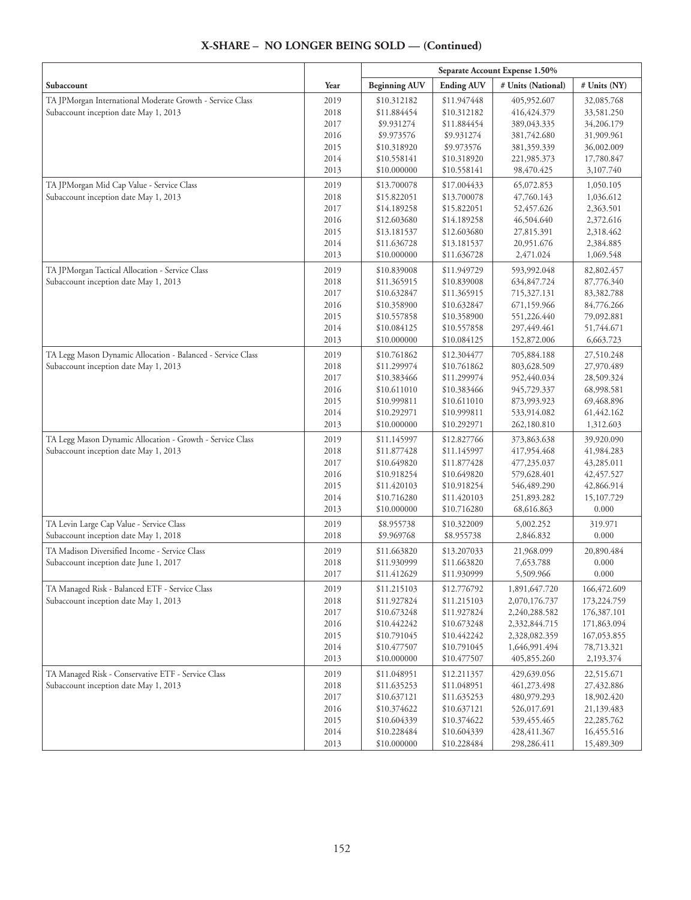|                                                             |              | Separate Account Expense 1.50% |                            |                                |                            |
|-------------------------------------------------------------|--------------|--------------------------------|----------------------------|--------------------------------|----------------------------|
| Subaccount                                                  | Year         | <b>Beginning AUV</b>           | <b>Ending AUV</b>          | # Units (National)             | # Units (NY)               |
| TA JPMorgan International Moderate Growth - Service Class   | 2019         | \$10.312182                    | \$11.947448                | 405,952.607                    | 32,085.768                 |
| Subaccount inception date May 1, 2013                       | 2018         | \$11.884454                    | \$10.312182                | 416, 424. 379                  | 33,581.250                 |
|                                                             | 2017         | \$9.931274                     | \$11.884454                | 389,043.335                    | 34,206.179                 |
|                                                             | 2016         | \$9.973576                     | \$9.931274                 | 381,742.680                    | 31,909.961                 |
|                                                             | 2015         | \$10.318920                    | \$9.973576                 | 381,359.339                    | 36,002.009                 |
|                                                             | 2014         | \$10.558141                    | \$10.318920                | 221,985.373                    | 17,780.847                 |
|                                                             | 2013         | \$10.000000                    | \$10.558141                | 98,470.425                     | 3,107.740                  |
| TA JPMorgan Mid Cap Value - Service Class                   | 2019         | \$13.700078                    | \$17.004433                | 65,072.853                     | 1,050.105                  |
| Subaccount inception date May 1, 2013                       | 2018         | \$15.822051                    | \$13.700078                | 47,760.143                     | 1,036.612                  |
|                                                             | 2017         | \$14.189258                    | \$15.822051                | 52,457.626                     | 2,363.501                  |
|                                                             | 2016         | \$12.603680                    | \$14.189258                | 46,504.640                     | 2,372.616                  |
|                                                             | 2015         | \$13.181537                    | \$12.603680                | 27,815.391                     | 2,318.462                  |
|                                                             | 2014         | \$11.636728                    | \$13.181537                | 20,951.676                     | 2,384.885                  |
|                                                             | 2013         | \$10.000000                    | \$11.636728                | 2,471.024                      | 1,069.548                  |
| TA JPMorgan Tactical Allocation - Service Class             | 2019         | \$10.839008                    | \$11.949729                | 593,992.048                    | 82,802.457                 |
| Subaccount inception date May 1, 2013                       | 2018         | \$11.365915                    | \$10.839008                | 634,847.724                    | 87,776.340                 |
|                                                             | 2017         | \$10.632847                    | \$11.365915                | 715,327.131                    | 83,382.788                 |
|                                                             | 2016         | \$10.358900                    | \$10.632847                | 671,159.966                    | 84,776.266                 |
|                                                             | 2015         | \$10.557858                    | \$10.358900                | 551,226.440                    | 79,092.881                 |
|                                                             | 2014         | \$10.084125<br>\$10.000000     | \$10.557858                | 297,449.461                    | 51,744.671                 |
|                                                             | 2013         |                                | \$10.084125                | 152,872.006                    | 6,663.723                  |
| TA Legg Mason Dynamic Allocation - Balanced - Service Class | 2019         | \$10.761862                    | \$12.304477                | 705,884.188                    | 27,510.248                 |
| Subaccount inception date May 1, 2013                       | 2018         | \$11.299974                    | \$10.761862                | 803,628.509                    | 27,970.489                 |
|                                                             | 2017         | \$10.383466                    | \$11.299974                | 952,440.034                    | 28,509.324                 |
|                                                             | 2016         | \$10.611010                    | \$10.383466                | 945,729.337                    | 68,998.581                 |
|                                                             | 2015         | \$10.999811                    | \$10.611010                | 873,993.923                    | 69,468.896<br>61,442.162   |
|                                                             | 2014<br>2013 | \$10.292971<br>\$10.000000     | \$10.999811<br>\$10.292971 | 533,914.082<br>262,180.810     | 1,312.603                  |
|                                                             |              |                                |                            |                                |                            |
| TA Legg Mason Dynamic Allocation - Growth - Service Class   | 2019         | \$11.145997                    | \$12.827766                | 373,863.638                    | 39,920.090                 |
| Subaccount inception date May 1, 2013                       | 2018         | \$11.877428                    | \$11.145997                | 417,954.468                    | 41,984.283                 |
|                                                             | 2017<br>2016 | \$10.649820<br>\$10.918254     | \$11.877428<br>\$10.649820 | 477,235.037<br>579,628.401     | 43,285.011<br>42, 457.527  |
|                                                             | 2015         | \$11.420103                    | \$10.918254                | 546,489.290                    | 42,866.914                 |
|                                                             | 2014         | \$10.716280                    | \$11.420103                | 251,893.282                    | 15,107.729                 |
|                                                             | 2013         | \$10.000000                    | \$10.716280                | 68,616.863                     | 0.000                      |
| TA Levin Large Cap Value - Service Class                    | 2019         | \$8.955738                     | \$10.322009                | 5,002.252                      | 319.971                    |
| Subaccount inception date May 1, 2018                       | 2018         | \$9.969768                     | \$8.955738                 | 2,846.832                      | 0.000                      |
|                                                             |              |                                |                            |                                |                            |
| TA Madison Diversified Income - Service Class               | 2019         | \$11.663820                    | \$13.207033                | 21,968.099                     | 20,890.484                 |
| Subaccount inception date June 1, 2017                      | 2018<br>2017 | \$11.930999<br>\$11.412629     | \$11.663820<br>\$11.930999 | 7,653.788<br>5,509.966         | 0.000<br>0.000             |
|                                                             |              |                                |                            |                                |                            |
| TA Managed Risk - Balanced ETF - Service Class              | 2019         | \$11.215103                    | \$12.776792                | 1,891,647.720                  | 166,472.609                |
| Subaccount inception date May 1, 2013                       | 2018         | \$11.927824                    | \$11.215103                | 2,070,176.737                  | 173,224.759                |
|                                                             | 2017         | \$10.673248                    | \$11.927824                | 2,240,288.582                  | 176,387.101                |
|                                                             | 2016<br>2015 | \$10.442242<br>\$10.791045     | \$10.673248<br>\$10.442242 | 2,332,844.715<br>2,328,082.359 | 171,863.094<br>167,053.855 |
|                                                             | 2014         | \$10.477507                    | \$10.791045                | 1,646,991.494                  | 78,713.321                 |
|                                                             | 2013         | \$10.000000                    | \$10.477507                | 405,855.260                    | 2,193.374                  |
|                                                             |              |                                |                            |                                |                            |
| TA Managed Risk - Conservative ETF - Service Class          | 2019         | \$11.048951                    | \$12.211357                | 429,639.056                    | 22,515.671                 |
| Subaccount inception date May 1, 2013                       | 2018<br>2017 | \$11.635253<br>\$10.637121     | \$11.048951<br>\$11.635253 | 461,273.498<br>480,979.293     | 27,432.886<br>18,902.420   |
|                                                             | 2016         | \$10.374622                    | \$10.637121                | 526,017.691                    | 21,139.483                 |
|                                                             | 2015         | \$10.604339                    | \$10.374622                | 539,455.465                    | 22,285.762                 |
|                                                             | 2014         | \$10.228484                    | \$10.604339                | 428, 411.367                   | 16,455.516                 |
|                                                             | 2013         | \$10.000000                    | \$10.228484                | 298,286.411                    | 15,489.309                 |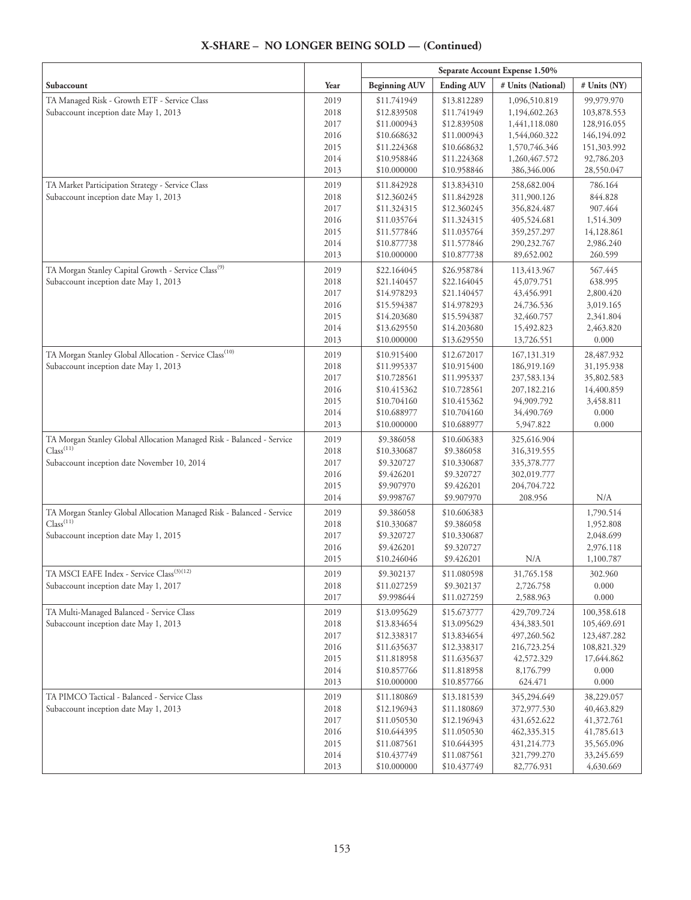#### **Separate Account Expense 1.50% Subaccount**  $\begin{array}{|c|c|c|c|c|}\hline \textbf{Year} & \textbf{Beginning AUV} & \textbf{Ending AUV} & \textbf{\# Units (National)} & \textbf{\# Units (NY)}\hline \end{array}$ TA Managed Risk - Growth ETF - Service Class Subaccount inception date May 1, 2013 2019 2018 2017 2016 2015 2014 2013 \$11.741949 \$12.839508 \$11.000943 \$10.668632 \$11.224368 \$10.958846 \$10.000000 \$13.812289 \$11.741949 \$12.839508 \$11.000943 \$10.668632 \$11.224368 \$10.958846 1,096,510.819 1,194,602.263 1,441,118.080 1,544,060.322 1,570,746.346 1,260,467.572 386,346.006 99,979.970 103,878.553 128,916.055 146,194.092 151,303.992 92,786.203 28,550.047 TA Market Participation Strategy - Service Class Subaccount inception date May 1, 2013 2019 2018 2017 2016 2015 2014 2013 \$11.842928 \$12.360245 \$11.324315 \$11.035764 \$11.577846 \$10.877738 \$10.000000 \$13.834310 \$11.842928 \$12.360245 \$11.324315 \$11.035764 \$11.577846 \$10.877738 258,682.004 311,900.126 356,824.487 405,524.681 359,257.297 290,232.767 89,652.002 786.164 844.828 907.464 1,514.309 14,128.861 2,986.240 260.599 TA Morgan Stanley Capital Growth - Service Class<sup>(9)</sup> Subaccount inception date May 1, 2013 2019 2018 2017 2016 2015 2014 2013 \$22.164045 \$21.140457 \$14.978293 \$15.594387 \$14.203680 \$13.629550 \$10.000000 \$26.958784 \$22.164045 \$21.140457 \$14.978293 \$15.594387 \$14.203680 \$13.629550 113,413.967 45,079.751 43,456.991 24,736.536 32,460.757 15,492.823 13,726.551 567.445 638.995 2,800.420 3,019.165 2,341.804 2,463.820 0.000 TA Morgan Stanley Global Allocation - Service Class<sup>(10)</sup> Subaccount inception date May 1, 2013 2019 2018 2017 2016 2015 2014 2013 \$10.915400 \$11.995337 \$10.728561 \$10.415362 \$10.704160 \$10.688977 \$10.000000 \$12.672017 \$10.915400 \$11.995337 \$10.728561 \$10.415362 \$10.704160 \$10.688977 167,131.319 186,919.169 237,583.134 207,182.216 94,909.792 34,490.769 5,947.822 28,487.932 31,195.938 35,802.583 14,400.859 3,458.811 0.000 0.000 TA Morgan Stanley Global Allocation Managed Risk - Balanced - Service  $Class<sup>(11)</sup>$ Subaccount inception date November 10, 2014 2019 2018 2017 2016 2015 2014 \$9.386058 \$10.330687 \$9.320727 \$9.426201 \$9.907970 \$9.998767 \$10.606383 \$9.386058 \$10.330687 \$9.320727 \$9.426201 \$9.907970 325,616.904 316,319.555 335,378.777 302,019.777 204,704.722 208.956 N/A TA Morgan Stanley Global Allocation Managed Risk - Balanced - Service  $Class<sup>(11)</sup>$ Subaccount inception date May 1, 2015 2019 2018 2017 2016 2015 \$9.386058 \$10.330687 \$9.320727 \$9.426201 \$10.246046 \$10.606383 \$9.386058 \$10.330687 \$9.320727 \$9.426201 N/A 1,790.514 1,952.808 2,048.699 2,976.118 1,100.787 TA MSCI EAFE Index - Service Class<sup>(3)(12)</sup> Subaccount inception date May 1, 2017 2019 2018 2017 \$9.302137 \$11.027259 \$9.998644 \$11.080598 \$9.302137 \$11.027259 31,765.158 2,726.758 2,588.963 302.960 0.000 0.000 TA Multi-Managed Balanced - Service Class Subaccount inception date May 1, 2013 2019 2018 2017 2016 2015 2014 2013 \$13.095629 \$13.834654 \$12.338317 \$11.635637 \$11.818958 \$10.857766 \$10.000000 \$15.673777 \$13.095629 \$13.834654 \$12.338317 \$11.635637 \$11.818958 \$10.857766 429,709.724 434,383.501 497,260.562 216,723.254 42,572.329 8,176.799 624.471 100,358.618 105,469.691 123,487.282 108,821.329 17,644.862 0.000 0.000 TA PIMCO Tactical - Balanced - Service Class Subaccount inception date May 1, 2013 2019 2018 2017 2016 2015 2014 2013 \$11.180869 \$12.196943 \$11.050530 \$10.644395 \$11.087561 \$10.437749 \$10.000000 \$13.181539 \$11.180869 \$12.196943 \$11.050530 \$10.644395 \$11.087561 \$10.437749 345,294.649 372,977.530 431,652.622 462,335.315 431,214.773 321,799.270 82,776.931 38,229.057 40,463.829 41,372.761 41,785.613 35,565.096 33,245.659 4,630.669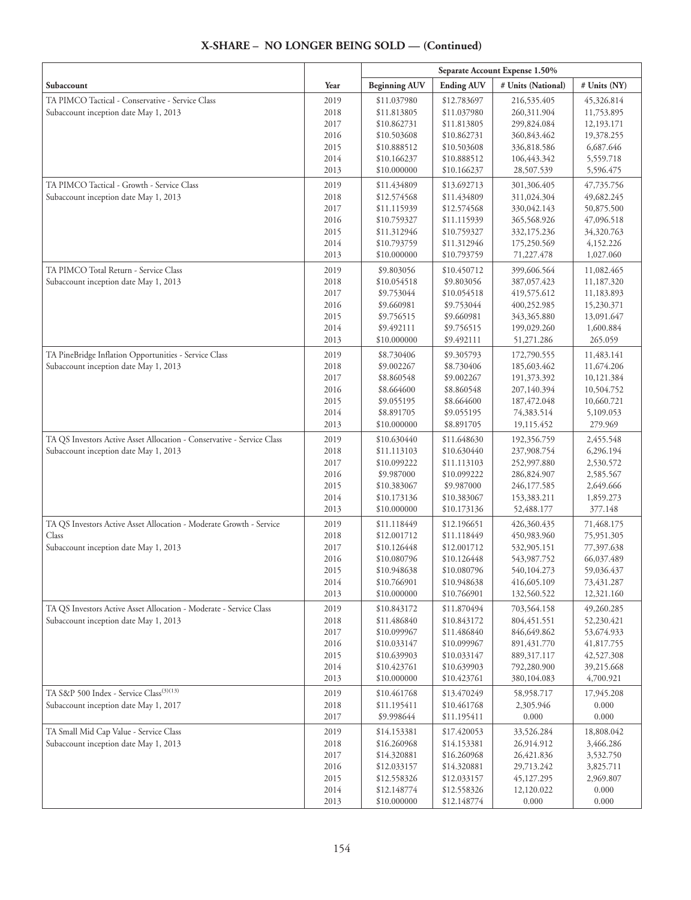#### **Separate Account Expense 1.50% Subaccount**  $\begin{array}{|c|c|c|c|c|}\hline \textbf{Year} & \textbf{Beginning AUV} & \textbf{Ending AUV} & \textbf{\# Units (National)} & \textbf{\# Units (NY)}\hline \end{array}$ TA PIMCO Tactical - Conservative - Service Class Subaccount inception date May 1, 2013 2019 2018 2017 2016 2015 2014 2013 \$11.037980 \$11.813805 \$10.862731 \$10.503608 \$10.888512 \$10.166237 \$10.000000 \$12.783697 \$11.037980 \$11.813805 \$10.862731 \$10.503608 \$10.888512 \$10.166237 216,535.405 260,311.904 299,824.084 360,843.462 336,818.586 106,443.342 28,507.539 45,326.814 11,753.895 12,193.171 19,378.255 6,687.646 5,559.718 5,596.475 TA PIMCO Tactical - Growth - Service Class Subaccount inception date May 1, 2013 2019 2018 2017 2016 2015 2014 2013 \$11.434809 \$12.574568 \$11.115939 \$10.759327 \$11.312946 \$10.793759 \$10.000000 \$13.692713 \$11.434809 \$12.574568 \$11.115939 \$10.759327 \$11.312946 \$10.793759 301,306.405 311,024.304 330,042.143 365,568.926 332,175.236 175,250.569 71,227.478 47,735.756 49,682.245 50,875.500 47,096.518 34,320.763 4,152.226 1,027.060 TA PIMCO Total Return - Service Class Subaccount inception date May 1, 2013 2019 2018 2017 2016 2015 2014 2013 \$9.803056 \$10.054518 \$9.753044 \$9.660981 \$9.756515 \$9.492111 \$10.000000 \$10.450712 \$9.803056 \$10.054518 \$9.753044 \$9.660981 \$9.756515 \$9.492111 399,606.564 387,057.423 419,575.612 400,252.985 343,365.880 199,029.260 51,271.286 11,082.465 11,187.320 11,183.893 15,230.371 13,091.647 1,600.884 265.059 TA PineBridge Inflation Opportunities - Service Class Subaccount inception date May 1, 2013 2019 2018 2017 2016 2015 2014 2013 \$8.730406 \$9.002267 \$8.860548 \$8.664600 \$9.055195 \$8.891705 \$10.000000 \$9.305793 \$8.730406 \$9.002267 \$8.860548 \$8.664600 \$9.055195 \$8.891705 172,790.555 185,603.462 191,373.392 207,140.394 187,472.048 74,383.514 19,115.452 11,483.141 11,674.206 10,121.384 10,504.752 10,660.721 5,109.053 279.969 TA QS Investors Active Asset Allocation - Conservative - Service Class Subaccount inception date May 1, 2013 2019 2018 2017 2016 2015 2014 2013 \$10.630440 \$11.113103 \$10.099222 \$9.987000 \$10.383067 \$10.173136 \$10.000000 \$11.648630 \$10.630440 \$11.113103 \$10.099222 \$9.987000 \$10.383067 \$10.173136 192,356.759 237,908.754 252,997.880 286,824.907 246,177.585 153,383.211 52,488.177 2,455.548 6,296.194 2,530.572 2,585.567 2,649.666 1,859.273 377.148 TA QS Investors Active Asset Allocation - Moderate Growth - Service Class Subaccount inception date May 1, 2013 2019 2018 2017 2016 2015 2014 2013 \$11.118449 \$12.001712 \$10.126448 \$10.080796 \$10.948638 \$10.766901 \$10.000000 \$12.196651 \$11.118449 \$12.001712 \$10.126448 \$10.080796 \$10.948638 \$10.766901 426,360.435 450,983.960 532,905.151 543,987.752 540,104.273 416,605.109 132,560.522 71,468.175 75,951.305 77,397.638 66,037.489 59,036.437 73,431.287 12,321.160 TA QS Investors Active Asset Allocation - Moderate - Service Class Subaccount inception date May 1, 2013 2019 2018 2017 2016 2015 2014 2013 \$10.843172 \$11.486840 \$10.099967 \$10.033147 \$10.639903 \$10.423761 \$10.000000 \$11.870494 \$10.843172 \$11.486840 \$10.099967 \$10.033147 \$10.639903 \$10.423761 703,564.158 804,451.551 846,649.862 891,431.770 889,317.117 792,280.900 380,104.083 49,260.285 52,230.421 53,674.933 41,817.755 42,527.308 39,215.668 4,700.921 TA S&P 500 Index - Service Class<sup>(3)(13)</sup> Subaccount inception date May 1, 2017 2019 2018 2017 \$10.461768 \$11.195411 \$9.998644 \$13.470249 \$10.461768 \$11.195411 58,958.717 2,305.946 0.000 17,945.208 0.000 0.000 TA Small Mid Cap Value - Service Class Subaccount inception date May 1, 2013 2019 2018 2017 2016 2015 2014 2013 \$14.153381 \$16.260968 \$14.320881 \$12.033157 \$12.558326 \$12.148774 \$10.000000 \$17.420053 \$14.153381 \$16.260968 \$14.320881 \$12.033157 \$12.558326 \$12.148774 33,526.284 26,914.912 26,421.836 29,713.242 45,127.295 12,120.022 0.000 18,808.042 3,466.286 3,532.750 3,825.711 2,969.807 0.000 0.000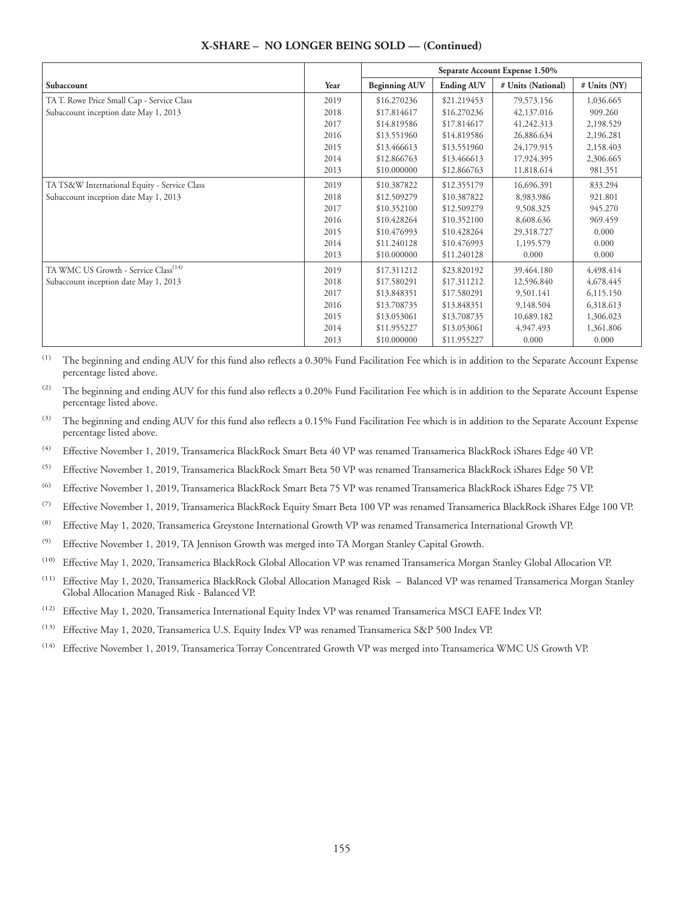|                                                  |      | Separate Account Expense 1.50% |                   |                    |              |
|--------------------------------------------------|------|--------------------------------|-------------------|--------------------|--------------|
| Subaccount                                       | Year | <b>Beginning AUV</b>           | <b>Ending AUV</b> | # Units (National) | # Units (NY) |
| TA T. Rowe Price Small Cap - Service Class       | 2019 | \$16.270236                    | \$21.219453       | 79,573.156         | 1,036.665    |
| Subaccount inception date May 1, 2013            | 2018 | \$17.814617                    | \$16.270236       | 42,137.016         | 909.260      |
|                                                  | 2017 | \$14.819586                    | \$17.814617       | 41,242.313         | 2,198.529    |
|                                                  | 2016 | \$13.551960                    | \$14.819586       | 26,886.634         | 2,196.281    |
|                                                  | 2015 | \$13.466613                    | \$13.551960       | 24,179.915         | 2,158.403    |
|                                                  | 2014 | \$12.866763                    | \$13.466613       | 17,924.395         | 2,306.665    |
|                                                  | 2013 | \$10,000000                    | \$12.866763       | 11,818.614         | 981.351      |
| TA TS&W International Equity - Service Class     | 2019 | \$10.387822                    | \$12.355179       | 16,696.391         | 833.294      |
| Subaccount inception date May 1, 2013            | 2018 | \$12.509279                    | \$10.387822       | 8,983.986          | 921.801      |
|                                                  | 2017 | \$10.352100                    | \$12.509279       | 9,508.325          | 945.270      |
|                                                  | 2016 | \$10.428264                    | \$10.352100       | 8,608.636          | 969.459      |
|                                                  | 2015 | \$10.476993                    | \$10.428264       | 29,318.727         | 0.000        |
|                                                  | 2014 | \$11.240128                    | \$10.476993       | 1,195.579          | 0.000        |
|                                                  | 2013 | \$10,000000                    | \$11.240128       | 0.000              | 0.000        |
| TA WMC US Growth - Service Class <sup>(14)</sup> | 2019 | \$17.311212                    | \$23.820192       | 39,464.180         | 4,498.414    |
| Subaccount inception date May 1, 2013            | 2018 | \$17.580291                    | \$17.311212       | 12,596.840         | 4,678.445    |
|                                                  | 2017 | \$13.848351                    | \$17.580291       | 9,501.141          | 6,115.150    |
|                                                  | 2016 | \$13.708735                    | \$13.848351       | 9,148.504          | 6,318.613    |
|                                                  | 2015 | \$13.053061                    | \$13.708735       | 10,689.182         | 1,306.023    |
|                                                  | 2014 | \$11.955227                    | \$13.053061       | 4,947.493          | 1,361.806    |
|                                                  | 2013 | \$10.000000                    | \$11.955227       | 0.000              | 0.000        |

<sup>(1)</sup> The beginning and ending AUV for this fund also reflects a 0.30% Fund Facilitation Fee which is in addition to the Separate Account Expense percentage listed above.

<sup>(2)</sup> The beginning and ending AUV for this fund also reflects a 0.20% Fund Facilitation Fee which is in addition to the Separate Account Expense percentage listed above.

<sup>(3)</sup> The beginning and ending AUV for this fund also reflects a 0.15% Fund Facilitation Fee which is in addition to the Separate Account Expense percentage listed above.

(4) Effective November 1, 2019, Transamerica BlackRock Smart Beta 40 VP was renamed Transamerica BlackRock iShares Edge 40 VP.

(5) Effective November 1, 2019, Transamerica BlackRock Smart Beta 50 VP was renamed Transamerica BlackRock iShares Edge 50 VP.

(6) Effective November 1, 2019, Transamerica BlackRock Smart Beta 75 VP was renamed Transamerica BlackRock iShares Edge 75 VP.

(7) Effective November 1, 2019, Transamerica BlackRock Equity Smart Beta 100 VP was renamed Transamerica BlackRock iShares Edge 100 VP.

(8) Effective May 1, 2020, Transamerica Greystone International Growth VP was renamed Transamerica International Growth VP.

(9) Effective November 1, 2019, TA Jennison Growth was merged into TA Morgan Stanley Capital Growth.

(10) Effective May 1, 2020, Transamerica BlackRock Global Allocation VP was renamed Transamerica Morgan Stanley Global Allocation VP.

(11) Effective May 1, 2020, Transamerica BlackRock Global Allocation Managed Risk – Balanced VP was renamed Transamerica Morgan Stanley Global Allocation Managed Risk - Balanced VP.

(12) Effective May 1, 2020, Transamerica International Equity Index VP was renamed Transamerica MSCI EAFE Index VP.

(13) Effective May 1, 2020, Transamerica U.S. Equity Index VP was renamed Transamerica S&P 500 Index VP.

(14) Effective November 1, 2019, Transamerica Torray Concentrated Growth VP was merged into Transamerica WMC US Growth VP.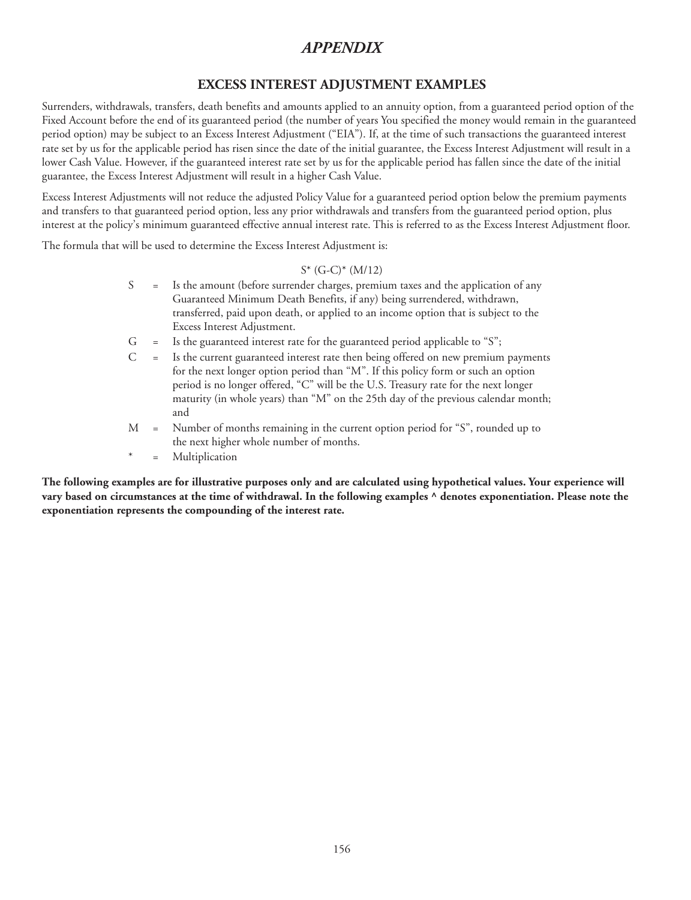# **EXCESS INTEREST ADJUSTMENT EXAMPLES**

Surrenders, withdrawals, transfers, death benefits and amounts applied to an annuity option, from a guaranteed period option of the Fixed Account before the end of its guaranteed period (the number of years You specified the money would remain in the guaranteed period option) may be subject to an Excess Interest Adjustment ("EIA"). If, at the time of such transactions the guaranteed interest rate set by us for the applicable period has risen since the date of the initial guarantee, the Excess Interest Adjustment will result in a lower Cash Value. However, if the guaranteed interest rate set by us for the applicable period has fallen since the date of the initial guarantee, the Excess Interest Adjustment will result in a higher Cash Value.

Excess Interest Adjustments will not reduce the adjusted Policy Value for a guaranteed period option below the premium payments and transfers to that guaranteed period option, less any prior withdrawals and transfers from the guaranteed period option, plus interest at the policy's minimum guaranteed effective annual interest rate. This is referred to as the Excess Interest Adjustment floor.

The formula that will be used to determine the Excess Interest Adjustment is:

### S\* (G-C)\* (M/12)

- S = Is the amount (before surrender charges, premium taxes and the application of any Guaranteed Minimum Death Benefits, if any) being surrendered, withdrawn, transferred, paid upon death, or applied to an income option that is subject to the Excess Interest Adjustment.
- $G =$  Is the guaranteed interest rate for the guaranteed period applicable to "S";
- C = Is the current guaranteed interest rate then being offered on new premium payments for the next longer option period than "M". If this policy form or such an option period is no longer offered, "C" will be the U.S. Treasury rate for the next longer maturity (in whole years) than "M" on the 25th day of the previous calendar month; and
- M = Number of months remaining in the current option period for "S", rounded up to the next higher whole number of months.
- \* = Multiplication

**The following examples are for illustrative purposes only and are calculated using hypothetical values. Your experience will vary based on circumstances at the time of withdrawal. In the following examples ^ denotes exponentiation. Please note the exponentiation represents the compounding of the interest rate.**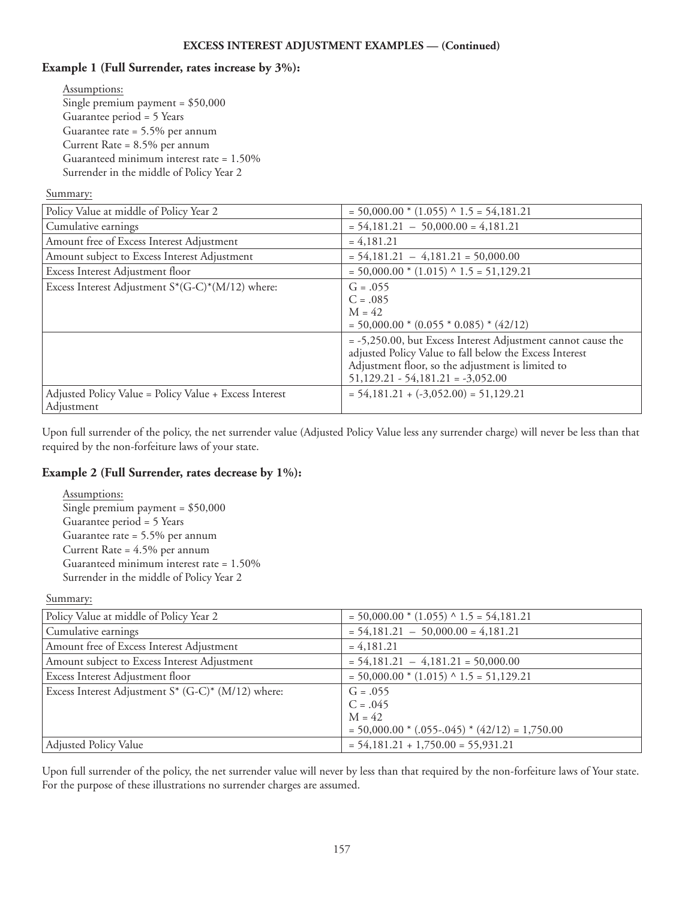## **Example 1 (Full Surrender, rates increase by 3%):**

Assumptions: Single premium payment = \$50,000 Guarantee period = 5 Years Guarantee rate = 5.5% per annum Current Rate = 8.5% per annum Guaranteed minimum interest rate = 1.50% Surrender in the middle of Policy Year 2

### Summary:

| Policy Value at middle of Policy Year 2                              | $= 50,000.00 * (1.055) * 1.5 = 54,181.21$                                                                                                                                    |
|----------------------------------------------------------------------|------------------------------------------------------------------------------------------------------------------------------------------------------------------------------|
| Cumulative earnings                                                  | $= 54,181.21 - 50,000.00 = 4,181.21$                                                                                                                                         |
| Amount free of Excess Interest Adjustment                            | $= 4,181.21$                                                                                                                                                                 |
| Amount subject to Excess Interest Adjustment                         | $= 54,181.21 - 4,181.21 = 50,000.00$                                                                                                                                         |
| Excess Interest Adjustment floor                                     | $= 50,000.00 * (1.015) * 1.5 = 51,129.21$                                                                                                                                    |
| Excess Interest Adjustment S*(G-C)*(M/12) where:                     | $G = .055$                                                                                                                                                                   |
|                                                                      | $C = .085$                                                                                                                                                                   |
|                                                                      | $M = 42$                                                                                                                                                                     |
|                                                                      | $= 50,000.00 * (0.055 * 0.085) * (42/12)$                                                                                                                                    |
|                                                                      | = -5,250.00, but Excess Interest Adjustment cannot cause the<br>adjusted Policy Value to fall below the Excess Interest<br>Adjustment floor, so the adjustment is limited to |
|                                                                      | $51,129.21 - 54,181.21 = -3,052.00$                                                                                                                                          |
| Adjusted Policy Value = Policy Value + Excess Interest<br>Adjustment | $= 54,181.21 + (-3,052.00) = 51,129.21$                                                                                                                                      |

Upon full surrender of the policy, the net surrender value (Adjusted Policy Value less any surrender charge) will never be less than that required by the non-forfeiture laws of your state.

## **Example 2 (Full Surrender, rates decrease by 1%):**

Assumptions: Single premium payment = \$50,000 Guarantee period = 5 Years Guarantee rate = 5.5% per annum Current Rate = 4.5% per annum Guaranteed minimum interest rate = 1.50% Surrender in the middle of Policy Year 2

Summary:

| Policy Value at middle of Policy Year 2               | $= 50,000.00 * (1.055) * 1.5 = 54,181.21$        |
|-------------------------------------------------------|--------------------------------------------------|
| Cumulative earnings                                   | $= 54,181.21 - 50,000.00 = 4,181.21$             |
| Amount free of Excess Interest Adjustment             | $= 4,181.21$                                     |
| Amount subject to Excess Interest Adjustment          | $= 54,181.21 - 4,181.21 = 50,000.00$             |
| Excess Interest Adjustment floor                      | $= 50,000.00 * (1.015) * 1.5 = 51,129.21$        |
| Excess Interest Adjustment $S^*$ (G-C)* (M/12) where: | $G = .055$                                       |
|                                                       | $C = .045$                                       |
|                                                       | $M = 42$                                         |
|                                                       | $= 50,000.00 * (.055-.045) * (42/12) = 1,750.00$ |
| Adjusted Policy Value                                 | $= 54,181.21 + 1,750.00 = 55,931.21$             |

Upon full surrender of the policy, the net surrender value will never by less than that required by the non-forfeiture laws of Your state. For the purpose of these illustrations no surrender charges are assumed.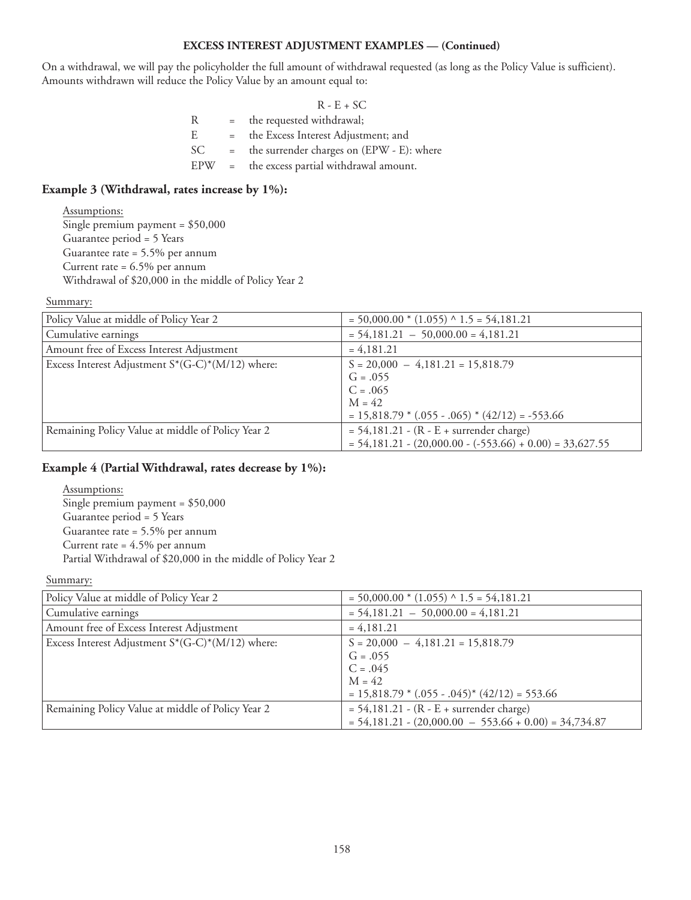### **EXCESS INTEREST ADJUSTMENT EXAMPLES — (Continued)**

On a withdrawal, we will pay the policyholder the full amount of withdrawal requested (as long as the Policy Value is sufficient). Amounts withdrawn will reduce the Policy Value by an amount equal to:

|     |              | $R - E + SC$                              |
|-----|--------------|-------------------------------------------|
| R   | $=$          | the requested withdrawal;                 |
| E   | $=$          | the Excess Interest Adjustment; and       |
| SC  | $=$          | the surrender charges on (EPW - E): where |
| EPW | $\alpha = 1$ | the excess partial withdrawal amount.     |
|     |              |                                           |

### **Example 3 (Withdrawal, rates increase by 1%):**

Assumptions: Single premium payment = \$50,000 Guarantee period = 5 Years Guarantee rate = 5.5% per annum Current rate = 6.5% per annum Withdrawal of \$20,000 in the middle of Policy Year 2

#### Summary:

| Policy Value at middle of Policy Year 2              | $= 50,000.00 * (1.055) * 1.5 = 54,181.21$                  |
|------------------------------------------------------|------------------------------------------------------------|
| Cumulative earnings                                  | $= 54,181.21 - 50,000.00 = 4,181.21$                       |
| Amount free of Excess Interest Adjustment            | $= 4,181.21$                                               |
| Excess Interest Adjustment $S^*(G-C)^*(M/12)$ where: | $S = 20,000 - 4,181.21 = 15,818.79$                        |
|                                                      | $G = .055$                                                 |
|                                                      | $C = .065$                                                 |
|                                                      | $M = 42$                                                   |
|                                                      | $= 15,818.79 * (.055 - .065) * (42/12) = -553.66$          |
| Remaining Policy Value at middle of Policy Year 2    | $= 54,181.21 - (R - E + surrender charge)$                 |
|                                                      | $= 54,181.21 - (20,000.00 - (-553.66) + 0.00) = 33,627.55$ |

### **Example 4 (Partial Withdrawal, rates decrease by 1%):**

Assumptions: Single premium payment = \$50,000 Guarantee period = 5 Years Guarantee rate = 5.5% per annum Current rate = 4.5% per annum Partial Withdrawal of \$20,000 in the middle of Policy Year 2

### Summary:

| Policy Value at middle of Policy Year 2              | $= 50,000.00 * (1.055) \land 1.5 = 54,181.21$           |
|------------------------------------------------------|---------------------------------------------------------|
| Cumulative earnings                                  | $= 54,181.21 - 50,000.00 = 4,181.21$                    |
| Amount free of Excess Interest Adjustment            | $= 4,181.21$                                            |
| Excess Interest Adjustment $S^*(G-C)^*(M/12)$ where: | $S = 20,000 - 4,181.21 = 15,818.79$                     |
|                                                      | $G = .055$                                              |
|                                                      | $C = .045$                                              |
|                                                      | $M = 42$                                                |
|                                                      | $= 15,818.79$ * (.055 - .045) * (42/12) = 553.66        |
| Remaining Policy Value at middle of Policy Year 2    | $= 54,181.21 - (R - E + surrender charge)$              |
|                                                      | $= 54,181.21 - (20,000.00 - 553.66 + 0.00) = 34,734.87$ |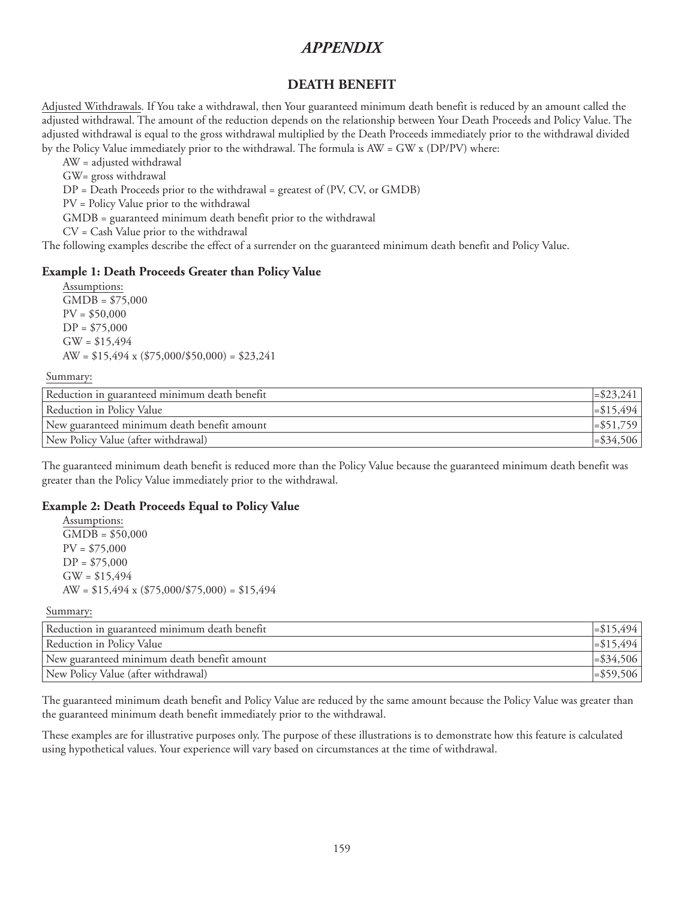### **DEATH BENEFIT**

Adjusted Withdrawals. If You take a withdrawal, then Your guaranteed minimum death benefit is reduced by an amount called the adjusted withdrawal. The amount of the reduction depends on the relationship between Your Death Proceeds and Policy Value. The adjusted withdrawal is equal to the gross withdrawal multiplied by the Death Proceeds immediately prior to the withdrawal divided by the Policy Value immediately prior to the withdrawal. The formula is AW = GW x (DP/PV) where:

AW = adjusted withdrawal GW= gross withdrawal DP = Death Proceeds prior to the withdrawal = greatest of (PV, CV, or GMDB) PV = Policy Value prior to the withdrawal GMDB = guaranteed minimum death benefit prior to the withdrawal CV = Cash Value prior to the withdrawal The following examples describe the effect of a surrender on the guaranteed minimum death benefit and Policy Value.

### **Example 1: Death Proceeds Greater than Policy Value**

Assumptions:  $\overline{GMDB} = $75,000$  $PV = $50,000$  $DP = $75,000$  $GW = $15,494$ AW =  $$15,494 \times ($75,000/\$50,000) = $23,241$ 

#### Summary:

| Reduction in guaranteed minimum death benefit | $ \approx 23,241 $ |
|-----------------------------------------------|--------------------|
| Reduction in Policy Value                     | $ \leq 15,494 $    |
| New guaranteed minimum death benefit amount   | $ \approx 51,759 $ |
| New Policy Value (after withdrawal)           | $\leq$ \$34,506    |

The guaranteed minimum death benefit is reduced more than the Policy Value because the guaranteed minimum death benefit was greater than the Policy Value immediately prior to the withdrawal.

### **Example 2: Death Proceeds Equal to Policy Value**

Assumptions: GMDB = \$50,000 PV = \$75,000  $DP = $75,000$  $GW = $15,494$ AW =  $$15,494 \times ($75,000}{$75,000) = $15,494$ 

Summary:

| Reduction in guaranteed minimum death benefit |                 |
|-----------------------------------------------|-----------------|
| Reduction in Policy Value                     | $\equiv 15,494$ |
| New guaranteed minimum death benefit amount   | $= $34,506$     |
| New Policy Value (after withdrawal)           | $\equiv$ 559,   |

The guaranteed minimum death benefit and Policy Value are reduced by the same amount because the Policy Value was greater than the guaranteed minimum death benefit immediately prior to the withdrawal.

These examples are for illustrative purposes only. The purpose of these illustrations is to demonstrate how this feature is calculated using hypothetical values. Your experience will vary based on circumstances at the time of withdrawal.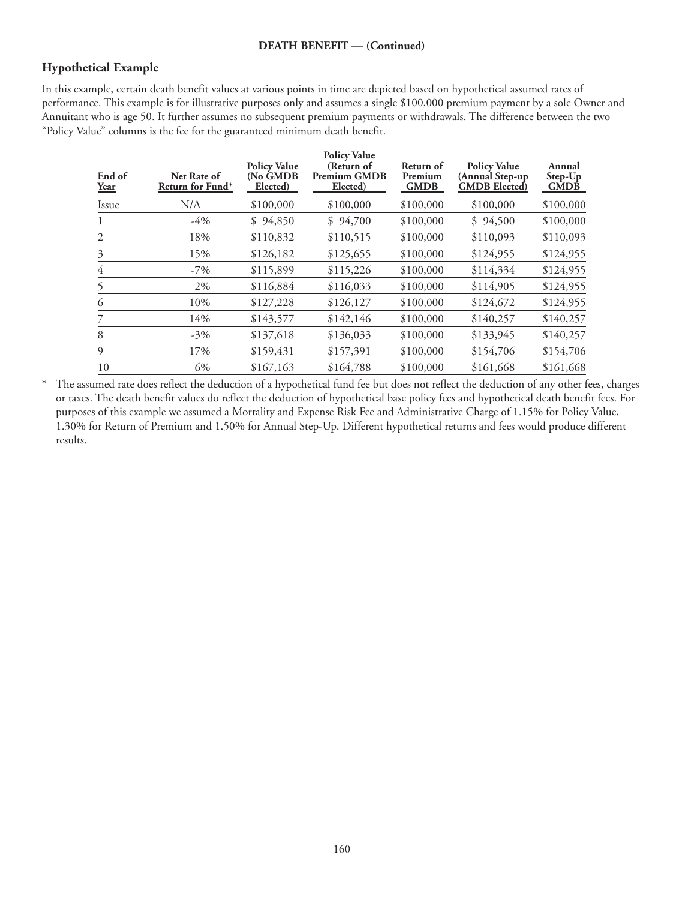# **Hypothetical Example**

In this example, certain death benefit values at various points in time are depicted based on hypothetical assumed rates of performance. This example is for illustrative purposes only and assumes a single \$100,000 premium payment by a sole Owner and Annuitant who is age 50. It further assumes no subsequent premium payments or withdrawals. The difference between the two "Policy Value" columns is the fee for the guaranteed minimum death benefit.

| End of<br><u>Year</u> | Net Rate of<br>Return for Fund* | <b>Policy Value</b><br>(No GMDB<br>Elected) | <b>Policy Value</b><br>(Return of<br><b>Premium GMDB</b><br>Elected) | Return of<br>Premium<br><b>GMDB</b> | <b>Policy Value</b><br>(Annual Step-up<br><b>GMDB</b> Elected) | Annual<br>Step-Up<br><b>GMDB</b> |
|-----------------------|---------------------------------|---------------------------------------------|----------------------------------------------------------------------|-------------------------------------|----------------------------------------------------------------|----------------------------------|
| Issue                 | N/A                             | \$100,000                                   | \$100,000                                                            | \$100,000                           | \$100,000                                                      | \$100,000                        |
| 1                     | -4%                             | \$94,850                                    | \$94,700                                                             | \$100,000                           | \$94,500                                                       | \$100,000                        |
| 2                     | 18%                             | \$110,832                                   | \$110,515                                                            | \$100,000                           | \$110,093                                                      | \$110,093                        |
| 3                     | 15%                             | \$126,182                                   | \$125,655                                                            | \$100,000                           | \$124,955                                                      | \$124,955                        |
| 4                     | $-7\%$                          | \$115,899                                   | \$115,226                                                            | \$100,000                           | \$114,334                                                      | \$124,955                        |
|                       | 2%                              | \$116,884                                   | \$116,033                                                            | \$100,000                           | \$114,905                                                      | \$124,955                        |
| 6                     | 10%                             | \$127,228                                   | \$126,127                                                            | \$100,000                           | \$124,672                                                      | \$124,955                        |
| 7                     | 14%                             | \$143,577                                   | \$142,146                                                            | \$100,000                           | \$140,257                                                      | \$140,257                        |
| 8                     | $-3\%$                          | \$137,618                                   | \$136,033                                                            | \$100,000                           | \$133,945                                                      | \$140,257                        |
| 9                     | 17%                             | \$159,431                                   | \$157,391                                                            | \$100,000                           | \$154,706                                                      | \$154,706                        |
| 10                    | 6%                              | \$167,163                                   | \$164,788                                                            | \$100,000                           | \$161,668                                                      | \$161,668                        |

\* The assumed rate does reflect the deduction of a hypothetical fund fee but does not reflect the deduction of any other fees, charges or taxes. The death benefit values do reflect the deduction of hypothetical base policy fees and hypothetical death benefit fees. For purposes of this example we assumed a Mortality and Expense Risk Fee and Administrative Charge of 1.15% for Policy Value, 1.30% for Return of Premium and 1.50% for Annual Step-Up. Different hypothetical returns and fees would produce different results.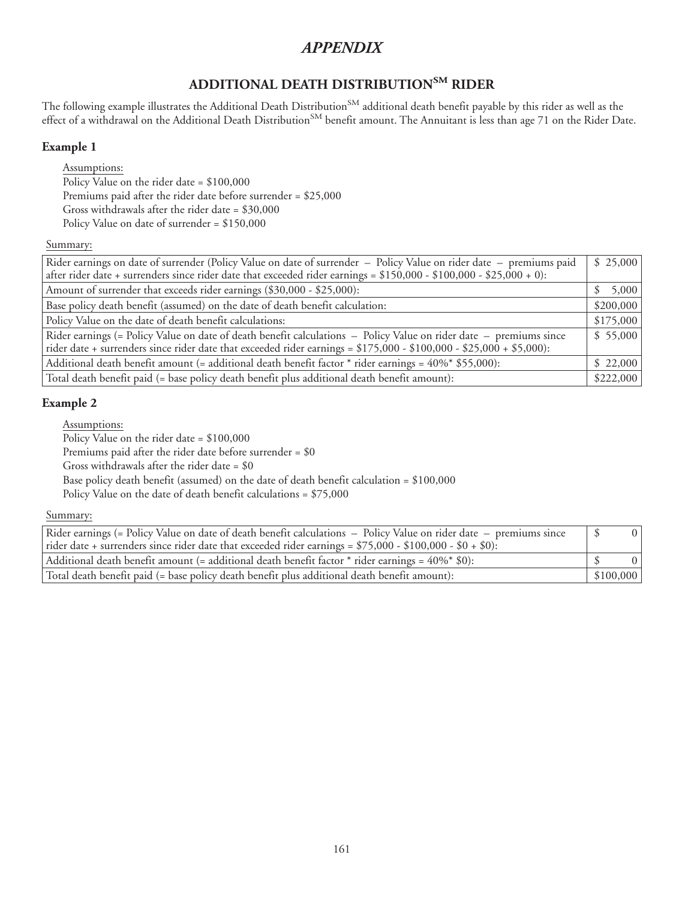# **ADDITIONAL DEATH DISTRIBUTIONSM RIDER**

The following example illustrates the Additional Death Distribution<sup>SM</sup> additional death benefit payable by this rider as well as the effect of a withdrawal on the Additional Death Distribution<sup>SM</sup> benefit amount. The Annuitant is less than age 71 on the Rider Date.

# **Example 1**

Assumptions:

Policy Value on the rider date = \$100,000 Premiums paid after the rider date before surrender = \$25,000 Gross withdrawals after the rider date = \$30,000 Policy Value on date of surrender = \$150,000

### Summary:

| Rider earnings on date of surrender (Policy Value on date of surrender – Policy Value on rider date – premiums paid  |           |  |
|----------------------------------------------------------------------------------------------------------------------|-----------|--|
| after rider date + surrenders since rider date that exceeded rider earnings = \$150,000 - \$100,000 - \$25,000 + 0): |           |  |
| Amount of surrender that exceeds rider earnings (\$30,000 - \$25,000):                                               |           |  |
| Base policy death benefit (assumed) on the date of death benefit calculation:                                        | \$200,000 |  |
| Policy Value on the date of death benefit calculations:                                                              | \$175,000 |  |
| Rider earnings (= Policy Value on date of death benefit calculations – Policy Value on rider date – premiums since   | \$55,000  |  |
| rider date + surrenders since rider date that exceeded rider earnings = \$175,000 - \$100,000 - \$25,000 + \$5,000): |           |  |
| Additional death benefit amount (= additional death benefit factor $*$ rider earnings = 40% $*$ \$55,000):           | \$22,000  |  |
| Total death benefit paid (= base policy death benefit plus additional death benefit amount):                         |           |  |

## **Example 2**

Assumptions:

Policy Value on the rider date = \$100,000

Premiums paid after the rider date before surrender = \$0

Gross withdrawals after the rider date = \$0

Base policy death benefit (assumed) on the date of death benefit calculation = \$100,000

Policy Value on the date of death benefit calculations = \$75,000

### Summary:

| Rider earnings (= Policy Value on date of death benefit calculations – Policy Value on rider date – premiums since<br>rider date + surrenders since rider date that exceeded rider earnings = $$75,000 - $100,000 - $0 + $0$ : |           | 0 <sup>1</sup> |
|--------------------------------------------------------------------------------------------------------------------------------------------------------------------------------------------------------------------------------|-----------|----------------|
| Additional death benefit amount (= additional death benefit factor $*$ rider earnings = 40% $*$ \$0):                                                                                                                          |           |                |
| Total death benefit paid (= base policy death benefit plus additional death benefit amount):                                                                                                                                   | \$100,000 |                |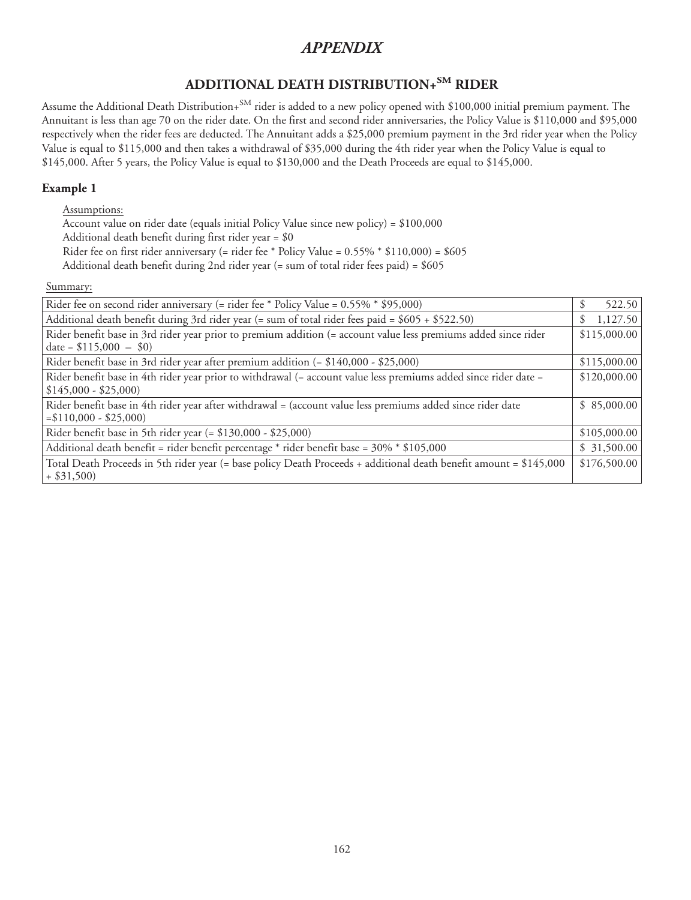# **ADDITIONAL DEATH DISTRIBUTION+SM RIDER**

Assume the Additional Death Distribution+<sup>SM</sup> rider is added to a new policy opened with \$100,000 initial premium payment. The Annuitant is less than age 70 on the rider date. On the first and second rider anniversaries, the Policy Value is \$110,000 and \$95,000 respectively when the rider fees are deducted. The Annuitant adds a \$25,000 premium payment in the 3rd rider year when the Policy Value is equal to \$115,000 and then takes a withdrawal of \$35,000 during the 4th rider year when the Policy Value is equal to \$145,000. After 5 years, the Policy Value is equal to \$130,000 and the Death Proceeds are equal to \$145,000.

### **Example 1**

### Assumptions:

Account value on rider date (equals initial Policy Value since new policy) = \$100,000

Additional death benefit during first rider year = \$0

Rider fee on first rider anniversary (= rider fee \* Policy Value = 0.55% \* \$110,000) = \$605

Additional death benefit during 2nd rider year (= sum of total rider fees paid) = \$605

Summary:

| Rider fee on second rider anniversary (= rider fee * Policy Value = 0.55% * \$95,000)                                                      | 522.50<br>\$. |  |
|--------------------------------------------------------------------------------------------------------------------------------------------|---------------|--|
| Additional death benefit during 3rd rider year (= sum of total rider fees paid = \$605 + \$522.50)                                         |               |  |
| Rider benefit base in 3rd rider year prior to premium addition (= account value less premiums added since rider<br>date = $$115,000 - $0)$ |               |  |
| Rider benefit base in 3rd rider year after premium addition (= \$140,000 - \$25,000)                                                       | \$115,000.00  |  |
| Rider benefit base in 4th rider year prior to withdrawal (= account value less premiums added since rider date =<br>$$145,000 - $25,000$   | \$120,000.00  |  |
| Rider benefit base in 4th rider year after withdrawal = (account value less premiums added since rider date<br>$= $110,000 - $25,000$      | \$85,000.00   |  |
| Rider benefit base in 5th rider year (= \$130,000 - \$25,000)                                                                              | \$105,000.00  |  |
| Additional death benefit = rider benefit percentage * rider benefit base = 30% * \$105,000                                                 | \$31,500.00   |  |
| Total Death Proceeds in 5th rider year (= base policy Death Proceeds + additional death benefit amount = \$145,000<br>$+$ \$31,500)        | \$176,500.00  |  |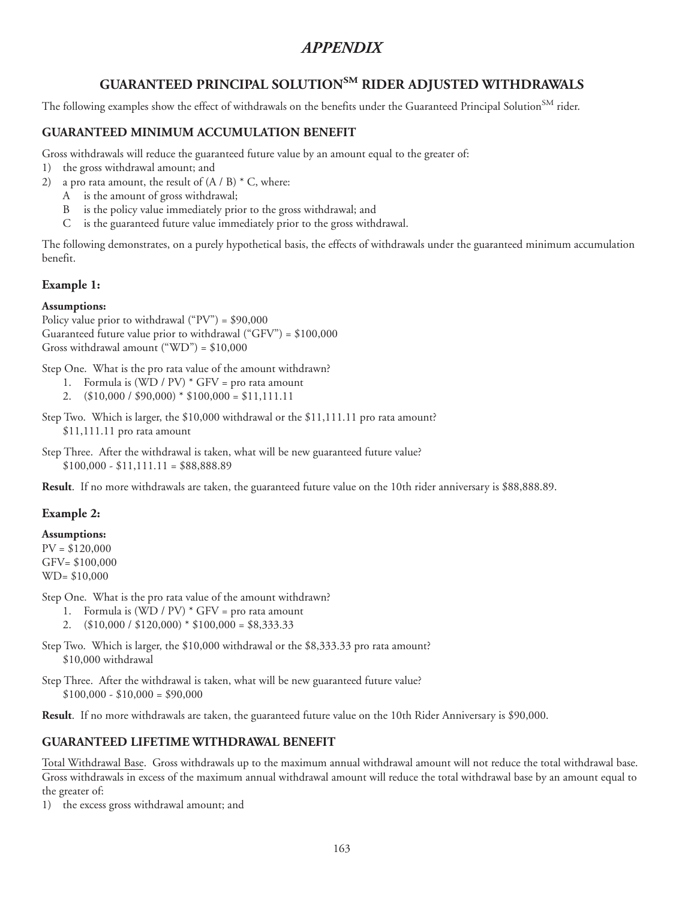# **GUARANTEED PRINCIPAL SOLUTIONSM RIDER ADJUSTED WITHDRAWALS**

The following examples show the effect of withdrawals on the benefits under the Guaranteed Principal Solution<sup>SM</sup> rider.

### **GUARANTEED MINIMUM ACCUMULATION BENEFIT**

Gross withdrawals will reduce the guaranteed future value by an amount equal to the greater of:

- 1) the gross withdrawal amount; and
- 2) a pro rata amount, the result of  $(A / B) * C$ , where:
	- A is the amount of gross withdrawal;
	- B is the policy value immediately prior to the gross withdrawal; and
	- C is the guaranteed future value immediately prior to the gross withdrawal.

The following demonstrates, on a purely hypothetical basis, the effects of withdrawals under the guaranteed minimum accumulation benefit.

### **Example 1:**

### **Assumptions:**

Policy value prior to withdrawal  $(°PV") = $90,000$ Guaranteed future value prior to withdrawal ("GFV") = \$100,000 Gross withdrawal amount ("WD") =  $$10,000$ 

Step One. What is the pro rata value of the amount withdrawn?

- 1. Formula is  $(WD / PV) * GFV = pro rata amount$
- 2.  $($10,000 / $90,000) * $100,000 = $11,111.11$

Step Two. Which is larger, the \$10,000 withdrawal or the \$11,111.11 pro rata amount? \$11,111.11 pro rata amount

Step Three. After the withdrawal is taken, what will be new guaranteed future value?  $$100,000 - $11,111.11 = $88,888.89$ 

**Result**. If no more withdrawals are taken, the guaranteed future value on the 10th rider anniversary is \$88,888.89.

### **Example 2:**

### **Assumptions:**

 $PV = $120,000$ GFV= \$100,000 WD= \$10,000

Step One. What is the pro rata value of the amount withdrawn?

- 1. Formula is  $(WD / PV) * GFV = pro rata amount$
- 2.  $($10,000 / $120,000) * $100,000 = $8,333.33$

Step Two. Which is larger, the \$10,000 withdrawal or the \$8,333.33 pro rata amount? \$10,000 withdrawal

Step Three. After the withdrawal is taken, what will be new guaranteed future value?  $$100,000 - $10,000 = $90,000$ 

**Result**. If no more withdrawals are taken, the guaranteed future value on the 10th Rider Anniversary is \$90,000.

## **GUARANTEED LIFETIME WITHDRAWAL BENEFIT**

Total Withdrawal Base. Gross withdrawals up to the maximum annual withdrawal amount will not reduce the total withdrawal base. Gross withdrawals in excess of the maximum annual withdrawal amount will reduce the total withdrawal base by an amount equal to the greater of:

1) the excess gross withdrawal amount; and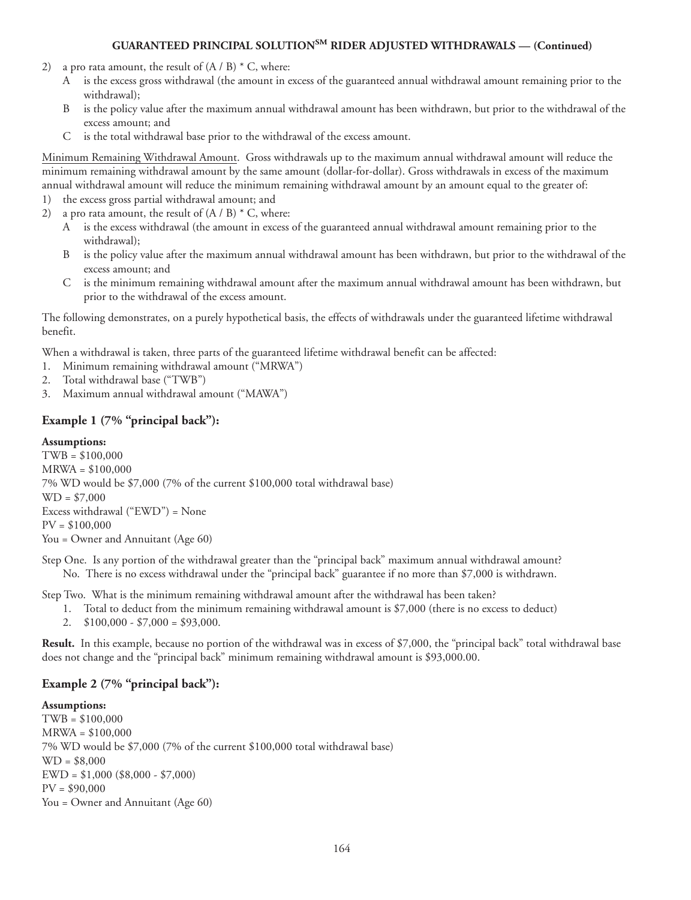- 2) a pro rata amount, the result of  $(A / B) * C$ , where:
	- A is the excess gross withdrawal (the amount in excess of the guaranteed annual withdrawal amount remaining prior to the withdrawal);
	- B is the policy value after the maximum annual withdrawal amount has been withdrawn, but prior to the withdrawal of the excess amount; and
	- C is the total withdrawal base prior to the withdrawal of the excess amount.

Minimum Remaining Withdrawal Amount. Gross withdrawals up to the maximum annual withdrawal amount will reduce the minimum remaining withdrawal amount by the same amount (dollar-for-dollar). Gross withdrawals in excess of the maximum annual withdrawal amount will reduce the minimum remaining withdrawal amount by an amount equal to the greater of:

- 1) the excess gross partial withdrawal amount; and
- 2) a pro rata amount, the result of  $(A / B) * C$ , where:
	- A is the excess withdrawal (the amount in excess of the guaranteed annual withdrawal amount remaining prior to the withdrawal);
	- B is the policy value after the maximum annual withdrawal amount has been withdrawn, but prior to the withdrawal of the excess amount; and
	- C is the minimum remaining withdrawal amount after the maximum annual withdrawal amount has been withdrawn, but prior to the withdrawal of the excess amount.

The following demonstrates, on a purely hypothetical basis, the effects of withdrawals under the guaranteed lifetime withdrawal benefit.

When a withdrawal is taken, three parts of the guaranteed lifetime withdrawal benefit can be affected:

- 1. Minimum remaining withdrawal amount ("MRWA")
- 2. Total withdrawal base ("TWB")
- 3. Maximum annual withdrawal amount ("MAWA")

### **Example 1 (7% "principal back"):**

### **Assumptions:**

TWB = \$100,000 MRWA = \$100,000 7% WD would be \$7,000 (7% of the current \$100,000 total withdrawal base)  $WD = $7,000$ Excess withdrawal ("EWD") = None PV = \$100,000 You = Owner and Annuitant (Age 60)

Step One. Is any portion of the withdrawal greater than the "principal back" maximum annual withdrawal amount? No. There is no excess withdrawal under the "principal back" guarantee if no more than \$7,000 is withdrawn.

Step Two. What is the minimum remaining withdrawal amount after the withdrawal has been taken?

- 1. Total to deduct from the minimum remaining withdrawal amount is \$7,000 (there is no excess to deduct)
- 2.  $$100,000 $7,000 = $93,000$ .

**Result.** In this example, because no portion of the withdrawal was in excess of \$7,000, the "principal back" total withdrawal base does not change and the "principal back" minimum remaining withdrawal amount is \$93,000.00.

### **Example 2 (7% "principal back"):**

### **Assumptions:**

TWB = \$100,000 MRWA = \$100,000 7% WD would be \$7,000 (7% of the current \$100,000 total withdrawal base) WD = \$8,000 EWD = \$1,000 (\$8,000 - \$7,000)  $PV = $90,000$ You = Owner and Annuitant (Age 60)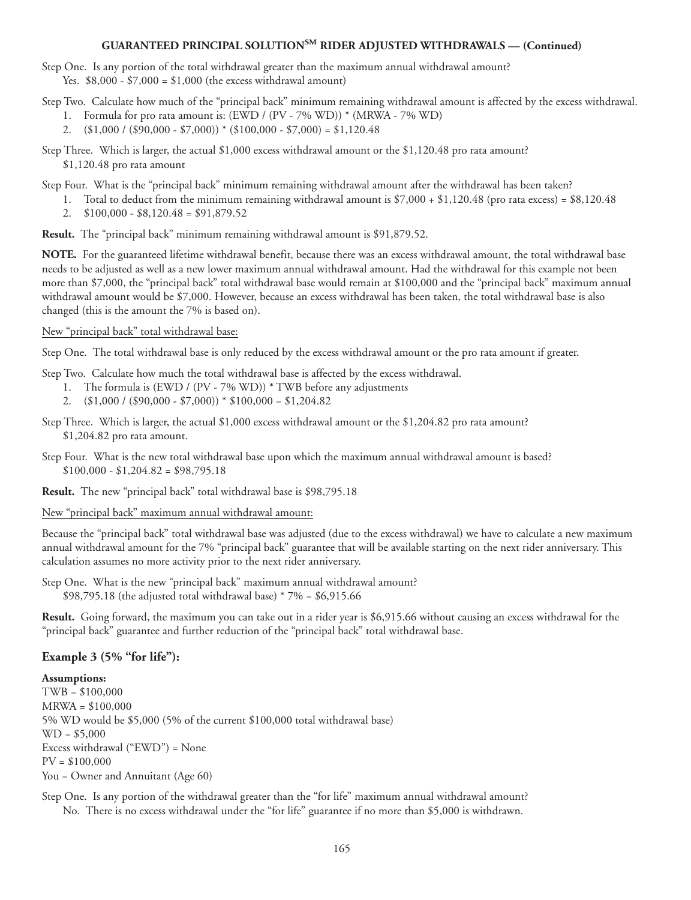Step One. Is any portion of the total withdrawal greater than the maximum annual withdrawal amount? Yes.  $$8,000 - $7,000 = $1,000$  (the excess withdrawal amount)

Step Two. Calculate how much of the "principal back" minimum remaining withdrawal amount is affected by the excess withdrawal.

- 1. Formula for pro rata amount is: (EWD / (PV 7% WD)) \* (MRWA 7% WD)
- 2.  $(\$1,000 / (\$90,000 \$7,000)) * (\$100,000 \$7,000) = \$1,120.48$

Step Three. Which is larger, the actual \$1,000 excess withdrawal amount or the \$1,120.48 pro rata amount? \$1,120.48 pro rata amount

Step Four. What is the "principal back" minimum remaining withdrawal amount after the withdrawal has been taken?

- 1. Total to deduct from the minimum remaining withdrawal amount is \$7,000 + \$1,120.48 (pro rata excess) = \$8,120.48
	- 2. \$100,000 \$8,120.48 = \$91,879.52

**Result.** The "principal back" minimum remaining withdrawal amount is \$91,879.52.

**NOTE.** For the guaranteed lifetime withdrawal benefit, because there was an excess withdrawal amount, the total withdrawal base needs to be adjusted as well as a new lower maximum annual withdrawal amount. Had the withdrawal for this example not been more than \$7,000, the "principal back" total withdrawal base would remain at \$100,000 and the "principal back" maximum annual withdrawal amount would be \$7,000. However, because an excess withdrawal has been taken, the total withdrawal base is also changed (this is the amount the 7% is based on).

#### New "principal back" total withdrawal base:

Step One. The total withdrawal base is only reduced by the excess withdrawal amount or the pro rata amount if greater.

Step Two. Calculate how much the total withdrawal base is affected by the excess withdrawal.

- 1. The formula is (EWD / (PV 7% WD)) \* TWB before any adjustments
- 2.  $(\$1,000 / (\$90,000 \$7,000)) * \$100,000 = \$1,204.82$
- Step Three. Which is larger, the actual \$1,000 excess withdrawal amount or the \$1,204.82 pro rata amount? \$1,204.82 pro rata amount.
- Step Four. What is the new total withdrawal base upon which the maximum annual withdrawal amount is based?  $$100,000 - $1,204.82 = $98,795.18$

**Result.** The new "principal back" total withdrawal base is \$98,795.18

New "principal back" maximum annual withdrawal amount:

Because the "principal back" total withdrawal base was adjusted (due to the excess withdrawal) we have to calculate a new maximum annual withdrawal amount for the 7% "principal back" guarantee that will be available starting on the next rider anniversary. This calculation assumes no more activity prior to the next rider anniversary.

Step One. What is the new "principal back" maximum annual withdrawal amount? \$98,795.18 (the adjusted total withdrawal base)  $*7\% = $6,915.66$ 

**Result.** Going forward, the maximum you can take out in a rider year is \$6,915.66 without causing an excess withdrawal for the "principal back" guarantee and further reduction of the "principal back" total withdrawal base.

### **Example 3 (5% "for life"):**

#### **Assumptions:**

TWB = \$100,000 MRWA = \$100,000 5% WD would be \$5,000 (5% of the current \$100,000 total withdrawal base)  $WD = $5,000$ Excess withdrawal ("EWD") = None  $PV = $100,000$ You = Owner and Annuitant (Age 60)

Step One. Is any portion of the withdrawal greater than the "for life" maximum annual withdrawal amount? No. There is no excess withdrawal under the "for life" guarantee if no more than \$5,000 is withdrawn.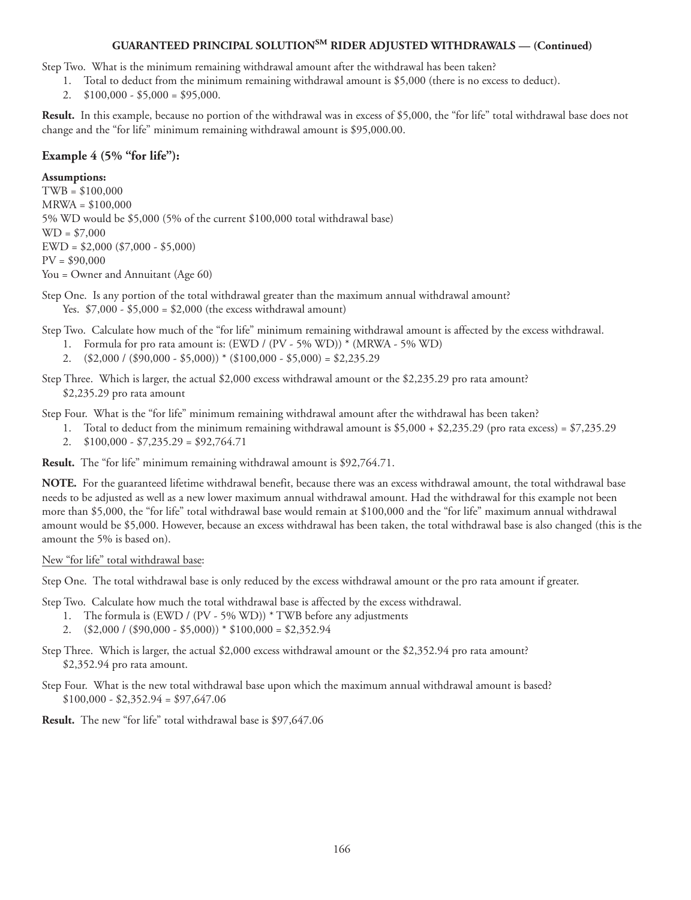Step Two. What is the minimum remaining withdrawal amount after the withdrawal has been taken?

- 1. Total to deduct from the minimum remaining withdrawal amount is \$5,000 (there is no excess to deduct).
- 2.  $$100,000 $5,000 = $95,000$ .

**Result.** In this example, because no portion of the withdrawal was in excess of \$5,000, the "for life" total withdrawal base does not change and the "for life" minimum remaining withdrawal amount is \$95,000.00.

### **Example 4 (5% "for life"):**

### **Assumptions:**

TWB = \$100,000 MRWA = \$100,000 5% WD would be \$5,000 (5% of the current \$100,000 total withdrawal base)  $WD = $7,000$ EWD = \$2,000 (\$7,000 - \$5,000)  $PV = $90,000$ You = Owner and Annuitant (Age 60)

- Step One. Is any portion of the total withdrawal greater than the maximum annual withdrawal amount? Yes. \$7,000 - \$5,000 = \$2,000 (the excess withdrawal amount)
- Step Two. Calculate how much of the "for life" minimum remaining withdrawal amount is affected by the excess withdrawal.
	- 1. Formula for pro rata amount is: (EWD / (PV 5% WD)) \* (MRWA 5% WD)
	- 2.  $(\$2,000 / (\$90,000 \$5,000))*(\$100,000 \$5,000) = \$2,235.29$
- Step Three. Which is larger, the actual \$2,000 excess withdrawal amount or the \$2,235.29 pro rata amount? \$2,235.29 pro rata amount
- Step Four. What is the "for life" minimum remaining withdrawal amount after the withdrawal has been taken?
	- 1. Total to deduct from the minimum remaining withdrawal amount is \$5,000 + \$2,235.29 (pro rata excess) = \$7,235.29
	- 2. \$100,000 \$7,235.29 = \$92,764.71

**Result.** The "for life" minimum remaining withdrawal amount is \$92,764.71.

**NOTE.** For the guaranteed lifetime withdrawal benefit, because there was an excess withdrawal amount, the total withdrawal base needs to be adjusted as well as a new lower maximum annual withdrawal amount. Had the withdrawal for this example not been more than \$5,000, the "for life" total withdrawal base would remain at \$100,000 and the "for life" maximum annual withdrawal amount would be \$5,000. However, because an excess withdrawal has been taken, the total withdrawal base is also changed (this is the amount the 5% is based on).

New "for life" total withdrawal base:

Step One. The total withdrawal base is only reduced by the excess withdrawal amount or the pro rata amount if greater.

Step Two. Calculate how much the total withdrawal base is affected by the excess withdrawal.

- 1. The formula is (EWD / (PV 5% WD)) \* TWB before any adjustments
- 2.  $(\$2,000 / (\$90,000 \$5,000)) * \$100,000 = \$2,352.94$

Step Three. Which is larger, the actual \$2,000 excess withdrawal amount or the \$2,352.94 pro rata amount? \$2,352.94 pro rata amount.

- Step Four. What is the new total withdrawal base upon which the maximum annual withdrawal amount is based?  $$100,000 - $2,352.94 = $97,647.06$
- **Result.** The new "for life" total withdrawal base is \$97,647.06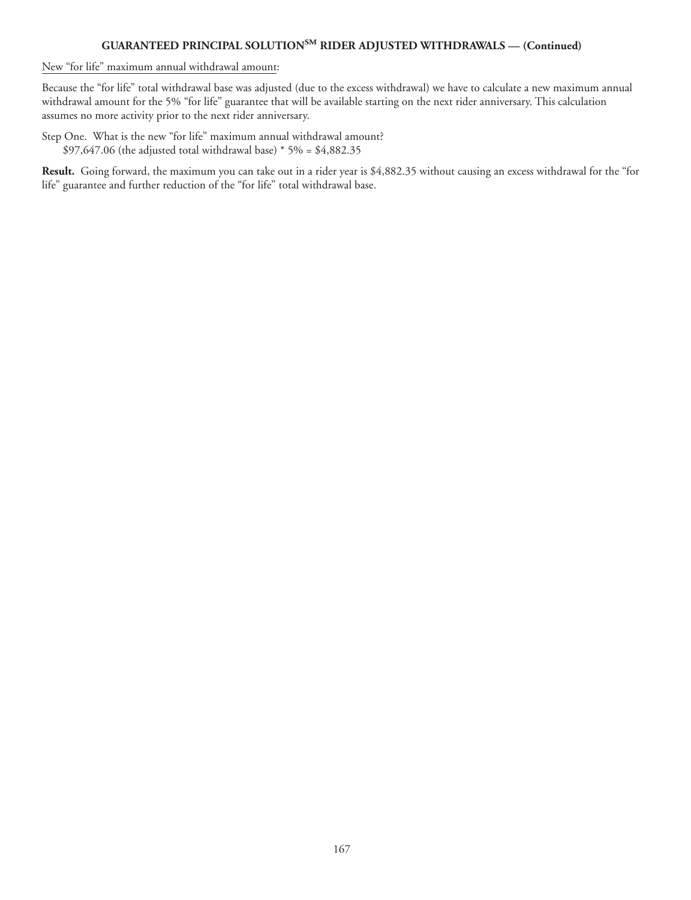New "for life" maximum annual withdrawal amount:

Because the "for life" total withdrawal base was adjusted (due to the excess withdrawal) we have to calculate a new maximum annual withdrawal amount for the 5% "for life" guarantee that will be available starting on the next rider anniversary. This calculation assumes no more activity prior to the next rider anniversary.

Step One. What is the new "for life" maximum annual withdrawal amount? \$97,647.06 (the adjusted total withdrawal base) \* 5% = \$4,882.35

**Result.** Going forward, the maximum you can take out in a rider year is \$4,882.35 without causing an excess withdrawal for the "for life" guarantee and further reduction of the "for life" total withdrawal base.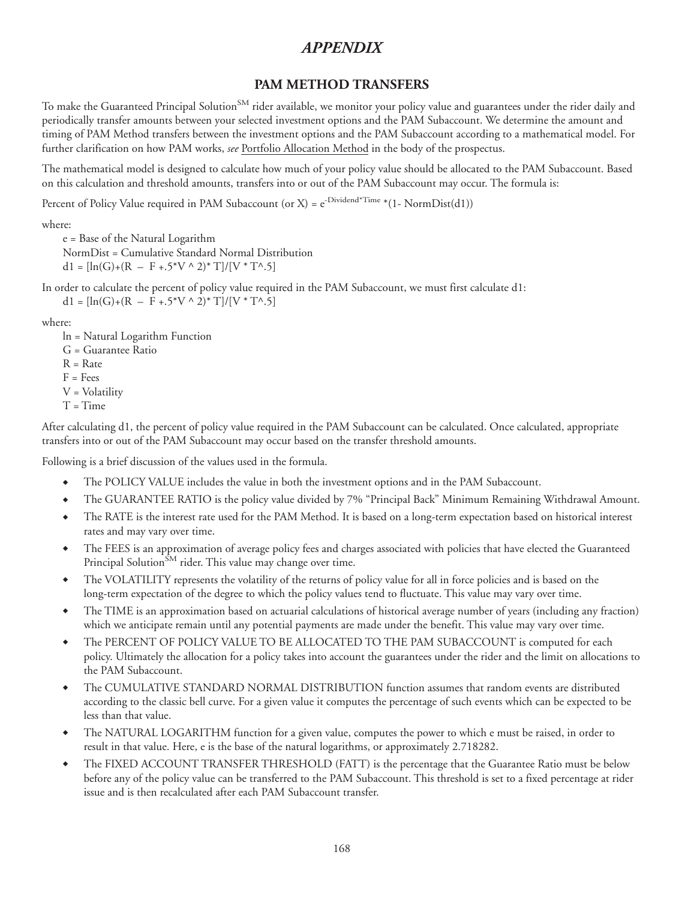# **PAM METHOD TRANSFERS**

To make the Guaranteed Principal Solution<sup>SM</sup> rider available, we monitor your policy value and guarantees under the rider daily and periodically transfer amounts between your selected investment options and the PAM Subaccount. We determine the amount and timing of PAM Method transfers between the investment options and the PAM Subaccount according to a mathematical model. For further clarification on how PAM works, *see* Portfolio Allocation Method in the body of the prospectus.

The mathematical model is designed to calculate how much of your policy value should be allocated to the PAM Subaccount. Based on this calculation and threshold amounts, transfers into or out of the PAM Subaccount may occur. The formula is:

Percent of Policy Value required in PAM Subaccount (or X) =  $e^{-Dividend^*Time}$  \*(1- NormDist(d1))

where:

e = Base of the Natural Logarithm NormDist = Cumulative Standard Normal Distribution  $d1 = \frac{\ln(G) + (R - F + .5^*V \wedge 2)^* T}{|V^*T \wedge .5|}$ 

In order to calculate the percent of policy value required in the PAM Subaccount, we must first calculate d1:  $d1 = [\ln(G) + (R - F + .5^*V \wedge 2)^*T]/[V^*T \wedge .5]$ 

where:

- ln = Natural Logarithm Function
- G = Guarantee Ratio
- $R = Rate$
- $F = Fees$
- V = Volatility
- $T = Time$

After calculating d1, the percent of policy value required in the PAM Subaccount can be calculated. Once calculated, appropriate transfers into or out of the PAM Subaccount may occur based on the transfer threshold amounts.

Following is a brief discussion of the values used in the formula.

- The POLICY VALUE includes the value in both the investment options and in the PAM Subaccount.
- ◆ The GUARANTEE RATIO is the policy value divided by 7% "Principal Back" Minimum Remaining Withdrawal Amount.
- The RATE is the interest rate used for the PAM Method. It is based on a long-term expectation based on historical interest rates and may vary over time.
- The FEES is an approximation of average policy fees and charges associated with policies that have elected the Guaranteed Principal Solution $^{SM}$  rider. This value may change over time.
- The VOLATILITY represents the volatility of the returns of policy value for all in force policies and is based on the long-term expectation of the degree to which the policy values tend to fluctuate. This value may vary over time.
- The TIME is an approximation based on actuarial calculations of historical average number of years (including any fraction) which we anticipate remain until any potential payments are made under the benefit. This value may vary over time.
- The PERCENT OF POLICY VALUE TO BE ALLOCATED TO THE PAM SUBACCOUNT is computed for each policy. Ultimately the allocation for a policy takes into account the guarantees under the rider and the limit on allocations to the PAM Subaccount.
- The CUMULATIVE STANDARD NORMAL DISTRIBUTION function assumes that random events are distributed according to the classic bell curve. For a given value it computes the percentage of such events which can be expected to be less than that value.
- The NATURAL LOGARITHM function for a given value, computes the power to which e must be raised, in order to result in that value. Here, e is the base of the natural logarithms, or approximately 2.718282.
- The FIXED ACCOUNT TRANSFER THRESHOLD (FATT) is the percentage that the Guarantee Ratio must be below before any of the policy value can be transferred to the PAM Subaccount. This threshold is set to a fixed percentage at rider issue and is then recalculated after each PAM Subaccount transfer.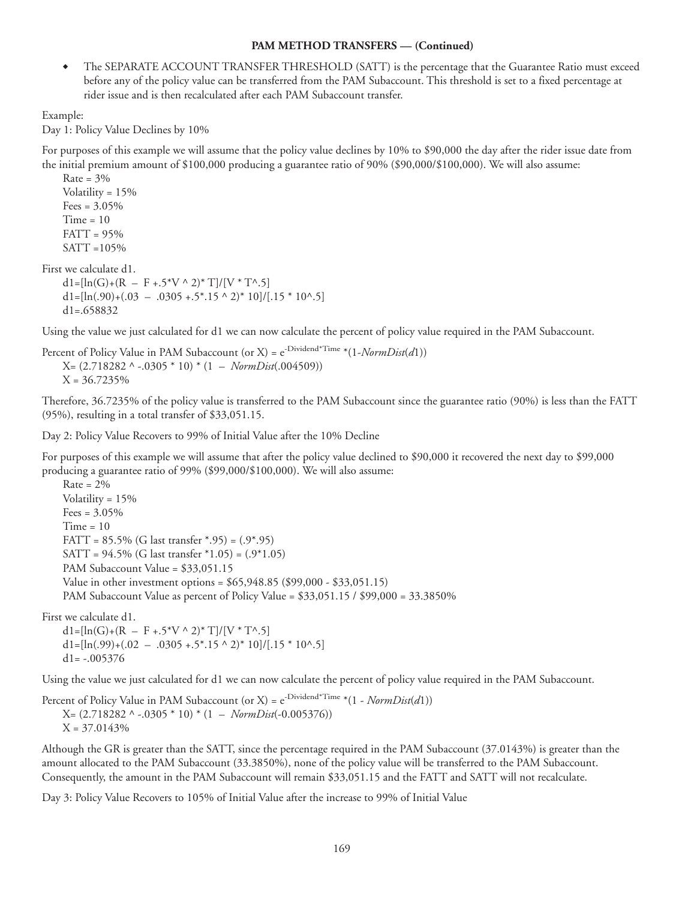### **PAM METHOD TRANSFERS — (Continued)**

◆ The SEPARATE ACCOUNT TRANSFER THRESHOLD (SATT) is the percentage that the Guarantee Ratio must exceed before any of the policy value can be transferred from the PAM Subaccount. This threshold is set to a fixed percentage at rider issue and is then recalculated after each PAM Subaccount transfer.

Example:

Day 1: Policy Value Declines by 10%

For purposes of this example we will assume that the policy value declines by 10% to \$90,000 the day after the rider issue date from the initial premium amount of \$100,000 producing a guarantee ratio of 90% (\$90,000/\$100,000). We will also assume:

Rate =  $3%$ Volatility = 15% Fees =  $3.05%$  $Time = 10$  $FATT = 95%$ SATT =105%

First we calculate d1.

 $dl=[ln(G)+(R - F + .5*V^2/2)*T]/[V * T^2.5]$  $dl=[ln(.90)+(.03 - .0305 + .5*.15 \times 2)*10]/[.15 * 10^{\circ}.5]$  $d1 = 658832$ 

Using the value we just calculated for d1 we can now calculate the percent of policy value required in the PAM Subaccount.

Percent of Policy Value in PAM Subaccount (or X) = e-Dividend\*Time \*(1-*NormDist*(*d*1)) X= (2.718282 ^ -.0305 \* 10) \* (1 – *NormDist*(.004509))  $X = 36.7235\%$ 

Therefore, 36.7235% of the policy value is transferred to the PAM Subaccount since the guarantee ratio (90%) is less than the FATT (95%), resulting in a total transfer of \$33,051.15.

Day 2: Policy Value Recovers to 99% of Initial Value after the 10% Decline

For purposes of this example we will assume that after the policy value declined to \$90,000 it recovered the next day to \$99,000 producing a guarantee ratio of 99% (\$99,000/\$100,000). We will also assume:

 $Rate = 2%$ Volatility = 15%  $Fees = 3.05\%$  $Time = 10$ FATT =  $85.5\%$  (G last transfer  $*$ .95) =  $(.9*.95)$ SATT = 94.5% (G last transfer \*1.05) = (.9\*1.05) PAM Subaccount Value = \$33,051.15 Value in other investment options = \$65,948.85 (\$99,000 - \$33,051.15) PAM Subaccount Value as percent of Policy Value = \$33,051.15 / \$99,000 = 33.3850%

First we calculate d1.

 $d1=[ln(G)+(R - F + .5*V^{\wedge} 2)*T]/[V^*T^{\wedge}.5]$  $dl=[ln(.99)+(.02 - .0305 + .5*.15 \times 2)*10]/[.15 * 10^{\circ}.5]$  $d1 = -.005376$ 

Using the value we just calculated for d1 we can now calculate the percent of policy value required in the PAM Subaccount.

Percent of Policy Value in PAM Subaccount (or X) = e-Dividend\*Time \*(1 - *NormDist*(*d*1)) X= (2.718282 ^ -.0305 \* 10) \* (1 – *NormDist*(-0.005376))  $X = 37.0143%$ 

Although the GR is greater than the SATT, since the percentage required in the PAM Subaccount (37.0143%) is greater than the amount allocated to the PAM Subaccount (33.3850%), none of the policy value will be transferred to the PAM Subaccount. Consequently, the amount in the PAM Subaccount will remain \$33,051.15 and the FATT and SATT will not recalculate.

Day 3: Policy Value Recovers to 105% of Initial Value after the increase to 99% of Initial Value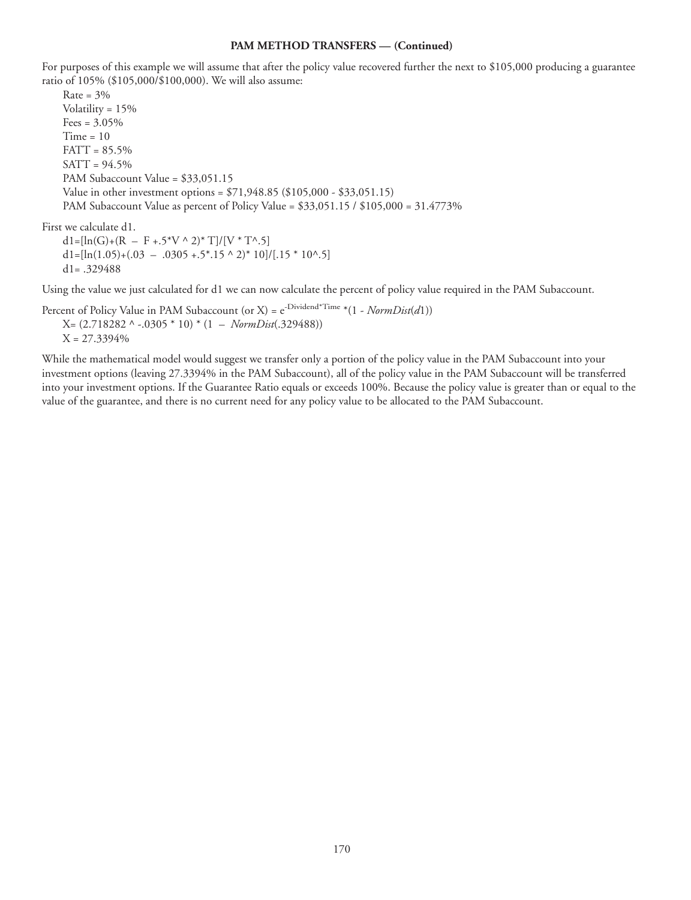#### **PAM METHOD TRANSFERS — (Continued)**

For purposes of this example we will assume that after the policy value recovered further the next to \$105,000 producing a guarantee ratio of 105% (\$105,000/\$100,000). We will also assume:

Rate =  $3%$ Volatility = 15%  $Fees = 3.05\%$  $Time = 10$ FATT = 85.5% SATT = 94.5% PAM Subaccount Value = \$33,051.15 Value in other investment options = \$71,948.85 (\$105,000 - \$33,051.15) PAM Subaccount Value as percent of Policy Value = \$33,051.15 / \$105,000 = 31.4773%

First we calculate d1.

 $d1=[ln(G)+(R - F + .5*V^{\wedge}2)*T]/[V*T^{\wedge}.5]$  $dl=[ln(1.05)+(0.03 - 0.0305 + 0.5^*].15 \times 2]^*10]/[0.15 * 10^*].5]$ d1= .329488

Using the value we just calculated for d1 we can now calculate the percent of policy value required in the PAM Subaccount.

Percent of Policy Value in PAM Subaccount (or X) =  $e^{-Dividend^*Time} * (1 - NormDist(d1))$ X= (2.718282 ^ -.0305 \* 10) \* (1 – *NormDist*(.329488))

 $X = 27.3394\%$ 

While the mathematical model would suggest we transfer only a portion of the policy value in the PAM Subaccount into your investment options (leaving 27.3394% in the PAM Subaccount), all of the policy value in the PAM Subaccount will be transferred into your investment options. If the Guarantee Ratio equals or exceeds 100%. Because the policy value is greater than or equal to the value of the guarantee, and there is no current need for any policy value to be allocated to the PAM Subaccount.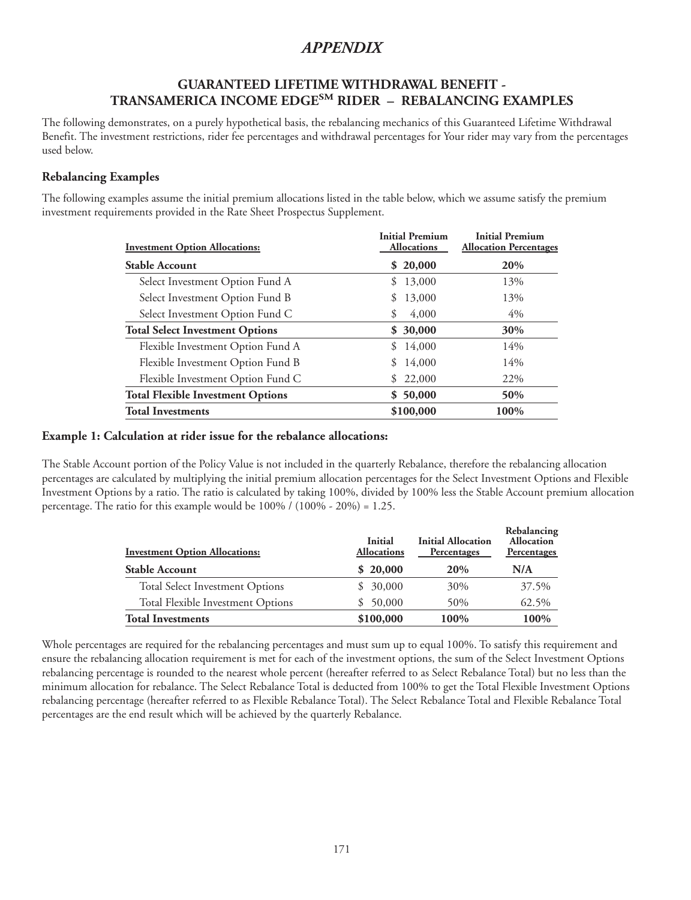## **GUARANTEED LIFETIME WITHDRAWAL BENEFIT - TRANSAMERICA INCOME EDGESM RIDER – REBALANCING EXAMPLES**

The following demonstrates, on a purely hypothetical basis, the rebalancing mechanics of this Guaranteed Lifetime Withdrawal Benefit. The investment restrictions, rider fee percentages and withdrawal percentages for Your rider may vary from the percentages used below.

## **Rebalancing Examples**

The following examples assume the initial premium allocations listed in the table below, which we assume satisfy the premium investment requirements provided in the Rate Sheet Prospectus Supplement.

| <b>Investment Option Allocations:</b>    | <b>Initial Premium</b><br><b>Allocations</b> | <b>Initial Premium</b><br><b>Allocation Percentages</b> |
|------------------------------------------|----------------------------------------------|---------------------------------------------------------|
| <b>Stable Account</b>                    | \$20,000                                     | 20%                                                     |
| Select Investment Option Fund A          | 13,000<br>S                                  | 13%                                                     |
| Select Investment Option Fund B          | 13,000<br>S                                  | 13%                                                     |
| Select Investment Option Fund C          | S<br>4,000                                   | $4\%$                                                   |
| <b>Total Select Investment Options</b>   | \$30,000                                     | 30%                                                     |
| Flexible Investment Option Fund A        | 14,000<br>\$.                                | 14%                                                     |
| Flexible Investment Option Fund B        | 14,000<br>S                                  | 14%                                                     |
| Flexible Investment Option Fund C        | 22,000<br>S                                  | 22\%                                                    |
| <b>Total Flexible Investment Options</b> | \$50,000                                     | 50%                                                     |
| <b>Total Investments</b>                 | \$100,000                                    | 100%                                                    |

### **Example 1: Calculation at rider issue for the rebalance allocations:**

The Stable Account portion of the Policy Value is not included in the quarterly Rebalance, therefore the rebalancing allocation percentages are calculated by multiplying the initial premium allocation percentages for the Select Investment Options and Flexible Investment Options by a ratio. The ratio is calculated by taking 100%, divided by 100% less the Stable Account premium allocation percentage. The ratio for this example would be 100% / (100% - 20%) = 1.25.

| <b>Investment Option Allocations:</b>  | <b>Initial</b><br><b>Allocations</b> | <b>Initial Allocation</b><br>Percentages | Rebalancing<br><b>Allocation</b><br>Percentages |
|----------------------------------------|--------------------------------------|------------------------------------------|-------------------------------------------------|
| <b>Stable Account</b>                  | \$20,000                             | 20%                                      | N/A                                             |
| <b>Total Select Investment Options</b> | \$30,000                             | 30%                                      | 37.5%                                           |
| Total Flexible Investment Options      | \$50,000                             | 50%                                      | 62.5%                                           |
| <b>Total Investments</b>               | \$100,000                            | 100%                                     | 100%                                            |

Whole percentages are required for the rebalancing percentages and must sum up to equal 100%. To satisfy this requirement and ensure the rebalancing allocation requirement is met for each of the investment options, the sum of the Select Investment Options rebalancing percentage is rounded to the nearest whole percent (hereafter referred to as Select Rebalance Total) but no less than the minimum allocation for rebalance. The Select Rebalance Total is deducted from 100% to get the Total Flexible Investment Options rebalancing percentage (hereafter referred to as Flexible Rebalance Total). The Select Rebalance Total and Flexible Rebalance Total percentages are the end result which will be achieved by the quarterly Rebalance.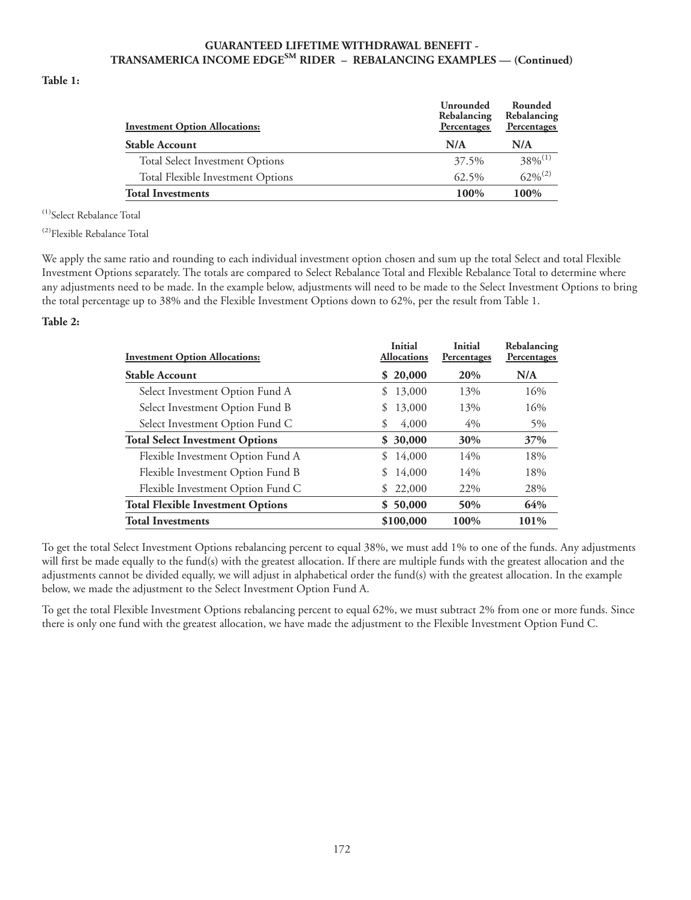### **GUARANTEED LIFETIME WITHDRAWAL BENEFIT - TRANSAMERICA INCOME EDGESM RIDER – REBALANCING EXAMPLES — (Continued)**

#### **Table 1:**

| <b>Investment Option Allocations:</b>  | Unrounded<br>Rebalancing<br>Percentages | Rounded<br>Rebalancing<br>Percentages |
|----------------------------------------|-----------------------------------------|---------------------------------------|
| <b>Stable Account</b>                  | N/A                                     | N/A                                   |
| <b>Total Select Investment Options</b> | 37.5%                                   | $38\%^{(1)}$                          |
| Total Flexible Investment Options      | 62.5%                                   | $62\%^{(2)}$                          |
| <b>Total Investments</b>               | $100\%$                                 | 100%                                  |

<sup>(1)</sup>Select Rebalance Total

(2)Flexible Rebalance Total

We apply the same ratio and rounding to each individual investment option chosen and sum up the total Select and total Flexible Investment Options separately. The totals are compared to Select Rebalance Total and Flexible Rebalance Total to determine where any adjustments need to be made. In the example below, adjustments will need to be made to the Select Investment Options to bring the total percentage up to 38% and the Flexible Investment Options down to 62%, per the result from Table 1.

#### **Table 2:**

| <b>Investment Option Allocations:</b>    | Initial<br><b>Allocations</b> | <b>Initial</b><br>Percentages | Rebalancing<br>Percentages |
|------------------------------------------|-------------------------------|-------------------------------|----------------------------|
| <b>Stable Account</b>                    | \$20,000                      | 20%                           | N/A                        |
| Select Investment Option Fund A          | 13,000<br>S.                  | 13%                           | 16%                        |
| Select Investment Option Fund B          | 13,000<br>\$                  | 13%                           | 16%                        |
| Select Investment Option Fund C          | 4,000<br>\$                   | $4\%$                         | $5\%$                      |
| <b>Total Select Investment Options</b>   | \$30,000                      | 30%                           | 37%                        |
| Flexible Investment Option Fund A        | 14,000<br>\$                  | 14%                           | 18%                        |
| Flexible Investment Option Fund B        | 14,000                        | 14%                           | 18%                        |
| Flexible Investment Option Fund C        | 22,000<br>S.                  | 22%                           | 28%                        |
| <b>Total Flexible Investment Options</b> | \$50,000                      | 50%                           | 64%                        |
| <b>Total Investments</b>                 | \$100,000                     | 100%                          | 101%                       |

To get the total Select Investment Options rebalancing percent to equal 38%, we must add 1% to one of the funds. Any adjustments will first be made equally to the fund(s) with the greatest allocation. If there are multiple funds with the greatest allocation and the adjustments cannot be divided equally, we will adjust in alphabetical order the fund(s) with the greatest allocation. In the example below, we made the adjustment to the Select Investment Option Fund A.

To get the total Flexible Investment Options rebalancing percent to equal 62%, we must subtract 2% from one or more funds. Since there is only one fund with the greatest allocation, we have made the adjustment to the Flexible Investment Option Fund C.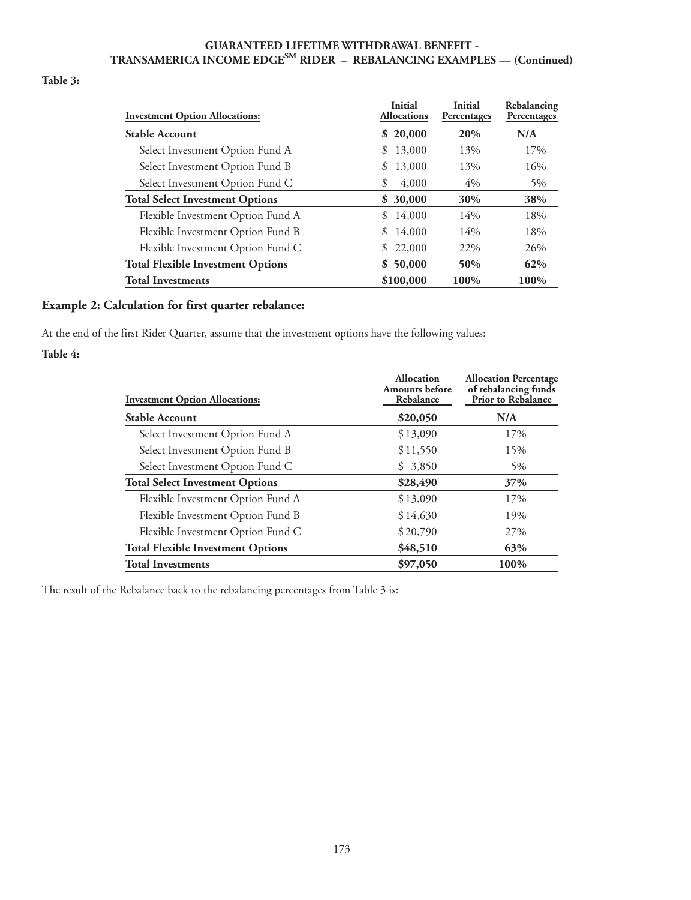#### **GUARANTEED LIFETIME WITHDRAWAL BENEFIT - TRANSAMERICA INCOME EDGESM RIDER – REBALANCING EXAMPLES — (Continued)**

### **Table 3:**

| <b>Investment Option Allocations:</b>    | Initial<br><b>Allocations</b> | <b>Initial</b><br>Percentages | Rebalancing<br>Percentages |
|------------------------------------------|-------------------------------|-------------------------------|----------------------------|
| <b>Stable Account</b>                    | \$20,000                      | 20%                           | N/A                        |
| Select Investment Option Fund A          | 13,000<br>\$                  | 13%                           | 17%                        |
| Select Investment Option Fund B          | 13,000<br>\$                  | 13%                           | 16%                        |
| Select Investment Option Fund C          | 4,000<br>\$                   | $4\%$                         | $5\%$                      |
| <b>Total Select Investment Options</b>   | 30,000<br>S.                  | 30%                           | 38%                        |
| Flexible Investment Option Fund A        | 14,000<br>\$                  | 14%                           | 18%                        |
| Flexible Investment Option Fund B        | 14,000                        | 14%                           | 18%                        |
| Flexible Investment Option Fund C        | 22,000<br>S                   | 22%                           | 26%                        |
| <b>Total Flexible Investment Options</b> | 50,000<br>S.                  | 50%                           | 62%                        |
| <b>Total Investments</b>                 | \$100,000                     | 100%                          | 100%                       |

#### **Example 2: Calculation for first quarter rebalance:**

At the end of the first Rider Quarter, assume that the investment options have the following values: **Table 4:**

| <b>Investment Option Allocations:</b>    | <b>Allocation</b><br><b>Amounts</b> before<br>Rebalance | <b>Allocation Percentage</b><br>of rebalancing funds<br><b>Prior to Rebalance</b> |
|------------------------------------------|---------------------------------------------------------|-----------------------------------------------------------------------------------|
| <b>Stable Account</b>                    | \$20,050                                                | N/A                                                                               |
| Select Investment Option Fund A          | \$13,090                                                | 17%                                                                               |
| Select Investment Option Fund B          | \$11,550                                                | 15%                                                                               |
| Select Investment Option Fund C          | \$3,850                                                 | 5%                                                                                |
| <b>Total Select Investment Options</b>   | \$28,490                                                | 37%                                                                               |
| Flexible Investment Option Fund A        | \$13,090                                                | 17%                                                                               |
| Flexible Investment Option Fund B        | \$14,630                                                | 19%                                                                               |
| Flexible Investment Option Fund C        | \$20,790                                                | 27%                                                                               |
| <b>Total Flexible Investment Options</b> | \$48,510                                                | 63%                                                                               |
| <b>Total Investments</b>                 | \$97,050                                                | 100%                                                                              |

The result of the Rebalance back to the rebalancing percentages from Table 3 is: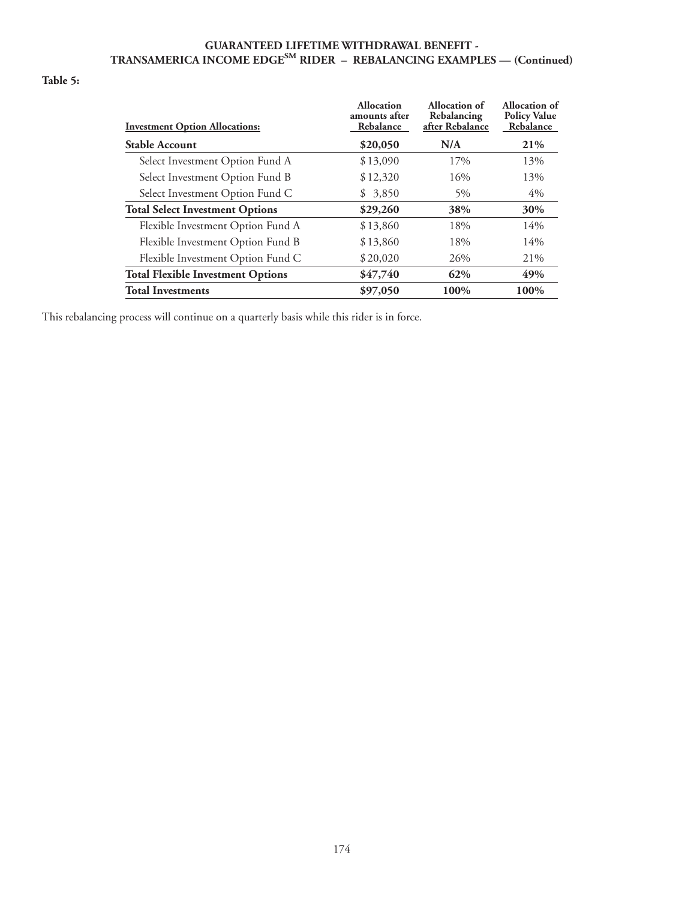#### **GUARANTEED LIFETIME WITHDRAWAL BENEFIT - TRANSAMERICA INCOME EDGESM RIDER – REBALANCING EXAMPLES — (Continued)**

#### **Table 5:**

| <b>Investment Option Allocations:</b>    | <b>Allocation</b><br>amounts after<br>Rebalance | Allocation of<br>Rebalancing<br>after Rebalance | Allocation of<br><b>Policy Value</b><br>Rebalance |
|------------------------------------------|-------------------------------------------------|-------------------------------------------------|---------------------------------------------------|
| <b>Stable Account</b>                    | \$20,050                                        | N/A                                             | 21%                                               |
| Select Investment Option Fund A          | \$13,090                                        | 17%                                             | 13%                                               |
| Select Investment Option Fund B          | \$12,320                                        | 16%                                             | 13%                                               |
| Select Investment Option Fund C          | \$3,850                                         | 5%                                              | 4%                                                |
| <b>Total Select Investment Options</b>   | \$29,260                                        | 38%                                             | 30%                                               |
| Flexible Investment Option Fund A        | \$13,860                                        | 18%                                             | 14%                                               |
| Flexible Investment Option Fund B        | \$13,860                                        | 18%                                             | 14%                                               |
| Flexible Investment Option Fund C        | \$20,020                                        | 26%                                             | 21%                                               |
| <b>Total Flexible Investment Options</b> | \$47,740                                        | 62%                                             | 49%                                               |
| <b>Total Investments</b>                 | \$97,050                                        | 100%                                            | 100%                                              |

This rebalancing process will continue on a quarterly basis while this rider is in force.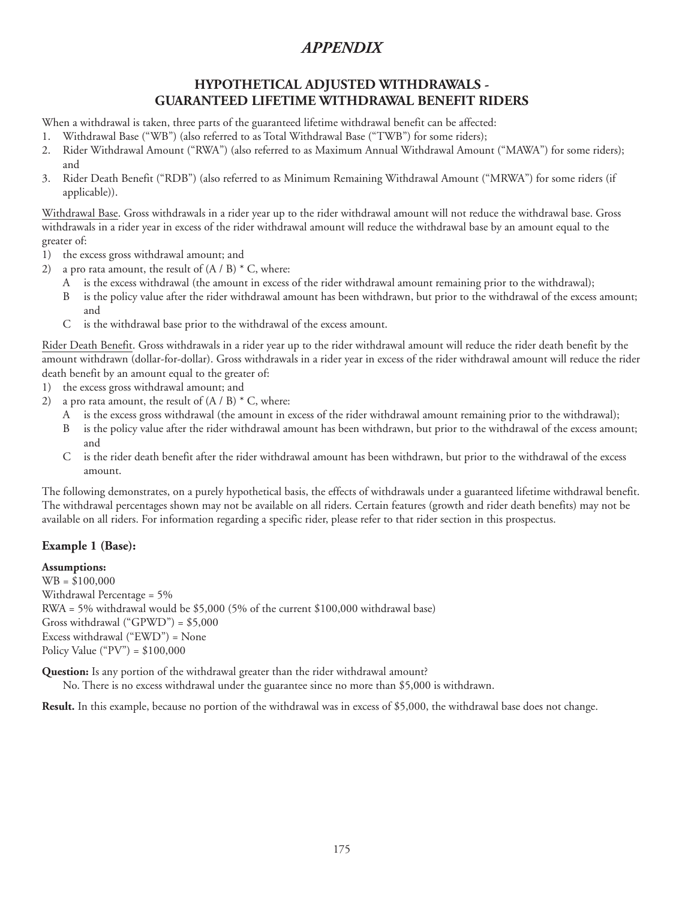## **HYPOTHETICAL ADJUSTED WITHDRAWALS - GUARANTEED LIFETIME WITHDRAWAL BENEFIT RIDERS**

When a withdrawal is taken, three parts of the guaranteed lifetime withdrawal benefit can be affected:

- 1. Withdrawal Base ("WB") (also referred to as Total Withdrawal Base ("TWB") for some riders);
- 2. Rider Withdrawal Amount ("RWA") (also referred to as Maximum Annual Withdrawal Amount ("MAWA") for some riders); and
- 3. Rider Death Benefit ("RDB") (also referred to as Minimum Remaining Withdrawal Amount ("MRWA") for some riders (if applicable)).

Withdrawal Base. Gross withdrawals in a rider year up to the rider withdrawal amount will not reduce the withdrawal base. Gross withdrawals in a rider year in excess of the rider withdrawal amount will reduce the withdrawal base by an amount equal to the greater of:

- 1) the excess gross withdrawal amount; and
- 2) a pro rata amount, the result of  $(A / B) * C$ , where:
	- A is the excess withdrawal (the amount in excess of the rider withdrawal amount remaining prior to the withdrawal);
	- B is the policy value after the rider withdrawal amount has been withdrawn, but prior to the withdrawal of the excess amount; and
	- C is the withdrawal base prior to the withdrawal of the excess amount.

Rider Death Benefit. Gross withdrawals in a rider year up to the rider withdrawal amount will reduce the rider death benefit by the amount withdrawn (dollar-for-dollar). Gross withdrawals in a rider year in excess of the rider withdrawal amount will reduce the rider death benefit by an amount equal to the greater of:

- 1) the excess gross withdrawal amount; and
- 2) a pro rata amount, the result of  $(A / B) * C$ , where:
	- A is the excess gross withdrawal (the amount in excess of the rider withdrawal amount remaining prior to the withdrawal);
	- is the policy value after the rider withdrawal amount has been withdrawn, but prior to the withdrawal of the excess amount; and
	- C is the rider death benefit after the rider withdrawal amount has been withdrawn, but prior to the withdrawal of the excess amount.

The following demonstrates, on a purely hypothetical basis, the effects of withdrawals under a guaranteed lifetime withdrawal benefit. The withdrawal percentages shown may not be available on all riders. Certain features (growth and rider death benefits) may not be available on all riders. For information regarding a specific rider, please refer to that rider section in this prospectus.

## **Example 1 (Base):**

#### **Assumptions:**

WB = \$100,000 Withdrawal Percentage = 5% RWA = 5% withdrawal would be \$5,000 (5% of the current \$100,000 withdrawal base) Gross withdrawal ("GPWD") = \$5,000 Excess withdrawal ("EWD") = None Policy Value ("PV") =  $$100,000$ 

**Question:** Is any portion of the withdrawal greater than the rider withdrawal amount?

No. There is no excess withdrawal under the guarantee since no more than \$5,000 is withdrawn.

**Result.** In this example, because no portion of the withdrawal was in excess of \$5,000, the withdrawal base does not change.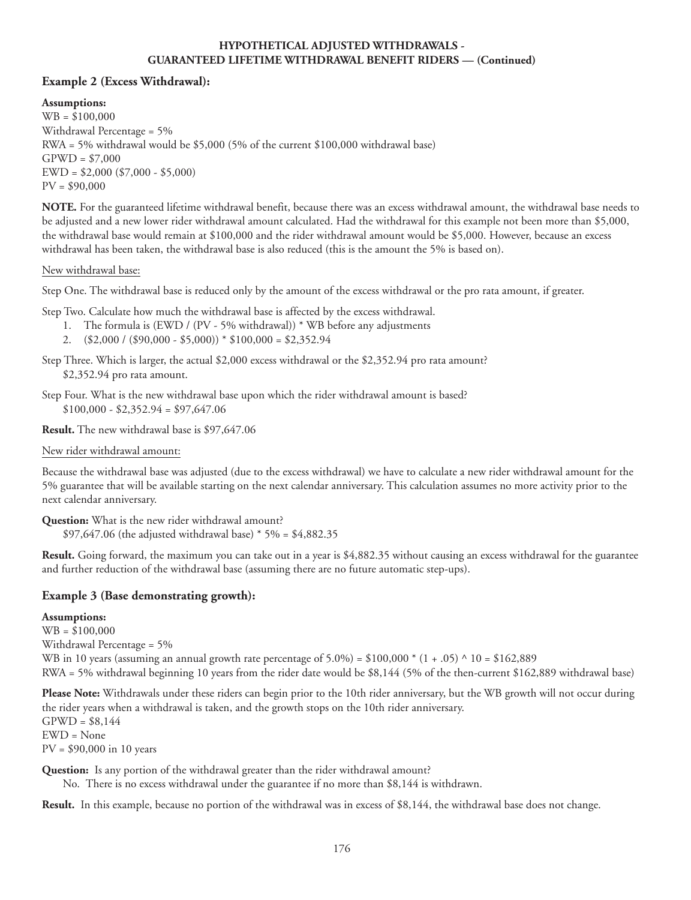#### **HYPOTHETICAL ADJUSTED WITHDRAWALS - GUARANTEED LIFETIME WITHDRAWAL BENEFIT RIDERS — (Continued)**

### **Example 2 (Excess Withdrawal):**

**Assumptions:**

WB = \$100,000 Withdrawal Percentage = 5% RWA = 5% withdrawal would be \$5,000 (5% of the current \$100,000 withdrawal base)  $GPWD = $7,000$ EWD = \$2,000 (\$7,000 - \$5,000)  $PV = $90,000$ 

**NOTE.** For the guaranteed lifetime withdrawal benefit, because there was an excess withdrawal amount, the withdrawal base needs to be adjusted and a new lower rider withdrawal amount calculated. Had the withdrawal for this example not been more than \$5,000, the withdrawal base would remain at \$100,000 and the rider withdrawal amount would be \$5,000. However, because an excess withdrawal has been taken, the withdrawal base is also reduced (this is the amount the 5% is based on).

#### New withdrawal base:

Step One. The withdrawal base is reduced only by the amount of the excess withdrawal or the pro rata amount, if greater.

Step Two. Calculate how much the withdrawal base is affected by the excess withdrawal.

- 1. The formula is (EWD / (PV 5% withdrawal)) \* WB before any adjustments
- 2.  $($2,000 / ($90,000 $5,000))* $100,000 = $2,352.94$
- Step Three. Which is larger, the actual \$2,000 excess withdrawal or the \$2,352.94 pro rata amount? \$2,352.94 pro rata amount.

Step Four. What is the new withdrawal base upon which the rider withdrawal amount is based?  $$100,000 - $2,352.94 = $97,647.06$ 

**Result.** The new withdrawal base is \$97,647.06

New rider withdrawal amount:

Because the withdrawal base was adjusted (due to the excess withdrawal) we have to calculate a new rider withdrawal amount for the 5% guarantee that will be available starting on the next calendar anniversary. This calculation assumes no more activity prior to the next calendar anniversary.

**Question:** What is the new rider withdrawal amount? \$97,647.06 (the adjusted withdrawal base) \* 5% = \$4,882.35

**Result.** Going forward, the maximum you can take out in a year is \$4,882.35 without causing an excess withdrawal for the guarantee and further reduction of the withdrawal base (assuming there are no future automatic step-ups).

## **Example 3 (Base demonstrating growth):**

**Assumptions:** WB = \$100,000 Withdrawal Percentage = 5% WB in 10 years (assuming an annual growth rate percentage of  $5.0\%$ ) = \$100,000  $*(1+.05) \land 10 = $162,889$ RWA = 5% withdrawal beginning 10 years from the rider date would be \$8,144 (5% of the then-current \$162,889 withdrawal base)

**Please Note:** Withdrawals under these riders can begin prior to the 10th rider anniversary, but the WB growth will not occur during the rider years when a withdrawal is taken, and the growth stops on the 10th rider anniversary.  $G PWD = $8,144$ EWD = None PV = \$90,000 in 10 years

**Question:** Is any portion of the withdrawal greater than the rider withdrawal amount?

No. There is no excess withdrawal under the guarantee if no more than \$8,144 is withdrawn.

**Result.** In this example, because no portion of the withdrawal was in excess of \$8,144, the withdrawal base does not change.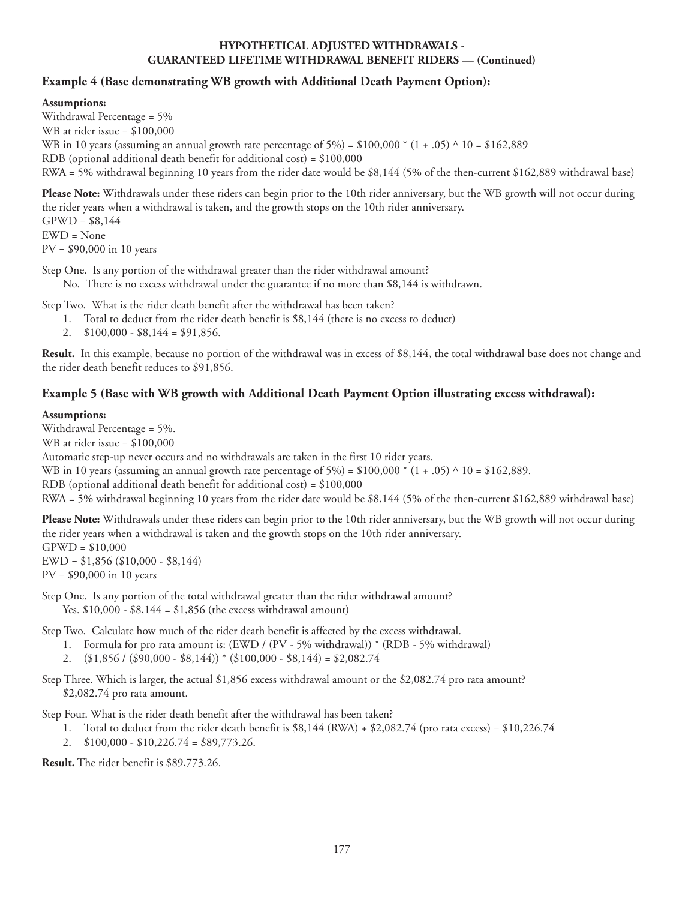#### **HYPOTHETICAL ADJUSTED WITHDRAWALS - GUARANTEED LIFETIME WITHDRAWAL BENEFIT RIDERS — (Continued)**

### **Example 4 (Base demonstrating WB growth with Additional Death Payment Option):**

#### **Assumptions:**

Withdrawal Percentage = 5% WB at rider issue = \$100,000 WB in 10 years (assuming an annual growth rate percentage of  $5\%$ ) = \$100,000  $*(1+.05) \land 10 = $162,889$ RDB (optional additional death benefit for additional cost) = \$100,000 RWA = 5% withdrawal beginning 10 years from the rider date would be \$8,144 (5% of the then-current \$162,889 withdrawal base)

**Please Note:** Withdrawals under these riders can begin prior to the 10th rider anniversary, but the WB growth will not occur during the rider years when a withdrawal is taken, and the growth stops on the 10th rider anniversary.  $GPWD = $8,144$ EWD = None PV = \$90,000 in 10 years

Step One. Is any portion of the withdrawal greater than the rider withdrawal amount?

No. There is no excess withdrawal under the guarantee if no more than \$8,144 is withdrawn.

Step Two. What is the rider death benefit after the withdrawal has been taken?

- 1. Total to deduct from the rider death benefit is \$8,144 (there is no excess to deduct)
- 2.  $$100,000 $8,144 = $91,856.$

**Result.** In this example, because no portion of the withdrawal was in excess of \$8,144, the total withdrawal base does not change and the rider death benefit reduces to \$91,856.

### **Example 5 (Base with WB growth with Additional Death Payment Option illustrating excess withdrawal):**

#### **Assumptions:**

Withdrawal Percentage = 5%. WB at rider issue = \$100,000 Automatic step-up never occurs and no withdrawals are taken in the first 10 rider years. WB in 10 years (assuming an annual growth rate percentage of  $5\%$ ) = \$100,000  $*(1+.05) \wedge 10 = $162,889$ . RDB (optional additional death benefit for additional cost) = \$100,000 RWA = 5% withdrawal beginning 10 years from the rider date would be \$8,144 (5% of the then-current \$162,889 withdrawal base)

**Please Note:** Withdrawals under these riders can begin prior to the 10th rider anniversary, but the WB growth will not occur during the rider years when a withdrawal is taken and the growth stops on the 10th rider anniversary.  $GPWD = $10,000$ 

EWD = \$1,856 (\$10,000 - \$8,144) PV = \$90,000 in 10 years

Step One. Is any portion of the total withdrawal greater than the rider withdrawal amount? Yes. \$10,000 - \$8,144 = \$1,856 (the excess withdrawal amount)

Step Two. Calculate how much of the rider death benefit is affected by the excess withdrawal.

- 1. Formula for pro rata amount is: (EWD / (PV 5% withdrawal)) \* (RDB 5% withdrawal)
- 2.  $(\$1,856 / (\$90,000 \$8,144)) * (\$100,000 \$8,144) = \$2,082.74$

Step Three. Which is larger, the actual \$1,856 excess withdrawal amount or the \$2,082.74 pro rata amount? \$2,082.74 pro rata amount.

Step Four. What is the rider death benefit after the withdrawal has been taken?

- 1. Total to deduct from the rider death benefit is  $$8,144$  (RWA) +  $$2,082.74$  (pro rata excess) =  $$10,226.74$
- 2. \$100,000 \$10,226.74 = \$89,773.26.

**Result.** The rider benefit is \$89,773.26.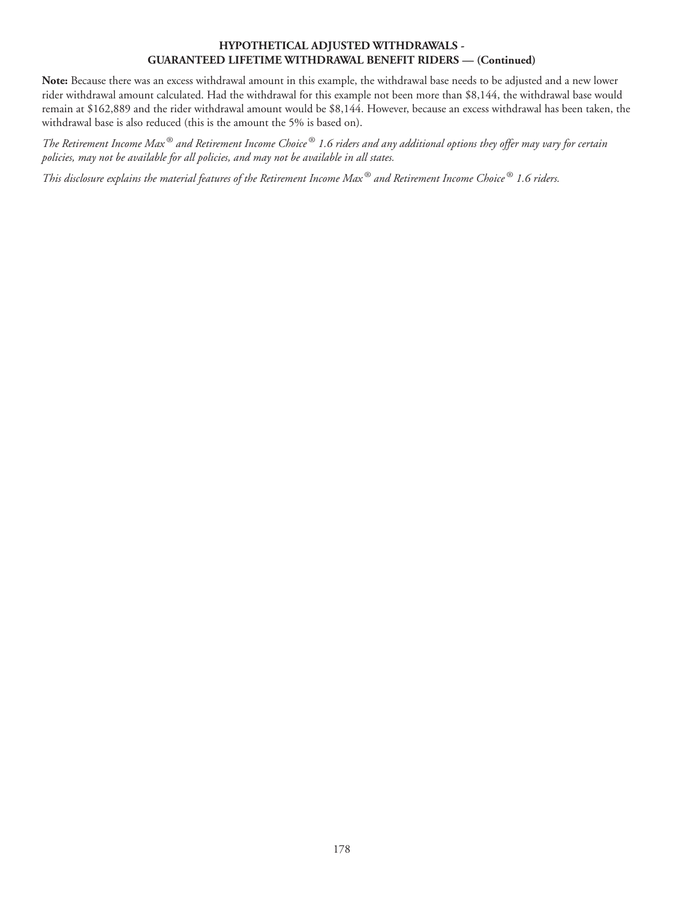#### **HYPOTHETICAL ADJUSTED WITHDRAWALS - GUARANTEED LIFETIME WITHDRAWAL BENEFIT RIDERS — (Continued)**

**Note:** Because there was an excess withdrawal amount in this example, the withdrawal base needs to be adjusted and a new lower rider withdrawal amount calculated. Had the withdrawal for this example not been more than \$8,144, the withdrawal base would remain at \$162,889 and the rider withdrawal amount would be \$8,144. However, because an excess withdrawal has been taken, the withdrawal base is also reduced (this is the amount the 5% is based on).

*The Retirement Income Max ® and Retirement Income Choice ® 1.6 riders and any additional options they offer may vary for certain policies, may not be available for all policies, and may not be available in all states.*

*This disclosure explains the material features of the Retirement Income Max ® and Retirement Income Choice ® 1.6 riders.*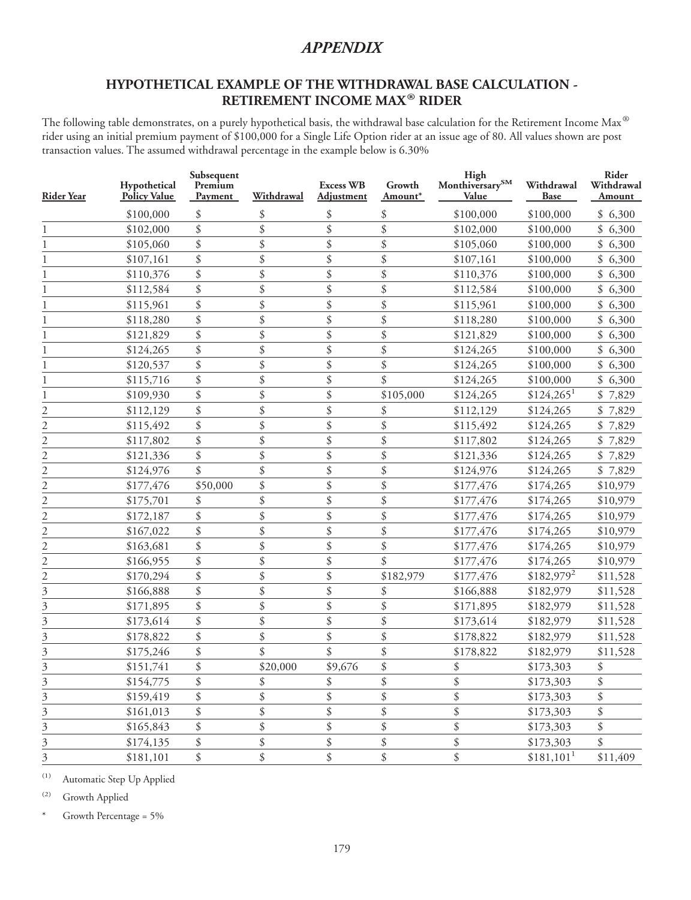# **HYPOTHETICAL EXAMPLE OF THE WITHDRAWAL BASE CALCULATION - RETIREMENT INCOME MAX® RIDER**

The following table demonstrates, on a purely hypothetical basis, the withdrawal base calculation for the Retirement Income Max<sup>®</sup> rider using an initial premium payment of \$100,000 for a Single Life Option rider at an issue age of 80. All values shown are post transaction values. The assumed withdrawal percentage in the example below is 6.30%

| <b>Rider Year</b>         | Hypothetical<br><b>Policy Value</b> | Subsequent<br>Premium<br>Payment | Withdrawal | <b>Excess WB</b><br>Adjustment | Growth<br>Amount* | High<br>Monthiversary $^{\mbox{\scriptsize SM}}$<br>Value | Withdrawal<br><b>Base</b> | Rider<br>Withdrawal<br>Amount |
|---------------------------|-------------------------------------|----------------------------------|------------|--------------------------------|-------------------|-----------------------------------------------------------|---------------------------|-------------------------------|
|                           | \$100,000                           | \$                               | \$         | \$                             | \$                | \$100,000                                                 | \$100,000                 | \$6,300                       |
|                           | \$102,000                           | \$                               | \$         | \$                             | \$                | \$102,000                                                 | \$100,000                 | \$6,300                       |
| 1                         | \$105,060                           | \$                               | \$         | \$                             | \$                | \$105,060                                                 | \$100,000                 | \$6,300                       |
|                           | \$107,161                           | \$                               | \$         | \$                             | \$                | \$107,161                                                 | \$100,000                 | \$6,300                       |
|                           | \$110,376                           | \$                               | \$         | \$                             | \$                | \$110,376                                                 | \$100,000                 | \$6,300                       |
|                           | \$112,584                           | \$                               | \$         | \$                             | \$                | \$112,584                                                 | \$100,000                 | \$6,300                       |
|                           | \$115,961                           | \$                               | \$         | \$                             | \$                | \$115,961                                                 | \$100,000                 | \$6,300                       |
|                           | \$118,280                           | \$                               | \$         | \$                             | \$                | \$118,280                                                 | \$100,000                 | \$6,300                       |
|                           | \$121,829                           | \$                               | \$         | \$                             | \$                | \$121,829                                                 | \$100,000                 | \$6,300                       |
|                           | \$124,265                           | \$                               | \$         | \$                             | \$                | \$124,265                                                 | \$100,000                 | \$6,300                       |
|                           | \$120,537                           | \$                               | \$         | \$                             | \$                | \$124,265                                                 | \$100,000                 | \$6,300                       |
|                           | \$115,716                           | \$                               | \$         | \$                             | \$                | \$124,265                                                 | \$100,000                 | \$6,300                       |
|                           | \$109,930                           | \$                               | \$         | \$                             | \$105,000         | \$124,265                                                 | $$124,265$ <sup>1</sup>   | \$7,829                       |
| 2                         | \$112,129                           | \$                               | \$         | \$                             | \$                | \$112,129                                                 | \$124,265                 | \$7,829                       |
| 2                         | \$115,492                           | \$                               | \$         | \$                             | \$                | \$115,492                                                 | \$124,265                 | \$<br>7,829                   |
| 2                         | \$117,802                           | \$                               | \$         | \$                             | \$                | \$117,802                                                 | \$124,265                 | \$<br>7,829                   |
| $\overline{c}$            | \$121,336                           | \$                               | \$         | \$                             | \$                | \$121,336                                                 | \$124,265                 | \$<br>7,829                   |
| $\overline{2}$            | \$124,976                           | \$                               | \$         | \$                             | \$                | \$124,976                                                 | \$124,265                 | \$7,829                       |
| $\overline{2}$            | \$177,476                           | \$50,000                         | \$         | \$                             | \$                | \$177,476                                                 | \$174,265                 | \$10,979                      |
| $\overline{c}$            | \$175,701                           | \$                               | \$         | \$                             | \$                | \$177,476                                                 | \$174,265                 | \$10,979                      |
| $\overline{c}$            | \$172,187                           | \$                               | \$         | \$                             | \$                | \$177,476                                                 | \$174,265                 | \$10,979                      |
| $\overline{c}$            | \$167,022                           | \$                               | \$         | \$                             | \$                | \$177,476                                                 | \$174,265                 | \$10,979                      |
| $\overline{\mathbf{c}}$   | \$163,681                           | \$                               | \$         | \$                             | \$                | \$177,476                                                 | \$174,265                 | \$10,979                      |
| $\overline{c}$            | \$166,955                           | \$                               | \$         | \$                             | \$                | \$177,476                                                 | \$174,265                 | \$10,979                      |
| $\overline{c}$            | \$170,294                           | \$                               | \$         | \$                             | \$182,979         | \$177,476                                                 | $$182,979^2$              | \$11,528                      |
| 3                         | \$166,888                           | \$                               | \$         | \$                             | \$                | \$166,888                                                 | \$182,979                 | \$11,528                      |
| 3                         | \$171,895                           | \$                               | \$         | \$                             | \$                | \$171,895                                                 | \$182,979                 | \$11,528                      |
| 3                         | \$173,614                           | \$                               | \$         | \$                             | \$                | \$173,614                                                 | \$182,979                 | \$11,528                      |
| 3                         | \$178,822                           | \$                               | \$         | \$                             | \$                | \$178,822                                                 | \$182,979                 | \$11,528                      |
| 3                         | \$175,246                           | \$                               | \$         | \$                             | \$                | \$178,822                                                 | \$182,979                 | \$11,528                      |
| 3                         | \$151,741                           | \$                               | \$20,000   | \$9,676                        | \$                | \$                                                        | \$173,303                 | \$                            |
| 3                         | \$154,775                           | \$                               | \$         | \$                             | \$                | \$                                                        | \$173,303                 | \$                            |
| 3                         | \$159,419                           | \$                               | \$         | \$                             | \$                | \$                                                        | \$173,303                 | \$                            |
| 3                         | \$161,013                           | \$                               | \$         | \$                             | \$                | \$                                                        | \$173,303                 | \$                            |
| 3                         | \$165,843                           | \$                               | \$         | \$                             | \$                | \$                                                        | \$173,303                 | \$                            |
| 3                         | \$174,135                           | \$                               | \$         | \$                             | \$                | \$                                                        | \$173,303                 | \$                            |
| $\overline{\mathfrak{Z}}$ | \$181,101                           | \$                               | \$         | \$                             | \$                | \$                                                        | $$181,101$ <sup>1</sup>   | \$11,409                      |

(1) Automatic Step Up Applied

(2) Growth Applied

Growth Percentage = 5%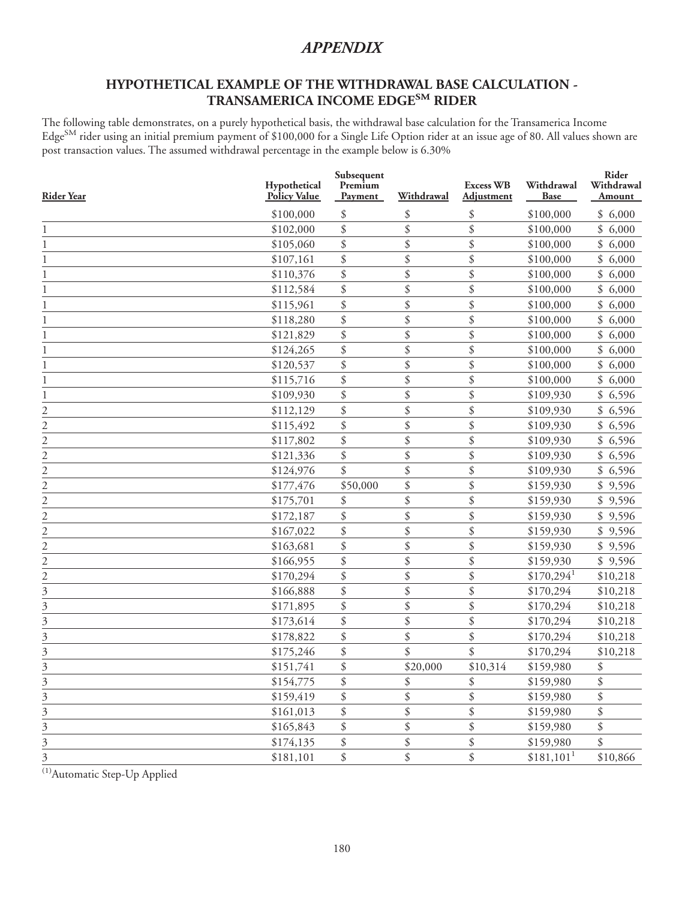# **HYPOTHETICAL EXAMPLE OF THE WITHDRAWAL BASE CALCULATION - TRANSAMERICA INCOME EDGESM RIDER**

The following table demonstrates, on a purely hypothetical basis, the withdrawal base calculation for the Transamerica Income Edge<sup>SM</sup> rider using an initial premium payment of \$100,000 for a Single Life Option rider at an issue age of 80. All values shown are post transaction values. The assumed withdrawal percentage in the example below is 6.30%

| <b>Rider Year</b>         | Hypothetical<br><b>Policy Value</b> | Subsequent<br>Premium<br>Payment | Withdrawal | <b>Excess WB</b><br>Adjustment | Withdrawal<br><b>Base</b> | Rider<br>Withdrawal<br>Amount |
|---------------------------|-------------------------------------|----------------------------------|------------|--------------------------------|---------------------------|-------------------------------|
|                           | \$100,000                           | \$                               | \$         | \$                             | \$100,000                 | \$6,000                       |
| 1                         | \$102,000                           | \$                               | \$         | \$                             | \$100,000                 | \$6,000                       |
| 1                         | \$105,060                           | \$                               | \$         | \$                             | \$100,000                 | \$6,000                       |
| 1                         | \$107,161                           | \$                               | \$         | \$                             | \$100,000                 | \$6,000                       |
| 1                         | \$110,376                           | \$                               | \$         | \$                             | \$100,000                 | \$6,000                       |
| 1                         | \$112,584                           | \$                               | \$         | \$                             | \$100,000                 | \$6,000                       |
|                           | \$115,961                           | \$                               | \$         | \$                             | \$100,000                 | \$6,000                       |
| 1                         | \$118,280                           | \$                               | \$         | \$                             | \$100,000                 | \$6,000                       |
| 1                         | \$121,829                           | \$                               | \$         | \$                             | \$100,000                 | \$<br>6,000                   |
| 1                         | \$124,265                           | \$                               | \$         | \$                             | \$100,000                 | \$6,000                       |
| 1                         | \$120,537                           | \$                               | \$         | \$                             | \$100,000                 | \$6,000                       |
| 1                         | \$115,716                           | \$                               | \$         | \$                             | \$100,000                 | \$<br>6,000                   |
| 1                         | \$109,930                           | \$                               | \$         | \$                             | \$109,930                 | \$6,596                       |
|                           | \$112,129                           | \$                               | \$         | \$                             | \$109,930                 | \$6,596                       |
| $\frac{2}{2}$             | \$115,492                           | \$                               | \$         | \$                             | \$109,930                 | \$6,596                       |
| $\overline{2}$            | \$117,802                           | \$                               | \$         | \$                             | \$109,930                 | \$6,596                       |
| $\overline{c}$            | \$121,336                           | \$                               | \$         | \$                             | \$109,930                 | \$6,596                       |
| $\overline{c}$            | \$124,976                           | \$                               | \$         | \$                             | \$109,930                 | \$6,596                       |
| $\overline{c}$            | \$177,476                           | \$50,000                         | \$         | \$                             | \$159,930                 | \$9,596                       |
| $\overline{2}$            | \$175,701                           | \$                               | \$         | \$                             | \$159,930                 | \$9,596                       |
| $\overline{c}$            | \$172,187                           | \$                               | \$         | \$                             | \$159,930                 | \$9,596                       |
| $\overline{c}$            | \$167,022                           | \$                               | \$         | \$                             | \$159,930                 | \$9,596                       |
| $\frac{2}{2}$             | \$163,681                           | \$                               | \$         | \$                             | \$159,930                 | \$9,596                       |
|                           | \$166,955                           | \$                               | \$         | \$                             | \$159,930                 | \$9,596                       |
| $\frac{1}{2}$             | \$170,294                           | \$                               | \$         | \$                             | $$170,294$ <sup>1</sup>   | \$10,218                      |
| $\overline{\mathfrak{Z}}$ | \$166,888                           | \$                               | \$         | \$                             | \$170,294                 | \$10,218                      |
| $\overline{\mathbf{3}}$   | \$171,895                           | \$                               | \$         | \$                             | \$170,294                 | \$10,218                      |
| $\overline{\mathbf{3}}$   | \$173,614                           | \$                               | \$         | \$                             | \$170,294                 | \$10,218                      |
| 3                         | \$178,822                           | \$                               | \$         | \$                             | \$170,294                 | \$10,218                      |
| 3                         | \$175,246                           | \$                               | \$         | \$                             | \$170,294                 | \$10,218                      |
| 3                         | \$151,741                           | \$                               | \$20,000   | \$10,314                       | \$159,980                 | \$                            |
| $\overline{\mathbf{3}}$   | \$154,775                           | \$                               | \$         | \$                             | \$159,980                 | \$                            |
| $\overline{\mathbf{3}}$   | \$159,419                           | \$                               | \$         | \$                             | \$159,980                 | \$                            |
| $\overline{\overline{3}}$ | \$161,013                           | \$                               | \$         | \$                             | \$159,980                 | \$                            |
| $\frac{1}{3}$             | \$165,843                           | \$                               | \$         | \$                             | \$159,980                 | $\mathcal{S}$                 |
| $\frac{1}{3}$             | \$174,135                           | \$                               | \$         | \$                             | \$159,980                 | \$                            |
| $\overline{3}$            | \$181,101                           | \$                               | \$         | \$                             | $$181,101$ <sup>1</sup>   | \$10,866                      |

<sup>(1)</sup>Automatic Step-Up Applied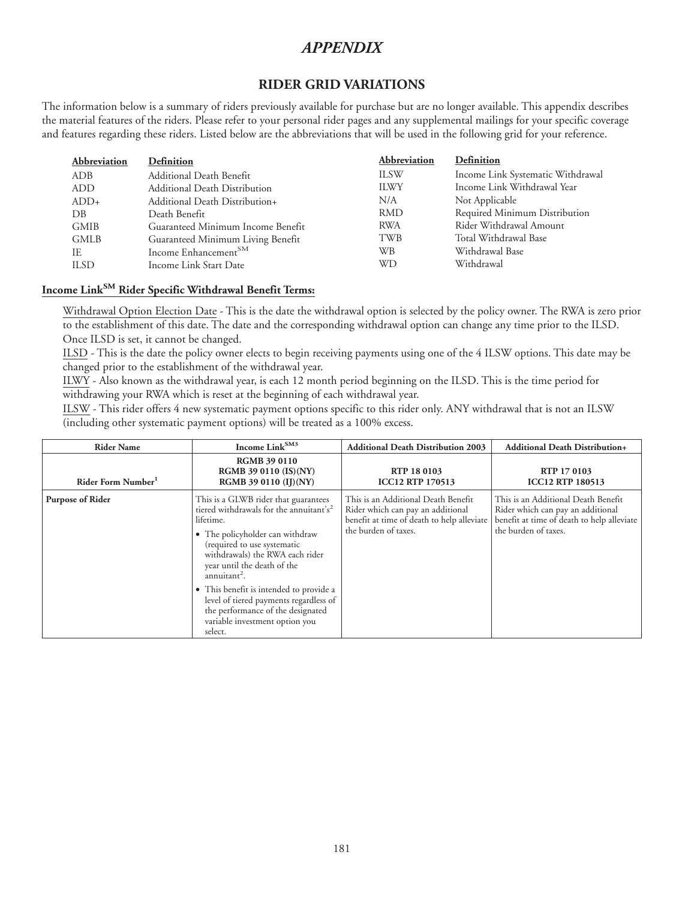## **RIDER GRID VARIATIONS**

The information below is a summary of riders previously available for purchase but are no longer available. This appendix describes the material features of the riders. Please refer to your personal rider pages and any supplemental mailings for your specific coverage and features regarding these riders. Listed below are the abbreviations that will be used in the following grid for your reference.

| <b>Abbreviation</b> | Definition                        | Abbreviation | Definition                        |
|---------------------|-----------------------------------|--------------|-----------------------------------|
| ADB                 | Additional Death Benefit          | <b>ILSW</b>  | Income Link Systematic Withdrawal |
| <b>ADD</b>          | Additional Death Distribution     | <b>ILWY</b>  | Income Link Withdrawal Year       |
| $ADD+$              | Additional Death Distribution+    | N/A          | Not Applicable                    |
| DB                  | Death Benefit                     | <b>RMD</b>   | Required Minimum Distribution     |
| <b>GMIB</b>         | Guaranteed Minimum Income Benefit | <b>RWA</b>   | Rider Withdrawal Amount           |
| <b>GMLB</b>         | Guaranteed Minimum Living Benefit | <b>TWB</b>   | Total Withdrawal Base             |
| IE                  | Income Enhancement <sup>SM</sup>  | WВ           | Withdrawal Base                   |
| ILSD                | Income Link Start Date            | WD.          | Withdrawal                        |

#### **Income LinkSM Rider Specific Withdrawal Benefit Terms:**

Withdrawal Option Election Date - This is the date the withdrawal option is selected by the policy owner. The RWA is zero prior to the establishment of this date. The date and the corresponding withdrawal option can change any time prior to the ILSD. Once ILSD is set, it cannot be changed.

ILSD - This is the date the policy owner elects to begin receiving payments using one of the 4 ILSW options. This date may be changed prior to the establishment of the withdrawal year.

ILWY - Also known as the withdrawal year, is each 12 month period beginning on the ILSD. This is the time period for withdrawing your RWA which is reset at the beginning of each withdrawal year.

ILSW - This rider offers 4 new systematic payment options specific to this rider only. ANY withdrawal that is not an ILSW (including other systematic payment options) will be treated as a 100% excess.

| <b>Rider Name</b>              | Income Link <sup>SM3</sup>                                                                                                                                                                                                                                                                                                                                                                                                                      | <b>Additional Death Distribution 2003</b>                                                                                                      | <b>Additional Death Distribution+</b>                                                                                                          |
|--------------------------------|-------------------------------------------------------------------------------------------------------------------------------------------------------------------------------------------------------------------------------------------------------------------------------------------------------------------------------------------------------------------------------------------------------------------------------------------------|------------------------------------------------------------------------------------------------------------------------------------------------|------------------------------------------------------------------------------------------------------------------------------------------------|
| Rider Form Number <sup>1</sup> | <b>RGMB 39 0110</b><br>RGMB 39 0110 (IS)(NY)<br>RGMB 39 0110 (IJ)(NY)                                                                                                                                                                                                                                                                                                                                                                           | RTP 18 0103<br><b>ICC12 RTP 170513</b>                                                                                                         | RTP 17 0103<br><b>ICC12 RTP 180513</b>                                                                                                         |
| <b>Purpose of Rider</b>        | This is a GLWB rider that guarantees<br>tiered withdrawals for the annuitant's <sup>2</sup><br>lifetime.<br>• The policyholder can withdraw<br>(required to use systematic<br>withdrawals) the RWA each rider<br>year until the death of the<br>annuitant <sup>2</sup> .<br>• This benefit is intended to provide a<br>level of tiered payments regardless of<br>the performance of the designated<br>variable investment option you<br>select. | This is an Additional Death Benefit<br>Rider which can pay an additional<br>benefit at time of death to help alleviate<br>the burden of taxes. | This is an Additional Death Benefit<br>Rider which can pay an additional<br>benefit at time of death to help alleviate<br>the burden of taxes. |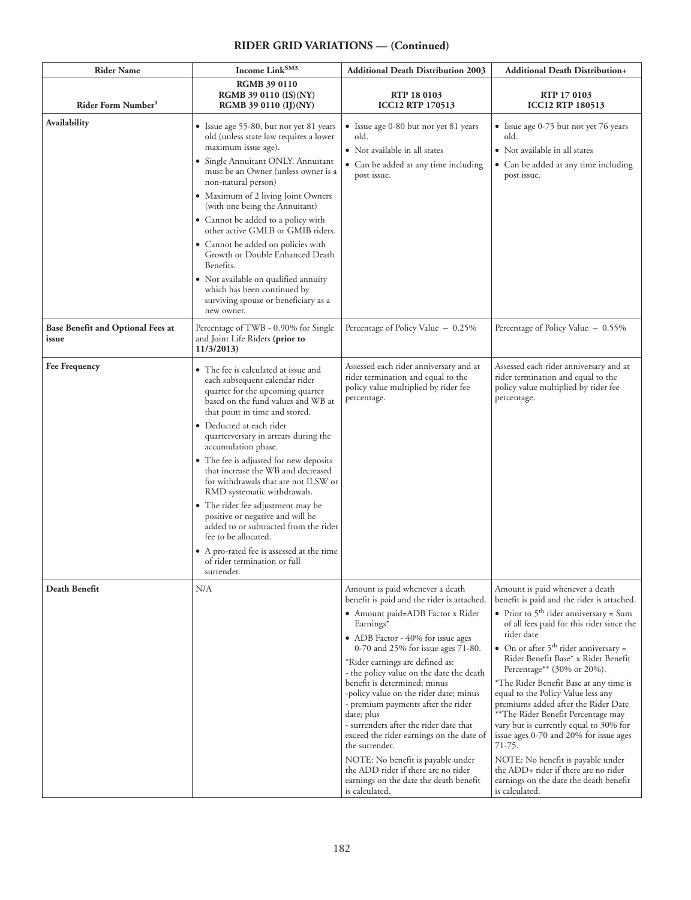| <b>Rider Name</b>                          | Income Link <sup>SM3</sup>                                                                                                                                                                                                                                                                                                                                                                                                                                                                                                                                                                                                                                                | <b>Additional Death Distribution 2003</b>                                                                                                                                                                                                                                                                                                                                                                                                                                                                                                                                                                                                                              | <b>Additional Death Distribution+</b>                                                                                                                                                                                                                                                                                                                                                                                                                                                                                                                                                                                                                                                                                         |
|--------------------------------------------|---------------------------------------------------------------------------------------------------------------------------------------------------------------------------------------------------------------------------------------------------------------------------------------------------------------------------------------------------------------------------------------------------------------------------------------------------------------------------------------------------------------------------------------------------------------------------------------------------------------------------------------------------------------------------|------------------------------------------------------------------------------------------------------------------------------------------------------------------------------------------------------------------------------------------------------------------------------------------------------------------------------------------------------------------------------------------------------------------------------------------------------------------------------------------------------------------------------------------------------------------------------------------------------------------------------------------------------------------------|-------------------------------------------------------------------------------------------------------------------------------------------------------------------------------------------------------------------------------------------------------------------------------------------------------------------------------------------------------------------------------------------------------------------------------------------------------------------------------------------------------------------------------------------------------------------------------------------------------------------------------------------------------------------------------------------------------------------------------|
| Rider Form Number <sup>1</sup>             | <b>RGMB 39 0110</b><br>RGMB 39 0110 (IS)(NY)<br><b>RGMB 39 0110 (IJ)(NY)</b>                                                                                                                                                                                                                                                                                                                                                                                                                                                                                                                                                                                              | RTP 18 0103<br><b>ICC12 RTP 170513</b>                                                                                                                                                                                                                                                                                                                                                                                                                                                                                                                                                                                                                                 | RTP 17 0103<br><b>ICC12 RTP 180513</b>                                                                                                                                                                                                                                                                                                                                                                                                                                                                                                                                                                                                                                                                                        |
| Availability                               | • Issue age 55-80, but not yet 81 years<br>old (unless state law requires a lower<br>maximum issue age).<br>· Single Annuitant ONLY. Annuitant<br>must be an Owner (unless owner is a<br>non-natural person)<br>• Maximum of 2 living Joint Owners<br>(with one being the Annuitant)<br>• Cannot be added to a policy with<br>other active GMLB or GMIB riders.<br>• Cannot be added on policies with<br>Growth or Double Enhanced Death<br>Benefits.<br>· Not available on qualified annuity<br>which has been continued by<br>surviving spouse or beneficiary as a<br>new owner.                                                                                        | • Issue age 0-80 but not yet 81 years<br>old.<br>• Not available in all states<br>• Can be added at any time including<br>post issue.                                                                                                                                                                                                                                                                                                                                                                                                                                                                                                                                  | • Issue age 0-75 but not yet 76 years<br>old.<br>• Not available in all states<br>• Can be added at any time including<br>post issue.                                                                                                                                                                                                                                                                                                                                                                                                                                                                                                                                                                                         |
| Base Benefit and Optional Fees at<br>issue | Percentage of TWB - 0.90% for Single<br>and Joint Life Riders (prior to<br>11/3/2013                                                                                                                                                                                                                                                                                                                                                                                                                                                                                                                                                                                      | Percentage of Policy Value - 0.25%                                                                                                                                                                                                                                                                                                                                                                                                                                                                                                                                                                                                                                     | Percentage of Policy Value - 0.55%                                                                                                                                                                                                                                                                                                                                                                                                                                                                                                                                                                                                                                                                                            |
| <b>Fee Frequency</b>                       | • The fee is calculated at issue and<br>each subsequent calendar rider<br>quarter for the upcoming quarter<br>based on the fund values and WB at<br>that point in time and stored.<br>· Deducted at each rider<br>quarterversary in arrears during the<br>accumulation phase.<br>• The fee is adjusted for new deposits<br>that increase the WB and decreased<br>for withdrawals that are not ILSW or<br>RMD systematic withdrawals.<br>• The rider fee adjustment may be<br>positive or negative and will be<br>added to or subtracted from the rider<br>fee to be allocated.<br>• A pro-rated fee is assessed at the time<br>of rider termination or full<br>surrender. | Assessed each rider anniversary and at<br>rider termination and equal to the<br>policy value multiplied by rider fee<br>percentage.                                                                                                                                                                                                                                                                                                                                                                                                                                                                                                                                    | Assessed each rider anniversary and at<br>rider termination and equal to the<br>policy value multiplied by rider fee<br>percentage.                                                                                                                                                                                                                                                                                                                                                                                                                                                                                                                                                                                           |
| Death Benefit                              | N/A                                                                                                                                                                                                                                                                                                                                                                                                                                                                                                                                                                                                                                                                       | Amount is paid whenever a death<br>benefit is paid and the rider is attached.<br>· Amount paid=ADB Factor x Rider<br>Earnings*<br>• ADB Factor - 40% for issue ages<br>0-70 and 25% for issue ages 71-80.<br>*Rider earnings are defined as:<br>- the policy value on the date the death<br>benefit is determined; minus<br>-policy value on the rider date; minus<br>- premium payments after the rider<br>date; plus<br>- surrenders after the rider date that<br>exceed the rider earnings on the date of<br>the surrender.<br>NOTE: No benefit is payable under<br>the ADD rider if there are no rider<br>earnings on the date the death benefit<br>is calculated. | Amount is paid whenever a death<br>benefit is paid and the rider is attached.<br>• Prior to $5^{\text{th}}$ rider anniversary = Sum<br>of all fees paid for this rider since the<br>rider date<br>• On or after $5^{\text{th}}$ rider anniversary =<br>Rider Benefit Base* x Rider Benefit<br>Percentage** (30% or 20%).<br>*The Rider Benefit Base at any time is<br>equal to the Policy Value less any<br>premiums added after the Rider Date<br>** The Rider Benefit Percentage may<br>vary but is currently equal to 30% for<br>issue ages 0-70 and 20% for issue ages<br>71-75.<br>NOTE: No benefit is payable under<br>the ADD+ rider if there are no rider<br>earnings on the date the death benefit<br>is calculated. |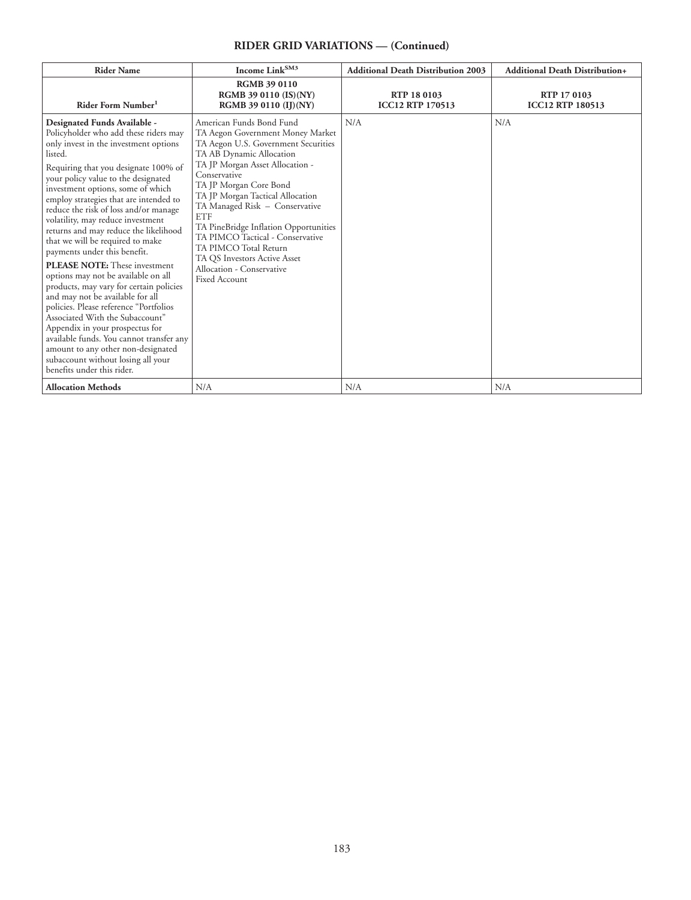| <b>Rider Name</b>                                                                                                                                                                                                                                                                                                                                                                                                                                                                                                                                                                                                                                                                                                                                                                                                                                                                                                      | Income Link <sup>SM3</sup>                                                                                                                                                                                                                                                                                                                                                                                                                                                                  | <b>Additional Death Distribution 2003</b>     | <b>Additional Death Distribution+</b>  |
|------------------------------------------------------------------------------------------------------------------------------------------------------------------------------------------------------------------------------------------------------------------------------------------------------------------------------------------------------------------------------------------------------------------------------------------------------------------------------------------------------------------------------------------------------------------------------------------------------------------------------------------------------------------------------------------------------------------------------------------------------------------------------------------------------------------------------------------------------------------------------------------------------------------------|---------------------------------------------------------------------------------------------------------------------------------------------------------------------------------------------------------------------------------------------------------------------------------------------------------------------------------------------------------------------------------------------------------------------------------------------------------------------------------------------|-----------------------------------------------|----------------------------------------|
| Rider Form Number <sup>1</sup>                                                                                                                                                                                                                                                                                                                                                                                                                                                                                                                                                                                                                                                                                                                                                                                                                                                                                         | <b>RGMB 39 0110</b><br>RGMB 39 0110 (IS)(NY)<br>RGMB 39 0110 (IJ)(NY)                                                                                                                                                                                                                                                                                                                                                                                                                       | <b>RTP 18 0103</b><br><b>ICC12 RTP 170513</b> | RTP 17 0103<br><b>ICC12 RTP 180513</b> |
| Designated Funds Available -<br>Policyholder who add these riders may<br>only invest in the investment options<br>listed.<br>Requiring that you designate 100% of<br>your policy value to the designated<br>investment options, some of which<br>employ strategies that are intended to<br>reduce the risk of loss and/or manage<br>volatility, may reduce investment<br>returns and may reduce the likelihood<br>that we will be required to make<br>payments under this benefit.<br><b>PLEASE NOTE:</b> These investment<br>options may not be available on all<br>products, may vary for certain policies<br>and may not be available for all<br>policies. Please reference "Portfolios<br>Associated With the Subaccount"<br>Appendix in your prospectus for<br>available funds. You cannot transfer any<br>amount to any other non-designated<br>subaccount without losing all your<br>benefits under this rider. | American Funds Bond Fund<br>TA Aegon Government Money Market<br>TA Aegon U.S. Government Securities<br>TA AB Dynamic Allocation<br>TA JP Morgan Asset Allocation -<br>Conservative<br>TA JP Morgan Core Bond<br>TA JP Morgan Tactical Allocation<br>TA Managed Risk - Conservative<br><b>ETF</b><br>TA PineBridge Inflation Opportunities<br>TA PIMCO Tactical - Conservative<br>TA PIMCO Total Return<br>TA QS Investors Active Asset<br>Allocation - Conservative<br><b>Fixed Account</b> | N/A                                           | N/A                                    |
| <b>Allocation Methods</b>                                                                                                                                                                                                                                                                                                                                                                                                                                                                                                                                                                                                                                                                                                                                                                                                                                                                                              | N/A                                                                                                                                                                                                                                                                                                                                                                                                                                                                                         | N/A                                           | N/A                                    |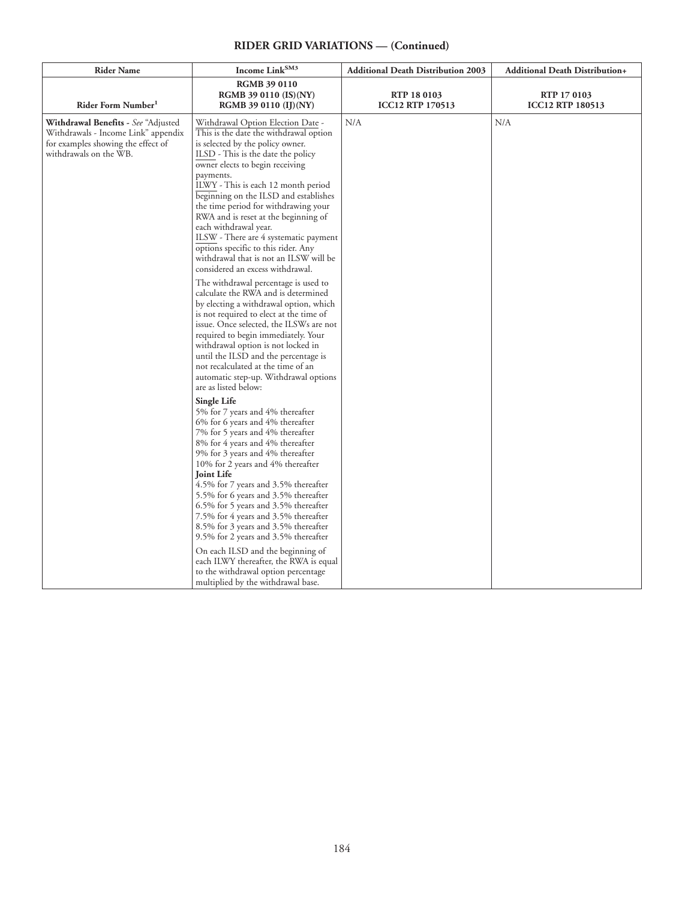| <b>Rider Name</b>                                                                                                                          | Income Link <sup>SM3</sup>                                                                                                                                                                                                                                                                                                                                                                                                                                                                                                                                                                                                                                                                                                                                                                                                                                                                                                                                                                              | <b>Additional Death Distribution 2003</b> | <b>Additional Death Distribution+</b>  |
|--------------------------------------------------------------------------------------------------------------------------------------------|---------------------------------------------------------------------------------------------------------------------------------------------------------------------------------------------------------------------------------------------------------------------------------------------------------------------------------------------------------------------------------------------------------------------------------------------------------------------------------------------------------------------------------------------------------------------------------------------------------------------------------------------------------------------------------------------------------------------------------------------------------------------------------------------------------------------------------------------------------------------------------------------------------------------------------------------------------------------------------------------------------|-------------------------------------------|----------------------------------------|
| Rider Form Number <sup>1</sup>                                                                                                             | <b>RGMB 39 0110</b><br><b>RGMB 39 0110 (IS)(NY)</b><br><b>RGMB 39 0110 (IJ)(NY)</b>                                                                                                                                                                                                                                                                                                                                                                                                                                                                                                                                                                                                                                                                                                                                                                                                                                                                                                                     | RTP 18 0103<br><b>ICC12 RTP 170513</b>    | RTP 17 0103<br><b>ICC12 RTP 180513</b> |
| Withdrawal Benefits - See "Adjusted<br>Withdrawals - Income Link" appendix<br>for examples showing the effect of<br>withdrawals on the WB. | Withdrawal Option Election Date -<br>This is the date the withdrawal option<br>is selected by the policy owner.<br>ILSD - This is the date the policy<br>owner elects to begin receiving<br>payments.<br>ILWY - This is each 12 month period<br>beginning on the ILSD and establishes<br>the time period for withdrawing your<br>RWA and is reset at the beginning of<br>each withdrawal year.<br>ILSW - There are 4 systematic payment<br>options specific to this rider. Any<br>withdrawal that is not an ILSW will be<br>considered an excess withdrawal.<br>The withdrawal percentage is used to<br>calculate the RWA and is determined<br>by electing a withdrawal option, which<br>is not required to elect at the time of<br>issue. Once selected, the ILSWs are not<br>required to begin immediately. Your<br>withdrawal option is not locked in<br>until the ILSD and the percentage is<br>not recalculated at the time of an<br>automatic step-up. Withdrawal options<br>are as listed below: | N/A                                       | N/A                                    |
|                                                                                                                                            | Single Life<br>5% for 7 years and 4% thereafter<br>6% for 6 years and 4% thereafter<br>7% for 5 years and 4% thereafter<br>8% for 4 years and 4% thereafter<br>9% for 3 years and 4% thereafter<br>10% for 2 years and 4% thereafter<br><b>Joint Life</b><br>4.5% for 7 years and 3.5% thereafter<br>5.5% for 6 years and 3.5% thereafter<br>6.5% for 5 years and 3.5% thereafter<br>7.5% for 4 years and 3.5% thereafter<br>8.5% for 3 years and 3.5% thereafter<br>9.5% for 2 years and 3.5% thereafter<br>On each ILSD and the beginning of<br>each ILWY thereafter, the RWA is equal<br>to the withdrawal option percentage<br>multiplied by the withdrawal base.                                                                                                                                                                                                                                                                                                                                   |                                           |                                        |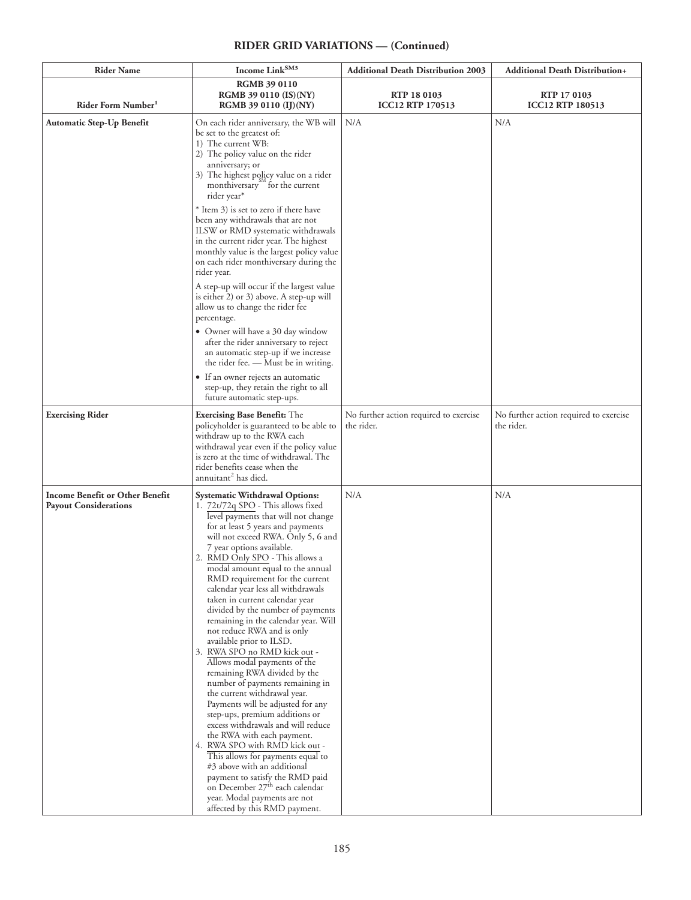| <b>Rider Name</b>                                               | Income $\operatorname{Link}^{\operatorname{SM3}}$                                                                                                                                                                                                                                                                                                                                                                                                                                                                                                                                                                                                                                                                                                                                                                                                                                                                                                                                                                                                                                                                         | <b>Additional Death Distribution 2003</b>            | Additional Death Distribution+                       |
|-----------------------------------------------------------------|---------------------------------------------------------------------------------------------------------------------------------------------------------------------------------------------------------------------------------------------------------------------------------------------------------------------------------------------------------------------------------------------------------------------------------------------------------------------------------------------------------------------------------------------------------------------------------------------------------------------------------------------------------------------------------------------------------------------------------------------------------------------------------------------------------------------------------------------------------------------------------------------------------------------------------------------------------------------------------------------------------------------------------------------------------------------------------------------------------------------------|------------------------------------------------------|------------------------------------------------------|
| Rider Form Number <sup>1</sup>                                  | <b>RGMB 39 0110</b><br><b>RGMB 39 0110 (IS)(NY)</b><br>RGMB 39 0110 (IJ)(NY)                                                                                                                                                                                                                                                                                                                                                                                                                                                                                                                                                                                                                                                                                                                                                                                                                                                                                                                                                                                                                                              | RTP 18 0103<br><b>ICC12 RTP 170513</b>               | RTP 17 0103<br><b>ICC12 RTP 180513</b>               |
| Automatic Step-Up Benefit                                       | On each rider anniversary, the WB will<br>be set to the greatest of:<br>1) The current WB:<br>2) The policy value on the rider<br>anniversary; or<br>3) The highest policy value on a rider<br>monthiversary for the current<br>rider year*<br>* Item 3) is set to zero if there have<br>been any withdrawals that are not<br>ILSW or RMD systematic withdrawals<br>in the current rider year. The highest<br>monthly value is the largest policy value<br>on each rider monthiversary during the<br>rider year.<br>A step-up will occur if the largest value<br>is either 2) or 3) above. A step-up will<br>allow us to change the rider fee<br>percentage.<br>• Owner will have a 30 day window<br>after the rider anniversary to reject<br>an automatic step-up if we increase<br>the rider fee. - Must be in writing.<br>• If an owner rejects an automatic<br>step-up, they retain the right to all<br>future automatic step-ups.                                                                                                                                                                                    | N/A                                                  | N/A                                                  |
| <b>Exercising Rider</b>                                         | <b>Exercising Base Benefit:</b> The<br>policyholder is guaranteed to be able to<br>withdraw up to the RWA each<br>withdrawal year even if the policy value<br>is zero at the time of withdrawal. The<br>rider benefits cease when the<br>annuitant <sup>2</sup> has died.                                                                                                                                                                                                                                                                                                                                                                                                                                                                                                                                                                                                                                                                                                                                                                                                                                                 | No further action required to exercise<br>the rider. | No further action required to exercise<br>the rider. |
| Income Benefit or Other Benefit<br><b>Payout Considerations</b> | <b>Systematic Withdrawal Options:</b><br>1. 72t/72q SPO - This allows fixed<br>level payments that will not change<br>for at least 5 years and payments<br>will not exceed RWA. Only 5, 6 and<br>7 year options available.<br>2. RMD Only SPO - This allows a<br>modal amount equal to the annual<br>RMD requirement for the current<br>calendar year less all withdrawals<br>taken in current calendar year<br>divided by the number of payments<br>remaining in the calendar year. Will<br>not reduce RWA and is only<br>available prior to ILSD.<br>3. RWA SPO no RMD kick out -<br>Allows modal payments of the<br>remaining RWA divided by the<br>number of payments remaining in<br>the current withdrawal year.<br>Payments will be adjusted for any<br>step-ups, premium additions or<br>excess withdrawals and will reduce<br>the RWA with each payment.<br>4. RWA SPO with RMD kick out -<br>This allows for payments equal to<br>#3 above with an additional<br>payment to satisfy the RMD paid<br>on December 27 <sup>th</sup> each calendar<br>year. Modal payments are not<br>affected by this RMD payment. | N/A                                                  | N/A                                                  |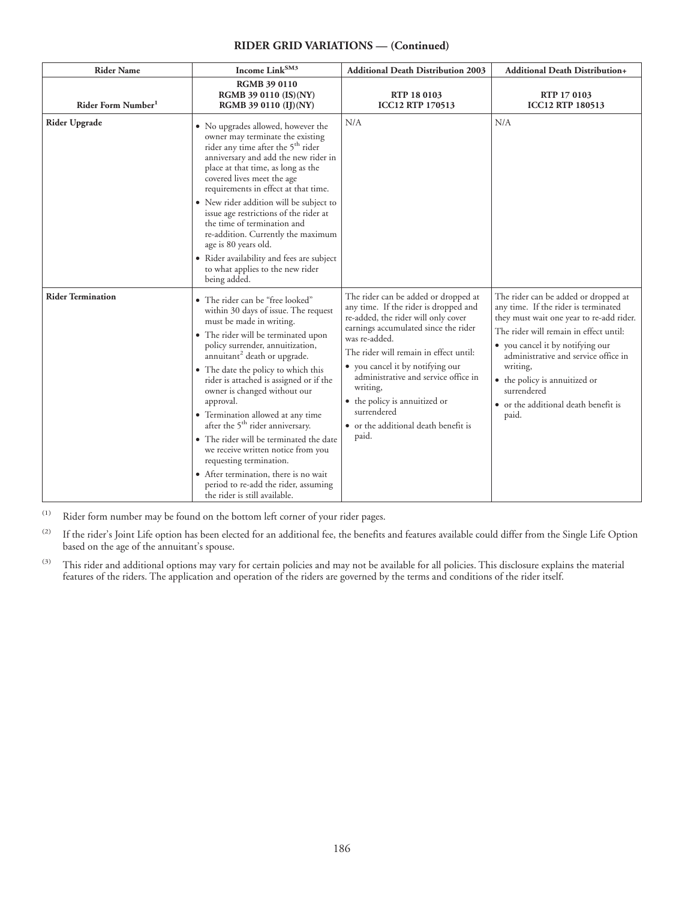| <b>Rider Name</b>              | Income $\operatorname{Link}^{\operatorname{SM3}}$                                                                                                                                                                                                                                                                                                                                                                                                                                                                                                                                                                                                                             | <b>Additional Death Distribution 2003</b>                                                                                                                                                                                                                                                                                                                                                                        | <b>Additional Death Distribution+</b>                                                                                                                                                                                                                                                                                                                       |
|--------------------------------|-------------------------------------------------------------------------------------------------------------------------------------------------------------------------------------------------------------------------------------------------------------------------------------------------------------------------------------------------------------------------------------------------------------------------------------------------------------------------------------------------------------------------------------------------------------------------------------------------------------------------------------------------------------------------------|------------------------------------------------------------------------------------------------------------------------------------------------------------------------------------------------------------------------------------------------------------------------------------------------------------------------------------------------------------------------------------------------------------------|-------------------------------------------------------------------------------------------------------------------------------------------------------------------------------------------------------------------------------------------------------------------------------------------------------------------------------------------------------------|
| Rider Form Number <sup>1</sup> | RGMB 39 0110<br>RGMB 39 0110 (IS)(NY)<br>RGMB 39 0110 (IJ)(NY)                                                                                                                                                                                                                                                                                                                                                                                                                                                                                                                                                                                                                | RTP 18 0103<br><b>ICC12 RTP 170513</b>                                                                                                                                                                                                                                                                                                                                                                           | RTP 17 0103<br><b>ICC12 RTP 180513</b>                                                                                                                                                                                                                                                                                                                      |
| <b>Rider Upgrade</b>           | • No upgrades allowed, however the<br>owner may terminate the existing<br>rider any time after the 5 <sup>th</sup> rider<br>anniversary and add the new rider in<br>place at that time, as long as the<br>covered lives meet the age<br>requirements in effect at that time.<br>• New rider addition will be subject to<br>issue age restrictions of the rider at<br>the time of termination and<br>re-addition. Currently the maximum<br>age is 80 years old.<br>• Rider availability and fees are subject<br>to what applies to the new rider<br>being added.                                                                                                               | N/A                                                                                                                                                                                                                                                                                                                                                                                                              | N/A                                                                                                                                                                                                                                                                                                                                                         |
| <b>Rider Termination</b>       | · The rider can be "free looked"<br>within 30 days of issue. The request<br>must be made in writing.<br>• The rider will be terminated upon<br>policy surrender, annuitization,<br>annuitant <sup>2</sup> death or upgrade.<br>• The date the policy to which this<br>rider is attached is assigned or if the<br>owner is changed without our<br>approval.<br>• Termination allowed at any time<br>after the 5 <sup>th</sup> rider anniversary.<br>• The rider will be terminated the date<br>we receive written notice from you<br>requesting termination.<br>• After termination, there is no wait<br>period to re-add the rider, assuming<br>the rider is still available. | The rider can be added or dropped at<br>any time. If the rider is dropped and<br>re-added, the rider will only cover<br>earnings accumulated since the rider<br>was re-added.<br>The rider will remain in effect until:<br>• you cancel it by notifying our<br>administrative and service office in<br>writing,<br>• the policy is annuitized or<br>surrendered<br>• or the additional death benefit is<br>paid. | The rider can be added or dropped at<br>any time. If the rider is terminated<br>they must wait one year to re-add rider.<br>The rider will remain in effect until:<br>• you cancel it by notifying our<br>administrative and service office in<br>writing,<br>• the policy is annuitized or<br>surrendered<br>• or the additional death benefit is<br>paid. |

(1) Rider form number may be found on the bottom left corner of your rider pages.

<sup>(2)</sup> If the rider's Joint Life option has been elected for an additional fee, the benefits and features available could differ from the Single Life Option based on the age of the annuitant's spouse.

<sup>(3)</sup> This rider and additional options may vary for certain policies and may not be available for all policies. This disclosure explains the material features of the riders. The application and operation of the riders are governed by the terms and conditions of the rider itself.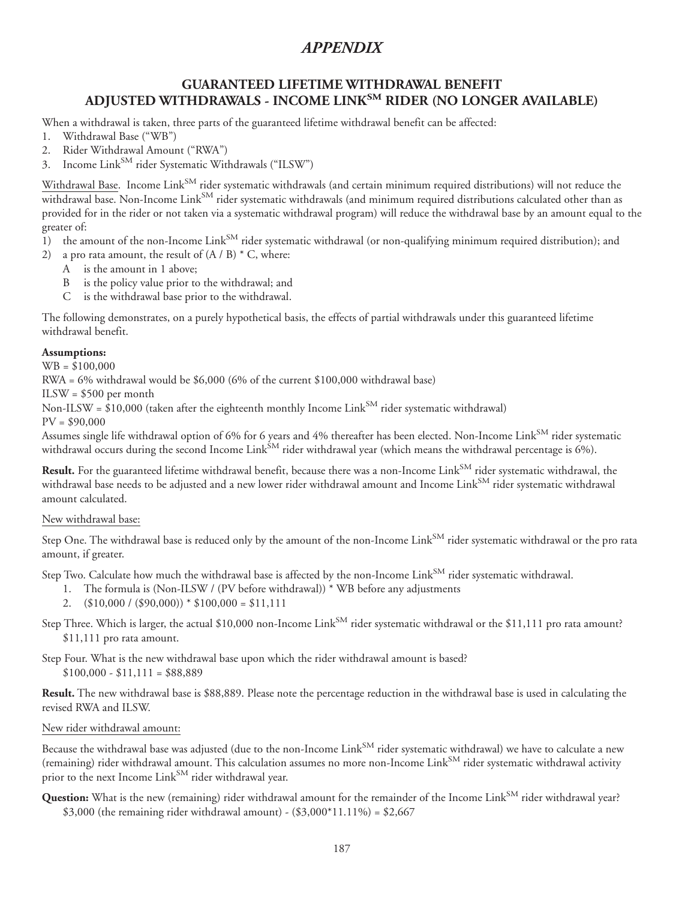## **GUARANTEED LIFETIME WITHDRAWAL BENEFIT ADJUSTED WITHDRAWALS - INCOME LINKSM RIDER (NO LONGER AVAILABLE)**

When a withdrawal is taken, three parts of the guaranteed lifetime withdrawal benefit can be affected:

- 1. Withdrawal Base ("WB")
- 2. Rider Withdrawal Amount ("RWA")
- 3. Income Link<sup>SM</sup> rider Systematic Withdrawals ("ILSW")

Withdrawal Base. Income Link<sup>SM</sup> rider systematic withdrawals (and certain minimum required distributions) will not reduce the withdrawal base. Non-Income Link<sup>SM</sup> rider systematic withdrawals (and minimum required distributions calculated other than as provided for in the rider or not taken via a systematic withdrawal program) will reduce the withdrawal base by an amount equal to the greater of:

- 1) the amount of the non-Income Link<sup>SM</sup> rider systematic withdrawal (or non-qualifying minimum required distribution); and
- 2) a pro rata amount, the result of  $(A / B) * C$ , where:
	- A is the amount in 1 above;
	- B is the policy value prior to the withdrawal; and
	- C is the withdrawal base prior to the withdrawal.

The following demonstrates, on a purely hypothetical basis, the effects of partial withdrawals under this guaranteed lifetime withdrawal benefit.

#### **Assumptions:**

WB = \$100,000

RWA = 6% withdrawal would be \$6,000 (6% of the current \$100,000 withdrawal base)

ILSW = \$500 per month

Non-ILSW =  $\sin 10,000$  (taken after the eighteenth monthly Income Link<sup>SM</sup> rider systematic withdrawal)

 $PV = $90,000$ 

Assumes single life withdrawal option of 6% for 6 years and 4% thereafter has been elected. Non-Income Link<sup>SM</sup> rider systematic withdrawal occurs during the second Income Link<sup>SM</sup> rider withdrawal year (which means the withdrawal percentage is  $6\%$ ).

Result. For the guaranteed lifetime withdrawal benefit, because there was a non-Income Link<sup>SM</sup> rider systematic withdrawal, the withdrawal base needs to be adjusted and a new lower rider withdrawal amount and Income Link<sup>SM</sup> rider systematic withdrawal amount calculated.

#### New withdrawal base:

Step One. The withdrawal base is reduced only by the amount of the non-Income Link<sup>SM</sup> rider systematic withdrawal or the pro rata amount, if greater.

Step Two. Calculate how much the withdrawal base is affected by the non-Income Link<sup>SM</sup> rider systematic withdrawal.

- 1. The formula is (Non-ILSW / (PV before withdrawal)) \* WB before any adjustments
- 2.  $(\$10,000 / (\$90,000)) * \$100,000 = \$11,111$
- Step Three. Which is larger, the actual \$10,000 non-Income Link<sup>SM</sup> rider systematic withdrawal or the \$11,111 pro rata amount? \$11,111 pro rata amount.

Step Four. What is the new withdrawal base upon which the rider withdrawal amount is based?  $$100,000 - $11,111 = $88,889$ 

**Result.** The new withdrawal base is \$88,889. Please note the percentage reduction in the withdrawal base is used in calculating the revised RWA and ILSW.

#### New rider withdrawal amount:

Because the withdrawal base was adjusted (due to the non-Income Link<sup>SM</sup> rider systematic withdrawal) we have to calculate a new (remaining) rider withdrawal amount. This calculation assumes no more non-Income Link<sup>SM</sup> rider systematic withdrawal activity prior to the next Income Link<sup>SM</sup> rider withdrawal year.

Question: What is the new (remaining) rider withdrawal amount for the remainder of the Income Link<sup>SM</sup> rider withdrawal year? \$3,000 (the remaining rider withdrawal amount) -  $(\$3,000*11.11\%) = \$2,667$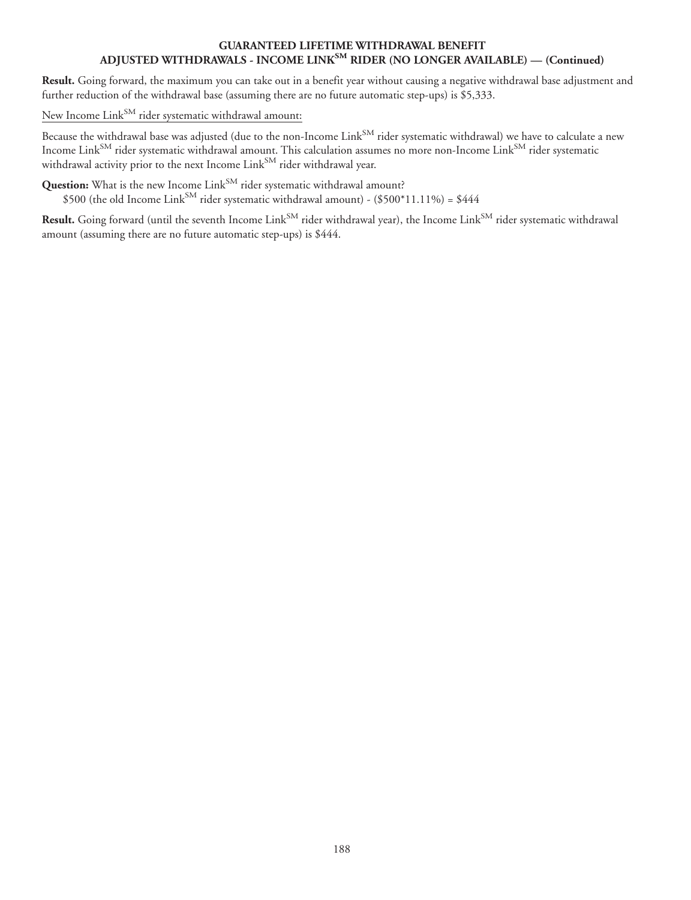#### **GUARANTEED LIFETIME WITHDRAWAL BENEFIT ADJUSTED WITHDRAWALS - INCOME LINKSM RIDER (NO LONGER AVAILABLE) — (Continued)**

**Result.** Going forward, the maximum you can take out in a benefit year without causing a negative withdrawal base adjustment and further reduction of the withdrawal base (assuming there are no future automatic step-ups) is \$5,333.

New Income Link<sup>SM</sup> rider systematic withdrawal amount:

Because the withdrawal base was adjusted (due to the non-Income Link<sup>SM</sup> rider systematic withdrawal) we have to calculate a new Income  ${\rm Link^{SM}}$  rider systematic withdrawal amount. This calculation assumes no more non-Income  ${\rm Link^{SM}}$  rider systematic withdrawal activity prior to the next Income Link<sup>SM</sup> rider withdrawal year.

**Question:** What is the new Income Link<sup>SM</sup> rider systematic withdrawal amount?  $$500$  (the old Income Link $^{\text{SM}}$  rider systematic withdrawal amount) - (\$500\*11.11%) = \$444

Result. Going forward (until the seventh Income Link<sup>SM</sup> rider withdrawal year), the Income Link<sup>SM</sup> rider systematic withdrawal amount (assuming there are no future automatic step-ups) is \$444.